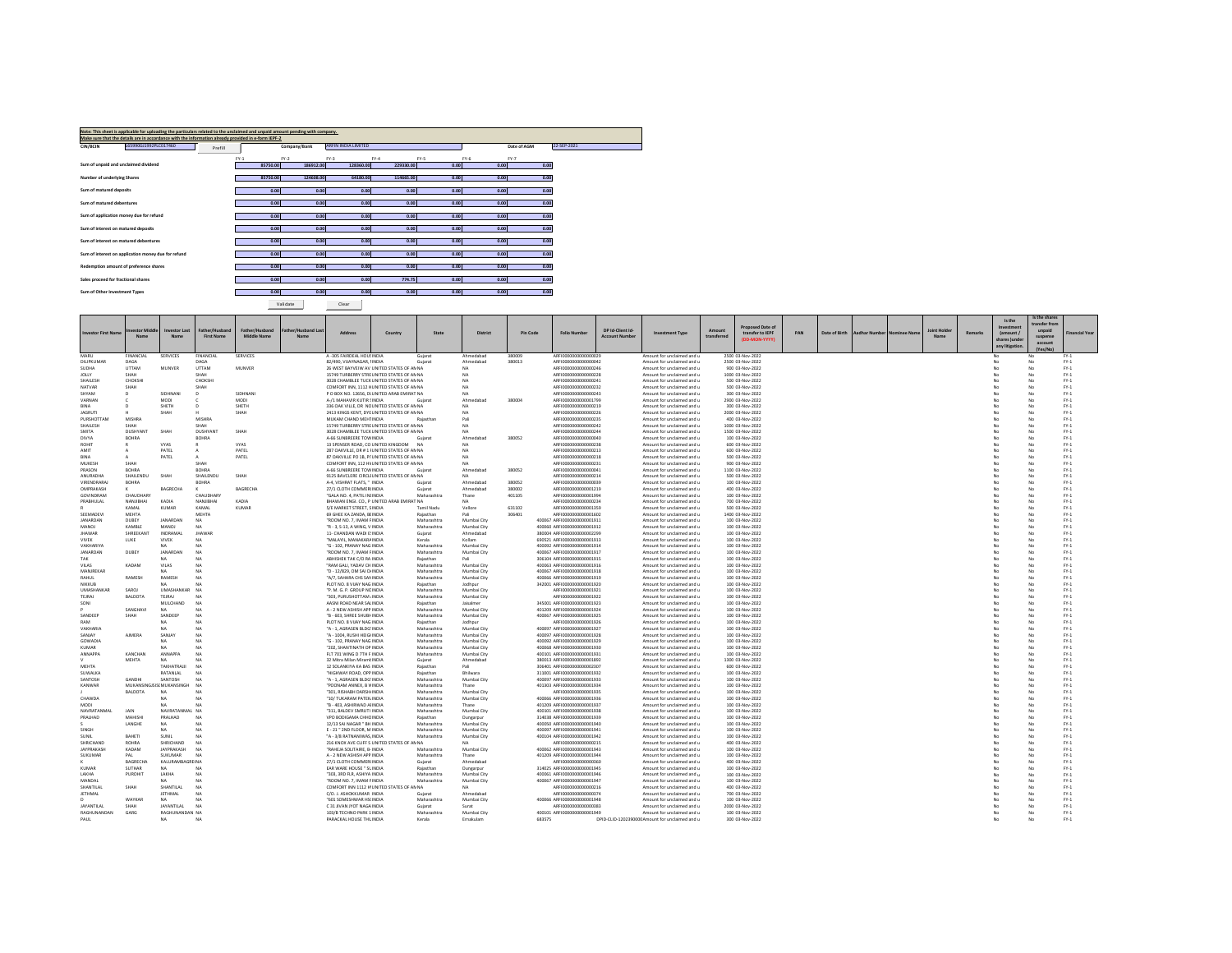|                                      | Note: This sheet is applicable for uploading the particulars related to the unclaimed and unpaid amount pending with company.<br>Make sure that the details are in accordance with the information already provided in e-form IEPF-2 |         |        |          |              |                            |        |           |      |        |             |             |
|--------------------------------------|--------------------------------------------------------------------------------------------------------------------------------------------------------------------------------------------------------------------------------------|---------|--------|----------|--------------|----------------------------|--------|-----------|------|--------|-------------|-------------|
| <b>CIN/BCIN</b>                      | L65990GJ1992PLC017460                                                                                                                                                                                                                | Prefill |        |          | Company/Bank | <b>ARFIN INDIA LIMITED</b> |        |           |      |        | Date of AGM | 22-SEP-2021 |
|                                      |                                                                                                                                                                                                                                      |         | $FY-1$ | $FY-2$   |              | $FY-3$                     | $FY-4$ | $FY-S$    |      | $FY-6$ | $FY-7$      |             |
| Sum of unpaid and unclaimed dividend |                                                                                                                                                                                                                                      |         |        | 85750.00 | 186912.00    | 128360.00                  |        | 229330.00 | 0.00 | 0.00   | 0.00        |             |
| Number of underlying Shares          |                                                                                                                                                                                                                                      |         |        | 85750.00 | 124608.00    | 64180.00                   |        | 114665.00 | 0.00 | 0.00   | 0.00        |             |
|                                      |                                                                                                                                                                                                                                      |         |        |          |              |                            |        |           |      |        |             |             |
| Sum of matured deposits              |                                                                                                                                                                                                                                      |         |        | 0.00     | 0.00         |                            | 0.00   | 0.00      | 0.00 | 0.00   | 0.00        |             |
| Sum of matured debentures            |                                                                                                                                                                                                                                      |         |        | 0.00     | 0.00         |                            | 0.00   | 0.00      | 0.00 | 0.00   | 0.00        |             |
|                                      |                                                                                                                                                                                                                                      |         |        |          |              |                            |        |           |      |        |             |             |
|                                      | Sum of application money due for refund                                                                                                                                                                                              |         |        | 0.00     | 0.00         |                            | 0.00   | 0.00      | 0.00 | 0.00   | 0.00        |             |
| Sum of interest on matured deposits  |                                                                                                                                                                                                                                      |         |        | 0.00     | 0.00         |                            | 0.00   | 0.00      | 0.00 | 0.00   | 0.00        |             |
|                                      | Sum of interest on matured debentures                                                                                                                                                                                                |         |        | 0.00     | 0.00         |                            | 0.00   | 0.00      | 0.00 | 0.00   | 0.00        |             |
|                                      |                                                                                                                                                                                                                                      |         |        |          |              |                            |        |           |      |        |             |             |
|                                      | Sum of interest on application money due for refund                                                                                                                                                                                  |         |        | 0.00     | 0.00         |                            | 0.00   | 0.00      | 0.00 | 0.00   | 0.00        |             |
|                                      | Redemption amount of preference shares                                                                                                                                                                                               |         |        | 0.00     | 0.00         |                            | 0.00   | 0.00      | 0.00 | 0.00   | 0.00        |             |
| Sales proceed for fractional shares  |                                                                                                                                                                                                                                      |         |        | 0.00     | 0.00         |                            | 0.00   | 774.75    | 0.00 | 0.00   | 0.00        |             |
|                                      |                                                                                                                                                                                                                                      |         |        |          |              |                            |        |           |      |        |             |             |
| Sum of Other Investment Types        |                                                                                                                                                                                                                                      |         |        | 0.00     | 0.00         |                            | 0.00   | 0.00      | 0.00 | 0.00   | 0.00        |             |
|                                      |                                                                                                                                                                                                                                      |         |        | Validate |              | Clear                      |        |           |      |        |             |             |

|                               |                                |                                   |                                     |                                      |                   |                                                           |                                                                                             |                            |                            |                  |                                                            |                                           |                                                                              |                       | Proposed Date of                     |     |               |                      |                    |                   |         | Is the<br>Investment      | Is the shares<br>transfer from |                  |
|-------------------------------|--------------------------------|-----------------------------------|-------------------------------------|--------------------------------------|-------------------|-----------------------------------------------------------|---------------------------------------------------------------------------------------------|----------------------------|----------------------------|------------------|------------------------------------------------------------|-------------------------------------------|------------------------------------------------------------------------------|-----------------------|--------------------------------------|-----|---------------|----------------------|--------------------|-------------------|---------|---------------------------|--------------------------------|------------------|
| <b>Investor First Nam</b>     | svestor Midd                   | <b>Investor Last</b>              | Father/Husband<br><b>First Name</b> | Father/Hushand<br><b>Middle Name</b> | ther/Husband Last | <b>Address</b>                                            | Country                                                                                     | State                      | <b>District</b>            | <b>Pin Code</b>  | <b>Folio Number</b>                                        | DP Id-Client Id-<br><b>Account Number</b> | <b>Investment Type</b>                                                       | Amount<br>transferree | transfer to IEPF<br>(DD-MON-YYYY)    | PAN | Date of Birth | <b>Aadhar Number</b> | <b>Jominee Nam</b> | <b>Joint Hold</b> | Remarks | amount /<br>shares Junder | unpaid<br>suspense             | Financial Year   |
|                               |                                |                                   |                                     |                                      |                   |                                                           |                                                                                             |                            |                            |                  |                                                            |                                           |                                                                              |                       |                                      |     |               |                      |                    |                   |         | any litigation            | account<br>IVar/Ma             |                  |
| <b>MARI</b><br>DILIPKUMAR     | <b>INANCIAL</b><br><b>DAGA</b> | <b>SERVICES</b>                   | <b>FINANCIAL</b><br>DAGA            | <b>SERVICES</b>                      |                   | A-305 FAIRDEAL HOUSINDIA<br>82/490, VIJAYNAGAR, IINDIA    |                                                                                             | Guiara<br>Gujarat          | Ahmedabao<br>Ahmedabad     | 380009<br>380013 | ARFI0000000000000029<br>ARFI0000000000000042               |                                           | Amount for unclaimed and u<br>Amount for unclaimed and u                     |                       | 2500 03-Nov-2022<br>2500 03-Nov-2022 |     |               |                      |                    |                   |         |                           | No                             | $FY-1$           |
| <b>SUDHA</b>                  | <b>LITTAM</b>                  | MUNVER                            | <b>LITTAM</b>                       | <b>MUNVER</b>                        |                   |                                                           | 26 WEST BAYVEIW AV UNITED STATES OF AN NA                                                   |                            | NA.                        |                  | AREI0000000000000246                                       |                                           | Amount for unclaimed and u                                                   |                       | 900 03-Nov-2022                      |     |               |                      |                    |                   |         | No                        | No                             | FY-1             |
| JOLLY                         | SHAH                           |                                   | SHAH                                |                                      |                   |                                                           | 15749 TURBERRY STRE UNITED STATES OF AN NA                                                  |                            | NΔ                         |                  | ARFI0000000000000228                                       |                                           | Amount for unclaimed and u                                                   |                       | 1000 03-Nov-2022                     |     |               |                      |                    |                   |         |                           | No                             | $FY-1$           |
| SHAILESH<br>NATVAR            | CHOKSHI<br>SHAH                |                                   | CHOKSHI<br>SHAH                     |                                      |                   |                                                           | 3028 CHAMBLEE TUCK UNITED STATES OF AN NA<br>COMFORT INN. 1112 HUNITED STATES OF AN NA      |                            | <b>NA</b><br>NA            |                  | ARFI0000000000000241<br>ARFI0000000000000232               |                                           | Amount for unclaimed and u<br>Amount for unclaimed and u                     |                       | 500 03-Nov-2022<br>500 03-Nov-2022   |     |               |                      |                    |                   |         |                           | Nr                             | $FY-1$<br>$FY-1$ |
| SHYAM                         | $\mathbf{D}$                   | <b>SIDHNAN</b>                    | $\mathsf{D}$                        | SIDHNAN                              |                   |                                                           | P O BOX NO. 12656. DI UNITED ARAB EMIRAT NA                                                 |                            | NA.                        |                  | AREI0000000000000243                                       |                                           | Amount for unclaimed and u                                                   |                       | 300 03-Nov-2022                      |     |               |                      |                    |                   |         | No                        | No                             | $FY-1$           |
| VARNAN                        | -c                             | MODI                              |                                     | MODI                                 |                   | A-/1 MAHAVIR KUTIR SINDIA                                 |                                                                                             | Guiara                     | Ahmedahad                  | 380004           | AREI0000000000001799                                       |                                           | Amount for unclaimed and u                                                   |                       | 2900.03-Nov-2022                     |     |               |                      |                    |                   |         | No                        | No                             | $FY-1$           |
| <b>RINA</b><br><b>JAGRUTI</b> | n.                             | SHETH<br>SHAH                     | n                                   | SHETH<br>SHAH                        |                   |                                                           | 336 OAK VILLE, DR NCUNITED STATES OF ANNA<br>2413 KINGS KENT, DYE UNITED STATES OF AN NA    |                            | NA<br>NΔ                   |                  | ARFI0000000000000219<br>ARFI0000000000000226               |                                           | Amount for unclaimed and u<br>Amount for unclaimed and u                     |                       | 300 03-Nov-2022<br>2000 03-Nov-2022  |     |               |                      |                    |                   |         | No<br>No                  | No<br>No                       | $FY-1$<br>$FY-1$ |
| PURSHOTTAN                    | MISHRA                         |                                   | <b>MISHRA</b>                       |                                      |                   | MUKAM CHAND MEHTINDIA                                     |                                                                                             | Raiasthar                  | Pali                       |                  | AREI0000000000000235                                       |                                           | Amount for unclaimed and u                                                   |                       | 400 03-Nov-2022                      |     |               |                      |                    |                   |         | No                        | No                             | PY-1             |
| SHAILESH                      | <b>SHAH</b>                    |                                   | SHAH                                |                                      |                   |                                                           | 15749 TURBERRY STRE UNITED STATES OF AN NA                                                  |                            | NΔ<br>NΔ                   |                  | ARFI0000000000000242                                       |                                           | Amount for unclaimed and u                                                   |                       | 1000 03-Nov-2022                     |     |               |                      |                    |                   |         | No                        | No                             | $FY-1$           |
| SMITA<br>DIVYA                | DUSHYANT<br>BOHRA              | SHAH                              | <b>DUSHYAN</b><br><b>BOHRA</b>      | SHAH                                 |                   | A-66 SUNBREERE TOW INDIA                                  | 3028 CHAMBLEE TUCK UNITED STATES OF AN NA                                                   | Guiarat                    | Ahmedabad                  | 380052           | ARFI0000000000000244<br>ARFI0000000000000040               |                                           | Amount for unclaimed and u<br>Amount for unclaimed and u                     |                       | 1500 03-Nov-2022<br>100 03-Nov-2022  |     |               |                      |                    |                   |         |                           | No<br>No                       | $FY-1$<br>$FY-1$ |
| ROHIT                         |                                | <b>VYAS</b>                       |                                     | VYAS.                                |                   | 13 SPENSER ROAD, CO UNITED KINGDOM                        |                                                                                             | <b>NA</b>                  | NA.                        |                  | AREI0000000000000235                                       |                                           | Amount for unclaimed and u                                                   |                       | 600 03-Nov-2022                      |     |               |                      |                    |                   |         | No                        | No                             | $FY-1$           |
| <b>AMIT</b>                   |                                | PATEL                             | ٠                                   | PATEL                                |                   |                                                           | 287 OAKVILLE, DR # 1 I UNITED STATES OF AN NA                                               |                            | NΔ                         |                  | AREI0000000000000213                                       |                                           | Amount for unclaimed and u                                                   |                       | 600.03-Nov-2022                      |     |               |                      |                    |                   |         |                           | No                             | $PV-1$           |
| <b>RINA</b><br><b>MUKESH</b>  | <b>SHAH</b>                    | PATEL                             | Δ.<br>SHAH                          | PATEL                                |                   |                                                           | 87 OAKVILLE PO 1B, PI' UNITED STATES OF AN NA<br>COMFORT INN, 112 HV UNITED STATES OF AN NA |                            | NΔ<br>NA.                  |                  | ARFI0000000000000218<br>AREI0000000000000231               |                                           | Amount for unclaimed and u<br>Amount for unclaimed and u                     |                       | 500 03-Nov-2022<br>900 03-Nov-2022   |     |               |                      |                    |                   |         | No                        | No<br>No                       | $FY-1$<br>$FY-1$ |
| PRASON                        | ROHRA                          |                                   | ROHRA                               |                                      |                   | 4-66 SUNRREERE TOWINDIA                                   |                                                                                             | Guiara                     | Ahmedahad                  | 380052           | AREI0000000000000041                                       |                                           | Amount for unclaimed and u                                                   |                       | 1100 03-Nov-2022                     |     |               |                      |                    |                   |         |                           | No                             | $PV-1$           |
| ANURADHA                      | SHAILENDU                      | SHAH                              | SHAILENDU                           | SHAH                                 |                   |                                                           | 9125 BAVCLERE CIRCLI UNITED STATES OF AN NA                                                 |                            | NΔ                         |                  | ARFI0000000000000214                                       |                                           | Amount for unclaimed and u                                                   |                       | 500 03-Nov-2022                      |     |               |                      |                    |                   |         | No                        | No                             | $FY-1$           |
| VIRENDRARA<br>OMPRAKASH       | <b>BOHRA</b>                   | BAGRECHA                          | <b>BOHRA</b><br>$\kappa$            | <b>BAGRECHA</b>                      |                   | A-4, VISHRAT FLATS, " INDIA<br>27/1 CLOTH COMMERIINDIA    |                                                                                             | Guiarat<br>Guiarat         | Ahmedabad<br>Ahmedabad     | 380052<br>380002 | ARFI0000000000000039<br>ARFI0000000000001219               |                                           | Amount for unclaimed and u<br>Amount for unclaimed and u                     |                       | 100 03-Nov-2022<br>400 03-Nov-2022   |     |               |                      |                    |                   |         | No                        | No<br>No                       | $FY-1$<br>$FY-1$ |
| GOVINDRAM                     | CHAUDHARY                      |                                   | CHAUDHARY                           |                                      |                   | "GALA NO. 4. PATIL INIINDIA                               |                                                                                             | Maharashtra                | Thane                      | 401105           | ARFI0000000000001994                                       |                                           | Amount for unclaimed and u                                                   |                       | 100 03-Nov-2022                      |     |               |                      |                    |                   |         | No                        | No                             | $FY-1$           |
| PRARHUI AI                    | <b>NANIIRHAI</b>               | KADIA                             | <b>NANIIRHAI</b>                    | KADIA                                |                   |                                                           | RHAWAN FNGL CO. P UNITED ARAR EMIRAT NA                                                     |                            | NΔ                         |                  | AREI0000000000000234                                       |                                           | Amount for unclaimed and u                                                   |                       | 700.03-Nov-2022                      |     |               |                      |                    |                   |         | No                        | No                             | FY-1             |
| <b>SEEMADEV</b>               | KAMAL<br>MEHTA                 | KUMAR                             | KAMAL<br><b>MEHTA</b>               | KUMAR                                |                   | 5/E MARKET STREET, SINDIA<br>69 GHEE KA ZANDA, BEINDIA    |                                                                                             | Tamil Nadu<br>Rajasthan    | Vellore<br>Pali            | 631102<br>306401 | ARFI0000000000001359<br>AREI0000000000001602               |                                           | Amount for unclaimed and u                                                   |                       | 500 03-Nov-2022<br>1400 03-Nov-2022  |     |               |                      |                    |                   |         | No<br>No                  | No<br>No                       | $FY-1$<br>$FY-1$ |
| <b>JANARDAN</b>               | DUREY                          | <b>IANARDAN</b>                   | NA.                                 |                                      |                   | "ROOM NO. 7 IMAM FINDIA                                   |                                                                                             | Maharashtra                | Mumbai City                |                  | 400067 AREI000000000001911                                 |                                           | Amount for unclaimed and u<br>Amount for unclaimed and u                     |                       | 100.03-Nov-2022                      |     |               |                      |                    |                   |         | No                        | No                             | FY-1             |
| MANOI                         | <b>KAMRLE</b>                  | MANOJ                             | NΔ                                  |                                      |                   | "R - 3, S-13, A WING, V INDIA                             |                                                                                             | Maharashtra                | Mumbai City                |                  | 400060 ARFI0000000000001912                                |                                           | Amount for unclaimed and u                                                   |                       | 100 03-Nov-2022                      |     |               |                      |                    |                   |         | No                        | No                             | $FY-1$           |
| <b>JHAWAR</b>                 | SHREEKANT                      | INDRAMAL                          | <b>JHAWAR</b>                       |                                      |                   | 11- CHANDAN WADI E INDIA                                  |                                                                                             | Gujarat                    | Ahmedabad                  |                  | 380004 ARFI0000000000002299                                |                                           | Amount for unclaimed and u                                                   |                       | 100 03-Nov-2022                      |     |               |                      |                    |                   |         |                           | No                             | $FY-1$           |
| <b>VIVEK</b><br>VAKHARIYA     | LUKE                           | VIVEK<br>NA.                      | <b>NA</b><br>NΔ                     |                                      |                   | "MALAYIL, MANAKARA INDIA<br>"G - 102. PRANAY NAG INDIA    |                                                                                             | Kerala<br>Maharashtra      | Kollam<br>Mumbai City      |                  | 690521 ARFI0000000000001913<br>400092 ARFI0000000000001914 |                                           | Amount for unclaimed and u<br>Amount for unclaimed and u                     |                       | 100 03-Nov-2022<br>100 03-Nov-2022   |     |               |                      |                    |                   |         | No                        | No<br>No                       | $FY-1$<br>$FY-1$ |
| <b>JANARDAN</b>               | DUREY                          | <b>IANARDAN</b>                   | NΔ                                  |                                      |                   | "ROOM NO. 7. IMAM FINDIA.                                 |                                                                                             | Maharashtra                | Mumbai City                |                  | 400067 AREI0000000000001917                                |                                           | Amount for unclaimed and u                                                   |                       | 100.03-Nov-2022                      |     |               |                      |                    |                   |         |                           | No                             | $FY-1$           |
| TAK                           |                                | NA.                               | NΔ                                  |                                      |                   | ABHISHEK TAK C/O RA INDIA                                 |                                                                                             | Rajasthan                  | Pali                       |                  | 306104 ARFI0000000000001915                                |                                           | Amount for unclaimed and u                                                   |                       | 100 03-Nov-2022                      |     |               |                      |                    |                   |         |                           | No                             | $FY-1$           |
| VILAS<br>MANIREKAR            | KADAM                          | VILAS<br>NA.                      | NA <sub></sub><br>NΔ                |                                      |                   | "RAM GALI, YADAV CH INDIA<br>TD - 12/829 OM SALDUNDIA     |                                                                                             | Maharashtra<br>Maharashtra | Mumbai City<br>Mumbai City |                  | 400063 ARFI0000000000001916<br>400067 AREID000000000001918 |                                           | Amount for unclaimed and u<br>Amount for unclaimed and u                     |                       | 100 03-Nov-2022<br>100.03-Nov-2022   |     |               |                      |                    |                   |         | No                        | Nr<br>No                       | $FY-1$<br>$FY-1$ |
| RAHUL                         | RAMESH                         | RAMESH                            | NA                                  |                                      |                   | "A/7, SAHARA CHS SAN INDIA                                |                                                                                             | Maharashtra                | Mumbai City                |                  | 400066 ARFI0000000000001919                                |                                           | Amount for unclaimed and u                                                   |                       | 100 03-Nov-2022                      |     |               |                      |                    |                   |         | No                        | No                             | $FY-1$           |
| NIKKUB                        |                                | NA                                | NΔ                                  |                                      |                   | PLOT NO. 8 VIJAY NAG INDIA                                |                                                                                             | Rajasthan                  | Jodhour                    |                  | 342001 ARFI0000000000001920                                |                                           | Amount for unclaimed and u                                                   |                       | 100 03-Nov-2022                      |     |               |                      |                    |                   |         |                           | No                             | $FY-1$           |
| UMASHANKAR<br>TEIRAL          | SAROL                          | <b>UMASHANKAR</b><br>TEIRAL       | <b>NA</b><br>NA                     |                                      |                   | "P. M. G. P. GROUP NCINDIA                                |                                                                                             | Maharashtra                | Mumbai City                |                  | ARFI0000000000001921<br>AREI0000000000001922               |                                           | Amount for unclaimed and u                                                   |                       | 100 03-Nov-2022                      |     |               |                      |                    |                   |         | No                        | No<br>No                       | $FY-1$           |
| SONI                          | BALDOTA                        | MULCHAND                          | <b>NA</b>                           |                                      |                   | "303, PURUSHOTTAM, INDIA<br>AASNI ROAD NEAR SALINDIA      |                                                                                             | Maharashtra<br>Rajasthan   | Mumbai City<br>Jaisalmen   |                  | 345001 ARFI0000000000001923                                |                                           | Amount for unclaimed and u<br>Amount for unclaimed and u                     |                       | 100 03-Nov-2022<br>100 03-Nov-2022   |     |               |                      |                    |                   |         | No<br>No                  | No                             | $FY-1$<br>$FY-1$ |
|                               | SANGHAVI                       | <b>NA</b>                         | NΔ                                  |                                      |                   | A - 2 NEW ASHISH APP INDIA                                |                                                                                             | Maharashtra                | Mumbai City                |                  | 401209 AREIO000000000001924                                |                                           | Amount for unclaimed and u                                                   |                       | 100.03-Nov-2022                      |     |               |                      |                    |                   |         |                           | No                             | $FY-1$           |
| SANDEEP<br>RAM                | SHAH                           | SANDEEP<br>NA <sup>1</sup>        | NA<br><b>NA</b>                     |                                      |                   | "B - 603, SHREE SHUBH INDIA                               |                                                                                             | Maharashtra                | Mumbai City                |                  | 400067 ARFI0000000000001925                                |                                           | Amount for unclaimed and u                                                   |                       | 100 03-Nov-2022                      |     |               |                      |                    |                   |         |                           | Nr                             | $FY-1$           |
| VAKHARIA                      |                                |                                   | NΔ                                  |                                      |                   | PLOT NO. 8 VIJAY NAG INDIA<br>"A - 1, AGRASEN BLDG' INDIA |                                                                                             | Rajasthan<br>Maharashtra   | Jodhour<br>Mumbai City     |                  | ARFI0000000000001926<br>400097 AREI0000000000001927        |                                           | Amount for unclaimed and u<br>Amount for unclaimed and u                     |                       | 100 03-Nov-2022<br>100 03-Nov-2022   |     |               |                      |                    |                   |         | No<br>No                  | No<br>No                       | $FY-1$<br>$FY-1$ |
| SANJAY                        | <b>AJMERA</b>                  | SANJAY                            | NA                                  |                                      |                   | "A - 1004, RUSHI HEIGHNDIA                                |                                                                                             | Maharashtra                | Mumbai City                |                  | 400097 ARFI0000000000001928                                |                                           | Amount for unclaimed and u                                                   |                       | 100 03-Nov-2022                      |     |               |                      |                    |                   |         |                           | Nr                             | $FY-1$           |
| <b>GOWADIA</b>                |                                | <b>NA</b>                         | <b>NA</b>                           |                                      |                   | "G - 102. PRANAY NAG INDIA                                |                                                                                             | Maharashtra                | Mumbai City                |                  | 400092 ARFI0000000000001929                                |                                           | Amount for unclaimed and u                                                   |                       | 100 03-Nov-2022                      |     |               |                      |                    |                   |         | No                        | No                             | $FY-1$           |
| KIIMAR<br>ANNAPPA             | KANCHAN                        | MA.<br>ANNAPPA                    | NA.<br>NA                           |                                      |                   | "202. SHANTINATH OP INDIA<br>FLT 701 WING D 7TH F INDIA   |                                                                                             | Maharashtra<br>Maharashtra | Mumbai City<br>Mumbai City |                  | 400068 AREI0000000000001930<br>400101 ARFI0000000000001931 |                                           | Amount for unclaimed and u<br>Amount for unclaimed and u                     |                       | 100.03-Nov-2022<br>100 03-Nov-2022   |     |               |                      |                    |                   |         |                           | No<br>No                       | $FY-1$<br>$FY-1$ |
|                               | <b>MEHTA</b>                   | NA                                | NA                                  |                                      |                   | 32 Mitra Milan MiramLINDIA                                |                                                                                             | Guiarat                    | Ahmedabad                  |                  | 380013 ARFI0000000000001892                                |                                           | Amount for unclaimed and u                                                   |                       | 1300 03-Nov-2022                     |     |               |                      |                    |                   |         |                           |                                | $FY-1$           |
| MEHTA                         |                                | TAKHATRAJJI                       | NA                                  |                                      |                   | 12 SOLANKIYA KA BAS INDIA                                 |                                                                                             | Rajasthan                  | Pali                       |                  | 306401 ARFI0000000000002307                                |                                           | Amount for unclaimed and u                                                   |                       | 600 03-Nov-2022                      |     |               |                      |                    |                   |         |                           | Nr                             | $FY-1$           |
| <b>SUWALKA</b><br>SANTOSH     | GANDHI                         | RATANLAL<br>SANTOSH               | NA<br>NA                            |                                      |                   | "HIGHWAY ROAD, OPP INDIA<br>"A - 1, AGRASEN BLDG' INDIA   |                                                                                             | Rajasthan<br>Maharashtra   | Bhilwara<br>Mumbai City    |                  | 311001 ARFI0000000000001932<br>400097 ARFI0000000000001933 |                                           | Amount for unclaimed and u<br>Amount for unclaimed and u                     |                       | 100 03-Nov-2022<br>100 03-Nov-2022   |     |               |                      |                    |                   |         |                           | No<br>No                       | $FY-1$<br>$FY-1$ |
| KANWAR                        | MUKANSINGJSIS(MUKANSINGH       |                                   | <b>NA</b>                           |                                      |                   | "POONAM ANNEX, B V INDIA                                  |                                                                                             | Maharashtra                | Thang                      |                  | 401303 ARFI0000000000001934                                |                                           | Amount for unclaimed and u                                                   |                       | 100 03-Nov-2022                      |     |               |                      |                    |                   |         |                           | No                             | $FY-1$           |
|                               | BALDOTA                        | <b>NA</b>                         | NA                                  |                                      |                   | "301. RISHABH DARSH/INDIA                                 |                                                                                             | Maharashtra                | Mumbai City                |                  | ARFI0000000000001935                                       |                                           | Amount for unclaimed and u                                                   |                       | 100 03-Nov-2022                      |     |               |                      |                    |                   |         | No                        | No                             | $FY-1$           |
| CHAWDA<br>MODI                |                                | NA.<br>NA <sup>1</sup>            | <b>NA</b><br>NΔ                     |                                      |                   | "10/ TUKARAM PATEK INDIA<br>"B - 403. ASHIRWAD AHNDIA     |                                                                                             | Maharashtra<br>Maharashtra | Mumbai City<br>Thane       |                  | 400066 AREI0000000000001936<br>401209 ARFI0000000000001937 |                                           | Amount for unclaimed and u<br>Amount for unclaimed and u                     |                       | 100 03-Nov-2022<br>100 03-Nov-2022   |     |               |                      |                    |                   |         | No<br>No                  | No<br>No                       | $FY-1$<br>$FY-1$ |
| NAVRATANMAL                   | JAIN                           | NAVRATANMAL NA                    |                                     |                                      |                   | "311, BALDEV SMRUTI INDIA                                 |                                                                                             | Maharashtra                | Mumbai City                |                  | 400101 ARFI0000000000001938                                |                                           | Amount for unclaimed and u                                                   |                       | 100 03-Nov-2022                      |     |               |                      |                    |                   |         |                           | No                             | $FY-1$           |
| PRALHAD                       | MAHISHI                        | PRALHAD                           | NA                                  |                                      |                   | VPO BODIGAMA CHHCINDIA                                    |                                                                                             | Rajasthan                  | Dungarpur                  |                  | 314038 ARFI0000000000001939                                |                                           | Amount for unclaimed and u                                                   |                       | 100 03-Nov-2022                      |     |               |                      |                    |                   |         | No                        | No                             | $FY-1$           |
| SINGH                         | LANGHE                         | NA<br>NA.                         | NΔ<br>NA                            |                                      |                   | 12/13 SALNAGAR " RH INDIA                                 |                                                                                             | Maharashtra                | Mumbai City                |                  | 400050 AREI0000000000001940                                |                                           | Amount for unclaimed and u                                                   |                       | 100.03-Nov-2022<br>100 03-Nov-2022   |     |               |                      |                    |                   |         | No                        | No<br>No                       | $FY-1$<br>$FY-1$ |
| SUNIL                         | BAHETI                         | SUNIL                             | NA                                  |                                      |                   | E - 21 " 2ND FLOOR, M INDIA<br>"A - 3/8 RATNANIWAS INDIA  |                                                                                             | Maharashtra<br>Maharashtra | Mumbai City<br>Mumbai City |                  | 400097 ARFI0000000000001941<br>400104 ARFI0000000000001942 |                                           | Amount for unclaimed and u<br>Amount for unclaimed and u                     |                       | 100 03-Nov-2022                      |     |               |                      |                    |                   |         |                           | No                             | $FY-1$           |
| <b><i>SHRICHAND</i></b>       | ROHRA                          | SHRICHAND                         | NA.                                 |                                      |                   |                                                           | 216 KNOX AVE CLIFF S UNITED STATES OF AN NA                                                 |                            | NA.                        |                  | AREI0000000000000215                                       |                                           | Amount for unclaimed and u                                                   |                       | 400 03-Nov-2022                      |     |               |                      |                    |                   |         | No                        | No                             | $FY-1$           |
| <b>IAVPRAKASH</b>             | KADAM                          | <b>IAVPRAKASH</b>                 | NA                                  |                                      |                   | "RAHEJA SOLITAIRE, B- INDIA                               |                                                                                             | Maharashtra                | Mumbai City                |                  | 400062 AREIO000000000001943                                |                                           | Amount for unclaimed and u                                                   |                       | 100.03-Nov-2022                      |     |               |                      |                    |                   |         |                           | No                             | EY-1             |
| SUKUMAR                       | PAI<br>BAGRECHA                | <b>SUKUMAR</b><br>KALURAMBAGRE NA | NA                                  |                                      |                   | A - 2 NEW ASHISH APP INDIA<br>27/1 CLOTH COMMERINDIA      |                                                                                             | Maharashtra<br>Gujarat     | Thane<br>Ahmedabad         |                  | 401209 ARFI0000000000001944<br>ARFI0000000000000360        |                                           | Amount for unclaimed and u<br>Amount for unclaimed and u                     |                       | 100 03-Nov-2022<br>400 03-Nov-2022   |     |               |                      |                    |                   |         |                           | No                             | $FY-1$<br>$FY-1$ |
| KUMAR                         | <b>SUTHAR</b>                  | NA                                | NΔ                                  |                                      |                   | EAR WARE HOUSE " SLINDIA                                  |                                                                                             | Rajasthan                  | Dungarour                  |                  | 314025 ARFI0000000000001945                                |                                           | Amount for unclaimed and u                                                   |                       | 100 03-Nov-2022                      |     |               |                      |                    |                   |         |                           | No                             | $FY-1$           |
| <b>LAKHA</b>                  | PUROHIT                        | LAKHA                             | NA                                  |                                      |                   | "303. 3RD FLR. ASHIYA INDIA                               |                                                                                             | Maharashtra                | Mumbai City                |                  | 400061 AREID000000000001946                                |                                           | Amount for unclaimed and u                                                   |                       | 100 03-Nov-2022                      |     |               |                      |                    |                   |         |                           | No                             | $FY-1$           |
| MANDAI<br>SHANTILA            | SHAH                           | SHANTILAL                         | NΔ<br>NA                            |                                      |                   | "ROOM NO. 7, IMAM FINDIA                                  | COMFORT INN 1112 H UNITED STATES OF AN NA                                                   | Maharashtra                | Mumbai City<br>MA          |                  | 400067 ARFI0000000000001947<br>ARFI0000000000000216        |                                           | Amount for unclaimed and u<br>Amount for unclaimed and u                     |                       | 100 03-Nov-2022<br>400 03-Nov-2022   |     |               |                      |                    |                   |         |                           | No                             | $FY-1$<br>$FY-1$ |
| <b>JETHMAL</b>                |                                | <b>IFTHMAL</b>                    | NA                                  |                                      |                   | C/O. J. ASHOKKUMAR INDIA                                  |                                                                                             | Guiarat                    | Ahmedahad                  |                  | AREI0000000000000374                                       |                                           | Amount for unclaimed and u                                                   |                       | 700 03-Nov-2022                      |     |               |                      |                    |                   |         |                           | No                             | $FY-1$           |
| $\mathbf{D}$                  | WAYKAR                         | NA                                | N <sub>A</sub>                      |                                      |                   | "KO1 SOMESHWAR HS/INDIA                                   |                                                                                             | Maharashtra                | Mumbai City                |                  | 400066 AREID00000000001945                                 |                                           | Amount for unclaimed and u.                                                  |                       | 100.03-Nov-2022                      |     |               |                      |                    |                   |         |                           | No                             | FY-1             |
| JAYANTILAL                    | <b>SHAH</b>                    | ΙΔΥΔΝΤΙΙ ΔΙ                       | NA <sub>1</sub>                     |                                      |                   | C 31 JIVAN JYOT NAGA INDIA                                |                                                                                             | Guiarat                    | Surat                      |                  | AREI0000000000000383                                       |                                           | Amount for unclaimed and u                                                   |                       | 2000 03-Nov-2022                     |     |               |                      |                    |                   |         |                           | No                             | $FY-1$           |
| RAGHUNANDAN<br>PAUL           | GARG                           | RAGHUNANDAN NA<br>NA              |                                     |                                      |                   | 103/B TECHNO PARK 1 INDIA<br>PARACKAL HOUSE THU INDIA     |                                                                                             | Maharashtra<br>Kerala      | Mumbai City<br>Ernakulam   |                  | 400101 ARFI0000000000001949<br>683575                      |                                           | Amount for unclaimed and u<br>DPID-CUD-1202390000 Amount for unclaimed and u |                       | 100 03-Nov-2022<br>300 03-Nov-2022   |     |               |                      |                    |                   |         |                           |                                | $FY-1$<br>$FY-1$ |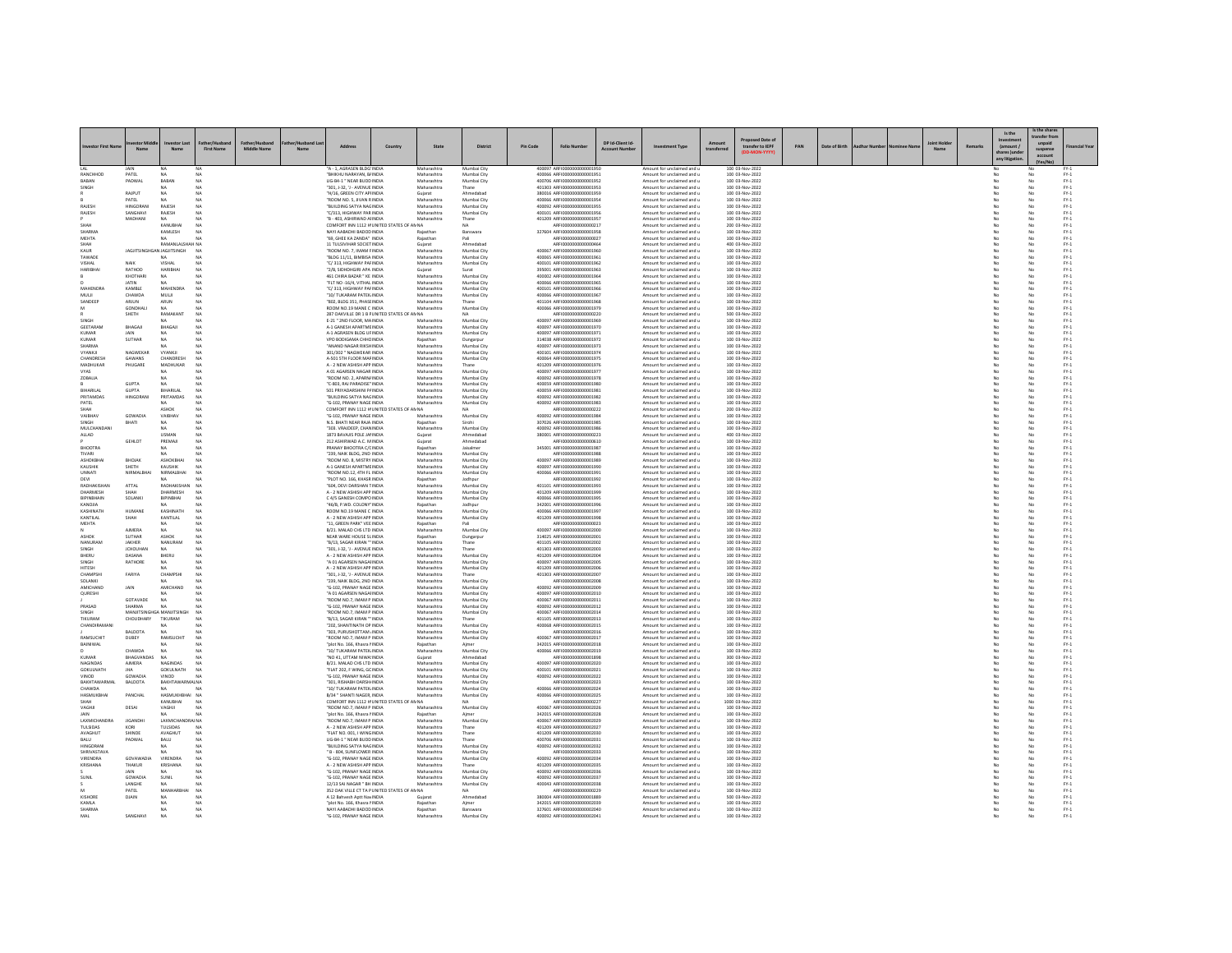|                              |                              |                              |                   |                    |                                                                          | Country | State                      | <b>District</b>            | Pin Code | <b>Folio Numbe</b>                                          | DP Id-Client Id-  | ent Type                                                 |            | transfer to IEPF                   | PAN | Date of Birth |  |    | Remark | Is the<br>(amount) | Is the shan<br>ransfer fro |                                                                                               |
|------------------------------|------------------------------|------------------------------|-------------------|--------------------|--------------------------------------------------------------------------|---------|----------------------------|----------------------------|----------|-------------------------------------------------------------|-------------------|----------------------------------------------------------|------------|------------------------------------|-----|---------------|--|----|--------|--------------------|----------------------------|-----------------------------------------------------------------------------------------------|
|                              | Nam                          | Nam                          | <b>First Name</b> | <b>Middle Name</b> | A - 1, AGRASEN BLDG' INDIA                                               |         | Maharashtra                | Mumbai City                |          | 400097 ARFI000000000000195                                  | <b>Arcount No</b> | Amount for unclaimed and                                 | transferre | 100 03-Nov-2022                    |     |               |  | Na |        | any litip          | suspense<br>account        |                                                                                               |
| RANCHHOD                     | PATEL                        | NA                           | N/                |                    | "BHIKHU NARAYAN, B/ INDIA                                                |         | Maharashtra                | Mumbai City                |          | 400066 ARFI0000000000001951                                 |                   | Amount for unclaimed and u                               |            | 100 03-Nov-2022                    |     |               |  |    |        |                    | No                         | $FY-1$                                                                                        |
| SINGH                        | PADWAL                       | BABAN<br>NA                  | NA                |                    | LIG-B4-1 * NEAR BUDD INDIA<br>"301. J-32. 'J - AVENUE INDIA              |         | Maharashtra<br>Maharashtra | Mumbai City<br>Thane       |          | 400706 ARFI0000000000001952<br>401303 ARFI0000000000001953  |                   | Amount for unclaimed and u<br>Amount for unclaimed and u |            | 100 03-Nov-2022<br>100 03-Nov-2022 |     |               |  |    |        | No                 |                            | $FY-1$<br>$PV-1$                                                                              |
|                              | RAJPUT                       | NA                           | NA                |                    | "H/16, GREEN CITY APHNDIA                                                |         | Guiarat                    | Ahmedabad                  |          | 380016 ARFI0000000000001959                                 |                   | Amount for unclaimed and u                               |            | 100 03-Nov-2022                    |     |               |  |    |        | No                 | No                         | $PV-1$                                                                                        |
| RAJESI-                      | PATEL<br>HINGORANI           | NA<br>RAJESH                 | NA<br>NA          |                    | "ROOM NO. 5, JIVAN RINDIA<br><b>BUILDING SATYA NAGINDIA</b>              |         | Maharashtra<br>Maharashtra | Mumbai City<br>Mumbai City |          | 400066 ARFI0000000000001954<br>400092 ARFI0000000000001955  |                   | Amount for unclaimed and u                               |            | 100 03-Nov-2022<br>100 03-Nov-2022 |     |               |  |    |        | No                 | No                         | $FY-1$                                                                                        |
| RAJESH                       | SANGHAVI                     | RAJESH                       | NA                |                    | "C/313, HIGHWAY PAR INDIA                                                |         | Maharashtra                | Mumbai City                |          | 400101 ARFI0000000000001956                                 |                   | Amount for unclaimed and u<br>Amount for unclaimed and u |            | 100 03-Nov-2022                    |     |               |  |    |        |                    |                            | $\text{FY-1}$<br>$PV-1$                                                                       |
|                              | MADHANI                      | NA                           | NA                |                    | "B - 403, ASHIRWAD AHNDIA                                                |         | Maharashtra                | Thane                      |          | 401209 ARFI0000000000001957                                 |                   | Amount for unclaimed and u                               |            | 100 03-Nov-2022                    |     |               |  |    |        | No                 | No                         | $FY-1$                                                                                        |
| SHAI<br>SHARMA               |                              | KANUBHA<br>KAMLESH           | NA<br>N4          |                    | COMFORT INN 1112 H UNITED STATES OF AN NA<br>NAYI AABADHI BADOD INDIA    |         | Rajasthar                  | Banswara                   |          | ARFI0000000000000217<br>327604 ARFI0000000000001958         |                   | Amount for unclaimed and u<br>Amount for unclaimed and u |            | 200 03-Nov-2022<br>100 03-Nov-2022 |     |               |  |    |        |                    | No                         | $\mathsf{FY}\text{-}\mathsf{1}$<br>$PV-1$                                                     |
| MEHTA                        |                              | NA                           | N/                |                    | "69. GHEE KA ZANDA" INDIA                                                |         | Rajasthan                  | Pali                       |          | ARFI0000000000000027                                        |                   | Amount for unclaimed and u                               |            | 100 03-Nov-2022                    |     |               |  |    |        | No                 | No                         | $FY-1$                                                                                        |
| SHAH<br>KAUR                 | JAGJITSINGHGAN JAGJITSINGH   | RAMANLALSHAH NA              | NA                |                    | 11 TULSIVIHAR SOCIET INDIA<br>"ROOM NO. 7, IMAM FINDIA                   |         | Gujarat<br>Maharashtra     | Ahmedabad<br>Mumbai City   |          | ARFI0000000000000464<br>400067 ARFI0000000000001960         |                   | Amount for unclaimed and u<br>Amount for unclaimed and u |            | 400 03-Nov-2022<br>100 03-Nov-2022 |     |               |  |    |        | No                 | No                         | $FY-1$<br>$\text{FY-1}$                                                                       |
| TAWADE                       |                              | NA                           | N4                |                    | "BLDG 11/11, BIMBISA INDIA                                               |         | Maharashtra                | Mumbai City                |          | 400065 ARFI0000000000001961                                 |                   | Amount for unclaimed and u                               |            | 100 03-Nov-2022                    |     |               |  |    |        | No                 | No                         | $\text{FY-1}$                                                                                 |
| VISHAL                       | NAIK                         | VISHAL                       | N/                |                    | "C/313. HIGHWAY PAFINDIA                                                 |         | Maharashtra                | Mumbai City                |          | 400101 ARFI0000000000001962                                 |                   | Amount for unclaimed and u                               |            | 100 03-Nov-2022                    |     |               |  |    |        | No                 | No                         | $FY-1$                                                                                        |
| HARIBHA                      | RATHOD<br>KHOTHARI           | HARIBHAI<br>NA               | NA<br>NA          |                    | "2/B, SIDHDHGIRI APA INDIA<br>461 CHIRA BAZAR * KE INDIA                 |         | Gujarat<br>Maharashtra     | Surat<br>Mumbai City       |          | 395001 ARFI0000000000001963<br>400002 ARFI0000000000001964  |                   | Amount for unclaimed and u<br>Amount for unclaimed and u |            | 100 03-Nov-2022<br>100 03-Nov-2022 |     |               |  |    |        | No                 | No<br>No                   | $FY-1$<br>$\text{FY-1}$                                                                       |
|                              | JATIN                        | NA                           | N/                |                    | "FIT NO -16/4 VITHAL INDIA                                               |         | Maharashtra                | Mumbai City                |          | 400066 ARFI0000000000001965                                 |                   | Amount for unclaimed and u                               |            | 100 03-Nov-2022                    |     |               |  |    |        | No                 | No                         | $PV-1$                                                                                        |
| MAHENDRA<br>MULI             | KAMBLE<br><b>CHAWDA</b>      | MAHENDRA<br>MULII            | NA<br>NA          |                    | "C/313, HIGHWAY PAFINDIA<br>"10/ TUKARAM PATEK INDIA                     |         | Maharashtra<br>Maharashtra | Mumbai City<br>Mumbai City |          | 400101 ARFI0000000000001966<br>400066 ARFI000000000000196   |                   | Amount for unclaimed and u<br>Amount for unclaimed and u |            | 100 03-Nov-2022<br>100 03-Nov-2022 |     |               |  |    |        | No                 | No<br>No                   | $FY-1$<br>$\text{FY-1}$                                                                       |
| SANDEEP                      | ARJUN                        | ARUN                         | NA                |                    | "802, BLDG 351, PHASE INDIA                                              |         | Maharashtra                | Thane                      |          | 401104 AREIO000000000001968                                 |                   | Amount for unclaimed and u                               |            | 100 03-Nov-2022                    |     |               |  |    |        | No                 | No                         | $PV-1$                                                                                        |
|                              | GONDHAU                      | NA                           | NA                |                    | ROOM NO 19 MANE C INDIA                                                  |         | Maharashtra                | Mumbai City                |          | 400066 ARFI0000000000001975                                 |                   | Amount for unclaimed and u                               |            | 100 03-Nov-2022                    |     |               |  |    |        | No                 | No                         | $FY-1$                                                                                        |
| SINGH                        | SHETH                        | RAMAKAN'                     | NA                |                    | 287 OAKVILLE DR 1 B FUNITED STATES OF AN NA<br>E-21 " 2ND FLOOR, MAINDIA |         | Maharashtra                | <b>NA</b><br>Mumbai City   |          | ARFI0000000000000220<br>400097 ARFI0000000000001969         |                   | Amount for unclaimed and u<br>Amount for unclaimed and u |            | 500 03-Nov-2022<br>100 03-Nov-2022 |     |               |  |    |        | No                 | No<br>No                   | $FY-1$<br>$\text{FY-1}$                                                                       |
| GEETARAM                     | BHAGAJI                      | BHAGAJI                      | NA                |                    | A-1 GANESH APARTME INDIA                                                 |         | Maharashtra                | Mumbai City                |          | 400097 ARFI0000000000001970                                 |                   | Amount for unclaimed and u                               |            | 100 03-Nov-2022                    |     |               |  |    |        |                    | No                         | $\begin{array}{c} \mathsf{FY}\text{-}\mathsf{1} \\ \mathsf{FY}\text{-}\mathsf{1} \end{array}$ |
| KUMAR<br>KUMAF               | <b>JAIN</b><br><b>SUTHAR</b> | NA<br>NA                     | <b>NA</b>         |                    | A-1 AGRASEN BLDG UFINDIA<br>VPO BODIGAMA CHHCINDIA                       |         | Maharashtra<br>Rajasthan   | Mumbai City<br>Dungarpur   |          | 400097 ARFI0000000000001971<br>314038 ARFI000000000000197   |                   | Amount for unclaimed and u<br>Amount for unclaimed and u |            | 100 03-Nov-2022<br>100 03-Nov-2022 |     |               |  |    |        | No                 | No<br>No                   | $\text{FY-1}$                                                                                 |
| <b>SHARMA</b>                |                              | NA                           | NA                |                    | "ANAND NAGAR RIKSHINDIA                                                  |         | Maharashtra                | Mumbai City                |          | 400097 ARFI0000000000001973                                 |                   | Amount for unclaimed and u                               |            | 100 03-Nov-2022                    |     |               |  |    |        | No                 | No                         | $\text{FY-1}$                                                                                 |
| VYANKJI                      | NAGWEKAR                     | VYANKII                      | NA                |                    | 301/302 " NAGWEKAR INDIA                                                 |         | Maharashtra                | Mumbai City                |          | 400101 ARFI0000000000001974                                 |                   | Amount for unclaimed and u                               |            | 100 03-Nov-2022                    |     |               |  |    |        | No                 | No                         | $FY-1$                                                                                        |
| CHANDRESH<br>MADHUKAR        | GAWANS<br>PHUGARE            | <b>CHANDRESH</b><br>MADHUKAR | NA<br>NA          |                    | A-501 STH FLOOR MAFINDIA<br>A - 2 NEW ASHISH APP INDIA                   |         | Maharashtra<br>Maharashtra | Mumbai City<br>Thane       |          | 400064 ARFI0000000000001975<br>401209 ARFI0000000000001976  |                   | Amount for unclaimed and u<br>Amount for unclaimed and u |            | 100 03-Nov-2022<br>100 03-Nov-2022 |     |               |  |    |        | No                 | No<br>No                   | $FY-1$<br>$\text{FY-1}$                                                                       |
| VYAS                         |                              | <b>MA</b>                    | NA                |                    | A 01 AGARSEN NAGAR INDIA                                                 |         | Maharashtra                | Mumbai City                |          | 400097 ARFI0000000000001977                                 |                   | Amount for unclaimed and u                               |            | 100 03-Nov-2022                    |     |               |  |    |        |                    | No                         | $PV-1$                                                                                        |
| ZOBALIA                      | <b>GUPTA</b>                 | NA<br>NA                     | NA                |                    | "ROOM NO. 2. APARN/ INDIA<br>"C-803, RAJ PARADISE" INDIA                 |         | Maharashtra<br>Maharashtra | Mumbai City<br>Mumbai City |          | 400092 ARFI0000000000001978<br>400059 ARFI0000000000001980  |                   | Amount for unclaimed and u<br>Amount for unclaimed and u |            | 100 03-Nov-2022<br>100 03-Nov-2022 |     |               |  |    |        | No                 | No<br>No                   | $FY-1$<br>$\mathsf{FY}\text{-}\mathsf{1}$                                                     |
| IA IIRAHIAI                  | <b>GUPTA</b>                 | BIHARJI AI                   | NA                |                    | 501 PRIYADARSHINI PAINDIA                                                |         | Maharashtra                | Mumbai City                |          | 400059 ARFI0000000000001981                                 |                   | Amount for unclaimed and u                               |            | 100 03-Nov-2022                    |     |               |  |    |        |                    | No                         | $PV-1$                                                                                        |
| PRITAMDAS                    | <b>HINGORANI</b>             | PRITAMDAS                    | NA                |                    | "BUILDING SATYA NACINDIA                                                 |         | Maharashtra                | Mumbai City                |          | 400092 ARFI0000000000001982                                 |                   | Amount for unclaimed and u                               |            | 100 03-Nov-2022                    |     |               |  |    |        | No                 | No                         | $FY-1$                                                                                        |
| PATEL                        |                              | NA.<br>ASHO!                 | N/                |                    | "G-102, PRANAY NAGE INDIA<br>COMFORT INN 1112 H UNITED STATES OF AN NA   |         | Maharashtra                | Mumbai City                |          | 400092 ARFI0000000000001983<br>ARFI0000000000000222         |                   | Amount for unclaimed and u<br>Amount for unclaimed and u |            | 100 03-Nov-2022<br>200 03-Nov-2022 |     |               |  |    |        | No                 | No                         | $FY-1$<br>$\text{FY-1}$                                                                       |
| VAIBHAV                      | GOWADIA                      | VAIBHAV                      | NA                |                    | "G-102, PRANAY NAGE INDIA                                                |         | Maharashtr                 | Mumbai City                |          | 400092 ARFI0000000000001984                                 |                   | Amount for unclaimed and u                               |            | 100 03-Nov-2022                    |     |               |  |    |        | No                 | No                         | $\text{FY-1}$                                                                                 |
| SINGH<br>MULCHANDANI         | BHATL                        | NA<br>NA                     | NA<br>NA          |                    | N.S. BHATI NEAR RAJA INDIA<br>"303. VRAJDEEP, CHAN INDIA                 |         | Rajasthan<br>Maharashtra   | Sirohi<br>Mumbai City      |          | 307026 ARFI0000000000001985<br>400092 ARFI0000000000001986  |                   | Amount for unclaimed and u<br>Amount for unclaimed and u |            | 100 03-Nov-2022<br>100 03-Nov-2022 |     |               |  |    |        | No<br>No           | No<br>No                   | $FY-1$<br>$FY-1$                                                                              |
| ALLAD                        |                              | <b>USMAN</b>                 | NA                |                    | 1873 BAVAJIS POLE JAI INDIA                                              |         | Gujara                     | Ahmedabad                  |          | 380001 ARFI0000000000000223                                 |                   | Amount for unclaimed and u                               |            | 400 03-Nov-2022                    |     |               |  |    |        |                    | No                         | $PV-1$                                                                                        |
|                              | <b>GEHLOT</b>                | PREMAIL                      | NA                |                    | 212 ASHIRWAD A.C. MINDIA                                                 |         | Guiarat                    | Ahmedabad                  |          | AREI0000000000000610                                        |                   | Amount for unclaimed and u                               |            | 100 03-Nov-2022                    |     |               |  |    |        | No                 | No                         | $PV-1$                                                                                        |
| BHOOTRA<br>TIVARI            |                              | NA.                          | NA                |                    | PRANAY BHOOTRA C/CINDIA<br>"239, NAIK BLDG, 2ND INDIA                    |         | Rajasthan<br>Maharashtra   | Jaisalmer<br>Mumbai City   |          | 345001 ARFI0000000000001987<br>ARFI0000000000001988         |                   | Amount for unclaimed and u<br>Amount for unclaimed and u |            | 100 03-Nov-2022<br>100 03-Nov-2022 |     |               |  |    |        | No                 | No<br>No                   | $FY-1$<br>$\text{FY-1}$                                                                       |
| ASHOKBHA                     | ВНОЈАК                       | ASHOKBHA                     | NA                |                    | "ROOM NO. 8, MISTRY INDIA                                                |         | Maharashtra                | Mumbai City                |          | 400097 AREID000000000001985                                 |                   | Amount for unclaimed and u                               |            | 100 03-Nov-2022                    |     |               |  |    |        | No                 | No                         | $PV-1$                                                                                        |
| KAUSHIK<br>UNNATI            | SHETH<br>NIRMALBH            | <b>KAUSHIK</b><br>NIRMALBHAI | NA<br>NA          |                    | A-1 GANESH APARTME INDIA<br>"ROOM NO.12, 4TH FL INDIA                    |         | Maharashtra<br>Maharashtra | Mumbai City<br>Mumbai City |          | 400097 ARFI0000000000001990<br>400066 ARFI0000000000001991  |                   | Amount for unclaimed and u<br>Amount for unclaimed and u |            | 100 03-Nov-2022<br>100 03-Nov-2022 |     |               |  |    |        | No<br>No           | No<br>No                   | $FY-1$<br>$FY-1$                                                                              |
| DEVI                         |                              |                              |                   |                    | "PLOT NO. 166, KHASR INDIA                                               |         | Rajasthan                  | Jodhpur                    |          | ARFI000000000000199.                                        |                   | Amount for unclaimed and u                               |            | 100 03-Nov-2022                    |     |               |  |    |        |                    | No                         | $\text{FY-1}$                                                                                 |
| RADHAKISHAM                  | ATTAL                        | RADHAKISHAI                  | NA                |                    | "604, DEVI DARSHAN TINDIA                                                |         | Maharashtra                | Mumbai City                |          | 401101 ARFI0000000000001993                                 |                   | Amount for unclaimed and u                               |            | 100 03-Nov-2022                    |     |               |  |    |        |                    | No                         | $FY-1$<br>$FY-1$                                                                              |
| DHARMESH<br>BIPINBHAIN       | SHAH<br>SOLANK               | DHARMESH<br>BIPINBHAI        | N/                |                    | A - 2 NEW ASHISH APP INDIA<br>C 4/5 GANESH COMPO INDIA                   |         | Maharashtra<br>Maharashtra | Mumbai City<br>Mumbai City |          | 401209 ARFI0000000000001999<br>400066 ARFI000000000000199   |                   | Amount for unclaimed and u<br>Amount for unclaimed and u |            | 100 03-Nov-2022<br>100 03-Nov-2022 |     |               |  |    |        | No                 | No<br>No                   | $\text{FY-1}$                                                                                 |
| KANOJIA                      |                              | NA.                          |                   |                    | "46/B, P.WD. COLONY" INDIA                                               |         | Rajasthan                  | Jodhpur                    |          | 342001 ARFI0000000000001996                                 |                   | Amount for unclaimed and u                               |            | 100 03-Nov-2022                    |     |               |  |    |        | No                 | No                         | $\text{FY-1}$                                                                                 |
| KASHINATH<br>KANTILAL        | HUMANE<br>SHAH               | KASHINATH<br>KANTILAL        | N/<br>NA          |                    | ROOM NO 19 MANE C INDIA<br>A - 2 NEW ASHISH APP INDIA                    |         | Maharashtra<br>Maharashtra | Mumbai City<br>Mumbai City |          | 400066 AREID000000000001997<br>401209 ARFI0000000000001998  |                   | Amount for unclaimed and u<br>Amount for unclaimed and u |            | 100 03-Nov-2022<br>100 03-Nov-2022 |     |               |  |    |        | No<br>No           | No<br>No                   | $FY-1$<br>$FY-1$                                                                              |
| MEHTA                        |                              |                              |                   |                    | "11, GREEN PARK" VEE INDIA                                               |         | Rajasthan                  |                            |          | ARFI0000000000000023                                        |                   | Amount for unclaimed and u                               |            | 100 03-Nov-2022                    |     |               |  |    |        |                    | No                         | $\text{FY-1}$                                                                                 |
|                              | <b>AIMERA</b>                | <b>NA</b>                    |                   |                    | B/21. MALAD CHS LTD INDIA                                                |         | Maharashtra                | Mumbai City                |          | 400097 AREI0000000000002000                                 |                   | Amount for unclaimed and u                               |            | 100 03-Nov-2022                    |     |               |  |    |        |                    | No                         | $\text{FY-1}$                                                                                 |
| ASHOK<br>NANURAN             | <b>SUTHAR</b><br>JAKHER      | ASHOK<br>NANURAN             | NA<br>N           |                    | NEAR WARE HOUSE SLINDIA<br>"B/13, SAGAR KIRAN " INDIA                    |         | Rajasthan<br>Maharashtra   | Dungarpur<br>Thane         |          | 314025 ARFI0000000000002001<br>401105 ARFI0000000000002002  |                   | Amount for unclaimed and u<br>Amount for unclaimed and u |            | 100 03-Nov-2022<br>100 03-Nov-2022 |     |               |  |    |        | No                 | No<br>No                   | $FY-1$<br>$\mathsf{FY}\text{-}\mathsf{1}$                                                     |
| SINGH                        | <b>JCHOUHA!</b>              | NA                           | NA                |                    | "301, J-32, 'J - AVENUE INDIA                                            |         | Maharashtra                | Thane                      |          | 401303 ARFI0000000000002003                                 |                   | Amount for unclaimed and u                               |            | 100 03-Nov-2022                    |     |               |  |    |        |                    | No                         | $PV-1$                                                                                        |
| BHERU<br>SINGH               | DASANA<br>RATHORE            | BHERU<br>NA                  | NA<br>NA          |                    | A - 2 NEW ASHISH APP INDIA<br>"A 01 AGARSEN NAGAHNDIA                    |         | Maharashtra<br>Maharashtra | Mumbai City<br>Mumbai City |          | 401209 ARFI0000000000002004<br>400097 ARFI0000000000002005  |                   | Amount for unclaimed and u<br>Amount for unclaimed and u |            | 100 03-Nov-2022<br>100 03-Nov-2022 |     |               |  |    |        | No<br>No           | No<br>No                   | $FY-1$<br>$FY-1$                                                                              |
| HITESH                       |                              |                              |                   |                    | A - 2 NEW ASHISH APP INDIA                                               |         | Maharashtra                | Mumbai City                |          | 401209 ARFI0000000000002006                                 |                   | Amount for unclaimed and u                               |            | 100 03-Nov-2022                    |     |               |  |    |        |                    |                            | $\text{FY-1}$                                                                                 |
| CHAMPSH                      | FARIYA                       | CHAMPSH                      | NA                |                    | "301, J-32, 'J - AVENUE INDIA                                            |         | Maharashtra                | Thane                      |          | 401303 ARFI0000000000002007                                 |                   | Amount for unclaimed and u                               |            | 100 03-Nov-2022                    |     |               |  |    |        | No                 | No                         | $\text{FY-1}$                                                                                 |
| SOLANKI<br>AMICHAND          | JAIN                         | NA<br>AMICHAND               | NA<br>NA          |                    | "239. NAIK BLDG, 2ND INDIA<br>"G-102, PRANAY NAGE INDIA                  |         | Maharashtra<br>Maharashtra | Mumbai City<br>Mumbai City |          | ARFI0000000000002008<br>400092 ARFI00000000000002009        |                   | Amount for unclaimed and u<br>Amount for unclaimed and u |            | 100 03-Nov-2022<br>100 03-Nov-2022 |     |               |  |    |        | No<br>No           | No<br>No                   | $FY-1$<br>$FY-1$                                                                              |
| QURESHI                      |                              |                              | NA                |                    | "A 01 AGARSEN NAGAHNDIA                                                  |         | Maharashtra                | Mumbai City                |          | 400097 ARFI0000000000002010                                 |                   | Amount for unclaimed and u                               |            | 100 03-Nov-2022                    |     |               |  |    |        |                    |                            | $\text{FY-1}$                                                                                 |
| PRASAD                       | GOTAVADE<br>SHARMA           | NA<br>NA                     | NA<br>NA          |                    | "ROOM NO.7. IMAM P INDIA<br>"G-102, PRANAY NAGE INDIA                    |         | Maharashtra<br>Maharashtra | Mumbai City<br>Mumbai City |          | 400067 ARFI0000000000002011<br>400092 ARFI0000000000002012  |                   | Amount for unclaimed and u<br>Amount for unclaimed and u |            | 100 03-Nov-2022<br>100 03-Nov-2022 |     |               |  |    |        | No<br>No           | No<br>No                   | $FY-1$<br>$FY-1$                                                                              |
| SINGH                        | MANJITSINGHGA MANJITSINGH    |                              | NA                |                    | ROOM NO.7, IMAM P INDIA                                                  |         | Maharashtra                | Mumbai City                |          | 400067 ARFI0000000000002014                                 |                   | Amount for unclaimed and u                               |            | 100 03-Nov-2022                    |     |               |  |    |        |                    | No                         | $\text{FY-1}$                                                                                 |
| TIKURAM                      | CHOUDHARY                    | TIKURAM                      | NA                |                    | "B/13, SAGAR KIRAN "" INDIA                                              |         | Maharashtra                | Thane                      |          | 401105 ARFI0000000000002013                                 |                   | Amount for unclaimed and u                               |            | 100 03-Nov-2022                    |     |               |  |    |        |                    | No                         | $PV-1$                                                                                        |
| CHANDIRAMAN                  | BALDOTA                      | NA<br>NA                     | N/<br>N/          |                    | "202. SHANTINATH OP INDIA<br>"303, PURUSHOTTAM . INDIA                   |         | Maharashtra<br>Maharashtra | Mumbai City<br>Mumbai City |          | 400068 ARFI0000000000002015<br>ARFI0000000000002016         |                   | Amount for unclaimed and u<br>Amount for unclaimed and u |            | 100 03-Nov-2022<br>100 03-Nov-2022 |     |               |  |    |        | No<br>No           | No<br>No                   | $FY-1$<br>$FY-1$                                                                              |
| RAMSUCHE                     | DUBEY                        | RAMSUCHI                     | NA                |                    | "ROOM NO.7, IMAM P INDIA                                                 |         | Maharashtra                | Mumbai City                |          | 400067 ARFI000000000000201                                  |                   | Amount for unclaimed and u                               |            | 100 03-Nov-2022                    |     |               |  |    |        |                    | No                         | $PV-1$                                                                                        |
| BAINIWAL                     | CHAWDA                       | NA<br>NA                     | N4<br>NA          |                    | "plot No. 166, Khasra NNDIA<br>'10/ TUKARAM PATEK INDIA                  |         | Rajasthar<br>Maharashtra   | Mumbai City                |          | 342015 ARFI0000000000002018<br>400066 ARFI0000000000002019  |                   | Amount for unclaimed and u<br>Amount for unclaimed and u |            | 100 03-Nov-2022<br>100 03-Nov-2022 |     |               |  |    |        | No                 | No                         | $FY-1$<br>$FY-1$                                                                              |
| KUMAR                        | <b>BHAGVANDA</b>             | NA                           |                   |                    | "NO 41, UTTAM NIWA INDIA                                                 |         | Gujarat                    | Ahmedabad                  |          | ARFI000000000001898                                         |                   | Amount for unclaimed and u                               |            | 300 03-Nov-2022                    |     |               |  |    |        |                    | No                         | $\mathsf{FY}{\cdot}\mathsf{1}$                                                                |
| NAGINDAS<br><b>GOKULNATH</b> | <b>AJMERA</b><br><b>IHA</b>  | NAGINDAS<br>GOKULNATH        | NA<br>NA          |                    | B/21. MALAD CHS LTD INDIA<br>"FLAT 202. F WING, GC INDIA                 |         | Maharashtra<br>Maharashtra | Mumbai City<br>Mumbai City |          | 400097 ARFI0000000000002020<br>400101 ARFI0000000000002021  |                   | Amount for unclaimed and u<br>Amount for unclaimed and u |            | 100 03-Nov-2022<br>100 03-Nov-2022 |     |               |  |    |        | No                 | No<br>No                   | $\text{FY-1}$<br>$FY-1$                                                                       |
| VINOD                        | GOWADIA                      | VINOD                        | N/                |                    | "G-102, PRANAY NAGE INDIA                                                |         | Maharashtra                | Mumbai City                |          | 400092 ARFI0000000000002022                                 |                   | Amount for unclaimed and u                               |            | 100 03-Nov-2022                    |     |               |  |    |        | No<br>No           | No                         | $FY-1$                                                                                        |
| BAKHTAWARMA                  | BALDOTA                      | <b>BAKHTAWA</b>              | u na              |                    | 301, RISHABH DARSHI INDI                                                 |         | Maharashtra                | Mumbai City                |          | ARFI0000000000002023                                        |                   | Amount for unclaimed and u                               |            | 100 03-Nov-2022                    |     |               |  |    |        |                    | No                         | $\text{FY-1}$                                                                                 |
| CHAWDA<br>HASMUKBHAI         | PANCHAL                      | HASMUKHBHAI NA               |                   |                    | "10/ TUKARAM PATEK INDIA<br>B/34 * SHANTI NAGER. INDIA                   |         | Maharashtra<br>Maharashtra | Mumbai City<br>Mumbai City |          | 400066 AREID000000000002024<br>400066 ARFI0000000000002025  |                   | Amount for unclaimed and u<br>Amount for unclaimed and u |            | 100 03-Nov-2022<br>100 03-Nov-2022 |     |               |  |    |        | No                 | No<br>No                   | $\text{FY-1}$<br>$FY-1$                                                                       |
|                              |                              | KANUBHAI                     | NA                |                    | COMFORT INN 1112 H UNITED STATES OF AN NA                                |         |                            |                            |          | ARFI0000000000000227                                        |                   | Amount for unclaimed and u                               |            | 1000 03-Nov-2022                   |     |               |  |    |        |                    | No                         | $\mathsf{FY}\text{-}\mathsf{1}$                                                               |
| VAGHJI<br><b>AIN</b>         | DESAI                        | VAGHJI<br>NA                 | N4                |                    | "ROOM NO.7. IMAM P INDIA<br>"plot No. 166, Khasra NNDIA                  |         | Maharashtra<br>Rajasthan   | Mumbai City                |          | 400067_AREI0000000000002026<br>342015 ARFI0000000000002028  |                   | Amount for unclaimed and u<br>Amount for unclaimed and u |            | 100 03-Nov-2022<br>100 03-Nov-2022 |     |               |  |    |        |                    | No<br>No                   | $\text{FY-1}$<br>$FY-1$                                                                       |
| <b>LAXMICHANDRA</b>          | <b>JIGANDH</b>               | LAXMICHANDRAJ NA             | NA                |                    | "ROOM NO.7, IMAM P INDIA                                                 |         | Maharashtra                | Aimer<br>Mumbai City       |          | 400067 ARFI0000000000002029                                 |                   | Amount for unclaimed and u                               |            | 100 03-Nov-2022                    |     |               |  |    |        | No<br>No           | No                         | $FY-1$                                                                                        |
| TULSIDAS                     |                              | TULSIDAS                     | NA                |                    | A - 2 NEW ASHISH APP INDIA                                               |         | Maharashtra                | Thane                      |          | 401209 ARFI0000000000002027                                 |                   | Amount for unclaimed and u                               |            | 100 03-Nov-2022                    |     |               |  |    |        |                    |                            | $PV-1$                                                                                        |
| AVAGHUT<br>BALU              | SHINDE<br>PADWAL             | AVAGHUT<br><b>BALU</b>       | NA<br>NA          |                    | "FLAT NO. 001, I WINGINDIA<br><b>LIG-R4-1 " NEAR RUDDINDIA</b>           |         | Maharashtra<br>Maharashtra | Thane<br>Thane             |          | 401209 ARFI0000000000002030<br>400706 ARFI0000000000002031  |                   | Amount for unclaimed and u<br>Amount for unclaimed and u |            | 100 03-Nov-2022<br>100 03-Nov-2022 |     |               |  |    |        | No                 | No<br>No                   | $\text{FY-1}$<br>$FY-1$                                                                       |
| HINGORAN                     |                              | NA.                          | NA                |                    | "BUILDING SATYA NAGINDIA                                                 |         | Maharashtra                | Mumbai City                |          | 400092 ARFI0000000000002032                                 |                   | Amount for unclaimed and u                               |            | 100 03-Nov-2022                    |     |               |  |    |        |                    | No                         | $FY-1$                                                                                        |
| SHRIVASTAVA<br>VIRENDRA      | GOVAWADIA                    | VIRENDRA                     | NA                |                    | B - 804, SUNFLOWER INDIA<br>"G-102 PRANAY NAGE INDIA                     |         | Maharashtra<br>Maharashtra | Mumbai City<br>Mumbai City |          | AREI000000000002033<br>400092 ARFI0000000000002034          |                   | Amount for unclaimed and u<br>Amount for unclaimed and u |            | 100 03-Nov-2022<br>100 03-Nov-2022 |     |               |  |    |        |                    | No                         | $\mathsf{FY}\cdot\mathsf{I}$<br>$FY-1$                                                        |
| KRISHANA                     | THAKUR                       | KRISHANA                     | NA                |                    | A - 2 NEW ASHISH APP INDIA                                               |         | Maharashtra                | Thane                      |          | 401209 ARFI0000000000002035                                 |                   | Amount for unclaimed and u                               |            | 100 03-Nov-2022                    |     |               |  |    |        | No<br>No           | No                         | $FY-1$                                                                                        |
|                              |                              |                              |                   |                    | G-102. PRANAY NAGE INDIA                                                 |         | Maharashtra                | Mumbai City                |          | 400092 ARFI0000000000002036                                 |                   | Amount for unclaimed and u                               |            | 100 03-Nov-2022                    |     |               |  |    |        |                    |                            | $\text{FY-1}$                                                                                 |
| SUNIL                        | <b>GOWADIA</b><br>LANGHE     | SUNIL<br>NA                  | NA<br>NA          |                    | "G-102, PRANAY NAGE INDIA<br>12/13 SAI NAGAR " RH INDIA                  |         | Maharashtra<br>Maharashtra | Mumbai City<br>Mumbai City |          | 400092 AREI0000000000002037<br>400043 ARFI00000000000002038 |                   | Amount for unclaimed and u<br>Amount for unclaimed and u |            | 100 03-Nov-2022<br>100 03-Nov-2022 |     |               |  |    |        |                    | No                         | $\text{FY-1}$<br>$FY-1$                                                                       |
|                              | PATEL                        | MANHARBHA                    | NA                |                    | 352 OAK VILLE CT TA P UNITED STATES OF AN NA                             |         |                            | <b>NA</b>                  |          | ARFI0000000000000229                                        |                   | Amount for unclaimed and u                               |            | 100 03-Nov-2022                    |     |               |  |    |        |                    | No                         | $FY-1$                                                                                        |
| KISHORE                      | DJAIN                        |                              |                   |                    | A 12 Bahvesh Aptt Nav INDIA<br>plot No. 166, Khasra NNDIA                |         | Gujarat                    | Ahmedabar                  |          | 380004 ARFI0000000000001889                                 |                   | Amount for unclaimed and u                               |            | 500 03-Nov-2022                    |     |               |  |    |        |                    |                            | $PV-1$                                                                                        |
| KAMLA<br>SHARMA              |                              | NA<br>NA                     | NA<br>NA          |                    | NAYI AABADHI BADOD INDIA                                                 |         | Rajasthar<br>Rajasthan     | Ajmer<br>Banswara          |          | 342015 ARFI0000000000002039<br>327601 ARFI0000000000002040  |                   | Amount for unclaimed and u<br>Amount for unclaimed and u |            | 100 03-Nov-2022<br>100 03-Nov-2022 |     |               |  |    |        |                    | No                         | $FY-1$<br>$FY-1$                                                                              |
| MAL                          | SANGHAVI                     | NA                           |                   |                    | "G-102, PRANAY NAGE INDIA                                                |         | Maharashtra                | Mumbai City                |          | 400092 ARFI000000000000204                                  |                   | Amount for unclaimed and u                               |            | 100 03-Nov-2022                    |     |               |  |    |        |                    |                            | $FY-1$                                                                                        |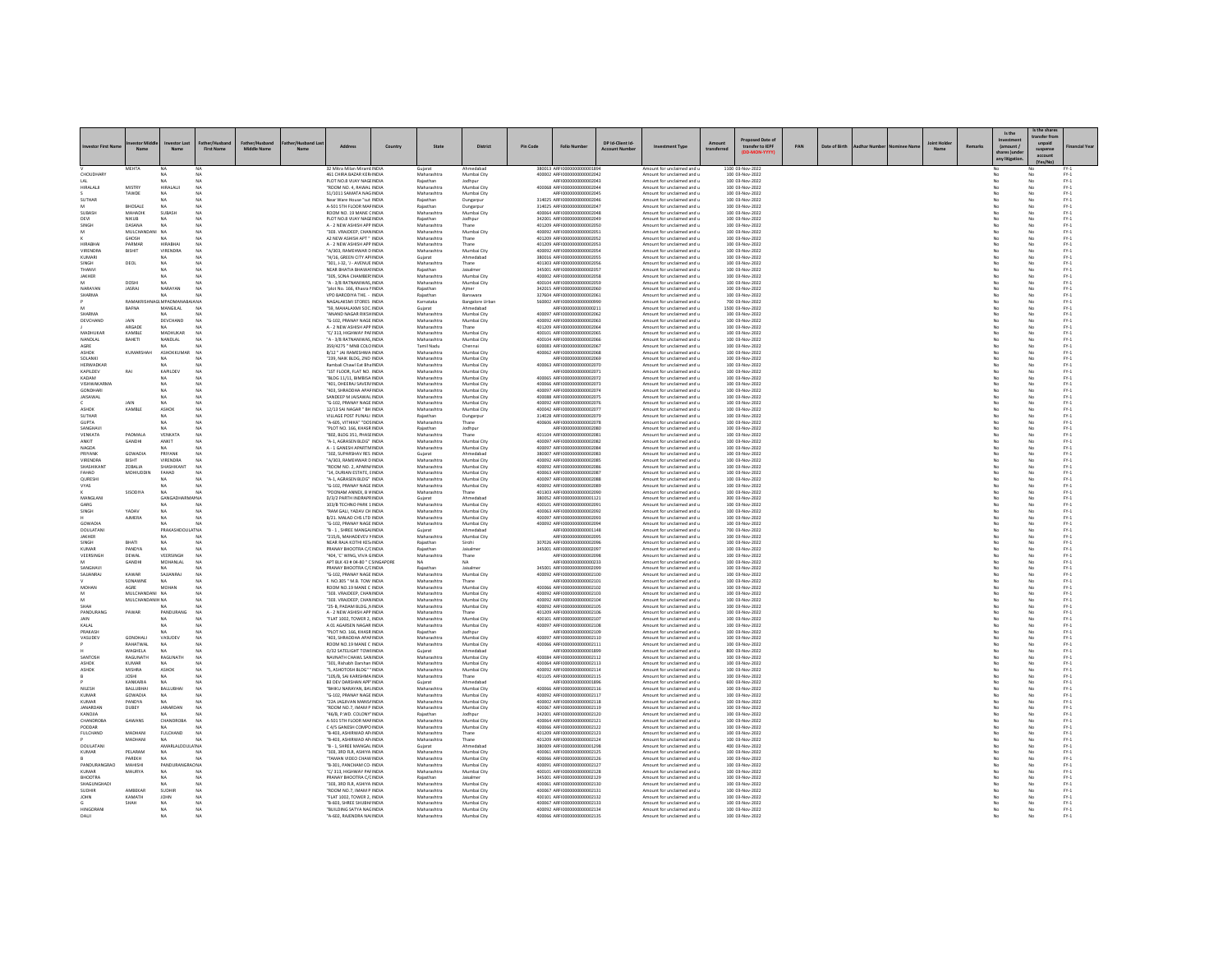| westor First Na                  |                                   | N:                              | <b>First Name</b><br>Middle Name | Nar | Address                                                     | Country | State                      | <b>District</b>                     | <b>Pin Code</b> | <b>Folio Number</b>                                         | DP Id-Client Id | ment Type                                                | transfer to IEPF                    | PAN | Date of Birth |  | Remark | Is the<br>(amount /<br>hares )u | Is the sha<br>ransfer fro<br>unpaid<br>suspens<br>account | Financial Year                                                                                |
|----------------------------------|-----------------------------------|---------------------------------|----------------------------------|-----|-------------------------------------------------------------|---------|----------------------------|-------------------------------------|-----------------|-------------------------------------------------------------|-----------------|----------------------------------------------------------|-------------------------------------|-----|---------------|--|--------|---------------------------------|-----------------------------------------------------------|-----------------------------------------------------------------------------------------------|
|                                  | ментл                             |                                 |                                  |     | 32 Mitra Milan Miramt INDIA                                 |         | Gujarat                    |                                     |                 | 380013 ARFI000000000000185                                  |                 | Amount for unclaimed and                                 | 1100 03-Nov-2022                    |     |               |  |        |                                 |                                                           |                                                                                               |
| CHOUDHARY                        |                                   | NA<br>NA                        | NA<br><b>NA</b>                  |     | 461 CHIRA BAZAR KERJINDIA<br>PLOT NO.8 VIJAY NAGEINDIA      |         | Maharashtra<br>Rajasthan   | Mumbai City<br>Jodhpur              |                 | 400002 ARFI0000000000002042<br>ARFI0000000000002043         |                 | Amount for unclaimed and u<br>Amount for unclaimed and u | 100 03-Nov-2022<br>100 03-Nov-2022  |     |               |  |        | No                              | No                                                        | $PV-1$<br>$FY-1$                                                                              |
| <b>IRALALJI</b>                  | MISTRY                            | HIRALALI                        | ΝA                               |     | ROOM NO. 4, RAWAL INDIA                                     |         | Maharashtr                 | Mumbai City                         |                 | 400068 ARFI000000000000204                                  |                 | Amount for unclaimed and u                               | 100 03-Nov-2022                     |     |               |  |        |                                 |                                                           | $PV-1$                                                                                        |
|                                  | TAWDE                             | NA                              | NA                               |     | 51/1011 SAMATA NAGINDIA                                     |         | Maharashtr                 | Mumbai City                         |                 | AREI0000000000002045                                        |                 | Amount for unclaimed and u                               | 100 03-Nov-2022                     |     |               |  |        | No                              |                                                           | $FY-1$                                                                                        |
| SUTHAR                           | <b>BHOSALE</b>                    | NA<br>NA                        | NA<br><b>NA</b>                  |     | Near Ware House "sut INDIA<br>A-501 STH FLOOR MAF INDIA     |         | Rajasthan<br>Rajasthan     | Dungarpur<br>Dungarpur              |                 | 314025 ARFI0000000000002046<br>314025 ARFI0000000000002047  |                 | Amount for unclaimed and u<br>Amount for unclaimed and u | 100 03-Nov-2022<br>100 03-Nov-2022  |     |               |  |        | No<br>No                        | No<br>No                                                  | $FY-1$<br>$FY-1$                                                                              |
| <b>UBASH</b>                     | MAHADIK                           | <b>SUBASH</b>                   | NA                               |     | ROOM NO. 19 MANE CINDIA                                     |         | Maharashtr                 | Mumbai City                         |                 | 400064 ARFI0000000000002048                                 |                 | Amount for unclaimed and u                               | 100 03-Nov-2022                     |     |               |  |        |                                 |                                                           | $PV-1$                                                                                        |
| DEVI                             | NIKUB                             | NA                              | NA<br>NA                         |     | PLOT NO.8 VIJAY NAGEINDIA                                   |         | Rajasthan                  | Jodhpur                             |                 | 342001 ARFI0000000000002049                                 |                 | Amount for unclaimed and u                               | 100 03-Nov-2022                     |     |               |  |        | No                              |                                                           | $FY-1$<br>$FY-1$                                                                              |
| SINGH                            | DASANA<br>MULCHANDA               | NA<br>NA                        |                                  |     | A - 2 NEW ASHISH APP INDIA<br>"303. VRAJDEEP, CHAN INDIA    |         | Maharashtra<br>Maharashtra | Thane<br>Mumbai City                |                 | 401209 ARFI0000000000002050<br>400092 ARFI0000000000002051  |                 | Amount for unclaimed and u<br>Amount for unclaimed and u | 100 03-Nov-2022<br>100 03-Nov-2022  |     |               |  |        | No                              | No                                                        | $PV-1$                                                                                        |
|                                  | GHOSH                             | <b>NA</b>                       | NA                               |     | A2 NEW ASHISH APT * INDIA                                   |         | Maharashtra                | Thane                               |                 | 401209 ARFI0000000000002052                                 |                 | Amount for unclaimed and u                               | 100 03-Nov-2022                     |     |               |  |        | No                              | No                                                        | $\text{FY-1}$                                                                                 |
| HIRABHAI                         | PARMAR                            | <b>HIRABHAI</b>                 | NA                               |     | A - 2 NEW ASHISH APP INDIA                                  |         | Maharashtra                | Thane                               |                 | 401209 ARFI0000000000002053                                 |                 | Amount for unclaimed and u                               | 100 03-Nov-2022                     |     |               |  |        | No                              | No                                                        | $FY-1$                                                                                        |
| <b>VIRENDRA</b><br>KUMAR         | BISHIT                            | VIRENDRA                        | NA<br>NA                         |     | "A/303, RAMEHWAR DINDIA<br>H/16, GREEN CITY APHNDIA         |         | Maharashtra<br>Gujarat     | Mumbai City<br>Ahmedaba             |                 | 400092 ARFI0000000000002054<br>380016 ARFI0000000000002055  |                 | Amount for unclaimed and u<br>Amount for unclaimed and u | 100 03-Nov-2022<br>100 03-Nov-2022  |     |               |  |        | No                              | No                                                        | $FY-1$<br>$\text{FY-1}$                                                                       |
| <b>UNIGH</b>                     | DEOL                              | NA                              | NA                               |     | "301, J-32, 'J - AVENUE INDIA                               |         | Maharashtra                | Thane                               |                 | 401303 ARFI0000000000002056                                 |                 | Amount for unclaimed and u                               | 100 03-Nov-2022                     |     |               |  |        | No                              | No                                                        | $PV-1$                                                                                        |
| <b>HANVI</b>                     |                                   | NA                              | NA                               |     | NEAR BHATIA BHAWAI INDIA                                    |         | Rajasthan                  | Jaisalmen                           |                 | 345001 ARFI0000000000002057                                 |                 | Amount for unclaimed and u                               | 100 03-Nov-2022                     |     |               |  |        | No                              | No                                                        | $FY-1$                                                                                        |
| JAKHER                           | DOSHI                             | NA                              | NA<br>NA                         |     | 305, SONA CHAMBER INDIA<br>"A - 3/8 RATNANIWAS, INDIA       |         | Maharashtr<br>Maharashtra  | Mumbai City<br>Mumbai City          |                 | 400002 ARFI0000000000002058<br>400104 AREID000000000002055  |                 | Amount for unclaimed and u<br>Amount for unclaimed and u | 100 03-Nov-2022<br>100 03-Nov-2022  |     |               |  |        | No                              | No<br>No                                                  | $\mathsf{FY}\text{-}\mathsf{1}$<br>$PV-1$                                                     |
| NARAYAN                          | <b>JASRAJ</b>                     | NARAYAN                         | NA                               |     | "plot No. 166, Khasra NNDIA                                 |         | Rajasthan                  | Aimer                               |                 | 342015 ARFI0000000000002060                                 |                 | Amount for unclaimed and u                               | 100 03-Nov-2022                     |     |               |  |        | No                              | No                                                        | $FY-1$                                                                                        |
| SHARMA                           |                                   | NA.                             | <b>NA</b>                        |     | VPO BARODIYA THE. - INDIA                                   |         | Rajasthan                  | Banswara                            |                 | 327604 ARFI0000000000002061                                 |                 | Amount for unclaimed and u                               | 100 03-Nov-2022                     |     |               |  |        | No                              | No                                                        | $PV-1$                                                                                        |
|                                  | <b>BAFNA</b>                      | <b>VAGI MPADMAN</b><br>MANGILAL | A NA<br>NA                       |     | <b>NAGALAKSMI STORES INDIA</b><br>"59, MAHALAXMI SOC. INDIA |         | Karnataka                  | <b>Bangalore Urbar</b><br>Ahmedabad |                 | 560002 ARFI0000000000000990<br>ARFI000000000000021          |                 | Amount for unclaimed and u<br>Amount for unclaimed and u | 700 03-Nov-2022<br>1500 03-Nov-2022 |     |               |  |        |                                 | No                                                        | $PV-1$                                                                                        |
| SHARMA                           |                                   | NA.                             | NA                               |     | "ANAND NAGAR RIKSHINDIA                                     |         | Gujarat<br>Maharashtra     | Mumbai City                         |                 | 400097 ARFI0000000000002062                                 |                 | Amount for unclaimed and u                               | 100 03-Nov-2022                     |     |               |  |        | No<br>No                        | No                                                        | $\text{FY-1}$<br>$FY-1$                                                                       |
| DEVCHAND                         | JAIN                              | DEVCHAND                        | NA                               |     | "G-102, PRANAY NAGE INDIA                                   |         | Maharashtra                | Mumbai City                         |                 | 400092 ARFI0000000000002063                                 |                 | Amount for unclaimed and u                               | 100 03-Nov-2022                     |     |               |  |        | No                              | No                                                        | $PV-1$                                                                                        |
| MADHUKAR                         | ARGADE<br>KAMBLE                  | MADHUKAR                        | NA                               |     | A - 2 NEW ASHISH APP INDIA<br>"C/313. HIGHWAY PAFINDIA      |         | Maharashtr<br>Maharashtra  | Mumbai City                         |                 | 401209 ARFI0000000000002064<br>400101 ARFI0000000000002065  |                 | Amount for unclaimed and u<br>Amount for unclaimed and u | 100 03-Nov-2022<br>100 03-Nov-2022  |     |               |  |        | No                              | No                                                        | $FY-1$<br>$FY-1$                                                                              |
| NANDLAL                          | BAHETI                            | NANDLAL                         | NA                               |     | "A - 3/8 RATNANIWAS, INDIA                                  |         | Maharashtra                | Mumbai City                         |                 | 400104 ARFI0000000000002066                                 |                 | Amount for unclaimed and u                               | 100 03-Nov-2022                     |     |               |  |        | No                              | No                                                        | $PV-1$                                                                                        |
| AGRE                             |                                   |                                 |                                  |     | 359/4275 " MNB COLO INDIA                                   |         | Tamil Nadu                 | Chenna                              |                 | 600083 ARFI00000000000002067                                |                 | Amount for unclaimed and u                               | 100 03-Nov-2022                     |     |               |  |        |                                 |                                                           | $PV-1$                                                                                        |
| ASHOK                            | KUMARSHAH                         | ASHOKKUMAR                      | NA                               |     | B/12 " JAI RAMESHWA INDIA                                   |         | Maharashtra                | Mumbai City                         |                 | 400062 ARFI0000000000002068                                 |                 | Amount for unclaimed and u                               | 100 03-Nov-2022                     |     |               |  |        | No                              | No                                                        | $PV-1$                                                                                        |
| SOLANKI<br>HERWADKAR             |                                   | NA<br>NA                        | NA                               |     | "239, NAIK BLDG, 2ND INDIA<br>Rambali Chawl Eat Bha INDIA   |         | Maharashtra<br>Maharashtra | Mumbai City<br>Mumbai City          |                 | ARFI0000000000002069<br>400063 ARFI0000000000002070         |                 | Amount for unclaimed and u<br>Amount for unclaimed and u | 100 03-Nov-2022<br>100 03-Nov-2022  |     |               |  |        | No<br>No                        | No<br>No                                                  | $FY-1$<br>$PV-1$                                                                              |
| KAPILDEV                         | RAI                               | KAPILDEV                        | NA                               |     | "1ST FLOOR, FLAT NO. INDIA                                  |         | Maharashtr                 | Mumbai City                         |                 | ARFI000000000000207                                         |                 | Amount for unclaimed and u                               | 100 03-Nov-2022                     |     |               |  |        |                                 |                                                           | $FY-1$                                                                                        |
| KADAM                            |                                   | NA                              | NA<br>NA                         |     | "BLDG 11/11, BIMBISA INDIA                                  |         | Maharashtra                | Mumbai City                         |                 | 400065 AREI0000000000002072                                 |                 | Amount for unclaimed and u                               | 100 03-Nov-2022                     |     |               |  |        | No                              | No<br>No                                                  | $\begin{array}{c} \mathsf{FY}\text{-}\mathsf{1} \\ \mathsf{FY}\text{-}\mathsf{1} \end{array}$ |
| VISHWAKARMA<br>GONDHARI          |                                   | NA                              | NA                               |     | 401, DHEERAJ SAVER/ INDIA<br>"403, SHRADDHA APAFINDIA       |         | Maharashtra<br>Maharashtr  | Mumbai City<br>Mumbai City          |                 | 400066 ARFI0000000000002073<br>400097 ARFI0000000000002074  |                 | Amount for unclaimed and u<br>Amount for unclaimed and u | 100 03-Nov-2022<br>100 03-Nov-2022  |     |               |  |        | No                              |                                                           | $FY-1$                                                                                        |
| <b>JAISAWAL</b>                  |                                   | NA                              | NA                               |     | SANDEEP M JAISAWAL INDIA                                    |         | Maharashtra                | Mumbai City                         |                 | 400088 ARFI0000000000002075                                 |                 | Amount for unclaimed and u                               | 100 03-Nov-2022                     |     |               |  |        | No                              | No                                                        | $\text{FY-1}$                                                                                 |
|                                  | 141N                              | NA                              | NA                               |     | "G-102, PRANAY NAGE INDIA                                   |         | Maharashtra                | Mumbai City                         |                 | 400092 ARFI0000000000002076                                 |                 | Amount for unclaimed and u                               | 100 03-Nov-2022                     |     |               |  |        | No                              | No                                                        | $FY-1$                                                                                        |
| <b>ASHOI</b><br>SUTHAR           | KAMBLE                            | ASHOK<br>NA                     | NA<br>NA                         |     | 12/13 SAI NAGAR " BH INDIA<br>VILLAGE POST PUNALI INDIA     |         | Maharashtra<br>Rajasthan   | Mumbai City                         |                 | 400042 ARFI0000000000002077<br>314028 ARFI0000000000002079  |                 | Amount for unclaimed and u<br>Amount for unclaimed and u | 100 03-Nov-2022<br>100 03-Nov-2022  |     |               |  |        | No                              | No                                                        | $PV-1$<br>$PV-1$                                                                              |
| <b>GUPTA</b>                     |                                   | <b>NA</b>                       | NA                               |     | "A-605, VITHIKA" "DOSINDIA                                  |         | Maharashtra                | Dungarpu<br>Thane                   |                 | 400606 ARFI0000000000002078                                 |                 | Amount for unclaimed and u                               | 100 03-Nov-2022                     |     |               |  |        | No                              | No                                                        | $PV-1$                                                                                        |
| SANGHAV                          |                                   | NA                              | NA                               |     | "PLOT NO. 166, KHASR INDIA                                  |         | Rajasthan                  | Jodhour                             |                 | ARFI0000000000002080                                        |                 | Amount for unclaimed and u                               | 100 03-Nov-2022                     |     |               |  |        | No                              | No                                                        | $PV-1$                                                                                        |
| VENKATA<br>MKIT                  | PADMALA<br>GANDHI                 | <b>VENKATA</b><br><b>ANKIT</b>  | NA<br>NA                         |     | "802, BLDG 351, PHASEINDIA<br>"A-1, AGRASEN BLDG" INDIA     |         | Maharashtr<br>Maharashtra  | Mumbai City                         |                 | 401104 ARFI0000000000002081<br>400097 AREI0000000000002082  |                 | Amount for unclaimed and u<br>Amount for unclaimed and u | 100 03-Nov-2022<br>100 03-Nov-2022  |     |               |  |        | No                              | No                                                        | $PV-1$<br>$PV-1$                                                                              |
| NAGDA                            |                                   | NA.                             | NA                               |     | A - 1 GANESH APARTM INDIA                                   |         | Maharashtra                | Mumbai City                         |                 | 400097 ARFI0000000000002084                                 |                 | Amount for unclaimed and u                               | 100 03-Nov-2022                     |     |               |  |        | No                              | No                                                        | $FY-1$                                                                                        |
| PRIYANK                          | GOWADIA                           | PRIYANK                         | NA                               |     | 302, SUPARSHAV RES INDIA                                    |         | Gujarat                    | Ahmedabao                           |                 | 380007 ARFI0000000000002083                                 |                 | Amount for unclaimed and u                               | 100 03-Nov-2022                     |     |               |  |        | No                              | No                                                        | $PV-1$                                                                                        |
| <b>VIRENDRA</b>                  |                                   | <b>VIRENDRA</b>                 | NA                               |     | "A/303, RAMEHWAR DINDIA                                     |         | Maharashtr                 | Mumbai City                         |                 | 400092 ARFI00000000000002089                                |                 | Amount for unclaimed and u                               | 100 03-Nov-2022                     |     |               |  |        |                                 | No                                                        | $FY-1$                                                                                        |
| SHASHIKANT<br>FAHAD              | <b>208414</b><br>MOHIUDDIN        | SHASHIKANT<br>FAHAD             | NA<br>NA                         |     | "ROOM NO. 2. APARN/ INDIA<br>"14. DURIAN ESTATE, EINDIA     |         | Maharashtra<br>Maharashtra | Mumbai City<br>Mumbai City          |                 | 400092_AREID000000000002086<br>400063 ARFI0000000000002087  |                 | Amount for unclaimed and u<br>Amount for unclaimed and u | 100 03-Nov-2022<br>100 03-Nov-2022  |     |               |  |        | No<br>No                        | No<br>No                                                  | $\text{FY-1}$<br>$FY-1$                                                                       |
| QURESHI                          |                                   | NA                              | <b>NA</b>                        |     | "A-1, AGRASEN BLDG" INDIA                                   |         | Maharashtra                | Mumbai City                         |                 | 400097 ARFI0000000000002088                                 |                 | Amount for unclaimed and u                               | 100 03-Nov-2022                     |     |               |  |        | No                              | No                                                        | $FY-1$                                                                                        |
| <b>YAS</b>                       |                                   |                                 | NA                               |     | "G-102, PRANAY NAGE INDIA                                   |         | Maharashtra                | Mumbai City                         |                 | 400092 ARFI0000000000002089                                 |                 | Amount for unclaimed and u                               | 100 03-Nov-2022                     |     |               |  |        |                                 |                                                           | $FY-1$                                                                                        |
| MANGLAN                          | SISODIYA                          | NA<br>GANGAD<br>AI NA           | NA                               |     | POONAM ANNEX, B V INDIA<br>D/3/2 PARTH INDRAPR INDIA        |         | Maharashtra<br>Gujarat     | Thane<br>Ahmedabar                  |                 | 401303 ARFI0000000000002090<br>380052 ARFI0000000000001121  |                 | Amount for unclaimed and u<br>Amount for unclaimed and u | 100 03-Nov-2022<br>300 03-Nov-2022  |     |               |  |        | No<br>No                        | No<br>No                                                  | $PV-1$<br>$FY-1$                                                                              |
| GARG                             |                                   |                                 | NA                               |     | 103/B TECHNO PARK 1 INDIA                                   |         | Maharashtr                 | Mumbai City                         |                 | 400101 ARFI0000000000002091                                 |                 | Amount for unclaimed and u                               | 100 03-Nov-2022                     |     |               |  |        | No                              | No                                                        | $PV-1$                                                                                        |
| <b>SINGH</b>                     | vanav                             | <b>NA</b>                       | NA                               |     | "RAM GALL YADAV CHINDIA                                     |         | Maharashtra                | Mumbai City                         |                 | 400063 AREIO000000000002092                                 |                 | Amount for unclaimed and u                               | 100 03-Nov-2022                     |     |               |  |        | No                              | No                                                        | $PV-1$                                                                                        |
| GOWADIA                          | <b>AJMERA</b>                     | <b>NA</b>                       | NA<br>NA                         |     | B/21, MALAD CHS LTD INDIA<br>G-102, PRANAY NAGE INDIA       |         | Maharashtra<br>Maharashtra | Mumbai City<br>Mumbai City          |                 | 400097 ARFI0000000000002093<br>400092 ARFI00000000000002094 |                 | Amount for unclaimed and u<br>Amount for unclaimed and u | 100 03-Nov-2022<br>100 03-Nov-2022  |     |               |  |        | No<br>No                        | No<br>No                                                  | $FY-1$<br>$FY-1$                                                                              |
| DOULATAN                         |                                   | PRAKAS<br>A1 NA                 |                                  |     | "B - 1, SHREE MANGALINDIA                                   |         | Gujarat                    | Ahmedabar                           |                 | ARFI0000000000001148                                        |                 | Amount for unclaimed and u                               | 700 03-Nov-2022                     |     |               |  |        |                                 |                                                           | $FY-1$                                                                                        |
| <b>IAKHER</b>                    |                                   | NA.                             | NA                               |     | "215/6 MAHADEVEV NINDIA                                     |         | Maharashtr                 | Mumbai City                         |                 | AREI0000000000002095                                        |                 | Amount for unclaimed and u                               | 100 03-Nov-2022                     |     |               |  |        | No                              | No                                                        | $\frac{\mathsf{FY}\cdot 1}{\mathsf{FY}\cdot 1}$                                               |
| SINGH<br><b>UMAR</b>             | BHATI<br>PANDYA                   | NA<br>NA                        | NA                               |     | NEAR RAJA KOTHI KES INDIA<br>PRANAY BHOOTRA C/CINDIA        |         | Rajasthan<br>Rajasthar     | Sirohi<br>Jaisalme                  |                 | 307026 ARFI0000000000002096<br>345001 ARFI0000000000002097  |                 | Amount for unclaimed and u<br>Amount for unclaimed and u | 100 03-Nov-2022<br>100 03-Nov-2022  |     |               |  |        | No                              | $\overline{N}$<br>No                                      | $FY-1$                                                                                        |
| VEERSINGH                        | <b>DEWAL</b>                      | VEERSING                        | NA                               |     | "404. 'C' WING, VIVA GINDIA                                 |         | Maharashtra                | Thane                               |                 | AREI000000000002098                                         |                 | Amount for unclaimed and u                               | 100 03-Nov-2022                     |     |               |  |        | No                              | No                                                        | $\text{FY-1}$                                                                                 |
|                                  | GANDHI                            | MOHANLAL                        | NA                               |     | APT BLK 43 # 04-80 " C SINGAPORE                            |         | NA.                        | NA.                                 |                 | ARFI0000000000000233                                        |                 | Amount for unclaimed and u                               | 100 03-Nov-2022                     |     |               |  |        | No                              | No                                                        | $PV-1$                                                                                        |
| SANGHAV<br>SAJJANRA              | KAWAR                             | NA<br>SAJJANRA                  | NA                               |     | PRANAY BHOOTRA C/CINDIA                                     |         | Rajasthan                  | Jaisalmer                           |                 | 345001 ARFI0000000000002099<br>400092 ARFI0000000000002100  |                 | Amount for unclaimed and u                               | 100 03-Nov-2022                     |     |               |  |        | No                              | No                                                        | $FY-1$                                                                                        |
|                                  | SONAWNE                           | <b>NA</b>                       | NA                               |     | "G-102, PRANAY NAGE INDIA<br>F NO 305 " M B TOW INDIA       |         | Maharashtr<br>Maharashtra  | Mumbai City<br>Thane                |                 | AREI0000000000002101                                        |                 | Amount for unclaimed and u<br>Amount for unclaimed and u | 100 03-Nov-2022<br>100 03-Nov-2022  |     |               |  |        | No<br>No                        | No<br>No                                                  | $PV-1$<br>$PV-1$                                                                              |
| <b>MOHAN</b>                     | AGRE                              | MOHAN                           | NA                               |     | ROOM NO.19 MANE C INDIA                                     |         | Maharashtra                | Mumbai City                         |                 | 400066 ARFI0000000000002102                                 |                 | Amount for unclaimed and u                               | 100 03-Nov-2022                     |     |               |  |        | No                              | No                                                        | $PV-1$                                                                                        |
|                                  | MULCHANDANI NA<br>MULCHANDANIH NA |                                 | NA<br>NA                         |     | 303. VRAJDEEP, CHANINDIA<br>"303 VRAIDEEP CHANINDIA         |         | Maharashtr<br>Maharashtra  | Mumbai City<br>Mumbai City          |                 | 400092 ARFI0000000000002103<br>400092 AREIO000000000002104  |                 | Amount for unclaimed and u                               | 100 03-Nov-2022                     |     |               |  |        |                                 |                                                           | $PV-1$                                                                                        |
| SHAH                             |                                   | NA                              | NA                               |     | "25-B. PADAM BLDG. NINDIA                                   |         | Maharashtra                | Mumbai City                         |                 | 400092 ARFI0000000000002105                                 |                 | Amount for unclaimed and u<br>Amount for unclaimed and u | 100 03-Nov-2022<br>100 03-Nov-2022  |     |               |  |        | No<br>No                        | No<br>No                                                  | $PV-1$<br>$FY-1$                                                                              |
| PANDURANG                        | PAWAR                             | PANDURANG                       | NA                               |     | A - 2 NEW ASHISH APP INDIA                                  |         | Maharashtra                | Thane                               |                 | 401209 ARFI0000000000002106                                 |                 | Amount for unclaimed and u                               | 100 03-Nov-2022                     |     |               |  |        | No                              | No                                                        | $FY-1$                                                                                        |
|                                  |                                   | MA.                             | MA                               |     | "FLAT 1002, TOWER 2, INDIA                                  |         | Maharashtra                | Mumbai City                         |                 | 400101 ARFI0000000000002107                                 |                 | Amount for unclaimed and u                               | 100 03-Nov-2022                     |     |               |  |        |                                 | No                                                        | $FY-1$                                                                                        |
| KALAL<br>PRAKASH                 |                                   | <b>NA</b>                       | NA<br>NA                         |     | A 01 AGARSEN NAGAR INDIA<br>"PLOT NO. 166, KHASR INDIA      |         | Maharashtra<br>Rajasthan   | Mumbai City<br>Jodhour              |                 | 400097 ARFI0000000000002108<br>ARFI0000000000002109         |                 | Amount for unclaimed and u<br>Amount for unclaimed and u | 100.03-Nov-2022<br>100 03-Nov-2022  |     |               |  |        | No<br>No                        | No<br>No                                                  | $PV-1$<br>$FY-1$                                                                              |
| VASUDEV                          | <b>GONDHALL</b>                   | VASUDEV                         | NA                               |     | "403, SHRADDHA APAFINDIA                                    |         | Maharashtra                | Mumbai City                         |                 | 400097 ARFI0000000000002110                                 |                 | Amount for unclaimed and u                               | 100 03-Nov-2022                     |     |               |  |        | No                              | No                                                        | $FY-1$                                                                                        |
|                                  | RAHATWAI                          | NA                              | NA                               |     | ROOM NO.19 MANE C INDIA                                     |         | Maharashtra                | Mumbai City                         |                 | 400066 ARFI000000000000211                                  |                 | Amount for unclaimed and u                               | 100 03-Nov-2022                     |     |               |  |        |                                 |                                                           | $\frac{FN \cdot 1}{FN \cdot 1}$                                                               |
| SANTOSH                          | WAGHELA<br>RAGUNATH               | <b>NA</b><br>RAGUNATI           | NA<br>NA                         |     | O/32 SATELIGHT TOWHNDIA<br>NAVNATH CHAWL SAN INDIA          |         | Guiarat<br>Maharashtra     | Ahmedabao<br>Mumbai City            |                 | ARFI0000000000001899<br>400084 ARFI0000000000002112         |                 | Amount for unclaimed and u<br>Amount for unclaimed and u | 800 03-Nov-2022<br>100 03-Nov-2022  |     |               |  |        | No<br>No                        | No<br>No                                                  | $FY-1$                                                                                        |
| <b>SHOK</b>                      | KUMAR                             | NA                              | NA                               |     | "301, Rishabh Darshan INDIA                                 |         | Maharashtra                | Mumbai City                         |                 | 400064 ARFI0000000000002119                                 |                 | Amount for unclaimed and u                               | 100 03-Nov-2022                     |     |               |  |        | No                              | No                                                        | $PV-1$                                                                                        |
| ASHOK                            | MISHRA                            | ASHOK                           | NA                               |     | "S. ASHOTOSH BLDG" "INDIA                                   |         | Maharashtra                | Mumbai City                         |                 | 400092 AREI0000000000002114                                 |                 | Amount for unclaimed and u                               | 100 03-Nov-2022                     |     |               |  |        | No                              | No                                                        | $PV-1$                                                                                        |
|                                  | <b>JOSHI</b>                      | NA                              | NA                               |     | "105/B. SAI KARISHMA INDIA                                  |         | Maharashtra                | Thane                               |                 | 401105 ARFI0000000000002115                                 |                 | Amount for unclaimed and u                               | 100 03-Nov-2022                     |     |               |  |        | No                              | No                                                        | $FY-1$                                                                                        |
| NILESH                           | KANKARJA<br>BALLUBHA              | <b>NA</b><br>BALLUBHA           | NA<br>NA                         |     | B3 DEV DARSHAN APP' INDIA<br><b>BHIKU NARAYAN, BAVINDIA</b> |         | Gujarat<br>Maharashtra     | Ahmedabar<br>Mumbai City            |                 | ARFI0000000000001896<br>400066 AREID000000000002116         |                 | Amount for unclaimed and u<br>Amount for unclaimed and u | 600 03-Nov-2022<br>100 03-Nov-2022  |     |               |  |        | No                              | No<br>No                                                  | $FY-1$<br>$FY-1$                                                                              |
| KUMAR                            | GOWADIA                           | <b>NA</b>                       | NA                               |     | "G-102 PRANAY NAGE INDIA                                    |         | Maharashtra                | Mumbai City                         |                 | 400092 AREI0000000000002117                                 |                 | Amount for unclaimed and u                               | 100.03-Nov-2022                     |     |               |  |        | No                              | No                                                        | $PV-1$                                                                                        |
| KUMAR                            | PANDYA                            | NA.                             | NA                               |     | "22A JAGJIVAN MANS/ INDIA                                   |         | Maharashtra                | Mumbai City                         |                 | 400002 ARFI0000000000002118                                 |                 | Amount for unclaimed and u                               | 100 03-Nov-2022                     |     |               |  |        | No                              | No                                                        | $FY-1$                                                                                        |
| <b>IANARDAN</b><br><b>AILONA</b> | DUBEY                             | <b>JANARDAN</b><br>NA.          | $N\Delta$<br>NA                  |     | "ROOM NO.7. IMAM P INDIA<br>"46/B P WD, COLONY" INDIA       |         | Maharashtra<br>Raiasthan   | Mumbai City<br>Jodhour              |                 | 400067_AREID000000000002119<br>342001_AREI0000000000002120  |                 | Amount for unclaimed and u<br>Amount for unclaimed and u | 100 03-Nov-2022<br>100.03-Nov-2022  |     |               |  |        | No                              | No<br>No                                                  | $FY-1$<br>$PV-1$                                                                              |
| CHANDROBA                        | GAWANS                            | CHANDROBA                       | NA                               |     | A-501 STH FLOOR MAFINDIA                                    |         | Maharashtra                | Mumbai City                         |                 | 400064 ARFI0000000000002121                                 |                 | Amount for unclaimed and u                               | 100 03-Nov-2022                     |     |               |  |        | No                              | No                                                        | $PV-1$                                                                                        |
| PODDAR                           |                                   |                                 |                                  |     | C 4/5 GANESH COMPO INDIA                                    |         | Maharashtra                | Mumbai City                         |                 | 400066 ARFI0000000000002122                                 |                 | Amount for unclaimed and u                               | 100 03-Nov-2022                     |     |               |  |        |                                 | No                                                        | $FY-1$                                                                                        |
| <b>FULCHAND</b>                  | MADHAN<br>MADHANI                 | <b>FULCHAND</b><br><b>NA</b>    | NA<br>MA                         |     | "B-403, ASHIRWAD AP INDIA<br>"B-403 ASHIRWAD AP INDIA       |         | Maharashtra<br>Maharashtra | Thane<br>Thane                      |                 | 401209 ARFI0000000000002123<br>401209 ARFIOD00000000002124  |                 | Amount for unclaimed and u<br>Amount for unclaimed and u | 100 03-Nov-2022<br>100.03-Nov-2022  |     |               |  |        | No<br>No                        | No<br>No                                                  | $PV-1$<br>$PV-1$                                                                              |
| DOULATANI                        |                                   | AMARLALDOULA' NA                |                                  |     | "B - 1, SHREE MANGAL INDIA                                  |         | Guiarat                    | Ahmedabao                           |                 | 380009 ARFI0000000000001298                                 |                 | Amount for unclaimed and u                               | 400 03-Nov-2022                     |     |               |  |        | No                              | No                                                        | $PV-1$                                                                                        |
| KUMAR                            | PELARAM                           | NA                              | NA                               |     | "303, 3RD FLR, ASHIYA INDIA                                 |         | Maharashtr                 | Mumbai City                         |                 | 400061 ARFI000000000000212                                  |                 | Amount for unclaimed and u                               | 100 03-Nov-2022                     |     |               |  |        |                                 |                                                           | $PV-1$                                                                                        |
| PANDURANGRAO                     | PAREKH<br>MAHISHI                 | NA<br>PANDURANGRAO NA           | MA                               |     | "TAMAN VIDEO CHAW INDIA<br>"B-301, PANCHAM CO- INDIA        |         | Maharashtra<br>Maharashtra | Mumbai City<br>Mumbai City          |                 | 400066 AREI0000000000002126<br>400091 ARFI0000000000002127  |                 | Amount for unclaimed and u<br>Amount for unclaimed and u | 100.03-Nov-2022<br>100 03-Nov-2022  |     |               |  |        | No<br>No                        | No<br>No                                                  | EY-1<br>$FY-1$                                                                                |
| KUMAR                            | MAURYA                            | NA                              | NA                               |     | "C/313. HIGHWAY PAFINDIA                                    |         | Maharashtra                | Mumbai City                         |                 | 400101 ARFI0000000000002128                                 |                 | Amount for unclaimed and u                               | 100 03-Nov-2022                     |     |               |  |        |                                 | No                                                        | $FY-1$                                                                                        |
| BHOOTRA                          |                                   | MA.                             | NA                               |     | PRANAY BHOOTRA C/CINDIA                                     |         | Rajasthan                  |                                     |                 | 345001 ARFI0000000000002129                                 |                 | Amount for unclaimed and u                               | 100 03-Nov-2022                     |     |               |  |        |                                 |                                                           | $FY-1$                                                                                        |
| <b>SHAGLINGHADL</b>              |                                   | NA <sup>1</sup>                 | NA                               |     | "303-380 FLB ASHIYA INDIA                                   |         | Maharashtra                | Mumbai City                         |                 | 400061_AREI0000000000002130                                 |                 | Amount for unclaimed and u                               | 100.03-Nov-2022                     |     |               |  |        | No                              | No                                                        | EY-1                                                                                          |
| <b>SUDHIR</b><br><b>MHOL</b>     | AMBEKAR<br>KAMATH                 | SUDHIR<br>JOHN                  | NA<br>NA                         |     | ROOM NO.7. IMAM P INDIA<br>FLAT 1002, TOWER 2, INDIA        |         | Maharashtra<br>Maharashtra | Mumbai City<br>Mumbai City          |                 | 400067 ARFI0000000000002131<br>400101 ARFI0000000000002132  |                 | Amount for unclaimed and u<br>Amount for unclaimed and u | 100 03-Nov-2022<br>100 03-Nov-2022  |     |               |  |        | No                              | No                                                        | $PV-1$<br>$PV-1$                                                                              |
|                                  | SHAH                              | NA                              | ΝA                               |     | TR-603 SHREE SHI IRHJINDIA                                  |         | Maharashtra                | Mumbai City                         |                 | 400067 ARFI0000000000002133                                 |                 | Amount for unclaimed and u                               | 100 03-Nov-2022                     |     |               |  |        |                                 |                                                           | $FY-1$                                                                                        |
| HINGORANI<br>DALI                |                                   | <b>NA</b>                       | NA                               |     | <b>BUILDING SATYA NAGINDIA</b><br>"A-602, RAJENDRA NAHNDIA  |         | Maharashtra                | Mumbai City                         |                 | 400092 ARFI0000000000002134<br>400066 ARFI0000000000002135  |                 | Amount for unclaimed and u                               | 100 03-Nov-2022                     |     |               |  |        | No                              | No                                                        | $PV-1$                                                                                        |
|                                  |                                   |                                 |                                  |     |                                                             |         | Maharashtra                | Mumbai City                         |                 |                                                             |                 | Amount for unclaimed and u                               | 100 03-Nov-2022                     |     |               |  |        |                                 |                                                           | $PV-1$                                                                                        |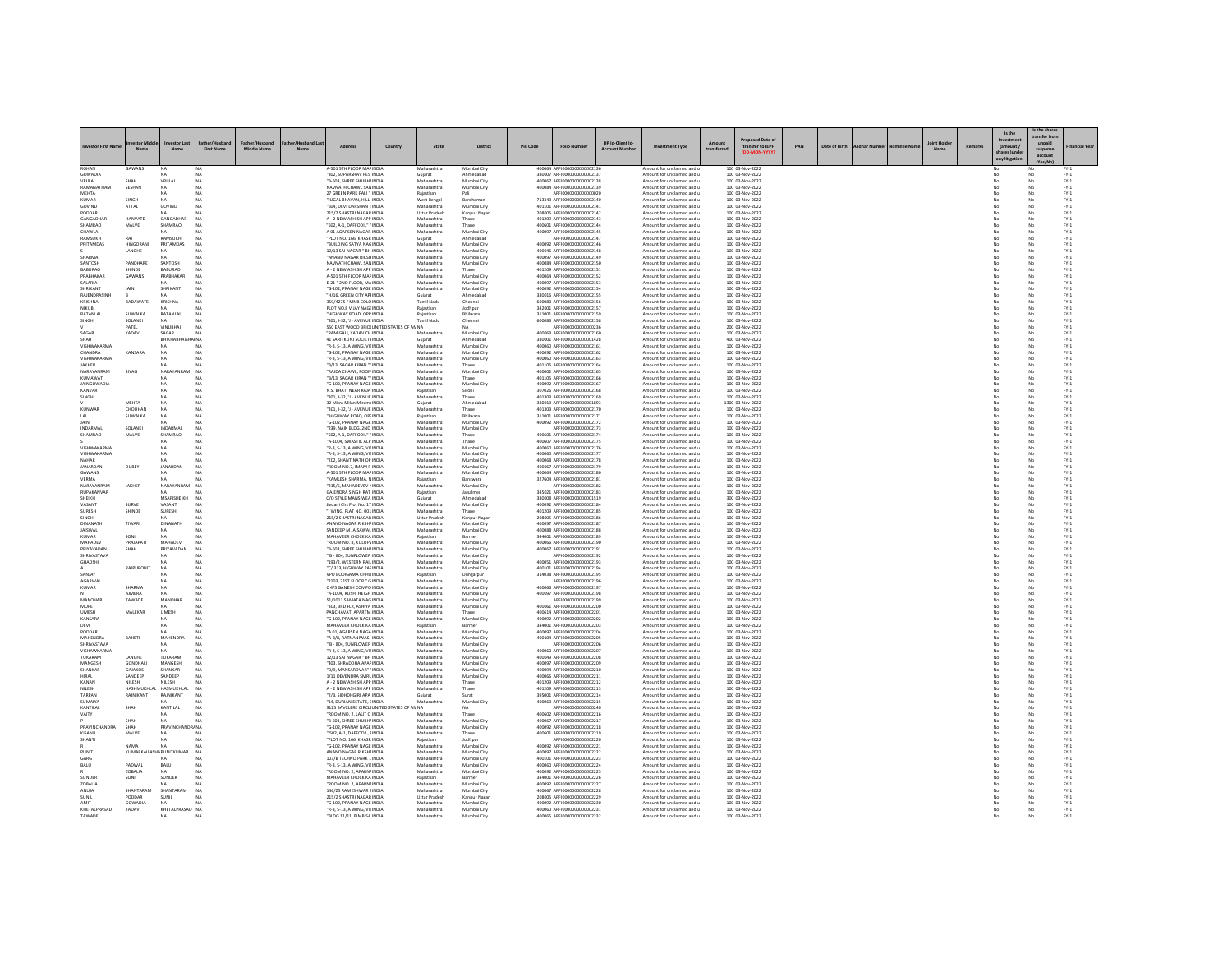| westor First Nar              |                           | N:                              | <b>First Name</b>    | Middle Name | Nar | Address                                                                        | Country | State                        | <b>District</b>            | <b>Pin Code</b> | <b>Folio Number</b>                                        | DP Id-Client Id | <b>Investment Type</b>                                   | transfer to IEPF                    | PAN | Date of Birth |  | Remarks | Is the<br>(amount /<br>shares )unc | s the sha<br>ransfer fro<br>unpaid<br>suspens | inancial Yea                                              |
|-------------------------------|---------------------------|---------------------------------|----------------------|-------------|-----|--------------------------------------------------------------------------------|---------|------------------------------|----------------------------|-----------------|------------------------------------------------------------|-----------------|----------------------------------------------------------|-------------------------------------|-----|---------------|--|---------|------------------------------------|-----------------------------------------------|-----------------------------------------------------------|
| ROHAN                         | GAWANS                    |                                 |                      |             |     | A-501 STH FLOOR MAF INDIA                                                      |         | Maharashtra                  | Mumbai City                |                 | 400064 ARFI000000000000213                                 |                 | Amount for unclaimed and                                 | 100 03-Nov-2022                     |     |               |  |         |                                    |                                               |                                                           |
| GOWADIA<br>VRIJLAL            | SHAH                      | NA<br>VRIJLAL                   | NA                   |             |     | "302. SUPARSHAV RES INDIA<br>"B-603, SHREE SHUBH/ INDIA                        |         | Guiarat<br>Maharashtra       | Ahmedabad<br>Mumbai City   |                 | 380007 ARFI0000000000002137<br>400067 ARFI0000000000002138 |                 | Amount for unclaimed and u<br>Amount for unclaimed and u | 100 03-Nov-2022<br>100 03-Nov-2022  |     |               |  |         | No<br>No                           |                                               | $FY-1$<br>$FY-1$                                          |
| RAMANATHAN                    | SESHAN                    |                                 | NA                   |             |     | NAVNATH CHAWL SAN INDIA                                                        |         | Maharashtra                  | Mumbai City                |                 | 400084 ARFI0000000000002139                                |                 | Amount for unclaimed and u                               | 100 03-Nov-2022                     |     |               |  |         |                                    |                                               | $FY-1$                                                    |
| <b>MEHTA</b><br>KUMAR         | SINGH                     | NA<br>NA                        | NA<br>NA             |             |     | 27 GREEN PARK PALI " INDIA<br>"JUGAL BHAVAN, HILL INDIA                        |         | Rajasthar<br>West Bengal     | Bardhaman                  |                 | AREI0000000000000020<br>713343 ARFI0000000000002140        |                 | Amount for unclaimed and u<br>Amount for unclaimed and u | 100 03-Nov-2022<br>100 03-Nov-2022  |     |               |  |         | No<br>No                           | No                                            | $FY-1$<br>$FY-1$                                          |
| GOVIND                        | ATTAL                     | GOVIND                          | NA                   |             |     | "604, DEVI DARSHAN TINDIA                                                      |         | Maharashtra                  | Mumbai City                |                 | 401101 ARFI0000000000002141                                |                 | Amount for unclaimed and u                               | 100 03-Nov-2022                     |     |               |  |         | No                                 | No                                            | $FY-1$                                                    |
| PODDAR                        |                           |                                 |                      |             |     | 215/2 SHASTRI NAGAR INDIA                                                      |         | <b>Uttar Pradesh</b>         | Kanpur Naga                |                 | 208005 ARFI0000000000002142                                |                 | Amount for unclaimed and u                               | 100 03-Nov-2022                     |     |               |  |         |                                    |                                               | $FY-1$                                                    |
| GANGADHAF<br>SHAMRAO          | HANVATE<br>MALVE          | GANGADHA<br>SHAMRAO             | <b>NA</b><br>NA      |             |     | A - 2 NEW ASHISH APP INDIA<br>'502, A-1, DAFFODIL" "INDIA                      |         | Maharashtra<br>Maharashtra   | Thane                      |                 | 401209 ARFI0000000000002143<br>400601 ARFI0000000000002144 |                 | Amount for unclaimed and u<br>Amount for unclaimed and u | 100 03-Nov-2022<br>100 03-Nov-2022  |     |               |  |         | No                                 | No<br>No                                      | $FY-1$<br>$FY-1$                                          |
| <b>HAWLA</b>                  |                           |                                 |                      |             |     | A 01 AGARSEN NAGAR INDIA                                                       |         | Maharashtra                  | Mumbai City                |                 | 400097 ARFI0000000000002145                                |                 | Amount for unclaimed and u                               | 100 03-Nov-2022                     |     |               |  |         |                                    | No                                            | $\text{FY-1}$                                             |
| RAMSLIKH<br>PRITAMDAS         | RAI<br><b>HINGORAN</b>    | <b>RAMSUKH</b><br>PRITAMDAS     | NA<br>NA             |             |     | "PLOT NO. 166, KHASR INDIA<br>"BUILDING SATYA NAGINDIA                         |         | Gujarat<br>Maharashtra       | Ahmedabad<br>Mumbai City   |                 | ARFI0000000000002147<br>400092 ARFI0000000000002146        |                 | Amount for unclaimed and u<br>Amount for unclaimed and u | 100 03-Nov-2022<br>100 03-Nov-2022  |     |               |  |         | No<br>No                           | No<br>No                                      | $PV-1$<br>$FY-1$                                          |
|                               | LANGHE                    | NA                              | <b>NA</b>            |             |     | 12/13 SAI NAGAR " BH INDIA                                                     |         | Maharashtra                  | Mumbai City                |                 | 400046 ARFI0000000000002148                                |                 | Amount for unclaimed and u                               | 100 03-Nov-2022                     |     |               |  |         | No                                 | No                                            | $FY-1$                                                    |
| HARMA                         |                           |                                 |                      |             |     | ANAND NAGAR RIKSHINDI                                                          |         | Maharashtra                  | Mumbai City                |                 | 400097 ARFI0000000000002149                                |                 | Amount for unclaimed and u                               | 100 03-Nov-2022                     |     |               |  |         |                                    | No                                            | $PV-1$                                                    |
| <b>SANTOSH</b><br>BABURAO     | PANDHARE<br>SHINDE        | SANTOSH<br><b>BABURAO</b>       | NA<br>NA             |             |     | NAVNATH CHAWL SANINDIA<br>A - 2 NEW ASHISH APP INDIA                           |         | Maharashtra<br>Maharashtra   | Mumbai City<br>Thane       |                 | 400084 AREID000000000002150<br>401209 ARFI0000000000002151 |                 | Amount for unclaimed and u<br>Amount for unclaimed and u | 100 03-Nov-2022<br>100 03-Nov-2022  |     |               |  |         | No<br>No                           | No<br>No                                      | $PV-1$<br>$FY-1$                                          |
| PRABHAKAF                     | GAWANS                    | PRABHAKAE                       | NA                   |             |     | A-501 STH FLOOR MAFINDIA                                                       |         | Maharashtra                  | Mumbai City                |                 | 400064 ARFI0000000000002152                                |                 | Amount for unclaimed and u                               | 100 03-Nov-2022                     |     |               |  |         |                                    | No                                            | $FY-1$                                                    |
| AIRA IA2<br>SHRIKANT          | JAIN                      | NA<br>SHRIKANT                  | NA<br>NA             |             |     | E-21 " 2ND FLOOR, MAINDIA<br>"G-102. PRANAY NAGE INDIA                         |         | Maharashtra<br>Maharashtra   | Mumbai City<br>Mumbai City |                 | 400097 AREI0000000000002153<br>400092 ARFI0000000000002154 |                 | Amount for unclaimed and u<br>Amount for unclaimed and u | 100 03-Nov-2022<br>100 03-Nov-2022  |     |               |  |         | No<br>No                           | No<br>No                                      | $PV-1$<br>$FY-1$                                          |
| RAJENDRASINH                  |                           | NA.                             | NA                   |             |     | "H/16, GREEN CITY APHNDIA                                                      |         | Gujarat                      | Ahmedabad                  |                 | 380016 ARFI0000000000002155                                |                 | Amount for unclaimed and u                               | 100 03-Nov-2022                     |     |               |  |         | No                                 | No                                            | $FY-1$                                                    |
| <b>CRISHNA</b>                | BADAWATI                  | KRISHNA                         | NA                   |             |     | 359/4275 " MNB COLO INDIA                                                      |         | Tamil Nadu                   | Chennai                    |                 | 600083 ARFI000000000000215                                 |                 | Amount for unclaimed and u                               | 100 03-Nov-2022                     |     |               |  |         |                                    | No                                            | $PV-1$                                                    |
| NIKTIR.<br>RATANLAL           | SUWALKA                   | RATANLAL                        | NA<br>NA             |             |     | PLOT NO.8 VIJAY NAGEINDIA<br>"HIGHWAY ROAD, OPP INDIA                          |         | Rajasthan<br>Rajasthan       | Jodhpur<br>Bhilwara        |                 | 342001 ARFI0000000000002157<br>311001 ARFI0000000000002159 |                 | Amount for unclaimed and u<br>Amount for unclaimed and u | 100 03-Nov-2022<br>100 03-Nov-2022  |     |               |  |         | No<br>No                           | No<br>No                                      | $FY-1$<br>$FY-1$                                          |
| SINGH                         | SOLANKI                   | NA                              | <b>NA</b>            |             |     | "301, J-32, 'J - AVENUE INDIA                                                  |         | Tamil Nadu                   | Chennai                    |                 | 600083 ARFI0000000000002158                                |                 | Amount for unclaimed and u                               | 100 03-Nov-2022                     |     |               |  |         | No                                 | No                                            | $PV-1$                                                    |
| SAGAR                         | PATEL<br>YADAV            | VINUBHAI<br>SAGAR               | NA<br>NA             |             |     | 550 EAST WOOD BRIDI UNITED STATES OF AN NA<br>"RAM GALI, YADAV CH INDIA        |         | Maharashtra                  | Mumbai City                |                 | ARFI0000000000000236<br>400063 ARFI0000000000002160        |                 | Amount for unclaimed and u<br>Amount for unclaimed and u | 200 03-Nov-2022<br>100 03-Nov-2022  |     |               |  |         | No                                 | No<br>No                                      | $\text{FY-1}$<br>$FY-1$                                   |
| SHAH                          |                           | BHIKHAB                         | AI NA                |             |     | 41 SARITKUNJ SOCIETYINDIA                                                      |         | Gujarat                      | Ahmedabad                  |                 | 380001 ARFI0000000000001428                                |                 | Amount for unclaimed and u                               | 400 03-Nov-2022                     |     |               |  |         | No                                 | No                                            | $PV-1$                                                    |
| <b>VISHWAKARM</b>             |                           |                                 | NA                   |             |     | "R-3, S-13, A WING, VISINDIA                                                   |         | Maharashtr                   | Mumbai City                |                 | 400060 ARFI0000000000002161                                |                 | Amount for unclaimed and u                               | 100 03-Nov-2022                     |     |               |  |         |                                    | No                                            | $PV-1$                                                    |
| CHANDRA<br>VISHWAKARMA        | KANSARA                   | <b>NA</b><br>NA                 | NA<br>NA             |             |     | "G-102. PRANAY NAGE INDIA<br>"R-3, S-13, A WING, VISINDIA                      |         | Maharashtra<br>Maharashtra   | Mumbai City<br>Mumbai City |                 | 400092 AREI0000000000002162<br>400060 ARFI0000000000002163 |                 | Amount for unclaimed and u<br>Amount for unclaimed and u | 100 03-Nov-2022<br>100 03-Nov-2022  |     |               |  |         | No<br>No                           | No<br>No                                      | $PV-1$<br>$FY-1$                                          |
| JAKHER                        |                           |                                 | <b>NA</b>            |             |     | "B/13, SAGAR KIRAN " INDIA                                                     |         | Maharashtra                  | Thane                      |                 | 401105 ARFI0000000000002164                                |                 | Amount for unclaimed and u                               | 100 03-Nov-2022                     |     |               |  |         | No                                 | No                                            | $FY-1$                                                    |
| VARAYANRAM<br><b>KLIMAWAT</b> | SIYAG                     | NARA<br>NA.                     | NA<br>NA             |             |     | RAIDA CHAWL, ROON INDIA<br>"B/13, SAGAR KIRAN "" INDIA                         |         | Maharashtra<br>Maharashtra   | Mumbai City<br>Thane       |                 | 400002 ARFI0000000000002165<br>401105 ARFI0000000000002166 |                 | Amount for unclaimed and u<br>Amount for unclaimed and u | 100 03-Nov-2022<br>100 03-Nov-2022  |     |               |  |         | No                                 |                                               | $PV-1$                                                    |
| <b>JAINGOWADIA</b>            |                           | NA                              | NA                   |             |     | G-102, PRANAY NAGE INDIA                                                       |         | Maharashtra                  | Mumbai City                |                 | 400092 ARFI0000000000002167                                |                 | Amount for unclaimed and u                               | 100 03-Nov-2022                     |     |               |  |         | No                                 | No<br>No                                      | $\begin{array}{c} \text{FY-1} \\ \text{FY-1} \end{array}$ |
| CANVAR                        |                           |                                 | N <sub>A</sub>       |             |     | N.S. BHATI NEAR RAJA INDIA                                                     |         | Rajasthan                    |                            |                 | 307026 ARFI0000000000002168                                |                 | Amount for unclaimed and u                               | 100 03-Nov-2022                     |     |               |  |         |                                    |                                               | $FY-1$                                                    |
| SINGH                         | <b>MEHTA</b>              | NA.<br>NA                       | NA<br>NA             |             |     | "301, J-32, 'J - AVENUE INDIA<br>32 Mitra Milan MiramLINDIA                    |         | Maharashtra<br>Guiarat       | Thane<br>Ahmedabad         |                 | 401303 ARFI0000000000002169<br>380013 ARFI0000000000001893 |                 | Amount for unclaimed and u<br>Amount for unclaimed and u | 100 03-Nov-2022<br>1300 03-Nov-2022 |     |               |  |         | No<br>No                           | No<br>No                                      | $PV-1$<br>$FY-1$                                          |
| KUNWAR                        | CHOUHAN                   | NA                              | NA                   |             |     | "301, J-32, 'J - AVENUE INDIA                                                  |         | Maharashtra                  | Thane                      |                 | 401303 ARFI0000000000002170                                |                 | Amount for unclaimed and u                               | 100 03-Nov-2022                     |     |               |  |         | No                                 | No                                            | $PV-1$                                                    |
| <b>IAIN</b>                   | <b>SUWALKA</b>            | NA<br>NA                        | NA<br>NA             |             |     | HIGHWAY ROAD, OPFINDIA<br>"G-102. PRANAY NAGE INDIA                            |         | Rajasthar<br>Maharashtra     | Bhilwara<br>Mumbai City    |                 | 311001 ARFI0000000000002171<br>400092 ARFI0000000000002172 |                 | Amount for unclaimed and u<br>Amount for unclaimed and u | 100 03-Nov-2022<br>100 03-Nov-2022  |     |               |  |         | No                                 | No<br>No                                      | $PV-1$<br>$PV-1$                                          |
| INDARMAL                      | SOLANKI                   | INDARMAL                        | NA                   |             |     | "239, NAIK BLDG, 2ND INDIA                                                     |         | Maharashtra                  | Mumbai City                |                 | ARFI0000000000002173                                       |                 | Amount for unclaimed and u                               | 100 03-Nov-2022                     |     |               |  |         | No                                 | No                                            | $FY-1$                                                    |
| SHAMRAC                       | MALVE                     | SHAMRAO                         | NA<br>NA             |             |     | '502, A-1, DAFFODIL" "INDIA                                                    |         | Maharashtra                  |                            |                 | 400601 ARFI0000000000002174<br>400607 AREI0000000000002175 |                 | Amount for unclaimed and u                               | 100 03-Nov-2022                     |     |               |  |         |                                    | No                                            | $FY-1$                                                    |
| VISHWAKARMA                   |                           | NA.<br>NA                       | NA                   |             |     | "A-1004, SWASTIK ALP INDIA<br>"R-3, S-13, A WING, VISINDIA                     |         | Maharashtra<br>Maharashtra   | Thane<br>Mumbai City       |                 | 400060 ARFI0000000000002176                                |                 | Amount for unclaimed and u<br>Amount for unclaimed and u | 100 03-Nov-2022<br>100 03-Nov-2022  |     |               |  |         | No<br>No                           | No<br>No                                      | $PV-1$<br>$FY-1$                                          |
| VISHWAKARMA                   |                           | NA.                             | NA                   |             |     | "R-3, S-13, A WING, VISINDIA                                                   |         | Maharashtra                  | Mumbai City                |                 | 400060 ARFI0000000000002177                                |                 | Amount for unclaimed and u                               | 100 03-Nov-2022                     |     |               |  |         | No                                 | No                                            | $PV-1$                                                    |
| NAHAR<br><b>IANARDAN</b>      | DUBEY                     | NA<br><b>JANARDAN</b>           | NA                   |             |     | "202, SHANTINATH OP INDIA<br>"ROOM NO.7. IMAM P INDIA                          |         | Maharashtr<br>Maharashtra    | Mumbai City<br>Mumbai City |                 | 400068 ARFI0000000000002178<br>400067 ARFI0000000000002179 |                 | Amount for unclaimed and u<br>Amount for unclaimed and u | 100 03-Nov-2022<br>100 03-Nov-2022  |     |               |  |         | No                                 | No<br>No                                      | $FY-1$<br>$PV-1$                                          |
| <b>GAWANS</b>                 |                           | NA.                             | NA                   |             |     | A-501 STH FLOOR MAFINDIA                                                       |         | Maharashtra                  | Mumbai City                |                 | 400064 ARFI0000000000002180                                |                 | Amount for unclaimed and u                               | 100 03-Nov-2022                     |     |               |  |         | No                                 | No                                            | $FY-1$                                                    |
| VERMA                         |                           | NA                              | <b>NA</b>            |             |     | "KAMLESH SHARMA, NINDIA                                                        |         | Rajasthan                    | Banswara                   |                 | 327604 ARFI0000000000002181                                |                 | Amount for unclaimed and u                               | 100 03-Nov-2022                     |     |               |  |         | No                                 | No                                            | $PV-1$                                                    |
| NARAYANRAM<br>RUPAKANVAR      | JAKHER                    | NARAYANRAI<br>NA.               | NA<br>NA             |             |     | "215/6, MAHADEVEV NINDIA<br>GAJENDRA SINGH RAT INDIA                           |         | Maharashtr<br>Rajasthan      | Mumbai City<br>Jaisalmen   |                 | ARFI0000000000002182<br>345021 ARFI0000000000002183        |                 | Amount for unclaimed and u<br>Amount for unclaimed and u | 100 03-Nov-2022<br>100 03-Nov-2022  |     |               |  |         | No                                 | No<br>No                                      | $\text{FY-1}$<br>$FY-1$                                   |
| SHEIKH                        |                           | MSAFJSHEIKH                     | <b>NA</b>            |             |     | C/O STYLE MANS WEA INDIA                                                       |         | Gujarat                      | Ahmedabar                  |                 | 380008 ARFI00000000000001519                               |                 | Amount for unclaimed and u                               | 300 03-Nov-2022                     |     |               |  |         | No                                 | No                                            | $PV-1$                                                    |
| <b>ASANT</b><br><b>SURFSH</b> | SURVE<br>SHINDE           | VASANT<br>SURESH                | N <sub>A</sub><br>NA |             |     | Jivdani Chs Plot No. 17 INDIA<br>T WING FLAT NO 001 INDIA                      |         | Maharashtr<br>Maharashtra    | Mumbai City<br>Thane       |                 | 400092 ARFI0000000000002184<br>401209 ARFIOD00000000002185 |                 | Amount for unclaimed and u<br>Amount for unclaimed and u | 100 03-Nov-2022<br>100 03-Nov-2022  |     |               |  |         | No                                 | No<br>No                                      | $PV-1$<br>$PV-1$                                          |
| SINGH                         |                           | NA.                             | NA                   |             |     | 215/2 SHASTRI NAGAR INDIA                                                      |         | <b>Uttar Pradesh</b>         | Kanpur Naga                |                 | 208005 ARFI0000000000002186                                |                 | Amount for unclaimed and u                               | 100 03-Nov-2022                     |     |               |  |         | No                                 | No                                            | $PV-1$                                                    |
| DINANATH                      | TIWARI                    | DINANATH                        | NA                   |             |     | ANAND NAGAR RIKSH/ INDIA                                                       |         | Maharashtra                  | Mumbai City                |                 | 400097 ARFI0000000000002187                                |                 | Amount for unclaimed and u                               | 100 03-Nov-2022                     |     |               |  |         | No                                 | No                                            | $PV-1$                                                    |
| <b>JAISWAL</b><br>KUMAR       | SONI                      | NA.                             | NA<br>NA             |             |     | SANDEEP M JAISAWAL INDIA<br>MAHAVEER CHOCK KAINDIA                             |         | Maharashtr<br>Rajasthan      | Mumbai City<br>Barmer      |                 | 400088 ARFI0000000000002188<br>344001_AREI0000000000002185 |                 | Amount for unclaimed and u<br>Amount for unclaimed and u | 100 03-Nov-2022<br>100 03-Nov-2022  |     |               |  |         | No                                 | No                                            | $FY-1$<br>$PV-1$                                          |
| MAHADEV                       | PRAJAPATI                 | MAHADEV                         | NA                   |             |     | ROOM NO. 8, KULUP\ INDIA                                                       |         | Maharashtra                  | Mumbai City                |                 | 400066 ARFI0000000000002190                                |                 | Amount for unclaimed and u                               | 100 03-Nov-2022                     |     |               |  |         | No                                 | No<br>No                                      | $FY-1$                                                    |
| PRIYAVADAN<br>SHRIVASTAVA     |                           | PRIYAVADA<br>NA.                | NA<br>NA             |             |     | "B-603, SHREE SHUBH/ INDIA<br>" B - 804 SUNFLOWER INDIA                        |         | Maharashtr<br>Maharashtra    | Mumbai City<br>Mumbai City |                 | 400067 ARFI000000000000219<br>AREI000000000002192          |                 | Amount for unclaimed and u<br>Amount for unclaimed and u | 100 03-Nov-2022<br>100 03-Nov-2022  |     |               |  |         | No                                 | No<br>No                                      | $FY-1$<br>$PV-1$                                          |
| <b>GHADSHI</b>                |                           | NA.                             | NA                   |             |     | "193/2. WESTERN RAILINDIA                                                      |         | Maharashtra                  | Mumbai City                |                 | 400051 ARFI0000000000002193                                |                 | Amount for unclaimed and u                               | 100 03-Nov-2022                     |     |               |  |         | No                                 | No                                            | $FY-1$                                                    |
|                               | RAJPUROHI'                | NA<br>NA                        | NA                   |             |     | "C/313, HIGHWAY PAFINDIA                                                       |         | Maharashtra                  | Mumbai City                |                 | 400101 ARFI0000000000002194                                |                 | Amount for unclaimed and u                               | 100 03-Nov-2022                     |     |               |  |         | No                                 | No                                            | $FY-1$                                                    |
| ANJAY<br>AGARWAI              |                           | MA.                             | NA<br>NA             |             |     | VPO BODIGAMA CHHCINDIA<br>"2103-215T FLOOR " GINDIA                            |         | Rajasthan<br>Maharashtra     | Dungarpu<br>Mumbai City    |                 | 314038 ARFI0000000000002195<br>AREI0000000000002196        |                 | Amount for unclaimed and u<br>Amount for unclaimed and u | 100 03-Nov-2022<br>100 03-Nov-2022  |     |               |  |         | No                                 | No<br>No                                      | $PV-1$<br>$PV-1$                                          |
| KUMAR                         | SHARMA                    | NA                              | NA                   |             |     | C 4/5 GANESH COMPO INDIA                                                       |         | Maharashtra                  | Mumbai City                |                 | 400066 ARFI0000000000002197                                |                 | Amount for unclaimed and u                               | 100 03-Nov-2022                     |     |               |  |         | No                                 | No                                            | $FY-1$                                                    |
| MANOHAR                       | <b>AIMERA</b><br>TAWADE   | $_{\text{NA}}$<br>MANOHAE       | NA<br>NA             |             |     | A-1004, RUSHI HEIGH INDIA<br>51/1011 SAMATA NAGINDIA                           |         | Maharashtr<br>Maharashtra    | Mumbai City<br>Mumbai City |                 | 400097 ARFI0000000000002198<br>AREI0000000000002199        |                 | Amount for unclaimed and u<br>Amount for unclaimed and u | 100 03-Nov-2022<br>100 03-Nov-2022  |     |               |  |         | No                                 | No<br>No                                      | $FY-1$<br>$PV-1$                                          |
| MORE                          |                           | NA.                             | NA                   |             |     | "303, 3RD FLR, ASHIYA INDIA                                                    |         | Maharashtra                  | Mumbai City                |                 | 400061 ARFI0000000000002200                                |                 | Amount for unclaimed and u                               | 100 03-Nov-2022                     |     |               |  |         | No                                 | No                                            | $PV-1$                                                    |
| UMESH<br>KANSARA              | MALEKAR                   | <b>UMESH</b>                    | NA<br>NA             |             |     | PANCHAVATI APARTM INDIA<br>"G-102, PRANAY NAGE INDIA                           |         | Maharashtra<br>Maharashtra   | Thane<br>Mumbai City       |                 | 400614 ARFI0000000000002201<br>400092 ARFI0000000000002202 |                 | Amount for unclaimed and u<br>Amount for unclaimed and u | 100 03-Nov-2022<br>100 03-Nov-2022  |     |               |  |         |                                    | No<br>No                                      | $FY-1$<br>$FY-1$                                          |
| <b>DEVI</b>                   |                           | <b>NA</b>                       | NA                   |             |     | MAHAVEER CHOCK KAINDIA                                                         |         | Raiasthan                    | Barmer                     |                 | 344001_AREI0000000000002203                                |                 | Amount for unclaimed and u                               | 100.03-Nov-2022                     |     |               |  |         | No                                 | No                                            | $PV-1$                                                    |
| PODDAR                        |                           | NA                              | NA                   |             |     | "A 01. AGARSEN NAGA INDIA                                                      |         | Maharashtra                  | Mumbai City                |                 | 400097 ARFI0000000000002204                                |                 | Amount for unclaimed and u                               | 100 03-Nov-2022                     |     |               |  |         | No                                 | No                                            | $FY-1$                                                    |
| MAHENDRA<br>SHRIVASTAVA       | BAHETI                    | MAHENDRA<br>MA.                 | NA<br>NA             |             |     | "A-3/8, RATNANIWAS INDIA<br>" B - 804, SUNFLOWER INDIA                         |         | Maharashtra<br>Maharashtr    | Mumbai City<br>Mumbai City |                 | 400104 ARFI0000000000002205<br>ARFI0000000000002206        |                 | Amount for unclaimed and u<br>Amount for unclaimed and u | 100 03-Nov-2022<br>100 03-Nov-2022  |     |               |  |         | No                                 | No                                            | $FY-1$<br>$\text{FY-1}$                                   |
| VISHAWKARMA                   |                           | NA                              | NA                   |             |     | "R-3, S-13, A WING, VISINDIA                                                   |         | Maharashtra                  | Mumbai City                |                 | 400060 ARFI0000000000002207                                |                 | Amount for unclaimed and u                               | 100 03-Nov-2022                     |     |               |  |         | No                                 | No<br>No                                      | $PV-1$                                                    |
| TUKARAM<br>MANGESH            | LANGHE<br><b>GONDHALL</b> | TUKARAN<br>MANGESH              | NA<br>NA             |             |     | 12/13 SAI NAGAR " BH INDIA<br>403, SHRADDHA APAFINDIA                          |         | Maharashtra<br>Maharashtra   | Mumbai City<br>Mumbai City |                 | 400049 ARFI0000000000002208<br>400097 ARFI0000000000002209 |                 | Amount for unclaimed and u<br>Amount for unclaimed and u | 100 03-Nov-2022<br>100 03-Nov-2022  |     |               |  |         | No                                 | No<br>No                                      | $FY-1$<br>$PV-1$                                          |
| SHANKAR                       | GAIAKOS                   | SHANKAR                         | NA                   |             |     | "D/9 MANSAROVAR" 'INDIA                                                        |         | Maharashtra                  | Mumbai City                |                 | 400094 AREI0000000000002210                                |                 | Amount for unclaimed and u                               | 100 03-Nov-2022                     |     |               |  |         | No                                 | No                                            | $PV-1$                                                    |
| HIRAI                         | SANDEEP                   | SANDEEP                         | NA <sub></sub>       |             |     | 1/11 DEVENDRA SMRLINDIA                                                        |         | Maharashtra                  | Mumbai City                |                 | 400066 ARFI0000000000002211                                |                 | Amount for unclaimed and u                               | 100 03-Nov-2022                     |     |               |  |         | No                                 | No                                            | $PV-1$                                                    |
| KANAN<br>NILESH               | NILESH<br>HASHMUKHLA      | NILESH<br>HASMUKHLAL            | N <sub>A</sub><br>NA |             |     | A - 2 NEW ASHISH APP INDIA<br>A - 2 NEW ASHISH APP INDIA                       |         | Maharashtra<br>Maharashtra   | Thane<br>Thane             |                 | 401209 ARFI0000000000002212<br>401209 ARFI0000000000002213 |                 | Amount for unclaimed and u<br>Amount for unclaimed and u | 100 03-Nov-2022<br>100 03-Nov-2022  |     |               |  |         |                                    | No<br>No                                      | $FY-1$<br>$FY-1$                                          |
| TARPAN                        | <b>RAINIKANT</b>          | RAINIKANT                       | NA                   |             |     | "2/8 SIDHDHGIRI APA INDIA                                                      |         | Guiarat                      | Surat                      |                 | 395001 AREI0000000000002214                                |                 | Amount for unclaimed and u                               | 100.03-Nov-2022                     |     |               |  |         | No                                 | No                                            | $PV-1$                                                    |
| SUMAIYA                       |                           |                                 |                      |             |     | "14, DURIAN ESTATE, EINDIA                                                     |         | Maharashtra                  | Mumbai City                |                 | 400063 ARFI0000000000002215                                |                 | Amount for unclaimed and u                               | 100 03-Nov-2022                     |     |               |  |         |                                    | No.                                           | $FY-1$                                                    |
| KANTILAL<br>VAITY             | SHAH                      | KANTILAL<br>NA.                 | NA<br>NA             |             |     | 9125 BAVCLERE CIRCLI UNITED STATES OF AN NA<br><b>TROOM NO. 2 LAUT C INDIA</b> |         | Maharashtra                  | NA<br>Thane                |                 | AREI0000000000000240<br>400602 AREI0000000000002216        |                 | Amount for unclaimed and u<br>Amount for unclaimed and u | 100 03-Nov-2022<br>100.03-Nov-2022  |     |               |  |         | No                                 | No<br>No                                      | $FY-1$<br>$PV-1$                                          |
|                               | <b>SHAH</b>               | <b>NA</b>                       | NA                   |             |     | "B-603, SHREE SHUBH/ INDIA                                                     |         | Maharashtra                  | Mumbai City                |                 | 400067 ARFI0000000000002217                                |                 | Amount for unclaimed and u                               | 100 03-Nov-2022                     |     |               |  |         | No                                 | No                                            | $PV-1$                                                    |
| <b>RAVINCHANDR</b><br>KISANJI | SHAH<br>MALVE             | PRAVINCE<br>DRA NA<br>NA        | NA                   |             |     | "G-102, PRANAY NAGE INDIA<br>" 502, A-1, DAFFODIL, FINDIA                      |         | Maharashtra<br>Maharashtra   | Mumbai City<br>Thane       |                 | 400092 ARFI0000000000002218<br>400601 ARFI0000000000002219 |                 | Amount for unclaimed and u<br>Amount for unclaimed and u | 100 03-Nov-2022<br>100 03-Nov-2022  |     |               |  |         |                                    | No<br>No                                      | $FY-1$<br>$PV-1$                                          |
| <b>SHANTI</b>                 |                           | <b>NA</b>                       | NA                   |             |     | "PLOT NO. 166 KHASR INDIA                                                      |         | Raiasthan                    | Jodhpur                    |                 | AREI0000000000002220                                       |                 | Amount for unclaimed and u                               | 100.03-Nov-2022                     |     |               |  |         | No                                 | No                                            | $PV-1$                                                    |
|                               | NAMA<br>KUMARKAILA        | NA                              | NA                   |             |     | "G-102, PRANAY NAGE INDIA                                                      |         | Maharashtra                  | Mumbai City                |                 | 400092 ARFI0000000000002221                                |                 | Amount for unclaimed and u                               | 100 03-Nov-2022                     |     |               |  |         | No                                 | No                                            | $FY-1$                                                    |
| UNIT<br>GARG                  |                           | <b>NPUNITKUMAR</b><br><b>NA</b> | NA<br>NA             |             |     | ANAND NAGAR RIKSHI INDIA<br>103/8 TECHNO PARK 1 INDIA                          |         | Maharashtr<br>Maharashtra    | Mumbai City<br>Mumbai City |                 | 400097 ARFI0000000000002222<br>400101_4REI0000000000002223 |                 | Amount for unclaimed and u<br>Amount for unclaimed and u | 100 03-Nov-2022<br>100.03-Nov-2022  |     |               |  |         | No                                 | No<br>No                                      | $FY-1$<br>$PV-1$                                          |
| BALU                          | PADWAL                    | BALU                            | NA                   |             |     | "R-3, S-13, A WING, VISINDIA                                                   |         | Maharashtra                  | Mumbai City                |                 | 400060 ARFI0000000000002224                                |                 | Amount for unclaimed and u                               | 100 03-Nov-2022                     |     |               |  |         | No                                 | No                                            | $PV-1$                                                    |
| SUNDER                        | ZOBALIA<br>SONI           | NA<br>SUNDER                    | NA<br>NA             |             |     | ROOM NO. 2. APARN/INDIA                                                        |         | Maharashtra                  | Mumbai City                |                 | 400092 ARFI0000000000002225<br>344001 ARFI0000000000002226 |                 | Amount for unclaimed and u                               | 100 03-Nov-2022                     |     |               |  |         |                                    | No                                            | $PV-1$                                                    |
| <b>70BALLA</b>                |                           | NA.                             | NA                   |             |     | MAHAVEER CHOCK KAINDIA<br>"ROOM NO. 2 APARN/INDIA                              |         | Rajasthan<br>Maharashtra     | Mumbai City                |                 | 400092 AREI0000000000002227                                |                 | Amount for unclaimed and u<br>Amount for unclaimed and u | 100 03-Nov-2022<br>100.03-Nov-2022  |     |               |  |         | No                                 | No                                            | $FY-1$<br>$PV-1$                                          |
| ANUJA                         | SHANTARAM                 | SHANTARAM                       | NA                   |             |     | 146/25 RAMESHWAR SINDIA                                                        |         | Maharashtra                  | Mumbai City                |                 | 400067 ARFI0000000000002228                                |                 | Amount for unclaimed and u                               | 100 03-Nov-2022                     |     |               |  |         |                                    | No                                            | $FY-1$                                                    |
| SUNIL<br>AMIT                 | PODDAR<br>GOWADIA         | SUNIL<br><b>NA</b>              | MA                   |             |     | 215/2 SHASTRI NAGAR INDIA<br>"G-102. PRANAY NAGE INDIA                         |         | Uttar Pradesh<br>Maharashtra | Kanpur Naga<br>Mumbai City |                 | 208005 ARFI0000000000002229<br>400092 ARFI0000000000002230 |                 | Amount for unclaimed and u<br>Amount for unclaimed and u | 100 03-Nov-2022<br>100 03-Nov-2022  |     |               |  |         |                                    |                                               | $PV-1$<br>$\text{FY-1}$                                   |
| KHETALPRASAD                  | YADAV                     | KHETALPRASAD NA                 |                      |             |     | "R-3, S-13, A WING, VISINDIA                                                   |         | Maharashtra                  | Mumbai City                |                 | 400060 ARFI0000000000002231                                |                 | Amount for unclaimed and u                               | 100 03-Nov-2022                     |     |               |  |         | No                                 | No                                            | $FY-1$                                                    |
| TAWADE                        |                           |                                 |                      |             |     | "BLDG 11/11, BIMBISA INDIA                                                     |         | Maharashtra                  | Mumbai City                |                 | 400065 ARFI0000000000002232                                |                 | Amount for unclaimed and u                               | 100 03-Nov-2022                     |     |               |  |         | No                                 |                                               | $PV-1$                                                    |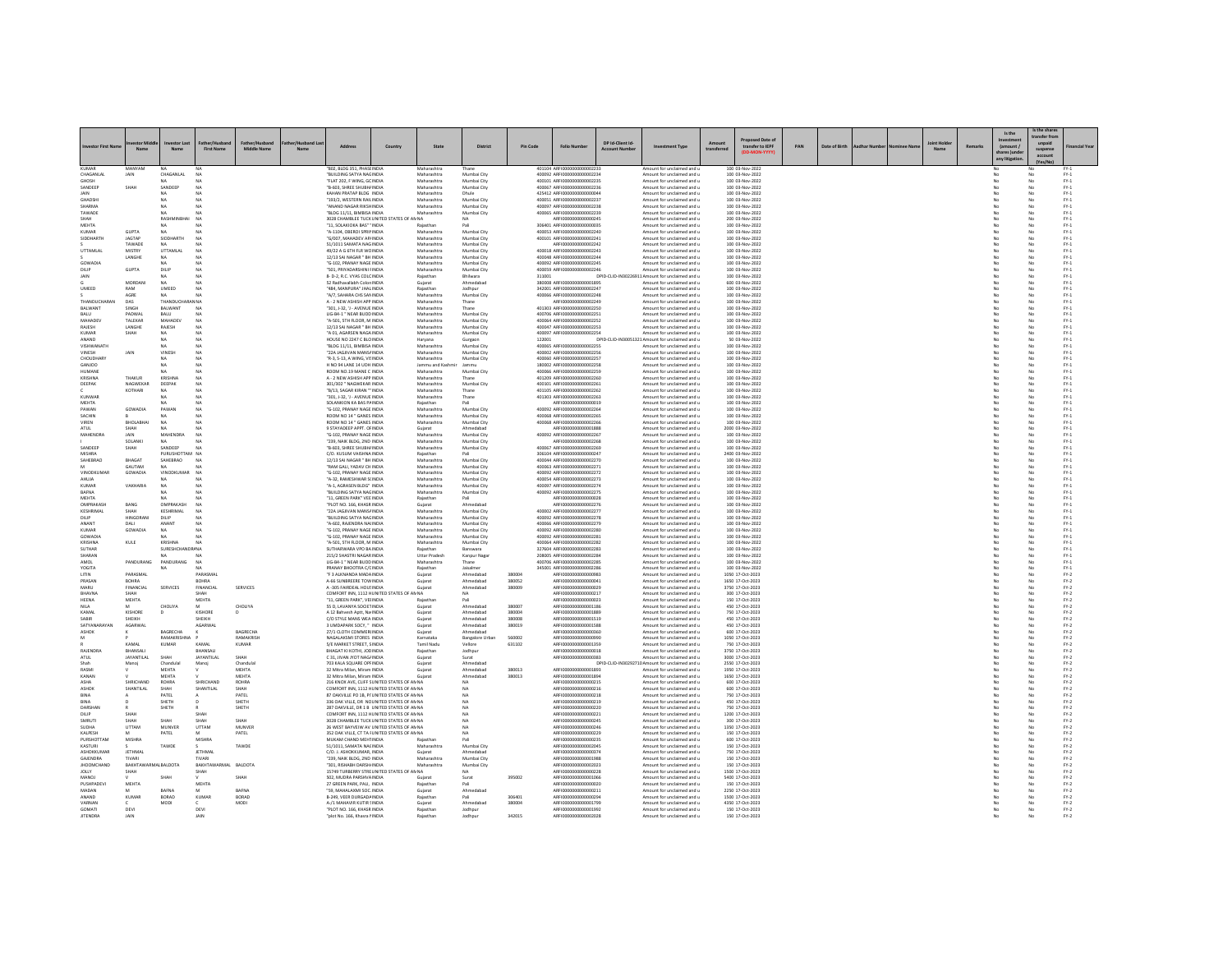|                                  |                             |                                   |                             |                    |                                                                                              |         |                                   |                                   |                  |                                                            |                   |                                                                               |                  |                                      |     |               |  |                |         |                | s the share          |                                                           |
|----------------------------------|-----------------------------|-----------------------------------|-----------------------------|--------------------|----------------------------------------------------------------------------------------------|---------|-----------------------------------|-----------------------------------|------------------|------------------------------------------------------------|-------------------|-------------------------------------------------------------------------------|------------------|--------------------------------------|-----|---------------|--|----------------|---------|----------------|----------------------|-----------------------------------------------------------|
| estor First N                    |                             |                                   |                             |                    | Address                                                                                      | Country | State                             | <b>District</b>                   | Pin Code         | <b>Folio Number</b>                                        | DP Id-Client Id-  | ent Type                                                                      |                  | red Date of<br>transfer to IEPF      | PAN | Date of Birth |  |                | Remarks | (amount        | ansfer fro<br>unpaid | inancial Yea                                              |
|                                  | Man                         | No.                               | <b>First Name</b>           | Middle Name        |                                                                                              |         |                                   |                                   |                  |                                                            | <b>Arcount Nu</b> |                                                                               | <b>Innefarra</b> |                                      |     |               |  | M <sub>3</sub> |         | hares June     | suspense<br>account  |                                                           |
| <b>VIIMAGE</b>                   |                             |                                   |                             |                    |                                                                                              |         |                                   |                                   |                  | 401104 AREIGOODOOOOOOO223                                  |                   |                                                                               |                  |                                      |     |               |  |                |         | any litie      |                      |                                                           |
| CHAGANLAL                        | MANYAM<br>JAIN              | CHAGANLAL                         | NA                          |                    | 802. BLDG 351, PHASE INDIA<br>"BUILDING SATYA NAGINDIA                                       |         | Maharashtra<br>Maharashtra        | Mumbai City                       |                  | 400092 ARFI0000000000002234                                |                   | Amount for unclaimed and<br>Amount for unclaimed and u                        |                  | 100 03-Nov-2022<br>100 03-Nov-2022   |     |               |  |                |         |                |                      | $PV-1$                                                    |
| GHOSH<br>SANDEEP                 | <b>SHAI</b>                 | SANDEEP                           | N4                          |                    | "FLAT 202, F WING, GC INDIA<br>"B-603, SHREE SHUBH/ INDIA                                    |         | Maharashtra<br>Maharashtra        | Mumbai City<br>Mumbai City        |                  | 400101 ARFI0000000000002235<br>400067 ARFI0000000000002236 |                   | Amount for unclaimed and u<br>Amount for unclaimed and u                      |                  | 100 03-Nov-2022<br>100 03-Nov-2022   |     |               |  |                |         |                |                      | $PV-1$<br>$PV-1$                                          |
| LATM.                            |                             | NA                                | NA                          |                    | KAHAN PRATAP BLDG INDIA                                                                      |         | Maharashtra                       | Dhule                             |                  | 425412 AREI0000000000000044                                |                   | Amount for unclaimed and u                                                    |                  | 100.03-Nov-2022                      |     |               |  |                |         | M <sub>n</sub> | No                   | $PV-1$                                                    |
| <b>GHADSHI</b><br>SHARMA         |                             | NA<br>NA                          | NA<br>NA                    |                    | "193/2. WESTERN RAILINDIA<br>ANAND NAGAR RIKSHINDIA                                          |         | Maharashtra<br>Maharashtra        | Mumbai City<br>Mumbai City        |                  | 400051 ARFI0000000000002237<br>400097 ARFI0000000000002238 |                   | Amount for unclaimed and u<br>Amount for unclaimed and u                      |                  | 100 03-Nov-2022<br>100 03-Nov-2022   |     |               |  |                |         | No             | No<br>No             | $PV-1$<br>$PV-1$                                          |
| TAWADE<br><b>LIAM</b>            |                             | RASHMIN                           | NA<br>NA                    |                    | "BLDG 11/11, BIMBISA INDIA<br>3028 CHAMBLEE TUCK UNITED STATES OF ANNA                       |         | Maharashtra                       | Mumbai City<br>NA <sub>1</sub>    |                  | 400065 ARFI0000000000002239<br>AREI0000000000000245        |                   | Amount for unclaimed and u<br>Amount for unclaimed and u                      |                  | 100 03-Nov-2022<br>200 03-Nov-2022   |     |               |  |                |         |                | No<br>No             | $\text{FY-1}$<br>$PV-1$                                   |
| <b>MEHTA</b>                     |                             |                                   |                             |                    | "11. SOLAKIOKA BAS" ' INDIA                                                                  |         | Rajasthan                         |                                   |                  | 306401 ARFI0000000000000035                                |                   | Amount for unclaimed and u                                                    |                  | 100 03-Nov-2022                      |     |               |  |                |         |                | $\overline{N}$       | $FY-1$                                                    |
| KUMAF<br>SIDDHARTH               | GUPTA<br><b>IAGTAP</b>      | SIDDHARTH                         | NA                          |                    | "A-1104, OBEROI SPRINNDIA<br>"G/007 MAHADEV APUNDIA                                          |         | Maharashtr<br>Maharashtra         | Mumbai City<br>Mumbai City        |                  | 400053 ARFI0000000000002240<br>400101 ARFI0000000000002241 |                   | Amount for unclaimed and u<br>Amount for unclaimed and u                      |                  | 100 03-Nov-2022<br>100.03-Nov-2022   |     |               |  |                |         | No             | No<br>No             | $\text{FY-1}$<br>$PV-1$                                   |
|                                  | TAWADE                      | NA                                | N <sub>A</sub>              |                    | 51/1011 SAMATA NAGINDIA                                                                      |         | Maharashtra                       | Mumbai City                       |                  | ARFI0000000000002242                                       |                   | Amount for unclaimed and u                                                    |                  | 100 03-Nov-2022                      |     |               |  |                |         | No             | No                   | $PV-1$                                                    |
| UTTAMLAL                         | MISTRY<br>LANGHE            | UTTAMLA<br>NA                     | <b>NA</b><br>NA             |                    | 49/22 A G 6TH FLR WC INDIA<br>12/13 SAI NAGAR " BH INDIA                                     |         | Maharashtra<br>Maharashtra        | Mumbai City<br>Mumbai City        |                  | 400018 ARFI0000000000002243<br>400048 ARFI0000000000002244 |                   | Amount for unclaimed and u<br>Amount for unclaimed and u                      |                  | 100 03-Nov-2022<br>100 03-Nov-2022   |     |               |  |                |         |                | No<br>No             | $\text{FY-1}$<br>$FY-1$                                   |
| GOWADIA                          |                             | <b>MA</b>                         | NA                          |                    | "G-102 PRANAY NAGE INDIA                                                                     |         | Maharashtra                       | Mumbai City                       |                  | 400092 AREI0000000000002245                                |                   | Amount for unclaimed and u                                                    |                  | 100.03-Nov-2022                      |     |               |  |                |         | No             | No                   | $PV-1$                                                    |
| DILIP<br>JAIN                    | <b>GUPTA</b>                | DILIP                             | N <sub>A</sub><br>NA        |                    | "SO1. PRIYADARSHINI FINDIA<br>8- D-2, R.C. VYAS COLCINDIA                                    |         | Maharashtra                       | Mumbai City<br><b>Bhilwara</b>    |                  | 400059 ARFI0000000000002246<br>311001                      |                   | Amount for unclaimed and u<br>DPID-CLID-IN30226911 Amount for unclaimed and u |                  | 100 03-Nov-2022<br>100 03-Nov-2022   |     |               |  |                |         | No             | No<br>No             | $PV-1$<br>$FY-1$                                          |
|                                  | MORDANI                     | NA                                | NA                          |                    | 52 Radbayallabh Colon INDIA                                                                  |         | Guiarat                           | Ahmedahad                         |                  | 380008 ARFI0000000000001895                                |                   | Amount for unclaimed and u                                                    |                  | 600.03-Nov-2022                      |     |               |  |                |         | No<br>No       | No                   | $PV-1$<br>$PV-1$                                          |
| UMEED                            | RAM<br>AGRE                 | UMEED                             | <b>NA</b>                   |                    | "484. MANPURA" JHAL INDIA<br>"A/7, SAHARA CHS SAN INDIA                                      |         | Rajasthan<br>Maharashtra          | Jodhour<br>Mumbai City            |                  | 342001 ARFI0000000000002247<br>400066 ARFI0000000000002248 |                   | Amount for unclaimed and u<br>Amount for unclaimed and u                      |                  | 100 03-Nov-2022<br>100 03-Nov-2022   |     |               |  |                |         |                | No<br>No             | $\text{FY-1}$                                             |
| THANDLICHARAS<br><b>RAI WANT</b> | DAS<br>SINGH                | <b>THANDLIC</b><br><b>BALWANT</b> | W NA<br>NA                  |                    | A - 2 NEW ASHISH APP INDIA<br>"301-1-32-1 - AVENUE INDIA                                     |         | Maharashtr<br>Maharashtra         | Thane                             |                  | ARFI0000000000002249<br>401303 AREIO000000000002250        |                   | Amount for unclaimed and u<br>Amount for unclaimed and u                      |                  | 100 03-Nov-2022<br>100.03-Nov-2022   |     |               |  |                |         | No             | No<br>No             | $\text{FY-1}$<br>$PV-1$                                   |
| <b>BALU</b>                      | PADWAL                      | <b>BALU</b>                       | N <sub>4</sub>              |                    | LIG-B4-1 " NEAR BUDD INDIA                                                                   |         | Maharashtra                       | Mumbai City                       |                  | 400706 ARFI0000000000002251                                |                   | Amount for unclaimed and u                                                    |                  | 100 03-Nov-2022                      |     |               |  |                |         | No             | No                   | $FY-1$                                                    |
| MAHADEV<br>RAJESH                | TALEKAP<br>LANGHE           | MAHADEY<br>RAJESH                 | <b>NA</b>                   |                    | "A-501, STH FLOOR, M INDIA<br>12/13 SAI NAGAR " BH INDIA                                     |         | Maharashtra<br>Maharashtra        | Mumbai City<br>Mumbai City        |                  | 400064 ARFI0000000000002252<br>400047 ARFI0000000000002253 |                   | Amount for unclaimed and u<br>Amount for unclaimed and u                      |                  | 100 03-Nov-2022<br>100 03-Nov-2022   |     |               |  |                |         |                | No<br>No             | $\text{FY-1}$<br>$\text{FY-1}$                            |
| KUMAR                            | SHAH                        | NA                                | NA                          |                    | "A 01. AGARSEN NAGA INDIA                                                                    |         | Maharashtra                       | Mumbai City                       |                  | 400097 ARFI0000000000002254                                |                   | Amount for unclaimed and u                                                    |                  | 100 03-Nov-2022                      |     |               |  |                |         | No             | No                   | $PV-1$                                                    |
| ANAND<br>VISHWANATH              |                             | <b>NA</b><br>NA                   |                             |                    | HOUSE NO 2247 C BLO INDIA<br>"BLDG 11/11, BIMBISA INDIA                                      |         | Haryana<br>Maharashtr             | Gurgaon<br>Mumbai City            |                  | 122001<br>400065 ARFI0000000000002255                      |                   | DPID-CLID-IN30051321 Amount for unclaimed and u<br>Amount for unclaimed and u |                  | 50 03-Nov-2022<br>100 03-Nov-2022    |     |               |  |                |         |                | No<br>No             | $\text{FY-1}$<br>$PV-1$                                   |
| <b>VINESH</b>                    | <b>IAIN</b>                 | <b>VINESH</b>                     | NA                          |                    | "224 IAGIIVAN MANSCINDIA                                                                     |         | Maharashtra                       | Mumbai City                       |                  | 400002 AREIO000000000002256                                |                   | Amount for unclaimed and u                                                    |                  | 100 03-Nov-2022                      |     |               |  |                |         | No             | No                   | $PV-1$                                                    |
| CHOUDHARY<br>GANJOO              |                             | NA.<br>NA                         | <b>NA</b><br>N <sub>A</sub> |                    | "R-3, S-13, A WING, VISINDIA<br>H NO 94 LANE 14 UDH INDIA                                    |         | Maharashtra<br>Jammu and Kashr    | Mumbai City<br>Jammu              |                  | 400060 ARFI0000000000002257<br>180002 ARFI0000000000002258 |                   | Amount for unclaimed and u<br>Amount for unclaimed and u                      |                  | 100 03-Nov-2022<br>100 03-Nov-2022   |     |               |  |                |         | No             | No<br>No             | $FY-1$<br>$\text{FY-1}$                                   |
| HUMANE                           |                             |                                   |                             |                    | ROOM NO.19 MANE C INDIA                                                                      |         | Maharashtra                       | Mumbai City                       |                  | 400066 ARFI0000000000002259                                |                   | Amount for unclaimed and u                                                    |                  | 100 03-Nov-2022                      |     |               |  |                |         |                | No                   | $FY-1$                                                    |
| KRISHNA<br>DEEPAK                | THAKUR<br>NAGWEKAR          | KRISHNA<br>DEEPAK                 | NA<br>N <sub>A</sub>        |                    | A - 2 NEW ASHISH APP INDIA<br>301/302 " NAGWEKAR INDIA                                       |         | Maharashtra<br>Maharashtra        | Thane<br>Mumbai City              |                  | 401209 AREIO000000000002260<br>400101 ARFI0000000000002261 |                   | Amount for unclaimed and u<br>Amount for unclaimed and u                      |                  | 100.03-Nov-2022<br>100 03-Nov-2022   |     |               |  |                |         | No             | No<br>$\overline{N}$ | $PV-1$<br>$\text{FY-1}$                                   |
| KUNWAR                           | KOTHARI                     | NA<br>NA                          | NA<br>NA                    |                    | "B/13, SAGAR KIRAN " INDIA<br>"301-1-32-1 - AVENUE INDIA                                     |         | Maharashtra<br>Maharashtra        | Thane<br>Thane                    |                  | 401105 ARFI0000000000002262<br>401303 ARFI0000000000002263 |                   | Amount for unclaimed and u<br>Amount for unclaimed and u                      |                  | 100 03-Nov-2022<br>100.03-Nov-2022   |     |               |  |                |         | No             | No<br>No             | $\text{FY-1}$<br>$PV-1$                                   |
| <b>MEHTA</b>                     |                             | NA                                | N <sub>A</sub>              |                    | SOLANKION KA BAS PAINDIA                                                                     |         | Rajasthan                         | Pali                              |                  | ARFI0000000000000019                                       |                   | Amount for unclaimed and u                                                    |                  | 100 03-Nov-2022                      |     |               |  |                |         | No             | No                   | $FY-1$                                                    |
| PAWAN<br>SACHIN                  | GOWADIA                     | PAWAN                             | N <sub>A</sub><br>NA        |                    | "G-102, PRANAY NAGE INDIA<br>ROOM NO 14 " GANES INDIA                                        |         | Maharashtra<br>Maharashtra        | Mumbai City<br>Mumbai City        |                  | 400092 ARFI0000000000002264<br>400068 ARFI0000000000002269 |                   | Amount for unclaimed and u<br>Amount for unclaimed and u                      |                  | 100 03-Nov-2022<br>100 03-Nov-2022   |     |               |  |                |         |                | No<br>No             | $\text{FY-1}$<br>$PV-1$                                   |
| VIREN                            | <b>BHOLARHAL</b>            | NA                                | NA                          |                    | ROOM NO 14 " GANES INDIA                                                                     |         | Maharashtra                       | Mumbai City                       |                  | 400068 ARFI0000000000002266                                |                   | Amount for unclaimed and u                                                    |                  | 100 03-Nov-2022                      |     |               |  |                |         | No             | No                   | $PV-1$                                                    |
| ATUL<br><b>MAHENDRA</b>          | SHAH                        | NA<br><b>MAHENDR</b>              | N <sub>A</sub><br>NA        |                    | 9 STAYADEEP APPT, OFINDIA<br>G-102, PRANAY NAGE INDIA                                        |         | Guiarat<br>Maharashtr             | Ahmedabad<br>Mumbai City          |                  | ARFI0000000000001888<br>400092 ARFI0000000000002267        |                   | Amount for unclaimed and u<br>Amount for unclaimed and u                      |                  | 2000 03-Nov-2022<br>100 03-Nov-2022  |     |               |  |                |         | No             | No<br>No             | $FY-1$<br>$FY-1$                                          |
|                                  | SOLANKI                     | NA                                | NA                          |                    | "239. NAIK BLDG, 2ND INDIA                                                                   |         | Maharashtra                       | Mumbai City                       |                  | AREI0000000000002268                                       |                   | Amount for unclaimed and u                                                    |                  | 100 03-Nov-2022                      |     |               |  |                |         |                | No                   | $PV-1$                                                    |
| SANDEEP<br><b>MISHRA</b>         | SHAH                        | SANDEEP<br>PURUSHOTTAM NA         | N <sub>A</sub>              |                    | "B-603, SHREE SHUBH/ INDIA<br>C/O. KUSUM VAISHNA INDIA                                       |         | Maharashtra<br>Rajasthan          | Mumbai City                       |                  | 400067 ARFI0000000000002269<br>306104 ARFI0000000000000247 |                   | Amount for unclaimed and u<br>Amount for unclaimed and u                      |                  | 100 03-Nov-2022<br>2400 03-Nov-2022  |     |               |  |                |         | No             | No<br>No             | $FY-1$<br>$FY-1$                                          |
| SAHEBRAO<br>M                    | BHAGAT<br><b>GALITAM</b>    | SAHEBRAO<br>NA                    | N4<br>N4                    |                    | 12/13 SAI NAGAR " BH INDIA<br>"RAM GALI, YADAV CH INDIA                                      |         | Maharashtr<br>Maharashtra         | Mumbai City<br>Mumbai City        |                  | 400044 ARFI0000000000002270<br>400063 ARFIOD00000000002271 |                   | Amount for unclaimed and u<br>Amount for unclaimed and u                      |                  | 100 03-Nov-2022<br>100 03-Nov-2022   |     |               |  |                |         |                | No                   | $\text{FY-1}$<br>$FY-1$                                   |
| VINODKUMAR                       | GOWADIA                     | VINODKUMAR                        | N <sub>A</sub>              |                    | "G-102. PRANAY NAGE INDIA                                                                    |         | Maharashtra                       | Mumbai City                       |                  | 400092 ARFI0000000000002272                                |                   | Amount for unclaimed and u                                                    |                  | 100 03-Nov-2022                      |     |               |  |                |         | No             | No<br>No             | $FY-1$                                                    |
| AHUJA<br>KUMAF                   | VAKHARIA                    | NA                                | N/                          |                    | "A-32, RAMESHWAR S(INDIA<br>"A-1, AGRASEN BLDG" INDIA                                        |         | Maharashtra<br>Maharashtra        | Mumbai City<br>Mumbai City        |                  | 400054 ARFI0000000000002273<br>400097 ARFI0000000000002274 |                   | Amount for unclaimed and u<br>Amount for unclaimed and u                      |                  | 100 03-Nov-2022<br>100 03-Nov-2022   |     |               |  |                |         |                | No<br>No             | $FY-1$                                                    |
| <b>BAFNA</b>                     |                             | NA                                | N <sub>A</sub>              |                    | "BUILDING SATYA NACINDIA                                                                     |         | Maharashtra                       | Mumbai City                       |                  | 400092 ARFI0000000000002275                                |                   | Amount for unclaimed and u                                                    |                  | 100 03-Nov-2022                      |     |               |  |                |         | No             | No                   | $\text{FY-1}$<br>$FY-1$                                   |
| MEHTA<br>OMPRAKAS                | BANG                        | NA<br>OMPRAKASH                   | NA                          |                    | "11, GREEN PARK" VEE INDIA<br>PLOT NO. 166, KHASR INDIA                                      |         | Rajasthan<br>Gujarat              | Pali<br>Ahmedaba                  |                  | ARFI0000000000000028<br>ARFI0000000000002276               |                   | Amount for unclaimed and u<br>Amount for unclaimed and u                      |                  | 100 03-Nov-2022<br>100 03-Nov-2022   |     |               |  |                |         |                | No<br>No             | $FY-1$<br>$PV-1$                                          |
| KESHRIMAL                        | SHAH                        | KESHRIMAL                         | NA                          |                    | "224 IAGIIVAN MANSCINDIA                                                                     |         | Maharashtra                       | Mumbai City                       |                  | 400002 AREI0000000000002277                                |                   | Amount for unclaimed and u                                                    |                  | 100 03-Nov-2022                      |     |               |  |                |         |                | No                   | $FY-1$                                                    |
| DILIP<br>ANANT                   | <b>HINGORAN</b><br>DALI     | DILIP<br>ANANT                    | N <sub>A</sub><br>NA        |                    | "BUILDING SATYA NACINDIA<br>"A-602, RAJENDRA NAIINDIA                                        |         | Maharashtra<br>Maharashtra        | Mumbai City<br>Mumbai City        |                  | 400092 ARFI0000000000002278<br>400066 ARFI0000000000002279 |                   | Amount for unclaimed and u<br>Amount for unclaimed and u                      |                  | 100 03-Nov-2022<br>100 03-Nov-2022   |     |               |  |                |         | No             | No<br>No             | $FY-1$<br>$FY-1$                                          |
| KUMAF                            | GOWADIA                     | NA                                | NA                          |                    | "G-102, PRANAY NAGE INDIA                                                                    |         | Maharashtra                       | Mumbai City                       |                  | 400092 ARFI0000000000002280                                |                   | Amount for unclaimed and u                                                    |                  | 100 03-Nov-2022                      |     |               |  |                |         |                | No                   | $PV-1$                                                    |
| GOWADIA<br>KRISHNA               | KULE                        | KRISHNA                           | NA<br>N <sub>A</sub>        |                    | "G-102. PRANAY NAGE INDIA<br>"A-501, STH FLOOR, M INDIA                                      |         | Maharashtra<br>Maharashtra        | Mumbai City<br>Mumbai City        |                  | 400092 ARFIOD00000000002281<br>400064 ARFI0000000000002282 |                   | Amount for unclaimed and u<br>Amount for unclaimed and u                      |                  | 100 03-Nov-2022<br>100 03-Nov-2022   |     |               |  |                |         |                | No<br>No             | $\begin{array}{l} \text{FY-1} \\ \text{FY-1} \end{array}$ |
| SUTHAR<br>SHARAN                 |                             | SURESHCHAI                        | <b>R/NA</b><br>NA           |                    | SUTHARWARA VPO BAINDIA<br>215/2 SHASTRI NAGAR INDIA                                          |         | Rajasthan<br><b>Uttar Pradesh</b> | Banswara                          |                  | 327604 ARFI0000000000002283<br>208005 ARFI0000000000002284 |                   | Amount for unclaimed and u<br>Amount for unclaimed and u                      |                  | 100 03-Nov-2022<br>100 03-Nov-2022   |     |               |  |                |         | No             | No                   | $PV-1$<br>$FY-1$                                          |
| AMOL                             | PANDURANG                   | PANDURANG                         | <b>NA</b>                   |                    | LIG-B4-1 " NEAR BUDD INDIA                                                                   |         | Maharashtra                       | Kanpur Nagar<br>Thane             |                  | 400706 ARFI0000000000002285                                |                   | Amount for unclaimed and u                                                    |                  | 100 03-Nov-2022                      |     |               |  |                |         | No             | No<br>No             | $FY-1$                                                    |
| YOGITA<br>LITIN                  | PARASMA                     | <b>NA</b>                         | <b>NA</b><br>PARASMA        |                    | PRANAY BHOOTRA C/CINDIA<br>"F 3 ALKNANDA MADAINDIA                                           |         | Rajasthan<br>Gujarat              | Jaisalmer<br>Ahmedaba             | 380004           | 345001 ARFI000000000000228<br>ARFI0000000000000983         |                   | Amount for unclaimed and u<br>Amount for unclaimed and u                      |                  | 100 03-Nov-2022<br>1050 17-Oct-2023  |     |               |  |                |         |                | No<br>No             | $FY-1$<br>$FN-2$                                          |
| PRASAN                           | <b>BOHRA</b>                |                                   | ROHRA                       |                    | A-66 SUNBREERE TOW INDIA                                                                     |         | Gujarat                           | Ahmedabad                         | 380052           | AREI0000000000000041                                       |                   | Amount for unclaimed and u                                                    |                  | 1650 17-Oct-2023                     |     |               |  |                |         | No             | No                   | $FY-2$                                                    |
| MARU<br><b>BHAVNA</b>            | FINANCIAL                   | SERVICES                          | FINANCIAL                   | <b>SERVICES</b>    | A-305 FAIRDEAL HOUSINDIA<br>COMFORT INN, 1112 HUNITED STATES OF AN NA                        |         | Guiarat                           | Ahmedabad                         | 380009           | ARFI0000000000000029<br>ARFI000000000000021                |                   | Amount for unclaimed and u<br>Amount for unclaimed and u                      |                  | 3750 17-Oct-2023<br>300 17-Oct-2023  |     |               |  |                |         | No             | No<br>No             | $FY-2$<br>$FY-2$                                          |
| <b>HEENA</b>                     | MEHTA                       |                                   | MEHTA                       |                    | "11. GREEN PARK". VEHNDIA                                                                    |         | Rajastha                          | Pali                              |                  | AREI000000000000023                                        |                   | Amount for unclaimed and u                                                    |                  | 150 17-Oct-2023                      |     |               |  |                |         | No             | No                   | $FY-2$                                                    |
| <b>NILA</b><br>KAMAL             | M<br>KISHORE                | CHOLIYA<br>D                      | M<br>KISHORE                | CHOLIYA<br>D       | 55 D. LAVANYA SOCIETINDIA<br>A 12 Bahvesh Aptt, Na INDIA                                     |         | Guiarat<br>Gujarat                | Ahmedabad<br>Ahmedabad            | 380007<br>380004 | ARFI0000000000001186<br>ARFI0000000000001889               |                   | Amount for unclaimed and u<br>Amount for unclaimed and u                      |                  | 450 17-Oct-2023<br>750 17-Oct-2023   |     |               |  |                |         | No             | No<br>No             | $FY-2$<br>$FY-2$                                          |
| SABIR<br>SATYANARAYAN            | SHEIKH<br><b>AGARWAL</b>    |                                   | SHEIKH<br>AGARWAI           |                    | C/O STYLE MANS WEA INDIA<br>3 UMDAPARK SOCY. " INDIA                                         |         | Gujara                            | Ahmedaba<br>Ahmedabad             | 380008<br>380019 | ARFI0000000000001519<br>AREI0000000000001588               |                   | Amount for unclaimed and u                                                    |                  | 450 17-Oct-2023<br>450 17-Oct-2023   |     |               |  |                |         | No             | No<br>No             | $\text{FY-2}$<br>$FY-2$                                   |
| <b>ASHOK</b>                     |                             | BAGRECHA                          |                             | BAGRECHA           | 27/1 CLOTH COMMERINDIA                                                                       |         | Gujarat<br>Guiarat                | Ahmedabad                         |                  | ARFI0000000000000360                                       |                   | Amount for unclaimed and u<br>Amount for unclaimed and u                      |                  | 600 17-Oct-2023                      |     |               |  |                |         | No             | No                   | $FY-2$                                                    |
| M                                | KAMAL                       | RAMAKRISHNA<br>KUMAF              | KAMAL                       | RAMAKRISH<br>KUMAR | NAGALAKSMI STORES INDIA<br>5/E MARKET STREET, SINDIA                                         |         | Karnataka<br>Tamil Nadi           | <b>Bangalore Urbar</b><br>Vellore | 560002<br>631102 | ARFI0000000000000990<br>ARFI0000000000001359               |                   | Amount for unclaimed and u<br>Amount for unclaimed and u                      |                  | 1050 17-Oct-2023<br>750 17-Oct-2023  |     |               |  |                |         | No             | No<br>No             | $FY-2$<br>$FY-2$                                          |
| RAJENDRA                         | BHANSALI                    |                                   | BHANSAL                     |                    | BHAGAT KI KOTHI, JOC INDIA                                                                   |         | Rajasthan                         | Jodhour                           |                  | ARFI0000000000000018                                       |                   | Amount for unclaimed and u                                                    |                  | 3750 17-Oct-2023                     |     |               |  |                |         | No             | No                   | $FY-2$                                                    |
| ATUL                             | <b>JAYANTILAL</b><br>Manoj  | SHAH<br>Chandula                  | <b>JAYANTILAL</b><br>Manoj  | SHAH<br>Chandula   | C 31, JIVAN JYOT NAG/ INDIA<br>703 KALA SQUARE OPFINDIA                                      |         | Gujarat<br>Gujarat                | Surat<br>Ahmedaba                 |                  | ARFI0000000000000383                                       |                   | Amount for unclaimed and u<br>DPID-CLID-IN30292710 Amount for unclaimed and u |                  | 3000 17-Oct-2023<br>2550 17-Oct-2023 |     |               |  |                |         | No             | No<br>No             | $FY-2$<br>$FN-2$                                          |
| RASMI                            |                             | <b>MEHTA</b>                      |                             | MEHTA.             | 32 Mitra Milan, Miram INDIA                                                                  |         | Gujarat                           | Ahmedahad                         | 380013           | ARFI0000000000001893                                       |                   | Amount for unclaimed and u                                                    |                  | 1950 17-Oct-2023                     |     |               |  |                |         |                | No                   | $FY-2$                                                    |
| KANAN<br>ASHA                    | SHRICHAND                   | MEHTA<br>ROHRA                    | SHRICHAND                   | MEHTA<br>ROHRA     | 32 Mitra Milan, Miram INDIA<br>216 KNOX AVE, CLIFF SUNITED STATES OF AN NA                   |         | Guiarat                           | Ahmedabad<br><b>NA</b>            | 380013           | ARFI0000000000001894<br>ARFI0000000000000215               |                   | Amount for unclaimed and u<br>Amount for unclaimed and u                      |                  | 1650 17-Oct-2023<br>600 17-Oct-2023  |     |               |  |                |         | No<br>No       | No<br>$_{\rm No}$    | $FY-2$<br>$FY-2$                                          |
| <b>ASHOP</b>                     | SHANTILAL                   | SHAH                              | SHANTILAL                   | SHAH               | COMFORT INN, 1112 HUNITED STATES OF AN NA                                                    |         |                                   | <b>NA</b>                         |                  | ARFI0000000000000216<br>AREI0000000000000218               |                   | Amount for unclaimed and u                                                    |                  | 600 17-Oct-2023                      |     |               |  |                |         |                | No                   | $\text{FY-2}$                                             |
| BINA<br>BINA                     |                             | PATEL<br>SHETH                    |                             | PATEL<br>SHETH     | 87 OAKVILLE PO 1B. PI' UNITED STATES OF AN NA<br>336 OAK VILLE, DR NC UNITED STATES OF AN NA |         |                                   | NA                                |                  | ARFI0000000000000219                                       |                   | Amount for unclaimed and u<br>Amount for unclaimed and u                      |                  | 750 17-Oct-2023<br>450 17-Oct-2023   |     |               |  |                |         | No             | No<br>No             | $\frac{\mathsf{FY}\cdot 2}{\mathsf{FY}\cdot 2}$           |
| DARSHAI<br>DILIP                 | SHAH                        | SHETH                             | SHAH                        | SHETH              | 287 OAKVILLE, DR 1 B UNITED STATES OF AN N<br>COMFORT INN, 1112 HUNITED STATES OF AN NA      |         |                                   | NA<br><b>NA</b>                   |                  | ARFI0000000000000220<br>ARFI0000000000000221               |                   | Amount for unclaimed and u<br>Amount for unclaimed and u                      |                  | 750 17-Oct-2023<br>1200 17-Oct-2023  |     |               |  |                |         |                | No<br>No             | $\text{FY-2}$                                             |
| SMRUTI                           | SHAH                        | SHAH                              | SHAH                        | SHAH               | 3028 CHAMBLEE TUCK UNITED STATES OF AN NA                                                    |         |                                   | <b>NA</b>                         |                  | ARFI0000000000000245                                       |                   | Amount for unclaimed and u                                                    |                  | 300 17-Oct-2023                      |     |               |  |                |         | No             | No                   | $\text{FY-2}$<br>$FY-2$                                   |
| <b>SUDHA</b><br>KALPESH          | UTTAM                       | MUNVER<br>PATEL                   | UTTAM                       | MUNVER<br>PATEL    | 26 WEST BAYVEIW AV UNITED STATES OF AN NA<br>352 OAK VILLE, CT TA I UNITED STATES OF AN NA   |         |                                   | NA<br>NA                          |                  | ARFI0000000000000246<br>ARFI0000000000000229               |                   | Amount for unclaimed and u<br>Amount for unclaimed and u                      |                  | 1350 17-Oct-2023<br>150 17-Oct-2023  |     |               |  |                |         | No             | No<br>No             | $FY-2$                                                    |
| PURSHOTTAM                       | MISHRA                      |                                   | MISHRA                      |                    | MUKAM CHAND MEHTINDIA                                                                        |         | Rajasthar                         | Pali                              |                  | AREI0000000000000235                                       |                   | Amount for unclaimed and u                                                    |                  | 600 17-Oct-2023                      |     |               |  |                |         |                | No                   | $\text{FY-2}$<br>$\text{FY-2}$                            |
| KASTURI<br>ASHOKKUMAI            | JETHMA                      | TAWDE                             | JETHMAL                     | TAWDE              | 51/1011, SAMATA NACINDIA<br>C/O. J. ASHOKKUMAR, INDIA                                        |         | Maharashtra<br>Gujarat            | Mumbai City                       |                  | ARFI0000000000002045<br>ARFI0000000000000374               |                   | Amount for unclaimed and u<br>Amount for unclaimed and u                      |                  | 150 17-Oct-2023<br>750 17-Oct-2023   |     |               |  |                |         |                | No<br>No             | $FY-2$<br>$FY-2$                                          |
| GAJENDRA                         | TIVARI                      |                                   | TIVARI                      |                    | "239, NAIK BLDG, 2ND INDIA                                                                   |         | Maharashtra                       | Mumbai City                       |                  | AREI000000000001988                                        |                   | Amount for unclaimed and u                                                    |                  | 150 17-Oct-2023                      |     |               |  |                |         |                | No                   | $\text{FY-2}$                                             |
| <b>JHOOMCHAND</b><br>JOLLY       | BAKHTAWARMALBALDOTA<br>SHAH |                                   | BAKHTAWARMAL<br>SHAH        | BALDOTA            | "301. RISHABH DARSH/INDIA<br>15749 TURBERRY STRE UNITED STATES OF AN NA                      |         | Maharashtra                       | Mumbai City<br><b>NA</b>          |                  | ARFI0000000000002023<br>ARFI0000000000000228               |                   | Amount for unclaimed and u<br>Amount for unclaimed and u                      |                  | 150 17-Oct-2023<br>1500 17-Oct-2023  |     |               |  |                |         | No             | No<br>No             | $FY-2$<br>$FY-2$                                          |
| MANOJ                            |                             |                                   |                             | SHAH               | 502, MUDRA PARSHVAINDI.                                                                      |         | Gujarat                           | Surat                             | 395002           | ARFI0000000000001066                                       |                   | Amount for unclaimed and u                                                    |                  | 5400 17-Oct-2023                     |     |               |  |                |         |                | No                   | $FN-2$                                                    |
| PUSHPADEVI<br>MADAN              | MEHTA                       | BAFNA                             | MEHTA                       | BAFNA              | 27 GREEN PARK, PALI, INDIA<br>"59. MAHALAXMI SOC. INDIA                                      |         | Rajasthar<br>Guiarat              | Pali<br>Ahmedabad                 |                  | ARFI0000000000000020<br>ARFI0000000000000211               |                   | Amount for unclaimed and u<br>Amount for unclaimed and u                      |                  | 150 17-Oct-2023<br>2250 17-Oct-2023  |     |               |  |                |         |                | No<br>No             | $\text{FY-2}$<br>$FY-2$                                   |
| ANAND                            | <b>KUMAF</b>                | BORAD                             | KUMAR                       | BORAD              | B-249, VEER DURGADA INDIA                                                                    |         | Rajasthan                         | Pali                              | 306401           | ARFI0000000000000294                                       |                   | Amount for unclaimed and u                                                    |                  | 1500 17-Oct-2023                     |     |               |  |                |         |                | No                   | $FY-2$                                                    |
| VARNAM<br><b>GOMATI</b>          | DEVI                        | MODI                              | DEVI                        | MODI               | A-/1 MAHAVIR KUTIR SINDIA<br>"PLOT NO. 166, KHASR INDIA                                      |         | Gujarat<br>Rajasthan              | Ahmedaba<br>Jodhpur               | 380004           | ARFI0000000000001799<br>ARFI0000000000001992               |                   | Amount for unclaimed and u<br>Amount for unclaimed and u                      |                  | 4350 17-Oct-2023<br>150 17-Oct-2023  |     |               |  |                |         |                | No<br>No             | $FY-2$<br>$FY-2$                                          |
| <b>JITENDRA</b>                  | JAIN                        |                                   | <b>JAIN</b>                 |                    | "plot No. 166, Khasra NNDIA                                                                  |         | Rajasthan                         | Jodhpur                           | 342015           | ARFI0000000000002028                                       |                   | Amount for unclaimed and u                                                    |                  | 150 17-Oct-2023                      |     |               |  |                |         | No             | No                   | $FY-2$                                                    |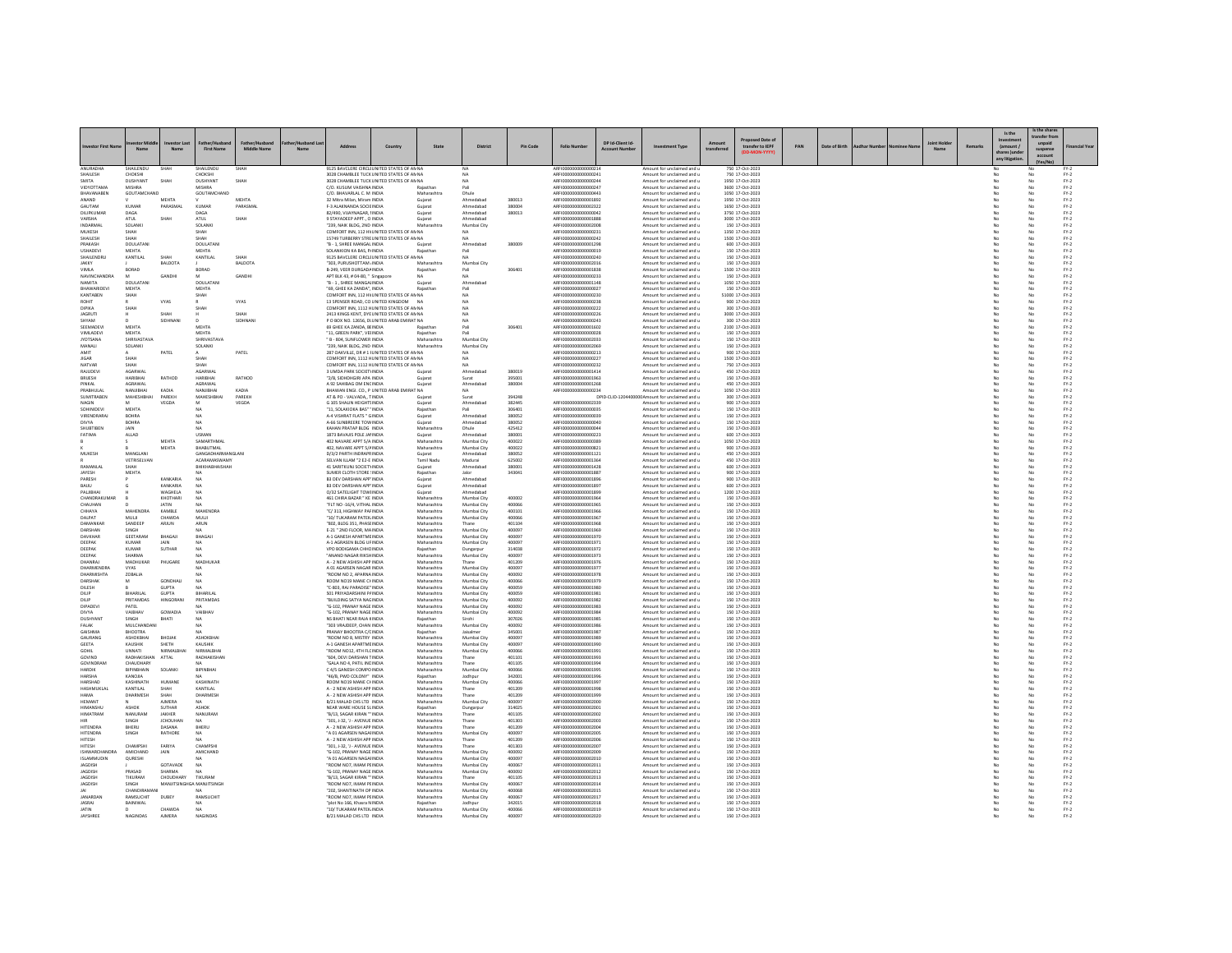| stor First                                | Nan                           | N:                             | <b>First Name</b>                | <b>Middle Name</b> | Address                                                                                  | Country | State                      | District                   | <b>Pin Code</b>  | <b>Folio Nun</b>                             | DP Id-Client Id-<br>Arro | ent Type                                                                     | transfer to IEPF                     | PAN | Date of Birth |  | N <sub>2</sub> | Remark | Is the<br>(amount / | Is the shar<br>ransfer fn<br>suspense |                  |
|-------------------------------------------|-------------------------------|--------------------------------|----------------------------------|--------------------|------------------------------------------------------------------------------------------|---------|----------------------------|----------------------------|------------------|----------------------------------------------|--------------------------|------------------------------------------------------------------------------|--------------------------------------|-----|---------------|--|----------------|--------|---------------------|---------------------------------------|------------------|
|                                           |                               |                                |                                  |                    |                                                                                          |         |                            |                            |                  |                                              |                          |                                                                              |                                      |     |               |  |                |        | any litigatio       | account                               |                  |
| ANURADHA<br>SHAILESH                      | HAILENDL<br>CHOKSHI           |                                | HAILENDU<br>CHOKSHI              |                    | 9125 BAVCLERE CIRCLI UNITED STATES OF AN NA<br>3028 CHAMBLEE TUCK UNITED STATES OF AN NA |         |                            | <b>NA</b>                  |                  | AREI00000000000021<br>ARFI0000000000000241   |                          | Amount for unclaimed and<br>Amount for unclaimed and u                       | 750 17-Oct-2023<br>750 17-Oct-2023   |     |               |  |                |        |                     |                                       | $FY-2$           |
| SMITA<br>VIDYOTTAM/                       | <b>DUSHYANT</b><br>MISHRA     | SHAI                           | <b>DUSHYAN</b><br><b>MISHRA</b>  | SHAH               | 3028 CHAMBLEE TUCK UNITED STATES OF AN NA<br>C/O. KUSUM VAISHNA INDIA                    |         |                            |                            |                  | ARFI000000000000024<br>ARFI0000000000000247  |                          | Amount for unclaimed and u<br>Amount for unclaimed and                       | 1950 17-Oct-2023<br>3600 17-Oct-2023 |     |               |  |                |        | No                  |                                       | $FY-2$<br>$FY-2$ |
| BHAVANABEN<br>ANAND                       | GOUTAMCHAND                   | MEHTA                          | GOUTAMCHAND                      | MEHTA              | C/O. BHAVARLAL C. M INDIA<br>32 Mitra Milan, Miram INDIA                                 |         | Maharashtra<br>Gujarat     | Dhule<br>Ahmedabao         | 380013           | ARFI0000000000000443<br>ARFI0000000000001892 |                          | Amount for unclaimed and u<br>Amount for unclaimed and u                     | 1050 17-Oct-2023<br>1950 17-Oct-2023 |     |               |  |                |        | No<br>No            | No<br>No                              | $FY-2$<br>$FY-2$ |
| GAUTAM                                    | KUMAR                         | PARASMA                        | KUMAF                            | PARASMA            | F-3 ALAKNANDA SOCIE INDIA                                                                |         | Gujarat                    | Ahmedabar                  | 380004           | ARFI0000000000002322                         |                          | Amount for unclaimed and u                                                   | 1650 17-Oct-2023                     |     |               |  |                |        |                     |                                       | $PV-2$           |
| DILIPKUMAR<br>VARSHA                      | DAGA<br>ATUL                  | SHAH                           | DAGA<br>ATUL                     | SHAH               | 82/490, VIJAYNAGAR, IINDIA<br>9 STAYADEEP APPT., O INDIA                                 |         | Gujara<br>Guiarat          | Ahmedabao<br>Ahmedabad     | 380013           | ARFI0000000000000042<br>ARFI0000000000001888 |                          | Amount for unclaimed and u<br>Amount for unclaimed and u                     | 3750 17-Oct-2023<br>3000 17-Oct-2023 |     |               |  |                |        | No<br>No            | No                                    | $FY-2$<br>$FY-2$ |
| MUKESH                                    | SOLANK<br>SHAH                |                                | SOLANK<br>SHAH                   |                    | "239, NAIK BLDG, 2ND INDIA<br>COMFORT INN, 112 HV UNITED STATES OF AN NA                 |         |                            | Mumbai City<br>NΔ          |                  | ARFI0000000000002008<br>ARFI000000000000023  |                          | Amount for unclaimed and u<br>Amount for unclaimed and                       | 150 17-Oct-2023<br>1350 17-Oct-2023  |     |               |  |                |        | No                  |                                       | $PV-2$<br>$FY-2$ |
| SHAILESH                                  | SHAH                          |                                | SHAH                             |                    | 15749 TURBERRY STREUNITED STATES OF AN NA                                                |         |                            | <b>NA</b>                  |                  | ARFI0000000000000242                         |                          | Amount for unclaimed and u                                                   | 1500 17-Oct-2023                     |     |               |  |                |        | No                  | No                                    | $FY-2$           |
| PRAKASH<br><b>USHADEV</b>                 | DOULATANI<br><b>MEHTA</b>     |                                | DOULATANI<br><b>MEHTA</b>        |                    | "B - 1, SHREE MANGAL INDIA<br>SOLANKION KA BAS, P/INDIA                                  |         | Guiarat<br>Rajasthan       | Ahmedabao<br>Pali          | 380009           | ARFI0000000000001298<br>ARFI0000000000000019 |                          | Amount for unclaimed and u<br>Amount for unclaimed and u                     | 600 17-Oct-2023<br>150 17-Oct-2023   |     |               |  |                |        | No                  | No                                    | $FY-2$<br>$FY-2$ |
| SHAILENDRU<br>JAKKY                       | KANTILAL                      | <b>SHAF</b><br>BALDOTA         | KANTILAL                         | SHAH<br>BALDOTA    | 9125 BAVCLERE CIRCLI UNITED STATES OF AN NA<br>"303, PURUSHOTTAM , INDIA                 |         | Maharashtra                | <b>NA</b><br>Mumbai City   |                  | ARFI0000000000000240<br>ARFI0000000000002016 |                          | Amount for unclaimed and<br>Amount for unclaimed and u                       | 150 17-Oct-2023<br>150 17-Oct-2023   |     |               |  |                |        | No<br>No            | No<br>No                              | $FY-2$<br>$FY-2$ |
| VIMLA                                     | BORAD                         |                                | BORAD                            |                    | B-249, VEER DURGADA INDIA                                                                |         | Rajasthan                  | Pali                       | 306401           | ARFI0000000000001838                         |                          | Amount for unclaimed and u                                                   | 1500 17-Oct-2023                     |     |               |  |                |        | No                  | No                                    | $FY-2$           |
| <b>NAVINCHANDRA</b><br>NAMITA             | <b>DOULATANI</b>              | GANDH                          | M<br>DOULATANI                   | GANDH              | APT BLK 43, # 04-80, " Singapon<br>"B - 1. SHREE MANGALINDIA                             |         | Guiarat                    | <b>NA</b><br>Ahmedabao     |                  | ARFI0000000000000233<br>ARFI0000000000001148 |                          | Amount for unclaimed and<br>Amount for unclaimed and u                       | 150 17-Oct-2023<br>1050 17-Oct-2023  |     |               |  |                |        | No<br>No            | No                                    | $PV-2$<br>$FY-2$ |
| <b>BHAWARIDEVI</b><br>KANTABEN            | MEHTA                         |                                | <b>MEHTA</b><br>SHAH             |                    | "69, GHEE KA ZANDA", INDIA<br>COMFORT INN, 112 HV UNITED STATES OF AN NA                 |         | Rajasthan                  | Pali<br>NA                 |                  | ARFI0000000000000027<br>ARFI0000000000000230 |                          | Amount for unclaimed and u<br>Amount for unclaimed and u                     | 150 17-Oct-2023<br>51000 17-Oct-2023 |     |               |  |                |        | No                  | No<br>No                              | $FY-2$<br>$FY-2$ |
| ROHIT                                     | SHAH                          | VYAS                           |                                  | VYAS               | 13 SPENSER ROAD, CO UNITED KINGDOM NA                                                    |         |                            | NΔ                         |                  | ARFI0000000000000238                         |                          | Amount for unclaimed and u                                                   | 900 17-Oct-2023                      |     |               |  |                |        | No                  | No                                    | $FY-2$           |
| DIPIKA<br><b>JAGRUTI</b>                  | SHAH                          | SHAH                           | SHAH                             | SHAH               | COMEORT INN 1112 HUNITED STATES OF ANNA<br>2413 KINGS KENT, DYE UNITED STATES OF AN NA   |         |                            | <b>NA</b><br>NA            |                  | AREI0000000000000222<br>ARFI0000000000000226 |                          | Amount for unclaimed and u<br>Amount for unclaimed and u                     | 300 17-Oct-2023<br>3000 17-Oct-2023  |     |               |  |                |        | No<br>No            | No<br>No                              | $FY-2$<br>$FY-2$ |
| SHYAM<br>SEEMADEV                         | <b>MEHTA</b>                  | SIDHNAN                        | MEHTA                            | SIDHNAN            | P O BOX NO. 12656, DI UNITED ARAB EMIRAT NA                                              |         |                            | NA                         | 306401           | ARFI0000000000000243<br>AREI0000000000001602 |                          | Amount for unclaimed and u                                                   | 300 17-Oct-2023                      |     |               |  |                |        | No                  | No                                    | $FY-2$           |
| VIMLADEVI                                 | <b>MEHTA</b>                  |                                | MEHTA                            |                    | 69 GHEE KA ZANDA, BEINDIA<br>"11, GREEN PARK", VEHNDIA                                   |         | Rajasthar<br>Rajasthan     | Pal<br>Pali                |                  | ARFI000000000000028                          |                          | Amount for unclaimed and<br>Amount for unclaimed and u                       | 2100 17-Oct-2023<br>150 17-Oct-2023  |     |               |  |                |        | No<br>No            | No                                    | $FN-2$<br>$FN-2$ |
| <b>JYOTSANA</b><br>MANALI                 | <b>SHRIVASTAVA</b><br>SOLANKI |                                | SHRIVASTAVA<br>SOLANKI           |                    | " B - 804, SUNFLOWER INDIA<br>"239, NAIK BLDG, 2ND INDIA                                 |         | Maharashtra<br>Maharashtra | Mumbai City<br>Mumbai City |                  | ARFI0000000000002033<br>ARFI0000000000002069 |                          | Amount for unclaimed and u<br>Amount for unclaimed and u                     | 150 17-Oct-2023<br>150 17-Oct-2023   |     |               |  |                |        | No<br>No            | No<br>No                              | $FY-2$<br>$PV-2$ |
| AMIT                                      |                               | PATEL                          |                                  | PATEL              | 287 OAKVILLE, DR # 1 I UNITED STATES OF AN NA                                            |         |                            | <b>NA</b>                  |                  | ARFI0000000000000213                         |                          | Amount for unclaimed and u                                                   | 900 17-Oct-2023                      |     |               |  |                |        | No                  | No                                    | $FY-2$           |
| <b>JIGAR</b><br>NATVAR                    | SHAH<br>SHAH                  |                                | SHAH<br><b>SHAI</b>              |                    | COMFORT INN, 1112 HUNITED STATES OF AN NA<br>COMFORT INN, 1112 HUNITED STATES OF AN NA   |         |                            | <b>NA</b><br>NA            |                  | ARFI0000000000000227<br>ARFI0000000000000232 |                          | Amount for unclaimed and u<br>Amount for unclaimed and u                     | 1500 17-Oct-2023<br>750 17-Oct-2023  |     |               |  |                |        | No                  | No<br>No                              | $FY-2$<br>$FY-2$ |
| RAJUDEVI<br>BRUESH                        | <b>AGARWAI</b><br>HARIBHAI    | RATHOD                         | AGARWAI<br>HARIBHAI              | RATHOD             | 3 UMDA PARK SOCIETY INDIA<br>"2/B. SIDHDHGIRI APA INDIA                                  |         | Gujara<br>Guiarat          | Ahmedabao<br>Surat         | 380019<br>395001 | AREI0000000000001414<br>ARFI0000000000001963 |                          | Amount for unclaimed and u<br>Amount for unclaimed and u                     | 450 17-Oct-2023<br>150 17-Oct-2023   |     |               |  |                |        | No<br>No            | No<br>No                              | $FY-2$<br>$FY-2$ |
| PINKAL                                    | AGRAWAI                       |                                | AGRAWAL                          |                    | A 92 SAHIBAG OM ENCINDIA                                                                 |         | Gujarat                    | Ahmedaba                   | 380004           | ARFI0000000000001268                         |                          | Amount for unclaimed and u                                                   | 450 17-Oct-2023                      |     |               |  |                |        |                     | No                                    | $FY-2$           |
| PRABHULA<br>SUMITRABEN                    | NANJIRHAI<br>MAHESHBHA        | KADIA<br>PAREKH                | NANJIBHA<br>MAHESHBHA            | KADIA<br>PAREKH    | BHAWAN ENGI. CO., P UNITED ARAB EMIRAT NA<br>AT & PO - VALVADA TINDIA                    |         | Guiara                     | <b>NA</b><br>Surat         | 394248           | ARFI0000000000000234                         |                          | Amount for unclaimed and u<br>DPID-CUD-1204400000 Amount for unclaimed and u | 1050 17-Oct-2023<br>300 17-Oct-2023  |     |               |  |                |        | No<br>No            | No<br>No                              | $FY-2$<br>$FY-2$ |
| NAGIN<br>SOHINIDEV                        | <b>MEHTA</b>                  | VEGDA                          | M                                | VEGDA              | G 105 SHALIN HEIGHTS INDIA<br>"11, SOLAKIOKA BAS" ' INDIA                                |         | Gujarat                    | Ahmedabad                  | 382445<br>306401 | ARFI0000000000002339<br>ARFI0000000000000035 |                          | Amount for unclaimed and u                                                   | 900 17-Oct-2023<br>150 17-Oct-2023   |     |               |  |                |        | No                  | No                                    | $FY-2$<br>$FY-2$ |
| <b>VIRENDRARA</b>                         | <b>BOHRA</b>                  |                                | NA                               |                    | A-4 VISHRAT FLATS * GINDIA                                                               |         | Rajasthar<br>Gujarat       | Pali<br>Ahmedabar          | 380052           | ARFI0000000000000039                         |                          | Amount for unclaimed and u<br>Amount for unclaimed and u                     | 150 17-Oct-2023                      |     |               |  |                |        | No                  | No                                    | $PV-2$           |
| DIVYA<br>SHUBTIBEN                        | <b>BOHRA</b><br>JAIN          |                                | <b>NA</b><br><b>NA</b>           |                    | A-66 SUNBREERE TOW INDIA<br>KAHAN PRATAP BLDG INDIA                                      |         | Guiarat<br>Maharashtra     | Ahmedabad<br>Dhule         | 380052<br>425412 | ARFI0000000000000040<br>ARFI0000000000000044 |                          | Amount for unclaimed and u<br>Amount for unclaimed and u                     | 150 17-Oct-2023<br>150 17-Oct-2023   |     |               |  |                |        | No<br>No            | No<br>No                              | $FY-2$<br>$FY-2$ |
| FATIMA                                    | ALLAD                         | MEHTA                          | USMAN<br>SAMARTHMAL              |                    | 1873 BAVAJIS POLE JAHNDIA<br>402 NAVARE APPT S/A INDIA                                   |         | Maharashtra                | Ahmedabao<br>Mumbai City   | 380001<br>400022 | ARFI0000000000000223<br>ARFI0000000000000389 |                          | Amount for unclaimed and<br>Amount for unclaimed and u                       | 600 17-Oct-2023<br>1050 17-Oct-2023  |     |               |  |                |        | No<br>No            | No                                    | $FY-2$<br>$FY-2$ |
|                                           |                               | MEHTA                          | <b>BHABUTMAL</b>                 |                    | 402, NAVARE APPT 5/4 INDIA                                                               |         | Maharashtra                | Mumbai City                | 400022           | ARFI0000000000000821                         |                          | Amount for unclaimed and u                                                   | 900 17-Oct-2023                      |     |               |  |                |        | No                  | No                                    | $FY-2$           |
| MUKESH                                    | MANGLAN<br>VETRISELVAN        |                                | GANGADHARMANGLAN<br>ACARAMASWAMY |                    | D/3/2 PARTH INDRAPR INDIA<br>SELVAN ILLAM "2 E2-E INDIA                                  |         | Gujarat<br>Tamil Nadı      | Ahmedabar<br>Madurai       | 380052<br>625002 | ARFI0000000000001121<br>ARFI0000000000001364 |                          | Amount for unclaimed and u<br>Amount for unclaimed and                       | 450 17-Oct-2023<br>450 17-Oct-2023   |     |               |  |                |        | No                  | No<br>No                              | $PV-2$<br>$FY-2$ |
| RAMANLAL                                  | SHAH                          |                                | BHIKHABHAISHAH                   |                    | 41 SARITKUNJ SOCIETYINDIA                                                                |         | Guiarat                    | Ahmedabad                  | 380001           | AREI0000000000001428                         |                          | Amount for unclaimed and u                                                   | 600 17-Oct-2023                      |     |               |  |                |        | No                  | No                                    | $FY-2$           |
| JAYESH<br>PARESH                          | <b>MEHTA</b>                  | KANKARU                        | <b>NA</b>                        |                    | SUMER CLOTH STORE : INDIA<br><b>B3 DEV DARSHAN APP' INDIA</b>                            |         | Rajasthan<br>Gujarat       | Jalor<br>Ahmedaba          | 343041           | ARFI0000000000001887<br>ARFI0000000000001896 |                          | Amount for unclaimed and u<br>Amount for unclaimed and u                     | 900 17-Oct-2023<br>900 17-Oct-2023   |     |               |  |                |        | No                  | No<br>No                              | $FY-2$<br>$PV-2$ |
| BAUU<br>PALJIBHAI                         |                               | KANKARIA<br>WAGHELA            | NA<br><b>NA</b>                  |                    | B3 DEV DARSHAN APP' INDIA<br>O/32 SATELIGHT TOWHNDIA                                     |         | Gujarat<br>Gujarat         | Ahmedabao<br>Ahmedabad     |                  | ARFI0000000000001897<br>ARFI0000000000001895 |                          | Amount for unclaimed and<br>Amount for unclaimed and u                       | 600 17-Oct-2023<br>1200 17-Oct-2023  |     |               |  |                |        | No<br>No            | No                                    | $FY-2$<br>$FY-2$ |
| CHANDRAKU                                 |                               | KHOTHARI                       |                                  |                    | 461 CHIRA BAZAR * KE INDIA                                                               |         | Maharashtra                | Mumbai City                | 400002           | ARFI000000000000196                          |                          | Amount for unclaimed and u                                                   | 150 17-Oct-2023                      |     |               |  |                |        |                     | No                                    | $PV-2$           |
| CHAUHAN<br>CHHAYA                         | MAHENDRA                      | <b>JATIN</b><br>KAMBLE         | NA<br>MAHENDRA                   |                    | "FLT NO -16/4, VITHAL INDIA<br>"C/313 HIGHWAY PAFINDIA                                   |         | Maharashtra<br>Maharashtra | Mumbai City<br>Mumbai City | 400066<br>400101 | ARFI0000000000001965<br>AREI0000000000001966 |                          | Amount for unclaimed and<br>Amount for unclaimed and u                       | 150 17-Oct-2023<br>150 17-Oct-2023   |     |               |  |                |        | No<br>No            | No<br>No                              | $FY-2$<br>$FY-2$ |
| DALPAT                                    | MULI<br>SANDEER               | CHAWDA<br>ARJUN                | MULJI                            |                    | "10/ TUKARAM PATEK INDIA<br>802, BLDG 351, PHASE INDIA                                   |         | Maharashtra                | Mumbai City                | 400066<br>401104 | ARFI0000000000001967<br>ARFI000000000000196  |                          | Amount for unclaimed and u                                                   | 150 17-Oct-2023<br>150 17-Oct-2023   |     |               |  |                |        | No                  | No<br>No                              | $FY-2$<br>$PV-2$ |
| DAMANKAI<br>DARSHAN                       | <b>SINGH</b>                  |                                | ARUN                             |                    | E-21 " 2ND FLOOR, MAINDIA                                                                |         | Maharashtra<br>Maharashtra | Mumbai City                | 400097           | ARFI00000000000196                           |                          | Amount for unclaimed and u<br>Amount for unclaimed and                       | 150 17-Oct-2023                      |     |               |  |                |        | No                  |                                       | $FY-2$           |
| DAVKHAR<br>DEEPAK                         | GEETARAM<br>KUMAR             | BHAGAJI<br>JAIN                | BHAGAJI                          |                    | A-1 GANESH APARTME INDIA<br>A-1 AGRASEN BLDG UF INDIA                                    |         | Maharashtra<br>Maharashtra | Mumbai City<br>Mumbai City | 400097<br>400097 | ARFI0000000000001970<br>ARFI0000000000001971 |                          | Amount for unclaimed and u<br>Amount for unclaimed and u                     | 150 17-Oct-2023<br>150 17-Oct-2023   |     |               |  |                |        | No                  | No<br>No                              | $FY-2$<br>$PV-2$ |
| DEEPAK                                    | KUMAR                         | <b>SUTHAR</b>                  | <b>NA</b>                        |                    | VPO BODIGAMA CHHCINDIA                                                                   |         | Rajasthan                  | Dungarpur                  | 314038           | ARFI0000000000001972                         |                          | Amount for unclaimed and                                                     | 150 17-Oct-2023                      |     |               |  |                |        | No                  | No                                    | $FY-2$           |
| DEEPAK<br>DHANRAJ                         | SHARMA<br>MADHUKAR            | PHUGARE                        | <b>NA</b><br>MADHUKAR            |                    | "ANAND NAGAR RIKSHINDIA<br>A - 2 NEW ASHISH APP INDIA                                    |         | Maharashtra<br>Maharashtra | Mumbai City<br>Thane       | 400097<br>401209 | ARFI0000000000001973<br>ARFI0000000000001976 |                          | Amount for unclaimed and u<br>Amount for unclaimed and u                     | 150 17-Oct-2023<br>150 17-Oct-2023   |     |               |  |                |        | No<br>No            | No<br>No                              | $FY-2$<br>$FY-2$ |
| DHARMENDR.<br>DHARMISHTA                  | VYAS<br>ZOBALIA               |                                | NA                               |                    | A 01 AGARSEN NAGAR INDIA<br>"ROOM NO 2, APARNA INDIA                                     |         | Maharashtra<br>Maharashtra | Mumbai City<br>Mumbai City | 400097<br>400092 | ARFI000000000000197<br>ARFI0000000000001978  |                          | Amount for unclaimed and u<br>Amount for unclaimed and u                     | 150 17-Oct-2023<br>150 17-Oct-2023   |     |               |  |                |        | No                  | No                                    | $FY-2$<br>$FY-2$ |
| DARSHAK                                   | M                             | GONDHALL                       | <b>NA</b>                        |                    | ROOM NO19 MANE CHINDIA                                                                   |         | Maharashtra                | Mumbai City                | 400066           | ARFI0000000000001979                         |                          | Amount for unclaimed and u                                                   | 150 17-Oct-2023                      |     |               |  |                |        | No                  | No                                    | $FY-2$           |
| DILESH<br>DILIP                           | <b>BIHARILAI</b>              | <b>GUPTA</b><br><b>GUPTA</b>   | <b>NA</b><br><b>RIHARILAI</b>    |                    | "C-803, RAJ PARADISE" INDIA<br>501 PRIYADARSHINI PAINDIA                                 |         | Maharashtra<br>Maharashtra | Mumbai City<br>Mumbai City | 400059<br>400059 | ARFI0000000000001980<br>ARFI000000000000198  |                          | Amount for unclaimed and u<br>Amount for unclaimed and                       | 150 17-Oct-2023<br>150 17-Oct-2023   |     |               |  |                |        | No<br>No            | No                                    | $FY-2$<br>$PV-2$ |
| DILIP<br>DIPADEVI                         | PRITAMDAS<br>PATEL            | <b>HINGORANI</b>               | PRITAMDAS<br><b>NA</b>           |                    | "BUILDING SATYA NAGINDIA<br>"G-102, PRANAY NAGE INDIA                                    |         | Maharashtra<br>Maharashtra | Mumbai City<br>Mumbai City | 400092<br>400092 | ARFI0000000000001982<br>ARFI0000000000001983 |                          | Amount for unclaimed and u<br>Amount for unclaimed and u                     | 150 17-Oct-2023<br>150 17-Oct-2023   |     |               |  |                |        | No<br>No            | No<br>No                              | $FY-2$<br>$FY-2$ |
| DIVYA                                     | VAIBHAV                       | GOWADIA                        | VAIBHAV                          |                    | "G-102, PRANAY NAGE INDIA                                                                |         | Maharashtra                | Mumbai City                | 400092           | ARFI0000000000001984                         |                          | Amount for unclaimed and u                                                   | 150 17-Oct-2023                      |     |               |  |                |        |                     | No                                    | $FY-2$           |
| DUSHYANT<br>FALAK                         | SINGH<br>MULCHANDANI          | BHATI                          | <b>NA</b><br><b>NA</b>           |                    | NS BHATI NEAR RAJA KINDIA<br>"303 VRAJDEEP, CHAN INDIA                                   |         | Rajasthan<br>Maharashtra   | Sirohi<br>Mumbai City      | 307026<br>400092 | AREI0000000000001985<br>ARFI0000000000001986 |                          | Amount for unclaimed and u<br>Amount for unclaimed and u                     | 150 17-Oct-2023<br>150 17-Oct-2023   |     |               |  |                |        | No<br>No            | No<br>No                              | $FY-2$<br>$FY-2$ |
| GAISHMA<br>GAURANG                        | BHOOTRA                       | BHOJAK                         | ASHOKBHA                         |                    | PRANAY BHOOTRA C/CINDIA<br>ROOM NO 8, MISTRY INDIA                                       |         | Rajasthan<br>Maharashtra   | Jaisalmen                  | 345001<br>400097 | ARFI0000000000001987<br>ARFI000000000001989  |                          | Amount for unclaimed and u<br>Amount for unclaimed and u                     | 150 17-Oct-2023<br>150 17-Oct-2023   |     |               |  |                |        | No<br>No            | No<br>No                              | $FY-2$           |
| <b>GEETA</b>                              | ASHOKBHAI<br>KAUSHIK          | SHETH                          | KAUSHIK                          |                    | A-1 GANESH APARTME INDIA                                                                 |         | Maharashtra                | Mumbai City<br>Mumbai City | 400097           | ARFI0000000000001990                         |                          | Amount for unclaimed and u                                                   | 150 17-Oct-2023                      |     |               |  |                |        | No                  | No                                    | $FY-2$<br>$FY-2$ |
| GOHIL<br>GOVIND                           | UNNATI<br>RADHAKISH           | NIRMALBHA<br>ATTAL             | NIRMALBHA<br>RADHAKISHAI         |                    | ROOM NO12, 4TH FLC INDIA<br>"604, DEVI DARSHAN TINDIA                                    |         | Maharashtra<br>Maharashtra | Mumbai City<br>Thane       | 400066<br>401101 | ARFI0000000000001991<br>ARFI000000000001993  |                          | Amount for unclaimed and u<br>Amount for unclaimed and u                     | 150 17-Oct-2023<br>150 17-Oct-2023   |     |               |  |                |        | No                  | No<br>No                              | $FY-2$<br>$FY-2$ |
| GOVINDRAN                                 | CHAUDHARY                     |                                |                                  |                    | "GALA NO 4, PATIL INCINDIA                                                               |         | Maharashtra                | Thane                      | 401105           | ARFI0000000000001994                         |                          | Amount for unclaimed and u                                                   | 150 17-Oct-2023                      |     |               |  |                |        | No                  | No                                    | $FY-2$           |
| HARDIK<br>HARSHA                          | BIPINBHAIN<br>KANOJIA         | SOLANKI                        | BIPINBHAI<br>NA.                 |                    | C 4/5 GANESH COMPO INDIA<br>"46/B, PWD COLONY" INDIA                                     |         | Maharashtra<br>Rajasthan   | Mumbai City<br>Jodhpur     | 400066<br>342001 | ARFI000000000001995<br>ARFI0000000000001996  |                          | Amount for unclaimed and u<br>Amount for unclaimed and u                     | 150 17-Oct-2023<br>150 17-Oct-2023   |     |               |  |                |        | No<br>No            | No<br>No                              | $FY-2$<br>$FY-2$ |
| HARSHAD<br>HASHMUKLAI                     | KASHINATH<br>KANTILAL         | HUMAN<br>SHAH                  | KASHINATH<br>KANTILAI            |                    | ROOM NO19 MANE CHINDIA<br>A - 2 NEW ASHISH APP INDIA                                     |         | Maharashtra<br>Maharashtra | Mumbai City<br>Thane       | 400066<br>401209 | ARFI000000000000199<br>ARFI000000000001998   |                          | Amount for unclaimed and u<br>Amount for unclaimed and u                     | 150 17-Oct-2023<br>150 17-Oct-2023   |     |               |  |                |        | No                  | No<br>No                              | $FY-2$<br>$FY-2$ |
| <b>HAMA</b>                               | DHARMESH                      | SHAH                           | DHARMESH                         |                    | A - 2 NEW ASHISH APP INDIA                                                               |         | Maharashtra                | Thane                      | 401209           | ARFI0000000000001999                         |                          | Amount for unclaimed and u                                                   | 150 17-Oct-2023                      |     |               |  |                |        | No                  | No                                    | $FY-2$           |
| <b>HEMAN</b><br><b>HIMANSHLI</b>          | ASHOK                         | <b>AJMERA</b><br><b>SUTHAR</b> | ASHOK                            |                    | B/21 MALAD CHS LTD INDIA<br>NEAR WARE HOUSE SLINDIA                                      |         | Maharashtra<br>Rajasthan   | Mumbai City<br>Dungarpur   | 400097<br>314025 | ARFI0000000000002000<br>ARFI0000000000002001 |                          | Amount for unclaimed and u<br>Amount for unclaimed and                       | 150 17-Oct-2023<br>150 17-Oct-2023   |     |               |  |                |        | No                  | No                                    | $FY-2$<br>$FY-2$ |
| <b>HIMATRAN</b>                           | NANURAM                       | JAKHER                         | NANURAM                          |                    | "B/13, SAGAR KIRAN "" INDIA                                                              |         | Maharashtra                | Thane                      | 401105<br>401303 | ARFI0000000000002002                         |                          | Amount for unclaimed and u                                                   | 150 17-Oct-2023                      |     |               |  |                |        | No<br>No            | No<br>No                              | $FY-2$           |
| <b>HITENDRA</b>                           | SINGH<br>BHERU                | <b>JCHOUHAN</b><br>DASANA      | <b>NA</b><br>BHERU               |                    | "301, J-32, 'J - AVENUE INDIA<br>A - 2 NEW ASHISH APP INDIA                              |         | Maharashtra<br>Maharashtra | Thane<br>Thane             | 401209           | ARFI0000000000002003<br>ARFI000000000000200  |                          | Amount for unclaimed and u<br>Amount for unclaimed and u                     | 150 17-Oct-2023<br>150 17-Oct-2023   |     |               |  |                |        |                     |                                       | $FY-2$<br>$FY-2$ |
| HITENDRA<br>HITESH                        | SINGH                         | RATHORE                        | NA<br>NA.                        |                    | "A 01 AGARSEN NAGAHNDIA<br>A - 2 NEW ASHISH APP INDIA                                    |         | Maharashtra<br>Maharashtra | Mumbai City<br>Thane       | 400097<br>401209 | ARFI0000000000002005<br>ARFI0000000000002006 |                          | Amount for unclaimed and<br>Amount for unclaimed and u                       | 150 17-Oct-2023<br>150 17-Oct-2023   |     |               |  |                |        | No<br>No            | No<br>No                              | $FY-2$<br>$FY-2$ |
| HITESH                                    | CHAMPSH<br>AMICHAND           | FARIYA                         | CHAMPSH<br>AMICHAND              |                    | 301. J-32. 'J - AVENUE INDIA                                                             |         | Maharashtra                | Thane<br>Mumbai City       | 401303           | ARFI0000000000002007<br>ARFI000000000000200  |                          | Amount for unclaimed and u                                                   | 150 17-Oct-2023                      |     |               |  |                |        | No                  | No                                    | $FY-2$           |
| <b>ISHWARCHANDRA</b><br><b>ISLAMMUDIN</b> | QURESHI                       | <b>JAIN</b>                    | NA.                              |                    | "G-102, PRANAY NAGE INDIA<br>"A 01 AGARSEN NAGAHNDIA                                     |         | Maharashtra<br>Maharashtra | Mumbai City                | 400092<br>400097 | ARFI0000000000002010                         |                          | Amount for unclaimed and<br>Amount for unclaimed and u                       | 150 17-Oct-2023<br>150 17-Oct-2023   |     |               |  |                |        | No                  | No                                    | $FY-2$<br>$FY-2$ |
| JAGDISH<br><b>JAGDISH</b>                 | PRASAD                        | GOTAVADE<br>SHARMA             | <b>NA</b>                        |                    | "ROOM NO7, IMAM PEINDIA<br>G-102, PRANAY NAGE INDIA                                      |         | Maharashtra<br>Maharashtra | Mumbai City<br>Mumbai City | 400067<br>400092 | ARFI0000000000002011<br>ARFI0000000000002012 |                          | Amount for unclaimed and u<br>Amount for unclaimed and u                     | 150 17-Oct-2023<br>150 17-Oct-2023   |     |               |  |                |        | No                  | No                                    | $FY-2$<br>$PV-2$ |
| <b>JAGDISH</b>                            | TIKURAM                       | CHOUDHARY                      | TIKURAM                          |                    | "B/13, SAGAR KIRAN "" INDIA                                                              |         | Maharashtra                |                            | 401105           | ARFI0000000000002013                         |                          | Amount for unclaimed and                                                     | 150 17-Oct-2023                      |     |               |  |                |        |                     |                                       | $FY-2$           |
| JAGDISH                                   | SINGH<br>CHANDIRAMAN          | MANJITSINGHGA MANJITSINGH      |                                  |                    | "ROOM NO7. IMAM PEINDIA<br>"202, SHANTINATH OP INDIA                                     |         | Maharashtra<br>Maharashtra | Mumbai City<br>Mumbai City | 400067<br>400068 | ARFI0000000000002014<br>ARFI000000000002015  |                          | Amount for unclaimed and u<br>Amount for unclaimed and u                     | 150 17-Oct-2023<br>150 17-Oct-2023   |     |               |  |                |        | No<br>No            | No<br>No                              | $FY-2$<br>$FY-2$ |
| JANARDAN<br><b>JASRAJ</b>                 | RAMSUCHIT                     | DUBE                           | <b>RAMSUCHI</b>                  |                    | ROOM NO7, IMAM PEINDIA                                                                   |         | Maharashtra<br>Rajasthan   | Mumbai City                | 400067<br>342015 | ARFI000000000000201<br>ARFI0000000000002018  |                          | Amount for unclaimed and u<br>Amount for unclaimed and                       | 150 17-Oct-2023<br>150 17-Oct-2023   |     |               |  |                |        |                     |                                       | $PV-2$           |
| <b>JATIN</b>                              | BAINIWAL                      | CHAWDA                         | <b>NA</b>                        |                    | "plot No 166, Khasra NINDIA<br>10/ TUKARAM PATEK INDIA                                   |         | Maharashtra                | Jodhpu<br>Mumbai City      | 400066           | ARFI0000000000002019                         |                          | Amount for unclaimed and u                                                   | 150 17-Oct-2023                      |     |               |  |                |        | No                  | No                                    | $FY-2$<br>$FY-2$ |
| JAYSHREE                                  | NAGINDAS                      | AIMERA                         | NAGINDA:                         |                    | B/21 MALAD CHS LTD INDIA                                                                 |         | Maharashtra                | Mumbai City                | 400097           | ARFI0000000000002020                         |                          | Amount for unclaimed and u                                                   | 150 17-Oct-2023                      |     |               |  |                |        |                     |                                       | $FY-2$           |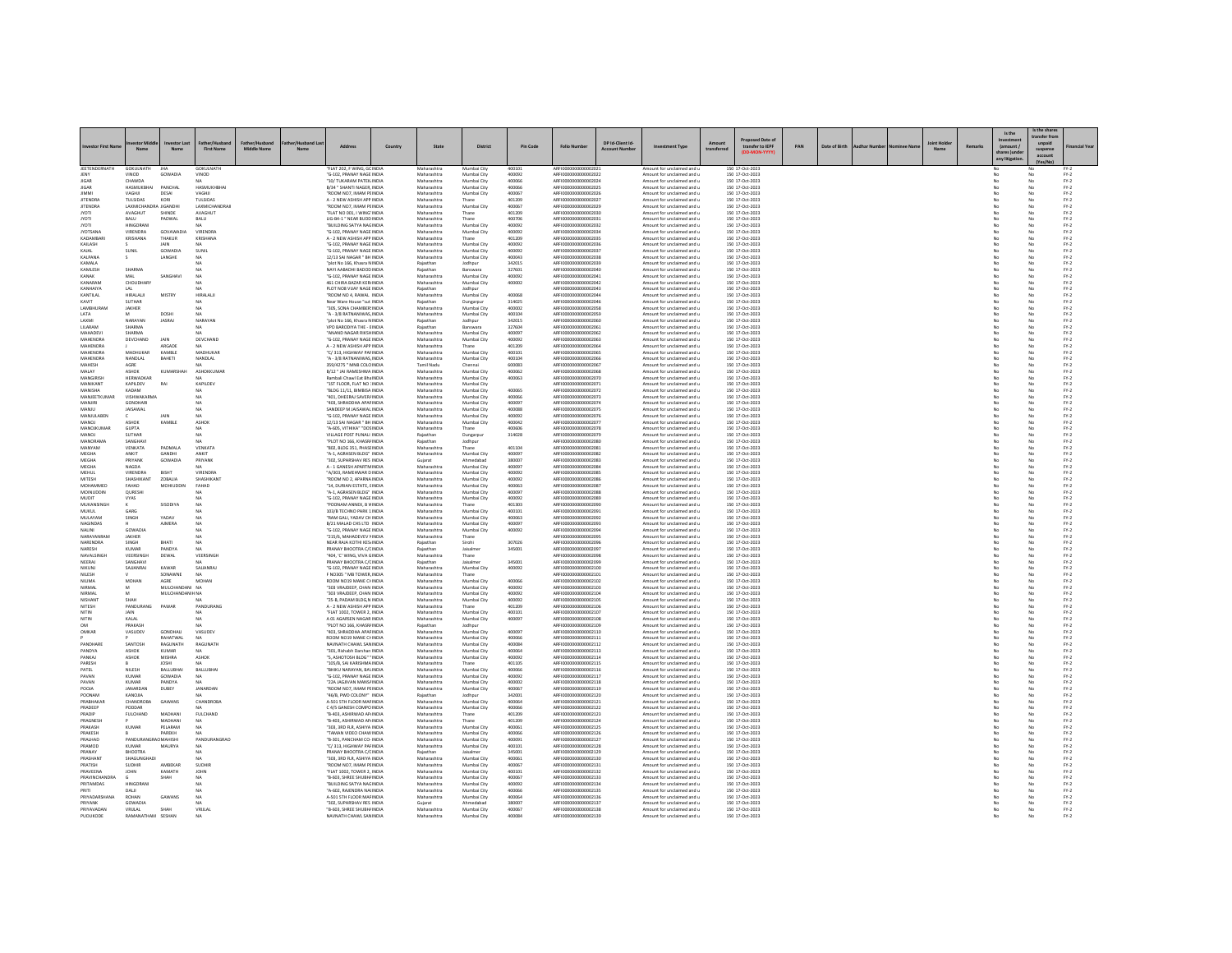|                                |                                    |                               |                              |             |                                                                 |         |                            |                            |                  |                                              |                  |                                                           |            |                                    |     |               |  |        | Is the                 | Is the shar<br>ransfer fro |                                                                               |
|--------------------------------|------------------------------------|-------------------------------|------------------------------|-------------|-----------------------------------------------------------------|---------|----------------------------|----------------------------|------------------|----------------------------------------------|------------------|-----------------------------------------------------------|------------|------------------------------------|-----|---------------|--|--------|------------------------|----------------------------|-------------------------------------------------------------------------------|
| westor First I                 | $M \rightarrow 0$                  | No.                           | <b>First Name</b>            | Middle Name | Address                                                         | Country | State                      | District                   | <b>Pin Code</b>  | <b>Folio Number</b>                          | DP Id-Client Id- | nent Type                                                 | transferre | transfer to IEPF                   | PAN | Date of Birth |  | Remark | (amount /<br>any litir | suspense<br>account        | inancial Yea                                                                  |
| JEETENDERNATI                  | <b>GOKULNATI</b>                   |                               | SOKULNATH                    |             | FLAT 202, F WING, GC INDIA                                      |         | Maharashtr                 | Mumbai City                | 400101           | REI000000000000202                           |                  | Amount for unclaimed and                                  |            | 150 17-Oct-2023                    |     |               |  |        |                        |                            |                                                                               |
| <b>IFNY</b><br>IIGAR           | VINOD<br><b>CHAWDA</b>             | GOWADIA                       | VINOD                        |             | "G-102. PRANAY NAGE INDIA<br>"10/ TUKARAM PATEK INDIA           |         | Maharashtra<br>Maharashtra | Mumbai City<br>Mumbai City | 400092<br>400066 | ARFI0000000000002022<br>ARFI0000000000002024 |                  | Amount for unclaimed and u<br>Amount for unclaimed and u  |            | 150 17-Oct-2023<br>150 17-Oct-2023 |     |               |  |        |                        | No                         | $FY-2$<br>$FN-2$                                                              |
| <b>JIGAR</b><br><b>HMM</b>     | HASMUKBHA<br>VAGHIL                | PANCHAL<br>DESAL              | HASMUKHRHA<br>VAGHIL         |             | B/34 " SHANTI NAGER, INDIA<br>"ROOM NO7 IMAM PEINDIA            |         | Maharashtra<br>Maharashtra | Mumbai City<br>Mumbai City | 400066<br>400067 | ARFI0000000000002025<br>AREI0000000000002026 |                  | Amount for unclaimed and<br>Amount for unclaimed and u    |            | 150 17-Oct-2023<br>150 17-Oct-2023 |     |               |  |        |                        |                            | PY-2<br>$FY-2$                                                                |
| <b>JITENDRA</b>                | <b>TULSIDAS</b>                    | KORI                          | TULSIDAS                     |             | A - 2 NEW ASHISH APP INDIA                                      |         | Maharashtra                | Thane                      | 401209           | ARFI0000000000002027                         |                  | Amount for unclaimed and u                                |            | 150 17-Oct-2023                    |     |               |  |        | No                     | No                         | $FY-2$                                                                        |
| <b>JITENDRA</b>                | LAXMICHANDRA JIGANDHI              |                               | LAXMICHANDRAJ                |             | "ROOM NO7, IMAM PEINDIA                                         |         | Maharashtra                | Mumbai City                | 400067           | ARFI0000000000002029<br>ARFI0000000000002030 |                  | Amount for unclaimed and u                                |            | 150 17-Oct-2023                    |     |               |  |        |                        | No                         | $FY-2$                                                                        |
| <b>IYOTI</b>                   | AVAGHUT<br><b>BALLE</b>            | SHINDE<br>PADWAI              | AVAGHUT<br><b>BALLE</b>      |             | "FLAT NO 001, I WING' INDIA<br><b>LIG-R4-1 * NEAR RUDDINDIA</b> |         | Maharashtra<br>Maharashtra | Thane<br>Thane             | 401209<br>400706 | AREI0000000000002031                         |                  | Amount for unclaimed and u<br>Amount for unclaimed and u  |            | 150 17-Oct-2023<br>150 17-Oct-2023 |     |               |  |        |                        |                            | $FN-2$                                                                        |
| <b>IYOTI</b><br><b>IYOTSAN</b> | <b>HINGORAN</b><br>VIRENDRA        | GOVAWADIA                     | <b>VIRENDRA</b>              |             | 'BUILDING SATYA NAGINDIA<br>"G-102, PRANAY NAGE INDIA           |         | Maharashtra<br>Maharashtra | Mumbai City<br>Mumbai City | 400092<br>400092 | ARFI0000000000002032<br>ARFI000000000000203  |                  | Amount for unclaimed and u<br>Amount for unclaimed and u  |            | 150 17-Oct-2023<br>150 17-Oct-2023 |     |               |  |        |                        | No                         | $\mathsf{FY}\text{-}\mathsf{2} \atop \mathsf{FY}\text{-}\mathsf{2}$<br>$FN-2$ |
| KADAMRARI                      | KRISHANA                           | THAKUR                        | KRISHANA                     |             | A - 2 NEW ASHISH APP INDIA                                      |         | Maharashtra                | Thane                      | 401209           | ARFI0000000000002035                         |                  | Amount for unclaimed and u                                |            | 150 17-Oct-2023                    |     |               |  |        |                        | No                         | $FY-2$                                                                        |
| KAILASH                        |                                    | <b>JAIN</b>                   | NΔ                           |             | "G-102. PRANAY NAGE INDIA                                       |         | Maharashtra                | Mumbai City                | 400092           | ARFI0000000000002036                         |                  | Amount for unclaimed and u                                |            | 150 17-Oct-2023<br>150 17-Oct-2023 |     |               |  |        | No                     | No                         | $FY-2$<br>$FY-2$                                                              |
| KAJAL<br>KALPANA               | <b>SUNIL</b>                       | GOWADIA<br>LANGHE             | SUNIL<br>NA                  |             | "G-102, PRANAY NAGE INDIA<br>12/13 SAI NAGAR " BH INDIA         |         | Maharashtra<br>Maharashtra | Mumbai City<br>Mumbai City | 400092<br>400043 | ARFI0000000000002037<br>ARFI0000000000002038 |                  | Amount for unclaimed and u<br>Amount for unclaimed and u  |            | 150 17-Oct-2023                    |     |               |  |        |                        | No                         | $FN-2$                                                                        |
| KAMALA                         |                                    |                               | NΔ                           |             | "plot No 166, Khasra NINDIA                                     |         | Rajasthan                  | Jodhpur                    | 342015           | AREI0000000000002035                         |                  | Amount for unclaimed and u                                |            | 150 17-Oct-2023                    |     |               |  |        |                        | No                         | $\mathsf{FY}{\cdot}\mathsf{2}$                                                |
| KAMLESH<br>KANAK               | SHARMA                             | SANGHAV                       | NA<br>NA                     |             | NAYI AABADHI BADOD INDIA<br>G-102, PRANAY NAGE INDIA            |         | Rajasthan<br>Maharashtra   | Banswara<br>Mumbai City    | 327601<br>400092 | ARFI0000000000002040<br>ARFI000000000000204  |                  | Amount for unclaimed and u<br>Amount for unclaimed and u  |            | 150 17-Oct-2023<br>150 17-Oct-2023 |     |               |  |        |                        | No                         | $FY-2$<br>$FY-2$                                                              |
| KANARAM<br>KANHAIYA            | CHOUDHAR<br>LAL                    |                               | NA<br><b>NA</b>              |             | 461 CHIRA BAZAR KERI INDIA<br>PLOT NOS VIJAY NAGE INDIA         |         | Maharashtra<br>Rajasthan   | Mumbai City<br>Jodhour     | 400002           | AREI0000000000002042<br>ARFI0000000000002043 |                  | Amount for unclaimed and u<br>Amount for unclaimed and u  |            | 150 17-Oct-2023<br>150 17-Oct-2023 |     |               |  |        | No                     | No<br>No                   | $\mathsf{FY}{\cdot}\mathsf{2}$<br>$FY-2$                                      |
| KANTILAL                       | <b>HIRALALII</b>                   | MISTRY                        | HIRALALI                     |             | "ROOM NO 4, RAWAL INDIA                                         |         | Maharashtra                | Mumbai City                | 400068           | ARFI0000000000002044                         |                  | Amount for unclaimed and u                                |            | 150 17-Oct-2023                    |     |               |  |        | No                     | No                         | $FY-2$                                                                        |
| KAVIT<br>LAMBHURAN             | <b>SUTHAR</b>                      |                               | NA                           |             | Near Ware House "sut INDIA<br>"305, SONA CHAMBER INDIA          |         | Rajasthan<br>Maharashtr    | Dungarpur                  | 314025<br>400002 | ARFI000000000000204<br>ARFI0000000000002058  |                  | Amount for unclaimed and u                                |            | 150 17-Oct-2023                    |     |               |  |        |                        |                            | $Fr-2$                                                                        |
| <b>ATA</b>                     | JAKHER                             | DOSHI                         | MA                           |             | "A - 3/8 RATNANIWAS INDIA                                       |         | Maharashtra                | Mumbai City<br>Mumbai City | 400104           | AREI0000000000002055                         |                  | Amount for unclaimed and u<br>Amount for unclaimed and u  |            | 150 17-Oct-2023<br>150.17-Oct-2023 |     |               |  |        | No                     | No                         | $FN-2$<br>$PV-2$                                                              |
| LAXMI                          | NARAYAN                            | <b>JASRAJ</b>                 | NARAYAN                      |             | "plot No 166, Khasra NINDIA                                     |         | Rajasthan                  | Jodhour                    | 342015           | ARFI0000000000002060                         |                  | Amount for unclaimed and u                                |            | 150 17-Oct-2023                    |     |               |  |        | No                     | No                         | $FN-2$                                                                        |
| LILARAM<br><b>MAHADEVI</b>     | SHARMA<br>SHARMA                   |                               | NA<br>MA                     |             | VPO BARODIYA THE - EINDIA<br>"ANAND NAGAR RIKSHINDIA            |         | Rajasthan<br>Maharashtra   | Banswara<br>Mumbai City    | 327604<br>400097 | ARFI0000000000002061<br>AREI0000000000002062 |                  | Amount for unclaimed and u<br>Amount for unclaimed and u  |            | 150 17-Oct-2023<br>150 17-Oct-2023 |     |               |  |        |                        | No                         | $FY-2$<br>$PV-2$                                                              |
| MAHENDRA                       | DEVCHAND                           | JAIN                          | DEVCHAND                     |             | "G-102. PRANAY NAGE INDIA                                       |         | Maharashtra                | Mumbai City                | 400092           | ARFI0000000000002063                         |                  | Amount for unclaimed and u                                |            | 150 17-Oct-2023                    |     |               |  |        | No                     | No                         | $FY-2$                                                                        |
| MAHENDRA<br>MAHENDRA           | MADHUKAF                           | ARGADE<br>KAMBLE              | MADHUKAF                     |             | A - 2 NEW ASHISH APP INDIA<br>"C/313, HIGHWAY PAFINDIA          |         | Maharashtra<br>Maharashtra | Thane<br>Mumbai City       | 401209<br>400101 | ARFI0000000000002064<br>ARFI000000000000206  |                  | Amount for unclaimed and u<br>Amount for unclaimed and u  |            | 150 17-Oct-2023<br>150 17-Oct-2023 |     |               |  |        |                        | No                         | $FY-2$<br>$FN-2$                                                              |
| <b>MAHENDRA</b>                | NANDLAL                            | BAHETI                        | NANDLAL                      |             | "A - 3/8 RATNANIWAS INDIA                                       |         | Maharashtra                | Mumbai City                | 400104           | AREI000000000002066                          |                  | Amount for unclaimed and u                                |            | 150 17-Oct-2023                    |     |               |  |        | No                     | No                         | $FN-2$                                                                        |
| MAHESH<br>MALAY                | AGRE<br>ASHOK                      | KUMARSHAH                     | ASHOKKUMAR                   |             | 359/4275 " MNB COLO INDIA<br>B/12 " JAI RAMESHWA INDIA          |         | Tamil Nadu<br>Maharashtra  | Chennai<br>Mumbai City     | 600083<br>400062 | ARFI0000000000002067<br>ARFI0000000000002068 |                  | Amount for unclaimed and u<br>Amount for unclaimed and u  |            | 150 17-Oct-2023<br>150 17-Oct-2023 |     |               |  |        | No                     | No<br>No                   | $FY-2$<br>$FY-2$                                                              |
| MANGIRISH                      | HERWADKAR                          |                               |                              |             | Rambali Chawl Eat Bha INDIA                                     |         | Maharashtra                | Mumbai City                | 400063           | ARFI0000000000002070                         |                  | Amount for unclaimed and u                                |            | 150 17-Oct-2023                    |     |               |  |        |                        |                            | $FY-2$                                                                        |
| MANIKANT<br>MANISHA            | KAPILDEV<br>KADAM                  | RAI                           | KAPILDEV                     |             | "1ST FLOOR, FLAT NO : INDIA<br>"BLDG 11/11, BIMBISA INDIA       |         | Maharashtra<br>Maharashtra | Mumbai City<br>Mumbai City | 400065           | ARFI0000000000002071<br>ARFI0000000000002072 |                  | Amount for unclaimed and u<br>Amount for unclaimed and u  |            | 150 17-Oct-2023<br>150 17-Oct-2023 |     |               |  |        | No                     | No<br>No                   | $FY-2$<br>$FY-2$                                                              |
| MANJEETKUMA                    | VISHWAKARM                         |                               |                              |             | 401, DHEERAJ SAVER/ INDIA                                       |         | Maharashtra                | Mumbai City                | 400066           | ARFI0000000000002073                         |                  | Amount for unclaimed and u                                |            | 150 17-Oct-2023                    |     |               |  |        |                        |                            | $FY-2$                                                                        |
| MANIIRI<br><b>MANJU</b>        | <b>GONDHARL</b><br><b>JAISAWAL</b> |                               | NA<br>NA                     |             | "403 SHRADDHA APAFINDIA<br>SANDEEP M JAISAWAL INDIA             |         | Maharashtra<br>Maharashtra | Mumbai City<br>Mumbai City | 400097<br>400088 | AREI0000000000002074<br>ARFI0000000000002075 |                  | Amount for unclaimed and u<br>Amount for unclaimed and u  |            | 150 17-Oct-2023<br>150 17-Oct-2023 |     |               |  |        | No                     | No<br>No                   | $FN-2$<br>$FY-2$                                                              |
| MANJULABEN                     |                                    | JAIN                          | NA                           |             | "G-102, PRANAY NAGE INDIA                                       |         | Maharashtra                | Mumbai City                | 400092           | ARFI0000000000002076                         |                  | Amount for unclaimed and u                                |            | 150 17-Oct-2023                    |     |               |  |        | No<br>No               | No                         | $FY-2$                                                                        |
| MANOJ<br>MANOIKLIMAR           | ASHOK                              | KAMBLE                        | <b>ASHOP</b>                 |             | 12/13 SAI NAGAR " BH INDIA<br>"A-605 VITHIKA" "DOSINDIA         |         | Maharashtra                | Mumbai City                | 400042           | ARFI000000000000207                          |                  | Amount for unclaimed and u                                |            | 150 17-Oct-2023                    |     |               |  |        |                        |                            | $FN-2$                                                                        |
| <b>MANOJ</b>                   | <b>GUPTA</b><br><b>SUTHAR</b>      |                               | NA.<br><b>NA</b>             |             | VILLAGE POST PUNALI INDIA                                       |         | Maharashtra<br>Rajasthan   | Thane<br>Dungarpur         | 400606<br>314028 | AREI0000000000002078<br>ARFI0000000000002079 |                  | Amount for unclaimed and u<br>Amount for unclaimed and u  |            | 150 17-Oct-2023<br>150 17-Oct-2023 |     |               |  |        | No                     | No<br>No                   | $\frac{\mathsf{FY}\cdot 2}{\mathsf{FY}\cdot 2}$                               |
| MANORAMA                       | SANGHAV                            |                               |                              |             | "PLOT NO 166, KHASR/INDIA                                       |         | Rajasthan                  | Jodhpur                    |                  | ARFI0000000000002080                         |                  | Amount for unclaimed and u                                |            | 150 17-Oct-2023                    |     |               |  |        |                        |                            | $FY-2$                                                                        |
| MANYAM<br>MEGHA                | VENKATA<br>ANKIT                   | PADMALA<br>GANDHI             | VENKATA<br>ANKIT             |             | "802, BLDG 351, PHASEINDIA<br>"A-1. AGRASEN BLDG" INDIA         |         | Maharashtra<br>Maharashtra | Thane<br>Mumbai City       | 401104<br>400097 | ARFI0000000000002081<br>ARFI0000000000002082 |                  | Amount for unclaimed and u<br>Amount for unclaimed and u  |            | 150 17-Oct-2023<br>150 17-Oct-2023 |     |               |  |        | No                     | No<br>No                   | $FN-2$<br>$FY-2$                                                              |
| MEGHA                          | PRIYANK                            | GOWADIA                       | PRIYANK                      |             | "302, SUPARSHAV RES INDIA                                       |         | Gujarat                    | Ahmedabad                  | 380007           | ARFI0000000000002083                         |                  | Amount for unclaimed and u                                |            | 150 17-Oct-2023                    |     |               |  |        | No                     | No                         | $FY-2$                                                                        |
| MEGHA<br>MEHIJI                | NAGDA<br><b>VIRENDRA</b>           | RISHT                         | <b>VIDENDRA</b>              |             | A - 1 GANESH APARTMINDIA<br>"A/303, RAMEHWAR D INDIA            |         | Maharashtra<br>Maharashtra | Mumbai City<br>Mumbai City | 400097<br>400092 | ARFI0000000000002084<br>AREI0000000000002085 |                  | Amount for unclaimed and u<br>Amount for unclaimed and u  |            | 150 17-Oct-2023<br>150 17-Oct-2023 |     |               |  |        |                        | No<br>No                   | $\text{FY-2}$<br>$FY-2$                                                       |
| <b>MITESH</b>                  | SHASHIKANT                         | <b>208414</b>                 | SHASHIKANT                   |             | <b>"ROOM NO 2 APARNA INDIA</b>                                  |         | Maharashtra                | Mumbai City                | 400092           | AREI000000000002086                          |                  | Amount for unclaimed and u                                |            | 150.17-Oct-2023                    |     |               |  |        | No                     | No                         | $FN-2$                                                                        |
| MOHAMMED<br>MOINUDDIN          | FAHAD<br><b>QURESH</b>             | MOHIUDDIN                     | FAHAD                        |             | "14. DURIAN ESTATE, EINDIA<br>A-1, AGRASEN BLDG" INDIA          |         | Maharashtra<br>Maharashtra | Mumbai City<br>Mumbai City | 400063<br>400097 | ARFI0000000000002087<br>18510000000000000008 |                  | Amount for unclaimed and u<br>Amount for unclaimed and u  |            | 150 17-Oct-2023<br>150 17-Oct-2023 |     |               |  |        | No                     | No                         | $FN-2$<br>$FY-2$                                                              |
| TIOLIN                         | VYAS                               |                               | NΔ                           |             | "G-102 PRANAY NAGE INDIA                                        |         | Maharashtra                | Mumbai City                | 400092           | AREI000000000002085                          |                  | Amount for unclaimed and u                                |            | 150 17-Oct-2023                    |     |               |  |        | No                     | No                         | $FN-2$                                                                        |
| MUKANSINGH<br>MUKUL            | GARG                               | SISODIYA                      | NA                           |             | "POONAM ANNEX, B VINDIA<br>103/B TECHNO PARK 1 INDIA            |         | Maharashtra<br>Maharashtra | Thane<br>Mumbai City       | 401303<br>400101 | ARFI0000000000002090<br>ARFI0000000000002091 |                  | Amount for unclaimed and u<br>Amount for unclaimed and u  |            | 150 17-Oct-2023<br>150 17-Oct-2023 |     |               |  |        | No                     | No<br>No                   | $FN-2$<br>$FY-2$                                                              |
| MULAYAM                        | SINGH                              | YADAV                         |                              |             | "RAM GALI, YADAV CH INDIA                                       |         | Maharashtra                | Mumbai City                | 400063           | ARFI0000000000002092                         |                  | Amount for unclaimed and u                                |            | 150 17-Oct-2023                    |     |               |  |        |                        | No                         | $FY-2$                                                                        |
| NAGINDAS<br>NALINI             | GOWADIA                            | AIMERA                        | NA<br>NA                     |             | <b>B/21 MAI AD CHS LTD. INDIA</b><br>"G-102. PRANAY NAGE INDIA  |         | Maharashtra<br>Maharashtra | Mumbai City<br>Mumbai City | 400097<br>400092 | AREI0000000000002093<br>ARFI0000000000002094 |                  | Amount for unclaimed and u<br>Amount for unclaimed and u  |            | 150 17-Oct-2023<br>150 17-Oct-2023 |     |               |  |        | No                     | No<br>No                   | $FN-2$<br>$FY-2$                                                              |
| NARAYANRAM                     | JAKHER                             |                               | N/                           |             | "215/6, MAHADEVEV NINDIA                                        |         | Maharashtra                | Thane                      |                  | ARFI0000000000002095                         |                  | Amount for unclaimed and u                                |            | 150 17-Oct-2023                    |     |               |  |        |                        | No                         | $FY-2$                                                                        |
| NARENDRA<br>NARESH             | <b>SINGH</b><br><b>KUMAR</b>       | RHATI<br>PANDYA               | NA<br><b>NA</b>              |             | NEAR RAIA KOTHI KES INDIA<br>PRANAY BHOOTRA C/CINDIA            |         | Rajasthan<br>Rajasthan     | Sirohi<br>Jaisalmen        | 307026<br>345001 | AREI0000000000002096<br>ARFI0000000000002097 |                  | Amount for unclaimed and u<br>Amount for unclaimed and u  |            | 150 17-Oct-2023<br>150 17-Oct-2023 |     |               |  |        | No                     | No<br>No                   | $FY-2$<br>$FY-2$                                                              |
| NAVALSINGH                     | <b>VEERSINGH</b>                   | DEWAL                         | VEERSINGH                    |             | "404, 'C' WING, VIVA GINDIA                                     |         | Maharashtra                | Thane                      |                  | ARFI0000000000002098                         |                  | Amount for unclaimed and u                                |            | 150 17-Oct-2023                    |     |               |  |        | No                     | No                         | $FY-2$                                                                        |
| NEERAJ<br>NIKTINI              | SANGHAV<br>SAJJANRAJ               | KAWAR                         | SAILANRA                     |             | PRANAY BHOOTRA C/CINDIA<br>"G-102, PRANAY NAGE INDIA            |         | Maharashtra                | Mumbai City                | 345001<br>400092 | ARFI000000000000209<br>ARFI0000000000002100  |                  | Amount for unclaimed and u<br>Amount for unclaimed and u  |            | 150 17-Oct-2023<br>150 17-Oct-2023 |     |               |  |        | No                     | No                         | $FN-2$<br>$FN-2$                                                              |
| NILESH                         |                                    | SONAWNE                       | <b>NA</b>                    |             | F NO305 " MB TOWER INDIA                                        |         | Maharashtra                | Thane                      |                  | ARFI0000000000002101                         |                  | Amount for unclaimed and u                                |            | 150 17-Oct-2023                    |     |               |  |        | No                     | No                         | $FY-2$                                                                        |
| NILIMA                         | MOHAI                              | AGRE                          | MOHAN                        |             | ROOM NO19 MANE CHINDIA                                          |         | Maharashtra                | Mumbai City                | 400066           | ARFI0000000000002102                         |                  | Amount for unclaimed and u                                |            | 150 17-Oct-2023                    |     |               |  |        |                        | No                         | $FY-2$                                                                        |
| NIRMA<br>NIRMAL                |                                    | MULCHANDAN<br>MULCHANDANIH NA | NA                           |             | 303 VRAJDEEP, CHAN INDIA<br>"303 VRAJDEEP, CHAN INDIA           |         | Maharashtra<br>Maharashtra | Mumbai City<br>Mumbai City | 400092<br>400092 | ARFI000000000000210<br>ARFI0000000000002104  |                  | Amount for unclaimed and u<br>Amount for unclaimed and u  |            | 150 17-Oct-2023<br>150 17-Oct-2023 |     |               |  |        | No                     | No                         | $FY-2$<br>$FY-2$                                                              |
| NISHANT                        | SHAH                               |                               | NA                           |             | "25-B, PADAM BLDG,N INDIA                                       |         | Maharashtra                | Mumbai City                | 400092           | ARFI0000000000002105                         |                  | Amount for unclaimed and u                                |            | 150 17-Oct-2023                    |     |               |  |        |                        | No                         | $FY-2$                                                                        |
| <b>NITESH</b><br>NITIN         | PANDURAN                           | PAWAR                         | PANDURAN<br>NA               |             | A - 2 NEW ASHISH APP INDIA<br>"FLAT 1002, TOWER 2. INDIA        |         | Maharashtra<br>Maharashtra | Thane<br>Mumbai City       | 401209<br>400101 | ARFI0000000000002106<br>AREI0000000000002107 |                  | Amount for unclaimed and u<br>Amount for unclaimed and u  |            | 150 17-Oct-2023<br>150 17-Oct-2023 |     |               |  |        |                        | No                         | $FN-2$<br>$\mathsf{FY}{\cdot}\mathsf{2}$                                      |
| NITIN                          | KALAL                              |                               | <b>NA</b>                    |             | A 01 AGARSEN NAGAR INDIA                                        |         | Maharashtra                | Mumbai City                | 400097           | ARFI0000000000002108                         |                  | Amount for unclaimed and u                                |            | 150 17-Oct-2023                    |     |               |  |        | No                     | No                         | $FY-2$                                                                        |
| OM<br>OMKAF                    | PRAKASH<br>VASUDEV                 | GONDHAL                       | VASUDEV                      |             | "PLOT NO 166, KHASRJ INDIA<br>403, SHRADDHA APAFINDI            |         | Rajasthan<br>Maharashtra   | Jodhpur<br>Mumbai City     | 400097           | ARFI0000000000002109<br>ARFI0000000000002110 |                  | Amount for unclaimed and u<br>Amount for unclaimed and u  |            | 150 17-Oct-2023<br>150 17-Oct-2023 |     |               |  |        | No                     | No                         | $FY-2$<br>$FN-2$                                                              |
|                                |                                    | RAHATWAL                      | <b>NA</b>                    |             | ROOM NO19 MANE CHINDIA                                          |         | Maharashtra                | Mumbai City                | 400066           | ARFI0000000000002111                         |                  | Amount for unclaimed and u                                |            | 150 17-Oct-2023                    |     |               |  |        |                        | No                         | $FY-2$                                                                        |
| PANDHARE<br>PANDYA             | <b>SANTOSH</b><br><b>ASHOK</b>     | RAGUNATH<br>KUMAR             | <b>RAGUNATH</b>              |             | NAVNATH CHAWL SAN INDIA<br>"301, Rishabh Darshan INDIA          |         | Maharashtra<br>Maharashtra | Mumbai City<br>Mumbai City | 400084<br>400064 | AREI0000000000002112<br>ARFI0000000000002113 |                  | Amount for unclaimed and u.<br>Amount for unclaimed and u |            | 150 17-0rt-2023<br>150 17-Oct-2023 |     |               |  |        |                        | No                         | $FY-2$<br>$FY-2$                                                              |
| PANKAJ                         | ASHOK                              | MISHRA                        | ASHOK                        |             | "S. ASHOTOSH BLDG" " INDIA                                      |         | Maharashtra                | Mumbai City                | 400092           | ARFI0000000000002114                         |                  | Amount for unclaimed and u                                |            | 150 17-Oct-2023                    |     |               |  |        |                        |                            | $FN-2$                                                                        |
| PARESH<br>PATEL                | NILESH                             | <b>IOSHI</b><br>BALLUBHAI     | MA <sup></sup><br>BALLUBHA   |             | "105/B. SALKARISHMA INDIA<br>"BHIKU NARAYAN, BAVINDIA           |         | Maharashtra<br>Maharashtra | Thane<br>Mumbai City       | 401105<br>400066 | AREI0000000000002115<br>ARFI0000000000002116 |                  | Amount for unclaimed and u.<br>Amount for unclaimed and u |            | 150.17-Oct-2023<br>150 17-Oct-2023 |     |               |  |        | No<br>No               | No<br>No                   | $PV-2$<br>$FY-2$                                                              |
| PAVAN                          | <b>KUMAF</b>                       | GOWADIA                       | NA                           |             | G-102. PRANAY NAGE INDIA                                        |         | Maharashtra                | Mumbai City                | 400092           | ARFI0000000000002117                         |                  | Amount for unclaimed and u                                |            | 150 17-Oct-2023                    |     |               |  |        |                        | No                         | $PV-2$                                                                        |
| PAVAN<br>AIONS                 | <b>KUMAF</b><br><b>IANARDAN</b>    | PANDYA<br>DUREY               | NA<br><b>IANARDAN</b>        |             | "22A JAGJIVAN MANS/ INDIA<br>"ROOM NO7 IMAM PEINDIA             |         | Maharashtra<br>Maharashtra | Mumbai City<br>Mumbai City | 400002<br>400067 | ARFI0000000000002118<br>AREI000000000002119  |                  | Amount for unclaimed and u<br>Amount for unclaimed and u  |            | 150 17-Oct-2023<br>150 17-Oct-2023 |     |               |  |        | No                     | No<br>No                   | $FN-2$<br>$FN-2$                                                              |
| POONAM                         | KANQJIA                            |                               |                              |             | "46/B. PWD COLONY" INDIA                                        |         | Rajasthan                  | Jodhour                    | 342001           | ARFI0000000000002120                         |                  | Amount for unclaimed and u                                |            | 150 17-Oct-2023                    |     |               |  |        | No                     | No                         | $FY-2$                                                                        |
| PRABHAKA<br>PRADEEP            | <b>CHANDROB</b><br>PODDAR          | GAWANS                        | CHANDROBA                    |             | A-501 STH FLOOR MAFINDIA<br>C 4/5 GANESH COMPO INDIA            |         | Maharashtr<br>Maharashtra  | Mumbai City<br>Mumbai City | 400064<br>400066 | AREI000000000002122                          |                  | Amount for unclaimed and u<br>Amount for unclaimed and u  |            | 150 17-Oct-2023<br>150 17-Oct-2023 |     |               |  |        | No                     | No                         | $FY-2$<br>$FN-2$                                                              |
| PRADIP                         | <b>FULCHAND</b>                    | MADHANI                       | FULCHAND                     |             | "B-403, ASHIRWAD AP INDIA                                       |         | Maharashtra                | Thane                      | 401209           | ARFI0000000000002123                         |                  | Amount for unclaimed and u                                |            | 150 17-Oct-2023                    |     |               |  |        | No                     | No                         | $FY-2$                                                                        |
| PRAGNESH<br>PRAKASH            | KUMA                               | MADHANI<br>PELARAM            | <b>NA</b>                    |             | "B-403, ASHIRWAD AP/INDIA<br>"303, 3RD FLR, ASHIYA INDIA        |         | Maharashtra<br>Maharashtra | Thane<br>Mumbai City       | 401209<br>400061 | ARFI0000000000002124<br>ARFI0000000000002125 |                  | Amount for unclaimed and u<br>Amount for unclaimed and u  |            | 150 17-Oct-2023<br>150 17-Oct-2023 |     |               |  |        |                        | No                         | $FY-2$<br>$FN-2$                                                              |
| PRAKESH                        |                                    | PAREKH                        |                              |             | "TAMAN VIDEO CHAW INDIA                                         |         | Maharashtra                | Mumbai City                | 400066           | AREI0000000000002126                         |                  | Amount for unclaimed and u                                |            | 150 17-Oct-2023                    |     |               |  |        |                        | No                         | $FN-2$                                                                        |
| PRALHAD                        | PANDURANGRAD MAHISHI               |                               | PANDURANGRAO                 |             | "B-301, PANCHAM CO- INDIA                                       |         | Maharashtra                | Mumbai City                | 400091           | ARFI0000000000002127                         |                  | Amount for unclaimed and u                                |            | 150 17-Oct-2023                    |     |               |  |        | No                     | No                         | $FY-2$                                                                        |
| PRAMOD<br>PRANAY               | <b>KUMAR</b><br><b>BHOOTRA</b>     | MAURYA                        | NA                           |             | "C/313, HIGHWAY PAFINDIA<br>PRANAY RHOOTRA C/CINDIA             |         | Maharashtra<br>Rajasthan   | Mumbai City<br>laisalmer   | 400101<br>345001 | ARFI0000000000002128<br>AREI0000000000002125 |                  | Amount for unclaimed and u<br>Amount for unclaimed and u  |            | 150 17-Oct-2023<br>150 17-Oct-2023 |     |               |  |        |                        | No<br>No                   | $FY-2$<br>$FN-2$                                                              |
| PRASHANT                       | SHAGUNGHADI                        |                               | NΔ                           |             | "303, 3RD FLR, ASHIYA INDIA                                     |         | Maharashtra                | Mumbai City                | 400061           | ARFI0000000000002130                         |                  | Amount for unclaimed and u                                |            | 150 17-Oct-2023                    |     |               |  |        |                        | No                         | $FY-2$                                                                        |
| PRATISH<br>PRAVEENA            | <b>SUDHIR</b><br>JOHN              | AMBEKAR<br>KAMATH             | <b>SUDHIR</b><br><b>JOHN</b> |             | "ROOM NO7, IMAM PEINDIA<br>"FLAT 1002, TOWER 2, INDIA           |         | Maharashtra<br>Maharashtra | Mumbai City<br>Mumbai City | 400067<br>400101 | ARFI0000000000002131<br>ARFI0000000000002132 |                  | Amount for unclaimed and u<br>Amount for unclaimed and u  |            | 150 17-Oct-2023<br>150 17-Oct-2023 |     |               |  |        |                        | No                         | $FY-2$<br>$FN-2$                                                              |
| PRAVINCHANDRA                  | Ġ.                                 | SHAH                          | NΔ                           |             | "B-603, SHREE SHUBH/ INDIA                                      |         | Maharashtra                | Mumbai City                | 400067           | ARFI0000000000002133                         |                  | Amount for unclaimed and u                                |            | 150 17-Oct-2023                    |     |               |  |        |                        | No                         | $FN-2$                                                                        |
| PRITAMDAS<br>PRITI             | <b>HINGORANI</b><br>DALI           |                               | NA<br><b>NA</b>              |             | "BUILDING SATYA NACINDIA<br>"A-602, RAJENDRA NAHNDIA            |         | Maharashtra<br>Maharashtra | Mumbai City<br>Mumbai City | 400092<br>400066 | ARFI0000000000002134<br>ARFI0000000000002135 |                  | Amount for unclaimed and u<br>Amount for unclaimed and u  |            | 150 17-Oct-2023<br>150 17-Oct-2023 |     |               |  |        |                        | No                         | $FY-2$<br>$FY-2$                                                              |
| PRIYADARSHANA                  | ROHAN                              | GAWANS                        | NA                           |             | A-501 STH FLOOR MAFINDIA                                        |         | Maharashtra                | Mumbai City                | 400064           | ARFI0000000000002136                         |                  | Amount for unclaimed and u                                |            | 150 17-Oct-2023                    |     |               |  |        |                        |                            | $FN-2$                                                                        |
| PRIVANK<br>PRIYAVADAN          | GOWADIA<br>VRIJLAL                 | SHAH                          | VRIJLAL                      |             | "302. SUPARSHAV RES INDIA<br>"B-603, SHREE SHUBH/ INDIA         |         | Maharashtra                | Ahmedabad<br>Mumbai City   | 380007<br>400067 | AREI0000000000002137<br>ARFI0000000000002138 |                  | Amount for unclaimed and u<br>Amount for unclaimed and u  |            | 150 17-Oct-2023<br>150 17-Oct-2023 |     |               |  |        |                        |                            | $FY-2$<br>$FY-2$                                                              |
| PUDUKODE                       | RAMANATHAM SESHAN                  |                               |                              |             | NAVNATH CHAWL SAN INDIA                                         |         | Maharashtra                | Mumbai City                | 400084           | ARFI0000000000002139                         |                  | Amount for unclaimed and u                                |            | 150 17-Oct-2023                    |     |               |  |        |                        |                            | $FY-2$                                                                        |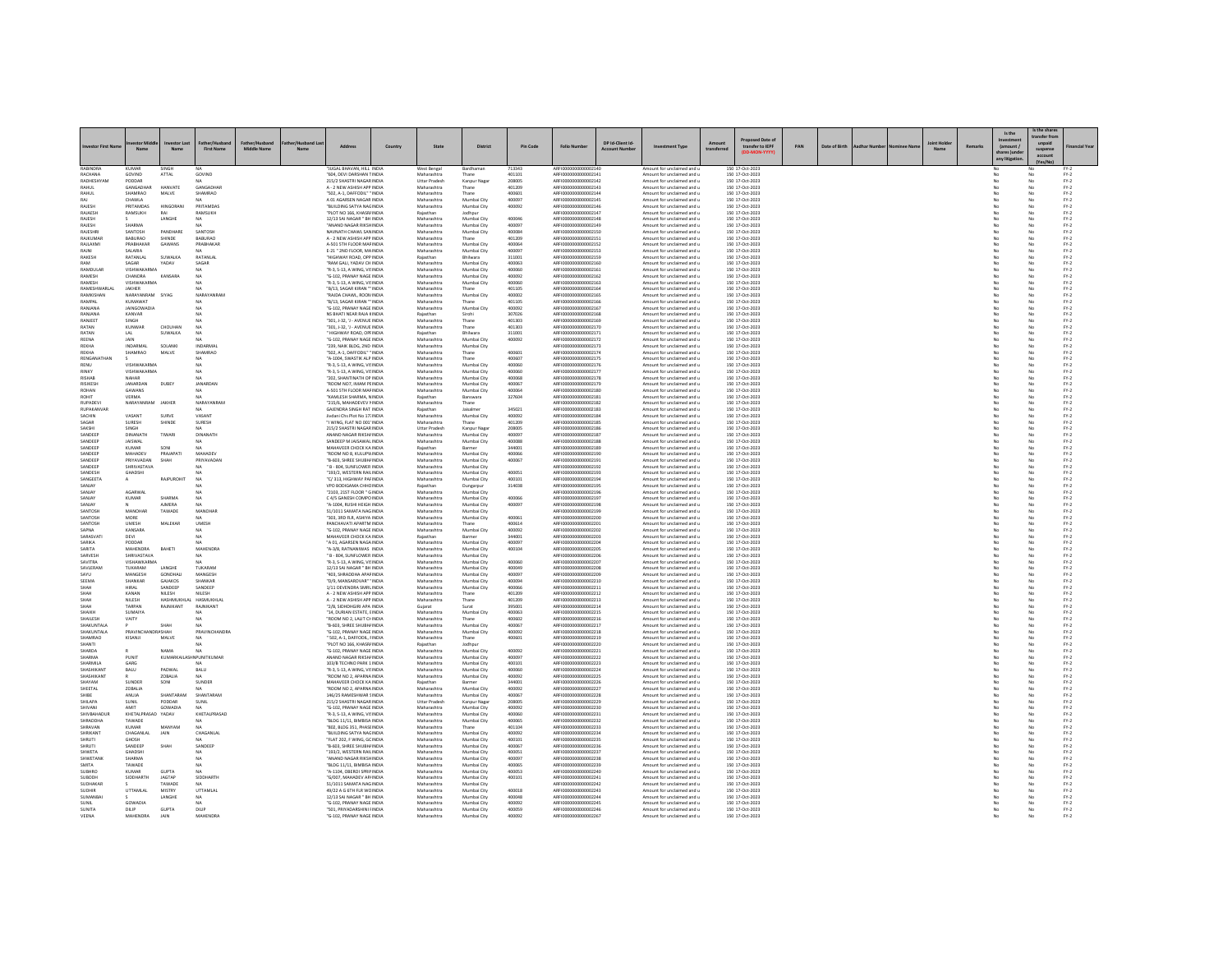|                                  |                                |                           |                                   |             |                                                                |         |                              |                            |                  |                                              |                  |                                                          |            |                                    |     |               |  |        | Is the                 | Is the shar<br>ransfer fro |                                                                     |
|----------------------------------|--------------------------------|---------------------------|-----------------------------------|-------------|----------------------------------------------------------------|---------|------------------------------|----------------------------|------------------|----------------------------------------------|------------------|----------------------------------------------------------|------------|------------------------------------|-----|---------------|--|--------|------------------------|----------------------------|---------------------------------------------------------------------|
|                                  | Mary                           | Nar                       | <b>First Name</b>                 | Middle Name | Address                                                        | Country | State                        | District                   | <b>Pin Code</b>  | <b>Folio Number</b>                          | DP Id-Client Id- | nent Type                                                | transferre | transfer to IEPF                   | PAN | Date of Birth |  | Remark | (amount /<br>any litir | suspense<br>account        | inancial Yea                                                        |
| RARINDRA<br>RACHANA              | KUMA<br>GOVIND                 | ATTAL                     | GOVIND                            |             | UGAL BHAVAN, HILL INDIA<br>"604, DEVI DARSHAN TINDIA           |         | West Benga<br>Maharashtra    | Bardhama<br>Thane          | 713343<br>401101 | REI000000000000214<br>ARFI0000000000002141   |                  | Amount for unclaimed and<br>Amount for unclaimed and u   |            | 150 17-Oct-2023<br>150 17-Oct-2023 |     |               |  |        |                        | No                         | $FY-2$                                                              |
| RADHESHYAN                       | PODDAF                         |                           |                                   |             | 215/2 SHASTRI NAGAR INDIA                                      |         | Uttar Pradesh                | Kanpur Naga                | 208005           | ARFI0000000000002142                         |                  | Amount for unclaimed and u                               |            | 150 17-Oct-2023                    |     |               |  |        |                        |                            | $FN-2$                                                              |
| RAHUL<br>RAHIII                  | GANGADHAR<br>SHAMRAO           | HANVATE<br>MALVE          | GANGADHA<br><b><i>SHAMRAO</i></b> |             | A - 2 NEW ASHISH APP INDIA<br>"502 A-1 DAFFODII" "INDIA        |         | Maharashtra                  | Thane                      | 401209<br>400601 | ARFI0000000000002143<br>AREI0000000000002144 |                  | Amount for unclaimed and<br>Amount for unclaimed and u   |            | 150 17-Oct-2023<br>150 17-Oct-2023 |     |               |  |        |                        |                            | $PV-2$<br>$FY-2$                                                    |
| RAI                              | CHAWLA                         |                           | NΔ                                |             | A 01 AGARSEN NAGAR INDIA                                       |         | Maharashtra                  | Mumbai City                | 400097           | ARFI0000000000002145                         |                  | Amount for unclaimed and u                               |            | 150 17-Oct-2023                    |     |               |  |        | No                     | No                         | $FY-2$                                                              |
| RAJESH<br>RAJAESH                | PRITAMDAS<br>RAMSUKH           | HINGORAN<br>RA            | PRITAMDAS<br>RAMSUKH              |             | "BUILDING SATYA NAGINDIA<br>"PLOT NO 166, KHASR/ INDIA         |         | Maharashtra<br>Rajasthan     | Mumbai City<br>Jodhpur     | 400092           | ARFI0000000000002146<br>ARFI000000000002147  |                  | Amount for unclaimed and u<br>Amount for unclaimed and u |            | 150 17-Oct-2023<br>150 17-Oct-2023 |     |               |  |        |                        | No                         | $FY-2$<br>$FN-2$                                                    |
| RAIFSH                           |                                | LANGHE                    | NΔ                                |             | 12/13 SAI NAGAR " BH INDIA                                     |         | Maharashtra                  | Mumbai City                | snogar           | ARFI0000000000002148                         |                  | Amount for unclaimed and u                               |            | 150 17-Oct-2023                    |     |               |  |        |                        | No                         | $\mathsf{FY}\text{-}\mathsf{2} \atop \mathsf{FY}\text{-}\mathsf{2}$ |
| RAJESH<br>RAJESHR                | SHARMA<br><b>SANTOSH</b>       | PANDHAR                   | SANTOSH                           |             | ANAND NAGAR RIKSHINDIA<br>NAVNATH CHAWL SANINDIA               |         | Maharashtra<br>Maharashtra   | Mumbai City<br>Mumbai City | 400097<br>400084 | ARFI0000000000002149<br>ARFI0000000000002150 |                  | Amount for unclaimed and u<br>Amount for unclaimed and u |            | 150 17-Oct-2023<br>150 17-Oct-2023 |     |               |  |        |                        | No                         | $FN-2$                                                              |
| RAIKLIMAS                        | <b>BABLIRAO</b>                | SHINDE                    | <b>BABURAO</b>                    |             | A - 2 NEW ASHISH APP INDIA                                     |         | Maharashtra                  | Thane                      | 401209           | ARFI000000000002151                          |                  | Amount for unclaimed and u                               |            | 150 17-Oct-2023                    |     |               |  |        |                        | No                         | $FY-2$                                                              |
| RAJLAXMI<br>RAJNI                | PRABHAKAR<br>SALARIA           | GAWANS                    | PRABHAKAR                         |             | A-501 STH FLOOR MAFINDIA<br>E-21 " 2ND FLOOR, MAINDIA          |         | Maharashtra<br>Maharashtra   | Mumbai City<br>Mumbai City | 400064<br>400097 | ARFI0000000000002152<br>ARFI0000000000002153 |                  | Amount for unclaimed and u<br>Amount for unclaimed and u |            | 150 17-Oct-2023<br>150 17-Oct-2023 |     |               |  |        | No                     | No<br>No                   | $FY-2$<br>$FY-2$                                                    |
| RAKESH                           | RATANLAL                       | SUWALKA                   | RATANLAI                          |             | HIGHWAY ROAD, OPP INDIA                                        |         | Rajasthan                    | Bhilwara                   | 311001           | ARFI0000000000002159                         |                  | Amount for unclaimed and u                               |            | 150 17-Oct-2023                    |     |               |  |        |                        |                            | $FN-2$                                                              |
| RAM<br>RAMDULAR                  | SAGAR<br>VISHWAKARMA           | YADAV                     | SAGAR<br><b>NA</b>                |             | "RAM GALI, YADAV CH INDIA<br>"R-3, S-13, A WING, VISINDIA      |         | Maharashtra<br>Maharashtra   | Mumbai City<br>Mumbai City | 400063<br>400060 | AREI0000000000002160<br>ARFI0000000000002161 |                  | Amount for unclaimed and u<br>Amount for unclaimed and u |            | 150 17-Oct-2023<br>150 17-Oct-2023 |     |               |  |        |                        | No<br>No                   | $\mathsf{FY}{\cdot}\mathsf{2}$<br>$FY-2$                            |
| RAMESH                           | CHANDRA                        | KANSARA                   | NA                                |             | G-102, PRANAY NAGE INDIA                                       |         | Maharashtra                  | Mumbai City                | 400092           | ARFI0000000000002162                         |                  | Amount for unclaimed and u                               |            | 150 17-Oct-2023                    |     |               |  |        |                        |                            | $FY-2$                                                              |
| RAMESH<br>RAMESHWARLAL           | VISHWAKARMA<br>JAKHER          |                           | <b>NA</b>                         |             | "R-3, S-13, A WING, VISINDIA<br>"B/13, SAGAR KIRAN "" INDIA    |         | Maharashtra<br>Maharashtra   | Mumbai City<br>Thane       | 400060<br>401105 | AREI0000000000002163<br>ARFI0000000000002164 |                  | Amount for unclaimed and u<br>Amount for unclaimed and u |            | 150 17-Oct-2023<br>150 17-Oct-2023 |     |               |  |        | No                     | No<br>No                   | $\mathsf{FY}{\cdot}\mathsf{2}$<br>$FY-2$                            |
| RAMKISHAN                        | NARAYANRAM SIYAG               |                           | NARAYANRAN                        |             | "RAIDA CHAWL, ROON INDIA                                       |         | Maharashtra                  | Mumbai City                | 400002           | ARFI0000000000002165                         |                  | Amount for unclaimed and u                               |            | 150 17-Oct-2023                    |     |               |  |        | No                     | No                         | $FY-2$                                                              |
| RAMPAL<br>RANJANA                | KUMAWA1<br><b>JAINGOWADIA</b>  |                           | NΔ                                |             | "B/13, SAGAR KIRAN " INDIA<br>"G-102, PRANAY NAGE INDIA        |         | Maharashtra<br>Maharashtra   | Thane<br>Mumbai City       | 401105<br>400092 | ARFI0000000000002166<br>ARFI0000000000002167 |                  | Amount for unclaimed and u<br>Amount for unclaimed and u |            | 150 17-Oct-2023<br>150 17-Oct-2023 |     |               |  |        |                        |                            | $Fr-2$<br>$FN-2$                                                    |
| RANIANA                          | KANVAR                         |                           | NA                                |             | NS RHATI NEAR RAIA KINDIA                                      |         | Raiasthan                    | Sirnhi                     | 307026           | AREI0000000000002168                         |                  | Amount for unclaimed and u                               |            | 150.17-Oct-2023                    |     |               |  |        | No                     | No                         | $PV-2$                                                              |
| RANJEET<br>RATAN                 | SINGH<br>KUNWAF                | <b>CHOUHAN</b>            | NA<br>NA                          |             | "301. J-32. 'J - AVENUE INDIA<br>"301, J-32, 'J - AVENUE INDIA |         | Maharashtra<br>Maharashtra   | Thane<br>Thane             | 401303<br>401303 | ARFI0000000000002169<br>ARFI0000000000002170 |                  | Amount for unclaimed and u<br>Amount for unclaimed and u |            | 150 17-Oct-2023<br>150 17-Oct-2023 |     |               |  |        | No                     | No                         | $FN-2$<br>$FY-2$                                                    |
| RATAN                            | LAL.                           | <b>SHWALKA</b>            | NA                                |             | HIGHWAY ROAD OPFINDIA                                          |         | Raiasthan                    | Rhilwara                   | 311001           | AREI0000000000002171                         |                  | Amount for unclaimed and u                               |            | 150 17-Oct-2023                    |     |               |  |        |                        | No                         | $FN-2$                                                              |
| REENA<br>REKHA                   | <b>JAIN</b><br><b>INDARMAL</b> | SOLANKI                   | NΔ<br>INDARMA                     |             | "G-102. PRANAY NAGE INDIA<br>"239, NAIK BLDG, 2ND INDIA        |         | Maharashtra<br>Maharashtra   | Mumbai City<br>Mumbai City | 400092           | ARFI0000000000002172<br>ARFI0000000000002173 |                  | Amount for unclaimed and u<br>Amount for unclaimed and u |            | 150 17-Oct-2023<br>150 17-Oct-2023 |     |               |  |        | No                     | No<br>No                   | $FY-2$<br>$FY-2$                                                    |
| REKHA                            | SHAMRAO                        | MALVE                     | SHAMRAC                           |             | "502, A-1, DAFFODIL" "INDIA                                    |         | Maharashtra                  | Thane                      | 400601           | ARFI0000000000002174                         |                  | Amount for unclaimed and u                               |            | 150 17-Oct-2023                    |     |               |  |        |                        |                            | $FN-2$                                                              |
| RENGANATHAN<br>RENU              | VISHWAKARMA                    |                           | NA<br><b>NA</b>                   |             | "A-1004 SWASTIK ALP INDIA<br>"R-3, S-13, A WING, VISINDIA      |         | Maharashtra<br>Maharashtra   | Thane<br>Mumbai City       | 400607<br>400060 | ARFI0000000000002175<br>ARFI0000000000002176 |                  | Amount for unclaimed and u<br>Amount for unclaimed and u |            | 150 17-Oct-2023<br>150 17-Oct-2023 |     |               |  |        | No<br>No               | No<br>No                   | $FN-2$<br>$FY-2$                                                    |
| RINKY                            | VISHWAKARMA                    |                           | NA                                |             | "R-3, S-13, A WING, VISINDIA                                   |         | Maharashtra                  | Mumbai City                | 400060           | ARFI0000000000002177                         |                  | Amount for unclaimed and u                               |            | 150 17-Oct-2023                    |     |               |  |        |                        | No                         | $FY-2$                                                              |
| RISHAE<br><b>RISIKESH</b>        | NAHAR<br>JANARDAN              | DUBEY                     | JANARDAN                          |             | 202, SHANTINATH OP INDIA<br>"ROOM NO7, IMAM PEINDIA            |         | Maharashtra<br>Maharashtra   | Mumbai City<br>Mumbai City | 400068<br>400067 | ARFI0000000000002178<br>ARFI0000000000002179 |                  | Amount for unclaimed and u<br>Amount for unclaimed and u |            | 150 17-Oct-2023<br>150 17-Oct-2023 |     |               |  |        | No                     | No                         | $FY-2$<br>$FY-2$                                                    |
| ROHAN                            | <b>GAWANS</b>                  |                           | NA                                |             | A-501 STH FLOOR MAF INDIA                                      |         | Maharashtra                  | Mumbai City                | 400064           | ARFI0000000000002180                         |                  | Amount for unclaimed and u                               |            | 150 17-Oct-2023                    |     |               |  |        |                        | No                         | $FY-2$                                                              |
| ROHIT<br><b>RUPADEVI</b>         | VERMA<br>NARAYANRAM            | <b>IAKHER</b>             | NARAYANRAN                        |             | KAMLESH SHARMA, NINDIA<br>"215/6. MAHADEVEV PINDIA             |         | Rajasthan<br>Maharashtra     | Banswara<br>Thane          | 327604           | ARFI0000000000002181<br>AREI0000000000002182 |                  | Amount for unclaimed and u<br>Amount for unclaimed and u |            | 150 17-Oct-2023<br>150 17-Oct-2023 |     |               |  |        | No                     | No                         | $FY-2$<br>$FN-2$                                                    |
| RUPAKANVAR                       |                                |                           | NA.                               |             | GAJENDRA SINGH RAT INDIA                                       |         | Rajasthan                    | Jaisalmer                  | 345021           | ARFI0000000000002183                         |                  | Amount for unclaimed and u                               |            | 150 17-Oct-2023                    |     |               |  |        | No                     | No                         | $FY-2$                                                              |
| SACHIN                           | VASANT                         | SURVE                     | VASANT                            |             | Jivdani Chs Plot No 17: INDIA                                  |         | Maharashtra                  | Mumbai City                | 400092           | ARFI0000000000002184                         |                  | Amount for unclaimed and u                               |            | 150 17-Oct-2023                    |     |               |  |        | No                     | No                         | $FY-2$                                                              |
| SAGAR<br><b>SAKSHI</b>           | <b>SURESH</b><br><b>SINGH</b>  | SHINDE                    | SURESH<br>NΔ                      |             | "I WING, FLAT NO 001' INDIA<br>215/2 SHASTRI NAGAR INDIA       |         | Maharashtra<br>Uttar Pradesh | Thane<br>Kanpur Naga       | 401209<br>208005 | ARFI0000000000002185<br>AREI0000000000002186 |                  | Amount for unclaimed and u<br>Amount for unclaimed and u |            | 150 17-Oct-2023<br>150 17-Oct-2023 |     |               |  |        |                        | No                         | $FN-2$                                                              |
| SANDEEP                          | DINANATH                       | TIWARI                    | DINANATH                          |             | ANAND NAGAR RIKSH/INDIA                                        |         | Maharashtra                  | Mumbai City                | 400097           | ARFI0000000000002187                         |                  | Amount for unclaimed and u                               |            | 150 17-Oct-2023                    |     |               |  |        | No                     | No                         | $\frac{\mathsf{FY}\cdot 2}{\mathsf{FY}\cdot 2}$                     |
| SANDEEP<br>SANDEEP               | <b>JAISWAL</b><br>KUMAR        | SON                       | NΔ                                |             | SANDEEP M JAISAWAL INDIA<br>MAHAVEER CHOCK KA INDIA            |         | Maharashtra<br>Rajasthan     | Mumbai City<br>Barmer      | 400088<br>344001 | ARFI0000000000002188<br>ARFI0000000000002189 |                  | Amount for unclaimed and u<br>Amount for unclaimed and u |            | 150 17-Oct-2023<br>150 17-Oct-2023 |     |               |  |        | No                     | No                         | $FY-2$<br>$FN-2$                                                    |
| SANDEEP                          | MAHADEV                        | PRAJAPAT                  | MAHADEV                           |             | "ROOM NO 8. KULUPWINDIA                                        |         | Maharashtra                  | Mumbai City                | 400066           | ARFI0000000000002190                         |                  | Amount for unclaimed and u                               |            | 150 17-Oct-2023                    |     |               |  |        |                        | No                         | $FY-2$                                                              |
| SANDEEP<br>SANDEEP               | PRIYAVADAN<br>SHRIVASTAVA      | SHAH                      | PRIYAVADAN                        |             | "B-603, SHREE SHUBH/ INDIA<br>" B - 804, SUNFLOWER INDIA       |         | Maharashtra<br>Maharashtra   | Mumbai City<br>Mumbai City | 400067           | ARFI0000000000002191<br>ARFI0000000000002192 |                  | Amount for unclaimed and u<br>Amount for unclaimed and u |            | 150 17-Oct-2023<br>150 17-Oct-2023 |     |               |  |        | No                     | No<br>No                   | $FY-2$<br>$\text{FY-2}$                                             |
| <b>SANDESH</b>                   | <b>GHADSH</b>                  |                           |                                   |             | "193/2, WESTERN RAILINDIA                                      |         | Maharashtra                  | Mumbai City                | 400051           | AREI0000000000002193                         |                  | Amount for unclaimed and u                               |            | 150 17-Oct-2023                    |     |               |  |        |                        | No                         | $FY-2$                                                              |
| SANGEETA<br>SANJAY               | $\sim$                         | <b>RAIPUROHIT</b>         | NA<br>NA                          |             | "C/313 HIGHWAY PAFINDIA<br>VPO BODIGAMA CHHCINDIA              |         | Maharashtra<br>Rajasthan     | Mumbai City<br>Dungarour   | 400101<br>314038 | AREI000000000002194<br>ARFI0000000000002195  |                  | Amount for unclaimed and u<br>Amount for unclaimed and u |            | 150.17-Oct-2023<br>150 17-Oct-2023 |     |               |  |        | No<br>No               | No<br>No                   | $FN-2$<br>$FN-2$                                                    |
| SANIAY                           | <b>AGARWAL</b>                 |                           |                                   |             | "2103, 21ST FLOOR " GINDIA                                     |         | Maharashtra                  | Mumbai City                |                  | AREI0000000000002196                         |                  | Amount for unclaimed and u                               |            | 150 17-Oct-2023                    |     |               |  |        |                        |                            | $FY-2$                                                              |
| <b>SANIAY</b><br>SANJAY          | KUMAR                          | SHARMA<br>AIMERA          | NA<br><b>NA</b>                   |             | C 4/5 GANESH COMPO INDIA<br>"A-1004. RUSHI HEIGH INDIA         |         | Maharashtra<br>Maharashtra   | Mumbai City<br>Mumbai City | 400066<br>400097 | AREI000000000002197<br>ARFI0000000000002198  |                  | Amount for unclaimed and u<br>Amount for unclaimed and u |            | 150 17-Oct-2023<br>150 17-Oct-2023 |     |               |  |        | No<br>No               | No<br>No                   | $FN-2$<br>$FN-2$                                                    |
| SANTOSH                          | MANOHAF                        | TAWADE                    | MANOHA                            |             | 51/1011 SAMATA NAGINDIA                                        |         | Maharashtra                  | Mumbai City                |                  | ARFI0000000000002199                         |                  | Amount for unclaimed and u                               |            | 150 17-Oct-2023                    |     |               |  |        |                        | No                         | $FY-2$                                                              |
| SANTOSH<br><b>SANTOSH</b>        | MORE<br><b>LIMESH</b>          | MALEKAR                   | <b>LIMESH</b>                     |             | "303, 3RD FLR, ASHIYA INDIA<br>ΡΑΝΟΗΔΥΑΤΙ ΑΡΑΒΤΜΙΝΟΙΑ          |         | Maharashtra<br>Maharashtra   | Mumbai City<br>Thane       | 400061<br>400614 | ARFI0000000000002200<br>AREI0000000000002201 |                  | Amount for unclaimed and u<br>Amount for unclaimed and u |            | 150 17-Oct-2023<br>150 17-Oct-2023 |     |               |  |        |                        | No<br>No                   | $FY-2$<br>$FN-2$                                                    |
| SAPNA                            | KANSARA                        |                           | NA.                               |             | "G-102. PRANAY NAGE INDIA                                      |         | Maharashtra                  | Mumbai City                | 400092           | ARFI0000000000002202                         |                  | Amount for unclaimed and u                               |            | 150 17-Oct-2023                    |     |               |  |        | No                     | No                         | $FY-2$                                                              |
| SARASVAT<br><b>SARIKA</b>        | DEVI<br>PODDAR                 |                           | NA<br>NΔ                          |             | MAHAVEER CHOCK KA INDIA<br>"A 01 AGARSEN NAGA INDIA            |         | Rajasthan<br>Maharashtra     | Barmer<br>Mumbai City      | 344001<br>400097 | ARFI0000000000002203<br>AREI0000000000002204 |                  | Amount for unclaimed and u<br>Amount for unclaimed and u |            | 150 17-Oct-2023<br>150 17-Oct-2023 |     |               |  |        |                        | No<br>No                   | $FY-2$<br>$FN-2$                                                    |
| SARITA                           | MAHENDRA                       | BAHETI                    | <b>MAHENDRA</b>                   |             | "A-3/8, RATNANIWAS INDIA                                       |         | Maharashtra                  | Mumbai City                | 400104           | ARFI0000000000002205                         |                  | Amount for unclaimed and u                               |            | 150 17-Oct-2023                    |     |               |  |        | No                     | No                         | $FY-2$                                                              |
| SARVESH<br>SAVITRA               | SHRIVASTAVA<br>VISHAWKARM      |                           | NA                                |             | " B - 804, SUNFLOWER INDIA<br>"R-3, S-13, A WING, VISINDIA     |         | Maharashtra<br>Maharashtra   | Mumbai City<br>Mumbai City | 400060           | ARFI0000000000002206<br>ARFI0000000000002207 |                  | Amount for unclaimed and u<br>Amount for unclaimed and u |            | 150 17-Oct-2023<br>150 17-Oct-2023 |     |               |  |        | No                     | No                         | $FY-2$<br>$FN-2$                                                    |
| SAVI FRAM                        | TUKARAM                        | <b>LANGHE</b>             | TUKARAN                           |             | 12/13 SAI NAGAR " BH INDIA                                     |         | Maharashtra                  | Mumbai City                | 400049           | ARFI0000000000002208                         |                  | Amount for unclaimed and u                               |            | 150 17-Oct-2023                    |     |               |  |        | No                     | No                         | $FY-2$                                                              |
| <b>LIVA2</b><br>SEEMA            | MANGESH<br>SHANKAR             | GONDHAL<br>GAJAKOS        | MANGESH<br>SHANKAR                |             | "403. SHRADDHA APAFINDIA<br>"D/9, MANSAROVAR" ' INDIA          |         | Maharashtra<br>Maharashtra   | Mumbai City<br>Mumbai City | 400097<br>400094 | ARFI0000000000002209<br>ARFI0000000000002210 |                  | Amount for unclaimed and u<br>Amount for unclaimed and u |            | 150 17-Oct-2023<br>150 17-Oct-2023 |     |               |  |        | No                     | No<br>No                   | $FY-2$<br>$FY-2$                                                    |
|                                  |                                | SANDEEP                   | SANDEER                           |             | 1/11 DEVENDRA SMRLINDIA                                        |         | Maharashtra                  | Mumbai City                | 400066           | ARFI000000000000221                          |                  | Amount for unclaimed and u                               |            | 150 17-Oct-2023                    |     |               |  |        |                        |                            | $FY-2$                                                              |
| SHAH<br>SHAH                     | KANAN<br>NILESH                | NILESH<br>HASHMUKHLAL     | NILESH<br>HASMUKHLAI              |             | A - 2 NEW ASHISH APP INDIA<br>A - 2 NEW ASHISH APP INDIA       |         | Maharashtra<br>Maharashtra   | Thane<br>Thane             | 401209<br>401209 | ARFI0000000000002212<br>ARFI0000000000002213 |                  | Amount for unclaimed and u<br>Amount for unclaimed and u |            | 150 17-Oct-2023<br>150 17-Oct-2023 |     |               |  |        | No<br>No               | No<br>No                   | $FY-2$<br>$FY-2$                                                    |
| SHAI                             | TARPAN                         | RAJNIKANT                 | RAJNIKANT                         |             | 2/B, SIDHDHGIRI APA INDIA                                      |         | Gujarat                      | Surat                      | 395001           | ARFI0000000000002214                         |                  | Amount for unclaimed and u                               |            | 150 17-Oct-2023                    |     |               |  |        |                        |                            | $FN-2$                                                              |
| <b><i>SHAIKH</i></b><br>SHAILESH | <b>SUMAIYA</b><br>VAITY        |                           | NΔ<br>NA.                         |             | "14, DURIAN ESTATE, EINDIA<br>"ROOM NO 2. LALIT CHINDIA        |         | Maharashtra<br>Maharashtra   | Mumbai City<br>Thane       | 400063<br>400602 | ARFI0000000000002215<br>ARFI0000000000002216 |                  | Amount for unclaimed and u<br>Amount for unclaimed and u |            | 150 17-Oct-2023<br>150 17-Oct-2023 |     |               |  |        | No                     | No<br>No                   | $\mathsf{FY}{\cdot}\mathsf{2}$<br>$FY-2$                            |
| SHAKUNTALA                       |                                | SHAH                      |                                   |             | "B-603, SHREE SHUBH/ INDIA                                     |         | Maharashtra                  | Mumbai City                | 400067           | ARFI0000000000002217                         |                  | Amount for unclaimed and u                               |            | 150 17-Oct-2023                    |     |               |  |        | No                     | No                         | $FY-2$                                                              |
| SHAKUNTALA<br>SHAMRAO            | PRAVINCHAI<br>KISANJI          | <b>IDRA SHAH</b><br>MALVE | PRAVINCHANDR.<br>NA               |             | "G-102, PRANAY NAGE INDIA<br>" 502, A-1, DAFFODIL, FINDIA      |         | Maharashtra<br>Maharashtra   | Mumbai City<br>Thane       | 400092<br>400601 | ARFI0000000000002218<br>ARFI0000000000002219 |                  | Amount for unclaimed and u<br>Amount for unclaimed and u |            | 150 17-Oct-2023<br>150 17-Oct-2023 |     |               |  |        |                        | No                         | $FN-2$<br>$FY-2$                                                    |
| <b>SHANTI</b>                    |                                |                           | N4                                |             | "PLOT NO 166 KHASRUNDIA                                        |         | Raiasthan                    | Indhour                    |                  | AREI0000000000002220                         |                  | Amount for unclaimed and u.                              |            | 150 17-0rt-2023                    |     |               |  |        |                        | No                         | $FY-2$                                                              |
| <b>SHARDA</b><br><b>SHARMA</b>   | PUNIT                          | NAMA<br>KUMARKAILA        | <b>IN PUNITKUMAR</b>              |             | "G-102, PRANAY NAGE INDIA<br>ANAND NAGAR RIKSH/ INDIA          |         | Maharashtra<br>Maharashtra   | Mumbai City<br>Mumbai City | 400092<br>400097 | ARFI0000000000002221<br>ARFI0000000000002222 |                  | Amount for unclaimed and u<br>Amount for unclaimed and u |            | 150 17-Oct-2023<br>150 17-Oct-2023 |     |               |  |        |                        | No                         | $FY-2$<br>$FN-2$                                                    |
| <b>SHARMILA</b>                  | GARG                           |                           | NA                                |             | 103/R TECHNO PARK 1 INDIA                                      |         | Maharashtra                  | Mumbai City                | 400101           | AREI0000000000002223                         |                  | Amount for unclaimed and u.                              |            | 150.17-Oct-2023                    |     |               |  |        | No                     | No                         | $PV-2$                                                              |
| SHASHIKANT<br>SHASHIKANT         | BALU                           | PADWAL<br>ZOBALIA         | BALU<br>NA                        |             | "R-3, S-13, A WING, VISINDIA<br>ROOM NO 2. APARNA INDIA        |         | Maharashtra<br>Maharashtra   | Mumbai City<br>Mumbai City | 400060<br>400092 | ARFI0000000000002224<br>ARFI0000000000002225 |                  | Amount for unclaimed and u<br>Amount for unclaimed and u |            | 150 17-Oct-2023<br>150 17-Oct-2023 |     |               |  |        | No                     | No<br>No                   | $FN-2$<br>$FN-2$                                                    |
| SHAYAM                           | SUNDER                         | SONI                      | SUNDER                            |             | MAHAVEER CHOCK KA INDIA                                        |         |                              | Barmer                     | 344001           | ARFI0000000000002226                         |                  | Amount for unclaimed and u                               |            | 150 17-Oct-2023                    |     |               |  |        |                        | No                         | $FY-2$                                                              |
| SHEFTAL<br>SHIRE                 | <b>70BALIA</b><br>ANUJA        | SHANTARAM                 | MA <sup></sup><br>SHANTARAM       |             | <b>"ROOM NO 2 APARNA INDIA</b><br>146/25 RAMESHWAR SINDIA      |         | Maharashtra<br>Maharashtra   | Mumbai City<br>Mumbai City | 400092<br>400067 | AREI000000000002227<br>ARFI0000000000002228  |                  | Amount for unclaimed and u<br>Amount for unclaimed and u |            | 150 17-Oct-2023<br>150 17-Oct-2023 |     |               |  |        | No<br>No               | No<br>No                   | $FN-2$<br>$FY-2$                                                    |
| SHILAPA                          | SUNIL                          | PODDAR                    | SUNIL                             |             | 215/2 SHASTRI NAGARINDIA                                       |         | <b>Uttar Prades</b>          | <b>Kanpur Naga</b>         | 208005           |                                              |                  | Amount for unclaimed and u                               |            | 150 17-Oct-2023                    |     |               |  |        |                        |                            | $FY-2$                                                              |
| <b>UANIVA</b><br>SHIVBAHADUR     | AMIT<br>KHETALPRASAD YADAV     | GOWADIA                   | NA.<br>KHETALPRASAD               |             | "G-102 PRANAY NAGE INDIA<br>"R-3, S-13, A WING, VISINDIA       |         | Maharashtra<br>Maharashtra   | Mumbai City<br>Mumbai City | 400092<br>400060 | AREI0000000000002230<br>ARFI0000000000002231 |                  | Amount for unclaimed and u<br>Amount for unclaimed and u |            | 150 17-Oct-2023<br>150 17-Oct-2023 |     |               |  |        | No<br>No               | No<br>No                   | $FN-2$<br>$FY-2$                                                    |
| SHRADDHA                         | TAWADE                         |                           |                                   |             | "BLDG 11/11, BIMBISA INDIA                                     |         | Maharashtra                  | Mumbai City                | 400065           | ARFI0000000000002232                         |                  | Amount for unclaimed and u                               |            | 150 17-Oct-2023                    |     |               |  |        |                        | No                         | $FY-2$                                                              |
| SHRAVAN<br>SHRIKANT              | KUMAF<br>CHAGANLAL             | MANYAM<br>JAIN            | NA<br>CHAGANLAL                   |             | "802, BLDG 351, PHASE INDIA<br>"BUILDING SATYA NAGINDIA        |         | Maharashtra<br>Maharashtra   | Thane<br>Mumbai City       | 401104<br>400092 | ARFI0000000000002233<br>AREI0000000000002234 |                  | Amount for unclaimed and u<br>Amount for unclaimed and u |            | 150 17-Oct-2023<br>150 17-Oct-2023 |     |               |  |        |                        | No                         | $FN-2$<br>$FN-2$                                                    |
| SHRUTI                           | GHOSH                          |                           | NΔ                                |             | "FLAT 202. F WING, GC INDIA                                    |         | Maharashtra                  | Mumbai City                | 400101           | ARFI0000000000002235                         |                  | Amount for unclaimed and u                               |            | 150 17-Oct-2023                    |     |               |  |        | No                     | No                         | $FY-2$                                                              |
| <b>SHRUTI</b><br><b>SHWFTA</b>   | SANDEEP<br><b>GHADSHI</b>      | SHAH                      | SANDEER<br>NΔ                     |             | "B-603, SHREE SHUBH/ INDIA<br>"193/2, WESTERN RAILINDIA        |         | Maharashtra<br>Maharashtra   | Mumbai City<br>Mumbai City | 400067<br>400051 | ARFI0000000000002236<br>AREI0000000000002237 |                  | Amount for unclaimed and u<br>Amount for unclaimed and u |            | 150 17-Oct-2023<br>150 17-Oct-2023 |     |               |  |        |                        | No<br>No                   | $FY-2$<br>$FY-2$                                                    |
| SHWETANK                         | SHARMA                         |                           | <b>NA</b>                         |             | "ANAND NAGAR RIKSHINDIA                                        |         | Maharashtra                  | Mumbai City                | 400097           | ARFI0000000000002238                         |                  | Amount for unclaimed and u                               |            | 150 17-Oct-2023                    |     |               |  |        |                        | No                         | $FY-2$                                                              |
| SMITA<br><b>SUBHRO</b>           | TAWADE<br>KUMAF                | <b>GUPTA</b>              | <b>NA</b>                         |             | "BLDG 11/11, BIMBISA INDIA<br>"A-1104, OBEROI SPRININDIA       |         | Maharashtra<br>Maharashtra   | Mumbai City<br>Mumbai City | 400065<br>400053 | ARFI0000000000002239<br>ARFI000000000000224  |                  | Amount for unclaimed and u<br>Amount for unclaimed and u |            | 150 17-Oct-2023<br>150 17-Oct-2023 |     |               |  |        |                        | No                         | $FY-2$<br>$FN-2$                                                    |
| <b>SLIRODH</b>                   | <b>SIDDHARTH</b>               | <b>IAGTAP</b>             | <b>SIDDHARTH</b>                  |             | "G/007, MAHADEV AP/INDIA                                       |         | Maharashtra                  | Mumbai City                | 400101           | ARFI0000000000002241                         |                  | Amount for unclaimed and u                               |            | 150 17-Oct-2023                    |     |               |  |        |                        | No                         | $FN-2$                                                              |
| SUDHAKAR                         | UTTAMLAI                       | TAWADE                    | <b>NA</b><br>UTTAMLA              |             | 51/1011 SAMATA NAGINDIA<br>49/22 A G 6TH FLR WC INDIA          |         | Maharashtra                  | Mumbai City<br>Mumbai City | 400018           | ARFI0000000000002242                         |                  | Amount for unclaimed and u                               |            | 150 17-Oct-2023<br>150 17-Oct-2023 |     |               |  |        |                        | No                         | $FY-2$<br>$FY-2$                                                    |
| SUDHIR<br><b>SUMANBA</b>         |                                | MISTRY<br>LANGHE          | NA                                |             | 12/13 SAI NAGAR " BH INDIA                                     |         | Maharashtra<br>Maharashtra   | Mumbai City                | 400048           | ARFI0000000000002243<br>ARFI000000000000224  |                  | Amount for unclaimed and u<br>Amount for unclaimed and u |            | 150 17-Oct-2023                    |     |               |  |        |                        |                            | $FN-2$                                                              |
| SUNIT<br>SUNITA                  | GOWADIA<br>DILIP               | GUPTA                     | DILIP                             |             | "G-102. PRANAY NAGE INDIA<br>"501, PRIYADARSHINI FINDIA        |         | Maharashtra<br>Maharashtra   | Mumbai City<br>Mumbai City | 400092<br>400059 | AREI0000000000002245<br>ARFI0000000000002246 |                  | Amount for unclaimed and u<br>Amount for unclaimed and u |            | 150 17-Oct-2023<br>150 17-Oct-2023 |     |               |  |        |                        |                            | $FY-2$<br>$FY-2$                                                    |
| VEENA                            | MAHENDRA                       | JAIN                      | <b>MAHENDR</b>                    |             | "G-102, PRANAY NAGE INDIA                                      |         | Maharashtra                  | Mumbai City                | 400092           | ARFI0000000000002267                         |                  | Amount for unclaimed and u                               |            | 150 17-Oct-2023                    |     |               |  |        |                        |                            | $FY-2$                                                              |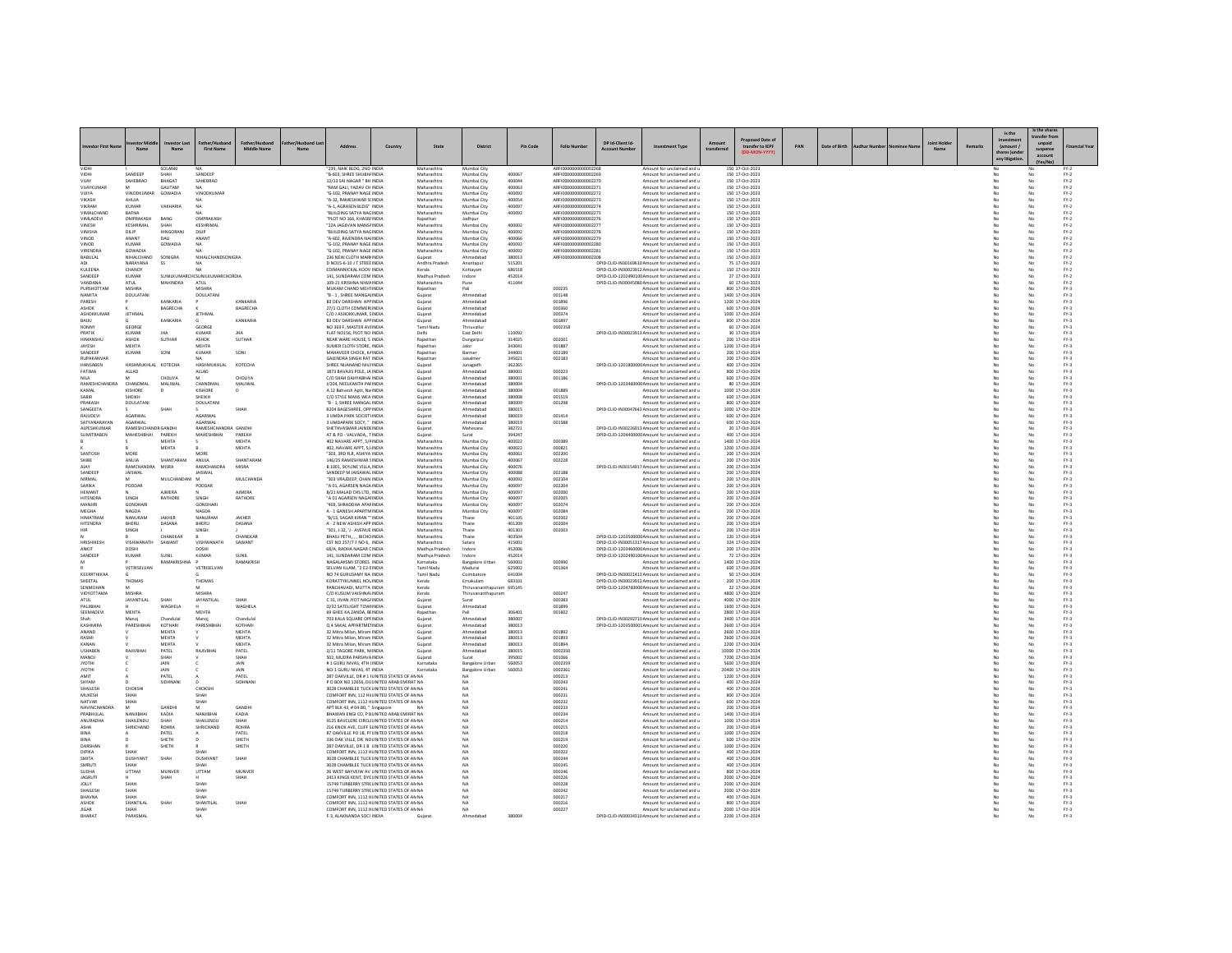|                                |                             |                           |                                     |                               |               |                                                                                            |         |                               |                                                  |                  |                                              |                                      |                                                                                                   |                       |                                       |     |               |  |                    |        | Is the                                   | s the share                   |                  |
|--------------------------------|-----------------------------|---------------------------|-------------------------------------|-------------------------------|---------------|--------------------------------------------------------------------------------------------|---------|-------------------------------|--------------------------------------------------|------------------|----------------------------------------------|--------------------------------------|---------------------------------------------------------------------------------------------------|-----------------------|---------------------------------------|-----|---------------|--|--------------------|--------|------------------------------------------|-------------------------------|------------------|
|                                | ther held<br>Name           | nvestor Last<br>Name      | <b>First Name</b>                   | Father/Hushand<br>Middle Name | r/Hushand Las | Addre                                                                                      | Country | Stat                          | Distric                                          | Pin Code         | <b>Folio Num</b>                             | DP Id.Client Id.<br><b>Arcount N</b> | nt Type                                                                                           | Amount<br>transferrer | Proposed Date of<br>transfer to IEPF  | PAN | Date of Birth |  | <b>Joint Holde</b> | Remark | (amount)<br>thares lund<br>any litigatio | unpaid<br>suspense<br>account |                  |
| VIDHI                          | SANDEER                     | SOLANKI<br>SHAH           | SANDEEP                             |                               |               | "239, NAIK BLDG, 2ND INDIA<br>"B-603, SHREE SHUBH/INDIA                                    |         | Maharashtra<br>Maharashtra    | Mumbai City<br>Mumbai City                       | 400067           | AREI0000000000002268<br>ARFI0000000000002269 |                                      | Amount for unclaimed and u<br>Amount for unclaimed and u                                          |                       | 150 17-Oct-2023<br>150 17-Oct-2023    |     |               |  |                    |        |                                          |                               | $FY-2$<br>$FY-2$ |
|                                | SAHEBRAC                    | BHAGAT                    | SAHEBRAO                            |                               |               | 12/13 SAI NAGAR " BH INDIA                                                                 |         | Maharashtra                   | Mumbai City                                      | 400044           | ARFI0000000000002270                         |                                      | Amount for unclaimed and u                                                                        |                       | 150 17-Oct-2023                       |     |               |  |                    |        |                                          |                               | $FN-2$           |
| VIIAVKUMAR<br><b>VIIIYA</b>    | M<br><b>VINODKUMAR</b>      | <b>GALITAM</b><br>GOWADIA | NA.<br>VINODKUMAR                   |                               |               | "RAM GALL YADAV CH INDIA<br>"G-102. PRANAY NAGE INDIA                                      |         | Maharashtra<br>Maharashtra    | Mumbai City<br>Mumbai City                       | 400063<br>400092 | AREI000000000002271<br>ARFI0000000000002272  |                                      | Amount for unclaimed and u<br>Amount for unclaimed and u                                          |                       | 150 17-Oct-2023<br>150 17-Oct-2023    |     |               |  |                    |        | No<br>No.                                | No<br>No                      | $PV-2$<br>$FY-2$ |
| VIKASH                         | AHUJA                       |                           |                                     |                               |               | "A-32, RAMESHWAR S(INDIA                                                                   |         | Maharashtra                   | Mumbai City                                      | 400054           | ARFI0000000000002273                         |                                      | Amount for unclaimed and u                                                                        |                       | 150 17-Oct-2023                       |     |               |  |                    |        | No                                       | No                            | $FN-2$           |
| <b>VIKRAM</b><br>VIMALCHAND    | KUMAR<br>RAFNA              | VAKHARM                   | NA<br>N.A                           |                               |               | "A-1, AGRASEN BLDG" INDIA<br>RUILDING SATYA NAGINDIA                                       |         | Maharashtra<br>Maharashtra    | Mumbai City<br>Mumbai City                       | 400097<br>400092 | ARFI0000000000002274<br>AREI0000000000002275 |                                      | Amount for unclaimed and u<br>Amount for unclaimed and u                                          |                       | 150 17-Oct-2023<br>150 17-Oct-2023    |     |               |  |                    |        | No                                       | No<br>No                      | $FN-2$<br>$FN-2$ |
| <b>VIMLADEVI</b>               | OMPRAKASH                   | BANG                      | OMPRAKASH                           |                               |               | "PLOT NO 166, KHASR/ INDIA                                                                 |         | Rajasthan                     | Jodhour                                          |                  | ARFI0000000000002276                         |                                      | Amount for unclaimed and u                                                                        |                       | 150 17-Oct-2023                       |     |               |  |                    |        | No                                       | No                            | $FY-2$           |
| VINESH<br>VINISHA              | KESHRIMAL<br><b>DILIP</b>   | SHAH<br>HINGORAN          | KESHRIMAL<br>DILIP                  |                               |               | 22A JAGJIVAN MANSAINDI<br>"BUILDING SATYA NAGINDIA                                         |         | Maharashtra<br>Maharashtra    | Mumbai City<br>Mumbai City                       | 400002<br>400092 | ARFI000000000000227<br>AREI0000000000002278  |                                      | Amount for unclaimed and u<br>Amount for unclaimed and u                                          |                       | 150 17-Oct-2023<br>150 17-Oct-2023    |     |               |  |                    |        | No                                       | No<br>No                      | $FN-2$<br>$FN-2$ |
| VINOD                          | ANANT                       | DAU                       | ANANT                               |                               |               | "A-602, RAJENDRA NAHNDIA                                                                   |         | Maharashtra                   | Mumbai City                                      | 400066           | ARFI0000000000002279                         |                                      | Amount for unclaimed and u                                                                        |                       | 150 17-Oct-2023                       |     |               |  |                    |        | No                                       | No                            | $FY-2$           |
| VINOD<br><b>VIRENDRA</b>       | KUMAR<br>GOWADIA            | GOWADIA                   | <b>NA</b>                           |                               |               | "G-102, PRANAY NAGE INDIA<br>"G-102, PRANAY NAGE INDIA                                     |         | Maharashtra<br>Maharashtra    | Mumbai City<br>Mumbai City                       | 400092<br>400092 | ARFI0000000000002280<br>ARFI0000000000002281 |                                      | Amount for unclaimed and u<br>Amount for unclaimed and u                                          |                       | 150 17-Oct-2023<br>150 17-Oct-2023    |     |               |  |                    |        | No                                       | No<br>No                      | $FY-2$<br>$FY-2$ |
| BABULAL                        | NIHALCHAND                  | SONIGRA                   | NIHALCHANDSONIGRA                   |                               |               | 236 NEW CLOTH MARI INDIA                                                                   |         | Gujarat                       | Ahmedabad                                        | 380013           | ARFI0000000000002308                         |                                      | Amount for unclaimed and u                                                                        |                       | 150 17-Oct-2023                       |     |               |  |                    |        | No                                       | No                            | $FY-2$           |
| A <sub>D1</sub><br>KULEENA     | NARAYANA<br>CHANDY          | $^{22}$                   | MA <sub>1</sub><br>NA               |                               |               | D NO15-6-10 LT STREE INDIA<br>EDIMANNICKAL KOOV INDIA                                      |         | Andhra Pradesh<br>Kerala      | Anantanur<br>Kottavam                            | 515201<br>686518 |                                              |                                      | DPID-CUD-IN30169610 Amount for unclaimed and u<br>DPID-CLID-IN30023912 Amount for unclaimed and u |                       | 75 17-Oct-2023<br>150 17-Oct-2023     |     |               |  |                    |        | No<br>No                                 | No<br>No                      | $FY-2$<br>$FN-2$ |
| SANDEEP                        | KUMAR                       |                           | SUNILKUMARCH(SUNILKUMARCHORDIA      |                               |               | 141. SUNDARAM COM INDIA                                                                    |         | Madhya Pradesh                | Indore                                           | 452014           |                                              |                                      | DPID-CUD-1202490100 Amount for unclaimed and u                                                    |                       | 27 17-Oct-2023                        |     |               |  |                    |        |                                          | No                            | $FY-2$           |
| VANDANA<br>PURSHOTTAN          | ATHE<br>MISHRA              | MAHINDRA                  | ATL11<br><b>MISHRA</b>              |                               |               | 109-21 KRISHNA NIWAINDIA<br>MUKAM CHAND MEHTINDIA                                          |         | Maharashtra<br>Rajasthan      | Pune<br>Pali                                     | 411044           | 000235                                       |                                      | DPID-CUD-IN30045080 Amount for unclaimed and u<br>Amount for unclaimed and u                      |                       | 60.17-0ct-2023<br>800 17-Oct-2024     |     |               |  |                    |        | No<br>No                                 | No<br>No                      | $PV-2$<br>$FN-3$ |
| NAMITA                         | DOULATAN                    | KANKARIA                  | DOULATANI                           | <b>KANKARU</b>                |               | B - 1 . SHREE MANGALINDIA                                                                  |         | Guiarat                       | Ahmedabad                                        |                  | 001148                                       |                                      | Amount for unclaimed and u                                                                        |                       | 1400 17-Oct-2024                      |     |               |  |                    |        |                                          | No                            | $FY-3$           |
| PARESH<br>ASHOK                |                             | RAGRECHA                  |                                     | BAGRECHA                      |               | <b>B3 DEV DARSHAN APPINDIA</b><br>27/1 CLOTH COMMERLINDIA                                  |         | Gujara<br>Gujarat             | Ahmedahad<br>Ahmedahad                           |                  | 001896<br>000360                             |                                      | Amount for unclaimed and u<br>Amount for unclaimed and u                                          |                       | 1200 17-Oct-2024<br>600 17-Oct-2024   |     |               |  |                    |        | No                                       | No<br>No                      | $FY-3$<br>$PV-2$ |
| ASHOKKUMAR                     | <b>JETHMAL</b>              |                           | <b>JETHMAL</b>                      |                               |               | C/O J ASHOKKUMAR, SINDIA                                                                   |         | Guiarat                       | Ahmedabad                                        |                  | 000374                                       |                                      | Amount for unclaimed and u                                                                        |                       | 1000 17-Oct-2024                      |     |               |  |                    |        | No.                                      | No                            | $FY-3$           |
| BAUU<br><b>RONN</b>            | GEORGE                      | KANKARU                   | GEORGE                              | KANKARIA                      |               | <b>B3 DEV DARSHAN APP INDIA</b><br>NO 369 F, MASTER AVIINDIA                               |         | Gujarat<br>Tamil Nadı         | Ahmedabad<br>Thiruvallu                          |                  | 001897<br>0002358                            |                                      | Amount for unclaimed and u<br>Amount for unclaimed and u                                          |                       | 800 17-Oct-2024<br>60 17-Oct-2024     |     |               |  |                    |        | No                                       | No<br>No                      | $FN-3$<br>$FN-3$ |
| PRATIK                         | <b>KUMAR</b>                | <b>IHA</b>                | <b>KUMAR</b>                        | <b>IHA</b>                    |               | FLAT NO156, PLOT NO INDIA                                                                  |         | Delhi                         | East Delhi                                       | 110092           |                                              |                                      | DPID-CLID-IN30023913 Amount for unclaimed and u                                                   |                       | 30 17-Oct-2024                        |     |               |  |                    |        | No                                       | No                            | $FY-3$           |
| HIMANSHU<br>JAYESH             | ASHOK<br>MEHTA              | SUTHAR                    | ASHOK<br>MEHTA                      | SUTHAR                        |               | NEAR WARE HOUSE, S INDIA<br>SUMER CLOTH STORE, INDIA                                       |         | Rajasthar<br>Rajastha         | Dungarpur                                        | 314025<br>343041 | 002001<br>001887                             |                                      | Amount for unclaimed and u<br>Amount for unclaimed and u                                          |                       | 200 17-Oct-2024<br>1200 17-Oct-2024   |     |               |  |                    |        | No                                       | No<br>No                      | $FN-3$<br>$FN-3$ |
| SANDEEP                        | KUMAR                       | SONI                      | KUMAR                               | SONI                          |               | MAHAVEER CHOCK, KAINDIA                                                                    |         | Rajasthar                     | Barmer                                           | 344001           | 002189                                       |                                      | Amount for unclaimed and u                                                                        |                       | 200 17-Oct-2024                       |     |               |  |                    |        | No                                       | No                            | $FN-3$           |
| RUPAKANVAR<br>HANSABEN         | HASHMUKHLAL KOTECHA         |                           | <b>NA</b><br>HASHMUKHLAL            | KOTECHA                       |               | GAJENDRA SINGH RAT INDIA<br>SHREE NIJANAND NIV/INDIA                                       |         | Rajasthar<br>Gujarat          | Jaisalmen<br>Junagadh                            | 345021<br>362265 | 002183                                       |                                      | Amount for unclaimed and u<br>DPID-CLID-1201800000 Amount for unclaimed and u                     |                       | 200 17-Oct-2024<br>400 17-Oct-2024    |     |               |  |                    |        | No.<br>No                                | No<br>No                      | $FY-3$<br>$FN-3$ |
| FATIMA                         | ALLAD                       |                           | ALLAD                               |                               |               | 1873 BAVAJIS POLE, JA INDIA                                                                |         | Gujara                        | Ahmedaba                                         | 380001           | 000223                                       |                                      | Amount for unclaimed and u                                                                        |                       | 800 17-Oct-2024                       |     |               |  |                    |        |                                          | No                            | $FN-3$           |
| NII A<br>RAMESHCHANDRA         | M<br>CHANDMAI               | CHOLIYA<br>MALIWAL        | M<br>CHANDMAL                       | CHOLIYA<br>MALIWAL            |               | C/O SHAH DAHYABHAI INDIA<br>J/204, NEELKANTH PAFINDIA                                      |         | Gujara<br>Gujarat             | Ahmedabad<br>Ahmedabad                           | 380001<br>380004 | 001186                                       |                                      | Amount for unclaimed and u<br>DPID-CLID-120346000C Amount for unclaimed and u                     |                       | 600 17-Oct-2024<br>80 17-Oct-2024     |     |               |  |                    |        | No<br>No                                 | No<br>No                      | $FN-3$<br>$FN-3$ |
| KAMAL                          | KISHORE<br><b>SHEIKH</b>    | D                         | KISHORE                             |                               |               | A 12 Bahvesh Aptt, Na INDIA                                                                |         | Gujara                        | Ahmedabar                                        | 380004           | 001889                                       |                                      | Amount for unclaimed and u                                                                        |                       | 1000 17-Oct-2024                      |     |               |  |                    |        |                                          | No                            | $FN-3$           |
| <b>SARIR</b><br>PRAKASH        | DOULATANI                   |                           | SHEIKH<br>DOLLATANI                 |                               |               | C/O STYLE MANS WEA INDIA<br>"B - 1 SHREE MANGALINDIA                                       |         | Gujara<br>Guiarat             | Ahmedabad<br>Ahmedahad                           | 380008<br>380009 | 001519<br>001298                             |                                      | Amount for unclaimed and u<br>Amount for unclaimed and u                                          |                       | 600 17-Oct-2024<br>800 17-Oct-2024    |     |               |  |                    |        | No<br>No                                 | No<br>No                      | $FY-3$<br>$FY-2$ |
| SANGEETA                       | AGARWAL                     | SHAF                      | AGARWAL                             | SHAH                          |               | B204 BAGESHREE, OPP INDIA<br>3 UMDA PARK SOCIETY INDIA                                     |         | Guiarat                       | Ahmedabad                                        | 380015<br>380019 | 001414                                       |                                      | DPID-CLID-IN30047642 Amount for unclaimed and u                                                   |                       | 1000 17-Oct-2024<br>600 17-Oct-2024   |     |               |  |                    |        | No                                       | No                            | $FN-3$<br>$PV-3$ |
| RAJUDEVI<br>SATYANARAYAN       | <b>AGARWAL</b>              |                           | AGARWA                              |                               |               | 3 UMDAPARK SOCY. " INDIA                                                                   |         | Guiarat<br>Gujara             | Ahmedabad<br>Ahmedabad                           | 380019           | 001588                                       |                                      | Amount for unclaimed and u<br>Amount for unclaimed and u                                          |                       | 600 17-Oct-2024                       |     |               |  |                    |        |                                          | No<br>No                      | $FY-3$           |
| ALPESHKLIMAR<br>SUMITRABEN     | <b>RAMESHCHANDR GANDH</b>   | PAREKH                    | RAMESHCHANDRA GANDHI                | PAREKH                        |               | SHETHVASMAR IAINDEINDIA<br>AT & PO - VALVADA TINDIA                                        |         | Guiarat                       | Mahesana                                         | 382721<br>394247 |                                              |                                      | DPID-CUD-IN30226913 Amount for unclaimed and u                                                    |                       | 20.17-Oct-2024<br>400 17-Oct-2024     |     |               |  |                    |        | No                                       | No<br>$\overline{N}$          | $PV-2$<br>$PV-3$ |
|                                | MAHESHBHAI                  | <b>MEHTA</b>              | MAHESHBHAI                          | MEHTA                         |               | 402 NAVARE APPT, 5/4 INDIA                                                                 |         | Guiarat<br>Maharashtr         | Surat<br>Mumbai City                             | 400022           | 000389                                       |                                      | DPID-CLID-1204400000 Amount for unclaimed and u<br>Amount for unclaimed and u                     |                       | 1400 17-Oct-2024                      |     |               |  |                    |        |                                          | No                            | $FY-3$           |
|                                |                             | MEHTA                     |                                     | <b>MEHTA</b>                  |               | 402 NAVARE APPT SAINDIA                                                                    |         | Maharashtra                   | Mumbai City                                      | 400022           | 000821                                       |                                      | Amount for unclaimed and u                                                                        |                       | 1200 17-Oct-2024                      |     |               |  |                    |        | No                                       | No                            | $PV-2$           |
| SANTOSH<br>SHIBE               | MORE<br>ANUJA               | SHANTARAM                 | MORE<br>ANUJA                       | SHANTARAM                     |               | "303. 3RD FLR. ASHIYA INDIA<br>146/25 RAMESHWAR SINDIA                                     |         | Maharashtra<br>Maharashtra    | Mumbai City<br>Mumbai City                       | 400061<br>400067 | 002200<br>002228                             |                                      | Amount for unclaimed and u<br>Amount for unclaimed and u                                          |                       | 200 17-Oct-2024<br>200 17-Oct-2024    |     |               |  |                    |        | No<br>No                                 | No<br>No                      | $FY-3$<br>$FY-3$ |
| AIAY<br>SANDEER                | RAMCHANDR<br><b>IAISWAI</b> | MISRA                     | <b>RAMCHANDRA</b><br><b>JAISWAI</b> | MISRA                         |               | B 1001, SKYLINE VILLA INDIA<br>SANDEEP M JAISAWAI INDIA                                    |         | Maharashtra<br>Maharashtra    | Mumbai City<br>Mumbai City                       | 400076<br>400088 | 002188                                       |                                      | DPID-CLID-IN30154917 Amount for unclaimed and u                                                   |                       | 200 17-Oct-2024                       |     |               |  |                    |        |                                          | No                            | $FN-3$<br>$PV-2$ |
| NIRMAL                         | M                           | MULCHANDAN                | <b>M</b>                            | MULCHANDA                     |               | "303 VRAJDEEP, CHAN INDIA                                                                  |         | Maharashtra                   | Mumbai City                                      | 400092           | 002104                                       |                                      | Amount for unclaimed and u<br>Amount for unclaimed and u                                          |                       | 200 17-Oct-2024<br>200 17-Oct-2024    |     |               |  |                    |        | No<br>No                                 | No<br>No                      | $FY-3$           |
| SARIKA<br>HEMANT               | PODDAR                      | <b>AIMERA</b>             | PODDAR                              | <b>AIMERA</b>                 |               | "A 01, AGARSEN NAGA INDIA<br>B/21 MALAD CHS LTD. INDIA                                     |         | Maharashtra                   | Mumbai City<br>Mumbai City                       | 400097<br>400097 | 002204<br>002000                             |                                      | Amount for unclaimed and u                                                                        |                       | 200 17-Oct-2024                       |     |               |  |                    |        | No                                       | No                            | $FY-3$<br>$FN-3$ |
| <b>HITENDRA</b>                | SINGH                       | RATHORE                   | SINGH                               | RATHORE                       |               | "A 01 AGARSEN NAGAHNDIA                                                                    |         | Maharashtra<br>Maharashtra    | Mumbai City                                      | 400097           | 002005                                       |                                      | Amount for unclaimed and u<br>Amount for unclaimed and u                                          |                       | 200 17-Oct-2024<br>200 17-Oct-2024    |     |               |  |                    |        | No                                       | No<br>No                      | $FY-3$           |
| MANJIRI                        | GONDHAR                     |                           | <b>GONDHARI</b>                     |                               |               | "403, SHRADDHA APAFINDIA                                                                   |         | Maharashtra                   | Mumbai City                                      | 400097           | 002074                                       |                                      | Amount for unclaimed and u                                                                        |                       | 200 17-Oct-2024                       |     |               |  |                    |        | No                                       | $_{\rm No}$                   | $FN-3$           |
| MEGHA<br>HIMATRAN              | NAGDA<br><b>NANURAN</b>     | JAKHER                    | NAGDA<br>NANURAN                    | JAKHER                        |               | A - 1 GANESH APARTMINDIA<br>"B/13, SAGAR KIRAN " INDIA                                     |         | Maharashtra<br>Maharashtra    | Mumbai City<br>Thane                             | 400097<br>401105 | 002084<br>002002                             |                                      | Amount for unclaimed and u<br>Amount for unclaimed and u                                          |                       | 200 17-Oct-2024<br>200 17-Oct-2024    |     |               |  |                    |        | No                                       | No<br>No                      | $FN-3$<br>$FY-3$ |
| <b>HITENDRA</b>                | BHERU                       | DASANA                    | BHERU                               | DASANA                        |               | A - 2 NEW ASHISH APP INDIA                                                                 |         | Maharashtra                   | Thane                                            | 401209           | 002004                                       |                                      | Amount for unclaimed and u                                                                        |                       | 200 17-Oct-2024                       |     |               |  |                    |        | No.                                      | No                            | $FY-3$           |
| HIR                            | SINGH                       | CHANEKAR                  | SINGH                               | CHANEKA                       |               | "301, J-32, 'J - AVENUE INDIA<br>BHAILI PETH., , , BICHO INDIA                             |         | Maharashtra<br>Maharashtra    | Thane<br>Thane                                   | 401303<br>403504 | 002003                                       |                                      | Amount for unclaimed and u<br>DPID-CLID-120350000C Amount for unclaimed and u                     |                       | 200 17-Oct-2024<br>120 17-Oct-2024    |     |               |  |                    |        | No                                       | No                            | $FN-3$<br>$FY-3$ |
| HRISHIKESH                     | VISHWANATH                  | SAWANT                    | <b>VISHWANATH</b>                   | <b>SAWANT</b>                 |               | CST NO 257/7 F NO 6 INDIA                                                                  |         | Maharashtra<br>Madhya Pradesh | Satara                                           | 415002           |                                              |                                      | DPID-CUD-IN30051317 Amount for unclaimed and u                                                    |                       | 324 17-Oct-2024                       |     |               |  |                    |        | No                                       | No<br>No<br>No                | $FY-2$<br>$FN-3$ |
| ANKIT<br>SANDEER               | DOSHI<br>KUMAR              | SUNIL                     | <b>DOSHI</b><br>KUMAR               | SUNIL                         |               | 68/A. RADHA NAGAR CINDIA<br>141. SUNDARAM COM INDIA                                        |         | Madhya Pradesh                | Indore<br>Indore                                 | 452006<br>452014 |                                              |                                      | DPID-CUD-1203460000 Amount for unclaimed and u<br>DPID-CLID-1202490100 Amount for unclaimed and u |                       | 200 17-Oct-2024<br>72 17-Oct-2024     |     |               |  |                    |        | No                                       | No                            | $PV-3$           |
|                                | <b>VETRISEI VAN</b>         | <b>DAMAYDICUM</b>         | VETRISEIVAN                         | RAMAKRISH                     |               | NAGALAKSMI STORES INDIA<br>SELVAN ILLAM "2 F2-FINDIA                                       |         | Karnataka<br>Tamil Nadu       | <b>Bangalore Urba</b><br>Madurai                 | 560002<br>625002 | 000990<br>001364                             |                                      | Amount for unclaimed and u<br>Amount for unclaimed and u                                          |                       | 1400 17-Oct-2024<br>600 17-Oct-2024   |     |               |  |                    |        | N <sub>0</sub>                           | No                            | $FY-3$<br>$PV-2$ |
| KEERRTHIKAA                    |                             |                           |                                     |                               |               | NO 74 GURUSAMY NA INDIA                                                                    |         | Tamil Nadu                    | Coimbatore                                       | 641004           |                                              |                                      | DPID-CLID-IN30021413 Amount for unclaimed and u                                                   |                       | 50 17-Oct-2024                        |     |               |  |                    |        | No                                       | No<br>No                      | $FY-3$           |
| SHEETAL                        | THOMAS                      |                           | THOMAS                              |                               |               | KORATTYKUNNEL HOLINDIA                                                                     |         | Kerala                        | Ernakulam                                        | 683101           |                                              |                                      | DPID-CLID-IN30023912 Amount for unclaimed and u                                                   |                       | 200 17-Oct-2024                       |     |               |  |                    |        | No                                       | No                            | $FY-3$           |
| SENMOHA<br>VIDYOTTAMA          | MISHRA                      |                           | <b>MISHRA</b>                       |                               |               | PANCHAVADI, MUTTA INDIA<br>C/O KUSUM VAISHNAVINDIA                                         |         | Kerala<br>Kerala              | Thiruvananthapuram<br>Thiruvananthapuram         | 695149           | 000247                                       |                                      | DPID-CLID-1204760000 Amount for unclaimed and u<br>Amount for unclaimed and u                     |                       | 22 17-Oct-2024<br>4800 17-Oct-2024    |     |               |  |                    |        | No                                       | No<br>No                      | $FN-3$<br>$FY-3$ |
| ATUL                           | JAYANTILAL                  | <b>SHAI</b>               | JAYANTILAI                          | <b>SHAF</b>                   |               | C 31, JIVAN JYOT NAG/ INDIA                                                                |         | Gujarat                       | Surat                                            |                  | 000383                                       |                                      | Amount for unclaimed and u                                                                        |                       | 4000 17-Oct-2024                      |     |               |  |                    |        | No                                       | No                            | $FY-3$           |
| PALJIBHA<br>SEEMADEVI          | <b>MEHTA</b>                | WAGHELA                   | <b>MEHTA</b>                        | WAGHELA                       |               | O/32 SATELIGHT TOWHNDIA<br>69 GHEE KA ZANDA BUNDIA                                         |         | Gujara<br>Rajastha            | Ahmedabar<br>Pali                                | 306401           | 001899<br>001602                             |                                      | Amount for unclaimed and u<br>Amount for unclaimed and u                                          |                       | 1600 17-Oct-2024<br>2800 17-Oct-2024  |     |               |  |                    |        | N <sub>0</sub>                           | No<br>No                      | $FN-3$<br>$PV-2$ |
| Shah                           | Manoi                       | Chandula                  | Manoi                               | Chandulal<br>KOTHARI          |               | 703 KALA SQUARE OPFINDIA<br>Q 4 SAKAL APPARTMENNDIA                                        |         | Guiarat                       | Ahmedabad                                        | 380007<br>380013 |                                              |                                      | DPID-CUD-IN30292710 Amount for unclaimed and u                                                    |                       | 3400 17-Oct-2024                      |     |               |  |                    |        | No                                       | No<br>No                      | $FY-3$           |
| KASHMIRA<br>ANAND              | PARESHBHA                   | KOTHARI<br>MEHTA          | PARESHBHA                           | MEHTA                         |               | 32 Mitra Milan, Miram INDIA                                                                |         | Gujarat<br>Gujara             | Ahmedabad<br>Ahmedabar                           | 380013           | 001892                                       |                                      | DPID-CLID-1203500001Amount for unclaimed and u<br>Amount for unclaimed and u                      |                       | 2600 17-Oct-2024<br>2600 17-Oct-2024  |     |               |  |                    |        | No                                       | No                            | $FN-3$<br>$FN-3$ |
| RASMI                          |                             | MEHTA                     |                                     | <b>MEHTA</b>                  |               | 32 Mitra Milan, Miram INDIA                                                                |         | Gujara                        | Ahmedahad                                        | 380013           | 001893                                       |                                      | Amount for unclaimed and u                                                                        |                       | 2600 17-Oct-2024                      |     |               |  |                    |        | No                                       | No                            | $PV-3$           |
| KANAN<br><b>USHABE!</b>        | RAJIVBHA                    | MEHTA<br>PATEL            | RAJIVBHA                            | MEHTA<br>PATEL                |               | 32 Mitra Milan, Miram INDIA<br>2/11 TAGORE PARK, NHNDIA                                    |         | Guiarat<br>Gujarat            | Ahmedabad<br>Ahmedabad                           | 380013<br>380019 | 001894<br>0002350                            |                                      | Amount for unclaimed and u<br>Amount for unclaimed and u                                          |                       | 2200 17-Oct-2024<br>10000 17-Oct-202  |     |               |  |                    |        | No                                       | No<br>No                      | $FY-3$<br>$FN-3$ |
| MANOJ                          |                             | SHAH                      |                                     | SHAH                          |               | 502. MUDRA PARSHVAINDIA                                                                    |         | Gujarat                       | Surat                                            | 395002           | 001066                                       |                                      | Amount for unclaimed and u                                                                        |                       | 7200 17-Oct-2024                      |     |               |  |                    |        | No                                       | No                            | $PV-3$           |
| <b>JYOTHI</b><br><b>JYOTHI</b> |                             | JAIN<br>JAIN              |                                     | JAIN<br>JAIN                  |               | #1 GURU NIVAS, 4TH (INDIA<br>NO-1 GURU NIVAS, 4T INDIA                                     |         | Karnataka<br>Karnataka        | <b>Bangalore Urbar</b><br><b>Bangalore Urban</b> | 560053<br>560053 | 0002359<br>0002361                           |                                      | Amount for unclaimed and u<br>Amount for unclaimed and u                                          |                       | 5600 17-Oct-2024<br>20400 17-Oct-2024 |     |               |  |                    |        | No<br>No                                 | No<br>No                      | $FY-3$<br>$FN-3$ |
| AMIT                           |                             | PATEL                     |                                     | PATEL                         |               | 287 OAKVILLE, DR # 1 I UNITED STATES OF AN NA                                              |         |                               | NA                                               |                  | 000213                                       |                                      | Amount for unclaimed and u                                                                        |                       | 1200 17-Oct-2024                      |     |               |  |                    |        |                                          | No                            | $FY-3$           |
| SHYAM<br>SHAILESH              | CHOKSH                      | SIDHNAN                   | $\sqrt{2}$<br>CHOKSHI               | SIDHNAN                       |               | P O BOX NO 12656, DU UNITED ARAB EMIRAT NA<br>3028 CHAMBLEF TUCK UNITED STATES OF AN NA    |         |                               | NA                                               |                  | 000243<br>000241                             |                                      | Amount for unclaimed and u<br>Amount for unclaimed and u                                          |                       | 400 17-Oct-2024<br>400 17-Oct-2024    |     |               |  |                    |        | No<br>No                                 | No<br>No                      | $FN-3$<br>$PV-2$ |
| MUKESH                         | SHAH                        |                           | SHAH<br>SHAH                        |                               |               | COMFORT INN. 112 HV UNITED STATES OF AN NA                                                 |         |                               | N <sub>A</sub><br>NA                             |                  | 000231<br>000232                             |                                      | Amount for unclaimed and u                                                                        |                       | 800 17-Oct-2024                       |     |               |  |                    |        | No                                       | No<br>No                      | $FY-3$           |
| NATVAR<br><b>NAVINCHANDRA</b>  | M                           | GANDH                     | M                                   | <b>GANDHI</b>                 |               | COMFORT INN, 1112 HUNITED STATES OF AN NA<br>APT BLK 43, # 04-80, " Singapore              |         |                               | NA                                               |                  | cconn                                        |                                      | Amount for unclaimed and u<br>Amount for unclaimed and u                                          |                       | 600 17-Oct-2024<br>200 17-Oct-2024    |     |               |  |                    |        | No                                       | No                            | $FY-3$<br>$PV-2$ |
| PRABHULAL                      | NANJIBHAI<br>SHAILENDU      | KADIA                     | NANJIBHAI<br>SHAILENDU              | KADIA                         |               | BHAWAN ENGI CO. P B UNITED ARAB EMIRAT NA                                                  |         |                               | <b>NA</b><br>NA                                  |                  | 000234                                       |                                      | Amount for unclaimed and u                                                                        |                       | 1400 17-Oct-2024                      |     |               |  |                    |        | No                                       | No                            | $FY-3$           |
| ANURADHA<br>ASHA               | SHRICHAND                   | SHAH<br>ROHRA             | SHRICHAND                           | SHAH<br><b>ROHRA</b>          |               | 9125 BAVCLERE CIRCLI UNITED STATES OF AN NA<br>216 KNOX AVE, CLIFF SUNITED STATES OF AN NA |         |                               | NA                                               |                  | 000214<br>000215                             |                                      | Amount for unclaimed and u<br>Amount for unclaimed and u                                          |                       | 1000 17-Oct-2024<br>200 17-Oct-2024   |     |               |  |                    |        |                                          | No<br>No                      | $FY-3$<br>$FN-3$ |
| RINA                           |                             | PATEL                     |                                     | PATEL                         |               | 87 OAKVILLE PO 1B PLUNITED STATES OF ANNA                                                  |         |                               | NA                                               |                  | 000218                                       |                                      | Amount for unclaimed and u                                                                        |                       | 1000 17-Oct-2024                      |     |               |  |                    |        | No                                       | No                            | $PV-2$           |
| BINA<br><b>DARSHAN</b>         |                             | SHETH<br>SHETH            |                                     | SHETH<br>SHETH                |               | 336 OAK VILLE, DR NCUNITED STATES OF AN NA<br>287 OAKVILLE, DR 1 B UNITED STATES OF AN NA  |         |                               | <b>NA</b><br>NA                                  |                  | 000219<br>000220                             |                                      | Amount for unclaimed and u<br>Amount for unclaimed and u                                          |                       | 600 17-Oct-2024<br>1000 17-Oct-2024   |     |               |  |                    |        | No                                       | No<br>No                      | $FY-3$<br>$FY-3$ |
| DIPIKA                         | SHAH                        |                           | SHAH                                |                               |               | COMFORT INN. 1112 HUNITED STATES OF AN NA                                                  |         |                               | NA                                               |                  | 000222                                       |                                      | Amount for unclaimed and u                                                                        |                       | 400 17-Oct-2024                       |     |               |  |                    |        | N <sub>0</sub>                           | No                            | $FN-3$           |
| SMITA<br>SMRUT                 | DUSHYANT<br><b>SHAF</b>     | SHAH                      | DUSHYANT<br>SHAH                    | SHAH                          |               | 3028 CHAMBLEE TUCK UNITED STATES OF AN NA<br>3028 CHAMBLEE TUCK UNITED STATES OF AN NA     |         |                               | <b>NA</b><br><b>NA</b>                           |                  | 000244<br>000245                             |                                      | Amount for unclaimed and u<br>Amount for unclaimed and u                                          |                       | 400 17-Oct-2024<br>400 17-Oct-2024    |     |               |  |                    |        | No                                       | No<br>No                      | $FY-3$<br>$FY-3$ |
| SUDHA                          | UTTAN                       | MUNVER                    | UTTAM                               | MUNVER                        |               | 26 WEST BAYVEIW AV UNITED STATES OF AN N.                                                  |         |                               | NA                                               |                  | 000246                                       |                                      | Amount for unclaimed and u                                                                        |                       | 800 17-Oct-2024                       |     |               |  |                    |        |                                          | No                            | $FN-3$           |
| <b>IAGRUTI</b><br><b>JOLLY</b> | SHAH                        | SHAH                      | SHAH                                | SHAH                          |               | 2413 KINGS KENT, DYE UNITED STATES OF AN NA<br>15749 TURBERRY STRE UNITED STATES OF AN NA  |         |                               | NA<br><b>NA</b>                                  |                  | 000226<br>000228                             |                                      | Amount for unclaimed and u<br>Amount for unclaimed and u                                          |                       | 2000 17-Oct-2024<br>2000 17-Oct-2024  |     |               |  |                    |        | No                                       | No<br>No                      | $FN-3$<br>$FY-3$ |
| SHAILESH                       | SHAH                        |                           | SHAH                                |                               |               | 15749 TURBERRY STRE UNITED STATES OF AN NA                                                 |         |                               | <b>NA</b>                                        |                  | 000242                                       |                                      | Amount for unclaimed and u                                                                        |                       | 2000 17-Oct-2024                      |     |               |  |                    |        |                                          | No                            | $FN-3$           |
| BHAVNA<br><b>ASHOK</b>         | SHANTILAL                   | SHAH                      | SHAH<br>SHANTILAL                   | SHAH                          |               | COMFORT INN, 1112 HUNITED STATES OF AN NA<br>COMFORT INN, 1112 HUNITED STATES OF AN NA     |         |                               | NA<br>NA <sub>1</sub>                            |                  | 000217<br>000216                             |                                      | Amount for unclaimed and u<br>Amount for unclaimed and u                                          |                       | 400 17-Oct-2024<br>800 17-Oct-2024    |     |               |  |                    |        |                                          | No<br>No                      | $FN-3$<br>$FN-3$ |
| <b>JIGAR</b>                   | SHAH                        |                           | SHAH                                |                               |               | COMFORT INN, 1112 HUNITED STATES OF AN NA                                                  |         |                               | <b>NA</b>                                        |                  | 000227                                       |                                      | Amount for unclaimed and u                                                                        |                       | 2000 17-Oct-2024                      |     |               |  |                    |        | No                                       | No                            | $FN-3$           |
| BHARAT                         | PARASMA                     |                           |                                     |                               |               | F-3, ALAKNANDA SOCI INDIA                                                                  |         |                               | Ahmedabad                                        | 380004           |                                              |                                      | DPID-CLID-IN30034310 Amount for unclaimed and u                                                   |                       | 2200 17-Oct-2024                      |     |               |  |                    |        |                                          |                               | $FN-3$           |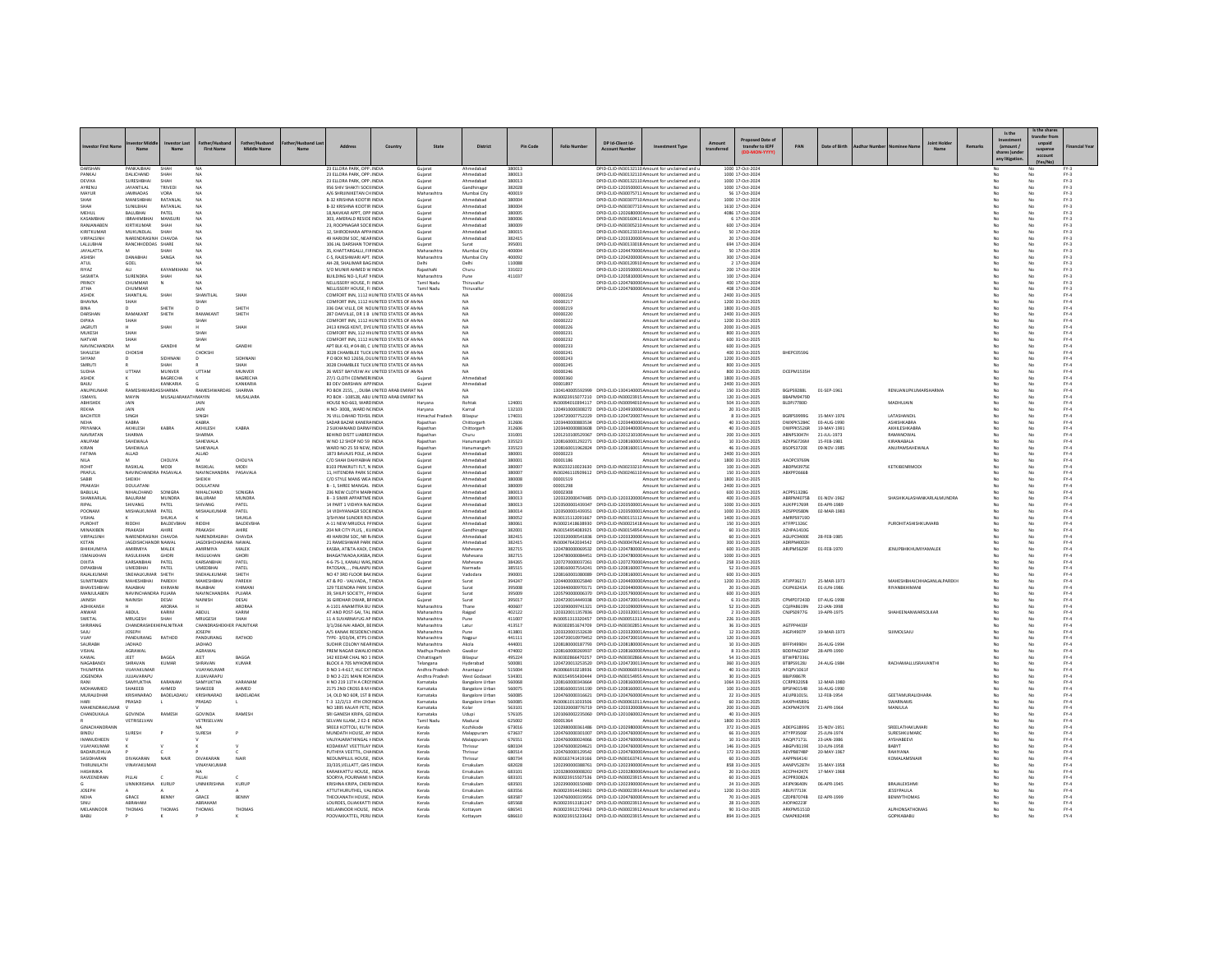|                                  |                                  |                      |                                       |                             |                                                                                           |         |                            |                                                  |                  |                      |                                           |                                                                                                                                      |             | sed Date of                          |                                        |                            |                                             |        | Is the                                  | Is the share<br>ransfer fro |                                                 |
|----------------------------------|----------------------------------|----------------------|---------------------------------------|-----------------------------|-------------------------------------------------------------------------------------------|---------|----------------------------|--------------------------------------------------|------------------|----------------------|-------------------------------------------|--------------------------------------------------------------------------------------------------------------------------------------|-------------|--------------------------------------|----------------------------------------|----------------------------|---------------------------------------------|--------|-----------------------------------------|-----------------------------|-------------------------------------------------|
| <b>Investor First Nam</b>        |                                  | Nam                  | <b>First Name</b>                     | <b>Middle Name</b>          | Address                                                                                   | Country | State                      | District                                         | Pin Code         | <b>Folio Number</b>  | DP Id-Client Id-<br><b>Account Number</b> | <b>Investment Type</b>                                                                                                               | transferred | transfer to IEPF                     | PAN                                    | Date of Birth              |                                             | Remark | (amount /<br>ares )und<br>any litigatio | suspense<br>account         | inancial Yea                                    |
| DARSHAN<br>PANKAJ                | PANKAIRHAI<br>DALICHAND          | SHAH                 | <b>NA</b>                             |                             | 23 ELLORA PARK, OPP. INDIA<br>23 ELLORA PARK, OPP. INDIA                                  |         | Gujarat                    | Ahmedabar<br>Ahmedabad                           | 380013<br>380013 |                      |                                           | DPID-CLID-IN30132110 Amount for unclaimed and<br>DPID-CLID-IN30132110 Amount for unclaimed and u                                     |             | 1000 17-Oct-2024<br>1000 17-Oct-2024 |                                        |                            |                                             |        | No                                      |                             | $FY-3$                                          |
| DEVIKA                           | SURESHBHA                        | SHAH                 | NA                                    |                             | 23 ELLORA PARK, OPP. INDIA                                                                |         | Gujarat                    | Ahmedabad                                        | 380013           |                      |                                           | DPID-CLID-IN30132110 Amount for unclaimed and u                                                                                      |             | 1000 17-Oct-2024                     |                                        |                            |                                             |        |                                         |                             | $FN-3$                                          |
| AYRENU                           | JAYANTILAL                       | TRIVEDI              | NA                                    |                             | 956 SHIV SHAKTI SOCII INDIA                                                               |         | Gujarat                    | Gandhinaga                                       | 382028           |                      |                                           | DPID-CLID-1203500001 Amount for unclaimed and u                                                                                      |             | 1000 17-Oct-2024                     |                                        |                            |                                             |        | No                                      |                             | $FN-3$                                          |
| MAYUR<br><b>SHAH</b>             | <b>JAMNADAS</b><br>MANISHBHA     | VORA<br>RATANLAL     | <b>NA</b><br>NA                       |                             | A/6 SHRUINIKETAN CHINDIA<br>B-32 KRISHNA KOOTIR INDIA                                     |         | Maharashtra<br>Gujarat     | Mumbai City<br>Ahmedabad                         | 400019<br>380004 |                      |                                           | DPID-CLID-IN30075711 Amount for unclaimed and u<br>DPID-CLID-IN30307710 Amount for unclaimed and u                                   |             | 56 17-Oct-2024<br>1000 17-Oct-2024   |                                        |                            |                                             |        | No<br>No<br>No<br>No                    |                             | $FN-3$<br>$FY-3$                                |
|                                  | SUNILBHAI                        | RATANLAL             | NA                                    |                             | B-32 KRISHNA KOOTIR INDIA                                                                 |         | Gujarat                    | Ahmedabad                                        | 380004           |                      |                                           | DPID-CLID-IN30307710 Amount for unclaimed and u                                                                                      |             | 1610 17-Oct-2024                     |                                        |                            |                                             |        |                                         |                             | $PV-3$                                          |
| MEHUL                            | <b>BALUBHAI</b>                  | PATEL                | NA                                    |                             | 18, NAVKAR APPT, OPP INDIA                                                                |         | Gujara                     | Ahmedabad                                        | 380005           |                      |                                           | DPID-CLID-1202680000 Amount for unclaimed and u                                                                                      |             | 4086 17-Oct-2024                     |                                        |                            |                                             |        | No                                      |                             | $\mathsf{FY}\text{-3}$                          |
| KASAMBHA                         | <b>IBRAHIMBHAI</b><br>KIRTIKUMAR | MANSURI<br>SHAH      | <b>NA</b>                             |                             | 303, AMERALD RESIDE INDIA<br>23, ROOPNAGAR SOCIEINDIA                                     |         | Gujarat                    | Ahmedabad                                        | 380006           |                      |                                           | DPID-CLID-IN30160411 Amount for unclaimed and u<br>DPID-CLID-IN30305210 Amount for unclaimed and u                                   |             | 6 17-Oct-2024<br>600 17-Oct-2024     |                                        |                            |                                             |        | No<br>No                                |                             | $FY-3$<br>$FY-3$                                |
| RANJANABEN<br>KIRITKUMAR         | MUKUNDLAL                        | SHAH                 | NA                                    |                             | 12, SHIRODHARA APPAINDIA                                                                  |         | Gujarat<br>Gujara          | Ahmedabad<br>Ahmedabad                           | 380009<br>380015 |                      |                                           | DPID-CLID-IN30123310 Amount for unclaimed and u                                                                                      |             | 50 17-Oct-2024                       |                                        |                            |                                             |        | No                                      |                             | $\mathsf{FY}\text{-3}$                          |
| VIRPALSINH                       | NARENDRASINH CHAVDA              |                      | <b>NA</b>                             |                             | 49 HARIOM SOC. NEAR INDIA                                                                 |         | Guiarat                    | Ahmedabad                                        | 382415           |                      |                                           | DPID-CLID-1203320000 Amount for unclaimed and u                                                                                      |             | 20 17-Oct-2024                       |                                        |                            |                                             |        | No<br>No                                |                             | $FY-3$                                          |
| LALLUBHAI                        | RANCHHODDAS SHARE                |                      | NA                                    |                             | 106 JAL DARSHAN TOV INDIA                                                                 |         | Gujarat                    | Surat                                            | 395001           |                      |                                           | DPID-CLID-IN30133018 Amount for unclaimed and u                                                                                      |             | 694 17-Oct-2024                      |                                        |                            |                                             |        | No<br>No                                |                             | $FY-3$                                          |
| <b>JAYALATTA</b><br><b>GHISH</b> | DANARHA                          | SANGA                | NA<br>NA                              |                             | 35, KHATTARGALLI, FIRINDIA<br>C-5, RAJESHWARI APT. INDIA                                  |         | Maharashtra<br>Maharashtra | Mumbai City<br>Mumbai City                       | 400004<br>400092 |                      |                                           | DPID-CLID-1204470000 Amount for unclaimed and u<br>DPID-CLID-120420000C Amount for unclaimed and u                                   |             | 50 17-Oct-2024<br>300 17-Oct-2024    |                                        |                            |                                             |        | No<br>No                                |                             | $PV-3$<br>$FY-3$                                |
| ATUL                             | GOEL                             |                      | <b>NA</b>                             |                             | AH-28, SHALIMAR BAG INDIA                                                                 |         | Delhi                      | Delhi                                            | 110088           |                      |                                           | DPID-CUD-IN30120910 Amount for unclaimed and u                                                                                       |             | 2 17-Oct-2024                        |                                        |                            |                                             |        | No<br>No                                |                             | $FN-3$                                          |
| RIYAZ                            | ALI<br>SURENDRA                  | KAYAMKHANI           | <b>NA</b><br>NA                       |                             | S/O MUNIR AHMED W INDIA<br>BUILDING NO-1,FLAT NINDIA                                      |         | RajasthaN<br>Maharashtra   | Churu                                            | 331022           |                      |                                           | DPID-CLID-1203500001Amount for unclaimed and u                                                                                       |             | 200 17-Oct-2024                      |                                        |                            |                                             |        | No<br>No                                |                             | $FY-3$                                          |
| <b>SASMITA</b><br>PRINCY         | CHUMMAR                          | SHAH                 | <b>NA</b>                             |                             | NELLISSERY HOUSE. ELIMINA                                                                 |         | Tamil Nadu                 | Pune<br>Thiruvallur                              | 411037           |                      |                                           | DPID-CLID-120581000C Amount for unclaimed and u<br>DPID-CUD-1204760000 Amount for unclaimed and u                                    |             | 100 17-Oct-2024<br>400 17-Oct-2024   |                                        |                            |                                             |        | No<br>No<br>No                          |                             | $FY-3$<br>$FN-3$                                |
| <b>JITHA</b>                     | CHUMMAR                          |                      | <b>NA</b>                             |                             | NELLISSERY HOUSE. FI INDIA                                                                |         | Tamil Nadu                 | Thiruvallur                                      |                  |                      |                                           | DPID-CUD-1204760000 Amount for unclaimed and u                                                                                       |             | 408 17-Oct-2024                      |                                        |                            |                                             |        | No<br>No                                |                             | $FY-3$                                          |
| <b>ASHOP</b>                     | SHANTILAL                        | SHAH                 | SHANTILAL                             | SHAH                        | COMFORT INN, 1112 HUNITED STATES OF AN NA                                                 |         |                            | NA                                               |                  | 00000216             |                                           | Amount for unclaimed and u                                                                                                           |             | 2400 31-Oct-2025                     |                                        |                            |                                             |        | No                                      |                             | $PV-4$                                          |
| BHAVNA<br>BINA                   | SHAH<br>$\mathbf{D}$             | <b>SHETH</b>         | SHAH<br>n.                            | SHETH                       | COMFORT INN, 1112 HUNITED STATES OF AN NA<br>336 OAK VILLE, DR NCUNITED STATES OF ANNA    |         |                            | NA<br><b>NA</b>                                  |                  | 00000217<br>00000219 |                                           | Amount for unclaimed and u<br>Amount for unclaimed and u                                                                             |             | 1200 31-Oct-2025<br>1800 31-Oct-2025 |                                        |                            |                                             |        | No<br>No<br>No                          |                             | FY.4<br>$FY-4$                                  |
| DARSHAN                          | RAMAKANT                         | SHETH                | RAMAKANT                              | SHETH                       | 287 OAKVILLE, DR 1 B UNITED STATES OF ANNA                                                |         |                            | NA                                               |                  | 00000220             |                                           | Amount for unclaimed and u                                                                                                           |             | 2400 31-Oct-2025                     |                                        |                            |                                             |        | No<br>No                                |                             | $FY-4$                                          |
| DIPIKA                           | SHAH                             |                      | SHAH                                  |                             | COMFORT INN. 1112 HUNITED STATES OF AN NA                                                 |         |                            | NA                                               |                  | 0000022              |                                           | Amount for unclaimed and u                                                                                                           |             | 1200 31-Oct-2025                     |                                        |                            |                                             |        |                                         |                             | $PV-4$                                          |
| <b>IAGRUTI</b><br>MUKESH         | SHAH                             | SHAH                 | SHAH                                  | SHAH                        | 2413 KINGS KENT, DYE UNITED STATES OF AN NA<br>COMFORT INN, 112 HV UNITED STATES OF AN NA |         |                            | NA<br>NA                                         |                  | 00000226<br>00000231 |                                           | Amount for unclaimed and u<br>Amount for unclaimed and u                                                                             |             | 2000 31-Oct-2025<br>800 31-Oct-2025  |                                        |                            |                                             |        | No<br>No                                |                             | $FY-4$<br>FY.4                                  |
| NATVAR                           | SHAH                             |                      | SHAH                                  |                             | COMFORT INN, 1112 HUNITED STATES OF AN NA                                                 |         |                            |                                                  |                  | 0000023              |                                           | Amount for unclaimed and u                                                                                                           |             | 600 31-Oct-2025                      |                                        |                            |                                             |        |                                         |                             | $PV-4$                                          |
| NAVINCHANDRA                     | M                                | GANDH                | M                                     | <b>GANDH</b>                | APT BLK 43, # 04-80, C UNITED STATES OF AN NA                                             |         |                            | NA                                               |                  | 00000233             |                                           | Amount for unclaimed and u                                                                                                           |             | 600 31-Oct-2025                      |                                        |                            |                                             |        | No<br>No                                |                             | FY.4                                            |
| SHAILESH<br>SHYAM                | CHOKSHI                          | SIDHNANI             | CHOKSHI<br>D                          | SIDHNAN                     | 3028 CHAMBLEE TUCK UNITED STATES OF AN NA<br>P O BOX NO 12656, DL UNITED STATES OF AN NA  |         |                            | <b>NA</b><br>NA                                  |                  | 00000241<br>00000243 |                                           | Amount for unclaimed and u<br>Amount for unclaimed and u                                                                             |             | 400 31-Oct-2025<br>1200 31-Oct-2025  | BHEPC0559G                             |                            |                                             |        | No<br>No<br>No<br>No                    |                             | $FY-4$<br>$FY-4$                                |
| SMRUT                            |                                  |                      |                                       |                             | 3028 CHAMBLEE TUCK UNITED STATES OF AN NA                                                 |         |                            | NA                                               |                  | 00000249             |                                           | Amount for unclaimed and u                                                                                                           |             | 800 31-Oct-2025                      |                                        |                            |                                             |        |                                         |                             | $PV-4$                                          |
| <b>SUDHA</b>                     | UTTAM                            | MUNVER               | UTTAM                                 | MUNVER                      | 26 WEST BAYVEIW AV UNITED STATES OF AN NA                                                 |         |                            | NA                                               |                  | 00000246             |                                           | Amount for unclaimed and u                                                                                                           |             | 800 31-Oct-2025                      | DCEPM1535H                             |                            |                                             |        |                                         |                             | FY.4                                            |
| ASHOK<br>BAIJU                   |                                  | BAGRECHA<br>KANKARIA |                                       | <b>BAGRECHA</b><br>KANKARIA | 27/1 CLOTH COMMERINDIA<br><b>B3 DEV DARSHAN APP INDIA</b>                                 |         | Guiara<br>Gujara           | Ahmedabad<br>Ahmedabad                           |                  | 00000360<br>0000189  |                                           | Amount for unclaimed and u<br>Amount for unclaimed and u                                                                             |             | 1800 31-Oct-2025<br>2400 31-Oct-2025 |                                        |                            |                                             |        | No                                      |                             | $FY-4$<br>$PV-4$                                |
| ANUPKUMAR                        | RAMESHWA                         | <b>ISSHARMA</b>      | RAMESHWARDAS                          | SHARMA                      | PO BOX 2155, , , DUBA UNITED ARAB EMIRAT NA                                               |         |                            | <b>NA</b>                                        |                  |                      |                                           | 1304140005592999 DPID-CLID-1304140005 Amount for unclaimed and u                                                                     |             | 150 31-Oct-2025                      | BGJPS9288L                             | 01-SEP-1961                | RENUANUPKUMARSHARMA                         |        | No                                      |                             | FY.4                                            |
| <b>ISMAYIL</b>                   | MAYIN                            | MUSALIARAKATH MAYIN  |                                       | MUSALIARA                   | PO BOX - 108528, ABU UNITED ARAB EMIRAT NA                                                |         |                            | <b>NA</b>                                        |                  |                      |                                           | IN30023915077210 DPID-CUD-IN30023915 Amount for unclaimed and u                                                                      |             | 120 31-Oct-2025                      | BBAPM9479D                             |                            |                                             |        | No<br>No                                |                             | $FY-4$                                          |
| ABHISHEK<br>REKHA                | JAIN<br>JAIN                     |                      | JAIN<br>JAIN                          |                             | HOUSE NO-663, WARD INDIA<br>H NO-3008, WARD N(INDIA                                       |         | Haryana<br>Haryana         | Rohtak<br>Karnal                                 | 124001<br>132103 |                      |                                           | IN30094010394117 DPID-CLID-IN30094010 Amount for unclaimed and u<br>1204910000308272 DPID-CLID-1204910000 Amount for unclaimed and u |             | 504 31-Oct-2025<br>20 31-Oct-2025    | BLDPJ7780D                             |                            | MADHUJAIN                                   |        | No<br>No                                |                             | FY.4<br>$PV-4$                                  |
| BACHITER                         | SINGH                            |                      | SINGH                                 |                             | 76 VILL DAHAD TEHSIL INDIA                                                                |         | Himachal Prade             | Bilaspu                                          | 174031           |                      |                                           | 1204720007752229 DPID-CLID-1204720007 Amount for unclaimed and u                                                                     |             | 8 31-Oct-2025                        | <b>BGRPS9999G</b>                      | 15-MAY-1976                | LATASHANDI                                  |        | No<br>No                                |                             | $FY-4$                                          |
| <b>NFHA</b>                      | KABRA                            |                      | KABRA                                 |                             | SADAR BAZAR KANERA INDIA                                                                  |         | Rajasthan                  | Chittorgarh                                      | 312606           |                      |                                           | 1203440000883534 DPID-CUD-1203440000 Amount for unclaimed and u                                                                      |             | 40 31-Oct-2025                       | DWXPK5284C                             | 03-AUG-1990                | ASHISHKABRA                                 |        | No<br>No                                |                             | $FY-4$                                          |
| PRIYANKA<br>NAVRATAN             | AKHILESH<br><b>SHARMA</b>        | KABRA                | AKHILESH<br>SHARMA                    | KABRA                       | 2 SUKHANAND DARW/INDIA<br>BEHIND DISTT LIABREFINDIA                                       |         | Rajasthan<br>Rajasthai     | Chittorgarh<br>Churu                             | 312606<br>331001 |                      |                                           | 1203440000883608 DPID-CUD-1203440000 Amount for unclaimed and u<br>1201210100529367 DPID-CLID-120121010C Amount for unclaimed and u  |             | 40 31-Oct-2025<br>200 31-Oct-2025    | DWPPK5526R<br><b>ABNPS3047H</b>        | 19-MAY-1991<br>21-JUL-1973 | AKHILESHKABRA<br>RAMANOWAL                  |        | No<br>No                                |                             | $FY-4$<br>$PV-4$                                |
| ANUPAM                           | SAHEWALA                         |                      | SAHEWALA                              |                             | W NO 12 SHOP NO 59 INDIA                                                                  |         | Rajasthan                  | Hanumangar                                       | 335523           |                      |                                           | 1208160001292271 DPID-CUD-1208160001Amount for unclaimed and u                                                                       |             | 10 31-Oct-2025                       | AZXPS6726M                             | 15-FEB-1981                | KIRANABALA                                  |        | No<br>No                                |                             | $FY-4$                                          |
| KIRAN                            | SAHEWALA                         |                      | SAHEWALA                              |                             | WARD NO 25 59 NEW, INDIA                                                                  |         | Rajasthan                  | Hanumangarh                                      | 335523           |                      |                                           | 1208160011962824 DPID-CUD-1208160011Amount for unclaimed and u                                                                       |             | 46 31-Oct-2025                       | <b>BSOPS3720E</b>                      | 09-NOV-1985                | ANUPAMSAHEWALA                              |        | No<br>No                                |                             | $FY-4$                                          |
| FATIMA<br>NILA                   | ALLAD                            | CHOLIYA              | ALLAD<br>M                            | CHOLIYA                     | 1873 BAVAJIS POLE, JA INDIA<br>C/O SHAH DAHYABHAI INDIA                                   |         | Gujarat                    | Ahmedabad<br>Ahmedabad                           | 380001<br>380001 | 00000223<br>00001186 |                                           | Amount for unclaimed and u                                                                                                           |             | 2400 31-Oct-2025                     | AAOPC9769N                             |                            |                                             |        | No                                      |                             | $PV-4$<br>FY.4                                  |
| <b>ROHIT</b>                     | RASIKLAL                         | MODI                 | RASIKLAL                              | MODI                        | B103 PRAKRUTI FLT. N INDIA                                                                |         | Gujara<br>Gujarat          | Ahmedabad                                        | 380007           |                      |                                           | Amount for unclaimed and u<br>IN30233210023630 DPID-CLID-IN30233210 Amount for unclaimed and u                                       |             | 1800 31-Oct-2025<br>100 31-Oct-2025  | ABDPM3975E                             |                            | KETKIBENRMODI                               |        | No<br>No                                |                             | $FY-4$                                          |
| PRAFUL                           | NAVINCHANDRA PASAVALA            |                      | NAVINCHANDRA                          | PASAVALA                    | 11, HITENDRA PARK SCINDIA                                                                 |         | Gujarat                    | Ahmedabad                                        | 380007           |                      |                                           | IN30246110509612 DPID-CLID-IN30246110 Amount for unclaimed and u                                                                     |             | 150 31-Oct-2025                      | ABXPP2666B                             |                            |                                             |        | No                                      |                             | $FY-4$                                          |
| SABIR<br>PRAKAS                  | SHEIKH<br>DOULATAN               |                      | SHEIKH<br><b>DOULATAN</b>             |                             | C/O STYLE MANS WEA INDIA                                                                  |         | Gujarat                    | Ahmedabad<br>Ahmedabad                           | 380008<br>380009 | 00001519             |                                           | Amount for unclaimed and u                                                                                                           |             | 1800 31-Oct-2025<br>2400 31-Oct-2025 |                                        |                            |                                             |        |                                         |                             | $PV-4$                                          |
| BABULAL                          | NIHALCHAND                       | SONIGRA              | NIHALCHAND                            | SONIGRA                     | B - 1, SHREE MANGAL INDIA<br>236 NEW CLOTH MARHNDIA                                       |         | Gujara<br>Gujarat          | Ahmedabad                                        | 380013           | 00001298<br>00002308 |                                           | Amount for unclaimed and u<br>Amount for unclaimed and u                                                                             |             | 600 31-Oct-2025                      | ACPPS1328G                             |                            |                                             |        | No                                      |                             | $\frac{\mathsf{FY}\cdot 4}{\mathsf{FY}\cdot 4}$ |
| SHANKARLAL                       | BALURAM                          | MUNDRA               | BALURAM                               | MUNDRA                      | <b>B - 3 SIMIR APPARTME INDIA</b>                                                         |         | Gujara                     | Ahmedabar                                        | 380013           |                      |                                           | 1203320000474485 DPID-CLID-1203320000 Amount for unclaimed and u                                                                     |             | 400 31-Oct-2025                      | ABRPM4075B                             | 01-NOV-1962                | SHASHIKALASHANKARLALMUNDRA                  |        |                                         |                             | $PV-4$                                          |
| <b>RIPAL</b><br>POONAM           | SHIVANG<br>MISHALKUMAR PATEL     | PATEL                | SHIVANG<br><b>MISHALKUMAR</b>         | PATEL<br>PATEL              | 14 PART 1 VIDHYA NACINDIA<br>14 VIDHYANAGR SOCIEINDIA                                     |         | Gujara<br>Guiarat          | Ahmedabad<br>Ahmedabad                           | 380013<br>380014 |                      |                                           | 1203500001439347 DPID-CLID-1203500001Amount for unclaimed and u<br>1203500001439351 DPID-CUD-1203500001Amount for unclaimed and u    |             | 1000 31-Oct-2025<br>1000 31-Oct-2025 | AUKPP1769R<br>AOSPP0580N               | 03-APR-1989<br>02-MAR-1983 |                                             |        | No                                      |                             | FY.4<br>$FY-4$                                  |
| VISHAL                           |                                  | SHUKLA               |                                       | SHUKLA                      | 3/SHYAM SUNDER ROLINDIA                                                                   |         | Gujarat                    | Ahmedabad                                        | 380052           |                      |                                           | IN30115112091667 DPID-CLID-IN30115112 Amount for unclaimed and u                                                                     |             | 1400 31-Oct-2025                     | AMRPS9719D                             |                            |                                             |        | No                                      |                             | $FY-4$                                          |
| PUROHIT                          | RIDDHI                           | BALDEVBHAI           | RIDDHI                                | BALDEVBHA                   | A-11 NEW MRUDUL P/ INDIA                                                                  |         | Gujara                     | Ahmedabad                                        | 380061           |                      |                                           | IN30021418638930 DPID-CLID-IN30021418 Amount for unclaimed and u                                                                     |             | 150 31-Oct-2025                      | ATFPP13260                             |                            | PUROHITASHISHKUMARE                         |        |                                         |                             | $PV-4$                                          |
| MINAXIBEN                        | PRAKASH<br>NARENDRASINH CHAVDA   | AHIRE                | PRAKASH                               | AHIRE                       | 204 NR CITY PLUS, , KUINDIA<br>49 HARIOM SOC. NR RJ NDIA                                  |         | Gujara                     | Gandhinagar                                      | 382001           |                      |                                           | IN30154954083925 DPID-CLID-IN30154954 Amount for unclaimed and u<br>1203320000541836 DPID-CUD-1203320000 Amount for unclaimed and u  |             | 60 31-Oct-2025                       | AZHPA1410G                             |                            |                                             |        |                                         |                             | FY.4                                            |
| VIRPALSINH<br>KETAN              | <b>JAGDISHCHANDR NAWAL</b>       |                      | NARENDRASINH<br><b>JAGDISHCHANDRA</b> | CHAVDA<br>NAWAL             | 21 RAMESHWAR PARK INDIA                                                                   |         | Gujarat<br>Gujara          | Ahmedabad<br>Ahmedabad                           | 382415<br>382415 |                      |                                           | IN30047642034542 DPID-CLID-IN30047642 Amount for unclaimed and u                                                                     |             | 60 31-Oct-2025<br>300 31-Oct-2025    | AGUPC9400E<br>ADRPN4002F               | 28-FEB-1985                |                                             |        | No                                      |                             | $FY-4$<br>$FY-4$                                |
| BHIKHUMIYA                       | <b>AMIRMIVA</b>                  | MALEK                | AMIRMIYA                              | MALEK                       | KASBA, AT&TA-KADI, CINDIA                                                                 |         | Gujara                     | Mahesana                                         | 382715           |                      |                                           | 1204780000069532 DPID-CLID-1204780000 Amount for unclaimed and u                                                                     |             | 600 31-Oct-2025                      | ARJPM5629F                             | 01-FEB-1970                | <b>JENUPBHIKHUMIYAMALEK</b>                 |        |                                         |                             | FY.4                                            |
| <b>ISMAILKHAN</b>                | RASULKHAN                        | GHORI                | RASULKHAN                             | GHORI                       | <b>BHAGATWADA KASRA INDIA</b><br>4-6-75-1, KANALI WAS INDIA                               |         | Gujarat                    | Mahesana                                         | 382715           |                      |                                           | 1204780000084451 DPID-CUD-1204780000 Amount for unclaimed and u<br>1207270000037261 DPID-CLID-1207270000 Amount for unclaimed and u  |             | 1000 31-Oct-2025                     |                                        |                            |                                             |        | No                                      |                             | $FY-4$<br>FY.4                                  |
| DIXITA<br>DIPAKBHA               | KARSANBHAI<br>UMEDBHAI           | PATEL<br>PATEL       | KARSANBHAI<br><b>UMEDBHAI</b>         | PATEL<br>PATEL              | PATOSAN, , , PALANPU INDIA                                                                |         | Gujarat<br>Gujarat         | Mahesana<br>Narmada                              | 384265<br>385515 |                      |                                           | 1208160007554241 DPID-CLID-1208160007 Amount for unclaimed and u                                                                     |             | 258 31-Oct-2025<br>52 31-Oct-2025    |                                        |                            |                                             |        | No                                      |                             | $PV-4$                                          |
| RAJALKUMAF                       | SNEHALKUMAR SHETH                |                      | SNEHALKUMAI                           | SHETH                       | NO 47 3RD FLOOR BAK INDIA                                                                 |         | Gujara                     | Vadodara                                         | 390001           |                      |                                           | 1208160001080089 DPID-CLID-1208160001Amount for unclaimed and u                                                                      |             | 600 31-Oct-2025                      |                                        |                            |                                             |        | No                                      |                             | $FY-4$                                          |
| SUMITRABEN                       | MAHESHBHAI                       | PAREKH               | MAHESHBHAI                            | PAREKH                      | AT & PO - VALVADA, TINDIA                                                                 |         | Guiarat                    | Surat                                            | 394247           |                      |                                           | 1204400000025840 DPID-CUD-1204400000 Amount for unclaimed and u<br>1203440000970171 DPID-CLID-1203440000 Amount for unclaimed and u  |             | 1200 31-Oct-2025                     | ATJPP3617J                             | 25-MAR-1973                | MAHESHBHAICHHAGANLALPAREKH<br>RIYANBKHIMANI |        | No<br>No                                |                             | $FY-4$<br>FY.4                                  |
| BHAVESHBHA<br>MANJULABEN         | RAJABHAI<br>NAVINCHANDRA PUJARA  | KHIMANI              | RAJABHAI<br>NAVINCHANDRA              | KHIMAN<br>PUJARA            | 129 TEJENDRA PARK SI INDIA<br>39, SHILPI SOCIETY, PAINDIA                                 |         | Gujarat<br>Gujara          | Surat<br>Surat                                   | 395008<br>395009 |                      |                                           | 1205790000006370 DPID-CLID-1205790000 Amount for unclaimed and u                                                                     |             | 20 31-Oct-2025<br>600 31-Oct-2025    | CKJPK6243A                             | 01-JUN-1986                |                                             |        | No                                      |                             | $PV-4$                                          |
| <b>AINISH</b>                    | NAINISH                          | DESAI                | NAINISH                               | DESAI                       | 16 GIRDHAR DWAR, BFINDIA                                                                  |         | Guiarat                    | Surat                                            | 395017           |                      |                                           | 1204720014449338 DPID-CUD-1204720014 Amount for unclaimed and u                                                                      |             | 6 31-Oct-2025                        | CPMPD7243D                             | 07-AUG-1998                |                                             |        | No                                      |                             | $FY-4$                                          |
| ADHIKANSH<br>ANWAR               | ABDUL                            | ARORAA<br>KARIM      | ABDUL                                 | ARORAA<br>KARIM             | A-1101 ANAMITRA BU INDIA<br>AT AND POST-SAI, TAL INDIA                                    |         | Maharashtra<br>Maharashtra | Thane<br>Raigad                                  | 400607<br>402122 |                      |                                           | 1201090009741321 DPID-CLID-1201090005 Amount for unclaimed and u<br>1203320011357836 DPID-CLID-1203320011 Amount for unclaimed and u |             | 52 31-Oct-2025<br>2 31-Oct-2025      | CQJPA8619N<br><b>CNJPS0977G</b>        | 22-JAN-1998<br>19-APR-1975 | SHAHEENANWARSOLKAR                          |        | No                                      |                             | $FY-4$<br>$PV-4$                                |
| SWETAL                           | <b>MRLIGESH</b>                  | SHAH                 | <b>MRUGESH</b>                        | SHAH                        | 11 A SUVARNAYUG AP INDIA                                                                  |         | Maharashtra                | Pune                                             | 411007           |                      |                                           | IN30051313320457 DPID-CLID-IN30051313 Amount for unclaimed and u                                                                     |             | 226 31-Oct-2025                      |                                        |                            |                                             |        | No                                      |                             | FY.4                                            |
| SHRIRANG                         | CHANDRASHEKHI PALNITKAR          |                      | CHANDRASHEKHER PALNITKAR              |                             | 3/1/266 NAI ABADI, BEINDIA                                                                |         | Maharashtra                | Latur                                            | 413517           |                      |                                           | IN30302851674709 DPID-CUD-IN30302851 Amount for unclaimed and u                                                                      |             | 36 31-Oct-2025                       | AGTPP44338                             |                            |                                             |        | No<br>No                                |                             | $FY-4$                                          |
| SAJU<br>VIJAY                    | <b>JOSEPH</b><br>PANDURANG       | RATHOD               | <b>JOSEPH</b><br>PANDURANG            | RATHOD                      | A/S KANAK RESIDENC\ INDIA<br>TYPE- 3/03/04, KTPS C INDIA                                  |         | Maharashtra<br>Maharashtra | Pune                                             | 413801<br>441111 |                      |                                           | 1203320001532639 DPID-CLID-1203320001Amount for unclaimed and u<br>1204720010979452 DPID-CLID-1204720010 Amount for unclaimed and u  |             | 12 31 Oct - 2025<br>120 31-Oct-2025  | AIGPJ4907P                             | 19-MAR-1973                | SUIMOLSAJU                                  |        | No<br>No                                |                             | $FY-4$<br>$PV-4$                                |
| SAURABH                          | <b>JADHAO</b>                    |                      | <b>JADHAO</b>                         |                             | SUDHIR COLONY NEARINDIA                                                                   |         | Maharashtra                | Nagpur<br>Akola                                  | 444001           |                      |                                           | 1208180000187793 DPID-CLID-1208180000 Amount for unclaimed and u                                                                     |             | 10 31-Oct-2025                       | BFFPJ4990H                             | 26-4116-1994               |                                             |        | No                                      |                             |                                                 |
| VISHAL                           | AGRAWAL                          |                      | AGRAWAL                               |                             | PREM NAGAR GWALIO INDIA                                                                   |         | Madhya Pradesh             | Gwalion                                          | 474002           |                      |                                           | 1208160000269937 DPID-CUD-1208160000 Amount for unclaimed and u                                                                      |             | 8 31-Oct-2025                        | BDDPA6236P                             | 28-APR-1990                |                                             |        | No                                      |                             | $\frac{\mathsf{FY}\cdot 4}{\mathsf{FY}\cdot 4}$ |
| KAWAL<br>NAGARANDI               | JEET<br>SHRAVAN                  | BAGGA<br>KUMAR       | JEET<br>SHRAVAN                       | BAGGA<br>KUMAR              | 142 KEDAR CHAL NO 1 INDIA<br>BLOCK A 705 MYHOMEINDIA                                      |         | Chhattisgarh<br>Telangana  | Bilaspur<br>Hyderabad                            | 495224<br>500081 |                      |                                           | IN30302866470257 DPID-CLID-IN30302866 Amount for unclaimed and u<br>1204720013253520 DPID-CLID-1204720013 Amount for unclaimed and u |             | 54 31-Oct-2025<br>360 31-Oct-2025    | <b>BTWPB7336I</b><br><b>BTBPS9128J</b> | 24-AUG-1984                | RACHAMALLUSRAVANTH                          |        | No                                      |                             | $PV-4$<br>$FY-4$                                |
| THUMPERA                         | VUAYAKUMAR                       |                      | VIJAYAKUMAF                           |                             | D NO 1-4-617. HLC EXTINDIA                                                                |         | Andhra Pradesh             | Anantapur                                        | 515004           |                      |                                           | IN30066910218936 DPID-CUD-IN30066910 Amount for unclaimed and u                                                                      |             | 40 31-Oct-2025                       | AFOPV1061F                             |                            |                                             |        | No                                      |                             | $FY-4$                                          |
| <b>JOGENDRA</b>                  | <b>JUJJAVARAPU</b>               |                      | <b>JUJJAVARAPU</b>                    |                             | D NO 2-221 MAIN ROAINDIA                                                                  |         | Andhra Pradesh             | West Godavari                                    | 534301           |                      |                                           | IN30154955430444 DPID-CLID-IN30154955 Amount for unclaimed and u                                                                     |             | 30 31-Oct-2025                       | <b>BBJPJ9867R</b>                      |                            |                                             |        | No                                      |                             | $FY-4$                                          |
| RANI<br>MOHAMMED                 | SAMYUKTHA<br>SHAKEEB             | KARANAM<br>AHMED     | SAMYUKTHA<br>SHAKEEB                  | KARANAM<br><b>GRAHA</b>     | H NO 219 11TH A CRO! INDIA<br>2175 2ND CROSS B M HNDIA                                    |         | Karnataka<br>Karnataka     | <b>Bangalore Urbar</b>                           | 560068<br>560075 |                      |                                           | 1208160000343664 DPID-CLID-1208160000 Amount for unclaimed and u<br>1208160001591190 DPID-CUD-1208160001Amount for unclaimed and u   |             | 1064 31-Oct-2025                     | <b>CCRPR3205B</b><br>BPSPA0154B        | 12-MAR-1980<br>16-AUG-1990 |                                             |        | No                                      |                             | $PV-4$<br>FY.4                                  |
| MURALIDHAR                       | KRISHNARAO                       | BADELADAKU           | KRISHNARAO                            | BADELADAK                   | 14. OLD NO 60R, 1ST B INDIA                                                               |         | Karnataka                  | <b>Bangalore Urbar</b><br><b>Bangalore Urban</b> | 560085           |                      |                                           | 1204760000316621 DPID-CUD-1204760000 Amount for unclaimed and u                                                                      |             | 100 31-Oct-2025<br>22 31-Oct-2025    | AEUPB1015L                             | 12-FEB-1954                | <b>GEETAMURALIDHARA</b>                     |        | No<br>No                                |                             | $FY-4$                                          |
|                                  | PRASAD                           |                      | PRASAD                                |                             | T-3 12/2/13 4TH CRO: INDIA                                                                |         | Karnataka                  | <b>Bangalore Urban</b>                           | 560085           |                      |                                           | IN30061011033506 DPID-CLID-IN30061011 Amount for unclaimed and u                                                                     |             | 60 31-Oct-2025                       | <b>AAXPH4589</b>                       |                            | SWARNAMS                                    |        |                                         |                             | $FY-4$                                          |
| MAHENDRAKLIMAR<br>CHANDUKALA     | GOVINDA                          | RAMESH               | <b>GOVINDA</b>                        | RAMESH                      | NO 1895 KALAYI PETE, INDIA<br>SRI GANESH KRIPA, GC INDIA                                  |         | Karnataka<br>Karnataka     | Kolar<br>Udupi                                   | 563101<br>576105 |                      |                                           | 1203320008776719 DPID-CLID-1203320008 Amount for unclaimed and u                                                                     |             | 200 31-Oct-2025<br>40 31-Oct-2025    | ACKPM4297K                             | 21-APR-1964                | MANJULA                                     |        | No<br>No<br>No<br>No                    |                             | FY.4<br>$FY-4$                                  |
|                                  | VETRISELVAN                      |                      | VETRISELVAN                           |                             | SELVAN ILLAM, 2 E2-E INDIA                                                                |         | Tamil Nadu                 | Madurai                                          | 625002           | 00001364             |                                           | 1201060002235060 DPID-CLID-1201060002 Amount for unclaimed and u<br>Amount for unclaimed and u                                       |             | 1800 31-Oct-2025                     |                                        |                            |                                             |        | No<br>No                                |                             | FY.4                                            |
| GINACHANDRANN                    |                                  |                      |                                       |                             | SREEJI KOTTOLI, KUTH INDIA                                                                |         | Kerala                     | Kozhikode                                        | 673016           |                      |                                           | 1202980000361486 DPID-CUD-120298000C Amount for unclaimed and u                                                                      |             | 372 31-Oct-2025                      | ADEPG1899G                             | 15-NOV-1951                | SREELATHAKUMAR                              |        |                                         |                             | $PV-4$                                          |
| BINDU                            | <b>SURESH</b>                    |                      | SURESH                                |                             | MUNDATH HOUSE, AY INDIA                                                                   |         | Kerala                     | Malappuran                                       | 673637           |                      |                                           | 1204760000301007 DPID-CLID-1204760000 Amount for unclaimed and u                                                                     |             | 66 31-Oct-2025                       | ATYPP3506F                             | 25-JUN-1974                | SURESHKUMARC                                |        | No<br>No                                |                             | $FY-4$                                          |
| <b>IMANUDHEEN</b><br>VUAYAKUMAR  |                                  |                      |                                       |                             | VALIVAIARATHINGAL FINDIA<br>KODAKKAT VEETTILAY INDIA                                      |         | Kerala<br>Kerala           | Malappuram<br>Thrissur                           | 676551<br>680104 |                      |                                           | 120476000024066 DPID-CUD-120476000 Amount for unclaimed and u<br>1204760000204621 DPID-CLID-1204760000 Amount for unclaimed and u    |             | 10 31-Oct-2025<br>146 31-Oct-2025    | AAOPI7171L<br>ABGPV8119E               | 23-JAN-1986<br>10-JUN-1958 | AYSHABEEVI<br>BABYT                         |        | No<br>No<br>No<br>No                    |                             | $FY-4$<br>$FY-4$                                |
| BADARUDHUJA                      |                                  |                      |                                       |                             | PUTHIYA VEETTIL, CHAINDIA                                                                 |         | Kerala                     | Thrissu                                          | 680514           |                      |                                           | 1204760000129542 DPID-CLID-1204760000 Amount for unclaimed and u                                                                     |             | 172 31-Oct-2025                      | AEVPB8748P                             | 20-MAY-1967                | RAHIYANA                                    |        |                                         |                             | $PV-4$                                          |
| SASIDHARAN                       | DIVAKARAN                        | NAIR                 | DIVAKARAN                             | NAIR                        | NEDUMPILLI HOUSE INDIA                                                                    |         | Kerala                     | Thrissur                                         | 680734           |                      |                                           | IN30163741419166 DPID-CUD-IN30163741 Amount for unclaimed and u                                                                      |             | 60 31-Oct-2025                       | AAPPN6414J                             |                            | KOMALAMSNAIR                                |        | No<br>No                                |                             | $FY-4$                                          |
| THIRUNILATH<br>HASHIMKA          | VINAYAKUMAR                      |                      | VINAYAKUMAR                           |                             | 33/335, VELLATT, GHS IINDIA<br>KARAKKATTU HOUSE, INDIA                                    |         | Kerala<br>Kerala           | Ernakulan<br>Ernakulan                           | 682028<br>683101 |                      |                                           | 1202390000388761 DPID-CUD-1202390000 Amount for unclaimed and u<br>1203280000008202 DPID-CUD-1203280000 Amount for unclaimed and u   |             | 858 31-Oct-2025<br>20 31-Oct-2025    | AANPV5287H<br>ACCPH4247E               | 15-MAY-1958<br>17-MAY-1968 |                                             |        | No<br>No                                |                             | $FY-4$<br>$PV-4$                                |
| RAVEENDRAN                       |                                  |                      | PILLAI                                |                             | SOORYA, POURNAMI NINDIA                                                                   |         | Kerala                     | Ernakulan                                        | 683101           |                      |                                           | IN30023915507536 DPID-CUD-IN30023915 Amount for unclaimed and u                                                                      |             | 60 31-Oct-2025                       | ACPPR3082A                             |                            |                                             |        |                                         |                             | FY.4                                            |
|                                  | UNNIKRISHNA                      | <b>KURUP</b>         | <b>UNNIKRISHNA</b>                    | KURUP                       | KRISHNA KRIPA, CHERJINDIA                                                                 |         | Kerala                     | Ernakulam                                        | 683501           |                      |                                           | 120239000150480 DPID-CUD-1202390000 Amount for unclaimed and u                                                                       |             | 24 31-Oct-2025                       | AFJPK9640N                             | 06-APR-1945                | BRAJALEKSHMI                                |        | No<br>No                                |                             | $FY-4$                                          |
| <b>JOSEPH</b><br><b>NEHA</b>     | GRACE                            | BENNY                | GRACE                                 | BENNY                       | ATTUTHURUTHEL, VALINDIA<br>THECKANATH HOUSE, INDIA                                        |         | Kerala<br>Kerala           | Ernakulam<br>Ernakulan                           | 683556<br>683587 |                      |                                           | IN30023914419601 DPID-CLID-IN30023914 Amount for unclaimed and u<br>1204760000319956 DPID-CLID-1204760000 Amount for unclaimed and u |             | 1200 31-Oct-2025<br>70 31-Oct-2025   | ABLPJ77138<br>CZDPB7074B               | 02-APR-1999                | <b>JESSYPAULA</b><br>BENNYTHOMA             |        | No<br>No                                |                             | FY.4<br>$PV-4$                                  |
| SINU                             | ABRAHAN                          |                      | <b>ARRAHAM</b>                        |                             | LOURDES, OLIAKKATTI INDIA                                                                 |         | Kerala                     | Ernakulan                                        | 685568           |                      |                                           | IN30023913181247 DPID-CLID-IN30023913 Amount for unclaimed and u                                                                     |             | 28 31-Oct-2025                       | AIOPA02238                             |                            |                                             |        |                                         |                             | FY.4                                            |
| MELANNOOR                        | THOMAS                           | THOMAS               | THOMAS                                | THOMAS                      | MELANNOOR HOUSE, INDIA                                                                    |         | Kerala                     | Kottayam                                         | 686541           |                      |                                           | IN30023912170463 DPID-CLID-IN30023912 Amount for unclaimed and u                                                                     |             | 90 31-Oct-2025                       | ARKPM5151D                             |                            | ALPHONSATHOMAS                              |        | No<br>No                                |                             | $FY-4$                                          |
| BABU                             |                                  |                      |                                       |                             | POOVAKKATTEL, PERU INDIA                                                                  |         | Kerala                     | Kottayam                                         | 686610           |                      |                                           | IN30023915233642 DPID-CLID-IN30023915 Amount for unclaimed and u                                                                     |             | 894 31-Oct-2025                      | <b>CMAPK8249F</b>                      |                            | GOPIKABABU                                  |        |                                         |                             | $FY-4$                                          |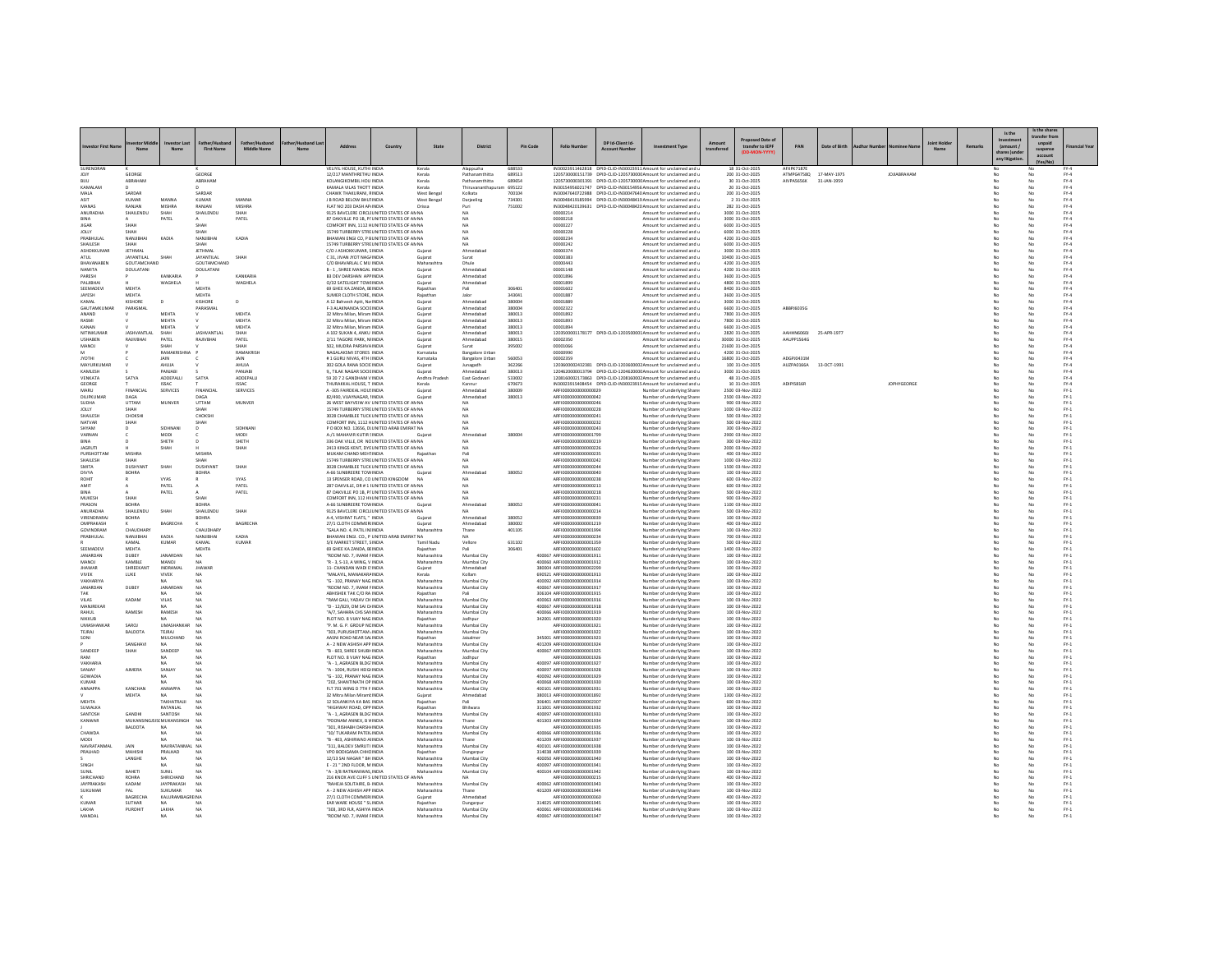|                              |                                         |                                 |                                         |                                 |    |                                                                                               |                                             |                            |                             |                  |                                                            |                                        |                                                                                                                                     |            |                                        |                                     |               |                    |        |                      | s the share          |                         |
|------------------------------|-----------------------------------------|---------------------------------|-----------------------------------------|---------------------------------|----|-----------------------------------------------------------------------------------------------|---------------------------------------------|----------------------------|-----------------------------|------------------|------------------------------------------------------------|----------------------------------------|-------------------------------------------------------------------------------------------------------------------------------------|------------|----------------------------------------|-------------------------------------|---------------|--------------------|--------|----------------------|----------------------|-------------------------|
|                              |                                         |                                 |                                         |                                 |    |                                                                                               |                                             |                            |                             |                  |                                                            |                                        |                                                                                                                                     |            | sed Date of                            |                                     |               |                    |        | Is the               | ransfer fr           |                         |
|                              | Mary                                    | No.                             | <b>First Name</b>                       | Middle Name                     | M- | <b>Address</b>                                                                                | Country                                     | State                      | <b>District</b>             | Pin Code         | <b>Folio Number</b>                                        | DP Id-Client Id-<br><b>Arcount Nun</b> | nent Type                                                                                                                           | transferre | transfer to IEPF                       | PAN                                 | Date of Birth |                    | Remark | (amount)             | unpaid               | inancial Yea            |
|                              |                                         |                                 |                                         |                                 |    |                                                                                               |                                             |                            |                             |                  |                                                            |                                        |                                                                                                                                     |            |                                        |                                     |               |                    |        | hares )ur            | suspens<br>account   |                         |
|                              |                                         |                                 |                                         |                                 |    |                                                                                               |                                             |                            |                             |                  |                                                            |                                        |                                                                                                                                     |            |                                        |                                     |               |                    |        | any litigatio        |                      |                         |
| SURENDRAN<br>IOIY            | GEORGE                                  |                                 | GEORGE                                  |                                 |    | VELIYIL HOUSE, KUTHI INDI.<br>12/217 MANTHRETHU INDIA                                         |                                             | Kerala<br>Kerala           | Alappuzha<br>Pathanamthitta | 688533<br>689513 |                                                            |                                        | IN30023911462818 DPID-CLID-IN30023911 Amount for unclaimed and<br>1205730000151739 DPID-CUD-1205730000 Amount for unclaimed and u   |            | 18 31-Oct-202<br>200 31-Oct-2025       | AFXPK7187<br>ATMPG4758Q 17-MAY-1975 |               | <b>JOJIABRAHAM</b> |        | No                   | No                   | EY-4                    |
| BUU                          | ABRAHAM                                 |                                 | ABRAHAM                                 |                                 |    | KOLANGIKOMBIL HOU INDIA                                                                       |                                             | Kerala                     | Pathanamthitta              | 689654           |                                                            |                                        | 1205730000301391 DPID-CLID-1205730000 Amount for unclaimed and u                                                                    |            | 30 31-Oct-2025                         | AIVPAS656K                          | 31-JAN-1959   |                    |        |                      |                      | $FY-4$                  |
| KAMALAN<br><b>MAIA</b>       | SARDAR                                  |                                 | SARDAR                                  |                                 |    | KAMALA VILAS THOTT INDIA<br>CHAWK THAKURANI RINDIA                                            |                                             | Kerala<br>West Bengal      | Kolkata                     | 695122<br>700104 |                                                            |                                        | IN30154956021747 DPID-CLID-IN30154956 Amount for unclaimed and u<br>IN30047640722988 DPID-CUD-IN30047640 Amount for unclaimed and u |            | 20 31-Oct-2025<br>200 31-Oct-2025      |                                     |               |                    |        | No                   | No                   | $FY-4$<br>PY-4          |
| ASIT                         | KUMAR                                   | MANNA                           | KUMAR                                   | <b>MANNA</b>                    |    | J B ROAD BELOW BHUTINDIA                                                                      |                                             | West Bengal                | Darieeling                  | 734301           |                                                            |                                        | IN30048419185994 DPID-CUD-IN30048419 Amount for unclaimed and u                                                                     |            | 2 31-Oct-2025                          |                                     |               |                    |        | No                   | No                   | $FY-4$                  |
| MANAS                        | RANJAN                                  | MISHRA                          | RANJAN                                  | MISHRA                          |    | FLAT NO 203 DASH AP INDIA                                                                     |                                             | Orissa                     | Puri                        | 751002           |                                                            |                                        | IN30048420139631 DPID-CLID-IN30048420 Amount for unclaimed and u                                                                    |            | 282 31-Oct-2025                        |                                     |               |                    |        |                      | No                   | $FY-4$                  |
| ANURADH<br>RINA              | SHAILENDL                               | SHAH<br>PATEL                   | SHAILENDU                               | SHAH<br>PATEL                   |    | 87 OAKVILLE PO 1B. PI UNITED STATES OF AN NA                                                  | 9125 BAVCLERE CIRCLI UNITED STATES OF AN NA |                            | NA                          |                  | 00000214<br>00000218                                       |                                        | Amount for unclaimed and u<br>Amount for unclaimed and u                                                                            |            | 3000 31-Oct-2025<br>3000 31-Oct-2025   |                                     |               |                    |        | No                   | No                   | $FY-4$<br>PY-4          |
| <b>JIGAR</b>                 | SHAH                                    |                                 | SHAH                                    |                                 |    | COMFORT INN, 1112 HUNITED STATES OF AN NA                                                     |                                             |                            | NA                          |                  | 0000022                                                    |                                        | Amount for unclaimed and u                                                                                                          |            | 6000 31-Oct-2025                       |                                     |               |                    |        |                      | No<br>No             | $FY-4$                  |
| JOLLY                        |                                         |                                 |                                         |                                 |    | 15749 TURBERRY STRE UNITED STATES OF AN NA                                                    |                                             |                            | NA                          |                  | 0000022                                                    |                                        | Amount for unclaimed and u                                                                                                          |            | 6000 31-Oct-202                        |                                     |               |                    |        |                      | No                   | $FY-4$                  |
| PRABHULAL<br>SHAILESH        | <b>NANIRHAI</b><br><b>SHAH</b>          | KADIA                           | NANJIBHAI<br>SHAH                       | KADIA                           |    | BHAWAN ENGI CO, P B UNITED STATES OF AN NA<br>15749 TURBERRY STREUNITED STATES OF AN NA       |                                             |                            | <b>NA</b><br>NA             |                  | 00000234<br>00000242                                       |                                        | Amount for unclaimed and u<br>Amount for unclaimed and u                                                                            |            | 4200 31-Oct-2025<br>6000 31-Oct-2025   |                                     |               |                    |        | No<br>No             | No<br>No             | $FY-4$<br>$FY-4$        |
| ASHOKKUMAF                   | JETHMAL                                 |                                 | <b>JETHMAL</b>                          |                                 |    | C/O J ASHOKKUMAR, SINDIA                                                                      |                                             | Guiara                     | Ahmedaba                    |                  | 00000374                                                   |                                        | Amount for unclaimed and u                                                                                                          |            | 3000 31-Oct-2025                       |                                     |               |                    |        | No                   | No                   | $FY-4$                  |
| ATUL                         | JAYANTILAL                              | SHAH                            | <b>JAYANTILAI</b>                       | SHAH                            |    | C 31, JIVAN JYOT NAG/ INDIA                                                                   |                                             | Gujarat                    | Surat                       |                  | 00000383                                                   |                                        | Amount for unclaimed and u                                                                                                          |            | 10400 31-Oct-202                       |                                     |               |                    |        |                      | No                   | $FY-4$                  |
| RHAVANAREN<br>NAMITA         | <b>GOLITAMCHAND</b><br><b>DOULATANI</b> |                                 | <b>GOLITAMCHAND</b><br><b>DOULATANI</b> |                                 |    | C/O BHAVARLAL C MU INDIA<br>B - 1 . SHREE MANGAL INDIA                                        |                                             | Maharashtra<br>Guiarat     | Dhule<br>Ahmedabao          |                  | 00000443<br>00001148                                       |                                        | Amount for unclaimed and u<br>Amount for unclaimed and u                                                                            |            | 4200 31-Oct-2025<br>4200 31-Oct-2025   |                                     |               |                    |        | No<br>No             | No<br>No             | $FY-4$<br>$FY-4$        |
| PARESH                       |                                         | KANKARIA                        |                                         | KANKARIA                        |    | <b>B3 DEV DARSHAN APP INDIA</b>                                                               |                                             | Gujarat                    | Ahmedaba                    |                  | 00001896                                                   |                                        | Amount for unclaimed and u                                                                                                          |            | 3600 31-Oct-2025                       |                                     |               |                    |        |                      | No                   | $FY-4$                  |
| PALJIBHA                     |                                         | WAGHELA                         |                                         | WAGHELA                         |    | 0/32 SATELIGHT TOWHNDM                                                                        |                                             | Gujarat                    | Ahmedabad                   |                  | 00001899                                                   |                                        | Amount for unclaimed and u                                                                                                          |            | 4800 31-Oct-2025                       |                                     |               |                    |        | No                   | No                   | $FY-4$                  |
| SEEMADEVI<br><b>JAYESH</b>   | MEHTA<br><b>MEHTA</b>                   |                                 | MEHTA<br>MEHTA                          |                                 |    | 69 GHEE KA ZANDA, BEINDIA<br>SUMER CLOTH STORE, INDIA                                         |                                             | Rajasthan<br>Rajasthan     | Pali<br>Jalor               | 306401<br>343041 | 00001602<br>00001887                                       |                                        | Amount for unclaimed and u<br>Amount for unclaimed and u                                                                            |            | 8400 31-Oct-2025<br>3600 31-Oct-2025   |                                     |               |                    |        | No<br>No             | No<br>No             | $FY-4$<br>$FY-4$        |
| KAMAL                        | KISHORE                                 | $\overline{D}$                  | KISHORE                                 | $\mathbf{D}$                    |    | A 12 Bahyesh Aptt, Na INDIA                                                                   |                                             | Gujarat                    | Ahmedaba                    | 380004           | 00001889                                                   |                                        | Amount for unclaimed and u                                                                                                          |            | 3000 31-Oct-2025                       |                                     |               |                    |        |                      | No                   | $PV-4$                  |
| <b>GALITAMKLIMAR</b>         | PARASMAL                                |                                 | PARASMAL                                |                                 |    | F-3 ALAKNANDA SOCIE INDIA                                                                     |                                             | Gujara                     | Ahmedabad                   | asonna           | 00002322                                                   |                                        | Amount for unclaimed and u                                                                                                          |            | 6600 31-Oct-2025                       | ARRPIEDRSC                          |               |                    |        | No                   | No                   | $PV-4$                  |
| ANAND<br>RASMI               |                                         | <b>MEHTA</b><br>MEHTA           |                                         | <b>MEHTA</b><br>MEHTA           |    | 32 Mitra Milan Miram INDIA<br>32 Mitra Milan, Miram INDIA                                     |                                             | Guiarat<br>Guiarat         | Ahmedahad<br>Ahmedabad      | 380013<br>380013 | 00001892<br>00001893                                       |                                        | Amount for unclaimed and u<br>Amount for unclaimed and u                                                                            |            | 7800 31-0ct-2025<br>7800 31-Oct-2025   |                                     |               |                    |        | No<br>No             | No<br>No             | PY-4<br>$FY-4$          |
| KANAN                        |                                         | MEHTA                           |                                         | MEHTA                           |    | 32 Mitra Milan, Miram INDIA                                                                   |                                             | Gujarat                    | Ahmedabao                   | 380013           | 00001894                                                   |                                        | Amount for unclaimed and u                                                                                                          |            | 6600 31-Oct-2025                       |                                     |               |                    |        |                      | No                   | $FY-4$                  |
| NITINKLIMAR                  | <b>IASHVANTI AI</b>                     | SHAH                            | <b>IASHVANTI AI</b><br>RAILVRHAL        | <b>SHAH</b>                     |    | A 102 SUKAN 4, ANKLUNDIA                                                                      |                                             | Guiarat                    | Ahmedahad                   | 380013           |                                                            |                                        | 1203500001178177 DPID-CLID-1203500001Amount for unclaimed and u                                                                     |            | 2820 31-Oct-2025                       | AAHHN60601 25-APR-1977              |               |                    |        | N <sub>0</sub><br>No | No<br>No             | PY-4<br>$FY-4$          |
| <b>USHABEN</b><br>MANOJ      | RAJIVBHAI                               | PATEL<br>SHAH                   |                                         | PATEL<br>SHAH                   |    | 2/11 TAGORE PARK, NHNDIA<br>502. MUDRA PARSHVAINDIA                                           |                                             | Guiarat<br>Gujarat         | Ahmedabad<br>Surat          | 380015<br>395002 | 00002350<br>00001066                                       |                                        | Amount for unclaimed and u<br>Amount for unclaimed and u                                                                            |            | 30000 31-Oct-2025<br>21600 31-Oct-2025 | AAUPP1564G                          |               |                    |        |                      | No                   | $FY-4$                  |
|                              |                                         | RAMAKRISHM                      |                                         | RAMAKRISH                       |    | NAGALAKSMI STORES INDIA                                                                       |                                             | Karnatak                   | <b>Bangalore Urba</b>       |                  | 00000990                                                   |                                        | Amount for unclaimed and u                                                                                                          |            | 4200 31-Oct-2025                       |                                     |               |                    |        |                      | No                   | FY.4                    |
| <b>IVOTHI</b>                |                                         | <b>JAIN</b>                     |                                         | <b>JAIN</b>                     |    | #1 GURU NIVAS 4TH UNDIA                                                                       |                                             | Karnataka                  | <b>Bangalore Urban</b>      | 560053           | 00002359                                                   |                                        | Amount for unclaimed and u                                                                                                          |            | 16800 31-Oct-2025                      | ADGPI0431M                          |               |                    |        | No                   | No                   | PY-4                    |
| MAYURKUMAR<br>KAMLESH        |                                         | AHUJA<br>PANJABI                |                                         | AHUJA<br>PANJABI                |    | 302 GOLA RANA SOCIE INDIA<br>9, TILAK NAGAR SOCIE INDIA                                       |                                             | Guiarat<br>Gujarat         | Junagadh<br>Ahmedabad       | 362266<br>380013 |                                                            |                                        | 1203600002432381 DPID-CUD-1203600002 Amount for unclaimed and u<br>1204620000013794 DPID-CLID-1204620000 Amount for unclaimed and u |            | 100 31-Oct-2025<br>3000 31-Oct-2025    | AUZPA0166A                          | 13-OCT-1991   |                    |        | No                   | No<br>No             | $FY-4$<br>FY.4          |
| VENKATA                      | SATYA                                   | ADDEPALL                        | SATYA                                   | ADDEPALL                        |    | 59 20 7 2 GANDHAM V INDIA                                                                     |                                             | Andhra Prades              | East Godavar                | 533002           |                                                            |                                        | 1208160002173863 DPID-CLID-1208160002 Amount for unclaimed and u                                                                    |            | 48 31-Oct-2025                         |                                     |               |                    |        |                      | No<br>No             | $FY-4$                  |
| GEORGE<br>MARU               | FINANCIA                                | <b>ISSAC</b><br><b>SERVICES</b> | <b>FINANCIA</b>                         | <b>ISSAC</b><br><b>SERVICES</b> |    | THURAKKAL HOUSE. T INDIA<br>A -305 FAIRDEAL HOUSINDIA                                         |                                             | Kerala                     | Kannur<br>Ahmedabao         | 670673<br>380009 | ARFI0000000000000029                                       |                                        | IN30023915408454 DPID-CUD-IN30023915 Amount for unclaimed and u<br>Number of underlying Share                                       |            | 10 31-Oct-2025<br>2500 03-Nov-2022     | ADIPIS816R                          |               | <b>JOPHYGEORGE</b> |        | No<br>No             | No                   | $FY-4$<br>$FN-1$        |
| DILIPKUMA                    | DAGA                                    |                                 | DAGA                                    |                                 |    | 82/490, VIJAYNAGAR, IINDIA                                                                    |                                             | Gujarat                    | Ahmedabao                   | 380013           | ARFI0000000000000042                                       |                                        | Number of underlying Share                                                                                                          |            | 2500 03-Nov-2022                       |                                     |               |                    |        |                      | No                   | $PV-1$                  |
| SUDHA                        | UTTAM                                   | MUNVER                          | <b>LITTAM</b>                           | <b>MUNVER</b>                   |    | 26 WEST BAYVEIW AV UNITED STATES OF ANNA                                                      |                                             |                            | <b>NA</b>                   |                  | AREI0000000000000246                                       |                                        | Number of underlying Shares                                                                                                         |            | 900 03-Nov-2022                        |                                     |               |                    |        | No                   | No                   | $PV-1$                  |
| JOLLY<br>SHAILESH            | SHAH<br>CHOKSHI                         |                                 | SHAH<br>CHOKSHI                         |                                 |    | 15749 TURBERRY STREUNITED STATES OF AN NA<br>3028 CHAMBLEE TUCK UNITED STATES OF AN NA        |                                             |                            | <b>NA</b>                   |                  | ARFI0000000000000228<br>ARFI0000000000000241               |                                        | Number of underlying Share                                                                                                          |            | 1000 03-Nov-2022                       |                                     |               |                    |        | No<br>No             | No<br>No             | $FY-1$<br>$FY-1$        |
| NATVAR                       | SHAI                                    |                                 | SHAH                                    |                                 |    | COMFORT INN, 1112 HUNITED STATES OF AN NA                                                     |                                             |                            | NA                          |                  | ARFI0000000000000232                                       |                                        | Number of underlying Share<br>Number of underlying Share                                                                            |            | 500 03-Nov-2022<br>500 03-Nov-2022     |                                     |               |                    |        |                      | No                   | $PV-1$                  |
| SHYAM                        |                                         | SIDHNAN                         | $\mathbf{D}$                            | SIDHNAN                         |    | P O BOX NO. 12656, DI UNITED ARAB EMIRAT NA                                                   |                                             |                            | <b>NA</b>                   |                  | AREI0000000000000243                                       |                                        | Number of underlying Shares                                                                                                         |            | 300 03-Nov-2022                        |                                     |               |                    |        |                      | No<br>No             | $PV-1$                  |
| VARNAN                       |                                         | MODI<br>SHETH                   |                                         | MODI<br>SHETH                   |    | A-/1 MAHAVIR KUTIR SINDIA<br>336 OAK VILLE, DR NC UNITED STATES OF AN NA                      |                                             | Guiara                     | Ahmedaba                    | 380004           | ARFI0000000000001799<br>ARFI0000000000000219               |                                        | Number of underlying Share<br>Number of underlying Share                                                                            |            | 2900 03-Nov-2022<br>300 03-Nov-2022    |                                     |               |                    |        | No                   | No                   | $FY-1$<br>$PV-1$        |
| <b>JAGRUTI</b>               |                                         | SHAH                            |                                         | SHAH                            |    | 2413 KINGS KENT, DYE UNITED STATES OF AN NA                                                   |                                             |                            | <b>NA</b>                   |                  | ARFI0000000000000226                                       |                                        | Number of underlying Share                                                                                                          |            | 2000 03-Nov-2022                       |                                     |               |                    |        | No                   | No                   | $FY-1$                  |
| PURSHOTTAM                   | MISHRA                                  |                                 | <b>MISHRA</b>                           |                                 |    | MUKAM CHAND MEHTINDIA                                                                         |                                             | Rajasthan                  | Pali                        |                  | ARFI0000000000000235                                       |                                        | Number of underlying Shares                                                                                                         |            | 400 03-Nov-2022                        |                                     |               |                    |        | No                   | No                   | $FY-1$                  |
| SHAILESH<br>SMITA            | SHAH<br>DUSHYAN                         | SHAH                            | SHAH<br><b>DUSHYAN</b>                  | SHAH                            |    | 15749 TURBERRY STRE UNITED STATES OF AN NA                                                    | 3028 CHAMBLEE TUCK UNITED STATES OF AN NA   |                            | NA<br><b>NA</b>             |                  | ARFI0000000000000242<br>ARFI000000000000024                |                                        | Number of underlying Share<br>Number of underlying Share                                                                            |            | 1000 03-Nov-2022<br>1500 03-Nov-2022   |                                     |               |                    |        | No                   | No<br>No             | $FY-1$<br>$PV-1$        |
| DIVYA                        | BOHRA                                   |                                 | <b>BOHRA</b>                            |                                 |    | A-66 SUNBREERE TOW INDIA                                                                      |                                             |                            | Ahmedaha                    | 380052           | AREIDDDDDDDDDDDDDAG                                        |                                        | Number of underlying Share                                                                                                          |            | 100 03-Nov-2022                        |                                     |               |                    |        |                      | No                   | $FY-1$                  |
| ROHIT                        |                                         | <b>VYAS</b>                     |                                         | <b>VYAS</b>                     |    | 13 SPENSER ROAD, CO UNITED KINGDOM NA                                                         |                                             |                            | NA                          |                  | AREI0000000000000238                                       |                                        | Number of underlying Shares                                                                                                         |            | 600.03-Nov-2022                        |                                     |               |                    |        | No                   | No                   | $PV-1$                  |
| AMIT<br><b>RINA</b>          |                                         | PATEL<br>PATEL                  |                                         | PATEL<br>PATEL                  |    | 287 OAKVILLE, DR # 1 I UNITED STATES OF AN NA<br>87 OAKVILLE PO 1B. PI UNITED STATES OF AN NA |                                             |                            | <b>NA</b><br>N              |                  | ARFI0000000000000213<br>AREI000000000000218                |                                        | Number of underlying Share<br>Number of underlying Share                                                                            |            | 600 03-Nov-2022<br>500 03-Nov-2022     |                                     |               |                    |        | No                   | No<br>N <sub>0</sub> | $FY-1$<br>$FY-1$        |
| <b>MUKESH</b>                | SHAH                                    |                                 | SHAH                                    |                                 |    | COMFORT INN. 112 HV UNITED STATES OF AN NA                                                    |                                             |                            | NA                          |                  | AREI0000000000000231                                       |                                        | Number of underlying Shares                                                                                                         |            | 900.03-Nov-2022                        |                                     |               |                    |        | No                   | No                   | $PV-1$                  |
| PRASON<br>ANURADH            | <b>BOHRA</b><br>SHAILENDU               | SHAH                            | BOHRA                                   | SHAH                            |    | A-66 SUNBREERE TOW INDIA<br>9125 BAVCLERE CIRCLI UNITED STATES OF AN NA                       |                                             | Guiarat                    | Ahmedabao                   | 380052           | ARFI0000000000000041                                       |                                        | Number of underlying Share                                                                                                          |            | 1100 03-Nov-2022<br>500 03-Nov-2022    |                                     |               |                    |        | No                   | No<br>No             | $FY-1$<br>$PV-1$        |
| VIRENDRARAJ                  | <b>BOHRA</b>                            |                                 | SHAILENDU<br><b>BOHRA</b>               |                                 |    | A-4, VISHRAT FLATS, " INDIA                                                                   |                                             | Gujara                     | NA<br>Ahmedab               | 380052           | ARFI0000000000000214<br>ARFI0000000000000039               |                                        | Number of underlying Share<br>Number of underlying Share                                                                            |            | 100 03-Nov-2022                        |                                     |               |                    |        |                      | No                   | $PV-1$                  |
| OMPRAKASH                    |                                         | RAGRECHA                        |                                         | RAGRECHA                        |    | 27/1 CLOTH COMMERLINDIA                                                                       |                                             | Guiarat                    | Ahmedahad                   | 380002           | AREI0000000000001219                                       |                                        | Number of underlying Share                                                                                                          |            | 400.03-Nov-2022                        |                                     |               |                    |        | No                   | No                   | $PV-1$                  |
| GOVINDRAM<br>PRABHULAL       | CHAUDHAR'<br>NANJIBHAI                  | KADIA                           | CHAUDHARY<br>NANJIBHAI                  | KADIA                           |    | "GALA NO. 4. PATIL INI INDIA                                                                  | BHAWAN ENGI. CO., P UNITED ARAB EMIRAT NA   | Maharashtra                | Thane<br><b>NA</b>          | 401105           | ARFI0000000000001994<br>ARFI0000000000000234               |                                        | Number of underlying Share<br>Number of underlying Share                                                                            |            | 100 03-Nov-2022<br>700 03-Nov-2022     |                                     |               |                    |        | No                   | No<br>No             | $FY-1$<br>$FY-1$        |
|                              | KAMAL                                   | KUMAR                           | KAMAL                                   | KUMAR                           |    | S/E MARKET STREET SINDIA                                                                      |                                             | Tamil Nadu                 | Vellore                     | 631102           | AREI0000000000001359                                       |                                        | Number of underlying Share                                                                                                          |            | 500 03-Nov-2022                        |                                     |               |                    |        | N <sub>0</sub>       | No                   | $PV-1$                  |
| SEEMADEVI                    | <b>MEHTA</b>                            |                                 | MEHTA                                   |                                 |    | 69 GHEE KA ZANDA, BEINDIA                                                                     |                                             | Rajasthan                  | Pali                        | 306401           | ARFI0000000000001602                                       |                                        | Number of underlying Share                                                                                                          |            | 1400 03-Nov-2022                       |                                     |               |                    |        | No                   | No                   | $FY-1$                  |
| JANARDAN<br>MANOJ            | DUBEY<br>KAMBLE                         | <b>JANARDAN</b><br>MANOJ        | <b>NA</b>                               |                                 |    | ROOM NO. 7. IMAM FINDIA<br>"R - 3, S-13, A WING, V INDIA                                      |                                             | Maharashtra<br>Maharashtra | Mumbai City<br>Mumbai City  |                  | 400067 ARFI0000000000001911<br>400060 ARFI0000000000001912 |                                        | Number of underlying Share<br>Number of underlying Share                                                                            |            | 100 03-Nov-2022<br>100 03-Nov-2022     |                                     |               |                    |        |                      | No<br>No             | $FY-1$<br>$PV-1$        |
| <b>HAWAR</b>                 | SHREEKANT                               | INDRAMAL                        | <b>IHAWAF</b>                           |                                 |    | 11- CHANDAN WADLE INDIA                                                                       |                                             | Guiarat                    | Ahmedahad                   |                  | 380004 ARFI0000000000002299                                |                                        | Number of underlying Share                                                                                                          |            | 100 03-Nov-2022                        |                                     |               |                    |        | No                   | No                   | $PV-1$                  |
| <b>VIVEK</b>                 | LUKE                                    | <b>VIVEK</b>                    | NA                                      |                                 |    | "MALAYIL, MANAKARA INDIA                                                                      |                                             | Kerala                     | Kollam                      |                  | 690521 ARFI0000000000001913                                |                                        | Number of underlying Share                                                                                                          |            | 100 03-Nov-2022                        |                                     |               |                    |        | No                   | No                   | $FY-1$                  |
| VAKHARIYA<br><b>JANARDAN</b> | DUBEY                                   | NA<br>JANARDAI                  | <b>NA</b><br>NA                         |                                 |    | "G - 102, PRANAY NAG INDIA<br>ROOM NO. 7, IMAM FINDIA                                         |                                             | Maharashtra<br>Maharashtra | Mumbai City<br>Mumbai City  |                  | 400092 ARFI0000000000001914<br>400067 ARFI000000000000191  |                                        | Number of underlying Share<br>Number of underlying Share                                                                            |            | 100 03-Nov-2022<br>100 03-Nov-2022     |                                     |               |                    |        | No                   | No<br>No             | $FY-1$<br>$\text{FY-1}$ |
| TAK                          |                                         | NA.                             | NA                                      |                                 |    | ABHISHEK TAK C/O RA INDIA                                                                     |                                             | Rajasthan                  |                             |                  | 306104 ARFI0000000000001915                                |                                        | Number of underlying Share                                                                                                          |            | 100 03-Nov-2022                        |                                     |               |                    |        | No                   | No                   | $FY-1$                  |
| VILAS<br>MANJREKAR           | KADAM                                   | VILAS                           | <b>NA</b>                               |                                 |    | RAM GALI, YADAV CH INDIA<br>"D - 12/829, OM SAI DJINDIA                                       |                                             | Maharashtra<br>Maharashtra | Mumbai City<br>Mumbai City  |                  | 400063 ARFI0000000000001916<br>400067 ARFI0000000000001918 |                                        | Number of underlying Share<br>Number of underlying Share                                                                            |            | 100 03-Nov-2022<br>100 03-Nov-2022     |                                     |               |                    |        | No                   | No<br>No             | $FY-1$<br>$PV-1$        |
| RAHLIL                       | RAMESH                                  | RAMESH                          | N4                                      |                                 |    | "A/7, SAHARA CHS SAN INDIA                                                                    |                                             | Maharashtra                | Mumbai City                 |                  | 400066 ARFIOD0000000001919                                 |                                        | Number of underlying Share                                                                                                          |            | 100 03-Nov-2022                        |                                     |               |                    |        | No                   | No                   | $FN-1$                  |
| NIKKUB                       |                                         | NA                              | N4                                      |                                 |    | PLOT NO. 8 VIJAY NAG INDIA                                                                    |                                             | Rajasthan                  | Jodhour                     |                  | 342001 ARFI0000000000001920                                |                                        | Number of underlying Shares                                                                                                         |            | 100 03-Nov-2022                        |                                     |               |                    |        | No                   | No                   | $FY-1$                  |
| <b>UMASHANKAR</b><br>TEJRAJ  | SAROJ<br><b>BALDOTA</b>                 | UMASHANKAR<br>TEJRA.            | <b>NA</b>                               |                                 |    | "P. M. G. P. GROUP NCINDIA<br>303, PURUSHOTTAM . INDIA                                        |                                             | Maharashtra<br>Maharashtra | Mumbai City<br>Mumbai City  |                  | ARFI0000000000001921<br>ARFI0000000000001922               |                                        | Number of underlying Share<br>Number of underlying Share                                                                            |            | 100 03-Nov-2022<br>100 03-Nov-2022     |                                     |               |                    |        | No                   | No<br>No             | $FY-1$<br>$FY-1$        |
| SONI                         |                                         | MULCHAND                        | N4                                      |                                 |    | AASNI ROAD NEAR SALINDIA                                                                      |                                             | Rajasthan                  | Jaisalmen                   |                  | 345001 ARFI0000000000001923                                |                                        | Number of underlying Share                                                                                                          |            | 100 03-Nov-2022                        |                                     |               |                    |        | No                   | No                   | $FY-1$                  |
| SANDEEP                      | SANGHAVI                                | <b>NA</b><br>SANDEEP            | N4<br>NA                                |                                 |    | A - 2 NEW ASHISH APP INDIA                                                                    |                                             | Maharashtra                | Mumbai City                 |                  | 401209 AREIDOOD00000001924                                 |                                        | Number of underlying Share                                                                                                          |            | 100.03-Nov-2022<br>100 03-Nov-2022     |                                     |               |                    |        | No                   | No<br>$\overline{N}$ | EY-1<br>$PV-1$          |
| RAM                          | <b>SHAI</b>                             | NA                              |                                         |                                 |    | B - 603, SHREE SHUBH INDIA<br>PLOT NO. 8 VIJAY NAG INDIA                                      |                                             | Maharashtra<br>Rajasthan   | Mumbai City<br>Jodhpur      |                  | 400067 ARFI0000000000001925<br>AREI000000000001926         |                                        | Number of underlying Share<br>Number of underlying Share                                                                            |            | 100 03-Nov-2022                        |                                     |               |                    |        |                      | No                   | $PV-1$                  |
| VAKHARIA                     |                                         | MA                              | NA                                      |                                 |    | "A - 1 AGRASEN BLDG'INDIA                                                                     |                                             | Maharashtra                | Mumbai City                 |                  | 400097 ARFIOD0000000001927                                 |                                        | Number of underlying Share                                                                                                          |            | 100.03-Nov-2022                        |                                     |               |                    |        | N <sub>0</sub>       | No                   | $PV-1$                  |
| SANJAY<br>GOWADIA            | <b>AIMERA</b>                           | SANJAY                          | NA<br>N4                                |                                 |    | "A - 1004, RUSHI HEIGHNDIA<br>G - 102. PRANAY NAG INDIA                                       |                                             | Maharashtra<br>Maharashtra | Mumbai City<br>Mumbai City  |                  | 400097 ARFI0000000000001928<br>400092 ARFI0000000000001929 |                                        | Number of underlying Share                                                                                                          |            | 100 03-Nov-2022<br>100 03-Nov-2022     |                                     |               |                    |        | No                   | No<br>No             | $FY-1$<br>$PV-1$        |
| KUMAR                        |                                         | NA                              |                                         |                                 |    | "202, SHANTINATH OP INDIA                                                                     |                                             | Maharashtra                | Mumbai City                 |                  | 400068 ARFI0000000000001930                                |                                        | Number of underlying Share<br>Number of underlying Share                                                                            |            | 100 03-Nov-2022                        |                                     |               |                    |        |                      | No                   | FY.1                    |
| <b>ANNAPPA</b>               | KANCHAN                                 | <b>ANNAPPA</b>                  | NA                                      |                                 |    | ELT 201 WING D 2TH F INDIA                                                                    |                                             | Maharashtra                | Mumbai City                 |                  | 400101_4RFI0000000000001931                                |                                        | Number of underlying Share                                                                                                          |            | 100.03-Nov-2022                        |                                     |               |                    |        | No                   | No                   | $PV-1$                  |
| MEHTA                        | <b>MEHTA</b>                            | NA<br>TAKHATRAJJI               | N4                                      |                                 |    | 32 Mitra Milan Mirami INDIA<br>12 SOLANKIYA KA BAS INDIA                                      |                                             | Guiarat                    | Ahmedabad                   |                  | 380013 ARFI0000000000001892<br>306401 ARFI0000000000002307 |                                        | Number of underlying Share<br>Number of underlying Share                                                                            |            | 1300 03-Nov-2022<br>600 03-Nov-2022    |                                     |               |                    |        | No                   | No<br>No             | $FY-1$<br>$FY-1$        |
| <b>SENVALKA</b>              |                                         | RATANI AL                       | NA                                      |                                 |    | HIGHWAY ROAD, OPP INDIA                                                                       |                                             | Raiasthan                  | Rhilwara                    |                  | 311001 ARFI000000000001932                                 |                                        | Number of underlying Share                                                                                                          |            | 100.03-Nov-2022                        |                                     |               |                    |        | No                   | No                   | $PV-1$                  |
| SANTOSH                      | GANDHI                                  | SANTOSH                         | NA                                      |                                 |    | "A - 1. AGRASEN BLDG' INDIA                                                                   |                                             | Maharashtra                | Mumbai City                 |                  | 400097 ARFI0000000000001933                                |                                        | Number of underlying Share                                                                                                          |            | 100 03-Nov-2022                        |                                     |               |                    |        | No                   | No                   | $FY-1$                  |
| KANWAR                       | MUKANSIN<br><b>BALDOTA</b>              | <b>SCMUKANSING</b><br>NA        | NA<br>NA                                |                                 |    | "POONAM ANNEX, B V INDIA<br>301, RISHABH DARSHI INDIA                                         |                                             | Maharashtra<br>Maharashtra | Thane<br>Mumbai City        |                  | 401303 ARFI0000000000001934<br>ARFI0000000000001935        |                                        | Number of underlying Share<br>Number of underlying Share                                                                            |            | 100 03-Nov-2022<br>100 03-Nov-2022     |                                     |               |                    |        |                      | No<br>No             | $FY-1$<br>$PV-1$        |
| CHAWDA                       |                                         | MA                              | NA                                      |                                 |    | "10/ TUKARAM PATEK INDIA                                                                      |                                             | Maharashtra                | Mumbai City                 |                  | 400066 ARFIOD0000000001936                                 |                                        | Number of underlying Share                                                                                                          |            | 100 03-Nov-2022                        |                                     |               |                    |        | No                   | No                   | $FN-1$                  |
| <b>MODI</b>                  |                                         | NA                              | NA                                      |                                 |    | "B - 403, ASHIRWAD AHNDIA                                                                     |                                             | Maharashtra                | Thane                       |                  | 401209 ARFI0000000000001937                                |                                        | Number of underlying Share                                                                                                          |            | 100 03-Nov-2022                        |                                     |               |                    |        | No                   | No                   | $FY-1$                  |
| NAVRATANMAL<br>PRALHAD       | JAIN<br>MAHISHI                         | <b>NAVRATANMA</b><br>PRALHAD    | . NA<br>N                               |                                 |    | "311, BALDEV SMRUTI INDIA<br>VPO RODIGAMA CHHCINDIA                                           |                                             | Maharashtra<br>Raiasthan   | Mumbai City<br>Dungarpur    |                  | 400101 ARFI0000000000001938<br>314038 ARFIO000000000001935 |                                        | Number of underlying Share<br>Number of underlying Share                                                                            |            | 100 03-Nov-2022<br>100 03-Nov-2022     |                                     |               |                    |        | No                   | No<br>No             | $FY-1$<br>$FN-1$        |
|                              | LANGHE                                  | NA                              | N4                                      |                                 |    | 12/13 SAI NAGAR " BH INDIA                                                                    |                                             | Maharashtra                | Mumbai City                 |                  | 400050 ARFI0000000000001940                                |                                        | Number of underlying Share                                                                                                          |            | 100 03-Nov-2022                        |                                     |               |                    |        | No                   | No                   | $FY-1$                  |
| SINGH                        |                                         | NA                              | <b>NA</b>                               |                                 |    | E - 21 " 2ND FLOOR, M INDIA                                                                   |                                             | Maharashtra                | Mumbai City                 |                  | 400097 ARFI0000000000001941                                |                                        | Number of underlying Share                                                                                                          |            | 100 03-Nov-2022                        |                                     |               |                    |        |                      | No                   | $FY-1$                  |
| SUNIL<br>SHRICHAND           | BAHETI<br>ROHRA                         | SUNIL<br>SHRICHAND              | NA                                      |                                 |    | "A - 3/8 RATNANIWAS, INDI.<br>216 KNOX AVE CLIFF S UNITED STATES OF AN NA                     |                                             | Maharashtra                | Mumbai City<br>NA.          |                  | 400104 ARFI0000000000001942<br>ARFI0000000000000215        |                                        | Number of underlying Share<br>Number of underlying Share                                                                            |            | 100 03-Nov-2022<br>400 03-Nov-2022     |                                     |               |                    |        |                      | No<br>No             | $PV-1$<br>$PV-1$        |
| <b>JAYPRAKASH</b>            | KADAM                                   | JAYPRAKASH                      | NA                                      |                                 |    | RAHEJA SOLITAIRE, B-INDIA                                                                     |                                             | Maharashtra                | Mumbai City                 |                  | 400062 ARFI0000000000001943                                |                                        | Number of underlying Shares                                                                                                         |            | 100 03-Nov-2022                        |                                     |               |                    |        | No                   | No                   | $FY-1$                  |
| SUKUMAR                      | PAL                                     | SUKUMAR                         | NA                                      |                                 |    | A - 2 NEW ASHISH APP INDIA                                                                    |                                             | Maharashtra                | Thane                       |                  | 401209 ARFI0000000000001944                                |                                        | Number of underlying Share                                                                                                          |            | 100 03-Nov-2022                        |                                     |               |                    |        |                      | No                   | $FY-1$                  |
| KUMAR                        | <b>BAGRECHA</b><br><b>SUTHAR</b>        | KALURAMBA                       | REI NA                                  |                                 |    | 27/1 CLOTH COMMERINDIA<br>EAR WARE HOUSE " SLINDIA                                            |                                             | Gujarat<br>Rajasthan       | Ahmedaba<br>Dungarpur       |                  | ARFI0000000000000360<br>314025 AREI0000000000001945        |                                        | Number of underlying Share<br>Number of underlying Share                                                                            |            | 400 03-Nov-2022<br>100 03-Nov-2022     |                                     |               |                    |        |                      | No<br>No             | $FY-1$<br>$FY-1$        |
| LAKHA                        | PUROHIT                                 | LAKHA                           | NA                                      |                                 |    | 303, 3RD FLR, ASHIYA INDIA                                                                    |                                             | Maharashtra                | Mumbai City                 |                  | 400061 ARFI0000000000001946                                |                                        | Number of underlying Share                                                                                                          |            | 100 03-Nov-2022                        |                                     |               |                    |        |                      | No                   | $FY-1$                  |
| MANDAL                       |                                         |                                 |                                         |                                 |    | ROOM NO. 7, IMAM FINDIA                                                                       |                                             | Maharashtra                | Mumbai City                 |                  | 400067 ARFI0000000000001947                                |                                        | Number of underlying Share                                                                                                          |            | 100 03-Nov-2022                        |                                     |               |                    |        |                      |                      | $FY-1$                  |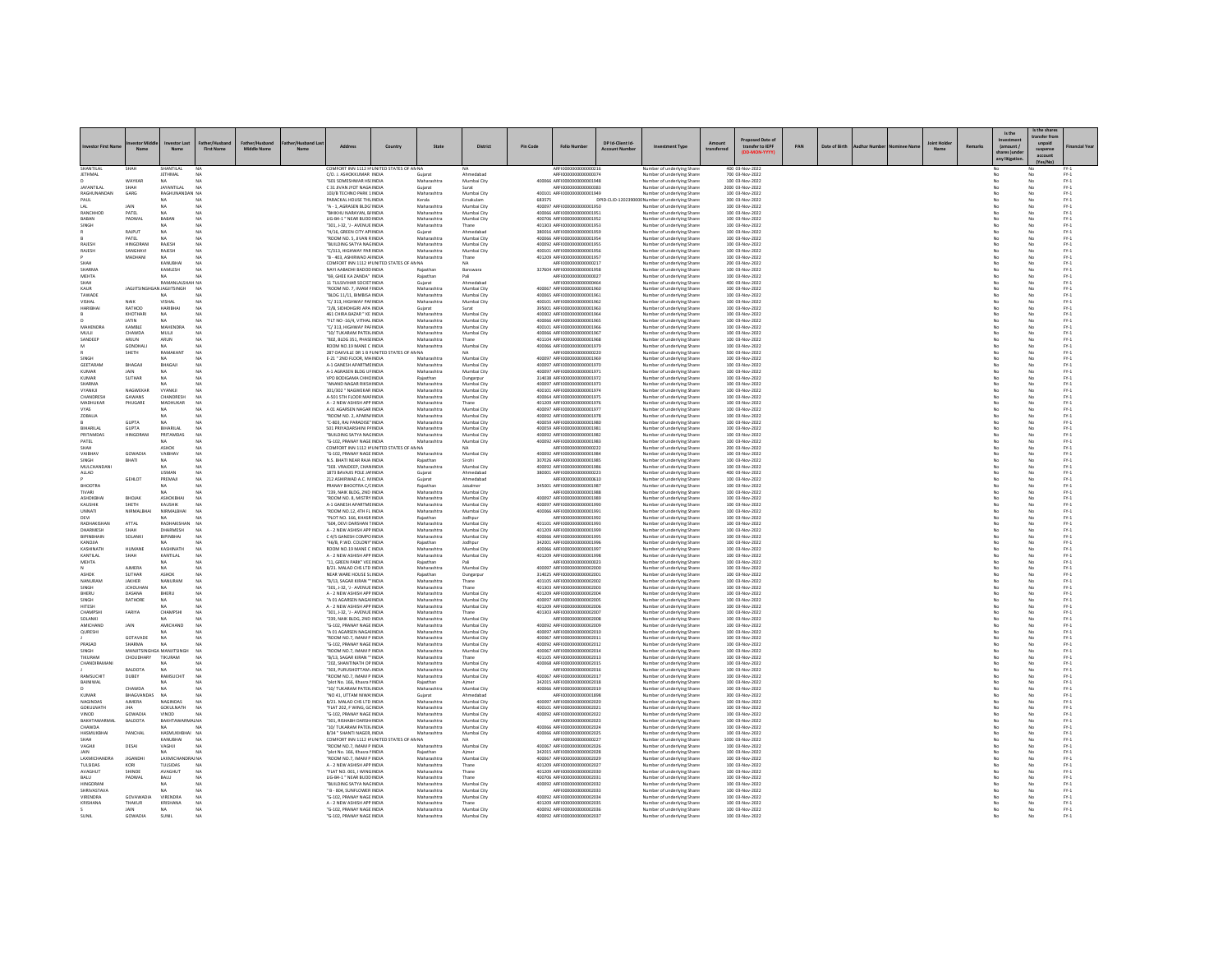|                                |                                     |                              |                                  |                    |           |                                                               |                                            |                            |                            |                 |                                                             |                                       |                                                           |             |                                     |     |               |  |        |                              | Is the shar   |                                                           |
|--------------------------------|-------------------------------------|------------------------------|----------------------------------|--------------------|-----------|---------------------------------------------------------------|--------------------------------------------|----------------------------|----------------------------|-----------------|-------------------------------------------------------------|---------------------------------------|-----------------------------------------------------------|-------------|-------------------------------------|-----|---------------|--|--------|------------------------------|---------------|-----------------------------------------------------------|
|                                |                                     |                              |                                  |                    |           |                                                               |                                            |                            |                            |                 |                                                             |                                       |                                                           |             | ed Date o                           |     |               |  |        | Is the                       | ransfer fro   |                                                           |
|                                | Nam                                 | N <sub>2</sub>               | <b>First Name</b>                | <b>Middle Name</b> | <b>Na</b> |                                                               | Country                                    | State                      | <b>District</b>            | <b>Pin Code</b> | <b>Folio Number</b>                                         | DP Id-Client Id-<br><b>Arcount Nu</b> | nent Type                                                 | transferred | transfer to IEPF                    | PAN | Date of Birth |  | Remark | (amount /                    | suspense      |                                                           |
|                                |                                     |                              |                                  |                    |           |                                                               |                                            |                            |                            |                 |                                                             |                                       |                                                           |             |                                     |     |               |  |        | hares June<br>any litigation | account       |                                                           |
| SHANTILAL                      |                                     | SHANTILAI                    |                                  |                    |           |                                                               | COMFORT INN 1112 H'UNITED STATES OF AN NA  |                            |                            |                 | AREI000000000000021                                         |                                       | Number of underlying Sha                                  |             | 400 03-Nov-2022                     |     |               |  |        |                              |               |                                                           |
| JETHMAL                        |                                     | <b>JETHMAL</b>               | N <sub>A</sub>                   |                    |           | C/O. J. ASHOKKUMAR INDIA                                      |                                            | Guiarat                    | Ahmedabao                  |                 | ARFI0000000000000374                                        |                                       | Number of underlying Share                                |             | 700 03-Nov-2022                     |     |               |  |        | No                           |               | $FY-1$                                                    |
| <b>AYANTILAL</b>               | WAYKAF                              | NA<br>ΙΔΥΔΝΤΙΙ ΔΙ            | N <sub>A</sub>                   |                    |           | "601 SOMESHWAR HS(INDIA<br>C 31 JIVAN JYOT NAGA INDIA         |                                            | Maharashtr<br>Gujarat      | Mumbai City                |                 | 400066 ARFI0000000000001948<br>AREIDDOODDOODDDD383          |                                       | Number of underlying Share<br>Number of underlying Share  |             | 100 03-Nov-2022<br>2000 03-Nov-2022 |     |               |  |        | No                           |               | $FY-1$<br>$PV-1$                                          |
| RAGHUNANDAN                    | GARG                                | RAGHUNANDAN NA               |                                  |                    |           | 103/B TECHNO PARK 1 INDIA                                     |                                            | Maharashtra                | Mumbai City                |                 | 400101 ARFI0000000000001949                                 |                                       | Number of underlying Share                                |             | 100 03-Nov-2022                     |     |               |  |        | No                           | No            | $FY-1$                                                    |
| PAUL                           |                                     | NA                           | NA                               |                    |           | PARACKAL HOUSE THU INDIA                                      |                                            | Kerala                     | Ernakulam                  | 683575          |                                                             |                                       | DPID-CLID-120239000C Number of underlying Share           |             | 300 03-Nov-2022                     |     |               |  |        | No                           | No            | $FY-1$                                                    |
| LAL<br>RANCHHOD                | PATEL                               | NA<br><b>NA</b>              | N <sub>A</sub>                   |                    |           | "A - 1, AGRASEN BLDG' INDIA<br><b>BHIKHU NARAYAN, BJINDIA</b> |                                            | Maharashtra<br>Maharashtra | Mumbai City<br>Mumbai City |                 | 400097 ARFI0000000000001950<br>400066 ARFIOD0000000001951   |                                       | Number of underlying Share<br>Number of underlying Share  |             | 100 03-Nov-2022<br>100 03-Nov-2022  |     |               |  |        | No                           | No<br>No      | $PV-1$<br>$FY-1$                                          |
| BABAN                          | PADWAL                              | BABAN                        | N <sub>A</sub>                   |                    |           | LIG-B4-1 " NEAR BUDD INDIA                                    |                                            | Maharashtra                | Mumbai City                |                 | 400706 ARFI0000000000001952                                 |                                       | Number of underlying Share                                |             | 100 03-Nov-2022                     |     |               |  |        | No                           | No            | $FY-1$                                                    |
| SINGH                          | RAIPLIT                             | <b>NA</b>                    | NA<br>N <sub>A</sub>             |                    |           | 301, J-32, 'J - AVENUE INDIA<br>'H/16, GREEN CITY APHNDIA     |                                            | Maharashtra<br>Gujarat     | Thane<br>Ahmedabao         |                 | 401303 ARFI0000000000001953<br>380016 ARFI0000000000001959  |                                       | Number of underlying Share<br>Number of underlying Share  |             | 100 03-Nov-2022<br>100 03-Nov-2022  |     |               |  |        | No                           | No<br>No      | FY.1<br>$FY-1$                                            |
|                                | PATEL                               | NA                           | N <sub>A</sub>                   |                    |           | "ROOM NO. 5. JIVAN RINDIA                                     |                                            | Maharashtra                | Mumbai City                |                 | 400066 ARFI0000000000001954                                 |                                       | Number of underlying Share                                |             | 100 03-Nov-2022                     |     |               |  |        | No                           | No            | $FY-1$                                                    |
| RAJESH                         | HINGORAN                            | RAJESH                       | N <sub>A</sub>                   |                    |           | "BUILDING SATYA NAGINDIA                                      |                                            | Maharashtra                | Mumbai City                |                 | 400092 ARFI0000000000001955                                 |                                       | Number of underlying Share                                |             | 100 03-Nov-2022                     |     |               |  |        | No                           | No            | $PV-1$                                                    |
| RAJESH                         | SANGHAV<br>MADHANI                  | RAJESH<br>NA.                | N <sub>A</sub>                   |                    |           | "C/313, HIGHWAY PAR INDIA<br>"B - 403, ASHIRWAD AHNDIA        |                                            | Maharashtra<br>Maharashtra | Mumbai City<br>Thane       |                 | 400101 ARFI000000000000195<br>401209 ARFI0000000000001957   |                                       | Number of underlying Share:<br>Number of underlying Share |             | 100 03-Nov-2022<br>100 03-Nov-2022  |     |               |  |        | No                           | No<br>No      | $\text{FY-1}$<br>$PV-1$                                   |
| нднэ                           |                                     | KANUBHAI                     | N <sub>A</sub>                   |                    |           |                                                               | COMFORT INN 1112 H UNITED STATES OF AN NA  |                            | <b>NA</b>                  |                 | ARFI0000000000000217                                        |                                       | Number of underlying Share                                |             | 200 03-Nov-2022                     |     |               |  |        | No                           | No            | $FY-1$                                                    |
| SHARMA                         |                                     | KAMLESH                      | N <sub>A</sub>                   |                    |           | NAYI AABADHI BADOD INDIA                                      |                                            | Rajasthan                  | Banswara                   |                 | 327604 ARFI0000000000001958                                 |                                       | Number of underlying Share                                |             | 100 03-Nov-2022                     |     |               |  |        | No                           | No            | $PV-1$                                                    |
| <b>MEHTA</b><br>SHAH           |                                     | <b>RAMANLALSHAH NA</b>       |                                  |                    |           | "69. GHEE KA ZANDA" INDIA<br>11 TULSIVIHAR SOCIET INDIA       |                                            | Rajasthan<br>Guiarat       | Ahmedabao                  |                 | AREI0000000000000027<br>ARFI0000000000000464                |                                       | Number of underlying Share<br>Number of underlying Share  |             | 100 03-Nov-2022<br>400 03-Nov-2022  |     |               |  |        | No<br>No                     | No<br>No      | $FY-1$<br>$FY-1$                                          |
| KAUR                           | JAGJITSINGHGAN JAGJITSINGH          |                              | <b>NA</b>                        |                    |           | "ROOM NO. 7, IMAM FINDIA                                      |                                            | Maharashtra                | Mumbai City                |                 | 400067 ARFI0000000000001960                                 |                                       | Number of underlying Share                                |             | 100 03-Nov-2022                     |     |               |  |        | No                           | No            | $PV-1$                                                    |
| TAWAD<br><b>IAHZIV</b>         | NAIK                                | VISHAL                       | NA                               |                    |           | BLDG 11/11, BIMBISA INDIA<br>"C/313, HIGHWAY PAFINDIA         |                                            | Maharashtra<br>Maharashtra | Mumbai City<br>Mumbai City |                 | 400065 ARFI0000000000001961<br>400101_4RFI0000000000001962  |                                       | Number of underlying Share                                |             | 100 03-Nov-2022<br>100 03-Nov-2022  |     |               |  |        | No                           | No<br>No      | $PV-1$<br>$PV-1$                                          |
| <b>HARIBHA</b>                 | RATHOD                              | HARIBHAI                     | N <sub>A</sub>                   |                    |           | "2/B. SIDHDHGIRI APA INDIA                                    |                                            | Guiarat                    | Surat                      |                 | 395001 ARFI0000000000001963                                 |                                       | Number of underlying Share<br>Number of underlying Share  |             | 100 03-Nov-2022                     |     |               |  |        | No                           | No            | $FY-1$                                                    |
|                                | KHOTHARI                            | NA                           | N <sub>A</sub>                   |                    |           | 461 CHIRA BAZAR * KE INDIA                                    |                                            | Maharashtra                | Mumbai City                |                 | 400002 ARFI0000000000001964                                 |                                       | Number of underlying Share                                |             | 100 03-Nov-2022                     |     |               |  |        | No                           | No            | $FY-1$                                                    |
| MAHENDRA                       | <b>KAMRLE</b>                       | MAHENDRA                     | NA                               |                    |           | "FLT NO -16/4, VITHAL INDIA<br>TC/313 HIGHWAY PAFINDIA        |                                            | Maharashtra<br>Maharashtra | Mumbai City<br>Mumbai City |                 | 400066 ARFI0000000000001965<br>400101_4REI0000000000001966  |                                       | Number of underlying Share<br>Number of underlying Share  |             | 100 03-Nov-2022<br>100 03-Nov-2022  |     |               |  |        | No                           | No            | $PV-1$                                                    |
| MULI                           | CHAWDA                              | MULII                        | N <sub>A</sub>                   |                    |           | "10/ TUKARAM PATEK INDIA                                      |                                            | Maharashtra                | Mumbai City                |                 | 400066 ARFI0000000000001967                                 |                                       | Number of underlying Share                                |             | 100 03-Nov-2022                     |     |               |  |        | No                           | No<br>No      | $\begin{array}{c} \text{FY-1} \\ \text{FY-1} \end{array}$ |
| SANDEER                        | ARJUN                               | $\mathsf{ARUN}$              |                                  |                    |           | "802, BLDG 351, PHASEINDIA                                    |                                            | Maharashtra                | Thane                      |                 | 401104 ARFI0000000000001968                                 |                                       | Number of underlying Share                                |             | 100 03-Nov-2022                     |     |               |  |        |                              | No            | $PV-1$                                                    |
| M                              | <b>GONDHALL</b><br>SHETH            | NA.<br>RAMAKANT              | N <sub>A</sub><br>N <sub>A</sub> |                    |           | ROOM NO.19 MANE C INDIA                                       | 287 OAKVILLE DR 1 B FUNITED STATES OF ANNA | Maharashtra                | Mumbai City<br>NA.         |                 | 400066 ARFI0000000000001979<br>ARFI0000000000000220         |                                       | Number of underlying Share<br>Number of underlying Share  |             | 100 03-Nov-2022<br>500 03-Nov-2022  |     |               |  |        | No<br>No                     | No<br>No      | $PV-1$<br>$FY-1$                                          |
| SINGH                          |                                     | NA                           | NA                               |                    |           | E-21 " 2ND FLOOR, MAINDIA                                     |                                            | Maharashtra                | Mumbai City                |                 | 400097 ARFI0000000000001969                                 |                                       | Number of underlying Share                                |             | 100 03-Nov-2022                     |     |               |  |        | No                           | No            | $FY-1$                                                    |
| GEETARAN<br>KUMAR              | BHAGAJI                             | BHAGAJI                      | NA<br>NA                         |                    |           | A-1 GANESH APARTME INDIA<br>A-1 AGRASEN BLDG UEINDIA          |                                            | Maharashtra<br>Maharashtra | Mumbai City                |                 | 400097 ARFI0000000000001970<br>400097 ARFIOD0000000001971   |                                       | Number of underlying Share                                |             | 100 03-Nov-2022                     |     |               |  |        |                              | No            | $PV-1$                                                    |
| <b>KUMAR</b>                   | <b>IAIN</b><br><b>SUTHAR</b>        | <b>NA</b><br>NA              | N <sub>A</sub>                   |                    |           | VPO BODIGAMA CHHCINDIA                                        |                                            | Rajasthan                  | Mumbai City<br>Dungarpur   |                 | 314038 ARFI0000000000001972                                 |                                       | Number of underlying Share<br>Number of underlying Share  |             | 100 03-Nov-2022<br>100 03-Nov-2022  |     |               |  |        | No<br>No                     | No            | $PV-1$<br>$FY-1$                                          |
| SHARMA                         |                                     |                              |                                  |                    |           | ANAND NAGAR RIKSHINDI                                         |                                            | Maharashtr                 | Mumbai City                |                 | 400097 ARFI000000000000197                                  |                                       | Number of underlying Share                                |             | 100 03-Nov-2022                     |     |               |  |        |                              | $\frac{N}{N}$ | FY.1                                                      |
| <b>VYANKII</b><br>CHANDRESH    | NAGWEKAR<br>GAWANS                  | <b>VYANKII</b><br>CHANDRESH  | N <sub>A</sub><br>N <sub>A</sub> |                    |           | 301/302 " NAGWEKAR INDIA<br>A-501 STH FLOOR MAFINDIA          |                                            | Maharashtra<br>Maharashtra | Mumbai City<br>Mumbai City |                 | 400101_AREI0000000000001974<br>400064 ARFI0000000000001975  |                                       | Number of underlying Share<br>Number of underlying Share  |             | 100 03-Nov-2022<br>100 03-Nov-2022  |     |               |  |        | No<br>No                     | No<br>No      | $PV-1$<br>$FY-1$                                          |
| MADHUKAR                       | PHUGARE                             | MADHUKAR                     | <b>NA</b>                        |                    |           | A - 2 NEW ASHISH APP INDIA                                    |                                            | Maharashtra                | Thane                      |                 | 401209 ARFI0000000000001976                                 |                                       | Number of underlying Share                                |             | 100 03-Nov-2022                     |     |               |  |        | No                           | No            | $FY-1$                                                    |
|                                |                                     |                              |                                  |                    |           | A 01 AGARSEN NAGAR INDIA                                      |                                            | Maharashtra                | Mumbai City                |                 | 400097 ARFI0000000000001977                                 |                                       | Number of underlying Share                                |             | 100 03-Nov-2022                     |     |               |  |        |                              |               | $PV-1$                                                    |
| ZOBALIA                        | <b>GUPTA</b>                        | NA<br>NA                     | NA<br>N <sub>A</sub>             |                    |           | "ROOM NO. 2. APARN/INDIA<br>"C-803, RAJ PARADISE" INDIA       |                                            | Maharashtra<br>Maharashtra | Mumbai City<br>Mumbai City |                 | 400092 ARFI0000000000001978<br>400059 ARFI0000000000001980  |                                       | Number of underlying Share<br>Number of underlying Share  |             | 100 03-Nov-2022<br>100 03-Nov-2022  |     |               |  |        | No<br>No                     | No<br>No      | $PV-1$<br>$FY-1$                                          |
| BIHARILAI                      | <b>GUPTA</b>                        | <b>BIHARILAL</b>             | N <sub>A</sub>                   |                    |           | 501 PRIYADARSHINI PAINDIA                                     |                                            | Maharashtra                | Mumbai City                |                 | 400059 ARFI0000000000001981                                 |                                       | Number of underlying Share                                |             | 100 03-Nov-2022                     |     |               |  |        | No                           | No            | $FY-1$                                                    |
| PRITAMDAS                      | <b>HINGORAN</b>                     | PRITAMPAS                    | NA<br>N <sub>A</sub>             |                    |           | "BUILDING SATYA NAGINDIA                                      |                                            | Maharashtra                | Mumbai City                |                 | 400092 ARFI0000000000001982                                 |                                       | Number of underlying Share                                |             | 100 03-Nov-2022                     |     |               |  |        | No                           | No<br>No      | $PV-1$                                                    |
| PATEL<br>SHAH                  |                                     | NA<br>ASHOK                  | NA                               |                    |           | "G-102, PRANAY NAGE INDIA                                     | COMFORT INN 1112 H UNITED STATES OF AN NA  | Maharashtra                | Mumbai City                |                 | 400092 ARFI0000000000001983<br>ARFI0000000000000222         |                                       | Number of underlying Share<br>Number of underlying Share  |             | 100 03-Nov-2022<br>200 03-Nov-2022  |     |               |  |        | No<br>No                     | No            | $FY-1$<br>$FY-1$                                          |
| VAIBHAV                        | GOWADU                              | VAIBHAV                      | NA                               |                    |           | "G-102, PRANAY NAGE INDIA                                     |                                            | Maharashtr                 | Mumbai City                |                 | 400092 ARFI0000000000001984                                 |                                       | Number of underlying Share                                |             | 100 03-Nov-2022                     |     |               |  |        |                              | No            | $PV-1$                                                    |
| <b>SINGH</b><br>MULCHANDANI    | <b>ITAHR</b>                        | <b>NA</b><br>NA              | NA<br>N <sub>A</sub>             |                    |           | N S. BHATI NEAR RAIA INDIA<br>"303. VRAIDEEP, CHANINDIA       |                                            | Raiasthan<br>Maharashtra   | Simbi<br>Mumbai City       |                 | 307026 ARFI0000000000001985<br>400092 ARFI0000000000001986  |                                       | Number of underlying Share<br>Number of underlying Share  |             | 100 03-Nov-2022<br>100 03-Nov-2022  |     |               |  |        | No<br>No                     | No<br>No      | $PV-1$<br>$FY-1$                                          |
| ALLAD                          |                                     | <b>USMAN</b>                 | N <sub>A</sub>                   |                    |           | 1873 BAVAJIS POLE JAI INDIA                                   |                                            | Gujarat                    | Ahmedabao                  |                 | 380001 ARFI0000000000000223                                 |                                       | Number of underlying Share                                |             | 400 03-Nov-2022                     |     |               |  |        | No                           | No            | $FY-1$                                                    |
|                                | <b>GEHLOT</b>                       | PREMAI                       | NA                               |                    |           | 212 ASHIRWAD A.C. MINDIA                                      |                                            | Gujarat                    | Ahmedabar                  |                 | ARFI0000000000000610                                        |                                       | Number of underlying Share                                |             | 100 03-Nov-2022                     |     |               |  |        |                              | No            | $PV-1$                                                    |
| RHOOTRA<br>TIVARI              |                                     | <b>NA</b><br>NA              | NA                               |                    |           | PRANAY RHOOTRA C/CINDIA<br>"239, NAIK BLDG, 2ND INDIA         |                                            | Raiasthan<br>Maharashtra   | taisalmer<br>Mumbai City   |                 | 345001 ARFI0000000000001987<br>ARFI0000000000001988         |                                       | Number of underlying Share<br>Number of underlying Share  |             | 100.03-Nov-2022<br>100 03-Nov-2022  |     |               |  |        | No<br>No                     | No<br>No      | $PV-1$<br>$FY-1$                                          |
| ASHOKBHA                       | BHOJAH                              | ASHOKBHA                     | NA                               |                    |           | ROOM NO. 8, MISTRY INDIA                                      |                                            | Maharashtr                 | Mumbai City                |                 | 400097 ARFI0000000000001989                                 |                                       | Number of underlying Share                                |             | 100 03-Nov-2022                     |     |               |  |        |                              | No            | $PV-1$                                                    |
| KAUSHIK                        | <b>SHETH</b>                        | KALISHIK                     | NA                               |                    |           | <b>A-1 GANESH APARTME INDIA</b>                               |                                            | Maharashtra                | Mumbai City                |                 | 400097 ARFIOD0000000001990                                  |                                       | Number of underlying Share                                |             | 100 03-Nov-2022                     |     |               |  |        | No                           | No            | $PV-1$                                                    |
| UNNATI<br>DEVI                 | NIRMALBHA                           | NIRMALBHAI                   | NA                               |                    |           | "ROOM NO.12, 4TH FL INDIA<br>"PLOT NO. 166, KHASR INDIA       |                                            | Maharashtra<br>Rajasthan   | Mumbai City<br>Jodhpur     |                 | 400066 ARFI0000000000001991<br>ARFI0000000000001992         |                                       | Number of underlying Share<br>Number of underlying Share  |             | 100 03-Nov-2022<br>100 03-Nov-2022  |     |               |  |        | No<br>No                     | No<br>No      | $FY-1$<br>$FY-1$                                          |
| RADHAKISHAM                    | ATTAL                               | RADHAKISHA                   | NA                               |                    |           | "604, DEVI DARSHAN TINDIA                                     |                                            | Maharashtr                 | Mumbai City                |                 | 401101 ARFI0000000000001993                                 |                                       | Number of underlying Share                                |             | 100 03-Nov-2022                     |     |               |  |        |                              | No            | $PV-1$                                                    |
| <b>DHARMESH</b><br>BIPINBHAIN  | SOLANKI                             | <b>DHARMESH</b><br>BIPINBHAI | NA<br>NA                         |                    |           | A - 2 NEW ASHISH APP INDIA<br>C 4/5 GANESH COMPO INDIA        |                                            | Maharashtra<br>Maharashtra | Mumbai City<br>Mumbai City |                 | 401209 ARFIOD0000000001999<br>400066 ARFI0000000000001999   |                                       | Number of underlying Share<br>Number of underlying Share  |             | 100 03-Nov-2022<br>100 03-Nov-2022  |     |               |  |        | No<br>No                     | No            | $PV-1$<br>$FY-1$                                          |
| AILOWA                         |                                     |                              |                                  |                    |           | 46/B, P.WD. COLONY' INDIA                                     |                                            | Rajasthan                  | odhpur                     |                 | 342001 ARFI000000000000199                                  |                                       | Number of underlying Share                                |             | 100 03-Nov-2022                     |     |               |  |        |                              | $\frac{N}{N}$ | FY.1                                                      |
| <b>HTANINATH</b>               | <b>HUMANE</b>                       | KASHINATH                    | NA                               |                    |           | ROOM NO 19 MANE C INDIA                                       |                                            | Maharashtra                | Mumhai City                |                 | 400066 ARFIOD0000000001997                                  |                                       | Number of underlying Share                                |             | 100 03-Nov-2022                     |     |               |  |        | No                           | No            | $PV-1$                                                    |
| KANTILAL<br><b>MEHTA</b>       | SHAH                                | KANTILAL<br>NA               | NA                               |                    |           | A - 2 NEW ASHISH APP INDIA<br>"11. GREEN PARK" VEE INDIA      |                                            | Maharashtra<br>Rajasthan   | Mumbai City                |                 | 401209 ARFI0000000000001998<br>ARFI0000000000000023         |                                       | Number of underlying Share<br>Number of underlying Share  |             | 100 03-Nov-2022<br>100 03-Nov-2022  |     |               |  |        | No<br>No                     | No<br>No      | $FY-1$<br>$FY-1$                                          |
|                                | <b>AIMERA</b>                       |                              |                                  |                    |           | B/21. MALAD CHS LTD INDIA                                     |                                            | Maharashtr                 | Mumbai City                |                 | 400097 ARFI0000000000002000                                 |                                       | Number of underlying Share                                |             | 100 03-Nov-2022                     |     |               |  |        |                              | No            | $PV-1$                                                    |
| ASHOK<br>NANURAM               | <b>SUTHAR</b><br>JAKHER             | ASHOK<br>NANURAN             | N <sub>A</sub><br>N <sub>A</sub> |                    |           | NEAR WARE HOUSE SLINDIA<br>"B/13, SAGAR KIRAN "" INDIA        |                                            | Rajasthan<br>Maharashtra   | Dungarpu<br>Thane          |                 | 314025 ARFI0000000000002001<br>401105 ARFI0000000000002002  |                                       | Number of underlying Share<br>Number of underlying Share  |             | 100 03-Nov-2022<br>100 03-Nov-2022  |     |               |  |        | No<br>No                     | No<br>No      | $PV-1$<br>$FY-1$                                          |
| SINGH                          | <b>JCHOUHAN</b>                     | NA                           |                                  |                    |           | "301, J-32, 'J - AVENUE INDIA                                 |                                            | Maharashtra                | Thane                      |                 | 401303 ARFI0000000000002003                                 |                                       | Number of underlying Share                                |             | 100 03-Nov-2022                     |     |               |  |        | No                           | No            | $FY-1$                                                    |
| RHERU                          | <b>DASANA</b>                       | BHERU                        | NA                               |                    |           | A - 2 NEW ASHISH APP INDIA                                    |                                            | Maharashtra                | Mumbai City                |                 | 401209 AREIO000000000002004                                 |                                       | Number of underlying Share                                |             | 100.03-Nov-2022                     |     |               |  |        | No                           | No            | $PV-1$                                                    |
| SINGH<br><b>HITESH</b>         | RATHORE                             | NA<br>NA                     | N <sub>A</sub><br>NA             |                    |           | "A 01 AGARSEN NAGAHNDIA<br>A - 2 NEW ASHISH APP INDIA         |                                            | Maharashtra<br>Maharashtra | Mumbai City<br>Mumbai City |                 | 400097 ARFI0000000000002005<br>401209 ARFI0000000000002006  |                                       | Number of underlying Share<br>Number of underlying Share  |             | 100 03-Nov-2022<br>100 03-Nov-2022  |     |               |  |        | No<br>No                     | No<br>No      | $PV-1$<br>$FY-1$                                          |
| CHAMPSH                        | FARIYA                              | CHAMPSH                      | <b>NA</b>                        |                    |           | "301, J-32, 'J - AVENUE INDIA                                 |                                            | Maharashtra                |                            |                 | 401303 ARFI0000000000002007                                 |                                       | Number of underlying Share                                |             | 100 03-Nov-2022                     |     |               |  |        |                              | No            | $PV-1$                                                    |
| SOLANKL<br>AMICHAND            | JAIN                                | <b>NA</b><br>AMICHAND        | NA<br>N <sub>A</sub>             |                    |           | "239 NAIK BLDG, 2ND INDIA<br>"G-102. PRANAY NAGE INDIA        |                                            | Maharashtra<br>Maharashtra | Mumbai City<br>Mumbai City |                 | AREI0000000000002008<br>400092 ARFI0000000000002009         |                                       | Number of underlying Share<br>Number of underlying Share  |             | 100 03-Nov-2022<br>100 03-Nov-2022  |     |               |  |        | No<br>No                     | No<br>No      | $PV-1$<br>$FY-1$                                          |
| QURESHI                        |                                     | NA                           | N <sub>A</sub>                   |                    |           | "A 01 AGARSEN NAGAHNDIA                                       |                                            | Maharashtra                | Mumbai City                |                 | 400097 ARFI0000000000002010                                 |                                       | Number of underlying Share                                |             | 100 03-Nov-2022                     |     |               |  |        | No                           | No            | $FY-1$                                                    |
|                                | GOTAVADE                            | NA                           | NA                               |                    |           | ROOM NO.7. IMAM P INDIA                                       |                                            | Maharashtra                | Mumbai City                |                 | 400067 ARFI000000000000201                                  |                                       | Number of underlying Share                                |             | 100 03-Nov-2022                     |     |               |  |        |                              | No            | $PV-1$                                                    |
| PRASAD<br>SINGH                | SHARMA<br>MANJITSINGHGA MANJITSINGH | NA                           | NA<br><b>NA</b>                  |                    |           | "G-102 PRANAY NAGE INDIA<br>ROOM NO.7. IMAM P INDIA           |                                            | Maharashtra<br>Maharashtra | Mumbai City<br>Mumbai City |                 | 400092 AREI0000000000002012<br>400067 ARFI0000000000002014  |                                       | Number of underlying Share<br>Number of underlying Share  |             | 100.03-Nov-2022<br>100 03-Nov-2022  |     |               |  |        | No                           | No<br>No.     | $PV-1$<br>$FY-1$                                          |
| <b>TIKURAM</b>                 | CHOUDHARY                           | TIKURAM                      | NA                               |                    |           | "B/13, SAGAR KIRAN " INDIA                                    |                                            | Maharashtra                | Thane                      |                 | 401105 AREICOODOOOOOOOOOO                                   |                                       | Number of underlying Share                                |             | 100 03-Nov-2022                     |     |               |  |        |                              | No            | $FY-1$                                                    |
| <b>HANDIRAMAN</b>              | BALDOTA                             | <b>NA</b><br>NA              | NA<br>NA                         |                    |           | "202 SHANTINATH OP INDIA<br>"303. PURUSHOTTAM , INDIA         |                                            | Maharashtra<br>Maharashtra | Mumbai City<br>Mumbai City |                 | 400068 ARFI0000000000002015<br>ARFI0000000000002016         |                                       | Number of underlying Share<br>Number of underlying Share  |             | 100.03-Nov-2022<br>100 03-Nov-2022  |     |               |  |        | No<br>No                     | No<br>No      | $PV-1$<br>$FY-1$                                          |
| RAMSUCHIT                      | DUBEY                               | <b>RAMSUCHI</b>              | NA                               |                    |           | ROOM NO.7. IMAM P INDIA                                       |                                            | Maharashtra                | Mumbai City                |                 | 400067 ARFI0000000000002017                                 |                                       | Number of underlying Share                                |             | 100 03-Nov-2022                     |     |               |  |        | No                           | No            | $FY-1$                                                    |
| BAINIWAL                       |                                     | NA                           | NA                               |                    |           | "plot No. 166, Khasra NNDIA                                   |                                            | Rajasthan                  |                            |                 | 342015 ARFI0000000000002018                                 |                                       | Number of underlying Share                                |             | 100 03-Nov-2022                     |     |               |  |        |                              | No            | $PV-1$                                                    |
| <b>KUMAR</b>                   | CHAWDA<br>BHAGVANDAS                | NA<br>NA                     | NA<br>NA                         |                    |           | 10/ TUKARAM PATEK INDIA<br>"NO 41. UTTAM NIWA INDIA           |                                            | Maharashtra<br>Guiarat     | Mumhai City<br>Ahmedabao   |                 | 400066 AREIO000000000002019<br>ARFI0000000000001898         |                                       | Number of underlying Share<br>Number of underlying Share  |             | 100 03-Nov-2022<br>300 03-Nov-2022  |     |               |  |        | No<br>No                     | No<br>No      | $PV-1$<br>$FY-1$                                          |
| NAGINDAS                       | <b>AIMERA</b>                       | NAGINDAS                     | <b>NA</b>                        |                    |           | B/21. MALAD CHS LTD INDIA                                     |                                            | Maharashtr                 | Mumbai City                |                 | 400097 AREID000000000002020                                 |                                       | Number of underlying Share                                |             | 100 03-Nov-2022                     |     |               |  |        |                              | No            | FY.1                                                      |
| <b>GOKULNATH</b>               | <b>IHA</b>                          | <b>GOKULNATH</b>             | NA                               |                    |           | "FLAT 202 F WING GC INDIA                                     |                                            | Maharashtra                | Mumbai City                |                 | 400101_AREI0000000000002021                                 |                                       | Number of underlying Share                                |             | 100 03-Nov-2022                     |     |               |  |        | No                           | No            | $PV-1$                                                    |
| VINOD<br>BAKHTAWARMAI          | GOWADIA<br>BALDOTA                  | VINOD<br>BAKHTAWARMALNA      | NA                               |                    |           | "G-102, PRANAY NAGE INDIA<br>301. RISHABH DARSHI INDIA        |                                            | Maharashtra<br>Maharashtra | Mumbai City<br>Mumbai City |                 | 400092 ARFI0000000000002022<br>ARFI0000000000002023         |                                       | Number of underlying Share<br>Number of underlying Share  |             | 100 03-Nov-2022<br>100 03-Nov-2022  |     |               |  |        | No                           | No<br>No      | $PV-1$<br>$FY-1$                                          |
| <b>CHAWDA</b>                  |                                     |                              |                                  |                    |           | "10/ TUKARAM PATEK INDIA                                      |                                            | Maharashtra                | Mumbai City                |                 | 400066 AREIO000000000002024                                 |                                       | Number of underlying Share                                |             | 100 03-Nov-2022                     |     |               |  |        |                              | No            | $FY-1$                                                    |
| HASMLIKRHAL<br>нднэ            | PANCHAL                             | HASMUKHRHAL NA               |                                  |                    |           | <b>R/34 * SHANTI NAGER INDIA</b>                              | COMFORT INN 1112 H UNITED STATES OF ANNA   | Maharashtra                | Mumbai City<br>NA.         |                 | 400066 ARFI0000000000002025                                 |                                       | Number of underlying Share                                |             | 100.03-Nov-2022                     |     |               |  |        | No<br>No                     | No<br>No      | $PV-1$<br>$PV-1$                                          |
| VAGHJI                         | DESA                                | KANUBHAI<br>VAGHJI           | N <sub>A</sub>                   |                    |           | ROOM NO.7. IMAM P INDIA                                       |                                            | Maharashtra                | Mumbai City                |                 | ARFI0000000000000227<br>400067 ARFI0000000000002026         |                                       | Number of underlying Share<br>Number of underlying Share  |             | 1000 03-Nov-2022<br>100 03-Nov-2022 |     |               |  |        |                              | No            | FY.1                                                      |
| <b>AIN</b>                     |                                     | <b>NA</b>                    | N/A                              |                    |           | "plot No. 166 Khasra HNDIA                                    |                                            | Raiasthan                  | Aimer                      |                 | 342015 AREIO000000000002028                                 |                                       | Number of underlying Share                                |             | 100.03-Nov-2022                     |     |               |  |        | No                           | No            | $PV-1$                                                    |
| LAXMICHANDRA<br>TULSIDAS       | <b>JIGANDH</b><br>KORI              | LAXMICHANDRAJ NA<br>TULSIDAS | NA                               |                    |           | ROOM NO.7. IMAM P INDIA<br>A - 2 NEW ASHISH APP INDIA         |                                            | Maharashtra<br>Maharashtra | Mumbai City<br>Thang       |                 | 400067 ARFI0000000000002029<br>401209 ARFI0000000000002027  |                                       | Number of underlying Share<br>Number of underlying Share  |             | 100 03-Nov-2022<br>100 03-Nov-2022  |     |               |  |        | No                           | No<br>No      | $PV-1$<br>$FY-1$                                          |
| AVAGHUT                        | SHINDE                              | AVAGHUT                      | <b>NA</b>                        |                    |           | "FLAT NO. 001. I WINGINDIA                                    |                                            | Maharashtra                | Thane                      |                 | 401209 ARFI0000000000002030                                 |                                       | Number of underlying Share                                |             | 100 03-Nov-2022                     |     |               |  |        |                              | No            | FY.1                                                      |
| RALLE                          | PADWAL                              | <b>BALLE</b>                 | NA                               |                    |           | <b>LIG-R4-1 * NEAR RUDDINDIA</b>                              |                                            | Maharashtra                | Thane                      |                 | 400706 AREI0000000000002031                                 |                                       | Number of underlying Share                                |             | 100.03-Nov-2022                     |     |               |  |        | No                           | No            | $PV-1$                                                    |
| <b>HINGORAN</b><br>SHRIVASTAVA |                                     | NA<br>NA                     | NA                               |                    |           | "BUILDING SATYA NAGINDIA<br>B - 804, SUNFLOWER INDIA          |                                            | Maharashtra<br>Maharashtra | Mumbai City<br>Mumbai City |                 | 400092 ARFI0000000000002032<br>ARFI0000000000002033         |                                       | Number of underlying Share<br>Number of underlying Share  |             | 100 03-Nov-2022<br>100 03-Nov-2022  |     |               |  |        | No                           | No<br>No      | $PV-1$<br>$PV-1$                                          |
| VIRENDRA                       | COMANADIA                           | VIRENDRA                     | N <sub>A</sub>                   |                    |           | "G-102, PRANAY NAGE INDIA                                     |                                            | Maharashtra                | Mumbai City                |                 | 400092 AREIDOD0000000002034                                 |                                       | Number of underlying Share                                |             | 100 03-Nov-2022                     |     |               |  |        |                              | No            | $PV-1$                                                    |
| CRISHANA                       | THAKUR<br><b>JAIN</b>               | KRISHANA                     | NA                               |                    |           | A - 2 NEW ASHISH APP INDIA<br>G-102. PRANAY NAGE INDIA        |                                            | Maharashtra<br>Maharashtra | Thane<br>Mumbai City       |                 | 401209 ARFIOD00000000002035<br>400092 ARFI00000000000002036 |                                       | Number of underlying Share<br>Number of underlying Share  |             | 100.03-Nov-2022<br>100 03-Nov-2022  |     |               |  |        | No                           | No<br>No      | $PV-1$<br>$PV-1$                                          |
| <b>SUNIL</b>                   | GOWADIA                             | SUNIL                        |                                  |                    |           | "G-102, PRANAY NAGE INDIA                                     |                                            | Maharashtra                | Mumbai City                |                 | 400092.4REI0000000000002033                                 |                                       | Number of underlying Share                                |             | 100 03-Nov-2022                     |     |               |  |        | No                           |               | $PV-1$                                                    |
|                                |                                     |                              |                                  |                    |           |                                                               |                                            |                            |                            |                 |                                                             |                                       |                                                           |             |                                     |     |               |  |        |                              |               |                                                           |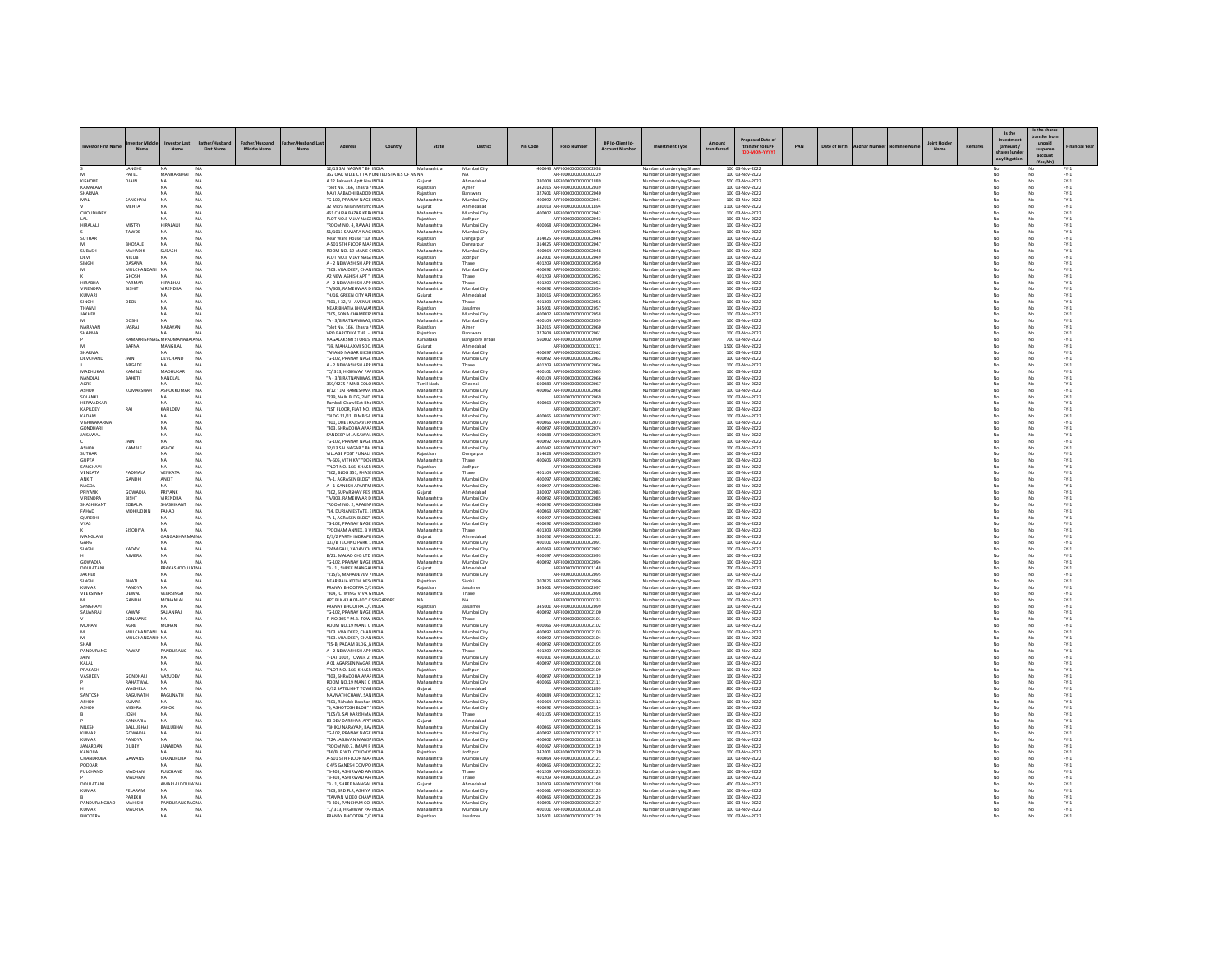|                                |                        |                       |                                  |             |                                                                          |         |                            |                            |                 |                                                            |                 |                                                            |                                     |     |               |  |         |        | Is the                | Is the sha            |                                                  |
|--------------------------------|------------------------|-----------------------|----------------------------------|-------------|--------------------------------------------------------------------------|---------|----------------------------|----------------------------|-----------------|------------------------------------------------------------|-----------------|------------------------------------------------------------|-------------------------------------|-----|---------------|--|---------|--------|-----------------------|-----------------------|--------------------------------------------------|
|                                |                        |                       |                                  |             |                                                                          |         |                            |                            |                 |                                                            | DP Id-Client Id |                                                            |                                     |     |               |  | loint H |        |                       | ransfer fro<br>unpaid |                                                  |
| westor First Nar               |                        |                       | First Na                         | Middle Name | Address                                                                  | Country | State                      | <b>District</b>            | <b>Pin Code</b> | <b>Folio Numbe</b>                                         |                 | tment Type                                                 | transfer to IEPF                    | PAN | Date of Birth |  |         | Remark | (amount /<br>hares )u | suspense              | Financial Year                                   |
|                                |                        |                       |                                  |             |                                                                          |         |                            |                            |                 |                                                            |                 |                                                            |                                     |     |               |  |         |        |                       | account               |                                                  |
|                                | LANGH                  | NA                    |                                  |             | 12/13 SAI NAGAR " BH INDIA<br>352 OAK VILLE CT TA PUNITED STATES OF ANNA |         | Maharashtra                | Mumbai City                |                 | 400043 ARFI0000000000002038                                |                 | Number of underlying Share                                 | 100 03-Nov-2022                     |     |               |  |         |        |                       |                       |                                                  |
| KISHORE                        | PATEL<br>DJAIN         | MANHARBHAI<br>NA      | N <sub>A</sub><br>NA             |             | A 12 Bahvesh Aptt Nav INDIA                                              |         | Gujarat                    | NA<br>Ahmedabad            |                 | ARFI0000000000000229<br>380004 ARFI0000000000001889        |                 | Number of underlying Share<br>Number of underlying Share:  | 100 03-Nov-2022<br>500 03-Nov-2022  |     |               |  |         |        |                       | No                    | $PV-1$<br>$FY-1$                                 |
| KAMALAM                        |                        |                       |                                  |             | "plot No. 166, Khasra NNDIA                                              |         | Rajasthan                  | Almer                      |                 | 342015 ARFI0000000000002039                                |                 | Number of underlying Share                                 | 100 03-Nov-2022                     |     |               |  |         |        |                       |                       | $FY-1$                                           |
| SHARMA<br><b>JAM</b>           | SANGHAVI               | NA                    | NA<br>N <sub>A</sub>             |             | NAYI AABADHI BADOD INDIA<br>"G-102, PRANAY NAGE INDIA                    |         | Rajasthar<br>Maharashtra   | Banswara<br>Mumbai City    |                 | 327601 ARFI0000000000002040<br>400092 ARFI0000000000002041 |                 | Number of underlying Share<br>Number of underlying Share   | 100 03-Nov-2022<br>100 03-Nov-2022  |     |               |  |         |        | No                    | No                    | $FY-1$<br>$FY-1$                                 |
|                                | MEHTA                  | NA                    | N <sub>A</sub>                   |             | 32 Mitra Milan Miramt INDIA                                              |         | Gujarat                    | Ahmedabad                  |                 | 380013 ARFI0000000000001894                                |                 | Number of underlying Shares                                | 1100 03-Nov-2022                    |     |               |  |         |        | No                    | No                    | $FY-1$                                           |
| CHOUDHAR                       |                        | NA<br>NA              |                                  |             | 461 CHIRA BAZAR KERJINDIA<br>PLOT NO.8 VIJAY NAGEINDIA                   |         | Maharashtra                | Mumbai City                |                 | 400002 ARFI0000000000002042<br>ARFI0000000000002043        |                 | Number of underlying Share                                 | 100 03-Nov-2022                     |     |               |  |         |        |                       |                       | $PV-1$                                           |
| HIRALALJI                      | MISTRY                 | HIRALALI              | NA<br>NA                         |             | "ROOM NO. 4, RAWAL INDIA                                                 |         | Rajasthan<br>Maharashtra   | lodhpur<br>Mumbai City     |                 | 400068 ARFI000000000000204                                 |                 | Number of underlying Share<br>Number of underlying Share   | 100 03-Nov-2022<br>100 03-Nov-2022  |     |               |  |         |        | No                    | No                    | $FY-1$<br>$FY-1$                                 |
|                                | TAWDE                  | NA                    |                                  |             | 51/1011 SAMATA NAGINDIA                                                  |         | Maharashtra                | Mumbai City                |                 | ARFI0000000000002045                                       |                 | Number of underlying Share                                 | 100 03-Nov-2022                     |     |               |  |         |        |                       |                       | $\text{FY-1}$                                    |
| SUTHAR                         | <b>BHOSALE</b>         | NA<br>NA              | N <sub>A</sub><br>N <sub>A</sub> |             | Near Ware House "sut INDIA<br>A-501 STH FLOOR MAFINDIA                   |         | Rajasthan<br>Rajasthan     | Dungarpu<br>Dungarpur      |                 | 314025 ARFI0000000000002046<br>314025 ARFI0000000000002047 |                 | Number of underlying Share<br>Number of underlying Share   | 100 03-Nov-2022<br>100 03-Nov-2022  |     |               |  |         |        | No<br>No              | No<br>No              | $\text{FY-1}$<br>$FY-1$                          |
| SUBASH                         | MAHADIK                | SUBASH                | N <sub>A</sub>                   |             | ROOM NO. 19 MANE CINDIA                                                  |         | Maharashtra                | Mumbai City                |                 | 400064 ARFI0000000000002048                                |                 | Number of underlying Share:                                | 100 03-Nov-2022                     |     |               |  |         |        | No                    | No                    | $FY-1$                                           |
| DEVI<br>SINGH                  | NIKUB<br>DASANA        | NA<br>NA              | NA<br>NA                         |             | PLOT NO.8 VIJAY NAGEINDIA<br>A - 2 NEW ASHISH APP INDIA                  |         | Rajasthan<br>Maharashtra   | Jodhpur                    |                 | 342001 ARFI0000000000002049<br>401209 ARFI0000000000002050 |                 | Number of underlying Share                                 | 100 03-Nov-2022<br>100 03-Nov-2022  |     |               |  |         |        | No                    | No<br>No              | $\text{FY-1}$                                    |
|                                | MULCHANDANI NA         |                       | N <sub>A</sub>                   |             | "303, VRAJDEEP, CHANINDIA                                                |         | Maharashtra                | Thane<br>Mumbai City       |                 | 400092 ARFI0000000000002051                                |                 | Number of underlying Share<br>Number of underlying Share   | 100 03-Nov-2022                     |     |               |  |         |        | No                    | No                    | $\text{FY-1}$<br>$FY-1$                          |
| HIRARHA                        | GHOSH<br>PARMAR        |                       |                                  |             | A2 NEW ASHISH APT * INDIA                                                |         | Maharashtra                | Thane                      |                 | 401209 ARFI0000000000002052                                |                 | Number of underlying Share:                                | 100 03-Nov-2022                     |     |               |  |         |        |                       | No                    | $\mathsf{FY}\text{-}\mathsf{1}$                  |
| VIRENDRA                       | BISHIT                 | HIRABHAI<br>VIRENDRA  | NA<br>NA                         |             | A - 2 NEW ASHISH APP INDIA<br>"A/303 RAMEHWAR DINDIA                     |         | Maharashtra<br>Maharashtra | Thane<br>Mumbai City       |                 | 401209 ARFI0000000000002053<br>400092 ARFI0000000000002054 |                 | Number of underlying Share<br>Number of underlying Share   | 100 03-Nov-2022<br>100 03-Nov-2022  |     |               |  |         |        | No<br>No              | No<br>No              | $PV-1$<br>$FY-1$                                 |
| KUMARI                         |                        | NA                    | NA                               |             | "H/16, GREEN CITY APHNDIA                                                |         | Gujarat                    | Ahmedabad                  |                 | 380016 ARFI0000000000002055                                |                 | Number of underlying Share:                                | 100 03-Nov-2022                     |     |               |  |         |        | No                    | No                    | $FY-1$                                           |
| <b>INGH</b><br>THANVI          | DEOL                   | NA<br>NA              | N <sub>A</sub>                   |             | "301, J-32, 'J - AVENUE INDIA<br>NEAR BHATIA BHAWAIINDIA                 |         | Maharashtra<br>Rajasthan   | Thane<br>Jaisalme          |                 | 401303 ARFI0000000000002056<br>345001 ARFI0000000000002057 |                 | Number of underlying Share                                 | 100 03-Nov-2022<br>100 03-Nov-2022  |     |               |  |         |        |                       | No<br>No              | $\text{FY-1}$                                    |
| JAKHER                         |                        | <b>NA</b>             | N <sub>A</sub>                   |             | "305 SONA CHAMRER INDIA                                                  |         | Maharashtra                | Mumbai City                |                 | 400002 ARFI0000000000002058                                |                 | Number of underlying Share<br>Number of underlying Share   | 100 03-Nov-2022                     |     |               |  |         |        | No<br>No              | No                    | $\text{FY-1}$<br>$FY-1$                          |
|                                | DOSHI                  | NA                    | <b>NA</b>                        |             | "A - 3/8 RATNANIWAS, INDIA                                               |         | Maharashtra                | Mumbai City                |                 | 400104 ARFI0000000000002059                                |                 | Number of underlying Shares                                | 100 03-Nov-2022                     |     |               |  |         |        | No                    | No                    | $FY-1$                                           |
| NARAYAN<br>SHARMA              | <b>JASRAJ</b>          | NARAYAN<br>NA         | NA<br>NA                         |             | "plot No. 166, Khasra NNDIA<br>VPO BARODIYA THE. - INDIA                 |         | Rajasthan<br>Rajasthan     | Ajmer<br>Banswara          |                 | 342015 ARFI0000000000002060<br>327604 ARFI0000000000002061 |                 | Number of underlying Share<br>Number of underlying Share   | 100 03-Nov-2022<br>100 03-Nov-2022  |     |               |  |         |        | No                    | No                    | $\text{FY-1}$<br>$PV-1$                          |
|                                | RAMAKE                 | <b>GI MPADMAI</b>     | AIA NA                           |             | NAGALAKSMI STORES INDIA                                                  |         | Karnataka                  | <b>Bangalore Urbar</b>     |                 | 560002 ARFI0000000000000990                                |                 | Number of underlying Share:                                | 700 03-Nov-2022                     |     |               |  |         |        | No                    | No                    | $FY-1$                                           |
| <b>HARMA</b>                   | BAFNA                  | MANGILAL<br>NA        | N <sub>A</sub>                   |             | '59, MAHALAXMI SOC. INDIA<br>ANAND NAGAR RIKSHINDIA                      |         | Gujarat<br>Maharashtra     | Mumbai City                |                 | ARFI0000000000000211<br>400097 ARFI0000000000002062        |                 | Number of underlying Share                                 | 1500 03-Nov-2022<br>100 03-Nov-2022 |     |               |  |         |        | No<br>No              | No<br>No              | $\text{FY-1}$                                    |
| DEVCHAND                       | JAIN                   | DEVCHAND              | N <sub>A</sub>                   |             | "G-102, PRANAY NAGE INDIA                                                |         | Maharashtra                | Mumbai City                |                 | 400092 ARFI0000000000002063                                |                 | Number of underlying Share<br>Number of underlying Share   | 100 03-Nov-2022                     |     |               |  |         |        | No                    | No                    | $\text{FY-1}$<br>$FY-1$                          |
|                                | ARGADE                 | NA.                   | NA                               |             | A - 2 NEW ASHISH APP INDIA                                               |         | Maharashtra                | Thane                      |                 | 401209 ARFI0000000000002064                                |                 | Number of underlying Share:                                | 100 03-Nov-2022                     |     |               |  |         |        | No                    | No                    | $FY-1$                                           |
| MADHUKAF<br>NANDLAL            | KAMBLE<br>BAHETI       | MADHUKAI<br>NANDLAL   | N <sub>A</sub><br>NA             |             | "C/313, HIGHWAY PAFINDIA<br>"A - 3/8 RATNANIWAS, INDIA                   |         | Maharashtra<br>Maharashtra | Mumbai City<br>Mumbai City |                 | 400101 ARFI0000000000002065<br>400104 ARFI0000000000002066 |                 | Number of underlying Share<br>Number of underlying Share   | 100 03-Nov-2022<br>100 03-Nov-2022  |     |               |  |         |        |                       | No<br>No              | $\text{FY-1}$                                    |
| AGRE                           |                        | NA.                   | N <sub>A</sub>                   |             | 359/4275 " MNB COLO INDIA                                                |         | Tamil Nadu                 | Chennai                    |                 | 600083 ARFI0000000000002067                                |                 | Number of underlying Share                                 | 100 03-Nov-2022                     |     |               |  |         |        | No                    | No                    | $FY-1$<br>$FY-1$                                 |
| ASHOK<br>SOLANKI               | KUMARS                 | ASHOKKUMAI<br>NA      | N <sub>A</sub><br>NA             |             | B/12 * JAI RAMESHWA INDIA<br>"239, NAIK BLDG, 2ND INDIA                  |         | Maharashtra<br>Maharashtra | Mumbai City<br>Mumbai City |                 | 400062 ARFI00000000000002068<br>ARFI0000000000002069       |                 | Number of underlying Share<br>Number of underlying Share   | 100 03-Nov-2022<br>100 03-Nov-2022  |     |               |  |         |        | No                    | No<br>No              | $\text{FY-1}$<br>$\text{FY-1}$                   |
| HERWADKAR                      |                        | NA                    | NA                               |             | Rambali Chawl Eat Bha INDIA                                              |         | Maharashtra                | Mumbai City                |                 | 400063 ARFI0000000000002070                                |                 | Number of underlying Share                                 | 100 03-Nov-2022                     |     |               |  |         |        | No                    | No                    | $FY-1$                                           |
| KAPILDEV                       | RAI                    | KAPILDEV              | N <sub>A</sub>                   |             | "1ST FLOOR, FLAT NO. INDIA                                               |         | Maharashtra                | Mumbai City                |                 | ARFI0000000000002071                                       |                 | Number of underlying Share:                                | 100 03-Nov-2022                     |     |               |  |         |        | No                    | No                    | $FY-1$                                           |
| KADAM<br>VISHWAKARMA           |                        | NA<br>NA              | NA<br>N <sub>A</sub>             |             | BLDG 11/11, BIMBISA INDIA<br>"401, DHEERAJ SAVER/INDIA                   |         | Maharashtra<br>Maharashtra | Mumbai City<br>Mumbai City |                 | 400065 ARFI0000000000002072<br>400066 ARFI0000000000002073 |                 | Number of underlying Share<br>Number of underlying Share   | 100 03-Nov-2022<br>100 03-Nov-2022  |     |               |  |         |        | No                    | No<br>No              | $\text{FY-1}$<br>$\text{FY-1}$                   |
| <b>GONDHARI</b>                |                        | NA                    | N <sub>A</sub>                   |             | "403 SHRADDHA APAFINDIA                                                  |         | Maharashtra                | Mumbai City                |                 | 400097 ARFI0000000000002074                                |                 | Number of underlying Share                                 | 100 03-Nov-2022                     |     |               |  |         |        | No                    | No                    | $FY-1$                                           |
| <b>AISAWAL</b>                 |                        | NA<br>NA              | NA<br>N <sub>A</sub>             |             | SANDEEP M JAISAWAL INDIA<br>"G-102, PRANAY NAGE INDIA                    |         | Maharashtra<br>Maharashtra | Mumbai City<br>Mumbai City |                 | 400088 ARFI0000000000002075<br>400092 ARFI0000000000002076 |                 | Number of underlying Share<br>Number of underlying Share   | 100 03-Nov-2022<br>100 03-Nov-2022  |     |               |  |         |        | No                    | No<br>No              | $\mathsf{FY}\text{-}\mathsf{1}$<br>$\text{FY-1}$ |
| <b>ASHOK</b>                   | KAMBLE                 | ASHOK                 | NA                               |             | 12/13 SAI NAGAR " BH INDIA                                               |         | Maharashtra                | Mumbai City                |                 | 400042 ARFI0000000000002077                                |                 | Number of underlying Share                                 | 100 03-Nov-2022                     |     |               |  |         |        | No                    | No                    | $FY-1$                                           |
| SUTHAR                         |                        | NA                    | NA                               |             | VILLAGE POST PUNALI INDIA                                                |         | Rajasthan                  | Dungarpur                  |                 | 314028 ARFI0000000000002075                                |                 | Number of underlying Shares                                | 100 03-Nov-2022                     |     |               |  |         |        | No                    | No                    | $FY-1$                                           |
| <b>GUPTA</b><br>SANGHAV        |                        | NA<br>NA              | N <sub>A</sub>                   |             | "A-605, VITHIKA" "DOSINDIA<br>"PLOT NO. 166, KHASR INDIA                 |         | Maharashtra<br>Rajasthan   | Thane<br>Jodhpur           |                 | 400606 ARFI0000000000002078<br>ARFI0000000000002080        |                 | Number of underlying Share<br>Number of underlying Share   | 100 03-Nov-2022<br>100 03-Nov-2022  |     |               |  |         |        | No                    | No<br>No              | $PV-1$<br>$\text{FY-1}$                          |
| VENKATA                        | PADMALA                | VENKATA               | N <sub>A</sub>                   |             | "802 BLDG 351 PHASFINDIA                                                 |         | Maharashtra                | Thane                      |                 | 401104 ARFI0000000000002081                                |                 | Number of underlying Share                                 | 100 03-Nov-2022                     |     |               |  |         |        | No                    | No                    | $FY-1$                                           |
| ANKIT<br>NAGDA                 | GANDHI                 | ANKIT                 | NA                               |             | "A-1, AGRASEN BLDG" INDIA<br>A - 1 GANESH APARTMINDIA                    |         | Maharashtra                | Mumbai City<br>Mumbai City |                 | 400097 ARFI0000000000002082<br>400097 ARFI0000000000002084 |                 | Number of underlying Shares                                | 100 03-Nov-2022<br>100 03-Nov-2022  |     |               |  |         |        | No                    | No                    | $FY-1$                                           |
| PRIYANK                        | GOWADIA                | PRIYANK               | N <sub>A</sub>                   |             | 302. SUPARSHAV RES INDIA                                                 |         | Maharashtra<br>Guiarat     | Ahmedabad                  |                 | 380007 AREI0000000000002083                                |                 | Number of underlying Share<br>Number of underlying Share   | 100 03-Nov-2022                     |     |               |  |         |        | No                    | No                    | $\text{FY-1}$<br>$PV-1$                          |
| VIRENDRA                       | BISHT                  | VIRENDRA              | <b>NA</b>                        |             | "A/303, RAMEHWAR DINDIA                                                  |         | Maharashtra                | Mumbai City                |                 | 400092 ARFI0000000000002085                                |                 | Number of underlying Shares                                | 100 03-Nov-2022                     |     |               |  |         |        | No                    | No                    | $FY-1$                                           |
| SHASHIKANT<br><b>CAHAP</b>     | ZOBALIA<br>MOHIUDDIN   | SHASHIKAN<br>FAHAD    | NA<br>N <sub>A</sub>             |             | ROOM NO. 2. APARN/INDIA<br>"14, DURIAN ESTATE, EINDIA                    |         | Maharashtra<br>Maharashtra | Mumbai City<br>Mumbai City |                 | 400092 ARFI0000000000000208<br>400063 ARFI0000000000002087 |                 | Number of underlying Share<br>Number of underlying Share   | 100 03-Nov-2022<br>100 03-Nov-2022  |     |               |  |         |        | No                    | No<br>No              | $\text{FY-1}$<br>$\text{FY-1}$                   |
| QURESHI                        |                        | NA                    | N <sub>A</sub>                   |             | "A-1, AGRASEN BLDG" INDIA                                                |         | Maharashtra                | Mumbai City                |                 | 400097 ARFI0000000000002088                                |                 | Number of underlying Share                                 | 100 03-Nov-2022                     |     |               |  |         |        | No                    | No                    | $FY-1$                                           |
| VYAS                           | SISODIY/               | NA<br>NA              | <b>NA</b>                        |             | "G-102, PRANAY NAGE INDIA<br>"POONAM ANNEX, B V INDIA                    |         | Maharashtra<br>Maharashtra | Mumbai City                |                 | 400092 ARFI0000000000002089<br>401303 ARFI0000000000002090 |                 | Number of underlying Shares<br>Number of underlying Share  | 100 03-Nov-2022<br>100 03-Nov-2022  |     |               |  |         |        | No                    | No<br>No              | $FY-1$<br>$PV-1$                                 |
| MANGLAN                        |                        | GANGA                 | ar NA                            |             | D/3/2 PARTH INDRAPRINDIA                                                 |         | Gujarat                    | Thane<br>Ahmedabao         |                 | 380052 ARFI0000000000001121                                |                 | Number of underlying Share                                 | 300 03-Nov-2022                     |     |               |  |         |        | No                    | No                    |                                                  |
| GARG                           |                        | NA                    | <b>NA</b>                        |             | 103/B TECHNO PARK 1 INDIA<br>RAM GALI, YADAV CH INDIA                    |         | Maharashtra                | Mumbai City                |                 | 400101 ARFI0000000000002091                                |                 | Number of underlying Share                                 | 100 03-Nov-2022                     |     |               |  |         |        | No                    | No                    | $FY-1$<br>$FY-1$                                 |
| SINGH                          | YADAV<br><b>AJMERA</b> | NA<br>NA              | N <sub>A</sub><br>N <sub>A</sub> |             | B/21. MALAD CHS LTD INDIA                                                |         | Maharashtra<br>Maharashtra | Mumbai City<br>Mumbai City |                 | 400063 ARFI0000000000002092<br>400097 ARFI0000000000002093 |                 | Number of underlying Share<br>Number of underlying Share   | 100 03-Nov-2022<br>100 03-Nov-2022  |     |               |  |         |        | No                    | No<br>No              | $\text{FY-1}$<br>$\text{FY-1}$                   |
| GOWADIA                        |                        | NA                    | N <sub>A</sub>                   |             | "G-102 PRANAY NAGE INDIA                                                 |         | Maharashtra                | Mumbai City                |                 | 400092 AREID000000000002094                                |                 | Number of underlying Share                                 | 100 03-Nov-2022                     |     |               |  |         |        | No                    | No                    | $FY-1$                                           |
| DOULATANI<br>JAKHER            |                        | PRAKASHDOULATNA       | N <sub>A</sub>                   |             | "B - 1, SHREE MANGALINDIA<br>"215/6, MAHADEVEV I INDIA                   |         | Gujarat<br>Maharashtra     | Ahmedabad<br>Mumbai City   |                 | ARFI0000000000001148<br>ARFI0000000000002095               |                 | Number of underlying Shares<br>Number of underlying Share  | 700 03-Nov-2022<br>100 03-Nov-2022  |     |               |  |         |        | No                    | No<br>No              | $FY-1$                                           |
| SINGH                          | BHATI                  | NA                    | N <sub>A</sub>                   |             | NEAR RAJA KOTHI KESI NDIA                                                |         | Rajasthan                  | Sirohi                     |                 | 307026 ARFI0000000000002096                                |                 | Number of underlying Share                                 | 100 03-Nov-2022                     |     |               |  |         |        | No                    | No                    | $\text{FY-1}$<br>$\text{FY-1}$                   |
| <b>KUMAR</b>                   | PANDYA                 | NA                    | NA                               |             | PRANAY BHOOTRA C/CINDIA                                                  |         | Rajasthan                  | Jaisalmen                  |                 | 345001 ARFI0000000000002097                                |                 | Number of underlying Share                                 | 100 03-Nov-2022                     |     |               |  |         |        | No                    | No                    | $FY-1$                                           |
| VEERSINGH                      | DEWAL<br>GANDH         | VEERSINGH<br>MOHANLAI | NA<br>N <sub>A</sub>             |             | 404, 'C' WING, VIVA GINDIA<br>APT BLK 43 # 04-80 " C SINGAPORE           |         | Maharashtra                | Thane<br>NΔ                |                 | ARFI0000000000002098<br>AREI0000000000000233               |                 | Number of underlying Share<br>Number of underlying Share   | 100 03-Nov-2022<br>100 03-Nov-2022  |     |               |  |         |        | No                    | No<br>No              | $\mathsf{FY}\text{-}\mathsf{1}$<br>$\text{FY-1}$ |
| SANGHAVI                       |                        | NA                    | NA                               |             | PRANAY BHOOTRA C/CINDIA                                                  |         | Rajasthan                  | Jaisalmen                  |                 | 345001 ARFI0000000000002099                                |                 | Number of underlying Share                                 | 100 03-Nov-2022                     |     |               |  |         |        | No                    | No                    | $FY-1$                                           |
| SAJJANRAJ                      | KAWAR<br>SONAWNE       | SAJJANRAJ<br>NA       | N <sub>A</sub>                   |             | "G-102, PRANAY NAGE INDIA<br>F. NO.305 " M.B. TOW INDIA                  |         | Maharashtra<br>Maharashtra | Mumbai City<br>Thane       |                 | 400092 ARFI0000000000002100<br>ARFI0000000000002101        |                 | Number of underlying Share:<br>Number of underlying Share  | 100 03-Nov-2022<br>100 03-Nov-202   |     |               |  |         |        | No                    | No<br>No              | $FY-1$<br>$PV-1$                                 |
| MOHAN                          | AGRE                   | MOHAN                 | NA                               |             | ROOM NO.19 MANE C INDIA                                                  |         | Maharashtra                | Mumbai City                |                 | 400066 ARFI0000000000002102                                |                 | Number of underlying Share                                 | 100 03-Nov-2022                     |     |               |  |         |        | No                    | No                    | $\text{FY-1}$                                    |
|                                | MULCHANDANI NA         |                       | N <sub>A</sub>                   |             | "303, VRAJDEEP, CHANINDIA                                                |         | Maharashtra                | Mumbai City                |                 | 400092 ARFI0000000000002103                                |                 | Number of underlying Share                                 | 100 03-Nov-2022                     |     |               |  |         |        | No                    | No                    | $FY-1$                                           |
| SHAH                           | MULCHANDANIH NA        |                       | NA                               |             | "303. VRAJDEEP, CHAN INDIA<br>"25-B, PADAM BLDG., NINDIA                 |         | Maharashtra<br>Maharashtra | Mumbai City<br>Mumbai City |                 | 400092 ARFI0000000000002104<br>400092 ARFI0000000000002105 |                 | Number of underlying Share:<br>Number of underlying Share  | 100 03-Nov-2022<br>100 03-Nov-2022  |     |               |  |         |        | No                    | No                    | $FY-1$<br>$\text{FY-1}$                          |
| PANDURANO                      | PAWAR                  | PANDURANG             | N <sub>A</sub>                   |             | A - 2 NEW ASHISH APP INDIA                                               |         | Maharashtra                | Thane                      |                 | 401209 ARFI0000000000002106                                |                 | Number of underlying Share                                 | 100 03-Nov-2022                     |     |               |  |         |        | No                    | No                    | $PV-1$                                           |
| <b>AIN</b><br>KALAL            |                        | NA.<br>NA             | NA<br>NA                         |             | "FLAT 1002, TOWER 2, INDIA<br>A 01 AGARSEN NAGAR INDIA                   |         | Maharashtra<br>Maharashtra | Mumbai City<br>Mumbai City |                 | 400101 ARFI0000000000002107<br>400097 ARFI0000000000002108 |                 | Number of underlying Share:<br>Number of underlying Share  | 100 03-Nov-2022<br>100 03-Nov-2022  |     |               |  |         |        | No<br>No              | No<br>No              | $FY-1$<br>$\text{FY-1}$                          |
| PRAKASH                        |                        |                       |                                  |             | "PLOT NO. 166, KHASR INDIA                                               |         | Rajasthan                  | lodhpu                     |                 | AREI0000000000002105                                       |                 | Number of underlying Share                                 | 100 03-Nov-2022                     |     |               |  |         |        |                       | No                    | $\text{FY-1}$                                    |
| VASUDEV                        | GONDHAU                | VASUDEV               | N <sub>A</sub>                   |             | "403, SHRADDHA APAFINDIA                                                 |         | Maharashtra                | Mumbai City                |                 | 400097 ARFI0000000000002110                                |                 | Number of underlying Share                                 | 100 03-Nov-2022                     |     |               |  |         |        | No                    | No                    | $FY-1$                                           |
|                                | RAHATWAL<br>WAGHELA    | NA<br>NA              | NA                               |             | ROOM NO.19 MANE C INDIA<br>0/32 SATELIGHT TOWHNDIA                       |         | Maharashtra<br>Gujarat     | Mumbai City<br>Ahmedabac   |                 | 400066 ARFI0000000000002111<br>ARFI0000000000001899        |                 | Number of underlying Share:<br>Number of underlying Shares | 100 03-Nov-2022<br>800 03-Nov-2022  |     |               |  |         |        | No                    | No                    | $FY-1$<br>$PV-1$                                 |
| SANTOSH                        | RAGUNATH               | RAGUNATI              | NA                               |             | NAVNATH CHAWL SAN INDIA                                                  |         | Maharashtra                | Mumbai City                |                 | 400084 ARFI0000000000002112                                |                 | Number of underlying Share                                 | 100 03-Nov-2022                     |     |               |  |         |        | No                    | No                    | $FY-1$<br>$FY-1$                                 |
| ASHOK<br>ASHOK                 | KUMAR<br>MISHRA        | <b>NA</b><br>ASHOK    | N <sub>A</sub><br>NA             |             | "301, Rishabh Darshan INDIA<br>"S, ASHOTOSH BLDG" " INDIA                |         | Maharashtra<br>Maharashtra | Mumbai City<br>Mumbai City |                 | 400064 ARFI0000000000002113<br>400092 ARFI0000000000002114 |                 | Number of underlying Share:<br>Number of underlying Share  | 100 03-Nov-2022<br>100 03-Nov-2022  |     |               |  |         |        | No                    | No                    | $PV-1$                                           |
|                                | <b>JOSHI</b>           | NA                    | NA                               |             | "105/B, SAI KARISHMA INDIA                                               |         | Maharashtra                | Thane                      |                 | 401105 ARFI0000000000002115                                |                 | Number of underlying Share                                 | 100 03-Nov-2022                     |     |               |  |         |        | No                    | No                    | $\text{FY-1}$                                    |
|                                | KANKARJA               | <b>NA</b>             | N <sub>A</sub>                   |             | B3 DEV DARSHAN APP' INDIA                                                |         | Guiarat                    | Ahmedabad                  |                 | ARFI0000000000001896                                       |                 | Number of underlying Share                                 | 600 03-Nov-2022                     |     |               |  |         |        | No                    | No                    | $FY-1$                                           |
| NILESH<br>KUMAR                | BALLUBHAI<br>GOWADIA   | BALLUBHA<br>NA        | N <sub>A</sub><br>NA             |             | "BHIKU NARAYAN, BAVINDIA<br>"G-102, PRANAY NAGE INDIA                    |         | Maharashtra<br>Maharashtra | Mumbai City<br>Mumbai City |                 | 400066 ARFI0000000000002116<br>400092 ARFI0000000000002117 |                 | Number of underlying Share:<br>Number of underlying Share  | 100 03-Nov-2022<br>100 03-Nov-2022  |     |               |  |         |        | No                    | No<br>No              | $FY-1$<br>$\text{FY-1}$                          |
| KUMAR                          | PANDYA                 | NA                    | N <sub>A</sub>                   |             | "22A JAGJIVAN MANS/ INDIA                                                |         | Maharashtra                | Mumbai City                |                 | 400002 ARFI0000000000002118                                |                 | Number of underlying Share                                 | 100 03-Nov-2022                     |     |               |  |         |        |                       | No                    | $\text{FY-1}$                                    |
| JANARDAN<br>KANOJIA            | DUBEY                  | <b>JANARDAN</b>       | N <sub>A</sub>                   |             | "ROOM NO 7 IMAM P INDIA<br>46/B. P.WD. COLONY' INDIA                     |         | Maharashtra<br>Rajasthan   | Mumbai City<br>Jodhpur     |                 | 400067 ARFI0000000000002119<br>342001 ARFI0000000000002120 |                 | Number of underlying Share<br>Number of underlying Share   | 100 03-Nov-2022<br>100 03-Nov-2022  |     |               |  |         |        | No                    | No<br>No              | $FY-1$<br>$\mathsf{FY}\text{-}\mathsf{1}$        |
| <b>CHANDRORA</b>               | GAWANS                 | <b>CHANDROBA</b>      | N <sub>A</sub>                   |             | A-501 STH FLOOR MAF INDIA                                                |         | Maharashtra                | Mumbai City                |                 | 400064 ARFI0000000000002121                                |                 | Number of underlying Share                                 | 100 03-Nov-2022                     |     |               |  |         |        |                       | No                    | $\text{FY-1}$                                    |
| PODDAR                         |                        | NA                    | NA                               |             | C 4/5 GANESH COMPO INDIA                                                 |         | Maharashtra                | Mumbai City                |                 | 400066 ARFI0000000000002122                                |                 | Number of underlying Share                                 | 100 03-Nov-2022                     |     |               |  |         |        | No                    | No                    | $FY-1$                                           |
| <b>FULCHAND</b>                | MADHANI<br>MADHANI     | FULCHAND              | N <sub>A</sub>                   |             | "B-403, ASHIRWAD AP INDIA<br>"B-403, ASHIRWAD AP INDIA                   |         | Maharashtra<br>Maharashtra | Thane<br>Thane             |                 | 401209 ARFI0000000000002123<br>401209 ARFI0000000000002124 |                 | Number of underlying Share:<br>Number of underlying Share  | 100 03-Nov-2022<br>100 03-Nov-202   |     |               |  |         |        | No                    | No                    | $FY-1$<br>$PV-1$                                 |
| DOULATAN                       |                        | AMARIAI DOLILA' NA    |                                  |             | "B - 1. SHREE MANGAL INDIA                                               |         | Gujarat                    | Ahmedaba                   |                 | 380009 ARFI0000000000001298                                |                 | Number of underlying Share                                 | 400 03-Nov-2022                     |     |               |  |         |        |                       |                       | $FY-1$                                           |
| <b>KUMAR</b>                   | PELARAM<br>PAREKH      | <b>NA</b><br>NA       | N <sub>A</sub><br>NA             |             | "303, 3RD FLR, ASHIYA INDIA<br>"TAMAN VIDEO CHAW INDIA                   |         | Maharashtra<br>Maharashtra | Mumbai City<br>Mumbai City |                 | 400061 ARFI0000000000002125<br>400066 ARFI0000000000002126 |                 | Number of underlying Share<br>Number of underlying Shares  | 100 03-Nov-2022<br>100 03-Nov-2022  |     |               |  |         |        | No                    | No<br>No              | $PV-1$<br>$FY-1$                                 |
| PANDURANGRAO                   | MAHISH                 | PANDURANGRAO NA       |                                  |             | B-301, PANCHAM CO-INDIA                                                  |         | Maharashtra                | Mumbai City                |                 | 400091 ARFI0000000000002127                                |                 | Number of underlying Share                                 | 100 03-Nov-2022                     |     |               |  |         |        |                       |                       | $\text{FY-1}$                                    |
| <b>KUMAR</b><br><b>BHOOTRA</b> | MAURYA                 | NA<br>NA              |                                  |             | "C/313, HIGHWAY PAFINDIA<br>PRANAY BHOOTRA C/CINDIA                      |         | Maharashtra<br>Rajasthan   | Mumbai City<br>Jaisalmer   |                 | 400101 ARFI0000000000002128<br>345001 ARFI0000000000002129 |                 | Number of underlying Share<br>Number of underlying Shares  | 100 03-Nov-2022<br>100 03-Nov-2022  |     |               |  |         |        | No<br>No              | No                    | $PV-1$<br>$FY-1$                                 |
|                                |                        |                       |                                  |             |                                                                          |         |                            |                            |                 |                                                            |                 |                                                            |                                     |     |               |  |         |        |                       |                       |                                                  |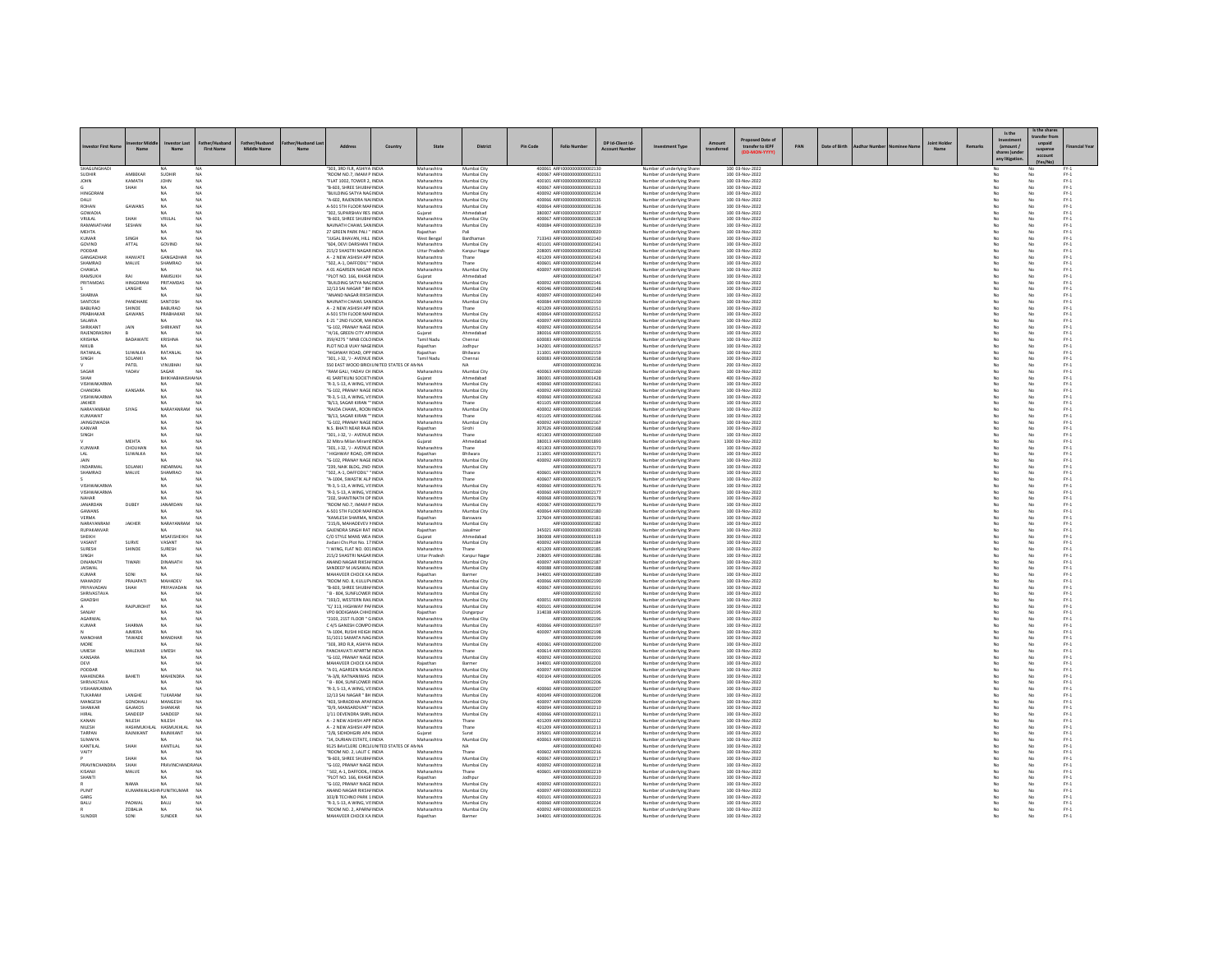| <b>Investor First Nan</b>         |                          | N <sub>2</sub>                   | <b>First Name</b>      | Father/Husband<br><b>Middle Name</b> |                                                                         | Country | State                        | <b>District</b>            | Pin Code | <b>Folio Number</b>                                        | DP Id-Client Id-<br><b>Account Num</b> | nent Type                                                 | transferree | sed Date o<br>transfer to IEPF     | PAN | Date of Birth |  | Remark | Is the<br>(amount /<br>ares )und<br>any litigatio | Is the share<br>ransfer fro<br>suspense<br>account | inancial Yea                                                                                  |
|-----------------------------------|--------------------------|----------------------------------|------------------------|--------------------------------------|-------------------------------------------------------------------------|---------|------------------------------|----------------------------|----------|------------------------------------------------------------|----------------------------------------|-----------------------------------------------------------|-------------|------------------------------------|-----|---------------|--|--------|---------------------------------------------------|----------------------------------------------------|-----------------------------------------------------------------------------------------------|
| SHAGUNGHADI                       |                          |                                  |                        |                                      | 303, 3RD FLR, ASHIYA INDI.                                              |         | Maharashtra                  | Mumbai City                |          | 400061 ARFI0000000000000213                                |                                        | Number of underlying Shar                                 |             | 100 03-Nov-2022                    |     |               |  |        |                                                   |                                                    |                                                                                               |
| SUDHIR<br><b>MHOL</b>             | AMBEKAR<br>KAMATH        | SUDHIP<br>JOHN                   | <b>NA</b><br>NA        |                                      | ROOM NO.7, IMAM P INDIA<br>FLAT 1002, TOWER 2. INDIA                    |         | Maharashtra                  | Mumbai City<br>Mumbai City |          | 400067 ARFI0000000000002131<br>400101 ARFI0000000000002132 |                                        | Number of underlying Share<br>Number of underlying Share  |             | 100 03-Nov-2022<br>100 03-Nov-2022 |     |               |  |        | No                                                | No                                                 | $FY-1$<br>$FY-1$                                                                              |
|                                   | SHAH                     | <b>NA</b>                        | NA                     |                                      | "B-603, SHREE SHUBH/ INDIA                                              |         | Maharashtra<br>Maharashtra   | Mumbai City                |          | 400067 ARFI0000000000002133                                |                                        | Number of underlying Share                                |             | 100 03-Nov-2022                    |     |               |  |        | No                                                |                                                    | $PV-1$                                                                                        |
| <b>HINGORAN</b><br>DALI           |                          | NA.<br>NA.                       | NA<br>NA               |                                      | "BUILDING SATYA NAGINDIA<br>"A-602, RAJENDRA NAHNDIA                    |         | Maharashtra<br>Maharashtra   | Mumbai City<br>Mumbai City |          | 400092 ARFI0000000000002134<br>400066 ARFI0000000000002135 |                                        | Number of underlying Shares<br>Number of underlying Share |             | 100 03-Nov-2022<br>100 03-Nov-2022 |     |               |  |        | No<br>No                                          | No<br>No                                           | $PV-1$<br>$FY-1$                                                                              |
| ROHAN                             | GAWANS                   | NA                               | NA                     |                                      | A-501 STH FLOOR MAF INDIA                                               |         | Maharashtra                  | Mumbai City                |          | 400064 ARFI0000000000002136                                |                                        | Number of underlying Share                                |             | 100 03-Nov-2022                    |     |               |  |        |                                                   |                                                    | $\text{FY-1}$                                                                                 |
| GOWADIA<br>VRIJLAL                | SHAH                     | NA<br>VRIJLAL                    | NA<br><b>NA</b>        |                                      | "302, SUPARSHAV RES INDIA<br>TR-603 SHREE SHI IRH/INDIA                 |         | Gujarat<br>Maharashtra       | Ahmedabad<br>Mumbai City   |          | 380007 ARFI0000000000002137<br>400067 ARFI0000000000002138 |                                        | Number of underlying Share<br>Number of underlying Shares |             | 100 03-Nov-2022<br>100 03-Nov-2022 |     |               |  |        | No                                                | No<br>No                                           | $PV-1$<br>$FY-1$                                                                              |
| RAMANATHAN                        | SESHAN                   | NA                               | NA                     |                                      | NAVNATH CHAWL SAN INDIA                                                 |         | Maharashtra                  | Mumbai City                |          | 400084 ARFI0000000000002139                                |                                        | Number of underlying Share                                |             | 100 03-Nov-2022                    |     |               |  |        |                                                   |                                                    | $\mathsf{FY}\text{-}\mathsf{1}$                                                               |
| <b>MEHTA</b><br>KUMAR             | SINGH                    | NA.<br>NA                        | NA<br>NA               |                                      | 27 GREEN PARK PALI " INDIA<br>"JUGAL BHAVAN, HILL INDIA                 |         | Rajasthan<br>West Bengal     | Bardhaman                  |          | AREJOOOOOOOOOOOOOOO<br>713343 ARFI0000000000002140         |                                        | Number of underlying Share<br>Number of underlying Shares |             | 100 03-Nov-2022<br>100 03-Nov-2022 |     |               |  |        | No<br>No                                          | No<br>No                                           | $\text{FY-1}$<br>$FY-1$                                                                       |
| GOVIND                            | ATTAL                    | GOVIND                           | <b>NA</b>              |                                      | "604, DEVI DARSHAN TINDIA                                               |         | Maharashtra                  | Mumbai City                |          | 401101 ARFI0000000000002141                                |                                        | Number of underlying Share                                |             | 100 03-Nov-2022                    |     |               |  |        | No                                                | No                                                 | $FY-1$                                                                                        |
| PODDAR<br>GANGADHAR               | HANVATE                  | GANGADHA                         | NA<br>NA               |                                      | 215/2 SHASTRI NAGARINDIA<br>A - 2 NEW ASHISH APP INDIA                  |         | Uttar Pradesh<br>Maharashtra | Kanpur Naga<br>Thane       |          | 208005 ARFI0000000000002142<br>401209 ARFI0000000000002143 |                                        | Number of underlying Share<br>Number of underlying Share  |             | 100 03-Nov-2022<br>100 03-Nov-2022 |     |               |  |        | No                                                | No                                                 | $\text{FY-1}$<br>$\text{FY-1}$                                                                |
| SHAMRAO                           | MALVE                    | SHAMRAD                          | <b>NA</b>              |                                      | "502. A-1. DAFFODIL" "INDIA                                             |         | Maharashtra                  | Thane                      |          | 400601 ARFI0000000000002144                                |                                        | Number of underlying Shares                               |             | 100 03-Nov-2022                    |     |               |  |        | No                                                | No                                                 | $FY-1$                                                                                        |
| CHAWLA<br>RAMSUKH                 | RAI                      | NA.<br>RAMSUKH                   | NA<br>NA               |                                      | A 01 AGARSEN NAGAR INDIA<br>"PLOT NO. 166, KHASR INDIA                  |         | Maharashtra<br>Gujarat       | Mumbai City<br>Ahmedahar   |          | 400097 ARFI0000000000002145<br>ARFI0000000000002147        |                                        | Number of underlying Share<br>Number of underlying Share  |             | 100 03-Nov-2022<br>100 03-Nov-2022 |     |               |  |        | No                                                | No<br>No                                           | $FY-1$<br>$\text{FY-1}$                                                                       |
| PRITAMDAS                         | HINGORANI                | PRITAMDAS                        | <b>NA</b>              |                                      | "BUILDING SATYA NAGINDIA                                                |         | Maharashtra                  | Mumbai City                |          | 400092 ARFI0000000000002146                                |                                        | Number of underlying Shares                               |             | 100 03-Nov-2022                    |     |               |  |        | No                                                | No                                                 | $FY-1$                                                                                        |
| SHARMA                            | LANGHE                   | NA.                              | <b>NA</b><br>NA        |                                      | 12/13 SAI NAGAR " BH INDIA<br>ANAND NAGAR RIKSHINDIA                    |         | Maharashtra<br>Maharashtra   | Mumbai City<br>Mumbai City |          | 400046 ARFI0000000000002148<br>400097 ARFI0000000000002149 |                                        | Number of underlying Share<br>Number of underlying Share  |             | 100 03-Nov-2022<br>100 03-Nov-2022 |     |               |  |        | No                                                | No<br>No                                           | $FY-1$<br>$\text{FY-1}$                                                                       |
| SANTOSH                           | PANDHARE                 | SANTOSH                          | NA                     |                                      | NAVNATH CHAWL SAN INDIA                                                 |         | Maharashtra                  | Mumbai City                |          | 400084 ARFI0000000000002150                                |                                        | Number of underlying Share                                |             | 100 03-Nov-2022                    |     |               |  |        | No                                                | No                                                 | $\text{FY-1}$                                                                                 |
| BABURAO<br>PRABHAKAR              | SHINDE<br>GAWANS         | <b>BABURAO</b><br>PRABHAKAR      | <b>NA</b><br><b>NA</b> |                                      | A - 2 NEW ASHISH APP INDIA<br>A-501 STH FLOOR MAF INDIA                 |         | Maharashtra<br>Maharashtra   | Thane<br>Mumbai City       |          | 401209 ARFI0000000000002151<br>400064 ARFI0000000000002152 |                                        | Number of underlying Shares<br>Number of underlying Share |             | 100 03-Nov-2022<br>100 03-Nov-2022 |     |               |  |        | No<br>No                                          | No<br>No                                           | $FY-1$<br>$FY-1$                                                                              |
| SALARIA                           |                          |                                  |                        |                                      | E-21 " 2ND FLOOR, MAINDIA                                               |         | Maharashtra                  | Mumbai City                |          | 400097 ARFI0000000000002153                                |                                        | Number of underlying Share                                |             | 100 03-Nov-2022                    |     |               |  |        |                                                   | No                                                 | $\text{FY-1}$                                                                                 |
| SHRIKANT<br>RAJENDRASINH          | JAIN                     | SHRIKANT<br>NA.                  | ΝA<br>NA               |                                      | "G-102, PRANAY NAGE INDIA<br>"H/16, GREEN CITY APHNDIA                  |         | Maharashtra<br>Gujarat       | Mumbai City<br>Ahmedabad   |          | 400092 ARFI0000000000002154<br>380016 ARFI0000000000002155 |                                        | Number of underlying Share<br>Number of underlying Share  |             | 100 03-Nov-2022<br>100 03-Nov-2022 |     |               |  |        | No<br>No                                          | No<br>No                                           | $FY-1$<br>$FY-1$                                                                              |
| KRISHNA                           | BADAWATI                 | KRISHNA                          | NA                     |                                      | 359/4275 " MNB COLO INDIA                                               |         | Tamil Nadu                   | Chennai                    |          | 600083 ARFI0000000000002156                                |                                        | Number of underlying Share                                |             | 100 03-Nov-2022                    |     |               |  |        |                                                   | No                                                 | $\text{FY-1}$                                                                                 |
| NIKUB<br>RATANLAL                 | SUWALKA                  | RATANLAL                         | NA<br><b>NA</b>        |                                      | PLOT NO.8 VIJAY NAGEINDIA<br>"HIGHWAY ROAD, OPP INDIA                   |         | Rajasthan<br>Rajasthan       | Jodhpu<br>Bhilwara         |          | 342001 ARFI0000000000002157<br>311001 ARFI0000000000002159 |                                        | Number of underlying Share<br>Number of underlying Shares |             | 100 03-Nov-2022<br>100 03-Nov-2022 |     |               |  |        | No<br>No                                          | No<br>No                                           | $\text{FY-1}$<br>$FY-1$                                                                       |
| SINGH                             | SOLANKI                  | NA.                              | NA                     |                                      | "301, J-32, 'J - AVENUE INDIA                                           |         | Tamil Nadu                   | Chennai                    |          | 600083 ARFI0000000000002158                                |                                        | Number of underlying Share                                |             | 100 03-Nov-2022                    |     |               |  |        | No                                                | No                                                 | $FY-1$                                                                                        |
| SAGAR                             | PATEL<br>YADAV           | VINUBHAI<br>SAGAR                | NA<br><b>NA</b>        |                                      | 550 EAST WOOD BRIDI UNITED STATES OF AN NA<br>"RAM GALI, YADAV CH INDIA |         | Maharashtra                  | Mumbai City                |          | ARFI0000000000000236<br>400063 ARFI0000000000002160        |                                        | Number of underlying Share                                |             | 200 03-Nov-2022                    |     |               |  |        |                                                   | No<br>No                                           | $\text{FY-1}$                                                                                 |
| <b>HAH2</b>                       |                          | <b>BHIKHABHA</b><br><b>HAINA</b> |                        |                                      | 41 SARITKUNJ SOCIETY INDIA                                              |         | Guiarat                      | Ahmedabad                  |          | 380001 ARFI0000000000001428                                |                                        | Number of underlying Share<br>Number of underlying Shares |             | 100 03-Nov-2022<br>400 03-Nov-2022 |     |               |  |        | No                                                | No                                                 | $\text{FY-1}$<br>$FY-1$                                                                       |
| VISHWAKARMA<br>CHANDRA            | KANSARA                  | NA                               | NA<br>NA               |                                      | "R-3, S-13, A WING, VISINDIA<br>"G-102, PRANAY NAGE INDIA               |         | Maharashtra                  | Mumbai City                |          | 400060 ARFI0000000000002161<br>400092 ARFI0000000000002162 |                                        | Number of underlying Share                                |             | 100 03-Nov-2022                    |     |               |  |        |                                                   | No                                                 | $\mathsf{FY}\text{-}\mathsf{1}$                                                               |
| VISHWAKARMA                       |                          | NA.                              | <b>NA</b>              |                                      | "R-3, S-13, A WING, VISINDIA                                            |         | Maharashtra<br>Maharashtra   | Mumbai City<br>Mumbai City |          | 400060 ARFI0000000000002163                                |                                        | Number of underlying Share<br>Number of underlying Shares |             | 100 03-Nov-2022<br>100 03-Nov-2022 |     |               |  |        | No<br>No                                          | No<br>No                                           | $\text{FY-1}$<br>$FY-1$                                                                       |
| JAKHER                            |                          | NA                               | <b>NA</b>              |                                      | "B/13, SAGAR KIRAN "" INDIA                                             |         | Maharashtra                  | Thane                      |          | 401105 ARFI0000000000002164                                |                                        | Number of underlying Share                                |             | 100 03-Nov-2022                    |     |               |  |        | No                                                | No                                                 | $FY-1$                                                                                        |
| NARAYANRAM<br>KUMAWAT             | SIYAG                    | NARAYA<br>NA                     | NA<br>NA               |                                      | RAIDA CHAWL, ROON INDIA<br>"B/13, SAGAR KIRAN "" INDIA                  |         | Maharashtra<br>Maharashtra   | Mumbai City<br>Than        |          | 400002 ARFI0000000000002165<br>401105 ARFI0000000000002166 |                                        | Number of underlying Share<br>Number of underlying Share  |             | 100 03-Nov-2022<br>100 03-Nov-2022 |     |               |  |        | No                                                | No                                                 | $PV-1$<br>$\text{FY-1}$                                                                       |
| <b>JAINGOWADIA</b>                |                          | NA.                              | NA                     |                                      | "G-102, PRANAY NAGE INDIA                                               |         | Maharashtra                  | Mumbai City                |          | 400092 ARFI0000000000002167                                |                                        | Number of underlying Shares                               |             | 100 03-Nov-2022                    |     |               |  |        | No                                                | No                                                 | $FY-1$                                                                                        |
| KANVAR<br>SINGH                   |                          | NA.<br>NA.                       | NA<br>NA               |                                      | N.S. BHATI NEAR RAJA INDIA<br>"301, J-32, 'J - AVENUE INDIA             |         | Rajasthan<br>Maharashtra     | Sirohi<br>Thane            |          | 307026 ARFI0000000000002168<br>401303 ARFI000000000000216  |                                        | Number of underlying Share<br>Number of underlying Share  |             | 100 03-Nov-2022<br>100 03-Nov-2022 |     |               |  |        | No                                                | No<br>No                                           | $FY-1$<br>$\mathsf{FY}\cdot \mathsf{I}$                                                       |
|                                   | MEHTA                    | NA                               | <b>NA</b>              |                                      | 32 Mitra Milan MiramLINDIA                                              |         | Guiarat                      | Ahmedabad                  |          | 380013 ARFI0000000000001893                                |                                        | Number of underlying Shares                               |             | 1300 03-Nov-2022                   |     |               |  |        | No                                                | No                                                 | $FY-1$                                                                                        |
| KUNWAR<br>LAI                     | CHOUHAN<br>SUWALKA       | NA<br>NA                         | NA<br>NA               |                                      | "301, J-32, 'J - AVENUE INDIA<br>HIGHWAY ROAD, OPFINDIA                 |         | Maharashtra<br>Rajasthan     | Thane<br>Bhilwara          |          | 401303 ARFI0000000000002170<br>311001 ARFI0000000000002171 |                                        | Number of underlying Share<br>Number of underlying Share  |             | 100 03-Nov-2022<br>100 03-Nov-2022 |     |               |  |        | No                                                | No<br>No                                           | $FY-1$<br>$\text{FY-1}$                                                                       |
| JAIN                              |                          | NA                               | NA                     |                                      | "G-102, PRANAY NAGE INDIA                                               |         | Maharashtra                  | Mumbai City                |          | 400092 ARFI0000000000002172                                |                                        | Number of underlying Share                                |             | 100 03-Nov-2022                    |     |               |  |        | No                                                | No                                                 | $\text{FY-1}$                                                                                 |
| INDARMAL<br>SHAMRAO               | SOLANKI<br>MALVE         | INDARMAL<br>SHAMRAD              | <b>NA</b><br><b>NA</b> |                                      | "239, NAIK BLDG, 2ND INDIA<br>"502, A-1, DAFFODIL" "INDIA               |         | Maharashtra<br>Maharashtra   | Mumbai City<br>Thane       |          | ARFI0000000000002173<br>400601 ARFI0000000000002174        |                                        | Number of underlying Shares<br>Number of underlying Share |             | 100 03-Nov-2022<br>100 03-Nov-2022 |     |               |  |        | No<br>No                                          | No<br>No                                           | $FY-1$<br>$FY-1$                                                                              |
|                                   |                          |                                  | NA                     |                                      | "A-1004, SWASTIK ALP INDIA                                              |         | Maharashtra                  | Thane                      |          | 400607 ARFI0000000000002175                                |                                        | Number of underlying Shares                               |             | 100 03-Nov-2022                    |     |               |  |        |                                                   | No                                                 | $\text{FY-1}$                                                                                 |
| <b>VISHWAKARMA</b><br>VISHWAKARMA |                          | NA <sup>1</sup><br>NA            | NA<br>NA               |                                      | "R-3, S-13, A WING, VISINDIA<br>"R-3, S-13, A WING, VISINDIA            |         | Maharashtra<br>Maharashtra   | Mumbai City<br>Mumbai City |          | 400060 ARFI0000000000002176<br>400060 ARFI0000000000002177 |                                        | Number of underlying Share<br>Number of underlying Share  |             | 100 03-Nov-2022<br>100 03-Nov-2022 |     |               |  |        | No<br>No                                          | No<br>No                                           | $\begin{array}{c} \mathsf{FY}\text{-}\mathsf{1} \\ \mathsf{FY}\text{-}\mathsf{1} \end{array}$ |
| NAHAR                             |                          |                                  | NA                     |                                      | 202, SHANTINATH OP INDIA                                                |         | Maharashtra                  | Mumbai City                |          | 400068 ARFI0000000000002178                                |                                        | Number of underlying Share                                |             | 100 03-Nov-2022                    |     |               |  |        |                                                   | No                                                 | $\text{FY-1}$                                                                                 |
| <b>JANARDAN</b><br><b>GAWANS</b>  | DUBEY                    | JANARDAN<br>NA.                  | NA<br>NA               |                                      | "ROOM NO.7, IMAM P INDIA<br>A-501 STH FLOOR MAFINDIA                    |         | Maharashtra<br>Maharashtra   | Mumbai City<br>Mumbai City |          | 400067 ARFI0000000000002179<br>400064 ARFI0000000000002180 |                                        | Number of underlying Share<br>Number of underlying Shares |             | 100 03-Nov-2022<br>100 03-Nov-2022 |     |               |  |        | No<br>No                                          | No<br>No                                           | $\text{FY-1}$<br>$FY-1$                                                                       |
| VERMA                             |                          | NA.                              | <b>NA</b>              |                                      | "KAMLESH SHARMA, NINDIA                                                 |         | Rajasthan                    | Banswara                   |          | 327604 ARFI0000000000002181                                |                                        | Number of underlying Share                                |             | 100 03-Nov-2022                    |     |               |  |        | No                                                | No                                                 | $FY-1$                                                                                        |
| NARAYANRAM<br>RUPAKANVAR          | JAKHER                   | NARAYANRAN                       | NA                     |                                      | "215/6, MAHADEVEV I INDIA<br>GAJENDRA SINGH RAT INDIA                   |         | Maharashtra<br>Rajasthan     | Mumbai City<br>Jaisalmen   |          | ARFI0000000000002182<br>345021 ARFI0000000000002183        |                                        | Number of underlying Share<br>Number of underlying Share  |             | 100 03-Nov-2022<br>100 03-Nov-2022 |     |               |  |        | No                                                | No<br>No                                           | $\text{FY-1}$<br>$\text{FY-1}$                                                                |
| SHEIKH                            |                          | MSAFISHEIKH                      | <b>NA</b>              |                                      | C/O STYLE MANS WEA INDIA                                                |         | Gujarat                      | Ahmedabad                  |          | 380008 ARFI00000000000001519                               |                                        | Number of underlying Share                                |             | 300 03-Nov-2022                    |     |               |  |        | No                                                | No                                                 | $\frac{\mathsf{FY}\cdot 1}{\mathsf{FY}\cdot 1}$                                               |
| VASANT<br>SURESH                  | SURVE<br>SHINDE          | VASANT<br>SURESH                 | NA<br>NA               |                                      | Jivdani Chs Plot No. 17 INDIA<br>"I WING, FLAT NO. 001 INDIA            |         | Maharashtra<br>Maharashtra   | Mumbai City                |          | 400092 ARFI0000000000002184<br>401209 ARFI0000000000002185 |                                        | Number of underlying Share<br>Number of underlying Share  |             | 100 03-Nov-2022<br>100 03-Nov-2022 |     |               |  |        | No                                                | No<br>No                                           | $\text{FY-1}$                                                                                 |
| SINGH                             |                          | NA.                              | NA                     |                                      | 215/2 SHASTRI NAGAR INDIA                                               |         | <b>Uttar Pradesh</b>         | Kanpur Naga                |          | 208005 ARFI0000000000002186                                |                                        | Number of underlying Shares                               |             | 100 03-Nov-2022                    |     |               |  |        | No                                                | No                                                 | $FY-1$                                                                                        |
| DINANATH<br><b>JAISWAL</b>        | TIWARI                   | DINANATH                         | <b>NA</b>              |                                      | ANAND NAGAR RIKSH/ INDIA<br>SANDEEP M JAISAWAL INDIA                    |         | Maharashtra<br>Maharashtra   | Mumbai City<br>Mumbai City |          | 400097 ARFI0000000000002187<br>400088 ARFI0000000000002188 |                                        | Number of underlying Share<br>Number of underlying Share  |             | 100 03-Nov-2022<br>100 03-Nov-2022 |     |               |  |        | No                                                | No                                                 | $FY-1$<br>$\text{FY-1}$                                                                       |
| KUMAR                             | SONI                     | NA.                              | NA                     |                                      | MAHAVEER CHOCK KA INDIA                                                 |         | Rajasthan                    | Barmer                     |          | 344001 ARFI0000000000002189                                |                                        | Number of underlying Share                                |             | 100 03-Nov-2022                    |     |               |  |        | No                                                | No                                                 | $\text{FY-1}$                                                                                 |
| MAHADEV<br>PRIYAVADAN             | PRAJAPATI<br>SHAH        | MAHADEV<br>PRIYAVADAN            | <b>NA</b><br><b>NA</b> |                                      | "ROOM NO. S. KULUP\ INDIA<br>"B-603, SHREE SHUBH/ INDIA                 |         | Maharashtra<br>Maharashtra   | Mumbai City<br>Mumbai City |          | 400066 ARFI0000000000002190<br>400067 ARFI0000000000002191 |                                        | Number of underlying Shares<br>Number of underlying Share |             | 100 03-Nov-2022<br>100 03-Nov-2022 |     |               |  |        | No<br>No                                          | No<br>No                                           | $PV-1$<br>$FY-1$                                                                              |
| SHRIVASTAVA                       |                          |                                  | N <sub>A</sub>         |                                      | " B - 804, SUNFLOWER INDIA                                              |         | Maharashtra                  | Mumbai City                |          | ARFI0000000000002192                                       |                                        | Number of underlying Share                                |             | 100 03-Nov-2022                    |     |               |  |        | No                                                | No                                                 | $\text{FY-1}$                                                                                 |
| <b>GHADSHI</b>                    | RAJPUROHIT               | NA <sup>1</sup><br>NA            | NA<br>NA               |                                      | "193/2. WESTERN RAILINDIA<br>"C/313, HIGHWAY PAFINDIA                   |         | Maharashtra<br>Maharashtra   | Mumbai City<br>Mumbai City |          | 400051 ARFI0000000000002193<br>400101 ARFI0000000000002194 |                                        | Number of underlying Shares<br>Number of underlying Share |             | 100 03-Nov-2022<br>100 03-Nov-2022 |     |               |  |        | No<br>No                                          | No<br>No                                           | $PV-1$<br>$FY-1$                                                                              |
| SANJAY<br>AGARWAL                 |                          | NA                               | NA<br>NA               |                                      | VPO BODIGAMA CHHCINDIA                                                  |         | Rajasthan<br>Maharashtra     | Dungarpur                  |          | 314038 ARFI0000000000002195<br>AREI0000000000002196        |                                        | Number of underlying Share                                |             | 100 03-Nov-2022                    |     |               |  |        |                                                   | No                                                 | $\text{FY-1}$                                                                                 |
| KUMAR                             | SHARMA                   | NA                               | <b>NA</b>              |                                      | "2103, 21ST FLOOR " GINDIA<br>C 4/5 GANESH COMPO INDIA                  |         | Maharashtra                  | Mumbai City<br>Mumbai City |          | 400066 ARFI0000000000002197                                |                                        | Number of underlying Share<br>Number of underlying Shares |             | 100 03-Nov-2022<br>100 03-Nov-2022 |     |               |  |        | No<br>No                                          | No<br>No                                           | $PV-1$<br>$FY-1$                                                                              |
|                                   | <b>AIMERA</b>            | NA.                              | NA                     |                                      | "A-1004, RUSHI HEIGH INDIA                                              |         | Maharashtra                  | Mumbai City                |          | 400097 ARFI0000000000002198                                |                                        | Number of underlying Share                                |             | 100 03-Nov-2022                    |     |               |  |        | No                                                | No                                                 | $FY-1$                                                                                        |
| MANOHAI<br>MORE                   | TAWADE                   | MANOHA<br>NA <sup>1</sup>        | <b>NA</b><br>NA        |                                      | 51/1011 SAMATA NAGINDIA<br>"303, 3RD FLR, ASHIYA INDIA                  |         | Maharashtra<br>Maharashtra   | Mumbai City<br>Mumbai City |          | ARFI000000000002199<br>400061_AREI0000000000002200         |                                        | Number of underlying Share<br>Number of underlying Shares |             | 100 03-Nov-2022<br>100 03-Nov-2022 |     |               |  |        | No                                                | No<br>No                                           | $\text{FY-1}$                                                                                 |
| <b>UMESH</b>                      | MALEKAR                  | UMESH                            | NA                     |                                      | PANCHAVATI APARTM INDIA<br>"G-102, PRANAY NAGE INDIA                    |         | Maharashtra                  | Thane                      |          | 400614 ARFI0000000000002201<br>400092 ARFI0000000000002202 |                                        | Number of underlying Share                                |             | 100 03-Nov-2022<br>100 03-Nov-2022 |     |               |  |        | No                                                | No<br>No                                           | $\begin{array}{l} \text{FY-1} \\ \text{FY-1} \end{array}$                                     |
| KANSARA<br>DEVI                   |                          | NA.                              | NA<br>NA               |                                      | MAHAVEER CHOCK KA INDIA                                                 |         | Maharashtra<br>Rajasthan     | Mumbai City<br>Barmer      |          | 344001 ARFI0000000000002203                                |                                        | Number of underlying Share<br>Number of underlying Share  |             | 100 03-Nov-2022                    |     |               |  |        | No                                                | No                                                 | $\text{FY-1}$<br>$\text{FY-1}$                                                                |
| PODDAR                            |                          | NA.                              | <b>NA</b>              |                                      | "A 01. AGARSEN NAGA INDIA                                               |         | Maharashtra                  | Mumbai City                |          | 400097 ARFI0000000000002204                                |                                        | Number of underlying Shares                               |             | 100 03-Nov-2022                    |     |               |  |        | No                                                | No                                                 | $FY-1$                                                                                        |
| MAHENDRA<br>SHRIVASTAVA           | BAHETI                   | MAHENDRA<br>NA                   | <b>NA</b><br>NA        |                                      | "A-3/8, RATNANIWAS INDIA<br>" B - 804, SUNFLOWER INDIA                  |         | Maharashtra<br>Maharashtra   | Mumbai City<br>Mumbai City |          | 400104 ARFI0000000000002205<br>ARFI0000000000002206        |                                        | Number of underlying Share<br>Number of underlying Share  |             | 100 03-Nov-2022<br>100 03-Nov-2022 |     |               |  |        | No                                                | No<br>No                                           | $FY-1$<br>$\text{FY-1}$                                                                       |
| VISHAWKARMA                       |                          | MA.                              | NA                     |                                      | "R-3, S-13, A WING, VISINDIA                                            |         | Maharashtra                  | Mumbai City                |          | 400060 ARFI0000000000002207                                |                                        | Number of underlying Share                                |             | 100 03-Nov-2022                    |     |               |  |        | No                                                | No                                                 | $\text{FY-1}$                                                                                 |
| TUKARAM<br>MANGESH                | LANGHE<br>GONDHALI       | TUKARAM<br>MANGESH               | <b>NA</b><br>NA        |                                      | 12/13 SAI NAGAR " BH INDIA<br>403, SHRADDHA APAFINDIA                   |         | Maharashtra<br>Maharashtra   | Mumbai City<br>Mumbai City |          | 400049 ARFI0000000000002208<br>400097 ARFI0000000000002209 |                                        | Number of underlying Shares<br>Number of underlying Share |             | 100 03-Nov-2022<br>100 03-Nov-2022 |     |               |  |        | No                                                | No<br>No                                           | $FY-1$<br>$\mathsf{FY}\text{-}\mathsf{1}$                                                     |
| SHANKAR                           | GAJAKOS                  | SHANKAR                          | N <sub>A</sub>         |                                      | "D/9, MANSAROVAR" 'INDIA                                                |         | Maharashtra                  | Mumbai City                |          | 400094 ARFI0000000000002210                                |                                        | Number of underlying Share                                |             | 100 03-Nov-2022                    |     |               |  |        | No                                                | No                                                 | $\text{FY-1}$                                                                                 |
| <b>HIRAL</b><br>KANAN             | SANDEEP<br>NILESH        | SANDEEP<br>NILESH                | <b>NA</b><br><b>NA</b> |                                      | 1/11 DEVENDRA SMRLINDIA<br>A - 2 NEW ASHISH APP INDIA                   |         | Maharashtra<br>Maharashtra   | Mumbai City<br>Thane       |          | 400066 ARFI0000000000002211<br>401209 ARFI0000000000002212 |                                        | Number of underlying Shares<br>Number of underlying Share |             | 100 03-Nov-2022<br>100 03-Nov-2022 |     |               |  |        | No<br>No                                          | No<br>No                                           | $FY-1$<br>$FY-1$                                                                              |
| NILESH                            | HASHMUKHLAL HASMUKHLAL   |                                  | <b>NA</b>              |                                      | A - 2 NEW ASHISH APP INDIA                                              |         | Maharashtra                  | Thane                      |          | 401209 ARFI0000000000002213                                |                                        | Number of underlying Share                                |             | 100 03-Nov-2022                    |     |               |  |        |                                                   | No                                                 | $\text{FY-1}$                                                                                 |
| TARPAN<br>SUMAIYA                 | RAJNIKANT                | RAJNIKANT<br>NA.                 | <b>NA</b><br><b>NA</b> |                                      | "2/B, SIDHDHGIRI APA INDIA<br>"14 DURIAN ESTATE FINDIA                  |         | Gujarat<br>Maharashtra       | Surat<br>Mumbai City       |          | 395001 ARFI0000000000002214<br>400063 ARFI0000000000002215 |                                        | Number of underlying Share<br>Number of underlying Shares |             | 100 03-Nov-2022<br>100 03-Nov-2022 |     |               |  |        | No<br>No                                          | No<br>No                                           | $\text{FY-1}$<br>$FY-1$                                                                       |
| KANTILAL                          | SHAH                     | KANTILAL                         | <b>NA</b>              |                                      | 9125 BAVCLERE CIRCLI UNITED STATES OF AN NA                             |         |                              | <b>NA</b>                  |          | ARFI0000000000000240                                       |                                        | Number of underlying Share                                |             | 100 03-Nov-2022                    |     |               |  |        | No                                                | No                                                 | $FY-1$                                                                                        |
| VAITY                             | SHAH                     | NA.<br>NA                        | N <sub>A</sub><br>NA   |                                      | ROOM NO. 2, LALIT C INDIA<br><b>"B-603 SHREE SHURHUNDIA</b>             |         | Maharashtra<br>Maharashtra   | Thane<br>Mumbai City       |          | 400602 ARFI0000000000002216<br>400067 ARFI0000000000002217 |                                        | Number of underlying Share<br>Number of underlying Shares |             | 100 03-Nov-2022<br>100 03-Nov-2022 |     |               |  |        | No                                                | No<br>No                                           | $\text{FY-1}$<br>$FY-1$                                                                       |
| <b>PRAVINCHANDRA</b>              | SHAH                     | PRAVINCHANDRA NA                 |                        |                                      | "G-102, PRANAY NAGE INDIA                                               |         | Maharashtra                  | Mumbai City                |          | 400092 ARFI0000000000002218                                |                                        | Number of underlying Share                                |             | 100 03-Nov-2022                    |     |               |  |        | No                                                | No                                                 | $FY-1$                                                                                        |
| KISANJ<br>SHANTI                  | MALVE                    | NA<br>NA <sup>1</sup>            | NA<br>NA               |                                      | 502, A-1, DAFFODIL, FINDIA<br>"PLOT NO. 166, KHASR INDIA                |         | Maharashtra<br>Rajasthan     | Thane<br>Jodhpur           |          | 400601 ARFI0000000000002219<br>AREI000000000002220         |                                        | Number of underlying Share<br>Number of underlying Share  |             | 100 03-Nov-2022<br>100 03-Nov-2022 |     |               |  |        |                                                   | No<br>No                                           | $\text{FY-1}$<br>$\text{FY-1}$                                                                |
|                                   | NAMA                     | NA                               | NA                     |                                      | "G-102, PRANAY NAGE INDIA                                               |         | Maharashtra                  | Mumbai City                |          | 400092 ARFI0000000000002221                                |                                        | Number of underlying Shares                               |             | 100 03-Nov-2022                    |     |               |  |        | No                                                | No                                                 | $FY-1$                                                                                        |
| PUNIT<br>GARG                     | KUMARKAILASHN PUNITKUMAR |                                  | <b>NA</b><br>NA        |                                      | ANAND NAGAR RIKSH/ INDIA<br>103/B TECHNO PARK 1 INDIA                   |         | Maharashtra<br>Maharashtra   | Mumbai City<br>Mumbai City |          | 400097 ARFI0000000000002222<br>400101 ARFI0000000000002223 |                                        | Number of underlying Share                                |             | 100 03-Nov-2022<br>100 03-Nov-2022 |     |               |  |        | No                                                | No                                                 | $FY-1$<br>$PV-1$                                                                              |
| BALU                              | PADWAI                   | BALU                             | NA                     |                                      | "R-3, S-13, A WING, VISINDIA                                            |         | Maharashtra                  | Mumbai City                |          | 400060 ARFI0000000000002224                                |                                        | Number of underlying Share<br>Number of underlying Share  |             | 100 03-Nov-2022                    |     |               |  |        |                                                   |                                                    | $FY-1$                                                                                        |
| SUNDER                            | ZOBALIA<br>SONI          | NA<br>SUNDER                     | <b>NA</b><br>NA        |                                      | "ROOM NO. 2, APARN/INDIA<br>MAHAVEER CHOCK KAINDIA                      |         | Maharashtra<br>Rajasthan     | Mumbai City                |          | 400092 ARFI0000000000002225<br>344001 ARFI0000000000002226 |                                        | Number of underlying Share<br>Number of underlying Share  |             | 100 03-Nov-2022<br>100 03-Nov-2022 |     |               |  |        | No                                                | No                                                 | $FY-1$<br>$PV-1$                                                                              |
|                                   |                          |                                  |                        |                                      |                                                                         |         |                              | Barmer                     |          |                                                            |                                        |                                                           |             |                                    |     |               |  |        |                                                   |                                                    |                                                                                               |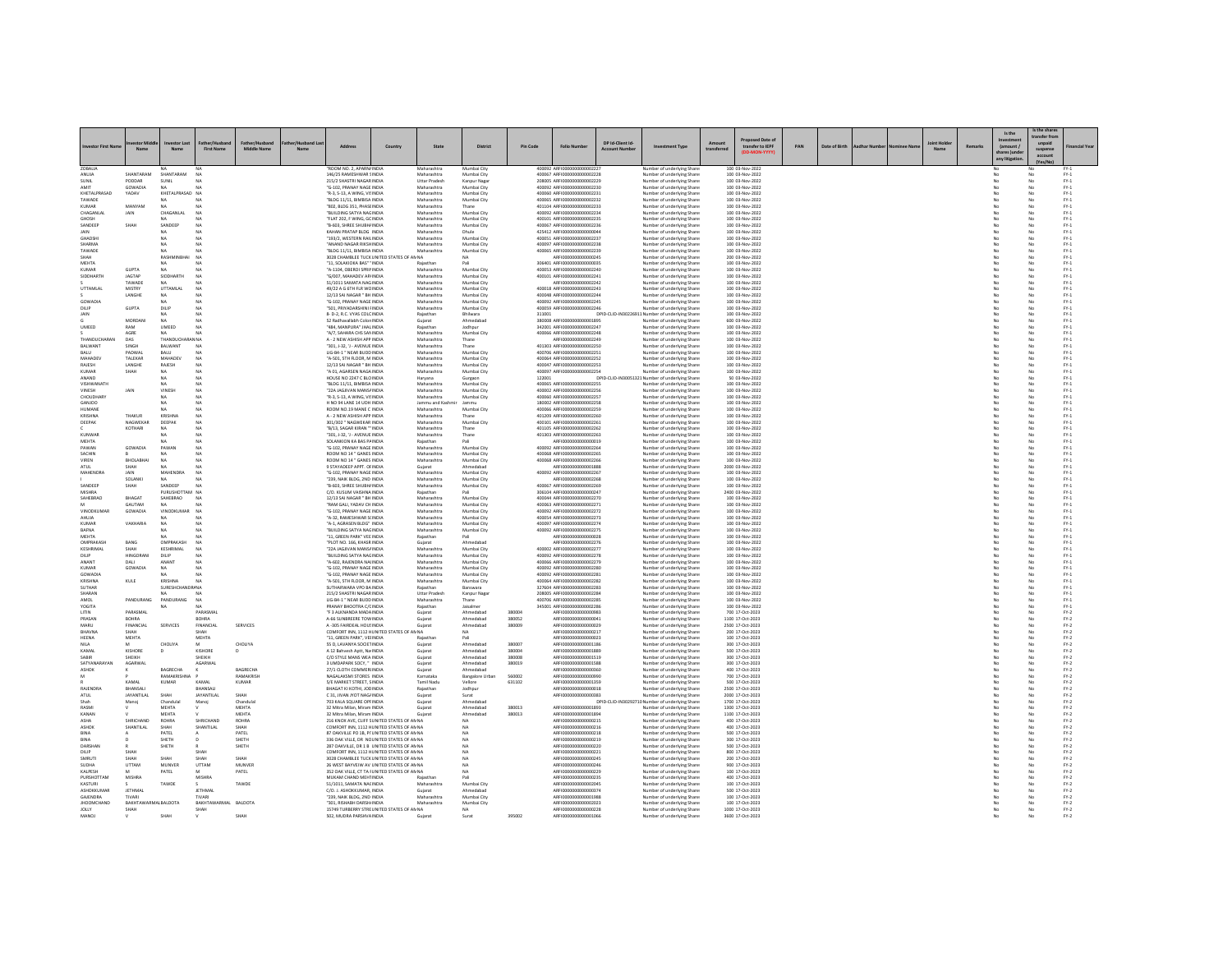|                               |                                      |                            |                         |                    |                |                                                                                          |         |                                   |                            |                  |                                                            |                                       |                                                                                |            |                                      |     |               |  |        | Is the                                  | s the share<br>ansfer fr     |                         |
|-------------------------------|--------------------------------------|----------------------------|-------------------------|--------------------|----------------|------------------------------------------------------------------------------------------|---------|-----------------------------------|----------------------------|------------------|------------------------------------------------------------|---------------------------------------|--------------------------------------------------------------------------------|------------|--------------------------------------|-----|---------------|--|--------|-----------------------------------------|------------------------------|-------------------------|
|                               | Nam                                  | Nam                        | <b>First Name</b>       | <b>Middle Name</b> | N <sub>2</sub> |                                                                                          | Country | State                             | <b>District</b>            | Pin Code         | <b>Folio Number</b>                                        | DP Id-Client Id-<br><b>Arcount Nu</b> | ent Type                                                                       | transferre | sed Date o<br>transfer to IEPF       | PAN | Date of Birth |  | Remark | (amount)<br>shares )un<br>any litigatio | unpaid<br>suspens<br>account | inancial Yea            |
| ZOBALIA<br>ANUJA              | SHANTARAM                            | SHANTARAM                  | NA                      |                    |                | ROOM NO. 2. APARN/INDIA<br>146/25 RAMESHWAR SINDIA                                       |         | Maharashtra<br>Maharashtra        | Mumbai City<br>Mumbai City |                  | 400092 AREI000000000000222<br>400067 ARFI0000000000002228  |                                       | Number of underlying Shar<br>Number of underlying Share                        |            | 100 03-Nov-2022<br>100 03-Nov-2022   |     |               |  |        |                                         | No                           | $FY-1$                  |
| SUNIL                         | PODDAR                               | SUNIL                      |                         |                    |                | 215/2 SHASTRI NAGARINDIA                                                                 |         | <b>Uttar Pradesh</b>              | Kanpur Naga                |                  | 208005 ARFI0000000000002229                                |                                       | Number of underlying Share                                                     |            | 100 03-Nov-2022                      |     |               |  |        |                                         |                              | $FY-1$                  |
| <b>AMIT</b><br>KHETALPRASAD   | GOWADIA<br>YADAV                     | NA<br>KHETALPRASAD NA      |                         |                    |                | "G-102, PRANAY NAGE INDIA<br>"R-3, S-13, A WING, VISINDIA                                |         | Maharashtra<br>Maharashtra        | Mumbai City<br>Mumbai City |                  | 400092 ARFI0000000000002230<br>400060 ARFI0000000000002231 |                                       | Number of underlying Share<br>Number of underlying Shares                      |            | 100 03-Nov-2022<br>100 03-Nov-2022   |     |               |  |        | No                                      | No<br>No                     | $FY-1$<br>$FY-1$        |
| TAWADE                        |                                      | <b>NA</b>                  |                         |                    |                | BLDG 11/11, BIMBISA INDIA                                                                |         | Maharashtra                       | Mumbai City                |                  | 400065 ARFI0000000000002232                                |                                       | Number of underlying Share                                                     |            | 100 03-Nov-2022                      |     |               |  |        | No                                      | No                           | $FY-1$                  |
| KUMAF<br>CHAGANLAL            | MANYAM<br>JAIN                       | NA<br>CHAGANLAI            | NA                      |                    |                | "802, BLDG 351, PHASE INDIA<br>BUILDING SATYA NAGINDIA                                   |         | Maharashtra<br>Maharashtra        | Thane<br>Mumbai City       |                  | 401104 ARFI0000000000002233<br>400092 ARFI0000000000002234 |                                       | Number of underlying Share<br>Number of underlying Share                       |            | 100 03-Nov-2022<br>100 03-Nov-2022   |     |               |  |        |                                         | No<br>No                     | $FY-1$<br>$FY-1$        |
| GHOSH                         |                                      | NA                         | NA                      |                    |                | "FLAT 202 E WING GC INDIA                                                                |         | Maharashtra                       | Mumbai City                |                  | 400101 ARFI0000000000002235                                |                                       | Number of underlying Share                                                     |            | 100 03-Nov-2022                      |     |               |  |        | No                                      | No                           | $FY-1$                  |
| SANDEEP<br><b>JAIN</b>        | SHAI                                 | SANDEER<br>NA              | NA<br>NA                |                    |                | B-603, SHREE SHUBH/ INDI.<br>KAHAN PRATAP BLDG INDIA                                     |         | Maharashtra<br>Maharashtra        | Mumbai City<br>Dhule       |                  | 400067 ARFI0000000000002236<br>425412 ARFI0000000000000004 |                                       | Number of underlying Share<br>Number of underlying Share                       |            | 100 03-Nov-2022<br>100 03-Nov-2022   |     |               |  |        |                                         | No<br>No                     | $PV-1$<br>$FY-1$        |
| GHADSHI                       |                                      | NA                         | NA                      |                    |                | "193/2. WESTERN RAILINDIA                                                                |         | Maharashtra                       | Mumbai City                |                  | 400051 ARFI0000000000002237                                |                                       | Number of underlying Shares                                                    |            | 100 03-Nov-2022                      |     |               |  |        | No                                      | No                           | $FY-1$                  |
| SHARMA<br>TAWADE              |                                      | NA                         | NA                      |                    |                | "ANAND NAGAR RIKSHINDIA<br>BLDG 11/11, BIMBISA INDIA                                     |         | Maharashtra<br>Maharashtra        | Mumbai City<br>Mumbai City |                  | 400097 ARFI0000000000002238<br>400065 ARFI0000000000002239 |                                       | Number of underlying Share<br>Number of underlying Share                       |            | 100 03-Nov-2022<br>100 03-Nov-2022   |     |               |  |        | No                                      | No<br>No                     | $FY-1$<br>$\text{FY-1}$ |
| <b><i><u>СНАН</u></i></b>     |                                      | RASHMI                     | NA                      |                    |                | 3028 CHAMBLEE TUCK UNITED STATES OF AN NA                                                |         |                                   | NA                         |                  | ARFI0000000000000245                                       |                                       | Number of underlying Share                                                     |            | 200 03-Nov-2022                      |     |               |  |        |                                         | No                           | $FY-1$                  |
| MEHTA<br>KUMAR                | <b>GUPTA</b>                         | NA<br>NA                   | NA<br>NA                |                    |                | "11. SOLAKIOKA BAS" ' INDIA<br>"A-1104, OBEROI SPRININDIA                                |         | Rajasthan<br>Maharashtra          | Pali<br>Mumbai City        |                  | 306401 ARFI0000000000000035<br>400053 ARFI0000000000002240 |                                       | Number of underlying Shares<br>Number of underlying Share                      |            | 100 03-Nov-2022<br>100 03-Nov-2022   |     |               |  |        | No<br>No                                | No<br>No                     | $FY-1$<br>$FY-1$        |
| <b>SIDDHART</b>               | JAGTAP                               | SIDDHART                   | NA                      |                    |                | "G/007, MAHADEV AP/INDIA                                                                 |         | Maharashtra                       | Mumbai City                |                  | 400101 ARFI0000000000002241                                |                                       | Number of underlying Share                                                     |            | 100 03-Nov-2022                      |     |               |  |        |                                         | No                           | $PV-1$                  |
| UTTAMLAI                      | TAWADE<br>MISTRY                     | NA<br>UTTAMLAI             | NA<br>NA                |                    |                | 51/1011 SAMATA NAG INDIA<br>49/22 A G 6TH FLR WC INDIA                                   |         | Maharashtra<br>Maharashtra        | Mumbai City<br>Mumbai City |                  | ARFI0000000000002242<br>400018 ARFI0000000000002243        |                                       | Number of underlying Shares<br>Number of underlying Share                      |            | 100 03-Nov-2022<br>100 03-Nov-2022   |     |               |  |        | No<br>No                                | No<br>No                     | $FY-1$<br>$FY-1$        |
|                               | LANGHE                               | NA                         |                         |                    |                | 12/13 SAI NAGAR " BH INDIA                                                               |         | Maharashtra                       | Mumbai City                |                  | 400048 ARFI000000000000224                                 |                                       | Number of underlying Share                                                     |            | 100 03-Nov-2022                      |     |               |  |        |                                         | No                           | $FY-1$                  |
| GOWADIA<br>DILIP              | <b>GUPTA</b>                         | NA<br>DILIP                | NA<br>NA                |                    |                | "G-102, PRANAY NAGE INDIA<br>"SO1, PRIYADARSHINI FINDIA                                  |         | Maharashtra<br>Maharashtra        | Mumbai City<br>Mumbai City |                  | 400092 ARFI0000000000002245<br>400059 ARFI0000000000002246 |                                       | Number of underlying Share<br>Number of underlying Shares                      |            | 100 03-Nov-2022<br>100 03-Nov-2022   |     |               |  |        | No<br>No                                | No<br>No                     | $FY-1$<br>$FY-1$        |
| JAIN                          |                                      | NA                         | NA                      |                    |                | 8- D-2, R.C. VYAS COLCINDIA                                                              |         | Rajasthan                         | Bhilwara                   |                  | 311001                                                     |                                       | DPID-CLID-IN30226911 Number of underlying Share                                |            | 100 03-Nov-2022                      |     |               |  |        | No                                      | No                           | $FY-1$                  |
| UMEED                         | MORDANI<br>RAM                       | NA<br>UMEED                | N4                      |                    |                | 52 Radhavallabh Colon INDI.<br>"484, MANPURA" JHAL INDIA                                 |         | Gujarat<br>Rajasthan              | Ahmedaba<br>Jodhpur        |                  | 380008 ARFI0000000000001899<br>342001_AREI0000000000002247 |                                       | Number of underlying Share<br>Number of underlying Share                       |            | 600 03-Nov-2022<br>100 03-Nov-2022   |     |               |  |        |                                         | No                           | $\text{FY-1}$<br>$FY-1$ |
|                               | AGRE                                 | NA.                        | NA                      |                    |                | "A/7, SAHARA CHS SANINDIA                                                                |         | Maharashtra                       | Mumbai City                |                  | 400066 ARFI0000000000002248                                |                                       | Number of underlying Share                                                     |            | 100 03-Nov-2022                      |     |               |  |        | No                                      | No<br>No                     | $FY-1$                  |
| THANDUCHARAM<br>BALWANT       | DAS<br>SINGH                         | THANDU<br>BALWANT          | N NA<br>NA              |                    |                | A - 2 NEW ASHISH APP INDIA<br>301. J-32. 'J - AVENUE INDIA                               |         | Maharashtra<br>Maharashtra        | Thane<br>Thane             |                  | ARFI0000000000002249<br>401303 ARFI0000000000002250        |                                       | Number of underlying Share<br>Number of underlying Share                       |            | 100 03-Nov-2022<br>100 03-Nov-2022   |     |               |  |        | No                                      | No<br>No                     | $FY-1$<br>$FY-1$        |
| BALU                          | PADWAI                               | BALU                       | NA                      |                    |                | LIG-B4-1 " NEAR BUDD INDIA                                                               |         | Maharashtra                       | Mumbai City                |                  | 400706 ARFI0000000000002251                                |                                       | Number of underlying Shares                                                    |            | 100 03-Nov-2022                      |     |               |  |        | No                                      | No                           | $FY-1$                  |
| MAHADEV<br>RAJESH             | TALEKAR<br>LANGH                     | <b>MAHADEV</b><br>RAJESH   | NA<br>NA                |                    |                | "A-501, STH FLOOR, M INDIA<br>12/13 SAI NAGAR " BH INDIA                                 |         | Maharashtra<br>Maharashtra        | Mumbai City<br>Mumbai City |                  | 400064 ARFI0000000000002252<br>400047 ARFI0000000000002253 |                                       | Number of underlying Share<br>Number of underlying Share                       |            | 100 03-Nov-2022<br>100 03-Nov-2022   |     |               |  |        | No                                      | No<br>No                     | $FY-1$<br>$FY-1$        |
| KUMAR                         | SHAH                                 | NA                         | NA                      |                    |                | "A 01, AGARSEN NAGA INDIA                                                                |         | Maharashtra                       | Mumbai City                |                  | 400097 ARFI0000000000002254                                |                                       | Number of underlying Share                                                     |            | 100 03-Nov-2022                      |     |               |  |        | No                                      | No                           | $FY-1$                  |
| ANAND<br>VISHWANATH           |                                      | NA<br>NA                   | NA                      |                    |                | HOUSE NO 2247 C BLOINDIA<br>BLDG 11/11, BIMBISA INDIA                                    |         | Haryana<br>Maharashtra            | Gurgaon<br>Mumbai City     |                  | 122001<br>400065 ARFI0000000000002255                      |                                       | DPID-CLID-IN30051321 Number of underlying Share<br>Number of underlying Share  |            | 50 03-Nov-2022<br>100 03-Nov-2022    |     |               |  |        | No                                      | No<br>No                     | $FY-1$<br>$PV-1$        |
| VINESH                        | JAIN                                 | <b>VINESE</b>              | NA                      |                    |                | "22A JAGJIVAN MANS/ INDIA                                                                |         | Maharashtra                       | Mumbai City                |                  | 400002 ARFI0000000000002256                                |                                       | Number of underlying Share                                                     |            | 100 03-Nov-2022                      |     |               |  |        |                                         | No                           | $\text{FY-1}$           |
| CHOUDHARY<br>GANJOO           |                                      | NA<br>NA                   | NA<br>NA                |                    |                | "R-3, S-13, A WING, VISINDIA<br>H NO 94 LANE 14 UDH INDIA                                |         | Maharashtra<br>Jammu and Kashr    | Mumbai City<br>Jammu       |                  | 400060 ARFI0000000000002257<br>180002 ARFI0000000000002258 |                                       | Number of underlying Shares<br>Number of underlying Share                      |            | 100 03-Nov-2022<br>100 03-Nov-2022   |     |               |  |        | No<br>No                                | No<br>No                     | $FY-1$<br>$FY-1$        |
| HUMANE                        |                                      |                            |                         |                    |                | ROOM NO.19 MANE C INDIA                                                                  |         | Maharashtra                       | Mumbai City                |                  | 400066 ARFI0000000000002259                                |                                       | Number of underlying Share                                                     |            | 100 03-Nov-2022                      |     |               |  |        |                                         | No                           | $FY-1$                  |
| KRISHNA<br>DEEPAK             | THAKUR<br>NAGWEKAR                   | KRISHNA<br>DEEPAK          | NA<br>NA                |                    |                | A - 2 NEW ASHISH APP INDIA<br>301/302 " NAGWEKAR INDIA                                   |         | Maharashtra<br>Maharashtra        | Thane<br>Mumbai City       |                  | 401209 ARFI0000000000002260<br>400101 ARFI0000000000002261 |                                       | Number of underlying Share<br>Number of underlying Shares                      |            | 100 03-Nov-2022<br>100 03-Nov-2022   |     |               |  |        | No                                      | No<br>No                     | $FY-1$<br>$FY-1$        |
|                               | KOTHARI                              | NA                         | NA                      |                    |                | "B/13, SAGAR KIRAN " INDIA                                                               |         | Maharashtra                       | Thane                      |                  | 401105 ARFI0000000000002262                                |                                       | Number of underlying Share                                                     |            | 100 03-Nov-2022                      |     |               |  |        | No                                      | No                           | $FY-1$                  |
| KUNWAR<br>MEHTA               |                                      | NA<br>NA                   | NA                      |                    |                | 301. J-32. 'J - AVENUE INDIA<br>SOLANKION KA BAS PAINDIA                                 |         | Maharashtra<br>Rajasthan          | Thane<br>Pali              |                  | 401303 ARFI0000000000002263<br>ARFI0000000000000019        |                                       | Number of underlying Share<br>Number of underlying Shares                      |            | 100 03-Nov-2022<br>100 03-Nov-2022   |     |               |  |        | No                                      | No<br>No                     | $PV-1$<br>$FY-1$        |
| PAWAN                         | GOWADIA                              | PAWAN                      | NA                      |                    |                | "G-102, PRANAY NAGE INDIA                                                                |         | Maharashtra                       | Mumbai City                |                  | 400092 ARFI0000000000002264                                |                                       | Number of underlying Share                                                     |            | 100 03-Nov-2022                      |     |               |  |        | No                                      | No                           | $FY-1$                  |
| SACHIN<br>VIREN               | BHOLABHA                             | NA                         | NA<br>NA                |                    |                | ROOM NO 14 " GANES INDIA<br>ROOM NO 14 " GANES INDIA                                     |         | Maharashtra<br>Maharashtra        | Mumbai City<br>Mumbai City |                  | 400068 ARFI0000000000002269<br>400068 ARFI0000000000002266 |                                       | Number of underlying Share<br>Number of underlying Share                       |            | 100 03-Nov-2022<br>100 03-Nov-2022   |     |               |  |        |                                         | No<br>No                     | $FY-1$<br>$FY-1$        |
| ATUL                          | SHAH                                 | NA                         | <b>NA</b>               |                    |                | 9 STAYADEEP APPT, OFINDIA                                                                |         | Gujarat                           | Ahmedabad                  |                  | ARFI0000000000001888                                       |                                       | Number of underlying Shares                                                    |            | 2000 03-Nov-2022                     |     |               |  |        | No                                      | No                           | $FY-1$                  |
| MAHENDRA                      | JAIN<br>SOLANK                       | MAHENDRA                   | NA                      |                    |                | "G-102. PRANAY NAGE INDIA<br>"239, NAIK BLDG, 2ND INDIA                                  |         | Maharashtra<br>Maharashtra        | Mumbai City<br>Mumbai City |                  | 400092 ARFI0000000000002267<br>ARFI0000000000002268        |                                       | Number of underlying Share                                                     |            | 100 03-Nov-2022<br>100 03-Nov-2022   |     |               |  |        | No                                      | No<br>No                     | $FY-1$<br>$FY-1$        |
| SANDEEP                       | SHAH                                 | SANDEEP                    | NA                      |                    |                | "B-603, SHREE SHUBH/INDIA                                                                |         | Maharashtra                       | Mumbai City                |                  | 400067 ARFI0000000000002269                                |                                       | Number of underlying Share<br>Number of underlying Share                       |            | 100 03-Nov-2022                      |     |               |  |        |                                         | No<br>No                     | $FY-1$                  |
| <b>MISHRA</b><br>SAHEBRAC     | <b>BHAGA1</b>                        | PURUSHOTTAM NA<br>SAHEBRAO |                         |                    |                | C/O. KUSUM VAISHNA INDIA<br>12/13 SAI NAGAR " BH INDIA                                   |         | Rajasthan<br>Maharashtra          | Mumbai City                |                  | 306104 ARFI0000000000000247<br>400044 ARFI0000000000002270 |                                       | Number of underlying Share<br>Number of underlying Share                       |            | 2400 03-Nov-2022<br>100 03-Nov-2022  |     |               |  |        | No                                      | No                           | $FY-1$<br>$PV-1$        |
|                               | GAUTAM                               | NA                         |                         |                    |                | "RAM GALI, YADAV CH INDIA                                                                |         | Maharashtra                       | Mumbai City                |                  | 400063 ARFI0000000000002271                                |                                       | Number of underlying Share                                                     |            | 100 03-Nov-2022                      |     |               |  |        | No                                      | No                           | $FY-1$                  |
| VINODKUMAF<br>AHUJA           | GOWADIA                              | <b>VINODKUMAR</b>          | <b>NA</b><br>NA         |                    |                | "G-102 PRANAY NAGE INDIA<br>"A-32, RAMESHWAR S(INDIA                                     |         | Maharashtra<br>Maharashtra        | Mumbai City<br>Mumbai City |                  | 400092 ARFIOD00000000002272<br>400054 ARFI0000000000002273 |                                       | Number of underlying Shares<br>Number of underlying Share                      |            | 100 03-Nov-2022<br>100 03-Nov-2022   |     |               |  |        | No<br>No                                | No<br>No                     | $FY-1$<br>$FY-1$        |
| KUMAF                         | VAKHARIA                             | NA                         |                         |                    |                | "A-1, AGRASEN BLDG" INDIA                                                                |         | Maharashtra                       | Mumbai City                |                  | 400097 ARFI0000000000002274                                |                                       | Number of underlying Share                                                     |            | 100 03-Nov-2022                      |     |               |  |        |                                         | No                           | $FY-1$                  |
| BAFNA<br><b>MEHTA</b>         |                                      | NA<br>NA                   | NA<br>NA                |                    |                | BUILDING SATYA NAGINDIA<br>"11. GREEN PARK" VEE INDIA                                    |         | Maharashtra<br>Rajasthan          | Mumbai City<br>Pali        |                  | 400092 ARFI0000000000007275<br>ARFI0000000000000028        |                                       | Number of underlying Share<br>Number of underlying Share                       |            | 100 03-Nov-2022<br>100 03-Nov-2022   |     |               |  |        | No                                      | No                           | $\text{FY-1}$<br>$FY-1$ |
| <b>OMPRAKASH</b>              | BANG                                 | OMPRAKASH                  | NA                      |                    |                | PLOT NO. 166, KHASR INDIA                                                                |         | Gujarat                           |                            |                  | ARFI0000000000002276                                       |                                       | Number of underlying Share                                                     |            | 100 03-Nov-2022                      |     |               |  |        |                                         | No<br>No                     | $PV-1$                  |
| KESHRIMAL<br>DILIP            | SHAH<br><b>HINGORAN</b>              | KESHRIMAL<br>DILIP         | NA<br>NA                |                    |                | "22A JAGJIVAN MANS/ INDIA<br>"BUILDING SATYA NAGINDIA                                    |         | Maharashtra<br>Maharashtra        | Mumbai City<br>Mumbai City |                  | 400002 ARFI0000000000002277<br>400092 ARFI0000000000002278 |                                       | Number of underlying Share<br>Number of underlying Shares                      |            | 100 03-Nov-2022<br>100 03-Nov-2022   |     |               |  |        | No                                      | No<br>No                     | $\text{FY-1}$<br>$FY-1$ |
| ANANT                         | DALI                                 | ANANT                      | NA                      |                    |                | "A-602, RAJENDRA NAI INDIA                                                               |         | Maharashtra                       | Mumbai City                |                  | 400066 ARFI0000000000002279                                |                                       | Number of underlying Share                                                     |            | 100 03-Nov-2022                      |     |               |  |        | No                                      | No                           | $FY-1$                  |
| KUMAF<br>GOWADIA              | GOWADIA                              | NA<br>NA                   | NA                      |                    |                | G-102, PRANAY NAGE INDIA<br>"G-102, PRANAY NAGE INDIA                                    |         | Maharashtra<br>Maharashtra        | Mumbai City<br>Mumbai City |                  | 400092 ARFI0000000000002280<br>400092 ARFI0000000000002281 |                                       | Number of underlying Share<br>Number of underlying Share                       |            | 100 03-Nov-2022<br>100 03-Nov-2022   |     |               |  |        |                                         | No<br>No                     | $FY-1$<br>$FY-1$        |
| KRISHNA                       | KULE                                 | KRISHNA                    | NA                      |                    |                | "A-S01, STH FLOOR, M INDIA                                                               |         | Maharashtra                       | Mumbai City                |                  | 400064 ARFI0000000000002282                                |                                       | Number of underlying Shares                                                    |            | 100 03-Nov-2022                      |     |               |  |        | No                                      | No                           | $FY-1$                  |
| SUTHAR<br><b>SHARAM</b>       |                                      | SURESHCHANDR/ NA           |                         |                    |                | SUTHARWARA VPO BAINDIA<br>215/2 SHASTRI NAGAR INDIA                                      |         | Rajasthan<br><b>Uttar Prades!</b> | Banswara<br>Kanpur Naga    |                  | 327604 ARFI0000000000002283<br>208005 ARFI0000000000002284 |                                       | Number of underlying Share<br>Number of underlying Share                       |            | 100 03-Nov-2022<br>100 03-Nov-2022   |     |               |  |        | No                                      | No<br>No                     | $FY-1$<br>$PV-1$        |
| AMOL                          | PANDURANG                            | PANDURANG                  | NA                      |                    |                | LIG-B4-1 " NEAR BUDD INDIA                                                               |         | Maharashtra                       | Thane                      |                  | 400706 ARFI0000000000002285                                |                                       | Number of underlying Shares                                                    |            | 100 03-Nov-2022                      |     |               |  |        | No                                      | No                           | $FY-1$                  |
| YOGITA<br>LITIN               | PARASMAL                             | NA                         | NA<br>PARASMAI          |                    |                | PRANAY BHOOTRA C/CINDIA<br>F 3 ALKNANDA MADAINDIA                                        |         | Rajasthan<br>Gujarat              | Jaisalmer<br>Ahmedaba      | 38000            | 345001 ARFI0000000000002286<br>ARFI0000000000000983        |                                       | Number of underlying Share<br>Number of underlying Share                       |            | 100 03-Nov-2022<br>700 17-Oct-2023   |     |               |  |        | No                                      | No<br>No                     | $FY-1$<br>$FY-2$        |
| PRASAN                        | <b>BOHRA</b>                         |                            | BOHRA                   |                    |                | A-66 SUNBREERE TOW INDIA                                                                 |         | Gujara                            | Ahmedabao                  | 380052           | AREI0000000000000041                                       |                                       | Number of underlying Share                                                     |            | 1100 17-Oct-2023                     |     |               |  |        |                                         | No                           | $\text{FY-2}$           |
| MARU<br>BHAVNA                | FINANCIAL<br>SHAH                    | <b>SERVICES</b>            | FINANCIAL<br>SHAH       | <b>SERVICES</b>    |                | A -305 FAIRDEAL HOUSINDIA<br>COMFORT INN, 1112 HUNITED STATES OF AN NA                   |         | Guiarat                           | Ahmedabad<br><b>NA</b>     | 380009           | ARFI0000000000000029<br>ARFI0000000000000217               |                                       | Number of underlying Shares<br>Number of underlying Share                      |            | 2500 17-Oct-2023<br>200 17-Oct-2023  |     |               |  |        | No<br>No                                | No<br>No                     | $FY-2$<br>$FY-2$        |
| HEENA                         | MEHTA                                |                            | MEHTA                   |                    |                | "11, GREEN PARK", VEHNDI.                                                                |         | Rajastha                          |                            |                  | ARFI0000000000000023                                       |                                       | Number of underlying Share                                                     |            | 100 17-Oct-2023                      |     |               |  |        |                                         | No                           | $FN-2$                  |
| <b>NILA</b><br>KAMAL          | M<br>KISHORE                         | CHOLIYA                    | M<br>KISHORE            | CHOLIYA            |                | 55 D, LAVANYA SOCIETINDIA<br>A 12 Bahvesh Aptt, Na INDIA                                 |         | Gujara<br>Gujarat                 | Ahmedabao<br>Ahmedabad     | 380007<br>380004 | ARFI0000000000001186<br>ARFI0000000000001889               |                                       | Number of underlying Share<br>Number of underlying Share                       |            | 300 17-Oct-2023<br>500 17-Oct-2023   |     |               |  |        | No                                      | No<br>No                     | $FY-2$<br>$FY-2$        |
| SABIR                         | SHEIKH                               |                            | SHEIKH                  |                    |                | C/O STYLE MANS WEA INDIA                                                                 |         | Gujarat                           | Ahmedaba                   | 380008           | ARFI0000000000001519                                       |                                       | Number of underlying Share                                                     |            | 300 17-Oct-202                       |     |               |  |        |                                         | No                           | $FN-2$                  |
| SATYANARAYAN<br>ASHOK         | AGARWAI                              | BAGRECHA                   | AGARWA                  | BAGRECHA           |                | 3 UMDAPARK SOCY, " INDIA<br>27/1 CLOTH COMMERINDIA                                       |         | Gujara<br>Guiarat                 | Ahmedabad<br>Ahmedabad     | 380019           | ARFI0000000000001588<br>ARFI0000000000000360               |                                       | Number of underlying Share<br>Number of underlying Shares                      |            | 300 17-Oct-2023<br>400 17-Oct-2023   |     |               |  |        | No<br>No                                | No<br>No                     | $FY-2$<br>$FY-2$        |
|                               |                                      | RAMAKRISHNA                |                         | RAMAKRISH          |                | NAGALAKSMI STORES INDIA                                                                  |         | Karnataka                         | <b>Bangalore Urbar</b>     | 560002           | ARFI0000000000000990                                       |                                       | Number of underlying Share                                                     |            | 700 17-Oct-2023                      |     |               |  |        | No                                      | No                           | $FY-2$                  |
| RAJENDRA                      | KAMAL<br>BHANSALI                    | KUMA                       | KAMAL<br><b>BHANSAL</b> | KUMAR              |                | 5/E MARKET STREET, SINDIA<br>BHAGAT KI KOTHI, JOC INDIA                                  |         | Tamil Nadı<br>Rajasthar           | Vellore<br>Jodhpur         | 631102           | ARFI0000000000001359<br>ARFI0000000000000018               |                                       | Number of underlying Share<br>Number of underlying Share                       |            | 500 17-Oct-2023<br>2500 17-Oct-2023  |     |               |  |        |                                         | No<br>No                     | $FY-2$<br>$\text{FY-2}$ |
| ATUL                          | <b>JAYANTILAL</b>                    | SHAH                       | JAYANTILAL              | SHAH               |                | C 31, JIVAN JYOT NAG/ INDIA                                                              |         | Guiarat                           | Surat                      |                  | ARFI0000000000000383                                       |                                       | Number of underlying Share                                                     |            | 2000 17-Oct-2023                     |     |               |  |        | No                                      | No                           | $FY-2$                  |
| RASMI                         | Manoj                                | Chandula<br><b>MEHTA</b>   | Manoj                   | Chandulal<br>MEHTA |                | 703 KALA SQUARE OPFINDIA<br>32 Mitra Milan, Miram INDIA                                  |         | Gujarat<br>Gujara                 | Ahmedaba<br>Ahmedabao      | 380013           | AREI000000000001893                                        |                                       | DPID-CLID-IN30292710 Number of underlying Shares<br>Number of underlying Share |            | 1700 17-Oct-2023<br>1300 17-Oct-2023 |     |               |  |        |                                         | No<br>No                     | $FN-2$<br>$\text{FY-2}$ |
| KANAN                         |                                      | MEHTA                      |                         | MEHTA              |                | 32 Mitra Milan, Miram INDIA                                                              |         | Guiarat                           | Ahmedabad                  | 380013           | ARFI0000000000001894                                       |                                       | Number of underlying Shares                                                    |            | 1100 17-Oct-2023                     |     |               |  |        | No                                      | No                           | $FY-2$                  |
| ASHA<br><b>ASHOI</b>          | SHRICHAND<br>SHANTILAL               | ROHRA<br>SHAH              | SHRICHAND<br>SHANTILAL  | ROHRA<br>SHAH      |                | 216 KNOX AVE, CLIFF SUNITED STATES OF AN NA<br>COMFORT INN, 1112 HUNITED STATES OF AN NA |         |                                   | NA<br>NA                   |                  | ARFI0000000000000215<br>ARFI0000000000000216               |                                       | Number of underlying Share<br>Number of underlying Share                       |            | 400 17-Oct-2023<br>400 17-Oct-2023   |     |               |  |        | No                                      | No<br>No                     | $FY-2$<br>$FY-2$        |
| BINA                          |                                      | PATEL                      |                         | PATEL              |                | 87 OAKVILLE PO 1B, PI' UNITED STATES OF AN NA                                            |         |                                   | NA                         |                  | ARFI0000000000000218                                       |                                       | Number of underlying Share                                                     |            | 500 17-Oct-2023                      |     |               |  |        |                                         | No                           | $FY-2$                  |
| BINA<br>DARSHAN               |                                      | SHETH<br>SHETH             | $\mathbf{D}$            | SHETH<br>SHETH     |                | 336 OAK VILLE, DR NCUNITED STATES OF ANNA<br>287 OAKVILLE, DR 1 B UNITED STATES OF AN NA |         |                                   | <b>NA</b><br><b>NA</b>     |                  | AREI0000000000000219<br>ARFI0000000000000220               |                                       | Number of underlying Shares<br>Number of underlying Share                      |            | 300 17-Oct-2023<br>500 17-Oct-2023   |     |               |  |        | No<br>No                                | No<br>No                     | $FY-2$<br>$FY-2$        |
| DILIP                         | <b>SHAI</b>                          |                            | SHAH                    |                    |                | COMFORT INN, 1112 HUNITED STATES OF ANNA                                                 |         |                                   | <b>NA</b>                  |                  | AREI000000000000221                                        |                                       | Number of underlying Share                                                     |            | 800 17-Oct-202                       |     |               |  |        |                                         | No                           | $FY-2$                  |
| SMRUTI<br>SUDHA               | SHAH<br>UTTAM                        | SHAH<br>MUNVER             | SHAH<br>UTTAM           | SHAH<br>MUNVER     |                | 3028 CHAMBLEF TUCK UNITED STATES OF ANNA<br>26 WEST BAYVEIW AV UNITED STATES OF AN NA    |         |                                   | <b>NA</b><br>NA            |                  | AREI0000000000000245<br>ARFI0000000000000246               |                                       | Number of underlying Share<br>Number of underlying Share                       |            | 200 17-Oct-2023<br>900 17-Oct-2023   |     |               |  |        | No<br>No                                | No<br>No                     | $FY-2$<br>$FY-2$        |
| KALPESH                       |                                      | PATEL                      |                         | PATEL              |                | 352 OAK VILLE, CT TA FUNITED STATES OF AN NA                                             |         |                                   | <b>NA</b>                  |                  | ARFI0000000000000229                                       |                                       | Number of underlying Share                                                     |            | 100 17-Oct-2023                      |     |               |  |        |                                         | No                           | $FY-2$                  |
| PURSHOTTAM<br>KASTURI         | MISHRA                               | TAWDE                      | MISHRA                  | TAWDE              |                | MUKAM CHAND MEHTINDIA<br>51/1011 SAMATA NACINDIA                                         |         | Maharashtra                       | Mumbai City                |                  | ARFI0000000000000235<br>ARFI0000000000002045               |                                       | Number of underlying Share<br>Number of underlying Shares                      |            | 400 17-Oct-2023<br>100 17-Oct-2023   |     |               |  |        | No                                      | No<br>No                     | $FY-2$<br>$FY-2$        |
| ASHOKKUMAR                    | JETHMAL                              |                            | <b>JETHMAL</b>          |                    |                | C/O. J. ASHOKKUMAR, INDIA                                                                |         | Gujarat                           | Ahmedabad                  |                  | ARFI0000000000000374                                       |                                       | Number of underlying Share                                                     |            | 500 17-Oct-2023                      |     |               |  |        |                                         | No                           | $FY-2$                  |
| GAJENDRA<br><b>IHOOMCHAND</b> | TIVARI<br><b>RAKHTAWARMALRALDOTA</b> |                            | TIVARI<br>BAKHTAWARMAL  | BALDOTA            |                | 239, NAIK BLDG, 2ND INDIA<br>301. RISHABH DARSH/INDIA                                    |         | Maharashtr<br>Maharashtra         | Mumbai City<br>Mumbai City |                  | ARFI0000000000001988<br>AREI0000000000002023               |                                       | Number of underlying Share<br>Number of underlying Share                       |            | 100 17-Oct-2023<br>100 17-Oct-2023   |     |               |  |        |                                         | No<br>No                     | $FN-2$<br>$FY-2$        |
| JOLLY                         | SHAH                                 |                            | SHAH                    |                    |                | 15749 TURBERRY STRE UNITED STATES OF AN NA                                               |         |                                   | <b>NA</b>                  |                  | ARFI0000000000000228                                       |                                       | Number of underlying Share                                                     |            | 1000 17-Oct-2023                     |     |               |  |        | No                                      | No                           | $FY-2$                  |
| MANOJ                         | v                                    | SHAH                       |                         |                    |                | 502, MUDRA PARSHVAINDIA                                                                  |         | Gujarat                           | Surat                      | 395002           | ARFI0000000000001066                                       |                                       | Number of underlying Share                                                     |            | 3600 17-Oct-2023                     |     |               |  |        |                                         |                              | $FY-2$                  |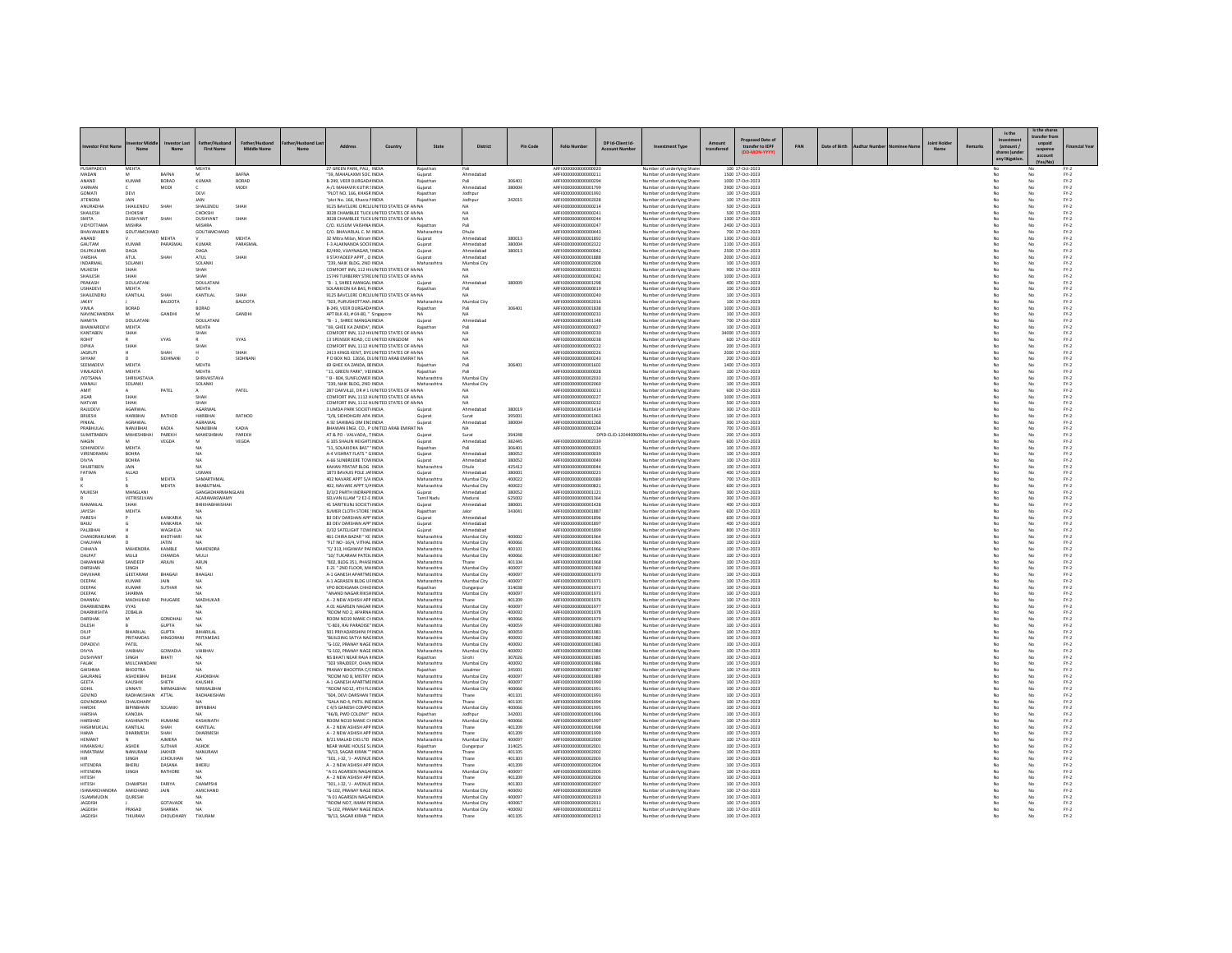|                                 | Name                        | estor Last<br>Nam               | <b>First Name</b>                     | Father/Husband<br><b>Middle Name</b> | r/Husband La: | Addres                                                                                   | Countr                                    | State                      | District                   | Pin Code         | <b>Folio Nur</b>                             | DP Id-Client Id-<br>Account | ent Typ                                                  | Amount<br>transf | roposed Date o<br>transfer to IEPF   | PAN | Date of Birth |  | <b>Joint Hold</b> | Remar | Is the<br>(amount)<br>shares Jundo<br>any litigatio | s the shar<br>unpaid<br>suspense<br>accoun |                  |
|---------------------------------|-----------------------------|---------------------------------|---------------------------------------|--------------------------------------|---------------|------------------------------------------------------------------------------------------|-------------------------------------------|----------------------------|----------------------------|------------------|----------------------------------------------|-----------------------------|----------------------------------------------------------|------------------|--------------------------------------|-----|---------------|--|-------------------|-------|-----------------------------------------------------|--------------------------------------------|------------------|
| PUSHPADEVI                      | <b>MEHTA</b>                | BAFNA                           | <b>MEHTA</b>                          | BAFNA                                |               | 27 GREEN PARK, PALI, INDIA<br>59, MAHALAXMI SOC. INDIA                                   |                                           | Rajasthar<br>Gujarat       | Pali<br>Ahmedaba           |                  | ARFI000000000000002<br>ARFI0000000000000211  |                             | Number of underlying Share<br>Number of underlying Share |                  | 100 17-Oct-2023<br>1500 17-Oct-2023  |     |               |  |                   |       |                                                     |                                            | $FY-2$           |
| ANAND                           | KUMAF                       | BORAD                           | KUMAF                                 | BORAD                                |               | B-249, VEER DURGADA INDIA                                                                |                                           | Rajasthar                  | Pali                       | 306401           | AREI0000000000000294                         |                             | Number of underlying Share                               |                  | 1000 17-Oct-2023                     |     |               |  |                   |       |                                                     |                                            | $FY-2$           |
| VARNAN<br>GOMAT                 | DEVI                        | MODI                            | DEVI                                  | MODI                                 |               | A-/1 MAHAVIR KUTIR SINDIA<br>"PLOT NO. 166, KHASR INDIA                                  |                                           | Guiarat<br>Rajasthan       | Ahmedabad<br>Jodhpur       | 380004           | ARFI0000000000001799<br>ARFI0000000000001992 |                             | Number of underlying Share<br>Number of underlying Share |                  | 2900 17-Oct-2023<br>100 17-Oct-2023  |     |               |  |                   |       | No<br>No                                            | No<br>No                                   | $FY-2$<br>$FY-2$ |
| <b>JITENDRA</b>                 | JAIN                        |                                 | <b>JAIN</b>                           |                                      |               | "plot No. 166, Khasra I INDIA                                                            |                                           | Rajasthar                  | Jodhpur                    | 342019           | ARFI0000000000002028                         |                             | Number of underlying Share                               |                  | 100 17-Oct-2023                      |     |               |  |                   |       |                                                     | No                                         | $FN-2$           |
| ANURADHA<br>SHAILESH            | SHAILENDL<br>CHOKSHI        | SHAH                            | SHAILENDU<br>CHOKSHI                  | SHAH                                 |               | 9125 BAVCLERE CIRCLI UNITED STATES OF AN NA<br>3028 CHAMBLEE TUCK UNITED STATES OF AN NA |                                           |                            | <b>NA</b><br><b>NA</b>     |                  | ARFI0000000000000214<br>ARFI0000000000000241 |                             | Number of underlying Share<br>Number of underlying Share |                  | 500 17-Oct-2023<br>500 17-Oct-2023   |     |               |  |                   |       | No                                                  | No<br>No                                   | $FY-2$<br>$FY-2$ |
| SMITA                           | DUSHYANT                    | SHAH                            | DUSHYANT                              | SHAH                                 |               | 3028 CHAMBLEE TUCK UNITED STATES OF AN NA                                                |                                           |                            | <b>NA</b>                  |                  | ARFI0000000000000244                         |                             | Number of underlying Share                               |                  | 1300 17-Oct-2023                     |     |               |  |                   |       | No                                                  | No                                         | $FY-2$           |
| <b>VIDYOTTAMA</b><br>BHAVANABEN | MISHRA<br>GOUTAMCHAND       |                                 | <b>MISHRA</b><br>GOUTAMCHAND          |                                      |               | C/O. KUSUM VAISHNA INDIA<br>C/O. BHAVARLAL C. M INDIA                                    |                                           | Raiasthar<br>Maharashtra   | Dhule                      |                  | AREI0000000000000247<br>ARFI0000000000000443 |                             | Number of underlying Share<br>Number of underlying Share |                  | 2400 17-Oct-2023<br>700 17-Oct-2023  |     |               |  |                   |       | No<br>No                                            | No<br>No                                   | $FN-2$<br>$FY-2$ |
| ANAND                           |                             | MEHTA                           |                                       | MEHTA                                |               | 32 Mitra Milan, Miram INDIA                                                              |                                           | Gujarat                    | Ahmedabao                  | 380013           | ARFI0000000000001892                         |                             | Number of underlying Share                               |                  | 1300 17-Oct-2023                     |     |               |  |                   |       | No                                                  | No                                         | $FY-2$           |
| GAUTAM<br>DILIPKUMAR            | KUMAF<br>naga               | PARASMA                         | KUMAF<br>DAGA                         | PARASMA                              |               | F-3 ALAKNANDA SOCIE INDIA<br>82/490, VIJAYNAGAR, IINDIA                                  |                                           | Gujarat<br>Gujarat         | Ahmedaba<br>Ahmedahad      | 380004<br>380013 | ARFI0000000000002322<br>AREI0000000000000042 |                             | Number of underlying Share<br>Number of underlying Share |                  | 1100 17-Oct-2023<br>2500 17-Oct-2023 |     |               |  |                   |       | No                                                  | No<br>No                                   | $FN-2$<br>$FN-2$ |
| VARSHA                          | <b>ATUL</b>                 | SHAH                            | <b>ATUL</b>                           | SHAH                                 |               | 9 STAYADEEP APPT., O INDIA                                                               |                                           | Guiarat                    | Ahmedabad                  |                  | ARFI0000000000001888                         |                             | Number of underlying Share                               |                  | 2000 17-Oct-2023                     |     |               |  |                   |       | No                                                  | No                                         | $FY-2$           |
| INDARMAL<br>MUKESH              | SOLANKI<br>SHAH             |                                 | SOLANKI<br>SHAH                       |                                      |               | "239, NAIK BLDG, 2ND INDIA<br>COMFORT INN, 112 HV UNITED STATES OF AN NA                 |                                           | Maharashtra                | Mumbai City                |                  | ARFI0000000000002008<br>ARFI000000000000023  |                             | Number of underlying Share<br>Number of underlying Share |                  | 100 17-Oct-2023<br>900 17-Oct-2023   |     |               |  |                   |       | No                                                  | No<br>No                                   | $FY-2$<br>$FY-2$ |
| SHAILESH                        | SHAH                        |                                 | SHAH                                  |                                      |               | 15749 TURBERRY STREUNITED STATES OF AN NA                                                |                                           |                            | <b>NA</b>                  |                  | ARFI0000000000000242                         |                             | Number of underlying Share                               |                  | 1000 17-Oct-2023                     |     |               |  |                   |       | No                                                  | No                                         | $FY-2$           |
| PRAKASH<br><b>USHADEV</b>       | DOULATANI<br>MEHTA          |                                 | DOULATAN<br>MEHTA                     |                                      |               | "B - 1, SHREE MANGAL INDIA<br>SOLANKION KA BAS, PJINDIA                                  |                                           | Guiarat<br>Rajasthan       | Ahmedabad<br>Pali          | 380009           | ARFI0000000000001298<br>ARFI0000000000000019 |                             | Number of underlying Share<br>Vumber of underlying Share |                  | 400 17-Oct-2023<br>100 17-Oct-2023   |     |               |  |                   |       | No                                                  | No<br>No                                   | $FY-2$<br>$FN-2$ |
| SHAILENDRU                      | KANTILAL                    | SHAH                            | KANTILAL                              | <b>SHAH</b>                          |               | 9125 BAVCLERE CIRCLI UNITED STATES OF AN NA                                              |                                           |                            | NΔ                         |                  | AREI0000000000000240                         |                             | Number of underlying Share                               |                  | 100 17-Oct-2023                      |     |               |  |                   |       | No                                                  | No                                         | $FN-2$           |
| JAKKY<br>VIMLA                  | BORAD                       | <b>BALDOTA</b>                  | BORAD                                 | <b>BALDOTA</b>                       |               | 303, PURUSHOTTAM / INDIA<br>B-249, VEER DURGADA INDIA                                    |                                           | Maharashtra<br>Rajasthan   | Mumbai City<br>Pali        | 306401           | ARFI0000000000002016<br>ARFI0000000000001838 |                             | Number of underlying Share<br>Number of underlying Share |                  | 100 17-Oct-2023<br>1000 17-Oct-2023  |     |               |  |                   |       | No<br>No                                            | No<br>No                                   | $FY-2$<br>$FY-2$ |
| NAVINCHANDRA                    |                             | GANDH                           |                                       | GANDH                                |               | APT BLK 43, # 04-80, " Singapore                                                         |                                           |                            | NA                         |                  | ARFI0000000000000233                         |                             | Number of underlying Share                               |                  | 100 17-Oct-2023                      |     |               |  |                   |       |                                                     | No                                         | $FN-2$           |
| NAMITA<br>BHAWARIDEVI           | DOLLATANI<br><b>MEHTA</b>   |                                 | <b>DOULATAN</b><br><b>MEHTA</b>       |                                      |               | "B - 1. SHREE MANGALINDIA<br>"69. GHEE KA ZANDA". INDIA                                  |                                           | Guiarat<br>Rajasthan       | Ahmedahar<br>Pali          |                  | ARFI000000000001148<br>ARFI0000000000000027  |                             | Number of underlying Share<br>Number of underlying Share |                  | 700 17-Oct-2023<br>100 17-Oct-2023   |     |               |  |                   |       | No<br>No                                            | No<br>No                                   | $FN-2$<br>$FY-2$ |
| KANTABEN                        | ЯАН                         |                                 | SHAH                                  |                                      |               | COMFORT INN, 112 HV UNITED STATES OF AN NA                                               |                                           |                            |                            |                  | ARFI0000000000000230                         |                             | imber of underlying Share                                |                  | 34000 17-Oct-2023                    |     |               |  |                   |       |                                                     | No                                         | $FN-2$           |
| ROHIT<br><b>DIPIKA</b>          | SHAH                        | VYAS                            | SHAH                                  | <b>VYAS</b>                          |               | 13 SPENSER ROAD, CO UNITED KINGDOM NA<br>COMFORT INN. 1112 HUNITED STATES OF ANNA        |                                           |                            | NΔ<br><b>NA</b>            |                  | AREI0000000000000238<br>ARFI0000000000000222 |                             | Number of underlying Share<br>Number of underlying Share |                  | 600 17-Oct-2023<br>200 17-Oct-2023   |     |               |  |                   |       | No<br>No                                            | No<br>No                                   | $FN-2$<br>$FY-2$ |
| <b>JAGRUT</b>                   |                             | SHAH                            |                                       | SHAH                                 |               | 2413 KINGS KENT, DYE UNITED STATES OF AN NA                                              |                                           |                            | NA                         |                  | ARFI0000000000000226                         |                             | Number of underlying Share                               |                  | 2000 17-Oct-2023                     |     |               |  |                   |       | No                                                  | No                                         | $FY-2$           |
| SHYAM<br>SEEMADEV               | MEHTA                       | <b>SIDHNAM</b>                  | <b>MEHTA</b>                          | SIDHNAM                              |               | P O BOX NO. 12656, DI UNITED ARAB EMIRAT NA<br>69 GHEE KA ZANDA, BEINDIA                 |                                           | Rajasthar                  | NA<br>Pali                 | 306401           | ARFI0000000000000243<br>AREI0000000000001602 |                             | Number of underlying Share<br>Number of underlying Share |                  | 200 17-Oct-2023<br>1400 17-Oct-2023  |     |               |  |                   |       | No                                                  | No<br>No                                   | $FN-2$<br>$FN-2$ |
| VIMLADEVI                       | <b>MEHTA</b>                |                                 | <b>MEHTA</b>                          |                                      |               | "11. GREEN PARK". VEHNDIA                                                                |                                           | Rajasthan                  | Pali                       |                  | ARFI0000000000000028                         |                             | Number of underlying Share                               |                  | 100 17-Oct-2023                      |     |               |  |                   |       | No                                                  | No                                         | $FY-2$           |
| <b>JYOTSANA</b><br>MANALI       | SHRIVASTAVA<br>SOLANKI      |                                 | SHRIVASTAVA<br>SOLANKI                |                                      |               | " B - 804, SUNFLOWER INDIA<br>"239. NAIK BLDG, 2ND INDIA                                 |                                           | Maharashtra<br>Maharashtra | Mumbai City<br>Mumbai Cit  |                  | ARFI0000000000002033<br>AREI0000000000002065 |                             | Number of underlying Share                               |                  | 100 17-Oct-2023<br>100 17-Oct-2023   |     |               |  |                   |       | No<br>No                                            | No<br>No                                   | $FY-2$<br>$FN-2$ |
| AMIT                            |                             | PATEL                           |                                       | PATEL                                |               | 287 OAKVILLE, DR # 1 I UNITED STATES OF AN NA                                            |                                           |                            | <b>NA</b>                  |                  | ARFI0000000000000213                         |                             | Number of underlying Share<br>Number of underlying Share |                  | 600 17-Oct-2023                      |     |               |  |                   |       | No                                                  | No                                         | $FY-2$           |
| <b>JIGAR</b>                    | SHAH<br>SHAH                |                                 | SHAH                                  |                                      |               | COMFORT INN, 1112 HUNITED STATES OF AN NA                                                |                                           |                            | <b>NA</b>                  |                  | ARFI0000000000000227                         |                             | Number of underlying Share                               |                  | 1000 17-Oct-2023                     |     |               |  |                   |       | No                                                  | No<br>No                                   | $FY-2$           |
| NATVAR<br>RAILIDEVI             | AGARWA                      |                                 | SHAH<br>AGARWAI                       |                                      |               | COMFORT INN, 1112 HUNITED STATES OF AN NA<br>3 UMDA PARK SOCIETY INDIA                   |                                           | Guiara                     | Ahmedahar                  | 380019           | ARFI0000000000000232<br>ARFI000000000001414  |                             | Number of underlying Share<br>Number of underlying Share |                  | 500 17-Oct-2023<br>300 17-Oct-2023   |     |               |  |                   |       | No                                                  | No                                         | $FN-2$<br>$FN-2$ |
| <b>BRUESH</b>                   | HARIBHAI                    | RATHOD                          | HARIBHAI                              | RATHOD                               |               | "2/B. SIDHDHGIRI APA INDIA                                                               |                                           | Guiarat                    | Surat                      | 395001           | ARFI0000000000001963                         |                             | Number of underlying Share                               |                  | 100 17-Oct-2023                      |     |               |  |                   |       | No                                                  | No                                         | $FY-2$           |
| PINKAL<br>PRABHULA              | AGRAWAL<br>VANJIBHA         | KADIA                           | AGRAWAL<br>NANJIBHA                   | KADIA                                |               | A 92 SAHIBAG OM ENCINDIA                                                                 | BHAWAN ENGI. CO., P UNITED ARAB EMIRAT NA | Guiarat                    | Ahmedabao                  | 380004           | ARFI000000000001268<br>ARFI0000000000000234  |                             | Number of underlying Share<br>lumber of underlying Share |                  | 300 17-Oct-2023<br>700 17-Oct-2023   |     |               |  |                   |       | No                                                  | No                                         | $FY-2$<br>$FY-2$ |
| SUMITRABEN                      | <b>MAHESHBHA</b>            | PAREKH                          | MAHESHBHA                             | PAREKH                               |               | AT & PO - VALVADA, TINDIA                                                                |                                           | Guiarat                    | Surat                      | 394248           | ARFI0000000000002339                         |                             | DPID-CUD-1204400000 Number of underlying Share           |                  | 200 17-Oct-2023                      |     |               |  |                   |       | No                                                  | No                                         | $FY-2$           |
| NAGIN<br>SOHINIDEV              | MEHTA                       | VEGDA                           |                                       | VEGDA                                |               | G 105 SHALIN HEIGHTS INDIA<br>"11, SOLAKIOKA BAS" 'INDIA                                 |                                           | Guiarat<br>Rajastha        | Ahmedabao                  | 382445<br>306401 | ARFI0000000000000035                         |                             | Number of underlying Share<br>Number of underlying Share |                  | 600 17-Oct-2023<br>100 17-Oct-2023   |     |               |  |                   |       | No                                                  | No<br>No                                   | $FY-2$<br>$FN-2$ |
| VIRENDRARAL                     | ROHRA                       |                                 | NA                                    |                                      |               | A-4 VISHRAT FLATS * GINDIA                                                               |                                           | Guiarat                    | Ahmedahar                  | 380052           | AREI000000000000039                          |                             | Number of underlying Share                               |                  | 100 17-Oct-2023                      |     |               |  |                   |       | No                                                  | No                                         | $FN-2$           |
| DIVYA<br>SHUBTIBEN              | <b>BOHRA</b><br>JAIN        |                                 | NΔ                                    |                                      |               | A-66 SUNBREERE TOW INDIA<br>KAHAN PRATAP BLDG INDIA                                      |                                           | Guiarat<br>Maharashtra     | Ahmedabad<br>Dhule         | 380052<br>425412 | ARFI0000000000000040<br>ARFI0000000000000044 |                             | Number of underlying Share<br>Number of underlying Share |                  | 100 17-Oct-2023<br>100 17-Oct-2023   |     |               |  |                   |       | No<br>No                                            | No<br>No                                   | $FY-2$<br>$FY-2$ |
| FATIMA                          | ALLAD                       |                                 | USMAN                                 |                                      |               | 1873 BAVAJIS POLE JAI INDIA                                                              |                                           | Gujarat                    | Ahmedaba                   | 380001           | ARFI0000000000000223                         |                             | Number of underlying Share                               |                  | 400 17-Oct-2023                      |     |               |  |                   |       |                                                     | No                                         | $FN-2$           |
|                                 |                             | <b>MEHTA</b><br>MEHTA           | SAMARTHMAL<br><b>BHABUTMAL</b>        |                                      |               | 402 NAVARE APPT 5/A INDIA<br>402. NAVARE APPT 5/AINDIA                                   |                                           | Maharashtra<br>Maharashtra | Mumbai City<br>Mumbai City | 400022<br>400022 | AREI0000000000000385<br>ARFI0000000000000821 |                             | Number of underlying Share<br>Number of underlying Share |                  | 700 17-Oct-2023<br>600 17-Oct-2023   |     |               |  |                   |       | No<br>No                                            | No<br>No                                   | $FN-2$<br>$FY-2$ |
| MUKESH                          | MANGLAN                     |                                 | GANGADHARMANGLAN                      |                                      |               | D/3/2 PARTH INDRAPR INDIA                                                                |                                           |                            |                            | 380052           | RFI000000000000112                           |                             | lumber of underlying Share                               |                  | 300 17-Oct-2023                      |     |               |  |                   |       |                                                     | No                                         | $FN-2$           |
| RAMANLAL                        | <b>VETRISEI VAN</b><br>SHAH |                                 | <b>ACARAMASWAMY</b><br>BHIKHABHAISHAH |                                      |               | SELVAN III AM "2 F2-F INDIA<br>41 SARITKUNJ SOCIETYINDIA                                 |                                           | Tamil Nadu<br>Guiarat      | Madurai<br>Ahmedabad       | 625002<br>380001 | ARFIODDDDDDDDDD1364<br>ARFI0000000000001428  |                             | Number of underlying Share<br>Number of underlying Share |                  | 300 17-Oct-2023<br>400 17-Oct-2023   |     |               |  |                   |       | No<br>No                                            | No<br>No                                   | $PV-2$<br>$FY-2$ |
| JAYESH                          | MEHTA                       |                                 |                                       |                                      |               | SUMER CLOTH STORE : INDIA                                                                |                                           | Rajasthan                  | Jalor                      | 343041           | ARFI0000000000001887                         |                             | Number of underlying Share                               |                  | 600 17-Oct-2023                      |     |               |  |                   |       | No                                                  | No                                         | $FN-2$           |
| PARESH<br>RAULI                 |                             | KANKARIA<br>KANKARIA            | NA                                    |                                      |               | <b>B3 DEV DARSHAN APP' INDIA</b><br>B3 DEV DARSHAN APP' INDIA                            |                                           | Gujarat<br>Guiarat         | Ahmedabao<br>Ahmedahad     |                  | ARFI000000000000189<br>AREI000000000001897   |                             | Number of underlying Share<br>Number of underlying Share |                  | 600 17-Oct-2023<br>400 17-0rt-2023   |     |               |  |                   |       | No                                                  | No<br>No                                   | $FN-2$<br>$PV-2$ |
| PALJIBHAI                       |                             | WAGHELA                         | NΔ                                    |                                      |               | O/32 SATELIGHT TOWHNDIA                                                                  |                                           | Guiarat                    | Ahmedabad                  |                  | ARFI0000000000001899                         |                             | Number of underlying Share                               |                  | 800 17-Oct-2023                      |     |               |  |                   |       | No                                                  | No                                         | $FY-2$           |
| CHANDRAKUMAR<br>CHALIHAN        |                             | KHOTHARI<br><b>IATIN</b>        | MA                                    |                                      |               | 461 CHIRA BAZAR * KE INDIA<br>"FLT NO -16/4, VITHAL INDIA                                |                                           | Maharashtra<br>Maharashtra | Mumbai City<br>Mumbai City | 400002<br>400066 | ARFI0000000000001964<br>ARFIODDDDDDDDDD1965  |                             | Number of underlying Share<br>Number of underlying Share |                  | 100 17-Oct-2023<br>100 17-0rt-2023   |     |               |  |                   |       | No<br>No                                            | No<br>No                                   | $FY-2$<br>$PV-2$ |
| CHHAYA                          | MAHENDRA                    | KAMBLE                          | <b>MAHENDRA</b>                       |                                      |               | "C/313. HIGHWAY PAFINDIA                                                                 |                                           | Maharashtra                | Mumbai City                | 400101           | ARFI0000000000001966                         |                             | Number of underlying Share                               |                  | 100 17-Oct-2023                      |     |               |  |                   |       | No                                                  | No                                         | $FY-2$           |
| DALPAT<br>DAMANKAR              | MULI<br>SANDEEP             | CHAWDA<br>ARJUN                 | MULJI<br>ARUN                         |                                      |               | 10/ TUKARAM PATEK INDIA<br>"802, BLDG 351, PHASEINDIA                                    |                                           | Maharashtra<br>Maharashtra | Mumbai City<br>Thane       | 400066<br>401104 | ARFI0000000000001967<br>ARFI0000000000001968 |                             | Number of underlying Share<br>Number of underlying Share |                  | 100 17-Oct-2023<br>100 17-Oct-2023   |     |               |  |                   |       | No                                                  | No<br>No                                   | $FY-2$<br>$FN-2$ |
| DARSHAN                         | <b>SINGH</b>                |                                 | MA                                    |                                      |               | F-21 * 2ND FLOOR MAINDIA                                                                 |                                           | Maharashtra                | Mumhai City                | 400097           | ARFIODDDDDDDDDD1969                          |                             | Number of underlying Share                               |                  | 100 17-0rt-2023                      |     |               |  |                   |       | No                                                  | No                                         | $PV-2$           |
| DAVKHAR<br>DEEPAK               | GEETARAM<br><b>KUMAR</b>    | BHAGAJI                         | BHAGAJ                                |                                      |               | A-1 GANESH APARTME INDIA<br>A-1 AGRASEN BLDG UF INDIA                                    |                                           | Maharashtra                | Mumbai City                | 400097<br>400097 | ARFI0000000000001970                         |                             | Number of underlying Share                               |                  | 100 17-Oct-2023<br>100 17-Oct-2023   |     |               |  |                   |       | No<br>No                                            | No<br>No                                   | $FY-2$<br>$FN-2$ |
| DEEPAK                          | <b>KUMAR</b>                | JAIN<br>SUTHAR                  | <b>NA</b><br>NA                       |                                      |               | VPO BODIGAMA CHHCINDIA                                                                   |                                           | Maharashtra<br>Rajasthan   | Mumbai City<br>Dungarpu    | 314038           | ARFI0000000000001971<br>ARFI000000000001972  |                             | Number of underlying Share<br>Number of underlying Share |                  | 100 17-Oct-2023                      |     |               |  |                   |       |                                                     | No                                         | $FY-2$           |
| DEEPAK<br>DHANRAJ               | SHARMA<br>MADHUKAR          |                                 | <b>NA</b><br>MADHUKAF                 |                                      |               | "ANAND NAGAR RIKSHINDIA<br>A - 2 NEW ASHISH APP INDIA                                    |                                           | Maharashtra                | Mumbai City                | 400097<br>401209 | ARFI0000000000001973<br>ARFI0000000000001976 |                             | Number of underlying Share                               |                  | 100 17-Oct-2023<br>100 17-Oct-2023   |     |               |  |                   |       | No<br>No                                            | No<br>No                                   | $FY-2$<br>$FY-2$ |
| DHARMENDRA                      | VYAS                        | PHUGARE                         |                                       |                                      |               | A 01 AGARSEN NAGAR INDIA                                                                 |                                           | Maharashtra<br>Maharashtra | Thane<br>Mumbai Cit        | 400097           | ARFI000000000001973                          |                             | Number of underlying Share<br>Number of underlying Share |                  | 100 17-Oct-2023                      |     |               |  |                   |       |                                                     | No                                         | $FY-2$           |
| DHARMISHTA                      | ZOBALIA                     |                                 | NA                                    |                                      |               | <b>"ROOM NO 2 APARNA INDIA</b>                                                           |                                           | Maharashtra                | Mumbai City                | 400092           | AREI000000000001978                          |                             | Number of underlying Share                               |                  | 100 17-0rt-2023                      |     |               |  |                   |       | No                                                  | No<br>No                                   | $PV-2$           |
| DARSHAK<br>DILESH               |                             | <b>GONDHALL</b><br><b>GUPTA</b> | NΔ                                    |                                      |               | ROOM NO19 MANE CHINDIA<br>"C-803, RAJ PARADISE" INDIA                                    |                                           | Maharashtra<br>Maharashtra | Mumbai City<br>Mumbai City | 400066<br>400059 | ARFI0000000000001979<br>ARFI0000000000001980 |                             | Number of underlying Share<br>Number of underlying Share |                  | 100 17-Oct-2023<br>100 17-Oct-2023   |     |               |  |                   |       | No<br>No                                            | No                                         | $FY-2$<br>$FY-2$ |
| DILIP                           | <b>RIHARILAI</b>            | <b>GUPTA</b>                    | <b>RIHARILAI</b>                      |                                      |               | 501 PRIYADARSHINI PAINDIA                                                                |                                           | Maharashtra                | Mumbai City                | 400059           | ARFI0000000000001981                         |                             | Number of underlying Share                               |                  | 100 17-Oct-2023                      |     |               |  |                   |       | No                                                  | No                                         | $FN-2$           |
| DILIP.<br>DIPADEVI              | PRITAMDAS<br>PATEL          | HINGORANI                       | PRITAMDAS                             |                                      |               | <b>RUILDING SATYA NAGINDIA</b><br>"G-102, PRANAY NAGE INDIA                              |                                           | Maharashtra<br>Maharashtra | Mumbai City<br>Mumbai City | 400092<br>400092 | ARFI000000000001982<br>ARFI000000000001983   |                             | Number of underlying Share<br>Number of underlying Share |                  | 100 17-0rt-2023<br>100 17-Oct-2023   |     |               |  |                   |       | No<br>No                                            | No<br>No                                   | $PV-2$<br>$FY-2$ |
| DIVYA                           | VAIBHAV                     | GOWADIA                         | <b>VAIBHA</b>                         |                                      |               | G-102, PRANAY NAGE INDIA                                                                 |                                           | Maharashtra                | Mumbai City                | 400092           | ARFI0000000000001984                         |                             | <b>Number of underlying Share</b>                        |                  | 100 17-Oct-2023                      |     |               |  |                   |       |                                                     | No                                         | $FY-2$           |
| DUSHYANT<br>FALAK               | <b>SINGH</b><br>MULCHANDANI | RHATI                           | <b>NA</b><br>NΔ                       |                                      |               | NS RHATI NEAR RAIA KINDIA<br>"303 VRAJDEEP, CHAN INDIA                                   |                                           | Raiasthan<br>Maharashtra   | Simbi<br>Mumbai City       | 307026<br>400092 | ARFI000000000001985<br>ARFI0000000000001986  |                             | Number of underlying Share<br>Number of underlying Share |                  | 100 17-0rt-2023<br>100 17-Oct-2023   |     |               |  |                   |       | No<br>No                                            | No<br>No                                   | $PV-2$<br>$FY-2$ |
| <b>GAISHMA</b>                  | BHOOTRA                     |                                 |                                       |                                      |               | PRANAY BHOOTRA C/CINDIA                                                                  |                                           | Rajasthan                  | Jaisalmen                  | 345001           | ARFI0000000000001987                         |                             | Number of underlying Share                               |                  | 100 17-Oct-2023                      |     |               |  |                   |       | No                                                  | No                                         | $FN-2$           |
| GAURANG<br><b>GEETA</b>         | ASHOKBHAI<br>KALISHIK       | BHOJAK<br>SHETH                 | ASHOKBHAI<br>KALISHIK                 |                                      |               | ROOM NO 8, MISTRY INDIA<br>A-1 GANESH APARTME INDIA                                      |                                           | Maharashtra<br>Maharashtra | Mumbai Cit<br>Mumbai City  | 400097<br>400097 | ARFI000000000001985<br>AREI0000000000001990  |                             | Number of underlying Share<br>Number of underlying Share |                  | 100 17-Oct-2023<br>100 17-0rt-2023   |     |               |  |                   |       | No                                                  | No<br>No                                   | $FY-2$<br>$PV-2$ |
| GOHIL                           | UNNATI                      | NIRMALBHA                       | NIRMALBHA                             |                                      |               | ROOM NO12, 4TH FLC INDIA                                                                 |                                           | Maharashtra                | Mumbai City                | 400066           | ARFI0000000000001991                         |                             | Number of underlying Share                               |                  | 100 17-Oct-2023                      |     |               |  |                   |       | No                                                  | No                                         | $FY-2$           |
| GOVIND<br>GOVINDRAN             | RADHAKISH<br>CHALIDHARY     | ATTAL                           | RADHAKISHAN<br>MA <sup></sup>         |                                      |               | "604, DEVI DARSHAN TINDIA<br>"GALA NO 4, PATIL INCINDIA                                  |                                           | Maharashtra<br>Maharashtra | Thane<br>Thane             | 401101<br>401105 | ARFI0000000000001993<br>ARFI000000000001994  |                             | Number of underlying Share<br>Number of underlying Share |                  | 100 17-Oct-2023<br>100 17-0rt-2023   |     |               |  |                   |       | No<br>No                                            | No<br>No                                   | $FY-2$<br>$PV-2$ |
| HARDIK                          | <b>BIPINBHAIN</b>           | SOLANKI                         | BIPINBHAI                             |                                      |               | C 4/5 GANESH COMPO INDIA                                                                 |                                           | Maharashtra                | Mumbai City                | 400066           | ARFI0000000000001995                         |                             | Number of underlying Share                               |                  | 100 17-Oct-2023                      |     |               |  |                   |       | No                                                  | No                                         | $FY-2$           |
| HARSHA<br>HARSHAD               | KANQJIA<br>KASHINATH        | HUMANI                          | KASHINATH                             |                                      |               | 46/B. PWD COLONY" INDIA<br>ROOM NO19 MANE CHINDIA                                        |                                           | Rajasthan<br>Maharashtra   | Jodhpur<br>Mumbai City     | 342001<br>400066 | ARFI0000000000001996<br>ARFI0000000000001997 |                             | Number of underlying Share<br>Number of underlying Share |                  | 100 17-Oct-2023<br>100 17-Oct-2023   |     |               |  |                   |       | No<br>No                                            | No<br>No                                   | $PV-2$<br>$FN-2$ |
| HASHMUKLAL                      | KANTILAI                    | <b>SHAH</b>                     | KANTILAI                              |                                      |               | A - 2 NEW ASHISH APP INDIA                                                               |                                           | Maharashtra                | Thane                      | 401209           | ARFI000000000001998                          |                             | Number of underlying Share                               |                  | 100 17-0rt-2023                      |     |               |  |                   |       | No                                                  | No                                         | $PV-2$           |
| <b>HAMA</b><br>HEMANT           | DHARMESH                    | SHAH<br><b>AIMERA</b>           | DHARMESH                              |                                      |               | A - 2 NEW ASHISH APP INDIA<br>B/21 MALAD CHS LTD INDIA                                   |                                           | Maharashtra<br>Maharashtra | Thane<br>Mumbai City       | 401209<br>400097 | ARFI0000000000001999<br>ARFI0000000000002000 |                             | Number of underlying Share                               |                  | 100 17-Oct-2023<br>100 17-Oct-2023   |     |               |  |                   |       | No<br>No                                            | No<br>No                                   | $FN-2$<br>$PV-2$ |
| <b>URAANSUL</b>                 | ASHOK                       | SUTHAR                          | <b>ASHOK</b>                          |                                      |               | NEAR WARE HOUSE SLINDIA                                                                  |                                           | Rajasthan                  | Dungarpu                   | 314025           | 1251000000000000000                          |                             | Number of underlying Share<br>Number of underlying Share |                  | 100 17-Oct-2023                      |     |               |  |                   |       |                                                     | No                                         | $FY-2$           |
| <b>HIMATRAM</b>                 | NANURAM<br>SINGH            | JAKHER<br><b>JCHOUHAN</b>       | NANURAM<br>NA                         |                                      |               | "B/13, SAGAR KIRAN "" INDIA<br>301. J-32. 'J - AVENUE INDIA                              |                                           | Maharashtra<br>Maharashtra | Thane<br>Thane             | 401105<br>401303 | ARFI0000000000002002<br>ARFI0000000000002003 |                             | Number of underlying Share                               |                  | 100 17-Oct-2023<br>100 17-Oct-2023   |     |               |  |                   |       | No<br>No                                            | No<br>No                                   | $FN-2$<br>$FN-2$ |
| HITENDRA                        | BHERU                       | DASANA                          | BHERU                                 |                                      |               | A - 2 NEW ASHISH APP INDIA                                                               |                                           | Maharashtra                | Thane                      | 401209           | 18510000000000000000                         |                             | Number of underlying Share<br>Number of underlying Share |                  | 100 17-Oct-2023                      |     |               |  |                   |       |                                                     | No                                         | $FN-2$           |
| <b>HITENDRA</b>                 | <b>SINGH</b>                | RATHORE                         | NA                                    |                                      |               | "A 01 AGARSEN NAGAUNDIA                                                                  |                                           | Maharashtra                | Mumbai City                | 400097           | AREI0000000000002005                         |                             | Number of underlying Share                               |                  | 100 17-0rt-2023                      |     |               |  |                   |       | No                                                  | No                                         | $PV-2$           |
| <b>HITESH</b><br><b>HITESH</b>  | CHAMPSH                     | FARIYA                          | <b>CHAMPSH</b>                        |                                      |               | A - 2 NEW ASHISH APP INDIA<br>301. J-32. 'J - AVENUE INDIA                               |                                           | Maharashtra<br>Maharashtra | Thane<br>Thane             | 401209<br>401303 | ARFI0000000000002006<br>ARFI000000000000200  |                             | Number of underlying Share<br>Number of underlying Share |                  | 100 17-Oct-2023<br>100 17-Oct-2023   |     |               |  |                   |       | No                                                  | No<br>No                                   | $FY-2$<br>$PV-2$ |
| <b>ISHWARCHANDRA</b>            | <b>AMAGUANO</b>             | <b>JAIN</b>                     | AMICHAND                              |                                      |               | "G-102 PRANAY NAGE INDIA                                                                 |                                           | Maharashtra                | Mumbai Cit                 | 400092           | AREI0000000000002005                         |                             | Number of underlying Share                               |                  | 100 17-Oct-2023                      |     |               |  |                   |       |                                                     | No                                         | $FN-2$           |
| ISLAMMUDIN<br>JAGDISH           | OURFSHI                     | GOTAVADE                        | MA<br>NΔ                              |                                      |               | "A 01 AGARSEN NAGAUNDIA<br>"ROOM NO7, IMAM PEINDIA                                       |                                           | Maharashtra<br>Maharashtra | Mumhai City<br>Mumbai City | 400097<br>400067 | AREI000000000002010<br>ARFI0000000000002011  |                             | Number of underlying Share<br>Number of underlying Share |                  | 100 17-0rt-2023<br>100 17-Oct-2023   |     |               |  |                   |       | No                                                  | No<br>No                                   | $PV-2$<br>$FY-2$ |
| <b>IAGDIS</b>                   | PRASAD                      | CHAPLES                         | MA                                    |                                      |               | G-102 PRANAY NAGE INDIA                                                                  |                                           | Maharashtra                | Mumbai City                | 400092           | AREI000000000002012                          |                             | Number of underlying Share                               |                  | 100 17-Oct-2023                      |     |               |  |                   |       |                                                     | No                                         | $FY-2$           |
| <b>IAGDISH</b>                  | TIKLIRAM                    | CHOLIDHARY                      | TIKLIRAM                              |                                      |               | "B/13, SAGAR KIRAN " INDIA                                                               |                                           | Maharashtra                | Thane                      | 401105           | AREI0000000000002013                         |                             | Number of underlying Share                               |                  | 100 17-Oct-2023                      |     |               |  |                   |       | No                                                  | No                                         | $FN-2$           |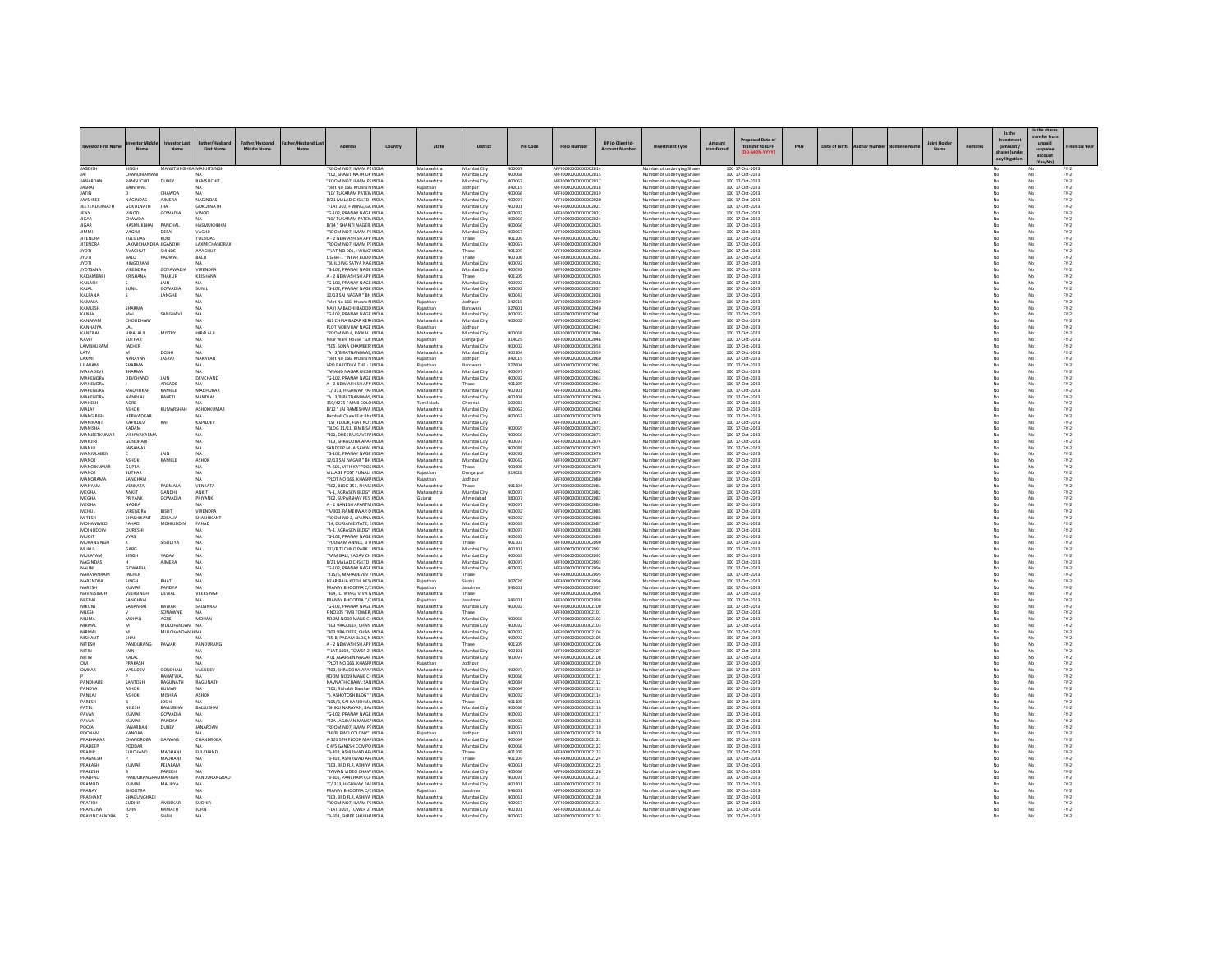| <b>Investor First Na</b>           | $N \sim m$                                | Nam                      | <b>First Name</b>            | Middle Name | <b>Address</b>                                            | Country | State                      | District                   | <b>Pin Code</b>  | <b>Folio Number</b>                          | DP Id-Client Id- | ment Type                                                      | transferre | transfer to IEPF                   | PAN | Date of Birth |  | Remark | Is the<br>(amount / | Is the share<br>ransfer fro<br>suspense<br>account | inancial Yea                                                        |
|------------------------------------|-------------------------------------------|--------------------------|------------------------------|-------------|-----------------------------------------------------------|---------|----------------------------|----------------------------|------------------|----------------------------------------------|------------------|----------------------------------------------------------------|------------|------------------------------------|-----|---------------|--|--------|---------------------|----------------------------------------------------|---------------------------------------------------------------------|
|                                    | SINGH                                     | MANIITSINGHGA MANIITSING |                              |             | ROOM NO7. IMAM PEINDIA                                    |         | Maharashtr                 |                            |                  | 951000000000000201                           |                  |                                                                |            |                                    |     |               |  |        | any litis           |                                                    |                                                                     |
| <b>JAGDISH</b><br>IА               | CHANDIRAMAN                               |                          | NA.                          |             | "202. SHANTINATH OP INDIA                                 |         | Maharashtra                | Mumbai City                | 400067<br>400068 | ARFI0000000000002015                         |                  | <b>Number of underlying Shan</b><br>Number of underlying Share |            | 100 17-Oct-2023<br>100 17-Oct-2023 |     |               |  |        |                     | No                                                 | $FY-2$                                                              |
| <b>JANARDAM</b><br><b>JASRAJ</b>   | RAMSUCHIT<br>BAINIWAL                     | <b>DUBEY</b>             | RAMSUCHIT                    |             | ROOM NO7, IMAM PEINDIA<br>plot No 166, Khasra NINDIA      |         | Maharashtra                | Mumbai City<br>Jodhpu      | 400067<br>342015 | ARFI0000000000002017<br>ARFI0000000000002018 |                  | Number of underlying Share<br>Number of underlying Share       |            | 100 17-Oct-2023<br>100 17-Oct-2023 |     |               |  |        |                     |                                                    | $FN-2$<br>$PV-2$                                                    |
| <b>IATIN</b>                       |                                           | CHAWDA                   | NA                           |             | "10/ TUKARAM PATEK INDIA                                  |         | Maharashtra                | Mumbai City                | 400066           | AREI0000000000002019                         |                  | Number of underlying Share                                     |            | 100 17-Oct-2023                    |     |               |  |        |                     |                                                    | $PV-2$                                                              |
| JAYSHREE<br>JEETENDERNATH          | NAGINDAS<br>GOKULNATH                     | <b>AIMERA</b><br>JHA     | NAGINDAS<br>GOKULNATH        |             | B/21 MALAD CHS LTD INDIA<br>"FLAT 202. F WING, GC INDIA   |         | Maharashtra<br>Maharashtra | Mumbai City<br>Mumbai City | 400097<br>400101 | ARFI0000000000002020<br>ARFI0000000000002021 |                  | Number of underlying Shares<br>Number of underlying Share      |            | 100 17-Oct-2023<br>100 17-Oct-2023 |     |               |  |        | No                  | No<br>No                                           | $FY-2$<br>$FN-2$                                                    |
|                                    | VINOD                                     | GOWADIA                  | VINOD                        |             | "G-102, PRANAY NAGE INDIA                                 |         | Maharashtra                | Mumbai City                | 400092           | AREI0000000000002022                         |                  | Number of underlying Share                                     |            | 100 17-Oct-2023                    |     |               |  |        |                     |                                                    | $FN-2$                                                              |
| <b>IIGAR</b><br><b>JIGAR</b>       | CHAWDA<br>HASMUKBHAI                      | PANCHAL                  | HASMUKHBHA                   |             | "10/ TUKARAM PATEK INDIA<br>B/34 " SHANTI NAGER, INDIA    |         | Maharashtra<br>Maharashtra | Mumbai City<br>Mumbai City | 400066<br>400066 | AREI0000000000002024<br>ARFI0000000000002025 |                  | Number of underlying Share<br>Number of underlying Share       |            | 100 17-Oct-2023<br>100 17-Oct-2023 |     |               |  |        |                     | No<br>No                                           | $\mathsf{FY}\text{-}\mathsf{2} \atop \mathsf{FY}\text{-}\mathsf{2}$ |
|                                    |                                           | DESAI                    | <b>AGHI</b>                  |             | "ROOM NO7, IMAM PEINDIA                                   |         | Maharashtra                | Mumbai City                | 400067           | ARFI000000000000202                          |                  | Number of underlying Share                                     |            | 100 17-Oct-2023                    |     |               |  |        |                     |                                                    | $FN-2$                                                              |
| <b>IITENDRA</b><br><b>JITENDRA</b> | <b>ZELLSIDAS</b><br>LAXMICHANDRA JIGANDHI | KORI                     | THISIDAS<br>LAXMICHANDRAJ    |             | A - 2 NEW ASHISH APP INDIA<br>"ROOM NO7, IMAM PEINDIA     |         | Maharashtra<br>Maharashtra | Thane<br>Mumbai City       | 401209<br>400067 | ARFI0000000000002027<br>ARFI0000000000002029 |                  | Number of underlying Shares<br>Number of underlying Shares     |            | 100 17-Oct-2023<br>100 17-Oct-2023 |     |               |  |        | No                  | No<br>No                                           | $FY-2$<br>$FY-2$                                                    |
| <b>IYOTI</b>                       | AVAGHUT                                   | SHINDE                   | AVAGHUT                      |             | "FLAT NO 001, I WING' INDIA                               |         | Maharashtra                | Thane                      | 401209           | ARFI0000000000002030                         |                  | Number of underlying Shares                                    |            | 100 17-Oct-2023                    |     |               |  |        |                     | No                                                 | $FY-2$                                                              |
| <b>TOYL</b><br><b>IYOTI</b>        | BALU<br><b>HINGORAN</b>                   | PADWAI                   | BALU                         |             | LIG-B4-1 " NEAR BUDD INDIA<br>"BUILDING SATYA NAGINDIA    |         | Maharashtra<br>Maharashtra | Thane<br>Mumbai City       | 400706<br>400092 | ARFI0000000000002031<br>AREI0000000000002032 |                  | Number of underlying Share<br>Number of underlying Shares      |            | 100 17-Oct-2023<br>100 17-Oct-2023 |     |               |  |        |                     | No                                                 | $FN-2$<br>$FY-2$                                                    |
| <b>JYOTSANA</b>                    | VIRENDRA                                  | GOVAWADIA                | VIRENDRA                     |             | "G-102. PRANAY NAGE INDIA                                 |         | Maharashtra                | Mumbai City                | 400092           | ARFI0000000000002034                         |                  | Number of underlying Shares                                    |            | 100 17-Oct-2023                    |     |               |  |        | No                  | No                                                 | $FY-2$                                                              |
| KADAMBAR<br>KAILASH                | KRISHANA                                  | THAKUR<br><b>JAIN</b>    | KRISHANA                     |             | A - 2 NEW ASHISH APP INDIA<br>"G-102. PRANAY NAGE INDIA   |         | Maharashtra<br>Maharashtra | Thane<br>Mumbai City       | 401209<br>400092 | ARFI0000000000002035<br>AREI0000000000002036 |                  | Number of underlying Share<br>Number of underlying Share       |            | 100 17-Oct-2023<br>100 17-Oct-2023 |     |               |  |        |                     | No                                                 | $FY-2$<br>$FY-2$                                                    |
| KAJAL                              | SUNIL                                     | GOWADIA                  | SUNIL                        |             | "G-102. PRANAY NAGE INDIA                                 |         | Maharashtra                | Mumbai City                | 400092           | ARFI0000000000002037                         |                  | Number of underlying Shares                                    |            | 100 17-Oct-2023                    |     |               |  |        | No                  | No                                                 | $FY-2$                                                              |
| KALPANA<br>KAMALA                  |                                           | LANGHE                   | NA                           |             | 12/13 SAI NAGAR " BH INDIA<br>"plot No 166, Khasra NINDIA |         | Maharashtra<br>Rajasthar   | Mumbai City<br>Jodhpur     | 400043<br>342019 | ARFI0000000000002038<br>ARFI0000000000002035 |                  | Number of underlying Share:<br>Number of underlying Share      |            | 100 17-Oct-2023<br>100 17-Oct-2023 |     |               |  |        | No                  | No                                                 | $FY-2$<br>$FN-2$                                                    |
| KAMLESH                            | SHARMA                                    |                          | NA                           |             | NAYI AABADHI BADOD INDIA                                  |         | Rajasthan                  | Banswara                   | 327601           | ARFI0000000000002040                         |                  | Number of underlying Share                                     |            | 100 17-Oct-2023                    |     |               |  |        |                     | No                                                 | $FY-2$                                                              |
| KANAK<br>KANARAM                   | MAL<br>CHOUDHAR                           | SANGHAV                  | <b>NA</b><br><b>NA</b>       |             | "G-102. PRANAY NAGE INDIA<br>461 CHIRA BAZAR KER/INDIA    |         | Maharashtra<br>Maharashtra | Mumbai City<br>Mumbai City | 400092<br>400002 | ARFI0000000000002041<br>ARFI0000000000002042 |                  | Number of underlying Share<br>Number of underlying Share:      |            | 100 17-Oct-2023<br>100 17-Oct-2023 |     |               |  |        | No<br>No            | No<br>No                                           | $FY-2$<br>$FY-2$                                                    |
| KANHAIYA                           | LAL                                       |                          |                              |             | PLOT NOS VIJAY NAGE INDIA                                 |         | Rajasthan                  | Jodhpu                     |                  | ARFI000000000000204                          |                  | Number of underlying Share                                     |            | 100 17-Oct-2023                    |     |               |  |        |                     |                                                    | $FY-2$                                                              |
| KANTILAL<br>KAVIT                  | <b>HIRALALII</b><br><b>SUTHAR</b>         | MISTRY                   | HIRALALII                    |             | "ROOM NO 4, RAWAL INDIA<br>Near Ware House "sut INDIA     |         | Maharashtra<br>Rajasthan   | Mumbai City<br>Dungarpur   | 400068<br>314025 | ARFI0000000000002044<br>ARFI0000000000002046 |                  | Number of underlying Share<br>Number of underlying Share:      |            | 100 17-Oct-2023<br>100 17-Oct-2023 |     |               |  |        | No                  | No<br>No                                           | $FY-2$<br>$FY-2$                                                    |
| LAMBHURAN                          | JAKHER                                    |                          | NA                           |             | 305, SONA CHAMBER INDIA                                   |         | Maharashtra                | Mumbai City                | 400002           | ARFI0000000000002058                         |                  | Number of underlying Share                                     |            | 100 17-Oct-2023                    |     |               |  |        |                     | No                                                 | $FY-2$                                                              |
| LATA<br>LAXML                      | NARAYAN                                   | DOSHI<br><b>IASRAI</b>   | NARAYAN                      |             | "A - 3/8 RATNANIWAS, INDIA<br>"nlot No 166 Khasra NINDIA  |         | Maharashtra<br>Raiasthan   | Mumbai City<br>Jodhour     | 400104<br>342015 | AREI0000000000002055<br>AREI000000000002060  |                  | Number of underlying Share<br>Number of underlying Share       |            | 100 17-Oct-2023<br>100 17-0rt-2023 |     |               |  |        | No                  | No<br>No                                           | $FY-2$<br>$PV-2$                                                    |
| LILARAM                            | SHARMA                                    |                          | NΔ                           |             | VPO BARODIYA THE - EINDIA                                 |         | Rajasthan                  | Banswara                   | 327604           | ARFI0000000000002061                         |                  | Number of underlying Shares                                    |            | 100 17-Oct-2023                    |     |               |  |        | No                  | No                                                 | $FN-2$                                                              |
| MAHADEV<br><b>MAHENDRA</b>         | SHARMA<br>DEVCHAND                        | JAIN                     | DEVCHAND                     |             | ANAND NAGAR RIKSHINDIA<br>"G-102, PRANAY NAGE INDIA       |         | Maharashtra<br>Maharashtra | Mumbai City<br>Mumbai City | 400097<br>400092 | ARFI0000000000002062<br>AREI0000000000002063 |                  | Number of underlying Share<br>Number of underlying Share       |            | 100 17-Oct-2023<br>100 17-Oct-2023 |     |               |  |        |                     |                                                    | $FY-2$                                                              |
| MAHENDRA<br>MAHENDRA               | MADHUKAR                                  | ARGADE<br>KAMBLE         | NA.<br>MADHUKAF              |             | A - 2 NEW ASHISH APP INDIA<br>"C/313. HIGHWAY PAFINDIA    |         | Maharashtra                | Thane                      | 401209<br>400101 | ARFI0000000000002064<br>ARFI0000000000002065 |                  | Number of underlying Share                                     |            | 100 17-Oct-2023                    |     |               |  |        | No                  | No                                                 | $FY-2$<br>$FY-2$                                                    |
| MAHENDRA                           | NANDLAL                                   | BAHETI                   | NANDLAL                      |             | "A - 3/8 RATNANIWAS INDIA                                 |         | Maharashtra<br>Maharashtra | Mumbai City<br>Mumbai City | 400104           | ARFI0000000000002066                         |                  | Number of underlying Share<br>Number of underlying Share       |            | 100 17-Oct-2023<br>100 17-Oct-2023 |     |               |  |        |                     | No<br>No                                           | $FY-2$<br>$FY-2$                                                    |
| <b>MAHESH</b>                      | AGRE                                      |                          | MA <sup></sup>               |             | 359/4275 " MNR COLOINDIA                                  |         | Tamil Nadu                 | Chennai                    | 600083           | AREI0000000000002067                         |                  | Number of underlying Share                                     |            | 100 17-Oct-2023                    |     |               |  |        | No                  | No                                                 | $PV-2$                                                              |
| MALAY<br>MANGIRISH                 | <b>ASHOK</b><br>HERWADKAR                 | KUMARSHAH                | ASHOKKUMAF                   |             | B/12 * JAI RAMESHWA INDIA<br>Rambali Chawl Eat Bha INDIA  |         | Maharashtra<br>Maharashtra | Mumbai City<br>Mumbai City | 400062<br>400063 | ARFI0000000000002068<br>ARFI0000000000002070 |                  | Number of underlying Shares<br>Number of underlying Shares     |            | 100 17-Oct-2023<br>100 17-Oct-2023 |     |               |  |        | No                  | No<br>No                                           | $FY-2$<br>$FY-2$                                                    |
| <b>MANIKANT</b><br><b>MANISHA</b>  | KAPILDEV<br>KADAM                         | RAI                      | KAPILDEV                     |             | "1ST FLOOR, FLAT NO : INDIA<br>"RIDG 11/11 RIMBISA INDIA  |         | Maharashtra<br>Maharashtra | Mumbai City<br>Mumbai City | 400065           | ARFI0000000000002071<br>AREI0000000000002077 |                  | Number of underlying Share                                     |            | 100 17-Oct-2023<br>100 17-0rt-2023 |     |               |  |        |                     | No<br>No                                           | $FN-2$                                                              |
| MANJEETKUMA                        | VISHWAKARMA                               |                          | NΔ<br>NA                     |             | 401, DHEERAJ SAVER/INDIA                                  |         | Maharashtra                | Mumbai City                | 400066           | ARFI0000000000002073                         |                  | Number of underlying Share<br>Number of underlying Shares      |            | 100 17-Oct-2023                    |     |               |  |        |                     | No                                                 | $FN-2$<br>$Fr-2$                                                    |
| MANJIRI<br>MANILI                  | GONDHARI<br><b>IAISAWAI</b>               |                          | NA                           |             | "403, SHRADDHA APAFINDIA<br>SANDEEP M JAISAWAI INDIA      |         | Maharashtra<br>Maharashtra | Mumbai City<br>Mumbai City | 400097<br>400088 | AREI0000000000002074<br>AREI000000000002075  |                  | Number of underlying Share<br>Number of underlying Share       |            | 100 17-Oct-2023<br>100 17-Oct-2023 |     |               |  |        | No                  | No<br>No                                           | $FN-2$<br>$FN-2$                                                    |
| MANJULABEN                         |                                           | <b>JAIN</b>              | <b>NA</b>                    |             | "G-102. PRANAY NAGE INDIA                                 |         | Maharashtra                | Mumbai City                | 400092           | ARFI0000000000002076                         |                  | Number of underlying Shares                                    |            | 100 17-Oct-2023                    |     |               |  |        | No                  | No                                                 | $FY-2$                                                              |
| MANOJ                              | ASHOK                                     | KAMBLE                   | <b>ASHOP</b>                 |             | 12/13 SAI NAGAR " BH INDIA                                |         | Maharashtra                | Mumbai City                | 400042           | ARFI0000000000002077                         |                  | Number of underlying Shares                                    |            | 100 17-Oct-2023                    |     |               |  |        |                     | No                                                 | $FY-2$                                                              |
| MANOJKUMAR<br>MANOL                | <b>GUPTA</b><br><b>SLITHAR</b>            |                          | NA                           |             | "A-605, VITHIKA" "DOSINDIA<br>VILLAGE POST PUNALI INDIA   |         | Maharashtra<br>Rajasthan   | Thane<br>Dungarpur         | 400606<br>314028 | ARFI0000000000002078<br>AREI0000000000002075 |                  | Number of underlying Share<br>Number of underlying Share       |            | 100 17-Oct-2023<br>100 17-Oct-2023 |     |               |  |        |                     | No                                                 | $FN-2$<br>$FN-2$                                                    |
| MANORAMA                           | SANGHAVI                                  |                          | NΔ                           |             | "PLOT NO 166, KHASR/ INDIA                                |         | Rajasthan                  | Jodhour                    |                  | ARFI0000000000002080                         |                  | Number of underlying Shares                                    |            | 100 17-Oct-2023                    |     |               |  |        | No                  | No                                                 | $FY-2$                                                              |
| MANYAM<br><b>MEGHA</b>             | VENKATA<br><b>ANKIT</b>                   | PADMALA<br>GANDHI        | VENKATA<br><b>ANKIT</b>      |             | "802, BLDG 351, PHASE INDIA<br>"A-1, AGRASEN BLDG" INDIA  |         | Maharashtra<br>Maharashtra | Thane<br>Mumbai City       | 401104<br>400097 | ARFI0000000000002081<br>AREI0000000000002082 |                  | Number of underlying Share:<br>Number of underlying Shares     |            | 100 17-Oct-2023<br>100 17-Oct-2023 |     |               |  |        |                     | No<br>No                                           | $FY-2$<br>$FY-2$                                                    |
| MEGHA                              | PRIYANK<br>NAGDA                          | GOWADIA                  | PRIYANK                      |             | "302. SUPARSHAV RES INDIA<br>A - 1 GANESH APARTMINDIA     |         | Guiarat                    | Ahmedabad                  | 380007<br>400097 | ARFI0000000000002083                         |                  | Number of underlying Shares                                    |            | 100 17-Oct-2023<br>100 17-Oct-2023 |     |               |  |        | No                  | No                                                 | $FY-2$<br>$FY-2$                                                    |
| MEGHA<br>MEHUL                     | VIRENDRA                                  | <b>BISHT</b>             | <b>VIRENDRA</b>              |             | A/303, RAMEHWAR DINDIA                                    |         | Maharashtra<br>Maharashtra | Mumbai City<br>Mumbai City | 400092           | ARFI0000000000002084<br>ARFI000000000000208  |                  | Number of underlying Share:<br>Number of underlying Shares     |            | 100 17-Oct-2023                    |     |               |  |        | No                  | No                                                 | $FN-2$                                                              |
| MITESH                             | SHASHIKANT                                | ZOBALIA                  | SHASHIKANT                   |             | "ROOM NO 2, APARNA INDIA                                  |         | Maharashtra                | Mumbai City                | 400092           | ARFI0000000000002086                         |                  | Number of underlying Shares                                    |            | 100 17-Oct-2023                    |     |               |  |        |                     | No                                                 | $FY-2$                                                              |
| MOHAMMED<br>MOINUDDIN              | FAHAD<br>QURESHI                          | MOHIUDDIN                | FAHAD                        |             | "14. DURIAN ESTATE, EINDIA<br>"A-1, AGRASEN BLDG" INDIA   |         | Maharashtra<br>Maharashtra | Mumbai City<br>Mumbai City | 400063<br>400097 | ARFI0000000000002087<br>ARFI0000000000002088 |                  | Number of underlying Shares<br>Number of underlying Share:     |            | 100 17-Oct-2023<br>100 17-Oct-2023 |     |               |  |        | No                  | No<br>No                                           | $FY-2$<br>$FY-2$                                                    |
| MUDIT<br>MUKANSINGH                | VYAS                                      | SISODIYA                 | NA                           |             | G-102, PRANAY NAGE INDIA<br>"POONAM ANNEX, B VINDIA       |         | Maharashtra<br>Maharashtra | Mumbai City<br>Thane       | 400092<br>401303 | ARFI000000000000208<br>ARFI0000000000002090  |                  | Number of underlying Shares<br>Number of underlying Share      |            | 100 17-Oct-2023<br>100 17-Oct-2023 |     |               |  |        | No                  | No                                                 | $FY-2$<br>$FY-2$                                                    |
| MUKUL                              | GARG                                      |                          |                              |             | 103/B TECHNO PARK 1 INDIA                                 |         | Maharashtra                | Mumbai City                | 400101           | ARFI0000000000002091                         |                  | Number of underlying Share:                                    |            | 100 17-Oct-2023                    |     |               |  |        |                     | No                                                 | $FY-2$                                                              |
| MULAYAN<br>NAGINDAS                | SINGH                                     | YADAV<br>AIMERA          |                              |             | RAM GALI, YADAV CH INDIA                                  |         | Maharashtra                | Mumbai City<br>Mumbai City | 400063<br>400097 | ARFI000000000000209<br>AREI0000000000002093  |                  | Number of underlying Share                                     |            | 100 17-Oct-2023                    |     |               |  |        |                     |                                                    | $FN-2$                                                              |
| NALINI                             | GOWADIA                                   |                          | NA<br>NA                     |             | B/21 MALAD CHS LTD INDIA<br>"G-102. PRANAY NAGE INDIA     |         | Maharashtra<br>Maharashtra | Mumbai City                | 400092           | ARFI0000000000002094                         |                  | Number of underlying Share<br>Number of underlying Share       |            | 100 17-Oct-2023<br>100 17-Oct-2023 |     |               |  |        | No                  | No<br>No                                           | $\mathsf{FY}{\cdot}\mathsf{2}$<br>$FY-2$                            |
| NARAYANRAM                         | JAKHER                                    |                          | NA                           |             | "215/6, MAHADEVEV I INDIA                                 |         | Maharashtra                | Thane                      |                  | ARFI0000000000002095                         |                  | Number of underlying Share:                                    |            | 100 17-Oct-2023                    |     |               |  |        | No                  | No                                                 | $FY-2$                                                              |
| NARENDRA<br><b>NARESH</b>          | SINGH<br>KUMAR                            | <b>BHATI</b><br>PANDYA   | NA                           |             | NEAR RAJA KOTHI KESI NDI<br>PRANAY BHOOTRA C/CINDIA       |         | Rajasthan<br>Rajasthar     | Sirohi<br>Jaisalme         | 307026<br>345001 | ARFI000000000000209<br>AREI0000000000002097  |                  | Number of underlying Shares<br>Number of underlying Share      |            | 100 17-Oct-2023<br>100 17-Oct-2023 |     |               |  |        |                     |                                                    | $FN-2$<br>$FY-2$                                                    |
| NAVALSINGH<br>NEERAJ               | VEERSINGH<br>SANGHAV                      | DEWAL                    | VEERSINGH                    |             | "404. 'C' WING, VIVA GINDIA<br>PRANAY BHOOTRA C/C INDIA   |         | Maharashtra<br>Rajasthan   | Thane<br>Jaisalmer         | 345001           | ARFI0000000000002098<br>ARFI000000000000209  |                  | Number of underlying Shares<br>Number of underlying Share      |            | 100 17-Oct-2023<br>100 17-Oct-2023 |     |               |  |        |                     | No                                                 | $FN-2$<br>$Fr-2$                                                    |
| NIKUNJ                             | SAJJANRAJ                                 | KAWAR                    | SAILANRA                     |             | "G-102. PRANAY NAGE INDIA                                 |         | Maharashtr                 | Mumbai City                | 400092           | ARFI0000000000002100                         |                  | Number of underlying Share                                     |            | 100 17-Oct-2023                    |     |               |  |        |                     |                                                    | $FY-2$                                                              |
| NII FSH<br>NILIMA                  | MOHAN                                     | SONAWNE<br>AGRE          | NA<br><b>MOHAN</b>           |             | <b>E NO305 " MR TOWER INDIA</b><br>ROOM NO19 MANE CHINDIA |         | Maharashtra<br>Maharashtra | Thane<br>Mumbai City       | 400066           | AREI0000000000002101<br>ARFI0000000000002102 |                  | Number of underlying Share<br>Number of underlying Shares      |            | 100 17-0rt-2023<br>100 17-Oct-2023 |     |               |  |        | No                  | No<br>No                                           | $PV-2$<br>$FN-2$                                                    |
| NIRMA                              |                                           | MULCHANDANI NA           |                              |             | 303 VRAJDEEP, CHAN INDIA                                  |         | Maharashtra                | Mumbai City                | 400092           | ARFI0000000000002103                         |                  | Number of underlying Share                                     |            | 100 17-Oct-2023                    |     |               |  |        |                     | No                                                 | $PV-2$                                                              |
| <b>NIRMAL</b><br><b>NISHANT</b>    | SHAH                                      | MULCHANDANIH NA          | NA                           |             | "303 VRAJDEEP, CHAN INDIA<br>"25-B. PADAM BLDG N INDIA    |         | Maharashtra<br>Maharashtra | Mumbai City<br>Mumbai City | 400092<br>400092 | AREI0000000000002104<br>AREI000000000002105  |                  | Number of underlying Share<br>Number of underlying Share       |            | 100 17-Oct-2023<br>100 17-Oct-2023 |     |               |  |        | No                  | No                                                 | $FY-2$<br>$FN-2$                                                    |
| NITESH                             | PANDURANG                                 | PAWAR                    | PANDURANO                    |             | A - 2 NEW ASHISH APP INDIA                                |         | Maharashtra                | Thane                      | 401209           | ARFI0000000000002106                         |                  | Number of underlying Shares                                    |            | 100 17-Oct-2023                    |     |               |  |        | No                  | No                                                 | $FY-2$                                                              |
| NITIN<br>NITIN                     | KALAL                                     |                          | NΔ                           |             | "FLAT 1002, TOWER 2, INDIA<br>A 01 AGARSEN NAGAR INDIA    |         | Maharashtra<br>Maharashtra | Mumbai City<br>Mumbai City | 400101<br>400097 | AREI000000000002108                          |                  | Number of underlying Share<br>Number of underlying Share       |            | 100 17-Oct-2023<br>100 17-Oct-2023 |     |               |  |        | No                  | No                                                 | $FY-2$<br>$FN-2$                                                    |
| OM                                 | PRAKASH                                   |                          | NΔ                           |             | "PLOT NO 166, KHASR/ INDIA                                |         | Rajasthan                  | Jodhour                    |                  | ARFI0000000000002109                         |                  | Number of underlying Shares                                    |            | 100 17-Oct-2023                    |     |               |  |        | No                  | No                                                 | $FY-2$                                                              |
| OMKAF                              | VASUDEV                                   | GONDHAL<br>RAHATWA       | VASUDEV                      |             | "403, SHRADDHA APAFINDIA<br>ROOM NO19 MANE CHINDIA        |         | Maharashtra<br>Maharashtra | Mumbai City<br>Mumbai City | 400097<br>400066 | ARFI0000000000002110<br>ARFI0000000000002111 |                  | Number of underlying Shares<br>Number of underlying Share      |            | 100 17-Oct-2023<br>100 17-Oct-2023 |     |               |  |        |                     | No                                                 | $FY-2$<br>$FN-2$                                                    |
| PANDHARE                           | <b>SANTOSH</b>                            | <b>RAGUNATH</b>          | <b>RAGUNATH</b>              |             | NAVNATH CHAWL SANINDIA                                    |         | Maharashtra                | Mumbai City                | 400084           | AREI000000000002112                          |                  | Number of underlying Share                                     |            | 100 17-Oct-2023                    |     |               |  |        | No                  | No                                                 | $FN-2$                                                              |
| PANDYA<br>PANKAJ                   | <b>ASHOK</b><br>ASHOK                     | KUMAR<br><b>MISHRA</b>   | NA.<br>ASHOK                 |             | "301. Rishabh Darshan INDIA<br>"S. ASHOTOSH BLDG" " INDIA |         | Maharashtra<br>Maharashtra | Mumbai City<br>Mumbai City | 400064<br>400092 | ARFI0000000000002113<br>ARFI0000000000002114 |                  | Number of underlying Shares<br>Number of underlying Share      |            | 100 17-Oct-2023<br>100 17-Oct-2023 |     |               |  |        | No                  | No<br>No                                           | $FY-2$<br>$FY-2$                                                    |
| PARESH                             |                                           | <b>IOSHI</b>             | NΔ                           |             | "105/B. SAI KARISHMA INDIA                                |         | Maharashtra                | Thane                      | 401105           | AREI0000000000002115                         |                  | Number of underlying Share                                     |            | 100 17-Oct-2023                    |     |               |  |        | No                  | No                                                 | $FN-2$                                                              |
| PATEL<br>PAVAN                     | NILESH<br><b>KUMAF</b>                    | BALLUBHAI<br>GOWADIA     | BALLUBHA<br><b>NA</b>        |             | "BHIKU NARAYAN, BAVINDIA<br>"G-102. PRANAY NAGE INDIA     |         | Maharashtra<br>Maharashtra | Mumbai City<br>Mumbai City | 400066<br>400092 | ARFI0000000000002116<br>ARFI0000000000002117 |                  | Number of underlying Shares<br>Number of underlying Share:     |            | 100 17-Oct-2023<br>100 17-Oct-2023 |     |               |  |        | No                  | No<br>No                                           | $FY-2$<br>$FY-2$                                                    |
| PAVAN                              | KUMAF                                     | PANDYA                   |                              |             | "22A JAGJIVAN MANS/ INDIJ                                 |         | Maharashtra                | Mumbai City                | 400002           |                                              |                  | Number of underlying Share                                     |            | 100 17-Oct-2023                    |     |               |  |        |                     |                                                    | $FN-2$                                                              |
| AIONS<br>POONAM                    | <b>IANARDAN</b><br>KANQJIA                | DUBEY                    | <b>IANARDAN</b>              |             | "ROOM NO7 IMAM PEINDIA<br>"46/B. PWD COLONY" INDIA        |         | Maharashtra<br>Rajasthan   | Mumbai City<br>Jodhour     | 400067<br>342001 | ARFI0000000000002119<br>ARFI0000000000002120 |                  | Number of underlying Share<br>Number of underlying Shares      |            | 100 17-Oct-2023<br>100 17-Oct-2023 |     |               |  |        | No                  | No<br>No                                           | $FN-2$<br>$FY-2$                                                    |
| PRABHAKAR                          | CHANDROB                                  | GAWANS                   | <b>CHANDROBA</b>             |             | A-501 STH FLOOR MAF INDIA                                 |         | Maharashtra                | Mumbai City                | 400064           | ARFI0000000000002121                         |                  | Number of underlying Shares                                    |            | 100 17-Oct-2023                    |     |               |  |        |                     | No                                                 | $FY-2$                                                              |
| PRADEEP<br>PRADIP                  | PODDAR<br><b>FULCHAND</b>                 | MADHANI                  | FULCHAND                     |             | C 4/5 GANESH COMPOINDIA<br>"B-403, ASHIRWAD AP INDIA      |         | Maharashtra<br>Maharashtra | Mumbai City<br>Thane       | 400066<br>401209 | ARFI0000000000002122<br>ARFI0000000000002123 |                  | Number of underlying Share<br>Number of underlying Share       |            | 100 17-Oct-2023<br>100 17-Oct-2023 |     |               |  |        |                     | No                                                 | $FY-2$<br>$FY-2$                                                    |
| PRAGNESH                           |                                           | MADHANI                  | <b>NA</b>                    |             | "B-403, ASHIRWAD AP INDIA                                 |         | Maharashtra                | Thane                      | 401209           | ARFI0000000000002124                         |                  | Number of underlying Shares                                    |            | 100 17-Oct-2023                    |     |               |  |        |                     | No                                                 | $FY-2$                                                              |
| PRAKASH<br>PRAKESH                 | KUMA                                      | PELARAM<br>PAREKH        |                              |             | "303, 3RD FLR, ASHIYA INDIA<br>"TAMAN VIDEO CHAW INDIA    |         | Maharashtra<br>Maharashtra | Mumbai City<br>Mumbai City | 400061<br>400066 | ARFI0000000000002125<br>AREI0000000000002126 |                  | Number of underlying Share<br>Number of underlying Shares      |            | 100 17-Oct-2023<br>100 17-Oct-2023 |     |               |  |        |                     | No                                                 | $FN-2$<br>$FY-2$                                                    |
| PRALHAD                            | PANDURANGRAO MAHISHI                      |                          | PANDURANGRAO                 |             | "B-301, PANCHAM CO- INDIA                                 |         | Maharashtra                | Mumbai City                | 400091           | ARFI0000000000002127                         |                  | Number of underlying Share                                     |            | 100 17-Oct-2023                    |     |               |  |        |                     | No                                                 | $FY-2$                                                              |
| PRAMOD<br>PRANAY                   | KUMAR<br><b>BHOOTRA</b>                   | MAURYA                   | <b>NA</b>                    |             | "C/313, HIGHWAY PAFINDIA<br>RANAY BHOOTRA C/CINDIA        |         | Maharashtra<br>Rajasthan   | Mumbai City<br>Jaisalmer   | 400101<br>345001 | ARFI0000000000002128<br>ARFI0000000000002129 |                  | Number of underlying Share:<br>Number of underlying Shares     |            | 100 17-Oct-2023<br>100 17-Oct-2023 |     |               |  |        |                     | No                                                 | $FY-2$<br>$FN-2$                                                    |
| PRASHANT                           | SHAGUNGHAD                                |                          | NΔ                           |             | "303, 3RD FLR, ASHIYA INDIA                               |         | Maharashtra                | Mumbai City                | 400061           | ARFI0000000000002130                         |                  | Number of underlying Share                                     |            | 100 17-Oct-2023                    |     |               |  |        |                     |                                                    | $FN-2$                                                              |
| PRATISH<br>PRAVEENA                | <b>SUDHIR</b><br>JOHN                     | AMBEKAR<br>KAMATH        | <b>SUDHIR</b><br><b>JOHN</b> |             | "ROOM NO7, IMAM PEINDIA<br>"FLAT 1002, TOWER 2, INDIA     |         | Maharashtra<br>Maharashtra | Mumbai City<br>Mumbai City | 400067<br>400101 | ARFI0000000000002131<br>ARFI0000000000002132 |                  | Number of underlying Share<br>Number of underlying Share:      |            | 100 17-Oct-2023<br>100 17-Oct-2023 |     |               |  |        |                     |                                                    | $FY-2$<br>$FY-2$                                                    |
| PRAVINCHANDRA                      | c.                                        | SHAH                     | NA                           |             | "B-603, SHREE SHUBH/ INDIA                                |         | Maharashtra                | Mumbai City                | 400067           | ARFI0000000000002133                         |                  | Number of underlying Share                                     |            | 100 17-Oct-2023                    |     |               |  |        |                     |                                                    | $FY-2$                                                              |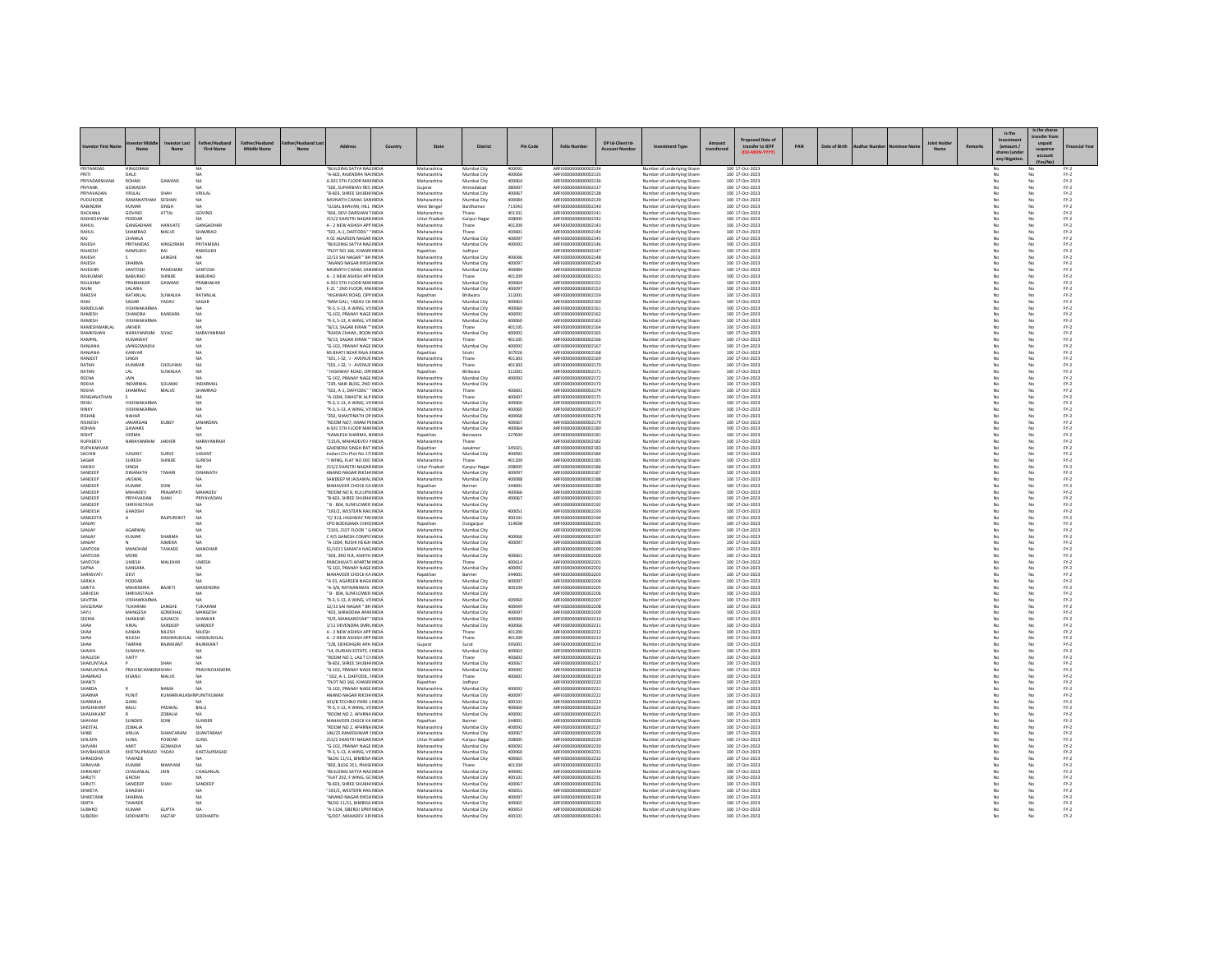|                                   |                               |                               |                       |             |    |                                                             |         |                                      |                             |                  |                                              | DP Id-Client Id- |                                                                  |            |                                    |     |               |  |        | Is the                 | Is the share<br>ransfer fro |                                                                     |
|-----------------------------------|-------------------------------|-------------------------------|-----------------------|-------------|----|-------------------------------------------------------------|---------|--------------------------------------|-----------------------------|------------------|----------------------------------------------|------------------|------------------------------------------------------------------|------------|------------------------------------|-----|---------------|--|--------|------------------------|-----------------------------|---------------------------------------------------------------------|
| westor First Nar                  | $\overline{M}$                |                               | <b>First Name</b>     | Middle Name | M- | Address                                                     | Country | State                                | <b>District</b>             | Pin Code         | <b>Folio Number</b>                          |                  | <b>Investment Type</b>                                           | transferre | transfer to IEPF                   | PAN | Date of Birth |  | Remark | (amount /<br>any litie | suspense<br>account         | inancial Yea                                                        |
| PRITAMDAS<br>PRITI                | <b>IINGORAN</b><br>DALI       |                               |                       |             |    | BUILDING SATYA NAGINDI.<br>"A-602, RAJENDRA NAI INDIA       |         | Maharashtr<br>Maharashtra            | Mumbai City<br>Mumbai City  | 400092<br>400066 | ARFI000000000000213<br>ARFI0000000000002135  |                  | Number of underlying Share<br>Number of underlying Share         |            | 100 17-Oct-2023<br>100 17-Oct-2023 |     |               |  |        |                        | No                          | $FY-2$                                                              |
| PRIYADARSHAN                      | ROHAN                         | GAWANS                        | N <sub>A</sub>        |             |    | A-501 STH FLOOR MAF INDIA                                   |         | Maharashtra                          | Mumbai City                 | 400064           | ARFI0000000000002136                         |                  | Number of underlying Share                                       |            | 100 17-Oct-2023                    |     |               |  |        |                        |                             | $FN-2$                                                              |
| PRIYANK<br>PRIVAVADAN             | GOWADIA<br>VRI II AL          | SHAH                          | VRIII AI              |             |    | "302, SUPARSHAV RES INDIA<br><b>"B-603 SHREE SHURHUNDLO</b> |         | Gujarat<br>Maharashtra               | Ahmedahad<br>Mumbai City    | 380007<br>400067 | ARFI0000000000002137<br>AREI000000000002138  |                  | Number of underlying Share                                       |            | 100 17-Oct-2023<br>100 17-Oct-2023 |     |               |  |        |                        | No                          | $PV-2$<br>$PV-2$                                                    |
| PUDUKODE                          | RAMANATHAM SESHAN             |                               | NA.                   |             |    | NAVNATH CHAWL SAN INDIA                                     |         | Maharashtra                          | Mumbai City                 | 400084           | ARFI0000000000002139                         |                  | Number of underlying Share<br>Number of underlying Shares        |            | 100 17-Oct-2023                    |     |               |  |        | No                     | No                          | $FY-2$                                                              |
| <b>RABINDRA</b>                   | KUMAR                         | SINGH                         |                       |             |    | JUGAL BHAVAN, HILL INDIA                                    |         | West Bengal                          | Bardhaman                   | 713343           | ARFI0000000000002140                         |                  | Number of underlying Shares                                      |            | 100 17-Oct-2023                    |     |               |  |        |                        | No                          | $FY-2$                                                              |
| RACHANA<br>RADHESHYAM             | GOVIND<br>PODDAR              | ATTAL                         | GOVIND                |             |    | "604, DEVI DARSHAN TINDIA<br>215/2 SHASTRI NAGARINDIA       |         | Maharashtra<br><b>Littar Pradesh</b> | Thane<br>Kanpur Naga        | 401101<br>208005 | ARFI0000000000002141<br>AREI0000000000002142 |                  | Number of underlying Share<br>Number of underlying Share         |            | 100 17-Oct-2023<br>100 17-Oct-2023 |     |               |  |        |                        | No                          | $FN-2$                                                              |
| RAHUL                             | GANGADHAI                     | HANVATE                       | GANGADHA              |             |    | A - 2 NEW ASHISH APP INDIA                                  |         | Maharashtra                          | Thane                       | 401209           | ARFI0000000000002143                         |                  | Number of underlying Shares                                      |            | 100 17-Oct-2023                    |     |               |  |        |                        | No                          | $\mathsf{FY}\text{-}\mathsf{2} \atop \mathsf{FY}\text{-}\mathsf{2}$ |
| RAHUL<br>RAIL                     | SHAMRAO<br><b>CHAWLA</b>      | MALVE                         | SHAMRAC               |             |    | "502, A-1, DAFFODIL" " INDIA<br>A 01 AGARSEN NAGAR INDIA    |         | Maharashtra<br>Maharashtra           | Thane<br>Mumbai City        | 400601<br>400097 | ARFI000000000000214<br>ARFI0000000000002149  |                  | Number of underlying Share                                       |            | 100 17-Oct-2023                    |     |               |  |        |                        |                             | $FY-2$                                                              |
| RAJESH                            | PRITAMDAS                     | HINGORANI                     | PRITAMDAS             |             |    | "BUILDING SATYA NAGINDIA                                    |         | Maharashtra                          | Mumbai City                 | 400092           | ARFI0000000000002146                         |                  | Number of underlying Shares<br>Number of underlying Shares       |            | 100 17-Oct-2023<br>100 17-Oct-2023 |     |               |  |        | No<br>No               | No<br>No                    | $\text{FY-2}$<br>$FY-2$                                             |
| RAJAESH                           | RAMSUKH                       | RAI                           | RAMSUKH               |             |    | "PLOT NO 166, KHASRJ INDIA                                  |         | Rajasthan                            | Jodhpur                     |                  | ARFI0000000000002147                         |                  | Number of underlying Shares                                      |            | 100 17-Oct-2023                    |     |               |  |        |                        | No                          | $FY-2$                                                              |
| RAJESH<br>RAIFSH                  | <b>SHARMA</b>                 | LANGHE                        |                       |             |    | 12/13 SAI NAGAR " BH INDIA<br>"ANAND NAGAR RIKSHINDIA       |         | Maharashtra<br>Maharashtra           | Mumbai City<br>Mumbai City  | 400046<br>400097 | ARFI0000000000002148<br>AREI0000000000002149 |                  | Number of underlying Share<br>Number of underlying Shares        |            | 100 17-Oct-2023<br>100 17-Oct-2023 |     |               |  |        |                        | No                          | $FN-2$<br>$FY-2$                                                    |
| <b>RAJESHRI</b>                   | SANTOSH                       | PANDHARI                      | SANTOSH               |             |    | NAVNATH CHAWL SAN INDIA                                     |         | Maharashtra                          | Mumbai City                 | 400084           | ARFI0000000000002150                         |                  | Number of underlying Share                                       |            | 100 17-Oct-2023                    |     |               |  |        | No                     | No                          | $FY-2$                                                              |
| RAJKUMA                           | BABURAO<br>PRARHAKAR          | SHINDE                        | BABURAC               |             |    | A - 2 NEW ASHISH APP INDIA                                  |         | Maharashtra                          |                             | 401209           | ARFI0000000000002153                         |                  | Number of underlying Share                                       |            | 100 17-Oct-2023                    |     |               |  |        |                        |                             | $FY-2$                                                              |
| RAJLAXMI<br>RAINI                 | SALARIA                       | GAWANS                        | PRABHAKAR<br>NA       |             |    | A-501 STH FLOOR MAF INDIA<br>E-21 " 2ND FLOOR, MAINDIA      |         | Maharashtra<br>Maharashtra           | Mumbai City<br>Mumbai City  | 400064<br>400097 | AREI0000000000002152<br>ARFI0000000000002153 |                  | Number of underlying Share<br>Number of underlying Shares        |            | 100 17-Oct-2023<br>100 17-Oct-2023 |     |               |  |        | No                     | No<br>No                    | $\text{FY-2}$<br>$FY-2$                                             |
| RAKESH                            | RATANLAL                      | SUWALKA                       | RATANLAL              |             |    | "HIGHWAY ROAD, OPP INDIA                                    |         | Rajasthan                            | Bhilwara                    | 311001           | ARFI0000000000002159                         |                  | Number of underlying Share:                                      |            | 100 17-Oct-2023                    |     |               |  |        | No                     | No                          | $FY-2$                                                              |
| RAM<br>RAMDULAR                   | SAGAR<br>VISHWAKARMA          | YADAV                         | SAGAR<br>NA           |             |    | RAM GALI, YADAV CH INDI<br>"R-3, S-13, A WING, VISINDIA     |         | Maharashtr<br>Maharashtra            | Mumbai City<br>Mumbai City  | 400063<br>400060 | ARFI0000000000002160<br>ARFI0000000000002161 |                  | Number of underlying Share                                       |            | 100 17-Oct-2023<br>100 17-Oct-2023 |     |               |  |        | No                     | No                          | $FN-2$                                                              |
| RAMESH                            | CHANDRA                       | KANSARA                       | NA                    |             |    | "G-102, PRANAY NAGE INDIA                                   |         | Maharashtra                          | Mumbai City                 | 400092           | ARFI0000000000002162                         |                  | Number of underlying Share<br>Number of underlying Share         |            | 100 17-Oct-2023                    |     |               |  |        | No                     | No                          | $FY-2$<br>$FY-2$                                                    |
| RAMESH                            | VISHWAKARMA                   |                               |                       |             |    | "R-3, S-13, A WING, VISINDIA                                |         | Maharashtra                          | Mumbai City                 | 400060           | ARFI0000000000002163                         |                  | Number of underlying Share:                                      |            | 100 17-Oct-2023                    |     |               |  |        | No                     | No                          | $FY-2$                                                              |
| RAMESHWARLA<br><b>RAMKISHAN</b>   | JAKHER<br>NARAYANRAM SIYAG    |                               | NARAYANRAM            |             |    | "B/13, SAGAR KIRAN "" INDIA<br>"RAIDA CHAWL, ROON INDIA     |         | Maharashtra<br>Maharashtra           | Thane<br>Mumbai City        | 401105<br>400002 | ARFI0000000000002164<br>ARFI0000000000002165 |                  | Number of underlying Share<br>Number of underlying Share         |            | 100 17-Oct-2023<br>100 17-Oct-2023 |     |               |  |        | No                     | No                          | $FY-2$<br>$FY-2$                                                    |
| RAMPAL                            | KUMAWAT                       |                               | N <sub>A</sub>        |             |    | "B/13, SAGAR KIRAN " INDIA                                  |         | Maharashtra                          | Thane                       | 401105           | ARFI0000000000002166                         |                  | Number of underlying Share:                                      |            | 100 17-Oct-2023                    |     |               |  |        | No                     | No                          | $FY-2$                                                              |
| RANJANA                           | <b>JAINGOWADI</b>             |                               |                       |             |    | "G-102, PRANAY NAGE INDIA                                   |         | Maharashtra                          | Mumbai City                 | 400092           | ARFI0000000000002167                         |                  | Number of underlying Share                                       |            | 100 17-Oct-2023                    |     |               |  |        |                        | No                          | $FN-2$                                                              |
| RANIANA<br>RANIFFT                | KANVAR<br><b>SINGH</b>        |                               | NA<br>NA              |             |    | NS BHATI NEAR RAJA KINDIA<br>"301-1-32-1 - AVENUE INDIA     |         | Rajasthan<br>Maharashtra             | Sirohi<br>Thane             | 307026<br>401303 | ARFI0000000000002168<br>AREI000000000002165  |                  | Number of underlying Share<br>Number of underlying Share         |            | 100 17-Oct-2023<br>100 17-0rt-2023 |     |               |  |        | No                     | No                          | $FY-2$<br>$PV-2$                                                    |
| RATAN                             | KUNWAR                        | CHOUHAN                       | <b>NA</b>             |             |    | "301.1-32. 'J - AVENUE INDIA                                |         | Maharashtra                          | Thane                       | 401303           | ARFI0000000000002170                         |                  | Number of underlying Shares                                      |            | 100 17-Oct-2023                    |     |               |  |        | No                     | No                          | $FN-2$                                                              |
| RATAN<br>REENA                    | LAL<br>JAIN                   | SUWALKA                       | <b>NA</b>             |             |    | HIGHWAY ROAD, OPFINDIA<br>"G-102. PRANAY NAGE INDIA         |         | Rajasthan                            | Bhilwara<br>Mumbai City     | 311001           | ARFI0000000000002171                         |                  | Number of underlying Share                                       |            | 100 17-Oct-2023                    |     |               |  |        |                        |                             | $FY-2$                                                              |
| REKHA                             | <b>INDARMAL</b>               | SOLANKI                       | INDARMAL              |             |    | "239, NAIK BLDG, 2ND INDIA                                  |         | Maharashtra<br>Maharashtra           | Mumbai City                 | 400092           | ARFI0000000000002172<br>ARFI0000000000002173 |                  | Number of underlying Share<br>Number of underlying Shares        |            | 100 17-Oct-2023<br>100 17-Oct-2023 |     |               |  |        | No                     | No<br>No                    | $FY-2$<br>$FN-2$                                                    |
| REKHA                             | SHAMRAO                       | MALVE                         | SHAMRAC               |             |    | "SO2. A-1. DAFFODIL" " INDIA                                |         | Maharashtra                          | Thane                       | 400601           | ARFI0000000000002174                         |                  | Number of underlying Share                                       |            | 100 17-Oct-2023                    |     |               |  |        |                        |                             | $FY-2$                                                              |
| RENGANATHA<br>RENII               | VISHWAKARMA                   |                               | NA<br>NA              |             |    | "A-1004, SWASTIK ALP INDIA<br>"R-3 S-13 A WING VISINDIA     |         | Maharashtra<br>Maharashtra           | Thane<br>Mumbai City        | 400607<br>400060 | ARFI0000000000002175<br>AREI000000000002176  |                  | Number of underlying Share<br>Number of underlying Share         |            | 100 17-Oct-2023<br>100 17-Oct-2023 |     |               |  |        | No                     | No<br>No                    | $FN-2$<br>$PV-2$                                                    |
| RINKY                             | VISHWAKARMA                   |                               | NA                    |             |    | "R-3, S-13, A WING, VISINDIA                                |         | Maharashtra                          | Mumbai City                 | 400060           | ARFI0000000000002177                         |                  | Number of underlying Shares                                      |            | 100 17-Oct-2023                    |     |               |  |        | No                     | No                          | $FY-2$                                                              |
| <b>RISHAB</b>                     | NAHAR                         |                               |                       |             |    | 202. SHANTINATH OP INDIA                                    |         | Maharashtra                          | Mumbai City                 | 400068           | ARFI0000000000002178                         |                  | Number of underlying Share:                                      |            | 100 17-Oct-2023                    |     |               |  |        |                        | No                          | $FY-2$                                                              |
| RISIKESH<br>ROHAN                 | JANARDAN<br><b>GAWANS</b>     | DUBEY                         | <b>JANARDAN</b><br>NA |             |    | ROOM NO7, IMAM PEINDIA<br>4-501 STH FLOOR MAFINDIA          |         | Maharashtra<br>Maharashtra           | Mumbai City<br>Mumbai City  | 400067<br>400064 | ARFI0000000000002179<br>AREI000000000002180  |                  | Number of underlying Share<br>Number of underlying Share         |            | 100 17-Oct-2023<br>100 17-0rt-2023 |     |               |  |        | No                     | No<br>No                    | $FY-2$                                                              |
| ROHIT                             | VERMA                         |                               |                       |             |    | KAMLESH SHARMA, NINDIA                                      |         | Rajasthan                            | Banswara                    | 327604           | ARFI0000000000002181                         |                  | Number of underlying Share                                       |            | 100 17-Oct-2023                    |     |               |  |        |                        | No                          | $\mathsf{FY}\text{-}\mathsf{2} \atop \mathsf{FY}\text{-}\mathsf{2}$ |
| RUPADEVI<br>RUPAKANVAR            | NARAYANRAM                    | JAKHER                        | NARAYANRAN<br>NΔ      |             |    | "215/6, MAHADEVEV I INDIA<br>GAIENDRA SINGH RAT INDIA       |         | Maharashtr<br>Rajasthan              | Thane<br>laisalmer          | 345021           | ARFI0000000000002182<br>AREI000000000002183  |                  | Number of underlying Share<br>Number of underlying Share         |            | 100 17-Oct-2023<br>100 17-Oct-2023 |     |               |  |        | No                     | No                          | $FN-2$<br>$FN-2$                                                    |
| SACHIN                            | VASANT                        | SURVE                         | VASANT                |             |    | Jivdani Chs Plot No 17: INDIA                               |         | Maharashtra                          | Mumbai City                 | 400092           | ARFI0000000000002184                         |                  | Number of underlying Shares                                      |            | 100 17-Oct-2023                    |     |               |  |        | No                     | No                          | $FY-2$                                                              |
| SAGAR                             | SURESH                        | SHINDE                        | SURESH                |             |    | "I WING. FLAT NO 001' INDIA                                 |         | Maharashtra                          | Thane                       | 401209           | ARFI0000000000002185                         |                  | Number of underlying Share                                       |            | 100 17-Oct-2023                    |     |               |  |        |                        | No                          | $FY-2$                                                              |
| SAKSHI<br>SANDEEP                 | SINGH<br>DINANATH             | TIWARI                        | DINANATH              |             |    | 215/2 SHASTRI NAGARINDIA<br>ANAND NAGAR RIKSHI INDIA        |         | <b>Uttar Prades</b><br>Maharashtra   | Kanpur Naga<br>Mumbai City  | 208005<br>400097 | ARFI0000000000002186<br>AREI0000000000002187 |                  | Number of underlying Share<br>Number of underlying Share         |            | 100 17-Oct-2023<br>100 17-Oct-2023 |     |               |  |        |                        | No                          | $FN-2$<br>$FY-2$                                                    |
| SANDEEP                           | <b>JAISWAL</b>                |                               | NA                    |             |    | SANDEEP M JAISAWAL INDIA                                    |         | Maharashtra                          | Mumbai City                 | 400088           | ARFI0000000000002188                         |                  | Number of underlying Shares                                      |            | 100 17-Oct-2023                    |     |               |  |        | No                     | No                          | $FY-2$                                                              |
| SANDEEP<br>CANDEEP                | KUMAR<br>MAHADEV              | SON<br>PRAIAPATI              | MAHADEV               |             |    | MAHAVEER CHOCK KA INDIA<br>ROOM NO 8. KULUPWINDIA           |         | Rajasthan<br>Maharashtra             | Barmer<br>Mumbai City       | 344001<br>400066 | ARFI0000000000002189<br>AREI0000000000002190 |                  | Number of underlying Share                                       |            | 100 17-Oct-2023                    |     |               |  |        |                        | No<br>No                    | $FN-2$                                                              |
| SANDEEP                           | PRIYAVADAN                    | SHAH                          | PRIYAVADAN            |             |    | "B-603, SHREE SHUBH/ INDIA                                  |         | Maharashtra                          | Mumbai City                 | 400067           | ARFI0000000000002191                         |                  | Number of underlying Shares<br>Number of underlying Shares       |            | 100 17-Oct-2023<br>100 17-Oct-2023 |     |               |  |        | No                     | No                          | $FY-2$<br>$FY-2$                                                    |
| SANDEEP                           | SHRIVASTAVA                   |                               |                       |             |    | " B - 804, SUNFLOWER INDIA                                  |         | Maharashtra                          | Mumbai City                 |                  | ARFI0000000000002192                         |                  | Number of underlying Share:                                      |            | 100 17-Oct-2023                    |     |               |  |        | No                     | No                          | $FY-2$                                                              |
| SANDESH<br>SANGEETA               | GHADSHI                       | RAJPUROHIT                    | NA                    |             |    | "193/2, WESTERN RAILINDI.<br>"C/ 313, HIGHWAY PAFINDIA      |         | Maharashtra<br>Maharashtra           | Mumbai City<br>Mumbai City  | 400051<br>400101 | ARFI0000000000002193<br>ARFI0000000000002194 |                  | Number of underlying Share<br>Number of underlying Share:        |            | 100 17-Oct-2023<br>100 17-Oct-2023 |     |               |  |        | No                     | No                          | $FN-2$<br>$\text{FY-2}$                                             |
| SANJAY                            |                               |                               | N <sub>A</sub>        |             |    | VPO BODIGAMA CHHCINDIA                                      |         | Rajasthan                            | Dungarpur                   | 314038           | ARFI0000000000002195                         |                  | Number of underlying Shares                                      |            | 100 17-Oct-2023                    |     |               |  |        | No                     | No                          | $FY-2$                                                              |
| SANJAY                            | AGARWAL                       |                               |                       |             |    | "2103, 21ST FLOOR " GINDIA                                  |         | Maharashtra                          | Mumbai City                 |                  | ARFI0000000000002196                         |                  | Number of underlying Shares                                      |            | 100 17-Oct-2023                    |     |               |  |        |                        | No                          | $FY-2$                                                              |
| SANJAY<br>SANJAY                  | KUMAR                         | SHARMA<br><b>AIMERA</b>       | NA<br>NA              |             |    | C 4/5 GANESH COMPOINDIA<br>"A-1004, RUSHI HEIGH INDIA       |         | Maharashtra<br>Maharashtra           | Mumbai City<br>Mumbai City  | 400066<br>400097 | ARFI0000000000002197<br>ARFI0000000000002198 |                  | Number of underlying Shares<br>Number of underlying Share        |            | 100 17-Oct-2023<br>100 17-Oct-2023 |     |               |  |        | No                     | No                          | $FY-2$<br>$FY-2$                                                    |
| SANTOSH                           | MANOHAF                       | TAWADE                        | MANOHAI               |             |    | 51/1011 SAMATA NAGINDIA                                     |         | Maharashtra                          | Mumbai City                 |                  | ARFI0000000000002199                         |                  | Number of underlying Share:                                      |            | 100 17-Oct-2023                    |     |               |  |        | No                     | No                          | $FY-2$                                                              |
| SANTOSH<br>SANTOSH                | MORE<br>UMESH                 | MALEKAR                       | <b>UMESH</b>          |             |    | 303, 3RD FLR, ASHIYA INDIA<br>PANCHAVATI APARTM INDIA       |         | Maharashtra<br>Maharashtra           | Mumbai City<br>Thane        | 400061<br>400614 | ARFI0000000000002200<br>ARFI0000000000002201 |                  | Number of underlying Share<br>Number of underlying Share         |            | 100 17-Oct-2023<br>100 17-Oct-2023 |     |               |  |        |                        | No<br>No                    | $FY-2$<br>$\text{FY-2}$                                             |
| SAPNA                             | KANSARA                       |                               | <b>NA</b>             |             |    | "G-102, PRANAY NAGE INDIA                                   |         | Maharashtra                          | Mumbai City                 | 400092           | ARFI0000000000002202                         |                  | Number of underlying Share                                       |            | 100 17-Oct-2023                    |     |               |  |        | No                     | No                          | $FY-2$                                                              |
| SARASVATI                         | DEVI                          |                               | NA                    |             |    | MAHAVEER CHOCK KAINDIA                                      |         | Rajasthan                            | Barmer                      | 344001           | ARFI0000000000002203                         |                  | Number of underlying Share:                                      |            | 100 17-Oct-2023                    |     |               |  |        | No                     | No                          | $FY-2$                                                              |
| SARIKA<br><b>APITA</b>            | PODDAR<br>MAHENDRA            | BAHETI                        | <b>MAHENDRA</b>       |             |    | "A 01, AGARSEN NAGA INDIA<br>"A-3/8, RATNANIWAS INDIA       |         | Maharashtra<br>Maharashtra           | Mumbai City<br>Mumbai City  | 400097<br>400104 | ARFI0000000000002204<br>AREI0000000000002205 |                  | Number of underlying Share<br>Number of underlying Share         |            | 100 17-Oct-2023<br>100 17-Oct-2023 |     |               |  |        |                        |                             | $FN-2$                                                              |
| SARVESH                           | SHRIVASTAVA                   |                               | NA                    |             |    | " B - 804, SUNFLOWER INDIA                                  |         | Maharashtra                          | Mumbai City                 |                  | ARFI0000000000002206                         |                  | Number of underlying Shares                                      |            | 100 17-Oct-2023                    |     |               |  |        | No                     | No                          | $FY-2$<br>$FY-2$                                                    |
| SAVITRA<br>SAVLERAM               | VISHAWKARM<br>TUKARAM         | LANGHE                        | TUKARAM               |             |    | "R-3, S-13, A WING, VISINDIA<br>12/13 SAI NAGAR " BH INDIA  |         | Maharashtra<br>Maharashtra           | Mumbai City<br>Mumbai City  | 400060<br>400049 | ARFI0000000000002207<br>ARFI0000000000002208 |                  | Number of underlying Share<br>Number of underlying Share         |            | 100 17-Oct-2023<br>100 17-Oct-2023 |     |               |  |        |                        | No<br>No                    | $FY-2$<br>$FY-2$                                                    |
| CAVIL                             | MANGESH                       | <b>GONDHALL</b>               | MANGESH               |             |    | 403 SHRADDHA APAFINDIA                                      |         | Maharashtra                          | Mumbai City                 | 400097           | AREI000000000002205                          |                  | Number of underlying Share                                       |            | 100 17-0rt-2023                    |     |               |  |        | No                     | No                          | $PV-2$                                                              |
| SEEMA                             | SHANKAR                       | GAJAKOS                       | SHANKAR               |             |    | "D/9, MANSAROVAR" 'INDIA                                    |         | Maharashtra                          | Mumbai City                 | 400094           | ARFI0000000000002210                         |                  | Number of underlying Shares                                      |            | 100 17-Oct-2023                    |     |               |  |        | No                     | No                          | $FN-2$                                                              |
| SHAH                              | HIRAL<br>KANAN                | SANDEER<br>NILESH             | SANDEEP<br>NILESH     |             |    | 1/11 DEVENDRA SMRL INDIA<br>A - 2 NEW ASHISH APP INDIA      |         | Maharashtra<br>Maharashtra           | Mumbai City<br>Thane        | 400066<br>401209 | ARFI0000000000002211<br>ARFI0000000000002212 |                  | Number of underlying Shares<br>Number of underlying Share        |            | 100 17-Oct-2023<br>100 17-Oct-2023 |     |               |  |        |                        | No                          | $FY-2$<br>$FY-2$                                                    |
| <b>SHAH</b>                       | <b>NILESH</b>                 | <b>HASHMUKHLAL</b>            | <b>HASMUKHLA</b>      |             |    | A - 2 NEW ASHISH APP INDIA                                  |         | Maharashtra                          | Thane                       | 401209           | AREI000000000002213                          |                  | Number of underlying Share                                       |            | 100 17-Oct-2023                    |     |               |  |        | No                     | No                          | $FY-2$                                                              |
| нднэ<br>SHAIKH                    | TARPAN<br><b>SUMAIYA</b>      | RAJNIKANT                     | RAJNIKANT             |             |    | 2/B. SIDHDHGIRI APA INDIA<br>14, DURIAN ESTATE, EINDIA      |         | Guiarat<br>Maharashtra               | Surat<br>Mumbai City        | 395001<br>400063 | ARFI0000000000002214<br>ARFI0000000000002219 |                  | Number of underlying Shares<br><b>Jumber of underlying Share</b> |            | 100 17-Oct-2023<br>100 17-Oct-2023 |     |               |  |        |                        | No                          | $FY-2$<br>$FY-2$                                                    |
| SHAILESH                          | VAITY                         |                               |                       |             |    | "ROOM NO 2. LAUT CHINDIA                                    |         | Maharashtra                          | Thane                       | 400602           | AREI000000000002216                          |                  | Number of underlying Share                                       |            | 100 17-Oct-2023                    |     |               |  |        | No                     | No                          | $FY-2$                                                              |
| SHAKUNTALA                        |                               | SHAH                          | NA.                   |             |    | "B-603, SHREE SHUBH/ INDIA                                  |         | Maharashtra                          | Mumbai City                 | 400067           | ARFI0000000000002217                         |                  | Number of underlying Shares                                      |            | 100 17-Oct-2023                    |     |               |  |        | No                     | No                          | $FY-2$                                                              |
| SHAKUNTALA<br><b>SHAMRAO</b>      | PRAVINCHANDRA SHAH<br>KISANJI | MALVE                         | <b>PRAVINCHANDRA</b>  |             |    | "G-102, PRANAY NAGE INDIA<br>502, A-1, DAFFODIL, FINDIA     |         | Maharashtra<br>Maharashtra           | Mumbai City<br>Thane        | 400092<br>400601 | ARFI0000000000002218<br>ARFI0000000000002219 |                  | Number of underlying Share:<br>Number of underlying Share        |            | 100 17-Oct-2023<br>100 17-Oct-2023 |     |               |  |        |                        | No                          | $FY-2$<br>$FN-2$                                                    |
| <b>ITVAH</b>                      |                               |                               | N/A                   |             |    | "PLOT NO 166, KHASR/ INDIA                                  |         | Raiasthan                            | Jodhour                     |                  | AREI0000000000002220                         |                  | Number of underlying Share                                       |            | 100 17-Oct-2023                    |     |               |  |        | No                     | No                          | $FN-2$                                                              |
| SHARDA                            |                               | NAMA                          | NA.                   |             |    | "G-102, PRANAY NAGE INDIA                                   |         | Maharashtra                          | Mumbai City                 | 400092           | ARFI0000000000002221                         |                  | Number of underlying Shares                                      |            | 100 17-Oct-2023                    |     |               |  |        | No                     | No                          | $FY-2$                                                              |
| SHARMA<br><b>SHARMILA</b>         | PUNIT<br>GARG                 | KUMARKAILASHN PUNITKUMAR      | NA                    |             |    | ANAND NAGAR RIKSH/ INDIA<br>103/B TECHNO PARK 1 INDIA       |         | Maharashtra<br>Maharashtra           | Mumbai City<br>Mumbai City  | 400097<br>400101 | ARFI0000000000002222<br>AREI0000000000002223 |                  | Number of underlying Share:<br>Number of underlying Share        |            | 100 17-Oct-2023<br>100 17-Oct-2023 |     |               |  |        | No                     | No<br>No                    | $FY-2$<br>$FN-2$                                                    |
| SHASHIKANT                        | BALU                          | PADWAL                        | BALU                  |             |    | "R-3, S-13, A WING, VISINDIA                                |         | Maharashtra                          | Mumbai City                 | 400060           | ARFI0000000000002224                         |                  | Number of underlying Shares                                      |            | 100 17-Oct-2023                    |     |               |  |        | No                     | No                          | $FY-2$                                                              |
| SHASHIKANT<br>MAYAM               | SUNDER                        | ZOBALIA<br>SONI               | NA<br>SUNDER          |             |    | ROOM NO 2, APARNA INDIA<br>MAHAVEER CHOCK KA INDI.          |         | Maharashtra<br>Rajasthan             | Mumbai City                 | 400092<br>344001 | ARFI0000000000002225<br>ARFI0000000000002226 |                  | Number of underlying Share:<br>Number of underlying Share        |            | 100 17-Oct-2023<br>100 17-Oct-2023 |     |               |  |        | No                     | No                          | $FY-2$<br>$FN-2$                                                    |
| SHEETAL                           | <b>70BALIA</b>                |                               | NA                    |             |    | "ROOM NO 2, APARNA INDIA                                    |         | Maharashtra                          | Barmer<br>Mumbai City       | 400092           | AREI000000000002227                          |                  | Number of underlying Share                                       |            | 100 17-Oct-2023                    |     |               |  |        | No                     | No                          | $FY-2$                                                              |
| <b>SHIRE</b>                      | ANUJA                         | SHANTARAM                     | SHANTARAM             |             |    | 146/25 RAMESHWAR SINDIA                                     |         | Maharashtra                          | Mumbai City                 | 400067           | ARFI0000000000002228                         |                  | Number of underlying Shares                                      |            | 100 17-Oct-2023                    |     |               |  |        | No                     | No                          | $FY-2$                                                              |
| SHILAPA<br>SHIVANI                | SUNIL                         | PODDAR<br>GOWADIA             | SUNIL                 |             |    | 215/2 SHASTRI NAGAR INDIA<br>G-102, PRANAY NAGE INDIA       |         | Uttar Pradesh<br>Maharashtra         | Kanpur Nagar<br>Mumbai City | 208005<br>400092 | ARFI0000000000002229<br>ARFI0000000000002230 |                  | Number of underlying Shares<br>Number of underlying Share        |            | 100 17-Oct-2023<br>100 17-Oct-2023 |     |               |  |        |                        | No                          | $FY-2$                                                              |
| SHIVBAHADUF                       | KHETALPRASAD YADAV            |                               | KHETALPRASAD          |             |    | "R-3, S-13, A WING, VISINDIA                                |         | Maharashtra                          | Mumbai City                 | 400060           | ARFI0000000000002231                         |                  | Number of underlying Share                                       |            | 100 17-Oct-2023                    |     |               |  |        |                        | No                          | $FY-2$<br>$FY-2$                                                    |
| SHRADDHA                          | TAWADE                        |                               |                       |             |    | "BLDG 11/11, BIMBISA INDIA                                  |         | Maharashtra                          | Mumbai City                 | 400065           | ARFI0000000000002232                         |                  | Number of underlying Shares                                      |            | 100 17-Oct-2023                    |     |               |  |        |                        | No                          | $FY-2$                                                              |
| SHRAVAN<br><b><i>SHRIKANT</i></b> | KUMAF<br>CHAGANLAL            | JAIN                          | NA<br>CHAGANLAL       |             |    | "802, BLDG 351, PHASE INDIA<br>BUILDING SATYA NAGINDIA      |         | Maharashtra<br>Maharashtra           | Mumbai City                 | 401104<br>400092 | ARFI0000000000002233<br>AREI0000000000002234 |                  | Number of underlying Share<br>Number of underlying Share         |            | 100 17-Oct-2023<br>100 17-Oct-2023 |     |               |  |        |                        |                             | $FN-2$<br>$FY-2$                                                    |
| SHRUTI                            | GHOSH                         |                               | NA.                   |             |    | "FLAT 202. F WING, GC INDIA                                 |         | Maharashtra                          | Mumbai City                 | 400101           | ARFI0000000000002235                         |                  | Number of underlying Shares                                      |            | 100 17-Oct-2023                    |     |               |  |        |                        | No                          | $FY-2$                                                              |
| <b>SHRUTI</b>                     | SANDEEP                       | SHAH                          | SANDEEP               |             |    | B-603, SHREE SHUBH/ INDIA                                   |         | Maharashtra                          | Mumbai City                 | 400067           | ARFI0000000000002236                         |                  | Number of underlying Share:                                      |            | 100 17-Oct-2023                    |     |               |  |        |                        | No                          | $FY-2$                                                              |
| SHWETA<br>SHWETANI                | GHADSH<br>SHARMA              |                               | NA                    |             |    | 193/2, WESTERN RAILINDIA<br>"ANAND NAGAR RIKSHINDIA         |         | Maharashtra<br>Maharashtra           | Mumbai City<br>Mumbai City  | 400051<br>400097 | ARFI0000000000002237<br>ARFI0000000000002238 |                  | Number of underlying Shares<br>Number of underlying Share        |            | 100 17-Oct-2023<br>100 17-Oct-2023 |     |               |  |        |                        |                             | $FN-2$<br>$FY-2$                                                    |
| SMITA                             | TAWADE                        |                               | NA                    |             |    | "BLDG 11/11, BIMBISA INDIA                                  |         | Maharashtra                          | Mumbai City                 | 400065           | ARFI0000000000002239                         |                  | Number of underlying Shares                                      |            | 100 17-Oct-2023                    |     |               |  |        |                        |                             | $FY-2$                                                              |
| <b>SUBHRO</b><br>SUBODH           | KUMAR<br><b>SIDDHARTH</b>     | <b>GUPTA</b><br><b>JAGTAP</b> | SIDDHARTH             |             |    | "A-1104, OBEROI SPRININDIA<br>"G/007, MAHADEV AP/INDIA      |         | Maharashtra<br>Maharashtra           | Mumbai City<br>Mumbai City  | 400053<br>400101 | ARFI0000000000002240<br>ARFI0000000000002241 |                  | Number of underlying Share:<br>Number of underlying Share        |            | 100 17-Oct-2023<br>100 17-Oct-2023 |     |               |  |        |                        |                             | $FY-2$<br>$FY-2$                                                    |
|                                   |                               |                               |                       |             |    |                                                             |         |                                      |                             |                  |                                              |                  |                                                                  |            |                                    |     |               |  |        |                        |                             |                                                                     |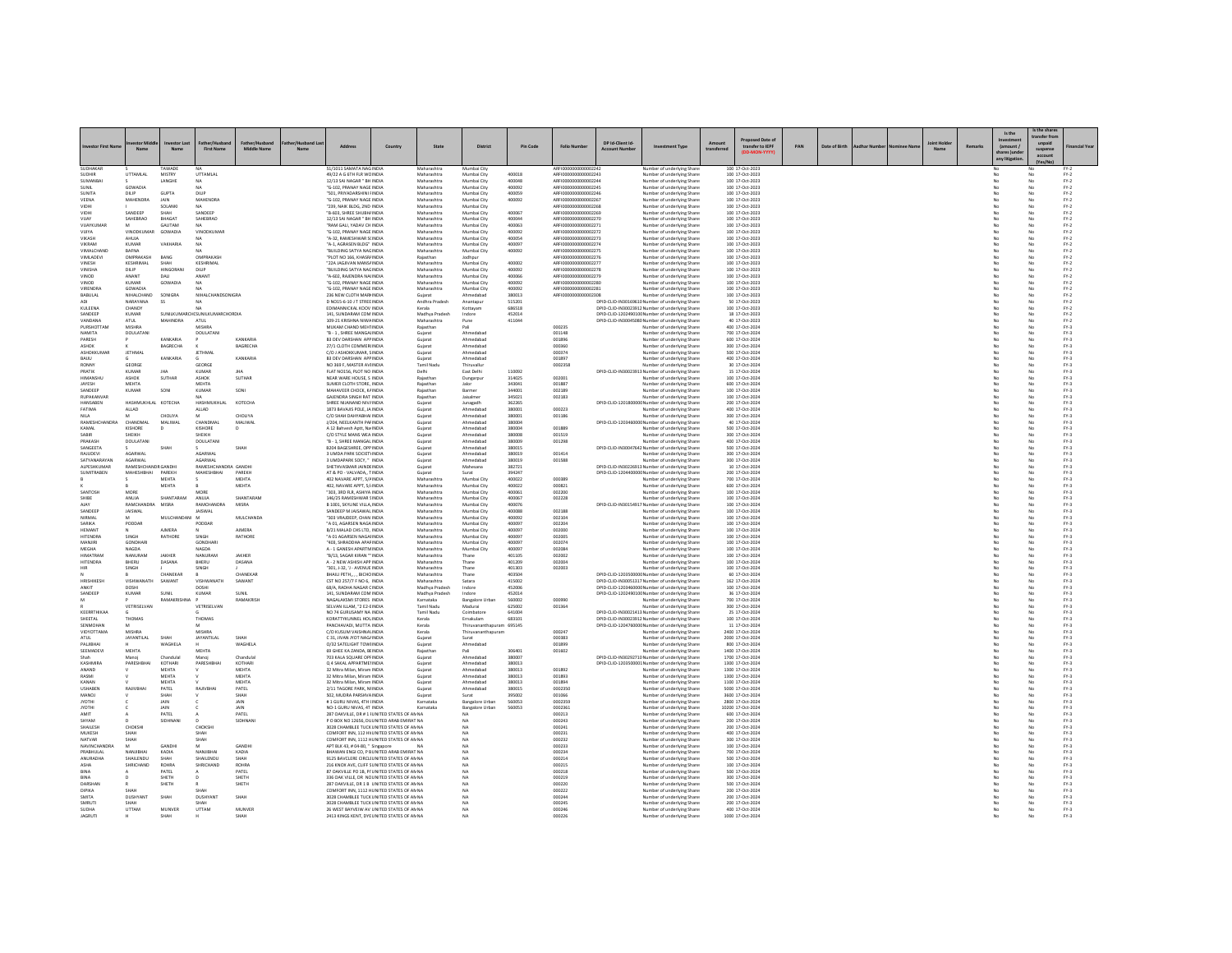|                                 |                               |                          |                                       |                               |     |                                                                                              |         |                             |                              |                  |                                              |                                       |                                                                                                     |                       |                                      |     |               |  |                            |        | Is the                                     | s the share                   |                  |
|---------------------------------|-------------------------------|--------------------------|---------------------------------------|-------------------------------|-----|----------------------------------------------------------------------------------------------|---------|-----------------------------|------------------------------|------------------|----------------------------------------------|---------------------------------------|-----------------------------------------------------------------------------------------------------|-----------------------|--------------------------------------|-----|---------------|--|----------------------------|--------|--------------------------------------------|-------------------------------|------------------|
|                                 | Name                          | vestor Last<br>Name      | ather/Hushan<br><b>First Name</b>     | Father/Hushand<br>Middle Name | Nan | Addre-                                                                                       | Country | State                       | <b>District</b>              | Pin Code         | <b>Folio Numb</b>                            | DP Id-Client Id-<br><b>Arcount No</b> | ent Type                                                                                            | Amount<br>transferrer | Proposed Date of<br>transfer to IEPF | PAN | Date of Birth |  | <b>Joint Holde</b><br>Name | Remark | (amount)<br>shares lunde<br>any litigation | unpaid<br>suspense<br>account |                  |
| SUDHAKAR                        |                               | TAWADI                   |                                       |                               |     | 51/1011 SAMATA NAGINDIA                                                                      |         | Maharashtra                 | Mumbai City                  |                  | AREI0000000000002242                         |                                       |                                                                                                     |                       | 100 17-Oct-2023                      |     |               |  |                            |        |                                            |                               | $FY-2$           |
| SUDHIR                          | UTTAMLAL                      | MISTRY                   | UTTAMLAL                              |                               |     | 49/22 A G 6TH FLR WCINDIA                                                                    |         | Maharashtra                 | Mumbai City                  | 400018           | ARFI0000000000002243<br>ARFI00000000000224   |                                       | Number of underlying Share<br>Number of underlying Share                                            |                       | 100 17-Oct-2023                      |     |               |  |                            |        |                                            |                               | $FY-2$           |
| <b>SUMANBA</b><br>SUNIT         | GOWADIA                       | LANGHE                   | MA                                    |                               |     | 12/13 SAI NAGAR " BH INDIA<br>"G-102 PRANAY NAGE INDIA                                       |         | Maharashtra<br>Maharashtra  | Mumbai City<br>Mumbai City   | 400048<br>400092 | AREI0000000000002245                         |                                       | Number of underlying Share<br>Number of underlying Share                                            |                       | 100 17-Oct-2023<br>100 17-Oct-2023   |     |               |  |                            |        | No                                         | No                            | $FN-2$<br>$PV-2$ |
| SUNITA                          | DILIP                         | <b>GUPTA</b>             | DILIP                                 |                               |     | "SO1, PRIYADARSHINI FINDIA                                                                   |         | Maharashtra                 | Mumbai City                  | 400059           | ARFI0000000000002246                         |                                       | Number of underlying Share                                                                          |                       | 100 17-Oct-2023                      |     |               |  |                            |        | No                                         | No                            | $FY-2$           |
| VEENA<br>VIDH                   | MAHENDRA                      | JAIN<br>SOLANK           | <b>MAHENDRA</b>                       |                               |     | "G-102, PRANAY NAGE INDIA<br>239, NAIK BLDG, 2ND INDIA                                       |         | Maharashtra<br>Maharashtra  | Mumbai City<br>Mumbai City   | 400092           | ARFI0000000000002267<br>ARFI0000000000002268 |                                       | Number of underlying Share<br>Number of underlying Share                                            |                       | 100 17-Oct-2023<br>100 17-Oct-202    |     |               |  |                            |        |                                            | No<br>No                      | $FN-2$<br>$FN-2$ |
| VIDHI                           | SANDEEP                       | SHAH                     | SANDEEP                               |                               |     | "B-603, SHREE SHUBH/ INDIA                                                                   |         | Maharashtra                 | Mumbai City                  | 400067           | AREI0000000000002269                         |                                       | Number of underlying Shares                                                                         |                       | 100 17-Oct-2023                      |     |               |  |                            |        | No                                         | No                            | $FN-2$           |
| VIJAY<br>VIJAYKUMA              | SAHEBRAO                      | BHAGAT<br>GAUTAM         | SAHEBRAO                              |                               |     | 12/13 SAI NAGAR " BH INDIA<br>RAM GALI, YADAV CH INDI.                                       |         | Maharashtra<br>Maharashtra  | Mumbai City<br>Mumbai City   | 400044<br>400063 | ARFI0000000000002270<br>ARFI000000000000227  |                                       | Number of underlying Share<br>Number of underlying Share                                            |                       | 100 17-Oct-2023<br>100 17-Oct-2023   |     |               |  |                            |        | No                                         | No<br>No                      | $FY-2$<br>$FN-2$ |
| VIIIVA                          | <b>VINODKUMAR</b>             | GOWADIA                  | <b>VINODKUMAR</b>                     |                               |     | "G-102 PRANAY NAGE INDIA                                                                     |         | Maharashtra                 | Mumbai City                  | 400092           | AREI0000000000002272                         |                                       | Number of underlying Shares                                                                         |                       | 100 17-Oct-2023                      |     |               |  |                            |        | N <sub>0</sub>                             | No                            | $FN-2$           |
| VIKASH<br><b>VIKRAM</b>         | AHUJA<br>KUMAF                | VAKHARIA                 | NΔ<br>NA                              |                               |     | "A-32, RAMESHWAR S(INDIA<br>"A-1, AGRASEN BLDG" INDIA                                        |         | Maharashtra<br>Maharashtra  | Mumbai City<br>Mumbai City   | 400054<br>400097 | ARFI0000000000002273<br>ARFI0000000000002274 |                                       | Number of underlying Share<br>Number of underlying Share                                            |                       | 100 17-Oct-2023<br>100 17-Oct-2023   |     |               |  |                            |        | No<br>No                                   | No<br>No                      | $FY-2$<br>$FY-2$ |
| VIMALCHAND                      | BAFNA<br>OMPRAKASH            |                          | OMPRAKASH                             |                               |     | BUILDING SATYA NAGINDIA                                                                      |         | Maharashtra                 | Mumbai City                  | 400092           | ARFI0000000000002275                         |                                       | Number of underlying Share                                                                          |                       | 100 17-Oct-202                       |     |               |  |                            |        |                                            | No                            | $FN-2$           |
| <b>VIMLADEVI</b><br>VINESH      | KESHRIMAL                     | BANG<br>SHAH             | KESHRIMAL                             |                               |     | PLOT NO 166, KHASRJ INDIA<br>"22A JAGJIVAN MANS/ INDIA                                       |         | Rajasthan<br>Maharashtra    | Jodhpur<br>Mumbai City       | 400002           | ARFI0000000000002276<br>ARFI0000000000002277 |                                       | Number of underlying Share<br>Number of underlying Shares                                           |                       | 100 17-Oct-2023<br>100 17-Oct-2023   |     |               |  |                            |        | No<br>No                                   | No<br>No                      | $FN-2$<br>$FY-2$ |
| VINISHA<br>VINOD                | DILIP<br><b>ANANT</b>         | HINGORANI<br><b>DAIL</b> | DILIP<br>ANANT                        |                               |     | "BUILDING SATYA NAGINDIA<br>"A-602, RAJENDRA NAHNDIA                                         |         | Maharashtra<br>Maharashtra  | Mumbai City<br>Mumbai City   | 400092<br>400066 | ARFI0000000000002278<br>ARFI0000000000002279 |                                       | Number of underlying Share                                                                          |                       | 100 17-Oct-2023<br>100 17-Oct-2023   |     |               |  |                            |        | No                                         | No<br>No                      | $FY-2$<br>$FN-2$ |
| VINOD                           | <b>KUMAR</b>                  | GOWADIA                  | <b>NA</b>                             |                               |     | "G-102, PRANAY NAGE INDIA                                                                    |         | Maharashtra                 | Mumbai City                  | 400092           | ARFI0000000000002280                         |                                       | Number of underlying Share<br>Number of underlying Shares                                           |                       | 100 17-Oct-2023                      |     |               |  |                            |        | No                                         | No                            | $FY-2$           |
| VIRENDRA<br>BABULAL             | GOWADIA<br>NIHALCHAND         | SONIGRA                  | NIHALCHANDSONIGRA                     |                               |     | "G-102, PRANAY NAGE INDIA<br>236 NEW CLOTH MARHNDIA                                          |         | Maharashtra                 | Mumbai City<br>Ahmedabao     | 400092<br>380013 | ARFI0000000000002281<br>ARFI0000000000002308 |                                       | Number of underlying Share<br>Number of underlying Share                                            |                       | 100 17-Oct-2023<br>100 17-Oct-2023   |     |               |  |                            |        | No                                         | No<br>No                      | $FY-2$<br>$FY-2$ |
| <b>ADI</b>                      | NARAYANA                      | <b>SS</b>                |                                       |                               |     | D NO15-6-10 J T STREE INDIA                                                                  |         | Gujarat<br>Andhra Pradesh   | Anantapur                    | 515201           |                                              |                                       | DPID-CLID-IN30169610 Number of underlying Shares                                                    |                       | 50 17-Oct-2023                       |     |               |  |                            |        | M <sub>m</sub>                             | No                            | $FN-2$           |
| KULEENA<br>SANDEEP              | CHANDY<br><b>KUMAR</b>        |                          | N/A<br>SUNILKUMARCH(SUNILKUMARCHORDIA |                               |     | <b>EDIMANNICKAL KOOV INDIA</b><br>141. SUNDARAM COM INDIA                                    |         | Kerala<br>Madhya Pradesh    | Kottavam<br>Indore           | 686518<br>452014 |                                              |                                       | DPID-CLID-IN30023912 Number of underlying Share<br>DPID-CUD-1202490100 Number of underlying Share   |                       | 100 17-0rt-2023<br>18 17-Oct-2023    |     |               |  |                            |        | No<br>No                                   | No<br>No                      | $PV-2$<br>$FN-2$ |
| VANDANA                         | ATUL                          | MAHINDRA                 | ATUL                                  |                               |     | 109-21 KRISHNA NIWA INDIA                                                                    |         | Maharashtra                 | Pune                         | 411044           |                                              |                                       | DPID-CLID-IN30045080 Number of underlying Share                                                     |                       | 40 17-Oct-2023                       |     |               |  |                            |        |                                            | No                            | $FY-2$           |
| PURSHOTTAM<br>NAMITA            | MISHRA<br><b>DOULATANI</b>    |                          | MICUD.<br><b>DOULATANI</b>            |                               |     | MUKAM CHAND MEHTINDIA<br>"B - 1. SHREE MANGALINDIA                                           |         | Rajasthan<br>Guiarat        | Pali<br>Ahmedabao            |                  | 000235<br>001148                             |                                       | Number of underlying Share<br>Number of underlying Share                                            |                       | 400 17-Oct-2024<br>700 17-Oct-2024   |     |               |  |                            |        | No                                         | No<br>No                      | $FN-3$<br>$FN-3$ |
| PARESH                          |                               | KANKARIA                 |                                       | KANKARIA                      |     | <b>B3 DEV DARSHAN APP INDIA</b>                                                              |         | Gujarat                     | Ahmedabao                    |                  | 001896                                       |                                       | Number of underlying Share                                                                          |                       | 600 17-Oct-202                       |     |               |  |                            |        |                                            | No                            | $FY-3$           |
| ASHOK<br><b>ASHOKKLIMAR</b>     | <b>IFTHMAL</b>                | BAGRECHA                 | <b>IFTHMAL</b>                        | BAGRECHA                      |     | 27/1 CLOTH COMMERINDIA<br>C/O LASHOKKUMAR SINDIA                                             |         | Gujara<br>Gujarat           | Ahmedabao<br>Ahmedahad       |                  | 000360<br>000374                             |                                       | Number of underlying Share<br>Number of underlying Share                                            |                       | 300 17-Oct-2024<br>500 17-Oct-2024   |     |               |  |                            |        | No                                         | No<br>No                      | $FY-3$<br>$PV-2$ |
| BAIJU                           |                               | KANKARIA                 |                                       | KANKARIA                      |     | <b>B3 DEV DARSHAN APP INDIA</b>                                                              |         | Guiarat                     | Ahmedabad                    |                  | 001897                                       |                                       | Number of underlying Share                                                                          |                       | 400 17-Oct-2024                      |     |               |  |                            |        | No                                         | No                            | $FY-3$           |
| RONNY<br>PRATIK                 | GEORGE<br>KUMAF               |                          | GEORGI<br>KUMAR                       |                               |     | NO 369 F. MASTER AVI INDIA<br>FLAT NO156, PLOT NO INDIA                                      |         | Tamil Nadu<br>Delhi         | Thiruvallur<br>East Delhi    | 110092           | 0002358                                      |                                       | Number of underlying Share<br>DPID-CLID-IN30023913 Number of underlying Share                       |                       | 30 17-Oct-2024<br>15 17-Oct-2024     |     |               |  |                            |        |                                            | No<br>No                      | $FY-3$<br>$FY-3$ |
| <b>HIMANSHLI</b>                | ASHOK                         | SUTHAR                   | ASHOK                                 | <b>SUTHAR</b>                 |     | NEAR WARE HOUSE. S INDIA                                                                     |         | Rajasthar                   | Dungarpu                     | 314025           | 002001                                       |                                       | Number of underlying Share                                                                          |                       | 100 17-Oct-2024                      |     |               |  |                            |        | No                                         | No<br>No                      | $PV-2$           |
| JAYESH<br>SANDEEP               | MEHTA<br>KUMAF                | SONI                     | MEHTA<br>KUMAR                        | SON                           |     | SUMER CLOTH STORE, INDIA<br>MAHAVEER CHOCK, KAINDIA                                          |         | Rajasthan<br>Rajastha       | laloı<br>Barmer              | 343041<br>344001 | 001887<br>002189                             |                                       | Number of underlying Share<br>Number of underlying Share                                            |                       | 600 17-Oct-2024<br>100 17-Oct-202    |     |               |  |                            |        |                                            | No                            | $FY-3$<br>$FN-3$ |
| RUPAKANVAR                      |                               |                          | NΔ                                    |                               |     | GAJENDRA SINGH RAT INDIA                                                                     |         | Rajasthar                   | Jaisalmer                    | 345021           | 002183                                       |                                       | Number of underlying Share:                                                                         |                       | 100 17-Oct-2024                      |     |               |  |                            |        | No                                         | No<br>No                      | $PV-3$           |
| HANSABEN<br>FATIMA              | HASHMUKHLAL KOTECHA<br>ALLAD  |                          | HASHMUKHLAL<br>ALLAD                  | KOTECHA                       |     | SHREE NIJANAND NIVAINDIA<br>1873 BAVAJIS POLE, JA INDIA                                      |         | Guiarat<br>Gujarat          | Junagadh<br>Ahmedabao        | 362265<br>380001 | 000223                                       |                                       | DPID-CLID-1201800000 Number of underlying Share<br>Number of underlying Share                       |                       | 200 17-Oct-2024<br>400 17-Oct-2024   |     |               |  |                            |        | No.<br>No                                  | No                            | $FY-3$<br>$FN-3$ |
|                                 |                               | <b>CHOLIYA</b>           |                                       | <b>CHOLIYA</b>                |     | C/O SHAH DAHYABHAI INDIA                                                                     |         | Gujara                      | Ahmedaba                     | 380001           | 001186                                       |                                       | Number of underlying Share                                                                          |                       | 300 17-Oct-202                       |     |               |  |                            |        |                                            | No                            | $FN-3$           |
| RAMESHCHANDRA<br>KAMAL          | CHANDMAL<br><b>KISHORE</b>    | MALIWAL<br>$\mathbf{D}$  | CHANDMAL<br>KISHORE                   | MALIWAL<br>D                  |     | J/204. NEELKANTH PAFINDIA<br>A 12 Bahyesh Aptt, Na INDIA                                     |         | Gujara<br>Guiarat           | Ahmedabad<br>Ahmedabad       | 380004<br>380004 | 001889                                       |                                       | DPID-CLID-1203460000 Number of underlying Shares<br>Number of underlying Share                      |                       | 40 17-Oct-2024<br>500 17-Oct-2024    |     |               |  |                            |        | No<br>No                                   | No<br>No                      | $FN-3$<br>$FY-3$ |
|                                 | SHEIKH                        |                          | SHEIKH                                |                               |     | C/O STYLE MANS WEA INDIA                                                                     |         | Gujara                      | Ahmedaba                     | 380008           | 001519                                       |                                       | Number of underlying Share                                                                          |                       | 300 17-Oct-202                       |     |               |  |                            |        |                                            | No                            | $FN-3$           |
| PRAKASH<br>SANGEETA             | DOULATANI                     | SHAH                     | DOULATANI                             | SHAH                          |     | B - 1. SHREE MANGAL INDIA<br>B204 BAGESHREE, OPP INDIA                                       |         | Gujara<br>Guiarat           | Ahmedabad<br>Ahmedabad       | 380009<br>380015 | 001298                                       |                                       | Number of underlying Share<br>DPID-CLID-IN30047642 Number of underlying Share                       |                       | 400 17-Oct-2024<br>500 17-Oct-2024   |     |               |  |                            |        | No<br>No                                   | No<br>No                      | $FN-3$<br>$FY-3$ |
| RAJUDEVI                        | AGARWAL                       |                          | AGARWAL                               |                               |     | 3 UMDA PARK SOCIETY INDIA                                                                    |         | Gujarat                     | Ahmedabad                    | 380019           | 001414                                       |                                       | Number of underlying Share                                                                          |                       | 300 17-Oct-2024                      |     |               |  |                            |        | No                                         | $_{\rm No}$                   | $FN-3$           |
| SATYANARAYAN<br>ALPESHKUMAR     | AGARWAL<br>RAMESHCHANDR GANDH |                          | AGARWAL<br>RAMESHCHANDRA GANDHI       |                               |     | 3 UMDAPARK SOCY, " INDIA<br>SHETHVASMAR JAINDEINDIA                                          |         | Gujarat<br>Gujara           | Ahmedaba<br>Mahesana         | 380019<br>382721 | 001588                                       |                                       | Number of underlying Share<br>DPID-CLID-IN30226913 Number of underlying Share                       |                       | 300 17-Oct-202<br>10 17-Oct-2024     |     |               |  |                            |        | No                                         | No<br>No                      | $FN-3$<br>$FY-3$ |
| <b>SUMITRAREN</b>               | MAHESHRHAI                    | PAREKH                   | <b>MAHESHRHAI</b>                     | PAREKH                        |     | AT & PO - VALVADA TINDIA                                                                     |         | Guiarat                     | Surat                        | 394247           |                                              |                                       | DPID-CLID-1204400000 Number of underlying Share                                                     |                       | 200 17-Oct-2024                      |     |               |  |                            |        | No                                         | No                            | $FY-2$           |
|                                 |                               | MEHTA<br>MEHTA           |                                       | MEHTA<br>MEHTA                |     | 402 NAVARE APPT, 5/4 INDIA<br>402. NAVARE APPT, 5/1NDIA                                      |         | Maharashtra<br>Maharashtra  | Mumbai City<br>Mumbai City   | 400022<br>400022 | 000389<br>000821                             |                                       | Number of underlying Share<br>Number of underlying Share                                            |                       | 700 17-Oct-2024<br>600 17-Oct-202-   |     |               |  |                            |        | No                                         | No<br>No                      | $FN-3$<br>$FN-3$ |
| <b>SANTOSH</b>                  | MORE                          |                          | MORE                                  |                               |     | 303 380 FLB ASHIYA INDIA                                                                     |         | Maharashtra                 | Mumbai City                  | 400061           | mozon                                        |                                       | Number of underlying Share                                                                          |                       | 100 17-Oct-2024                      |     |               |  |                            |        | N <sub>0</sub>                             | No                            | $PV-2$           |
| SHIRE<br>AIA)                   | ANUJA<br>RAMCHANDR            | SHANTARAM<br>MISRA       | ANUJA<br>RAMCHANDRA                   | SHANTARAM<br>MISRA            |     | 146/25 RAMESHWAR SINDIA<br>B 1001, SKYLINE VILLA INDIA                                       |         | Maharashtra<br>Maharashtra  | Mumbai City<br>Mumbai City   | 400067<br>400076 | 002228                                       |                                       | Number of underlying Share<br>DPID-CLID-IN30154917 Number of underlying Shares                      |                       | 100 17-Oct-2024<br>100 17-Oct-2024   |     |               |  |                            |        | No                                         | No<br>No                      | $FN-3$<br>$PV-3$ |
| SANDEEP                         | <b>JAISWAL</b>                |                          | <b>JAISWAL</b>                        |                               |     | SANDEEP M JAISAWAL INDIA                                                                     |         | Maharashtra                 | Mumbai City                  | 400088           | 002188                                       |                                       | Number of underlying Share                                                                          |                       | 100 17-Oct-2024                      |     |               |  |                            |        |                                            | No                            | $FY-3$           |
| NIRMAL<br>SARIKA                | M<br>PODDAR                   | MULCHANDANI              | <b>M</b><br>PODDAF                    | MULCHANDA                     |     | "303 VRAIDEEP, CHAN INDIA<br>"A 01. AGARSEN NAGA INDIA                                       |         | Maharashtra<br>Maharashtra  | Mumbai City<br>Mumbai City   | 400092<br>400097 | 002104<br>002204                             |                                       | Number of underlying Share<br>Number of underlying Share                                            |                       | 100 17-Oct-2024<br>100 17-Oct-2024   |     |               |  |                            |        | No<br>No                                   | No<br>No                      | $PV-2$<br>$FY-3$ |
| HEMANT                          |                               | AIMERA                   |                                       | AIMERA                        |     | B/21 MALAD CHS LTD, INDIA                                                                    |         | Maharashtra                 | Mumbai City                  | 400097           | 002000                                       |                                       | Number of underlying Share                                                                          |                       | 100 17-Oct-2024                      |     |               |  |                            |        |                                            | No                            | $FY-3$           |
| <b>HITENDRA</b><br>MANJIRI      | SINGH<br><b>GONDHARI</b>      | RATHORE                  | SINGH<br><b>GONDHARI</b>              | RATHOR                        |     | "A 01 AGARSEN NAGAHNDIA<br>403, SHRADDHA APAFINDIA                                           |         | Maharashtra<br>Maharashtra  | Mumbai City<br>Mumbai City   | 400097<br>400097 | 002005<br>002074                             |                                       | Number of underlying Share<br>Number of underlying Share                                            |                       | 100 17-Oct-2024<br>100 17-Oct-2024   |     |               |  |                            |        | No                                         | No<br>No                      | $FY-3$<br>$FY-3$ |
| MEGHA                           | NAGDA                         |                          | NAGDA                                 |                               |     | A - 1 GANESH APARTMINDIA                                                                     |         | Maharashtra                 | Mumbai City                  | 400097           | 002084                                       |                                       | Number of underlying Share                                                                          |                       | 100 17-Oct-2024                      |     |               |  |                            |        | No                                         | No                            | $FN-3$           |
| <b>HIMATRAN</b><br>HITENDRA     | NANURAN<br><b>RHERU</b>       | JAKHER<br>DASANA         | NANURAN<br><b>RHERLI</b>              | JAKHER<br>DASANA              |     | "B/13, SAGAR KIRAN " INDIA<br>A - 2 NEW ASHISH APP INDIA                                     |         | Maharashtra<br>Maharashtra  | Thane<br>Thane               | 401105<br>401209 | 002002<br>conco                              |                                       | Number of underlying Share<br>Number of underlying Share                                            |                       | 100 17-Oct-2024<br>100 17-Oct-2024   |     |               |  |                            |        | No                                         | No<br>No                      | $FN-3$<br>$PV-2$ |
| HIR                             | SINGH                         |                          | SINGH                                 |                               |     | 301. J-32. 'J - AVENUE INDIA                                                                 |         | Maharashtra                 | Thane                        | 401303           | 002003                                       |                                       | Number of underlying Share                                                                          |                       | 100 17-Oct-2024                      |     |               |  |                            |        | No                                         | No                            | $FY-3$           |
| HRISHIKESH                      | VISHWANATI                    | CHANEKAF<br>SAWANT       | VISHWANATI                            | CHANEKAR<br>SAWANT            |     | BHAILI PETH., , , BICHO INDIA<br>CST NO 257/7 F NO 6, INDIA                                  |         | Maharashtra<br>Maharashtra  | Thane<br>Satara              | 403504<br>415002 |                                              |                                       | DPID-CLID-1203500000 Number of underlying Share:<br>DPID-CLID-IN30051317 Number of underlying Share |                       | 60 17-Oct-2024<br>162 17-Oct-2024    |     |               |  |                            |        |                                            | No<br>No                      | $FN-3$<br>$FN-3$ |
| <b>ANKIT</b>                    | DOSHI                         |                          | DOSHI                                 |                               |     | 68/A RADHA NAGAR CINDIA                                                                      |         | Madhya Prades!              | Indore                       | 452006           |                                              |                                       | DPID-CLID-1203460000 Number of underlying Share                                                     |                       | 100 17-Oct-2024                      |     |               |  |                            |        | No                                         | No<br>No                      | $PV-2$           |
| SANDEEP                         | KUMAF                         | SUNIL                    | KUMAR                                 | SUNIL<br>RAMAKRISI            |     | 141, SUNDARAM COM INDIA<br>VAGALAKSMI STORES INDI.                                           |         | Madhya Pradesh<br>Karnataka | Indore<br>Bangalore Urbar    | 452014<br>560002 | 000990                                       |                                       | DPID-CLID-1202490100 Number of underlying Share<br>Number of underlying Share                       |                       | 36 17-Oct-2024<br>700 17-Oct-202     |     |               |  |                            |        | No                                         | No                            | $FY-3$<br>$FN-3$ |
|                                 | VETRISELVAN                   |                          | VETRISELVAN                           |                               |     | SELVAN ILLAM, "2 E2-EINDIA                                                                   |         | Tamil Nadu                  | Madurai                      | 625002           | 001364                                       |                                       | Number of underlying Share                                                                          |                       | 300 17-Oct-2024                      |     |               |  |                            |        | No                                         | No                            | $PV-3$           |
| KEERRTHIKAA<br>SHEETAL          | THOMAS                        |                          | THOMAS                                |                               |     | NO 74 GURUSAMY NA INDIA<br>KORATTYKUNNEL HOLINDIA                                            |         | Tamil Nadu<br>Kerala        | Coimbatore<br>Ernakulam      | 641004<br>683101 |                                              |                                       | DPID-CLID-IN30021413 Number of underlying Share<br>DPID-CLID-IN30023912 Number of underlying Share  |                       | 25 17-Oct-2024<br>100 17-Oct-2024    |     |               |  |                            |        | No<br>No                                   | No<br>No                      | $FY-3$<br>$FN-3$ |
| SENMOHAN                        |                               |                          |                                       |                               |     | PANCHAVADI, MUTTA INDIA                                                                      |         | Kerala                      | Thiruvananthapuram 695145    |                  |                                              |                                       | DPID-CLID-1204760000 Number of underlying Share                                                     |                       | 11 17-Oct-202                        |     |               |  |                            |        |                                            | No                            | $FN-3$           |
| VIDYOTTAMA<br><b>ATUL</b>       | MISHRA<br><b>JAYANTILAL</b>   | SHAH                     | <b>MISHRA</b><br>JAYANTILAL           | SHAH                          |     | C/O KUSUM VAISHNA\INDIA<br>C 31, JIVAN JYOT NAG/ INDIA                                       |         | Kerala<br>Gujarat           | Thiruvananthapuram<br>Surat  |                  | 000247<br>000383                             |                                       | Number of underlying Share<br>Number of underlying Shares                                           |                       | 2400 17-Oct-2024<br>2000 17-Oct-2024 |     |               |  |                            |        | No                                         | No<br>No                      | $FN-3$<br>$FY-3$ |
| PALJIBHA                        |                               | WAGHELA                  |                                       | WAGHELA                       |     | O/32 SATELIGHT TOWHNDIA                                                                      |         | Guiarat                     | Ahmedabad                    |                  | 001899                                       |                                       | Number of underlying Share                                                                          |                       | 800 17-Oct-2024                      |     |               |  |                            |        | No                                         | No                            | $FY-3$           |
| SEEMADEVI<br>Shah               | MEHTA<br>Manni                | Chandulal                | <b>MEHTA</b><br>Manoi                 | Chandulal                     |     | 69 GHEE KA ZANDA, BEINDIA<br><b>703 KALA SOLIARE OPEINDIA</b>                                |         | Rajastha<br>Guiarat         | Ahmedahad                    | 306401<br>380007 | 001602                                       |                                       | Number of underlying Share<br>DPID-CLID-IN30292710 Number of underlying Share                       |                       | 1400 17-Oct-2024<br>1700 17-Oct-2024 |     |               |  |                            |        | N <sub>0</sub>                             | No<br>No                      | $FY-3$<br>$PV-2$ |
| KASHMIRA                        | PARESHBHA                     | KOTHARI                  | PARESHBHAI                            | KOTHARI                       |     | O 4 SAKAL APPARTMENTNDIA                                                                     |         | Guiarat                     | Ahmedabad                    | 380013           |                                              |                                       | DPID-CUD-1203500001Number of underlying Share                                                       |                       | 1300 17-Oct-2024                     |     |               |  |                            |        | No                                         | No                            | $FY-3$           |
| ANAND<br>RASMI                  |                               | MEHTA<br>MEHTA           |                                       | MEHTA<br>MEHTA                |     | 32 Mitra Milan, Miram INDIA<br>32 Mitra Milan, Miram INDIA                                   |         | Gujarat<br>Gujara           | Ahmedaba<br>Ahmedabad        | 380013<br>380013 | 001892<br>001893                             |                                       | Number of underlying Share<br>Number of underlying Share                                            |                       | 1300 17-Oct-202-<br>1300 17-Oct-2024 |     |               |  |                            |        |                                            | No<br>No                      | $PV-3$<br>$FY-3$ |
| KANAN                           |                               | <b>MEHTA</b>             |                                       | <b>MEHTA</b>                  |     | 32 Mitra Milan Miram INDIA                                                                   |         | Guiarat                     | Ahmedahad                    | 380013           | 001894                                       |                                       | Number of underlying Share                                                                          |                       | 1100-17-Oct-2024                     |     |               |  |                            |        | No                                         | No                            | $PV-2$           |
| <b>USHABEN</b><br>MANOJ         | RAJIVBHA                      | PATEL<br>SHAH            | RAJIVBHA                              | PATEL<br>SHAH                 |     | 2/11 TAGORE PARK, NHNDIA<br>502. MUDRA PARSHVAINDIA                                          |         | Guiarat<br>Guiarat          | Ahmedabad<br>Surat           | 380015<br>395002 | 0002350<br>001066                            |                                       | Number of underlying Share<br>Number of underlying Share                                            |                       | 5000 17-Oct-2024<br>3600 17-Oct-202  |     |               |  |                            |        | No                                         | No                            | $FY-3$<br>$FY-3$ |
| <b>IVOTHI</b>                   |                               | <b>JAIN</b>              |                                       | <b>JAIN</b>                   |     | #1 GURU NIVAS ATH UNDIA                                                                      |         | Karnataka                   | <b>Bangalore Urbar</b>       | 560053           | 0002359                                      |                                       | Number of underlying Share                                                                          |                       | 2800 17-Oct-2024                     |     |               |  |                            |        | N <sub>0</sub>                             | No<br>No                      | $PV-2$           |
| <b>IHTOYL</b><br>AMIT           |                               | JAIN<br>PATEL            |                                       | JAIN<br>PATEL                 |     | NO-1 GURU NIVAS, 4T INDIA<br>287 OAKVILLE, DR # 1 JUNITED STATES OF AN NA                    |         | Karnataka                   | Bangalore Urban<br><b>NA</b> | 560053           | 0002361<br>000213                            |                                       | Number of underlying Share<br>Number of underlying Share                                            |                       | 10200 17-Oct-2024<br>600 17-Oct-2024 |     |               |  |                            |        | No                                         | No<br>No                      | $FY-3$<br>$PV-3$ |
| SHYAM                           |                               | SIDHNAN                  |                                       | SIDHNAN                       |     | P O BOX NO 12656, DU UNITED ARAB EMIRAT NA                                                   |         |                             | NA                           |                  | 000243                                       |                                       | Number of underlying Share                                                                          |                       | 200 17-Oct-202                       |     |               |  |                            |        |                                            | No                            | $FN-3$           |
| <b>SHAILESH</b><br>MUKESH       | CHOKSHI<br><b>SHAH</b>        |                          | CHOKSHI<br>SHAH                       |                               |     | 3028 CHAMBLEE TUCK UNITED STATES OF AN NA<br>COMFORT INN. 112 HV UNITED STATES OF AN NA      |         |                             | <b>NA</b><br><b>NA</b>       |                  | 000241<br>000231                             |                                       | Number of underlying Share<br>Number of underlying Share                                            |                       | 200 17-Oct-2024<br>400 17-Oct-2024   |     |               |  |                            |        | No<br>No                                   | No<br>No                      | $PV-2$<br>$FY-3$ |
| NATVAR                          | SHAH                          |                          | SHAH                                  |                               |     | COMFORT INN, 1112 HUNITED STATES OF AN NA                                                    |         |                             | NA                           |                  | 000232                                       |                                       | Number of underlying Share                                                                          |                       | 300 17-Oct-2024                      |     |               |  |                            |        |                                            | No                            | $FY-3$           |
| <b>NAVINCHANDR</b><br>PRABHULAL | NANJIBHAI                     | GANDH<br>KADIA           | M<br>NANJIBHAI                        | GANDHI<br>KADIA               |     | APT BLK 43, # 04-80, " Singapor<br>BHAWAN ENGI CO. P B UNITED ARAB EMIRAT NA                 |         |                             | NA<br><b>NA</b>              |                  | 00023<br>000234                              |                                       | Number of underlying Share<br>Number of underlying Share                                            |                       | 100 17-Oct-202<br>700 17-Oct-2024    |     |               |  |                            |        | No                                         | No<br>No                      | $FN-3$<br>$FY-3$ |
| ANURADHA                        | SHAILENDU                     | SHAH                     | SHAILENDU                             | SHAH                          |     | 9125 BAVCLERE CIRCLI UNITED STATES OF AN NA                                                  |         |                             | NA                           |                  | 000214                                       |                                       | Number of underlying Share                                                                          |                       | 500 17-Oct-2024                      |     |               |  |                            |        | No                                         | No                            | $FN-3$           |
| ASHA<br>RINA                    |                               | <b>ROHR</b><br>PATEL     | SHRICHAND                             | <b>ROHRA</b><br>PATEL         |     | 216 KNOX AVE, CLIFF SUNITED STATES OF AN NA<br>87 OAKVILLE PO 1B. PI' UNITED STATES OF AN NA |         |                             | NA<br>NA                     |                  | 000219<br>000218                             |                                       | Number of underlying Share<br>Number of underlying Share                                            |                       | 100 17-Oct-202<br>500 17-Oct-2024    |     |               |  |                            |        | No                                         | No<br>No                      | $FN-3$<br>$FN-3$ |
| BINA                            |                               | SHETH                    |                                       | SHETH                         |     | 336 OAK VILLE, DR NCUNITED STATES OF ANNA                                                    |         |                             | <b>NA</b>                    |                  | 000219                                       |                                       | Number of underlying Share                                                                          |                       | 300 17-Oct-2024                      |     |               |  |                            |        | No                                         | No                            | $FY-3$           |
| DARSHAN<br>DIPIKA               | <b>SHAI</b>                   | SHETH                    | SHAH                                  | SHETH                         |     | 287 OAKVILLE, DR 1 B UNITED STATES OF AN NA<br>COMFORT INN, 1112 HUNITED STATES OF AN N      |         |                             | <b>NA</b>                    |                  | 000220<br>000222                             |                                       | Number of underlying Share<br>Number of underlying Share                                            |                       | 500 17-Oct-2024<br>200 17-Oct-202    |     |               |  |                            |        |                                            | No<br>No                      | $FN-3$<br>$FN-3$ |
| SMITA                           | DUSHYANT                      | SHAH                     | DUSHYANT                              | SHAH                          |     | 3028 CHAMBLEE TUCK UNITED STATES OF AN NA                                                    |         |                             | NA                           |                  | 000244                                       |                                       | Number of underlying Share                                                                          |                       | 200 17-Oct-2024                      |     |               |  |                            |        |                                            | No                            | $PV-3$           |
| SMRUTI<br>SUDHA                 | SHAH<br>UTTAN                 | MUNVER                   | <b>SHAH</b><br>UTTAM                  | <b>MUNVE</b>                  |     | 3028 CHAMBLEE TUCK UNITED STATES OF AN NA<br>26 WEST BAYVEIW AV UNITED STATES OF AN NA       |         |                             | <b>NA</b>                    |                  | 000245<br>000246                             |                                       | Number of underlying Shares<br>Number of underlying Share                                           |                       | 200 17-Oct-2024<br>400 17-Oct-202    |     |               |  |                            |        | No                                         | No                            | $FY-3$<br>$FN-3$ |
| <b>JAGRUTI</b>                  |                               | SHAH                     |                                       | <b>SHAH</b>                   |     | 2413 KINGS KENT, DYE UNITED STATES OF AN NA                                                  |         |                             | NA                           |                  | 000226                                       |                                       | Number of underlying Share                                                                          |                       | 1000 17-Oct-2024                     |     |               |  |                            |        |                                            | No                            | $FY-3$           |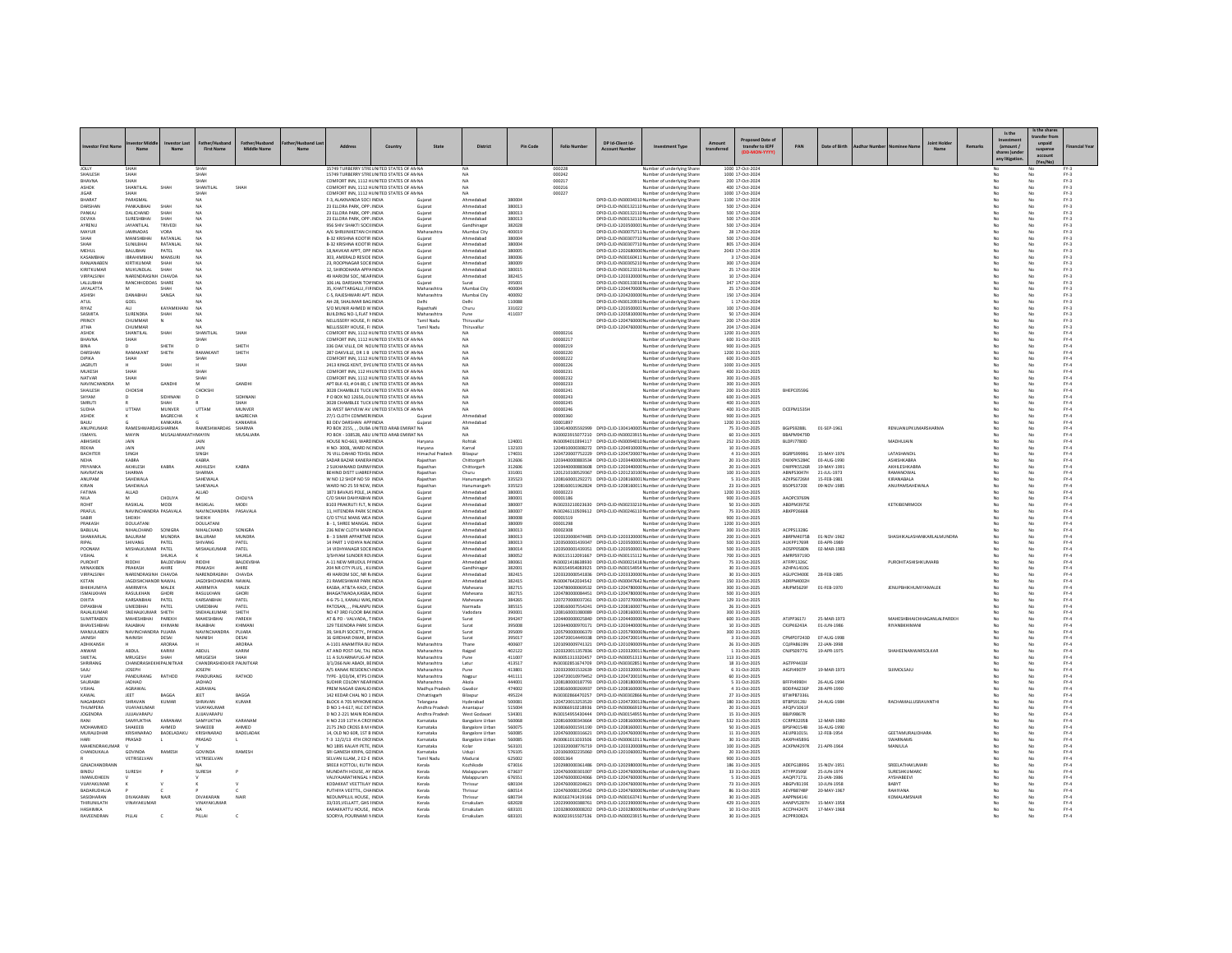|                                          |                                       |                         |                                   |                             |                                                              |                                                                                           |                                 |                                                 |                  |                      |                               |                                                                                                                                      |                                      |                                 |                            |                                             |    |        |                        | Is the share<br>ransfer fro   |                            |
|------------------------------------------|---------------------------------------|-------------------------|-----------------------------------|-----------------------------|--------------------------------------------------------------|-------------------------------------------------------------------------------------------|---------------------------------|-------------------------------------------------|------------------|----------------------|-------------------------------|--------------------------------------------------------------------------------------------------------------------------------------|--------------------------------------|---------------------------------|----------------------------|---------------------------------------------|----|--------|------------------------|-------------------------------|----------------------------|
|                                          | $N \sim m$                            | No.                     | <b>First Name</b>                 | Middle Name                 |                                                              | Country                                                                                   | State                           | <b>District</b>                                 | Pin Code         | <b>Folio Numbe</b>   | DP Id.Client Id.<br>Account M | <b>Investment Type</b>                                                                                                               | sed Date of<br>transfer to IEPF      | PAN                             | Date of Birth              |                                             | M- | Remark | (amount)<br>any litiga | unpaid<br>suspense<br>account |                            |
| JOLLY<br>SHAILESH                        | <b>SHAH</b>                           |                         | <b>SHAH</b>                       |                             |                                                              | 15749 TURBERRY STRE UNITED STATES OF AN N<br>15749 TURBERRY STRE UNITED STATES OF AN NA   |                                 | <b>NA</b>                                       |                  | 000228<br>000242     |                               | Number of underlying Share<br>Number of underlying Share                                                                             | 1000 17-Oct-2024<br>1000 17-Oct-2024 |                                 |                            |                                             |    |        |                        | No                            | $FY-3$<br>$FY-3$           |
| BHAVNA<br>ASHOK                          | SHAH<br>SHANTILAL                     | SHAH                    | SHAH<br>SHANTILAL                 | <b>SHAH</b>                 |                                                              | COMFORT INN, 1112 HUNITED STATES OF AN NA<br>COMFORT INN, 1112 HUNITED STATES OF AN NA    |                                 | MA                                              |                  | 000217<br>000216     |                               | Number of underlying Shares<br>Number of underlying Share                                                                            | 200 17-Oct-2024<br>400 17-0ct-2024   |                                 |                            |                                             |    |        |                        |                               | $PV-3$<br>$PV-3$           |
| <b>IICAP</b>                             | CHAM                                  |                         | SHAH                              |                             |                                                              | COMEORT INN 1112 HUNITED STATES OF ANNA                                                   |                                 | MA                                              |                  | 000227               |                               | Number of underlying Share                                                                                                           | 1000 17-0ct-2024                     |                                 |                            |                                             |    |        | No                     | No                            | $PV-2$                     |
| BHARAT<br>DARSHAM                        | PARASMA<br>PANKAJBHA                  | SHAH                    | NA.<br>N <sub>A</sub>             |                             | F-3, ALAKNANDA SOCI INDIA<br>23 ELLORA PARK, OPP. INDIA      |                                                                                           | Guiarat<br>Guiarat              | Ahmedabad<br>Ahmedabad                          | 380004<br>380013 |                      |                               | DPID-CUD-IN30034310 Number of underlying Share<br>DPID-CLID-IN30132110 Number of underlying Shares                                   | 1100 17-Oct-2024<br>500 17-Oct-2024  |                                 |                            |                                             |    |        |                        | No                            | $FY-3$<br>$PV-3$           |
| PANKAI                                   | <b>DALICHAND</b>                      | SHAH                    | NA                                |                             | 23 ELLORA PARK, OPP. INDIA                                   |                                                                                           | Gujara                          | Ahmedabad                                       | 380013           |                      |                               | DPID-CLID-IN30132110 Number of underlying Share                                                                                      | 500 17-Oct-2024                      |                                 |                            |                                             |    |        |                        | No                            | $PV-3$                     |
| DEVIKA<br>AYRENU                         | SURFSHRHAI<br><b>JAYANTILAL</b>       | SHAH<br>TRIVEDI         | NA<br>N <sub>A</sub>              |                             | 23 FLLORA PARK, OPP, INDIA<br>956 SHIV SHAKTI SOCII INDIA    |                                                                                           | Guiarat<br>Guiarat              | Ahmedahad<br>Gandhinagar                        | 380013<br>382028 |                      |                               | DPID-CUD-IN30132110 Number of underlying Share<br>DPID-CLID-1203500001Number of underlying Share                                     | 500 17-0ct-2024<br>500 17-Oct-2024   |                                 |                            |                                             |    |        |                        | No                            | $PV-2$<br>$P^{-3}$         |
| MAYUR                                    | <b>IAMNADAS</b><br><b>MANISHRHA</b>   | VORA<br><b>RATANIAI</b> | NA                                |                             | A/6 SHRUINIKETAN CHINDIA<br><b>B-32 KRISHNA KOOTIR INDIA</b> |                                                                                           | Maharashtra                     | Mumbai Cit<br>Ahmedahad                         | 400019<br>380004 |                      |                               | DPID-CLID-IN30075711 Number of underlying Share                                                                                      | 28 17-Oct-2024<br>500 17-0ct-2024    |                                 |                            |                                             |    |        |                        | No                            | $FN-3$                     |
| <b>СНДН</b><br><b><i><u>СНАН</u></i></b> | SUNILBHAI                             | RATANI AI               | N <sub>A</sub>                    |                             | B-32 KRISHNA KOOTIR INDIA                                    |                                                                                           | Guiarat<br>Guiarat              | Ahmedabad                                       | 380004           |                      |                               | DPID-CLID-IN30307710 Number of underlying Share<br>DPID-CLID-IN30307710 Number of underlying Shares                                  | 805 17-Oct-2024                      |                                 |                            |                                             |    |        | No<br>No               | No<br>No                      | $FY-3$<br>$FY-3$           |
| MEHUL                                    | <b>BALUBHAI</b><br><b>IDDAMINGUAL</b> | PATEL                   | N4                                |                             | 18 NAVKAR APPT, OPP INDIA                                    |                                                                                           | Gujarat                         | Ahmedabad                                       | 380005           |                      |                               | DPID-CLID-120268000C Number of underlying Shares                                                                                     | 2043 17-Oct-2024                     |                                 |                            |                                             |    |        |                        |                               | $FY-3$                     |
| KASAMBHA<br>RANIANAREN                   | KIRTIKUMAR                            | MANSUR<br>SHAH          | NA                                |                             | 303, AMERALD RESIDE INDIA<br>23 ROOPNAGAR SOCIEINDIA         |                                                                                           | Gujara<br>Guiarat               | Ahmedabad<br>Ahmedahad                          | 380006<br>380009 |                      |                               | DPID-CLID-IN30160411 Number of underlying Share<br>DPID-CLID-IN30305210 Number of underlying Share                                   | 3 17-Oct-2024<br>300 17-0ct-2024     |                                 |                            |                                             |    |        | No                     | No                            | $FY-3$<br>$PV-2$           |
| KIRITKUMAR<br>VIRPALSINH                 | <b>MUKUNDLAL</b><br>NARENDRASINH      | SHAH<br>CHAVDA          | NA<br>N4                          |                             | 12. SHIRODHARA APPAINDIA<br>49 HARIOM SOC. NEAR INDIA        |                                                                                           | Guiarat                         | Ahmedabad<br>Ahmedabad                          | 380015<br>382415 |                      |                               | DPID-CLID-IN30123310 Number of underlying Share<br>DPID-CLID-120332000C Number of underlying Share                                   | 25 17-Oct-2024<br>10 17-Oct-2024     |                                 |                            |                                             |    |        |                        | No                            | $FY-3$<br>$FY-3$           |
| <b>ALLIBHA</b>                           | RANCHHODDAS SHARE                     |                         | NA                                |                             | 106 IAI DARSHAN TOVINDIA                                     |                                                                                           | Guiarat                         | Surat                                           | 395001           |                      |                               | DPID-CLID-IN30133018 Number of underlying Share                                                                                      | 347 17-Oct-2024                      |                                 |                            |                                             |    |        | No                     | No                            | $PV-2$                     |
| <b>JAYALATTA</b><br>ASHISH               | M<br><b>DANABHA</b>                   | SHAH<br>SANGA           | NA<br>NA                          |                             | 35. KHATTARGALLI, FIRINDIA<br>C-S. RAJESHWARI APT. INDIA     |                                                                                           | Maharashtra<br>Maharashtra      | Mumbai City<br>Mumbai City                      | 400004<br>400092 |                      |                               | DPID-CLID-1204470000 Number of underlying Shares<br>DPID-CLID-120420000C Number of underlying Share:                                 | 25 17-Oct-2024<br>150 17-Oct-2024    |                                 |                            |                                             |    |        | No                     | No<br>No                      | $FY-3$<br>$FN-3$           |
| ATUL                                     | GOEL                                  |                         | NA                                |                             | AH-28, SHALIMAR BAG INDIA                                    |                                                                                           | Delhi                           | Delhi                                           | 110088           |                      |                               | DPID-CLID-IN30120910 Number of underlying Share                                                                                      | 1 17-Oct-2024                        |                                 |                            |                                             |    |        |                        | No                            | $FN-3$                     |
| RIV47<br>SASMITA                         | ALL.<br>SURENDRA                      | KAYAMKHAN<br>SHAH       | NA<br><b>NA</b>                   |                             | S/O MUNIR AHMED WINDIA<br>BUILDING NO-1.FLAT NINDIA          |                                                                                           | RajasthaN<br>Maharashtra        | Churu<br>Pune                                   | 331022<br>411037 |                      |                               | DPID-CUD-1203500001 Number of underlying Share<br>DPID-CLID-1205810000 Number of underlying Shares                                   | 100 17-0ct-2024<br>50 17-Oct-2024    |                                 |                            |                                             |    |        | No<br>No               | No<br>No                      | $FY-3$<br>$FY-3$           |
| PRINCY                                   | CHUMMAR                               | N                       | N <sub>A</sub>                    |                             | NELLISSERY HOUSE. FI INDIA                                   |                                                                                           | Tamil Nadu                      | Thiruvallu                                      |                  |                      |                               | DPID-CUD-1204760000 Number of underlying Share                                                                                       | 200 17-Oct-2024                      |                                 |                            |                                             |    |        |                        | No                            | $FY-3$                     |
| <b>ITHA</b><br>ASHOK                     | CHUMMAR<br>SHANTILAL                  | SHAH                    | SHANTILAL                         | SHAH                        | NELLISSERY HOUSE, FI INDIA                                   | COMFORT INN. 1112 HUNITED STATES OF AN NA                                                 | Tamil Nadu                      | Thiruvallu<br><b>NA</b>                         |                  | 00000216             |                               | DPID-CLID-1204760000 Number of underlying Share<br>Number of underlying Share                                                        | 204 17-Oct-2024<br>1200 31-Oct-2025  |                                 |                            |                                             |    |        |                        | No                            | $FY-3$<br>$FY-4$           |
| BHAVNA                                   | SHAH                                  |                         | SHAH                              |                             |                                                              | COMFORT INN. 1112 HUNITED STATES OF AN NA                                                 |                                 | <b>NA</b>                                       |                  | 00000217             |                               | Number of underlying Share                                                                                                           | 600 31-Oct-2025                      |                                 |                            |                                             |    |        |                        | No                            | FY.4                       |
| BINA<br>DARSHAN                          | RAMAKANT                              | SHETH<br>SHETH          | RAMAKANT                          | SHETH<br>SHETH              |                                                              | 336 OAK VILLE, DR NC UNITED STATES OF AN NA<br>287 OAKVILLE DR 1 B. UNITED STATES OF ANNA |                                 | NA<br><b>NA</b>                                 |                  | 00000219<br>00000220 |                               | Number of underlying Share<br>Number of underlying Share                                                                             | 900 31-Oct-2025<br>1200 31-Oct-2025  |                                 |                            |                                             |    |        | No                     | No                            | FY.4<br>EY-4               |
| DIPIKA                                   | SHAH                                  |                         | SHAH                              |                             |                                                              | COMFORT INN. 1112 HUNITED STATES OF AN NA                                                 |                                 | <b>NA</b>                                       |                  | 00000222             |                               | Number of underlying Share                                                                                                           | 600 31-Oct-2025                      |                                 |                            |                                             |    |        | No                     | No                            | $FY-4$                     |
| <b>JAGRUTI</b><br>MUKESH                 | SHAH                                  | SHAH                    | SHAH                              | SHAH                        |                                                              | 2413 KINGS KENT, DYE UNITED STATES OF AN NA<br>COMFORT INN, 112 HV UNITED STATES OF AN NA |                                 | NA<br>NA                                        |                  | 00000226<br>00000231 |                               | Number of underlying Share<br>Number of underlying Share                                                                             | 1000 31-Oct-2025<br>400 31-Oct-2025  |                                 |                            |                                             |    |        |                        |                               | $PV-4$<br>FY.4             |
| NATVAR                                   | <b>SHAH</b>                           |                         | SHAH                              |                             |                                                              | COMEORT INN 1112 HUNITED STATES OF ANNA                                                   |                                 | <b>NA</b>                                       |                  | 00000232             |                               | Number of underlying Share                                                                                                           | 300 31-0ct-2025                      |                                 |                            |                                             |    |        | No                     | No                            | EY-4                       |
| <b>NAVINCHANDRA</b><br>SHAILESH          | CHOKSH                                | GANDHI                  | M<br>CHOKSH                       | GANDH                       |                                                              | APT BLK 43, # 04-80, C UNITED STATES OF AN NA<br>3028 CHAMBLEE TUCK UNITED STATES OF AN N |                                 | <b>NA</b><br><b>NA</b>                          |                  | 00000233<br>0000024  |                               | Number of underlying Share<br>Number of underlying Share                                                                             | 300 31-Oct-2025<br>200 31-Oct-2025   | BHEPC0559C                      |                            |                                             |    |        |                        | No                            | $FY-4$<br>FY.4             |
| SHYAM                                    | n                                     | SIDHNANI<br>SHAH        | $\sim$                            | SIDHNAN<br><b>SHAH</b>      |                                                              | P O BOX NO 12656, DU UNITED STATES OF AN NA                                               |                                 | <b>NA</b>                                       |                  | 00000243             |                               | Number of underlying Share                                                                                                           | 600 31-0ct-2025                      |                                 |                            |                                             |    |        | No                     | No                            | $FY-4$                     |
| SMRUTI<br><b>SUDHA</b>                   | UTTAM                                 | MUNVER                  | UTTAM                             | MUNVER                      |                                                              | 3028 CHAMBLEE TUCK UNITED STATES OF AN NA<br>26 WEST BAYVEIW AV UNITED STATES OF AN NA    |                                 | <b>NA</b><br><b>NA</b>                          |                  | 00000245<br>00000246 |                               | Number of underlying Share<br>Number of underlying Share                                                                             | 400 31-Oct-2025<br>400 31-Oct-2025   | DCEPM1535H                      |                            |                                             |    |        |                        | No                            | $FY-4$<br>FY.4             |
| ASHOK<br>RAILL                           |                                       | BAGRECHA<br>KANKARIA    |                                   | <b>BAGRECHA</b><br>KANKARIA | 27/1 CLOTH COMMERIINDIA<br><b>R3 DEV DARSHAN APP INDIA</b>   |                                                                                           | Guiarat                         | Ahmedaba<br>Ahmedahad                           |                  | 00000360<br>00001897 |                               | Number of underlying Share<br>Number of underlying Share                                                                             | 900 31-Oct-2025<br>1200 31-Oct-2025  |                                 |                            |                                             |    |        | No                     | No                            | FY.4<br>EY-4               |
| ANUPKUMAR                                | RAMESHWAR                             | <b>ASSHARMA</b>         | RAMESHWARDAS                      | SHARMA                      |                                                              | PO BOX 2155 DUBA UNITED ARAB EMIRAT NA                                                    |                                 | <b>NA</b>                                       |                  |                      |                               | 1304140005592999 DPID-CUD-1304140005 Number of underlying Share                                                                      | 75 31-Oct-2025                       | <b>BGJPS9288L</b>               | 01-SEP-1961                | RENUANUPKUMARSHARMA                         |    |        |                        | No                            | $FY-4$                     |
| ISMAYII<br><b>ARHISHEK</b>               | MAYIN<br>IAIN.                        | MUSALIARAKAT            | <b>HMAYIN</b><br><b>JAIN</b>      | MUSALIARA                   | HOUSE NO-663 WARDINDIA                                       | PO BOX - 108528, ABU UNITED ARAB EMIRAT NA                                                | Harvana                         | Robtak                                          | 124001           |                      |                               | IN30023915077210 DPID-CLID-IN30023915 Number of underlying Share<br>IN30094010394117 DPID-CUD-IN30094010 Number of underlying Share  | 60 31-Oct-2025<br>252 31-Oct-2025    | BBAPM94790<br>BLDP17780D        |                            | MADHIJIAIN                                  |    |        | No                     | N <sub>0</sub>                | FY.4<br>EY-4               |
| REKHA                                    | <b>JAIN</b>                           |                         | <b>JAIN</b>                       |                             | H NO-3008., WARD NCINDIA                                     |                                                                                           | Harvana                         | Karnal                                          | 132103           |                      |                               | 1204910000308272 DPID-CUD-1204910000 Number of underlying Share                                                                      | 10 31 Oct - 2025                     |                                 |                            |                                             |    |        | No                     | No                            | $FY-4$                     |
| BACHITER                                 | SINGH<br>KABRA                        |                         | SINGH<br>KABRA                    |                             | 76 VILL DAHAD TEHSIL INDIA<br>SADAR BAZAR KANERA INDIA       |                                                                                           | Himachal Pradesh<br>Rajasthar   | Bilaspur<br>Chittorgar                          | 174031<br>312606 |                      |                               | 1204720007752229 DPID-CLID-1204720007 Number of underlying Share<br>1203440000883534 DPID-CLID-1203440000 Number of underlying Share | 4 31-Oct-2025<br>20 31-Oct-2025      | <b>BGRPS9999G</b><br>DWXPK5284C | 15-MAY-1976<br>03-AUG-1990 | LATASHANDIL<br>ASHISHKABRA                  |    |        |                        | No                            | FY.4<br>FY.4               |
| PRIVANKA                                 | <b>AKHILESH</b>                       | KARRA                   | <b>AKHILESH</b>                   | KARRA                       | 2 SUKHANAND DARWINDIA                                        |                                                                                           | Rajasthan                       | Chittorgarh                                     | 312606           |                      |                               | 1203440000883608 DPID-CLID-1203440000 Number of underlying Share                                                                     | 20 31-0ct-2025                       | <b>DWPPK5526R</b>               | 19-MAY-1991                | AKHII FSHKARRA                              |    |        | No                     | No                            | $FY-4$                     |
| NAVRATAN<br>ANUPAM                       | SHARMA<br>SAHEWALA                    |                         | SHARMA<br>SAHEWALA                |                             | BEHIND DISTT LIABREFINDIA<br>W NO 12 SHOP NO 59 INDIA        |                                                                                           | Rajasthan<br>Rajasthan          | Churu<br>Hanumangar                             | 331001<br>335523 |                      |                               | 1201210100529367 DPID-CUD-1201210100 Number of underlying Share<br>1208160001292271 DPID-CUD-1208160001Number of underlying Share    | 100 31-Oct-2025<br>5 31-Oct-2025     | ABNPS3047H<br>AZXPS6726M        | 21-JUL-1973<br>15-FEB-1981 | RAMANOWAL<br>KIRANABALA                     |    |        | No                     | No<br>No                      | $FY-4$<br>FY.4             |
| KIRAN                                    | SAHEWALA                              |                         | SAHEWALA                          |                             | WARD NO 25 59 NEW, INDIA                                     |                                                                                           | Rajastha                        | Hanumangar                                      | 335523           |                      |                               | 1208160011962824 DPID-CLID-1208160011Number of underlying Share                                                                      | 23 31-Oct-2025                       | BSOP53720E                      | 09-NOV-1985                | ANUPAMSAHEWALA                              |    |        |                        |                               | $FY-4$                     |
| FATIMA<br>NILA                           | ALLAD<br>M                            | CHOLIYA                 | ALLAD<br>M                        | CHOLIYA                     | 1873 BAVAJIS POLE, JA INDIA<br>C/O SHAH DAHYABHAI INDIA      |                                                                                           | Guiarat<br>Gujarat              | Ahmedabad<br>Ahmedabad                          | 380001<br>380001 | 00000223<br>00001186 |                               | Number of underlying Share<br>Number of underlying Share                                                                             | 1200 31-Oct-2025<br>900 31-Oct-2025  | AAOPC97691                      |                            |                                             |    |        |                        | No<br>No                      | $FY-4$<br>FY.4             |
| ROHIT                                    | RASIKLAL                              | MODI                    | RASIKLAL                          | MODI                        | B103 PRAKRUTI FLT, N INDIA                                   |                                                                                           | Gujara                          | Ahmedabad                                       | 380007           |                      |                               | IN30233210023630 DPID-CLID-IN30233210 Number of underlying Share                                                                     | 50 31-Oct-2025                       | ABDPM3975                       |                            | KETKIBENRMOD                                |    |        |                        |                               | FY.4                       |
| PRAFIII<br><b>SARIR</b>                  | NAVINCHANDRA PASAVALA<br>SHEIKH       |                         | NAVINCHANDRA<br>SHEIKH            | PASAVALA                    | 11 HITENDRA PARK SCINDIA<br>C/O STYLE MANS WEA INDIA         |                                                                                           | Gujarat<br>Guiarat              | Ahmedahad<br>Ahmedabad                          | 380007<br>380008 | 00001519             |                               | IN30246110509612 DPID-CLID-IN30246110 Number of underlying Share<br>Number of underlying Share                                       | 75 31-Oct-2025<br>900 31-Oct-2025    | ABXPP2666B                      |                            |                                             |    |        |                        | No<br>No                      | $FY-4$<br>$FY-4$           |
| PRAKASH                                  | DOULATAN                              |                         | <b>DOULATAN</b>                   |                             | <b>B - 1. SHREE MANGAL INDIA</b>                             |                                                                                           | Gujarat                         | Ahmedabad                                       | 380009           | 00001298             |                               | Number of underlying Shares                                                                                                          | 1200 31-Oct-2025                     |                                 |                            |                                             |    |        |                        |                               | FY.4                       |
| BABULAI<br>SHANKARLA                     | NIHALCHAND<br><b>BALLIRAM</b>         | SONIGRA<br>MUNDRA       | NIHALCHAND<br><b>BALLIRAM</b>     | SONIGRA<br>MUNDRA           | 236 NEW CLOTH MARHNDIA<br><b>B - 3 SIMIR APPARTME INDIA</b>  |                                                                                           | Gujara<br>Gujarat               | Ahmedabad<br>Ahmedahad                          | 380013<br>380013 | 00002308             |                               | Number of underlying Share<br>1203320000474485 DPID-CLID-1203320000 Number of underlying Share                                       | 300 31-Oct-2025<br>200 31-Oct-2025   | ACPPS1328G<br>ARRPMA075R        | 01-NOV-1962                | SHASHIKAI ASHANKARI ALMUNDRA                |    |        |                        | No                            | FY.4<br>$FY-4$             |
| RIPAL<br>POONAM                          | SHIVANG<br>MISHALKUMAR                | PATEL<br>PATEL          | SHIVANG<br>MISHALKUMAR            | PATEL<br>PATEL              | 14 PART 1 VIDHYA NA(INDIA<br>14 VIDHYANAGR SOCIEINDIA        |                                                                                           | Gujarat<br>Gujara               | Ahmedabad<br>Ahmedabad                          | 380013<br>380014 |                      |                               | 1203500001439347 DPID-CLID-1203500001Number of underlying Share<br>1203500001439351 DPID-CLID-1203500001Number of underlying Share   | 500 31-Oct-2025<br>500 31-Oct-2025   | AUKPP1769R<br>AOSPP0580N        | 03-APR-1989<br>02-MAR-1983 |                                             |    |        |                        |                               | $FY-4$<br>FY.4             |
| <b>IAHAT</b>                             |                                       | SHUKLA                  |                                   | SHIJKLA                     | 3/SHYAM SUNDER ROUNDIA                                       |                                                                                           | Gujara                          | Ahmedahad                                       | 380052           |                      |                               | IN30115112091667 DPID-CLID-IN30115112 Number of underlying Share                                                                     | 700 31-Oct-2025                      | AMRPS9719D                      |                            |                                             |    |        |                        | No                            | $FY-4$                     |
| PUROHIT<br>MINAXIBEN                     | <b>RIDDHI</b><br>PRAKASH              | BALDEVBHAI<br>AHIRE     | RIDDHI<br>PRAKASH                 | <b>BALDEVBHA</b><br>AHIRE   | A-11 NEW MRUDUL PAINDIA<br>204 NR CITY PLUS, , KUINDIA       |                                                                                           | Guiarat<br>Gujarat              | Ahmedabad<br>Gandhinagar                        | 380061<br>382001 |                      |                               | IN30021418638930 DPID-CUD-IN30021418 Number of underlying Share<br>IN30154954083925 DPID-CLID-IN30154954 Number of underlying Share  | 75 31-Oct-2025<br>30 31-Oct-2025     | ATFPP1326C<br>AZHPA1410G        |                            | PUROHITASHISHKUMARB                         |    |        | No                     | No                            | $FY-4$<br>FY.4             |
| VIRPALSINH                               | NARENDRASINH CHAVDA                   |                         | NARENDRASINH                      | CHAVDA                      | 49 HARIOM SOC, NR RJ INDIA                                   |                                                                                           | Gujara                          | Ahmedabad                                       | 382415           |                      |                               | 1203320000541836 DPID-CLID-1203320000 Number of underlying Share                                                                     | 30 31-Oct-2025                       | AGUPC94006                      | 28-FEB-198                 |                                             |    |        |                        |                               | FY.4                       |
| KETAN<br>BHIKHUMIYA                      | IAGDISHCHANDR NAWAI<br>AMIRMIYA       | MALEK                   | IAGDISHCHANDRA NAWAL<br>AMIRMIYA  | MALEK                       | 21 RAMESHWAR PARK INDIA<br>KASBA, AT&TA-KADI, CINDIA         |                                                                                           | Gujara<br>Guiarat               | Ahmedahad<br>Mahesana                           | 382415<br>382715 |                      |                               | IN30047642034542 DPID-CLID-IN30047642 Number of underlying Share<br>1204780000069532 DPID-CUD-1204780000 Number of underlying Share  | 150 31-Oct-2025<br>300 31-Oct-2025   | ADRPN4002E<br>ARJPM5629F        | 01-FEB-1970                | <b>JENUPBHIKHUMIYAMALEK</b>                 |    |        |                        | No<br>No                      | $FY-4$<br>$FY-4$           |
| <b>ISMAILKHAN</b>                        | RASULKHAN                             | GHORI                   | RASULKHAN                         | GHORI                       | BHAGATWADA, KASBA, INDIA                                     |                                                                                           | Gujara                          | Mahesana                                        | 382715           |                      |                               | 1204780000084451 DPID-CLID-1204780000 Number of underlying Share                                                                     | 500 31-Oct-2025                      |                                 |                            |                                             |    |        |                        |                               | FY.4                       |
| DIXITA<br>DIPAKBHAI                      | KARSANRHAI<br><b>UMEDBHAI</b>         | PATEL<br>PATEL          | KARSANRHAI<br><b>UMEDBHAI</b>     | PATEL<br>PATEL              | 4-6-75-1, KANALI WAS INDIA<br>PATOSAN PALANPU INDIA          |                                                                                           | Gujara<br>Guiarat               | Mahesana<br>Narmada                             | 384265<br>385515 |                      |                               | 1207270000037261 DPID-CLID-1207270000 Number of underlying Share<br>1208160007554241 DPID-CUD-1208160007 Number of underlying Share  | 129 31-Oct-2025<br>26 31-Oct-2025    |                                 |                            |                                             |    |        |                        | No<br>No                      | $FY-4$<br>$FY-4$           |
| RAJALKUMAF                               | SNEHALKUMAR SHETH                     |                         | SNEHALKUMAR                       | SHETH                       | NO 47 3RD FLOOR BAKINDIA                                     |                                                                                           | Gujarat                         | Vadodara                                        | 390001           |                      |                               | 1208160001080089 DPID-CLID-1208160001Number of underlying Shares                                                                     | 300 31-Oct-2025                      |                                 |                            |                                             |    |        |                        | No                            | FY.4                       |
| SUMITRABEI<br>RHAVESHRHA                 | MAHESHBHAI<br>RAIARHAI                | PAREKH<br>KHIMAN        | MAHESHBHA<br>RAIARHAI             | PAREKH<br>KHIMAN            | AT & PO - VALVADA,, TINDIA<br>129 TEJENDRA PARK SHNDIA       |                                                                                           | Gujarat<br>Gujara               | Surat<br>Surat                                  | 394247<br>395008 |                      |                               | 1204400000025840 DPID-CLID-1204400000 Number of underlying Share<br>1203440000970171 DPID-CLID-1203440000 Number of underlying Share | 600 31-Oct-2025<br>10 31-Oct-2025    | ATJPP3617J<br>CKJPK6243A        | 25-MAR-1973<br>01-JUN-1986 | MAHESHBHAICHHAGANLALPAREKH<br>RIYANRKHIMANI |    |        |                        |                               | FY.4<br>FY.4               |
| MANJULABEN                               | NAVINCHANDRA PUJARA                   |                         | NAVINCHANDRA                      | PUJARA                      | 39. SHILPI SOCIETY., PAINDIA<br>16 GIRDHAR DWAR, BFINDIA     |                                                                                           | Guiarat                         | Surat                                           | 395009<br>395017 |                      |                               | 1205790000006370 DPID-CUD-1205790000 Number of underlying Share<br>1204720014449338 DPID-CLID-1204720014 Number of underlying Share  | 300 31-Oct-2025<br>3 31-Oct-2025     | CPMPD7243D 07-AUG-1998          |                            |                                             |    |        |                        | No                            | $FY-4$<br>FY.4             |
| <b>JAINISH</b><br>ADHIKANSH              | NAINISH                               | DESAI<br>ARORA          | NAINISH                           | DESAI<br>ARORAA             | A-1101 ANAMITRA BU INDIA                                     |                                                                                           | Gujarat<br>Maharashtra          | Surat<br>Than                                   | 400607           |                      |                               | 1201090009741321 DPID-CLID-1201090005 Number of underlying Share                                                                     | 26 31-Oct-2025                       | CQJPA8619N                      | 22-JAN-199                 |                                             |    |        |                        |                               | $FY-4$                     |
| ANWAR<br>SWETAL                          | ABDUL<br>MRUGESH                      | KARIM<br>SHAH           | ABDUL<br>MRUGESH                  | KARIM<br>SHAH               | AT AND POST-SAI, TAL INDIA<br>11 A SUVARNAYUG AP INDIA       |                                                                                           | Maharashtra<br>Maharashtra      | Raigad<br>Pune                                  | 402122<br>411007 |                      |                               | 1203320011357836 DPID-CUD-1203320011Number of underlying Share<br>IN30051313320457 DPID-CLID-IN30051313 Number of underlying Share   | 1 31 Oct - 2025<br>113 31-Oct-2025   | CNJPS0977G                      | 19-APR-1975                | SHAHEENANWARSOLKAP                          |    |        |                        | No<br>No                      | $FY-4$<br>FY.4             |
| SHRIRANG                                 | CHANDRASHEKHI PALNITKAF               |                         | CHANDRASHEKHER PALNITKAP          |                             | 3/1/266 NAI ABADI, BEINDIA                                   |                                                                                           | Maharashtra                     | Latur                                           | 413517           |                      |                               | IN30302851674709 DPID-CLID-IN30302851 Number of underlying Share                                                                     | 18 31-Oct-2025                       | AGTPP44338                      |                            |                                             |    |        |                        |                               | FY.4                       |
| 111.02<br>VIJAY                          | <b>JOSEPH</b><br>PANDURANG            | RATHOD                  | <b>INSEPH</b><br>PANDURANG        | RATHOD                      | A/S KANAK RESIDENCYINDIA<br>TYPE- 3/03/04, KTPS CHNDIA       |                                                                                           | Maharashtra<br>Maharashtra      | Pune<br>Nagpur                                  | 413801<br>441111 |                      |                               | 1203320001532639 DPID-CLID-1203320001Number of underlying Share<br>1204720010979452 DPID-CUD-1204720010 Number of underlying Share   | 6 31-Oct-2025<br>60 31-Oct-2025      | AIGPJ4907P                      | 19-MAR-1973                | SUIMOLSAJU                                  |    |        |                        | No<br>No                      | $FY-4$<br>$FY-4$           |
| SAURABH                                  | <b>JADHAO</b>                         |                         | <b>JADHAO</b>                     |                             | SUDHIR COLONY NEARINDIA                                      |                                                                                           | Maharashtra                     | Akola                                           | 444001           |                      |                               | 1208180000187793 DPID-CUD-1208180000 Number of underlying Share                                                                      | 5 31-Oct-2025                        | BFFPJ4990H                      | 26-AUG-1994                |                                             |    |        |                        | No                            | FY.4                       |
| VISHAL<br>KAWAI                          | AGRAWAL<br>JEET                       | <b>BAGGA</b>            | AGRAWAL<br>JEET                   | RAGGA                       | PREM NAGAR GWALIO INDIA<br>142 KEDAR CHAL NO 1 INDIA         |                                                                                           | Madhya Pradest<br>Chhattisgarh  | Gwalio<br>Bilaspu                               | 474002<br>495224 |                      |                               | 1208160000269937 DPID-CUD-1208160000 Number of underlying Share<br>IN30302866470257 DPID-CLID-IN30302866 Number of underlying Share  | 4 31-Oct-2025<br>27 31-Oct-2025      | BDDPA6236F<br>BTWPB7336I        | 28-APR-1990                |                                             |    |        |                        |                               | FY.4                       |
| NAGABANDI                                | SHRAVAN                               | KUMAR                   | SHRAVAN                           | KUMAR                       | BLOCK A 705 MYHOME INDIA                                     |                                                                                           | Telangana                       | Hyderabad                                       | 500081           |                      |                               | 1204720013253520 DPID-CLID-1204720013 Number of underlying Share                                                                     | 180 31-Oct-2025                      | <b>BTBPS9128J</b>               | 24-AUG-1984                | RACHAMALLUSRAVANTHI                         |    |        |                        | No                            | $_{\rm{PY-4}}^{\rm{PY-4}}$ |
| THUMPERA<br><b>JOGENDRA</b>              | VIJAYAKUMAI<br><b>ILIIAVARAPII</b>    |                         | VIJAYAKUMAI<br><b>JUJJAVARAPL</b> |                             | D NO 1-4-617, HLC EXTINDIA<br>D NO 2-221 MAIN ROAINDIA       |                                                                                           | Andhra Prades<br>Andhra Pradesh | Anantapur<br>West Godavar                       | 515004<br>534301 |                      |                               | IN30066910218936 DPID-CLID-IN30066910 Number of underlying Share<br>IN30154955430444 DPID-CLID-IN30154955 Number of underlying Share | 20 31-Oct-2025<br>15 31-Oct-2025     | AFQPV1061F<br>BBJPJ9867R        |                            |                                             |    |        |                        |                               | FY.4<br>FY.4               |
| RANI                                     | <b>SAMYUKTHA</b>                      | KARANAM                 | SAMYUKTHA                         | KARANAM                     | H NO 219 11TH A CRO! INDIA                                   |                                                                                           | Karnataka                       | <b>Bangalore Urbar</b>                          | 560068           |                      |                               | 1208160000343664 DPID-CUD-1208160000 Number of underlying Share                                                                      | 532 31-Oct-2025                      | <b>CCRPR3205B</b>               | 12-MAR-1980                |                                             |    |        |                        | No                            | $FY-4$                     |
| MOHAMMED<br>MURALIDHAR                   | SHAKEEB                               | AHMED<br>BADELADAKL     | SHAKEEB<br>KRISHNARAC             | AHMED<br>BADELADA           | 2175 2ND CROSS B M HNDIA<br>14, OLD NO 60R, 1ST B INDIA      |                                                                                           | Karnataka<br>Karnataka          | <b>Bangalore Urbar</b><br><b>Bangalore Urba</b> | 560075<br>560085 |                      |                               | 1208160001591190 DPID-CLID-1208160001Number of underlying Share:<br>1204760000316621 DPID-CLID-1204760000 Number of underlying Share | 50 31-Oct-2025<br>11 31-Oct-2025     | BPSPA0154B<br>AEUPB1015L        | 16-AUG-1990<br>12-FEB-1954 | GEETAMURALIDHARA                            |    |        |                        | No                            | $FY-4$<br>FY.4             |
| HARI                                     | PRASAD                                |                         | PRASAD                            |                             | T-3 12/2/13 4TH CRO: INDIA                                   |                                                                                           | Karnataka                       | <b>Bangalore Urbar</b>                          | 560085           |                      |                               | IN30061011033506 DPID-CLID-IN30061011 Number of underlying Share                                                                     | 30 31-Oct-2025                       | <b>AAXPHASS90</b>               |                            | <b>SWARNAMS</b>                             |    |        |                        | No                            | FY.4                       |
| MAHENDRAKUMAR<br>CHANDUKALA              | <b>GOVINDA</b>                        | RAMESH                  | <b>GOVINDA</b>                    | RAMESH                      | NO 1895 KALAYI PETE. INDIA<br>SRI GANESH KRIPA, GC INDIA     |                                                                                           | Karnataka<br>Karnataka          | Kolar<br>Udupi                                  | 563101<br>576105 |                      |                               | 1203320008776719 DPID-CUD-1203320008 Number of underlying Share<br>1201060002235060 DPID-CLID-1201060002 Number of underlying Shares | 100 31-Oct-2025<br>20 31-Oct-2025    | ACKPM4297K                      | 21-APR-1964                | <b>MANJULA</b>                              |    |        |                        | No                            | $FY-4$<br>FY.4             |
|                                          | VETRISELVAN                           |                         | VETRISELVAN                       |                             | SELVAN ILLAM, 2 E2-E INDIA                                   |                                                                                           | Tamil Nadı                      | Madurai                                         | 625002           | 00001364             |                               | Number of underlying Share                                                                                                           | 900 31-Oct-2025                      |                                 |                            |                                             |    |        |                        | No                            | FY.4                       |
| GINACHANDRANN<br>BINDU                   | <b>SURESH</b>                         |                         | NA.<br><b>SURESH</b>              |                             | SREEJI KOTTOLI, KUTH INDIA<br>MUNDATH HOUSE, AY INDIA        |                                                                                           | Kerala<br>Kerala                | Kozhikode<br>Malappuram                         | 673016<br>673637 |                      |                               | 1202980000361486 DPID-CUD-1202980000 Number of underlying Share<br>1204760000301007 DPID-CLID-1204760000 Number of underlying Shares | 186 31-Oct-2025<br>33 31-Oct-2025    | ADEPG1899G<br>ATYPP3506F        | 15-NOV-1951<br>25-JUN-1974 | SREELATHAKUMAR<br>SURESHKUMARC              |    |        | No<br>No               | No<br>No                      | $FY-4$<br>$FY-4$           |
| MANUDHEEM<br>VUAYAKUMAR                  |                                       |                         |                                   |                             | VALIYAJARATHINGAL I- INDIA                                   |                                                                                           | Kerala                          | Malappuram                                      | 676551<br>680104 |                      |                               | 1204760000024066 DPID-CUD-1204760000 Number of underlying Share                                                                      | 5 31-Oct-2025                        | AAQP17171L                      | 23-JAN-198                 | AYSHABEEVI                                  |    |        |                        |                               | FY.4                       |
| BADARUDHUJA                              |                                       |                         |                                   |                             | KODAKKAT VEETTILAY INDIA<br>PUTHIYA VEETTIL, CHAINDIA        |                                                                                           | Kerala<br>Kerala                | Thrissu<br>Thrissur                             | 680514           |                      |                               | 1204760000204621 DPID-CLID-120476000C Number of underlying Share<br>1204760000129542 DPID-CUD-1204760000 Number of underlying Share  | 73 31-Oct-2025<br>86 31-Oct-2025     | ABGPV81198<br>AEVPB8748P        | 10-JUN-1958<br>20-MAY-1967 | BABYT<br>RAHIYANA                           |    |        |                        | No                            | FY.4<br>$FY-4$             |
| SASIDHARAN<br>THIRUNILATH                | DIVAKARAN<br>VINAYAKUMAF              | NAIR                    | DIVAKARAN<br>VINAYAKUMAF          | NAIR                        | NEDUMPILLIL HOUSE, INDIA<br>33/335, VELLATT, GHS IINDIA      |                                                                                           | Kerala                          | Thrissur                                        | 680734<br>682028 |                      |                               | IN30163741419166 DPID-CLID-IN30163741 Number of underlying Share<br>1202390000388761 DPID-CLID-1202390000 Number of underlying Share | 30 31-Oct-2025<br>429 31-Oct-2025    | AAPPN6414J<br>AANPV5287H        | 15-MAY-1958                | KOMALAMSNAIR                                |    |        |                        | No                            | $FY-4$                     |
| HASHIMKA                                 |                                       |                         |                                   |                             | KARAKKATTU HOUSE. INDIA                                      |                                                                                           | Kerala<br>Kerala                | Ernakulan<br>Ernakular                          | 683101           |                      |                               | 1203280000008202 DPID-CUD-1203280000 Number of underlying Share                                                                      | 10 31-Oct-2025                       | ACCPH4247E                      | 17-MAY-1968                |                                             |    |        |                        | No                            | $FY-4$<br>$FY-4$           |
| RAVEENDRAN                               | PILLAI                                | $\epsilon$              | PILLAI                            | c                           | SOORYA, POURNAMI NINDIA                                      |                                                                                           | Kerala                          | Ernakulam                                       | 683101           |                      |                               | IN30023915507536 DPID-CLID-IN30023915 Number of underlying Share:                                                                    | 30 31-Oct-2025                       | ACPPR3082A                      |                            |                                             |    |        |                        |                               | $FY-4$                     |